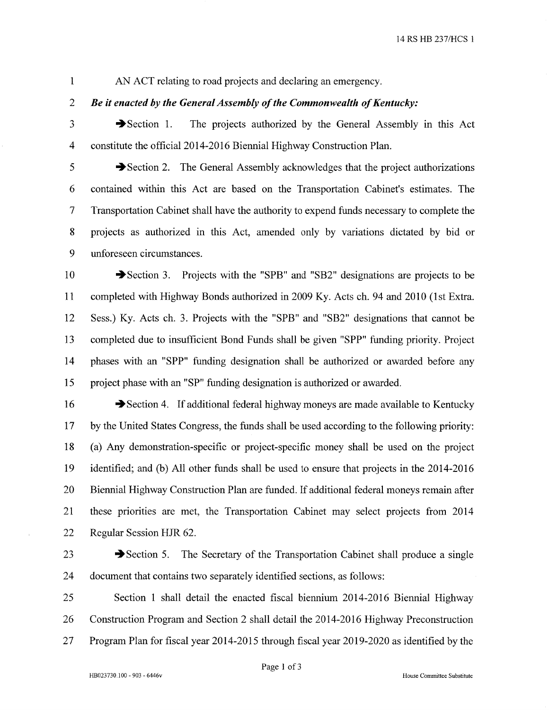AN ACT relating to road projects and declaring an emergency.

#### $\overline{2}$ Be it enacted by the General Assembly of the Commonwealth of Kentucky:

3

 $\overline{4}$ 

 $\mathbf{1}$ 

 $\rightarrow$  Section 1. constitute the official 2014-2016 Biennial Highway Construction Plan.

5 Section 2. The General Assembly acknowledges that the project authorizations 6 contained within this Act are based on the Transportation Cabinet's estimates. The 7 Transportation Cabinet shall have the authority to expend funds necessary to complete the 8 projects as authorized in this Act, amended only by variations dictated by bid or 9 unforeseen circumstances.

The projects authorized by the General Assembly in this Act

10 Section 3. Projects with the "SPB" and "SB2" designations are projects to be 11 completed with Highway Bonds authorized in 2009 Ky. Acts ch. 94 and 2010 (1st Extra. 12 Sess.) Ky. Acts ch. 3. Projects with the "SPB" and "SB2" designations that cannot be 13 completed due to insufficient Bond Funds shall be given "SPP" funding priority. Project 14 phases with an "SPP" funding designation shall be authorized or awarded before any project phase with an "SP" funding designation is authorized or awarded. 15

16 Section 4. If additional federal highway moneys are made available to Kentucky 17 by the United States Congress, the funds shall be used according to the following priority: 18 (a) Any demonstration-specific or project-specific money shall be used on the project 19 identified; and (b) All other funds shall be used to ensure that projects in the 2014-2016 20 Biennial Highway Construction Plan are funded. If additional federal moneys remain after 21 these priorities are met, the Transportation Cabinet may select projects from 2014 22 Regular Session HJR 62.

23

Section 5. The Secretary of the Transportation Cabinet shall produce a single 24 document that contains two separately identified sections, as follows:

25 Section 1 shall detail the enacted fiscal biennium 2014-2016 Biennial Highway 26 Construction Program and Section 2 shall detail the 2014-2016 Highway Preconstruction 27 Program Plan for fiscal year 2014-2015 through fiscal year 2019-2020 as identified by the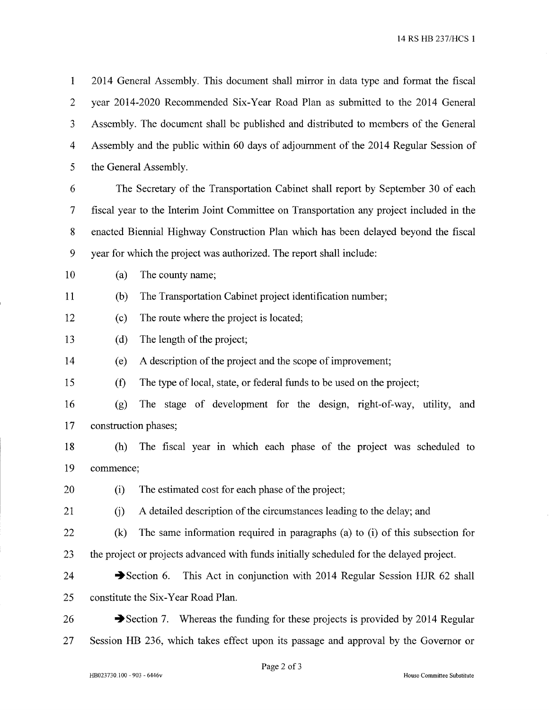14 RS HB 237/HCS 1

 $\mathbf{1}$ 2014 General Assembly. This document shall mirror in data type and format the fiscal  $\overline{2}$ year 2014-2020 Recommended Six-Year Road Plan as submitted to the 2014 General  $\mathfrak{Z}$ Assembly. The document shall be published and distributed to members of the General  $\overline{4}$ Assembly and the public within 60 days of adjournment of the 2014 Regular Session of 5 the General Assembly.

6 The Secretary of the Transportation Cabinet shall report by September 30 of each  $\overline{7}$ fiscal year to the Interim Joint Committee on Transportation any project included in the 8 enacted Biennial Highway Construction Plan which has been delayed beyond the fiscal 9 year for which the project was authorized. The report shall include:

10 The county name; (a)

11  $(b)$ The Transportation Cabinet project identification number;

- 12  $(c)$ The route where the project is located;
- 13  $(d)$ The length of the project;

14 A description of the project and the scope of improvement;  $(e)$ 

15  $(f)$ The type of local, state, or federal funds to be used on the project;

16 The stage of development for the design, right-of-way, utility, and  $(g)$ construction phases; 17

- 18 (h) The fiscal year in which each phase of the project was scheduled to 19 commence:
- The estimated cost for each phase of the project; 20  $(i)$
- 21 A detailed description of the circumstances leading to the delay; and  $(i)$
- The same information required in paragraphs (a) to (i) of this subsection for 22  $(k)$ 23 the project or projects advanced with funds initially scheduled for the delayed project.
- 24 Section 6. This Act in conjunction with 2014 Regular Session HJR 62 shall constitute the Six-Year Road Plan. 25
- Section 7. Whereas the funding for these projects is provided by 2014 Regular 26 27 Session HB 236, which takes effect upon its passage and approval by the Governor or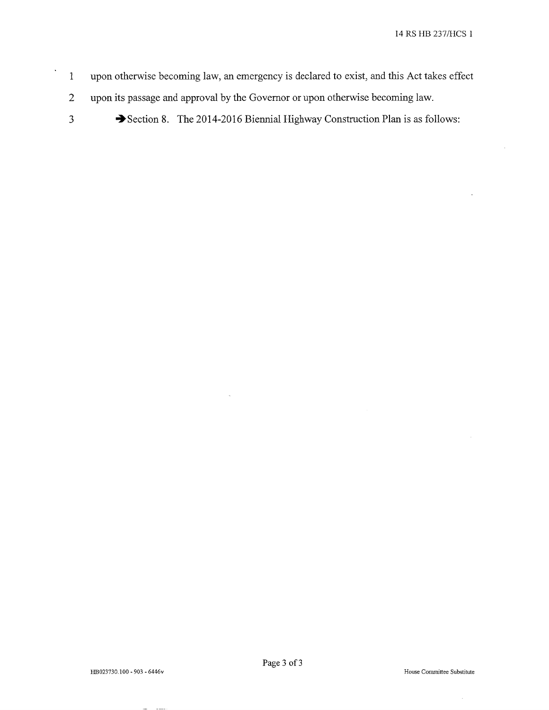- $\mathbf{1}$ upon otherwise becoming law, an emergency is declared to exist, and this Act takes effect
- $\overline{2}$ upon its passage and approval by the Governor or upon otherwise becoming law.
- $\overline{\mathbf{3}}$

 $\ddot{\phantom{0}}$ 

Section 8. The 2014-2016 Biennial Highway Construction Plan is as follows: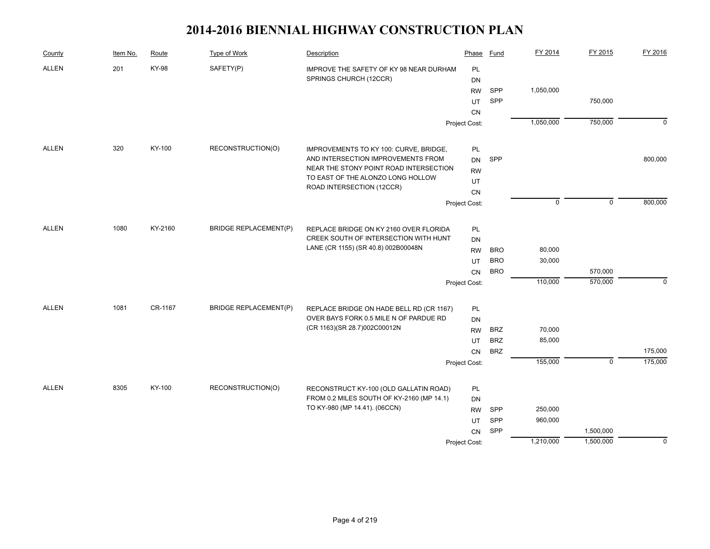| County       | Item No. | Route        | Type of Work                 | Description                                                                         | Phase         | Fund       | FY 2014     | FY 2015        | FY 2016        |
|--------------|----------|--------------|------------------------------|-------------------------------------------------------------------------------------|---------------|------------|-------------|----------------|----------------|
| <b>ALLEN</b> | 201      | <b>KY-98</b> | SAFETY(P)                    | IMPROVE THE SAFETY OF KY 98 NEAR DURHAM                                             | PL            |            |             |                |                |
|              |          |              |                              | SPRINGS CHURCH (12CCR)                                                              | <b>DN</b>     |            |             |                |                |
|              |          |              |                              |                                                                                     | <b>RW</b>     | SPP        | 1,050,000   |                |                |
|              |          |              |                              |                                                                                     | UT            | SPP        |             | 750,000        |                |
|              |          |              |                              |                                                                                     | <b>CN</b>     |            |             |                |                |
|              |          |              |                              |                                                                                     | Project Cost: |            | 1,050,000   | 750,000        | $\overline{0}$ |
| <b>ALLEN</b> | 320      | KY-100       | RECONSTRUCTION(O)            | IMPROVEMENTS TO KY 100: CURVE, BRIDGE,                                              | PL            |            |             |                |                |
|              |          |              |                              | AND INTERSECTION IMPROVEMENTS FROM                                                  | <b>DN</b>     | SPP        |             |                | 800,000        |
|              |          |              |                              | NEAR THE STONY POINT ROAD INTERSECTION                                              | <b>RW</b>     |            |             |                |                |
|              |          |              |                              | TO EAST OF THE ALONZO LONG HOLLOW                                                   | UT            |            |             |                |                |
|              |          |              |                              | ROAD INTERSECTION (12CCR)                                                           | CN            |            |             |                |                |
|              |          |              |                              |                                                                                     | Project Cost: |            | $\mathbf 0$ | $\mathbf 0$    | 800,000        |
| ALLEN        | 1080     | KY-2160      | <b>BRIDGE REPLACEMENT(P)</b> | REPLACE BRIDGE ON KY 2160 OVER FLORIDA                                              | PL            |            |             |                |                |
|              |          |              |                              | CREEK SOUTH OF INTERSECTION WITH HUNT                                               | <b>DN</b>     |            |             |                |                |
|              |          |              |                              | LANE (CR 1155) (SR 40.8) 002B00048N                                                 | <b>RW</b>     | <b>BRO</b> | 80,000      |                |                |
|              |          |              |                              |                                                                                     | UT            | <b>BRO</b> | 30,000      |                |                |
|              |          |              |                              |                                                                                     | CN            | <b>BRO</b> |             | 570,000        |                |
|              |          |              |                              |                                                                                     | Project Cost: |            | 110,000     | 570,000        | $\mathbf 0$    |
| <b>ALLEN</b> | 1081     | CR-1167      | <b>BRIDGE REPLACEMENT(P)</b> | REPLACE BRIDGE ON HADE BELL RD (CR 1167)                                            | PL            |            |             |                |                |
|              |          |              |                              | OVER BAYS FORK 0.5 MILE N OF PARDUE RD                                              | DN            |            |             |                |                |
|              |          |              |                              | (CR 1163)(SR 28.7)002C00012N                                                        | <b>RW</b>     | <b>BRZ</b> | 70,000      |                |                |
|              |          |              |                              |                                                                                     | UT            | <b>BRZ</b> | 85,000      |                |                |
|              |          |              |                              |                                                                                     | CN            | <b>BRZ</b> |             |                | 175,000        |
|              |          |              |                              |                                                                                     | Project Cost: |            | 155,000     | $\overline{0}$ | 175,000        |
|              |          |              |                              |                                                                                     |               |            |             |                |                |
| <b>ALLEN</b> | 8305     | KY-100       | RECONSTRUCTION(O)            | RECONSTRUCT KY-100 (OLD GALLATIN ROAD)<br>FROM 0.2 MILES SOUTH OF KY-2160 (MP 14.1) | PL            |            |             |                |                |
|              |          |              |                              | TO KY-980 (MP 14.41). (06CCN)                                                       | <b>DN</b>     | SPP        | 250,000     |                |                |
|              |          |              |                              |                                                                                     | <b>RW</b>     | SPP        | 960,000     |                |                |
|              |          |              |                              |                                                                                     | UT            | SPP        |             | 1,500,000      |                |
|              |          |              |                              |                                                                                     | CN            |            | 1,210,000   | 1,500,000      | $\mathbf 0$    |
|              |          |              |                              |                                                                                     | Project Cost: |            |             |                |                |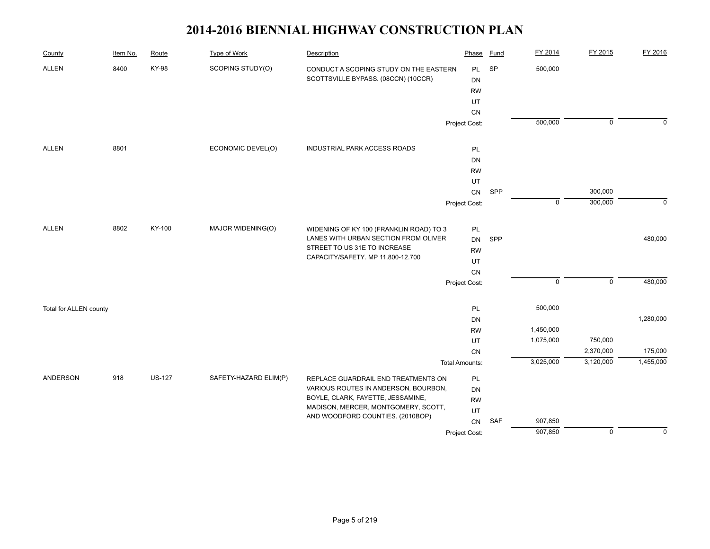| County                 | Item No. | Route         | <b>Type of Work</b>   | Description                                                                     | Phase                 | <b>Fund</b> | FY 2014     | FY 2015        | FY 2016     |
|------------------------|----------|---------------|-----------------------|---------------------------------------------------------------------------------|-----------------------|-------------|-------------|----------------|-------------|
| <b>ALLEN</b>           | 8400     | <b>KY-98</b>  | SCOPING STUDY(O)      | CONDUCT A SCOPING STUDY ON THE EASTERN                                          | <b>PL</b>             | SP          | 500,000     |                |             |
|                        |          |               |                       | SCOTTSVILLE BYPASS. (08CCN) (10CCR)                                             | <b>DN</b>             |             |             |                |             |
|                        |          |               |                       |                                                                                 | <b>RW</b>             |             |             |                |             |
|                        |          |               |                       |                                                                                 | UT                    |             |             |                |             |
|                        |          |               |                       |                                                                                 | CN                    |             |             |                |             |
|                        |          |               |                       |                                                                                 | Project Cost:         |             | 500,000     | $\mathbf 0$    | $\mathbf 0$ |
| <b>ALLEN</b>           | 8801     |               | ECONOMIC DEVEL(O)     | INDUSTRIAL PARK ACCESS ROADS                                                    | PL                    |             |             |                |             |
|                        |          |               |                       |                                                                                 | DN                    |             |             |                |             |
|                        |          |               |                       |                                                                                 | <b>RW</b>             |             |             |                |             |
|                        |          |               |                       |                                                                                 | UT                    |             |             |                |             |
|                        |          |               |                       |                                                                                 | CN                    | SPP         |             | 300,000        |             |
|                        |          |               |                       |                                                                                 | Project Cost:         |             | $\mathsf 0$ | 300,000        | $\mathbf 0$ |
| ALLEN                  | 8802     | KY-100        | MAJOR WIDENING(O)     |                                                                                 |                       |             |             |                |             |
|                        |          |               |                       | WIDENING OF KY 100 (FRANKLIN ROAD) TO 3<br>LANES WITH URBAN SECTION FROM OLIVER | PL<br><b>DN</b>       | SPP         |             |                | 480,000     |
|                        |          |               |                       | STREET TO US 31E TO INCREASE                                                    |                       |             |             |                |             |
|                        |          |               |                       | CAPACITY/SAFETY. MP 11.800-12.700                                               | <b>RW</b><br>UT       |             |             |                |             |
|                        |          |               |                       |                                                                                 | ${\sf CN}$            |             |             |                |             |
|                        |          |               |                       |                                                                                 | Project Cost:         |             | $\mathbf 0$ | $\mathbf 0$    | 480,000     |
|                        |          |               |                       |                                                                                 |                       |             |             |                |             |
| Total for ALLEN county |          |               |                       |                                                                                 | PL                    |             | 500,000     |                |             |
|                        |          |               |                       |                                                                                 | DN                    |             |             |                | 1,280,000   |
|                        |          |               |                       |                                                                                 | <b>RW</b>             |             | 1,450,000   |                |             |
|                        |          |               |                       |                                                                                 | UT                    |             | 1,075,000   | 750,000        |             |
|                        |          |               |                       |                                                                                 | CN                    |             |             | 2,370,000      | 175,000     |
|                        |          |               |                       |                                                                                 | <b>Total Amounts:</b> |             | 3,025,000   | 3,120,000      | 1,455,000   |
| ANDERSON               | 918      | <b>US-127</b> | SAFETY-HAZARD ELIM(P) | REPLACE GUARDRAIL END TREATMENTS ON                                             | PL                    |             |             |                |             |
|                        |          |               |                       | VARIOUS ROUTES IN ANDERSON, BOURBON,                                            | DN                    |             |             |                |             |
|                        |          |               |                       | BOYLE, CLARK, FAYETTE, JESSAMINE,                                               | <b>RW</b>             |             |             |                |             |
|                        |          |               |                       | MADISON, MERCER, MONTGOMERY, SCOTT,<br>AND WOODFORD COUNTIES. (2010BOP)         | UT                    |             |             |                |             |
|                        |          |               |                       |                                                                                 | ${\sf CN}$            | SAF         | 907,850     |                |             |
|                        |          |               |                       |                                                                                 | Project Cost:         |             | 907,850     | $\overline{0}$ | $\mathbf 0$ |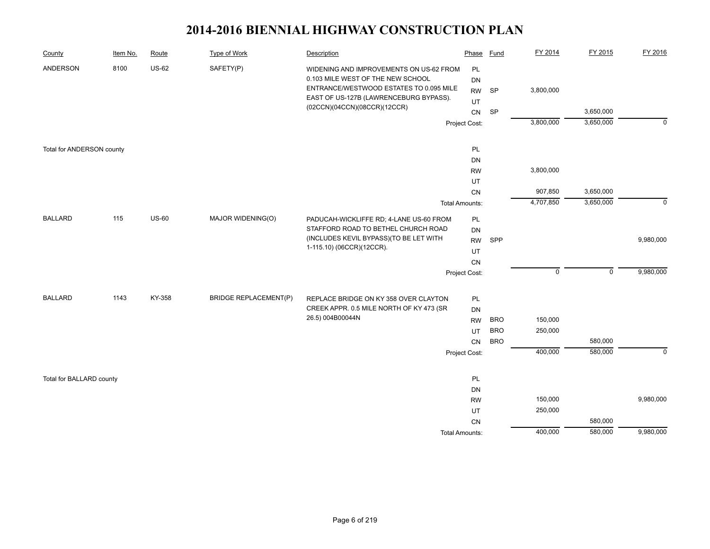| County                    | Item No. | Route        | Type of Work                 | Description                                                                  | Phase                 | Fund       | FY 2014     | FY 2015     | FY 2016        |
|---------------------------|----------|--------------|------------------------------|------------------------------------------------------------------------------|-----------------------|------------|-------------|-------------|----------------|
| ANDERSON                  | 8100     | <b>US-62</b> | SAFETY(P)                    | WIDENING AND IMPROVEMENTS ON US-62 FROM<br>0.103 MILE WEST OF THE NEW SCHOOL | PL<br>DN              |            |             |             |                |
|                           |          |              |                              | ENTRANCE/WESTWOOD ESTATES TO 0.095 MILE                                      | <b>RW</b>             | SP         | 3,800,000   |             |                |
|                           |          |              |                              | EAST OF US-127B (LAWRENCEBURG BYPASS).<br>(02CCN)(04CCN)(08CCR)(12CCR)       | UT                    |            |             |             |                |
|                           |          |              |                              |                                                                              | ${\sf CN}$            | SP         |             | 3,650,000   |                |
|                           |          |              |                              |                                                                              | Project Cost:         |            | 3,800,000   | 3,650,000   | $\overline{0}$ |
| Total for ANDERSON county |          |              |                              |                                                                              | PL                    |            |             |             |                |
|                           |          |              |                              |                                                                              | DN                    |            |             |             |                |
|                           |          |              |                              |                                                                              | <b>RW</b>             |            | 3,800,000   |             |                |
|                           |          |              |                              |                                                                              | UT                    |            |             |             |                |
|                           |          |              |                              |                                                                              | ${\sf CN}$            |            | 907,850     | 3,650,000   |                |
|                           |          |              |                              |                                                                              | <b>Total Amounts:</b> |            | 4,707,850   | 3,650,000   | $\mathbf 0$    |
| <b>BALLARD</b>            | 115      | $US-60$      | MAJOR WIDENING(O)            | PADUCAH-WICKLIFFE RD; 4-LANE US-60 FROM                                      | PL                    |            |             |             |                |
|                           |          |              |                              | STAFFORD ROAD TO BETHEL CHURCH ROAD                                          | DN                    |            |             |             |                |
|                           |          |              |                              | (INCLUDES KEVIL BYPASS) (TO BE LET WITH<br>1-115.10) (06CCR)(12CCR).         | <b>RW</b>             | SPP        |             |             | 9,980,000      |
|                           |          |              |                              |                                                                              | UT                    |            |             |             |                |
|                           |          |              |                              |                                                                              | CN                    |            |             |             |                |
|                           |          |              |                              |                                                                              | Project Cost:         |            | $\mathsf 0$ | $\mathsf 0$ | 9,980,000      |
| <b>BALLARD</b>            | 1143     | KY-358       | <b>BRIDGE REPLACEMENT(P)</b> | REPLACE BRIDGE ON KY 358 OVER CLAYTON                                        | PL                    |            |             |             |                |
|                           |          |              |                              | CREEK APPR. 0.5 MILE NORTH OF KY 473 (SR                                     | <b>DN</b>             |            |             |             |                |
|                           |          |              |                              | 26.5) 004B00044N                                                             | <b>RW</b>             | <b>BRO</b> | 150,000     |             |                |
|                           |          |              |                              |                                                                              | UT                    | <b>BRO</b> | 250,000     |             |                |
|                           |          |              |                              |                                                                              | CN                    | <b>BRO</b> |             | 580,000     |                |
|                           |          |              |                              |                                                                              | Project Cost:         |            | 400,000     | 580,000     | $\mathbf 0$    |
| Total for BALLARD county  |          |              |                              |                                                                              | PL                    |            |             |             |                |
|                           |          |              |                              |                                                                              | DN                    |            |             |             |                |
|                           |          |              |                              |                                                                              | <b>RW</b>             |            | 150,000     |             | 9,980,000      |
|                           |          |              |                              |                                                                              | UT                    |            | 250,000     |             |                |
|                           |          |              |                              |                                                                              | ${\sf CN}$            |            |             | 580,000     |                |
|                           |          |              |                              |                                                                              | <b>Total Amounts:</b> |            | 400,000     | 580,000     | 9,980,000      |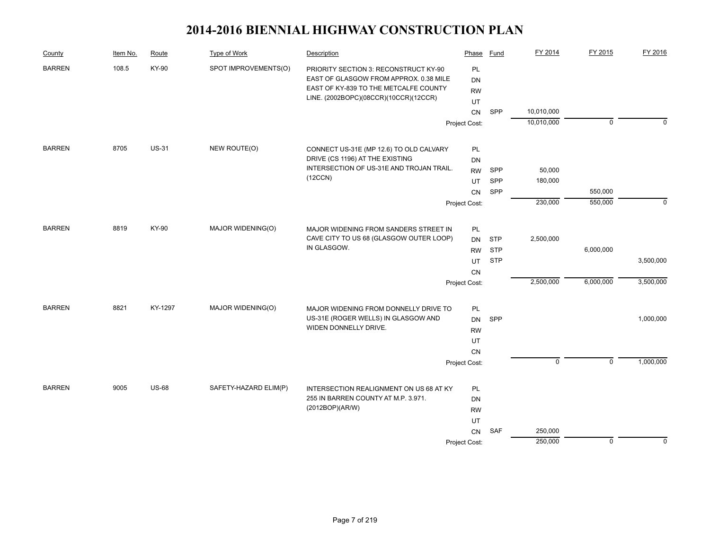| County        | Item No. | Route        | Type of Work          | Description                                                                     | Phase         | Fund       | FY 2014        | FY 2015        | FY 2016     |
|---------------|----------|--------------|-----------------------|---------------------------------------------------------------------------------|---------------|------------|----------------|----------------|-------------|
| <b>BARREN</b> | 108.5    | KY-90        | SPOT IMPROVEMENTS(O)  | PRIORITY SECTION 3: RECONSTRUCT KY-90<br>EAST OF GLASGOW FROM APPROX. 0.38 MILE | PL            |            |                |                |             |
|               |          |              |                       | EAST OF KY-839 TO THE METCALFE COUNTY                                           | DN            |            |                |                |             |
|               |          |              |                       | LINE. (2002BOPC)(08CCR)(10CCR)(12CCR)                                           | <b>RW</b>     |            |                |                |             |
|               |          |              |                       |                                                                                 | UT<br>CN      | <b>SPP</b> | 10,010,000     |                |             |
|               |          |              |                       |                                                                                 |               |            | 10,010,000     | $\overline{0}$ | $\Omega$    |
|               |          |              |                       |                                                                                 | Project Cost: |            |                |                |             |
| <b>BARREN</b> | 8705     | <b>US-31</b> | NEW ROUTE(O)          | CONNECT US-31E (MP 12.6) TO OLD CALVARY                                         | PL            |            |                |                |             |
|               |          |              |                       | DRIVE (CS 1196) AT THE EXISTING                                                 | DN            |            |                |                |             |
|               |          |              |                       | INTERSECTION OF US-31E AND TROJAN TRAIL.                                        | <b>RW</b>     | <b>SPP</b> | 50,000         |                |             |
|               |          |              |                       | (12CCN)                                                                         | UT            | <b>SPP</b> | 180,000        |                |             |
|               |          |              |                       |                                                                                 | <b>CN</b>     | SPP        |                | 550,000        |             |
|               |          |              |                       |                                                                                 | Project Cost: |            | 230,000        | 550,000        | $\mathbf 0$ |
| <b>BARREN</b> | 8819     | KY-90        | MAJOR WIDENING(O)     | MAJOR WIDENING FROM SANDERS STREET IN                                           | PL            |            |                |                |             |
|               |          |              |                       | CAVE CITY TO US 68 (GLASGOW OUTER LOOP)                                         | <b>DN</b>     | <b>STP</b> | 2,500,000      |                |             |
|               |          |              |                       | IN GLASGOW.                                                                     | <b>RW</b>     | <b>STP</b> |                | 6,000,000      |             |
|               |          |              |                       |                                                                                 | UT            | <b>STP</b> |                |                | 3,500,000   |
|               |          |              |                       |                                                                                 | CN            |            |                |                |             |
|               |          |              |                       |                                                                                 | Project Cost: |            | 2,500,000      | 6,000,000      | 3,500,000   |
|               |          |              |                       |                                                                                 |               |            |                |                |             |
| <b>BARREN</b> | 8821     | KY-1297      | MAJOR WIDENING(O)     | MAJOR WIDENING FROM DONNELLY DRIVE TO                                           | PL            |            |                |                |             |
|               |          |              |                       | US-31E (ROGER WELLS) IN GLASGOW AND<br>WIDEN DONNELLY DRIVE.                    | <b>DN</b>     | SPP        |                |                | 1,000,000   |
|               |          |              |                       |                                                                                 | <b>RW</b>     |            |                |                |             |
|               |          |              |                       |                                                                                 | UT            |            |                |                |             |
|               |          |              |                       |                                                                                 | <b>CN</b>     |            | $\overline{0}$ | $\overline{0}$ | 1,000,000   |
|               |          |              |                       |                                                                                 | Project Cost: |            |                |                |             |
| <b>BARREN</b> | 9005     | <b>US-68</b> | SAFETY-HAZARD ELIM(P) | INTERSECTION REALIGNMENT ON US 68 AT KY                                         | PL            |            |                |                |             |
|               |          |              |                       | 255 IN BARREN COUNTY AT M.P. 3.971.                                             | DN            |            |                |                |             |
|               |          |              |                       | (2012BOP)(AR/W)                                                                 | <b>RW</b>     |            |                |                |             |
|               |          |              |                       |                                                                                 | UT            |            |                |                |             |
|               |          |              |                       |                                                                                 | CN            | <b>SAF</b> | 250,000        |                |             |
|               |          |              |                       |                                                                                 | Project Cost: |            | 250,000        | $\mathbf 0$    | $\mathbf 0$ |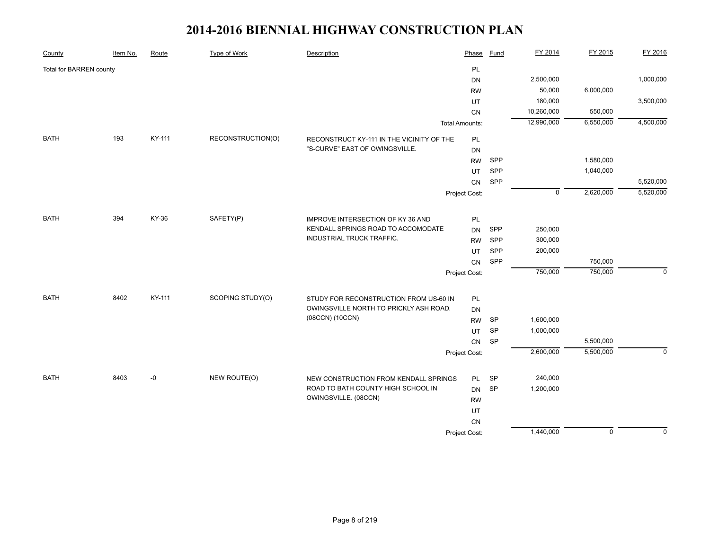| County                  | Item No. | Route  | <b>Type of Work</b> | Description                               | Phase                 | <b>Fund</b> | FY 2014     | FY 2015     | FY 2016      |
|-------------------------|----------|--------|---------------------|-------------------------------------------|-----------------------|-------------|-------------|-------------|--------------|
| Total for BARREN county |          |        |                     |                                           | PL                    |             |             |             |              |
|                         |          |        |                     |                                           | DN                    |             | 2,500,000   |             | 1,000,000    |
|                         |          |        |                     |                                           | <b>RW</b>             |             | 50,000      | 6,000,000   |              |
|                         |          |        |                     |                                           | UT                    |             | 180,000     |             | 3,500,000    |
|                         |          |        |                     |                                           | CN                    |             | 10,260,000  | 550,000     |              |
|                         |          |        |                     |                                           | <b>Total Amounts:</b> |             | 12,990,000  | 6,550,000   | 4,500,000    |
| <b>BATH</b>             | 193      | KY-111 | RECONSTRUCTION(O)   | RECONSTRUCT KY-111 IN THE VICINITY OF THE | PL                    |             |             |             |              |
|                         |          |        |                     | "S-CURVE" EAST OF OWINGSVILLE.            | DN                    |             |             |             |              |
|                         |          |        |                     |                                           | <b>RW</b>             | SPP         |             | 1,580,000   |              |
|                         |          |        |                     |                                           | UT                    | SPP         |             | 1,040,000   |              |
|                         |          |        |                     |                                           | CN                    | SPP         |             |             | 5,520,000    |
|                         |          |        |                     |                                           | Project Cost:         |             | $\mathbf 0$ | 2,620,000   | 5,520,000    |
| <b>BATH</b>             | 394      | KY-36  | SAFETY(P)           | IMPROVE INTERSECTION OF KY 36 AND         | PL                    |             |             |             |              |
|                         |          |        |                     | KENDALL SPRINGS ROAD TO ACCOMODATE        | <b>DN</b>             | SPP         | 250,000     |             |              |
|                         |          |        |                     | INDUSTRIAL TRUCK TRAFFIC.                 | <b>RW</b>             | SPP         | 300,000     |             |              |
|                         |          |        |                     |                                           | UT                    | SPP         | 200,000     |             |              |
|                         |          |        |                     |                                           | CN                    | SPP         |             | 750,000     |              |
|                         |          |        |                     |                                           | Project Cost:         |             | 750,000     | 750,000     | $\mathbf{0}$ |
|                         |          |        |                     |                                           |                       |             |             |             |              |
| <b>BATH</b>             | 8402     | KY-111 | SCOPING STUDY(O)    | STUDY FOR RECONSTRUCTION FROM US-60 IN    | PL                    |             |             |             |              |
|                         |          |        |                     | OWINGSVILLE NORTH TO PRICKLY ASH ROAD.    | DN                    |             |             |             |              |
|                         |          |        |                     | (08CCN) (10CCN)                           | <b>RW</b>             | <b>SP</b>   | 1,600,000   |             |              |
|                         |          |        |                     |                                           | <b>UT</b>             | <b>SP</b>   | 1,000,000   |             |              |
|                         |          |        |                     |                                           | CN                    | SP          |             | 5,500,000   |              |
|                         |          |        |                     |                                           | Project Cost:         |             | 2,600,000   | 5,500,000   | $\mathbf{0}$ |
| <b>BATH</b>             | 8403     | -0     | NEW ROUTE(O)        | NEW CONSTRUCTION FROM KENDALL SPRINGS     | PL                    | <b>SP</b>   | 240,000     |             |              |
|                         |          |        |                     | ROAD TO BATH COUNTY HIGH SCHOOL IN        | <b>DN</b>             | <b>SP</b>   | 1,200,000   |             |              |
|                         |          |        |                     | OWINGSVILLE. (08CCN)                      | <b>RW</b>             |             |             |             |              |
|                         |          |        |                     |                                           | UT                    |             |             |             |              |
|                         |          |        |                     |                                           | <b>CN</b>             |             |             |             |              |
|                         |          |        |                     |                                           | Project Cost:         |             | 1,440,000   | $\mathbf 0$ | $\Omega$     |
|                         |          |        |                     |                                           |                       |             |             |             |              |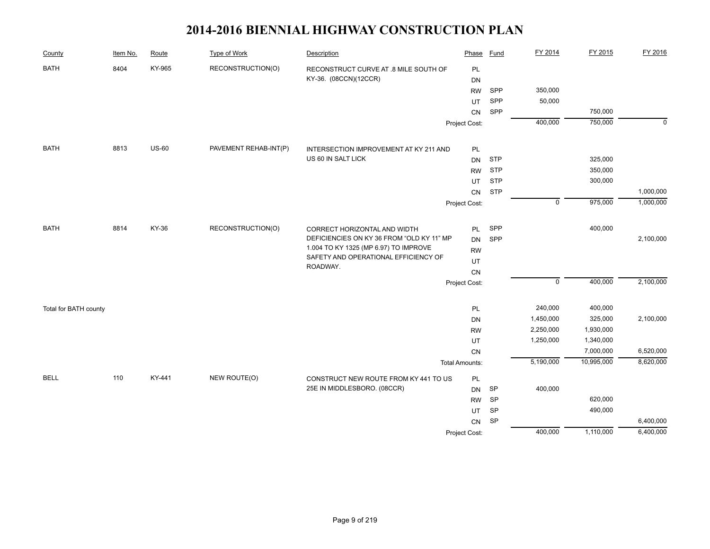| County                | Item No. | Route        | <b>Type of Work</b>   | Description                               | Phase                 | <b>Fund</b> | FY 2014                | FY 2015    | FY 2016     |
|-----------------------|----------|--------------|-----------------------|-------------------------------------------|-----------------------|-------------|------------------------|------------|-------------|
| <b>BATH</b>           | 8404     | KY-965       | RECONSTRUCTION(O)     | RECONSTRUCT CURVE AT .8 MILE SOUTH OF     | PL                    |             |                        |            |             |
|                       |          |              |                       | KY-36. (08CCN)(12CCR)                     | <b>DN</b>             |             |                        |            |             |
|                       |          |              |                       |                                           | <b>RW</b>             | SPP         | 350,000                |            |             |
|                       |          |              |                       |                                           | UT                    | SPP         | 50,000                 |            |             |
|                       |          |              |                       |                                           | CN                    | SPP         |                        | 750,000    |             |
|                       |          |              |                       |                                           | Project Cost:         |             | 400,000                | 750,000    | $\mathbf 0$ |
| <b>BATH</b>           | 8813     | <b>US-60</b> | PAVEMENT REHAB-INT(P) | INTERSECTION IMPROVEMENT AT KY 211 AND    | <b>PL</b>             |             |                        |            |             |
|                       |          |              |                       | US 60 IN SALT LICK                        | <b>DN</b>             | <b>STP</b>  |                        | 325,000    |             |
|                       |          |              |                       |                                           | <b>RW</b>             | <b>STP</b>  |                        | 350,000    |             |
|                       |          |              |                       |                                           | UT                    | <b>STP</b>  |                        | 300,000    |             |
|                       |          |              |                       |                                           | <b>CN</b>             | <b>STP</b>  |                        |            | 1,000,000   |
|                       |          |              |                       |                                           | Project Cost:         |             | $\mathbf 0$            | 975,000    | 1,000,000   |
|                       |          |              |                       |                                           |                       |             |                        |            |             |
| <b>BATH</b>           | 8814     | KY-36        | RECONSTRUCTION(O)     | CORRECT HORIZONTAL AND WIDTH              | PL                    | SPP         |                        | 400,000    |             |
|                       |          |              |                       | DEFICIENCIES ON KY 36 FROM "OLD KY 11" MP | <b>DN</b>             | SPP         |                        |            | 2,100,000   |
|                       |          |              |                       | 1.004 TO KY 1325 (MP 6.97) TO IMPROVE     | <b>RW</b>             |             |                        |            |             |
|                       |          |              |                       | SAFETY AND OPERATIONAL EFFICIENCY OF      | UT                    |             |                        |            |             |
|                       |          |              |                       | ROADWAY.                                  | CN                    |             |                        |            |             |
|                       |          |              |                       |                                           | Project Cost:         |             | $\overline{0}$         | 400,000    | 2,100,000   |
|                       |          |              |                       |                                           |                       |             | 240,000                | 400,000    |             |
| Total for BATH county |          |              |                       |                                           | PL                    |             |                        | 325,000    | 2,100,000   |
|                       |          |              |                       |                                           | <b>DN</b>             |             | 1,450,000<br>2,250,000 | 1,930,000  |             |
|                       |          |              |                       |                                           | <b>RW</b><br>UT       |             | 1,250,000              | 1,340,000  |             |
|                       |          |              |                       |                                           | CN                    |             |                        | 7,000,000  | 6,520,000   |
|                       |          |              |                       |                                           | <b>Total Amounts:</b> |             | 5,190,000              | 10,995,000 | 8,620,000   |
| <b>BELL</b>           | 110      | KY-441       | NEW ROUTE(O)          | CONSTRUCT NEW ROUTE FROM KY 441 TO US     | PL                    |             |                        |            |             |
|                       |          |              |                       | 25E IN MIDDLESBORO. (08CCR)               | DN                    | <b>SP</b>   | 400,000                |            |             |
|                       |          |              |                       |                                           | <b>RW</b>             | SP          |                        | 620,000    |             |
|                       |          |              |                       |                                           | UT                    | SP          |                        | 490,000    |             |
|                       |          |              |                       |                                           | CN                    | SP          |                        |            | 6,400,000   |
|                       |          |              |                       |                                           | Project Cost:         |             | 400,000                | 1,110,000  | 6,400,000   |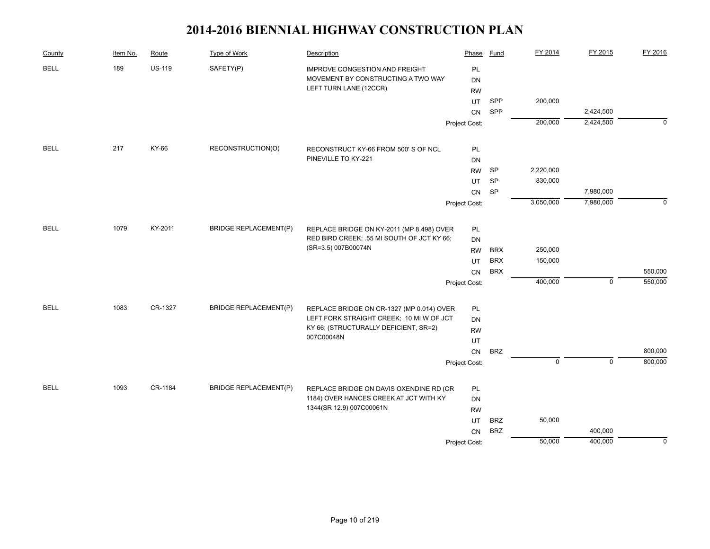| County      | Item No. | Route         | Type of Work                 | Description                                                                 | Phase           | Fund       | FY 2014        | FY 2015        | FY 2016     |
|-------------|----------|---------------|------------------------------|-----------------------------------------------------------------------------|-----------------|------------|----------------|----------------|-------------|
| <b>BELL</b> | 189      | <b>US-119</b> | SAFETY(P)                    | <b>IMPROVE CONGESTION AND FREIGHT</b><br>MOVEMENT BY CONSTRUCTING A TWO WAY | PL<br><b>DN</b> |            |                |                |             |
|             |          |               |                              | LEFT TURN LANE.(12CCR)                                                      | <b>RW</b>       |            |                |                |             |
|             |          |               |                              |                                                                             | UT              | SPP        | 200,000        |                |             |
|             |          |               |                              |                                                                             | CN              | SPP        |                | 2,424,500      |             |
|             |          |               |                              |                                                                             | Project Cost:   |            | 200,000        | 2,424,500      | $\Omega$    |
| <b>BELL</b> | 217      | KY-66         | RECONSTRUCTION(O)            |                                                                             |                 |            |                |                |             |
|             |          |               |                              | RECONSTRUCT KY-66 FROM 500'S OF NCL<br>PINEVILLE TO KY-221                  | PL<br><b>DN</b> |            |                |                |             |
|             |          |               |                              |                                                                             | <b>RW</b>       | SP         | 2,220,000      |                |             |
|             |          |               |                              |                                                                             | UT              | SP         | 830,000        |                |             |
|             |          |               |                              |                                                                             | CN              | SP         |                | 7,980,000      |             |
|             |          |               |                              |                                                                             | Project Cost:   |            | 3,050,000      | 7,980,000      | $\mathbf 0$ |
|             |          |               |                              |                                                                             |                 |            |                |                |             |
| <b>BELL</b> | 1079     | KY-2011       | <b>BRIDGE REPLACEMENT(P)</b> | REPLACE BRIDGE ON KY-2011 (MP 8.498) OVER                                   | PL              |            |                |                |             |
|             |          |               |                              | RED BIRD CREEK; .55 MI SOUTH OF JCT KY 66;                                  | DN              |            |                |                |             |
|             |          |               |                              | (SR=3.5) 007B00074N                                                         | <b>RW</b>       | <b>BRX</b> | 250,000        |                |             |
|             |          |               |                              |                                                                             | UT              | <b>BRX</b> | 150,000        |                |             |
|             |          |               |                              |                                                                             | CN              | <b>BRX</b> |                |                | 550,000     |
|             |          |               |                              |                                                                             | Project Cost:   |            | 400,000        | $\overline{0}$ | 550,000     |
| <b>BELL</b> | 1083     | CR-1327       | <b>BRIDGE REPLACEMENT(P)</b> | REPLACE BRIDGE ON CR-1327 (MP 0.014) OVER                                   | <b>PL</b>       |            |                |                |             |
|             |          |               |                              | LEFT FORK STRAIGHT CREEK; .10 MI W OF JCT                                   | <b>DN</b>       |            |                |                |             |
|             |          |               |                              | KY 66; (STRUCTURALLY DEFICIENT, SR=2)                                       | <b>RW</b>       |            |                |                |             |
|             |          |               |                              | 007C00048N                                                                  | UT              |            |                |                |             |
|             |          |               |                              |                                                                             | CN              | <b>BRZ</b> |                |                | 800,000     |
|             |          |               |                              |                                                                             | Project Cost:   |            | $\overline{0}$ | $\overline{0}$ | 800,000     |
| <b>BELL</b> | 1093     | CR-1184       | <b>BRIDGE REPLACEMENT(P)</b> | REPLACE BRIDGE ON DAVIS OXENDINE RD (CR                                     | <b>PL</b>       |            |                |                |             |
|             |          |               |                              | 1184) OVER HANCES CREEK AT JCT WITH KY                                      | <b>DN</b>       |            |                |                |             |
|             |          |               |                              | 1344(SR 12.9) 007C00061N                                                    | <b>RW</b>       |            |                |                |             |
|             |          |               |                              |                                                                             | UT              | <b>BRZ</b> | 50,000         |                |             |
|             |          |               |                              |                                                                             | CN              | <b>BRZ</b> |                | 400,000        |             |
|             |          |               |                              |                                                                             | Project Cost:   |            | 50,000         | 400,000        | $\mathbf 0$ |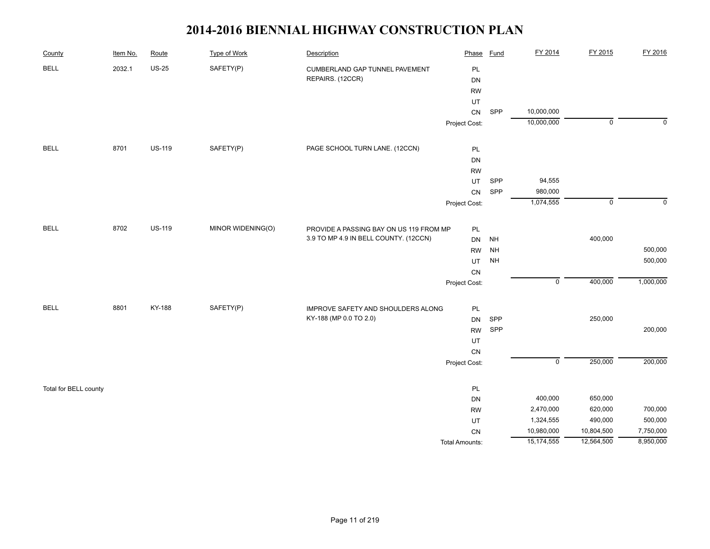| County                | Item No. | Route         | <b>Type of Work</b> | Description                             | Phase                 | <b>Fund</b> | FY 2014                   | FY 2015        | FY 2016   |
|-----------------------|----------|---------------|---------------------|-----------------------------------------|-----------------------|-------------|---------------------------|----------------|-----------|
| <b>BELL</b>           | 2032.1   | <b>US-25</b>  | SAFETY(P)           | CUMBERLAND GAP TUNNEL PAVEMENT          | PL                    |             |                           |                |           |
|                       |          |               |                     | REPAIRS. (12CCR)                        | DN                    |             |                           |                |           |
|                       |          |               |                     |                                         | <b>RW</b>             |             |                           |                |           |
|                       |          |               |                     |                                         | UT                    |             |                           |                |           |
|                       |          |               |                     |                                         | CN                    | SPP         | 10,000,000                |                |           |
|                       |          |               |                     |                                         | Project Cost:         |             | 10,000,000                | $\overline{0}$ | $\Omega$  |
| <b>BELL</b>           | 8701     | <b>US-119</b> | SAFETY(P)           | PAGE SCHOOL TURN LANE. (12CCN)          | $\mathsf{PL}$         |             |                           |                |           |
|                       |          |               |                     |                                         | DN                    |             |                           |                |           |
|                       |          |               |                     |                                         | <b>RW</b>             |             |                           |                |           |
|                       |          |               |                     |                                         | UT                    | SPP         | 94,555                    |                |           |
|                       |          |               |                     |                                         | ${\sf CN}$            | SPP         | 980,000                   |                |           |
|                       |          |               |                     |                                         | Project Cost:         |             | 1,074,555                 | $\mathsf 0$    | $\Omega$  |
| <b>BELL</b>           | 8702     | <b>US-119</b> | MINOR WIDENING(O)   | PROVIDE A PASSING BAY ON US 119 FROM MP | PL                    |             |                           |                |           |
|                       |          |               |                     | 3.9 TO MP 4.9 IN BELL COUNTY. (12CCN)   | DN                    | <b>NH</b>   |                           | 400,000        |           |
|                       |          |               |                     |                                         | <b>RW</b>             | <b>NH</b>   |                           |                | 500,000   |
|                       |          |               |                     |                                         | UT                    | <b>NH</b>   |                           |                | 500,000   |
|                       |          |               |                     |                                         | CN                    |             |                           |                |           |
|                       |          |               |                     |                                         | Project Cost:         |             | $\pmb{0}$                 | 400,000        | 1,000,000 |
| <b>BELL</b>           | 8801     | KY-188        | SAFETY(P)           | IMPROVE SAFETY AND SHOULDERS ALONG      | $\mathsf{PL}$         |             |                           |                |           |
|                       |          |               |                     | KY-188 (MP 0.0 TO 2.0)                  | DN                    | SPP         |                           | 250,000        |           |
|                       |          |               |                     |                                         | <b>RW</b>             | SPP         |                           |                | 200,000   |
|                       |          |               |                     |                                         | UT                    |             |                           |                |           |
|                       |          |               |                     |                                         | CN                    |             |                           |                |           |
|                       |          |               |                     |                                         | Project Cost:         |             | $\overline{\mathfrak{o}}$ | 250,000        | 200,000   |
| Total for BELL county |          |               |                     |                                         | PL                    |             |                           |                |           |
|                       |          |               |                     |                                         | DN                    |             | 400,000                   | 650,000        |           |
|                       |          |               |                     |                                         | <b>RW</b>             |             | 2,470,000                 | 620,000        | 700,000   |
|                       |          |               |                     |                                         | UT                    |             | 1,324,555                 | 490,000        | 500,000   |
|                       |          |               |                     |                                         | ${\sf CN}$            |             | 10,980,000                | 10,804,500     | 7,750,000 |
|                       |          |               |                     |                                         | <b>Total Amounts:</b> |             | 15,174,555                | 12,564,500     | 8,950,000 |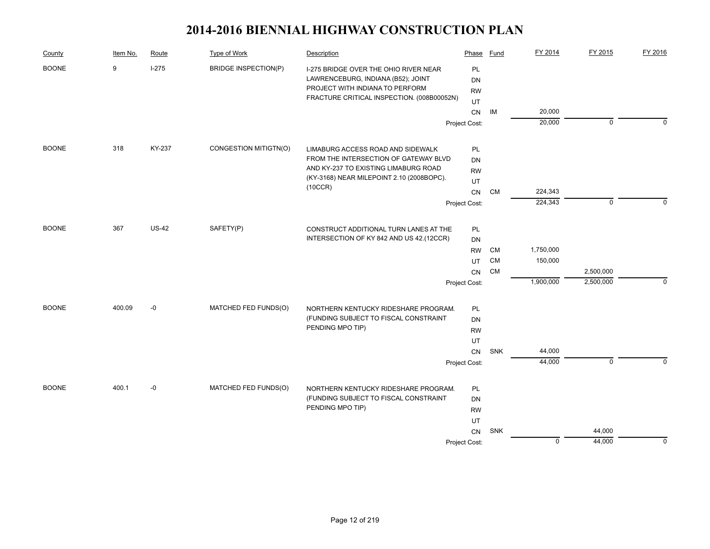| County       | Item No. | Route        | Type of Work                | Description                                               | Phase         | Fund       | FY 2014     | FY 2015     | FY 2016     |
|--------------|----------|--------------|-----------------------------|-----------------------------------------------------------|---------------|------------|-------------|-------------|-------------|
| <b>BOONE</b> | 9        | $I-275$      | <b>BRIDGE INSPECTION(P)</b> | I-275 BRIDGE OVER THE OHIO RIVER NEAR                     | PL            |            |             |             |             |
|              |          |              |                             | LAWRENCEBURG, INDIANA (B52); JOINT                        | <b>DN</b>     |            |             |             |             |
|              |          |              |                             | PROJECT WITH INDIANA TO PERFORM                           | <b>RW</b>     |            |             |             |             |
|              |          |              |                             | FRACTURE CRITICAL INSPECTION. (008B00052N)                | UT            |            |             |             |             |
|              |          |              |                             |                                                           | ${\sf CN}$    | IM         | 20,000      |             |             |
|              |          |              |                             |                                                           | Project Cost: |            | 20,000      | 0           | $\Omega$    |
| <b>BOONE</b> | 318      | KY-237       | CONGESTION MITIGTN(O)       | LIMABURG ACCESS ROAD AND SIDEWALK                         | PL            |            |             |             |             |
|              |          |              |                             | FROM THE INTERSECTION OF GATEWAY BLVD                     | DN            |            |             |             |             |
|              |          |              |                             | AND KY-237 TO EXISTING LIMABURG ROAD                      | <b>RW</b>     |            |             |             |             |
|              |          |              |                             | (KY-3168) NEAR MILEPOINT 2.10 (2008BOPC).                 | UT            |            |             |             |             |
|              |          |              |                             | (10CCR)                                                   | CN            | <b>CM</b>  | 224,343     |             |             |
|              |          |              |                             |                                                           | Project Cost: |            | 224,343     | $\mathbf 0$ | $\Omega$    |
|              |          |              |                             |                                                           |               |            |             |             |             |
| <b>BOONE</b> | 367      | <b>US-42</b> | SAFETY(P)                   | CONSTRUCT ADDITIONAL TURN LANES AT THE                    | PL            |            |             |             |             |
|              |          |              |                             | INTERSECTION OF KY 842 AND US 42.(12CCR)                  | <b>DN</b>     |            |             |             |             |
|              |          |              |                             |                                                           | <b>RW</b>     | CM         | 1,750,000   |             |             |
|              |          |              |                             |                                                           | UT            | <b>CM</b>  | 150,000     |             |             |
|              |          |              |                             |                                                           | CN            | <b>CM</b>  |             | 2,500,000   |             |
|              |          |              |                             |                                                           | Project Cost: |            | 1,900,000   | 2,500,000   | $\mathbf 0$ |
| <b>BOONE</b> | 400.09   | $-0$         | MATCHED FED FUNDS(O)        | NORTHERN KENTUCKY RIDESHARE PROGRAM.                      | PL            |            |             |             |             |
|              |          |              |                             | (FUNDING SUBJECT TO FISCAL CONSTRAINT                     | DN            |            |             |             |             |
|              |          |              |                             | PENDING MPO TIP)                                          | <b>RW</b>     |            |             |             |             |
|              |          |              |                             |                                                           | UT            |            |             |             |             |
|              |          |              |                             |                                                           | CN            | <b>SNK</b> | 44,000      |             |             |
|              |          |              |                             |                                                           | Project Cost: |            | 44,000      | $\mathbf 0$ | $\Omega$    |
|              |          |              |                             |                                                           |               |            |             |             |             |
| <b>BOONE</b> | 400.1    | $-0$         | MATCHED FED FUNDS(O)        | NORTHERN KENTUCKY RIDESHARE PROGRAM.                      | PL            |            |             |             |             |
|              |          |              |                             | (FUNDING SUBJECT TO FISCAL CONSTRAINT<br>PENDING MPO TIP) | DN            |            |             |             |             |
|              |          |              |                             |                                                           | <b>RW</b>     |            |             |             |             |
|              |          |              |                             |                                                           | UT            |            |             |             |             |
|              |          |              |                             |                                                           | CN            | SNK        |             | 44,000      |             |
|              |          |              |                             |                                                           | Project Cost: |            | $\mathbf 0$ | 44,000      | $\mathbf 0$ |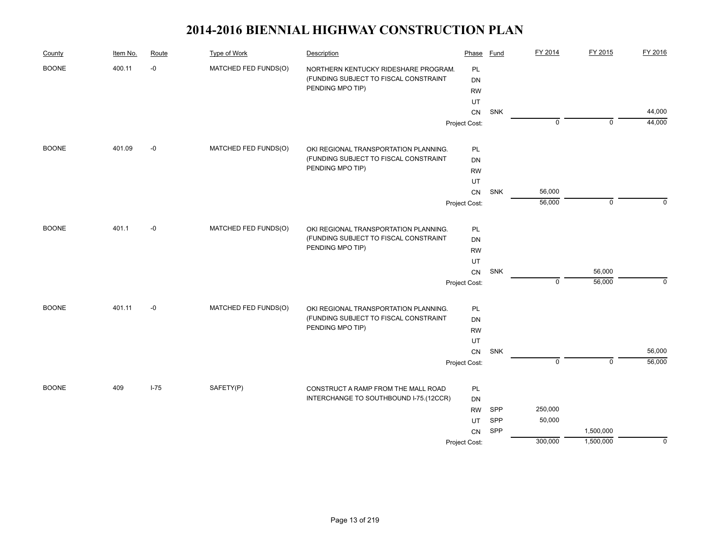| County       | Item No. | Route    | <b>Type of Work</b>  | Description                            | Phase         | Fund | FY 2014     | FY 2015     | FY 2016     |
|--------------|----------|----------|----------------------|----------------------------------------|---------------|------|-------------|-------------|-------------|
| <b>BOONE</b> | 400.11   | $-0$     | MATCHED FED FUNDS(O) | NORTHERN KENTUCKY RIDESHARE PROGRAM.   | PL            |      |             |             |             |
|              |          |          |                      | (FUNDING SUBJECT TO FISCAL CONSTRAINT  | DN            |      |             |             |             |
|              |          |          |                      | PENDING MPO TIP)                       | <b>RW</b>     |      |             |             |             |
|              |          |          |                      |                                        | UT            |      |             |             |             |
|              |          |          |                      |                                        | CN            | SNK  |             |             | 44,000      |
|              |          |          |                      |                                        | Project Cost: |      | $\mathbf 0$ | $\mathbf 0$ | 44,000      |
| <b>BOONE</b> | 401.09   | -0       | MATCHED FED FUNDS(O) | OKI REGIONAL TRANSPORTATION PLANNING.  | PL            |      |             |             |             |
|              |          |          |                      | (FUNDING SUBJECT TO FISCAL CONSTRAINT  | <b>DN</b>     |      |             |             |             |
|              |          |          |                      | PENDING MPO TIP)                       | <b>RW</b>     |      |             |             |             |
|              |          |          |                      |                                        | UT            |      |             |             |             |
|              |          |          |                      |                                        | CN            | SNK  | 56,000      |             |             |
|              |          |          |                      |                                        | Project Cost: |      | 56,000      | $\mathbf 0$ | 0           |
| <b>BOONE</b> | 401.1    | $-0$     | MATCHED FED FUNDS(O) | OKI REGIONAL TRANSPORTATION PLANNING.  | PL            |      |             |             |             |
|              |          |          |                      | (FUNDING SUBJECT TO FISCAL CONSTRAINT  | DN            |      |             |             |             |
|              |          |          |                      | PENDING MPO TIP)                       | <b>RW</b>     |      |             |             |             |
|              |          |          |                      |                                        | UT            |      |             |             |             |
|              |          |          |                      |                                        | CN            | SNK  |             | 56,000      |             |
|              |          |          |                      |                                        | Project Cost: |      | $\mathsf 0$ | 56,000      | $\mathbf 0$ |
| <b>BOONE</b> | 401.11   | -0       | MATCHED FED FUNDS(O) | OKI REGIONAL TRANSPORTATION PLANNING.  | PL            |      |             |             |             |
|              |          |          |                      | (FUNDING SUBJECT TO FISCAL CONSTRAINT  | DN            |      |             |             |             |
|              |          |          |                      | PENDING MPO TIP)                       | <b>RW</b>     |      |             |             |             |
|              |          |          |                      |                                        | UT            |      |             |             |             |
|              |          |          |                      |                                        | CN            | SNK  |             |             | 56,000      |
|              |          |          |                      |                                        | Project Cost: |      | $\mathbf 0$ | $\mathbf 0$ | 56,000      |
| <b>BOONE</b> | 409      | $I - 75$ | SAFETY(P)            | CONSTRUCT A RAMP FROM THE MALL ROAD    | PL            |      |             |             |             |
|              |          |          |                      | INTERCHANGE TO SOUTHBOUND I-75.(12CCR) | DN            |      |             |             |             |
|              |          |          |                      |                                        | <b>RW</b>     | SPP  | 250,000     |             |             |
|              |          |          |                      |                                        | UT            | SPP  | 50,000      |             |             |
|              |          |          |                      |                                        | CN            | SPP  |             | 1,500,000   |             |
|              |          |          |                      |                                        | Project Cost: |      | 300,000     | 1,500,000   | $\Omega$    |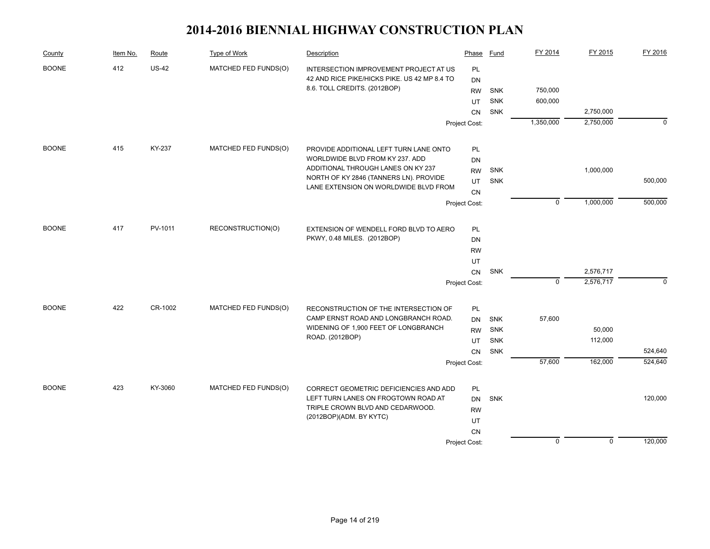| County       | Item No. | Route        | Type of Work         | Description                                  | Phase         | Fund       | FY 2014     | FY 2015     | FY 2016  |
|--------------|----------|--------------|----------------------|----------------------------------------------|---------------|------------|-------------|-------------|----------|
| <b>BOONE</b> | 412      | <b>US-42</b> | MATCHED FED FUNDS(O) | INTERSECTION IMPROVEMENT PROJECT AT US       | <b>PL</b>     |            |             |             |          |
|              |          |              |                      | 42 AND RICE PIKE/HICKS PIKE. US 42 MP 8.4 TO | <b>DN</b>     |            |             |             |          |
|              |          |              |                      | 8.6. TOLL CREDITS. (2012BOP)                 | <b>RW</b>     | <b>SNK</b> | 750,000     |             |          |
|              |          |              |                      |                                              | UT            | <b>SNK</b> | 600,000     |             |          |
|              |          |              |                      |                                              | <b>CN</b>     | SNK        |             | 2,750,000   |          |
|              |          |              |                      |                                              | Project Cost: |            | 1,350,000   | 2,750,000   | $\Omega$ |
| <b>BOONE</b> | 415      | KY-237       | MATCHED FED FUNDS(O) | PROVIDE ADDITIONAL LEFT TURN LANE ONTO       | PL            |            |             |             |          |
|              |          |              |                      | WORLDWIDE BLVD FROM KY 237. ADD              | DN            |            |             |             |          |
|              |          |              |                      | ADDITIONAL THROUGH LANES ON KY 237           | <b>RW</b>     | <b>SNK</b> |             | 1,000,000   |          |
|              |          |              |                      | NORTH OF KY 2846 (TANNERS LN). PROVIDE       | UT            | <b>SNK</b> |             |             | 500,000  |
|              |          |              |                      | LANE EXTENSION ON WORLDWIDE BLVD FROM        | <b>CN</b>     |            |             |             |          |
|              |          |              |                      |                                              | Project Cost: |            | $\mathbf 0$ | 1,000,000   | 500,000  |
| <b>BOONE</b> | 417      | PV-1011      | RECONSTRUCTION(O)    | EXTENSION OF WENDELL FORD BLVD TO AERO       | PL            |            |             |             |          |
|              |          |              |                      | PKWY, 0.48 MILES. (2012BOP)                  | DN            |            |             |             |          |
|              |          |              |                      |                                              | <b>RW</b>     |            |             |             |          |
|              |          |              |                      |                                              | UT            |            |             |             |          |
|              |          |              |                      |                                              | <b>CN</b>     | <b>SNK</b> |             | 2,576,717   |          |
|              |          |              |                      |                                              | Project Cost: |            | $\Omega$    | 2,576,717   | $\Omega$ |
| <b>BOONE</b> | 422      | CR-1002      | MATCHED FED FUNDS(O) | RECONSTRUCTION OF THE INTERSECTION OF        | PL            |            |             |             |          |
|              |          |              |                      | CAMP ERNST ROAD AND LONGBRANCH ROAD.         | <b>DN</b>     | <b>SNK</b> | 57,600      |             |          |
|              |          |              |                      | WIDENING OF 1,900 FEET OF LONGBRANCH         | <b>RW</b>     | <b>SNK</b> |             | 50,000      |          |
|              |          |              |                      | ROAD. (2012BOP)                              | UT            | <b>SNK</b> |             | 112,000     |          |
|              |          |              |                      |                                              | <b>CN</b>     | <b>SNK</b> |             |             | 524,640  |
|              |          |              |                      |                                              | Project Cost: |            | 57,600      | 162,000     | 524,640  |
| <b>BOONE</b> | 423      | KY-3060      | MATCHED FED FUNDS(O) | CORRECT GEOMETRIC DEFICIENCIES AND ADD       | PL            |            |             |             |          |
|              |          |              |                      | LEFT TURN LANES ON FROGTOWN ROAD AT          | DN            | SNK        |             |             | 120,000  |
|              |          |              |                      | TRIPLE CROWN BLVD AND CEDARWOOD.             | <b>RW</b>     |            |             |             |          |
|              |          |              |                      | (2012BOP)(ADM. BY KYTC)                      | UT            |            |             |             |          |
|              |          |              |                      |                                              | <b>CN</b>     |            |             |             |          |
|              |          |              |                      |                                              | Project Cost: |            | $\mathbf 0$ | $\mathbf 0$ | 120,000  |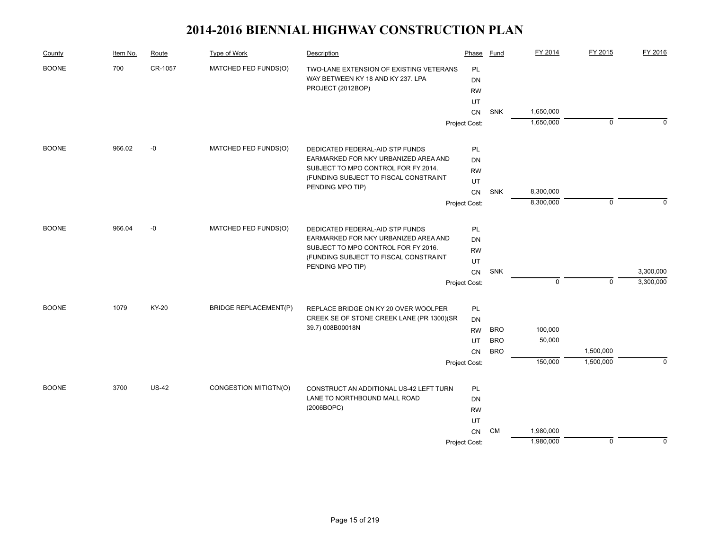| County       | Item No. | Route        | Type of Work                 | Description                                                                  | Phase         | Fund       | FY 2014     | FY 2015     | FY 2016   |
|--------------|----------|--------------|------------------------------|------------------------------------------------------------------------------|---------------|------------|-------------|-------------|-----------|
| <b>BOONE</b> | 700      | CR-1057      | MATCHED FED FUNDS(O)         | TWO-LANE EXTENSION OF EXISTING VETERANS                                      | <b>PL</b>     |            |             |             |           |
|              |          |              |                              | WAY BETWEEN KY 18 AND KY 237. LPA                                            | <b>DN</b>     |            |             |             |           |
|              |          |              |                              | PROJECT (2012BOP)                                                            | <b>RW</b>     |            |             |             |           |
|              |          |              |                              |                                                                              | UT            |            |             |             |           |
|              |          |              |                              |                                                                              | CN            | <b>SNK</b> | 1,650,000   |             |           |
|              |          |              |                              |                                                                              | Project Cost: |            | 1,650,000   | $\mathbf 0$ | $\Omega$  |
| <b>BOONE</b> | 966.02   | $-0$         | MATCHED FED FUNDS(O)         | DEDICATED FEDERAL-AID STP FUNDS                                              | PL            |            |             |             |           |
|              |          |              |                              | EARMARKED FOR NKY URBANIZED AREA AND                                         | DN            |            |             |             |           |
|              |          |              |                              | SUBJECT TO MPO CONTROL FOR FY 2014.                                          | <b>RW</b>     |            |             |             |           |
|              |          |              |                              | (FUNDING SUBJECT TO FISCAL CONSTRAINT                                        | UT            |            |             |             |           |
|              |          |              |                              | PENDING MPO TIP)                                                             | CN            | SNK        | 8,300,000   |             |           |
|              |          |              |                              |                                                                              | Project Cost: |            | 8,300,000   | $\mathbf 0$ | $\Omega$  |
| <b>BOONE</b> | 966.04   | $-0$         | MATCHED FED FUNDS(O)         | DEDICATED FEDERAL-AID STP FUNDS                                              | PL            |            |             |             |           |
|              |          |              |                              | EARMARKED FOR NKY URBANIZED AREA AND                                         | <b>DN</b>     |            |             |             |           |
|              |          |              |                              | SUBJECT TO MPO CONTROL FOR FY 2016.<br>(FUNDING SUBJECT TO FISCAL CONSTRAINT | <b>RW</b>     |            |             |             |           |
|              |          |              |                              |                                                                              | UT            |            |             |             |           |
|              |          |              |                              | PENDING MPO TIP)                                                             | CN            | <b>SNK</b> |             |             | 3,300,000 |
|              |          |              |                              |                                                                              | Project Cost: |            | $\mathbf 0$ | $\mathbf 0$ | 3,300,000 |
| <b>BOONE</b> | 1079     | KY-20        | <b>BRIDGE REPLACEMENT(P)</b> | REPLACE BRIDGE ON KY 20 OVER WOOLPER                                         | PL            |            |             |             |           |
|              |          |              |                              | CREEK SE OF STONE CREEK LANE (PR 1300)(SR                                    | <b>DN</b>     |            |             |             |           |
|              |          |              |                              | 39.7) 008B00018N                                                             | <b>RW</b>     | <b>BRO</b> | 100,000     |             |           |
|              |          |              |                              |                                                                              | UT            | <b>BRO</b> | 50,000      |             |           |
|              |          |              |                              |                                                                              | <b>CN</b>     | <b>BRO</b> |             | 1,500,000   |           |
|              |          |              |                              |                                                                              | Project Cost: |            | 150,000     | 1,500,000   | $\Omega$  |
| <b>BOONE</b> | 3700     | <b>US-42</b> | CONGESTION MITIGTN(O)        | CONSTRUCT AN ADDITIONAL US-42 LEFT TURN                                      | <b>PL</b>     |            |             |             |           |
|              |          |              |                              | LANE TO NORTHBOUND MALL ROAD                                                 | <b>DN</b>     |            |             |             |           |
|              |          |              |                              | (2006BOPC)                                                                   | <b>RW</b>     |            |             |             |           |
|              |          |              |                              |                                                                              | UT            |            |             |             |           |
|              |          |              |                              |                                                                              | CN            | <b>CM</b>  | 1,980,000   |             |           |
|              |          |              |                              |                                                                              | Project Cost: |            | 1,980,000   | $\mathbf 0$ | 0         |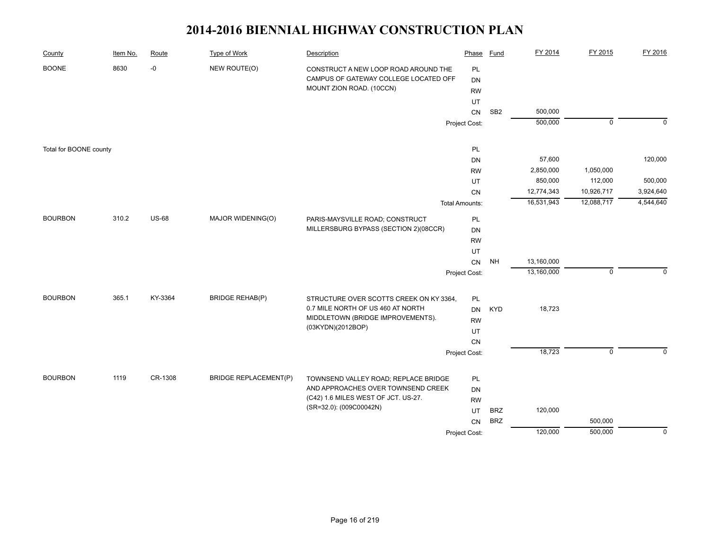| County                 | Item No. | Route        | Type of Work                 | Description                                                                                               | Phase           | <b>Fund</b>     | FY 2014    | FY 2015        | FY 2016     |
|------------------------|----------|--------------|------------------------------|-----------------------------------------------------------------------------------------------------------|-----------------|-----------------|------------|----------------|-------------|
| <b>BOONE</b>           | 8630     | -0           | NEW ROUTE(O)                 | CONSTRUCT A NEW LOOP ROAD AROUND THE<br>CAMPUS OF GATEWAY COLLEGE LOCATED OFF<br>MOUNT ZION ROAD. (10CCN) | PL<br><b>DN</b> |                 |            |                |             |
|                        |          |              |                              |                                                                                                           | <b>RW</b>       |                 |            |                |             |
|                        |          |              |                              |                                                                                                           | UT              | SB <sub>2</sub> | 500,000    |                |             |
|                        |          |              |                              |                                                                                                           | ${\sf CN}$      |                 | 500,000    | $\overline{0}$ | $\mathbf 0$ |
|                        |          |              |                              |                                                                                                           | Project Cost:   |                 |            |                |             |
| Total for BOONE county |          |              |                              |                                                                                                           | PL              |                 |            |                |             |
|                        |          |              |                              |                                                                                                           | <b>DN</b>       |                 | 57,600     |                | 120,000     |
|                        |          |              |                              |                                                                                                           | <b>RW</b>       |                 | 2,850,000  | 1,050,000      |             |
|                        |          |              |                              |                                                                                                           | UT              |                 | 850,000    | 112,000        | 500,000     |
|                        |          |              |                              |                                                                                                           | CN              |                 | 12,774,343 | 10,926,717     | 3,924,640   |
|                        |          |              |                              |                                                                                                           | Total Amounts:  |                 | 16,531,943 | 12,088,717     | 4,544,640   |
| <b>BOURBON</b>         | 310.2    | <b>US-68</b> | MAJOR WIDENING(O)            | PARIS-MAYSVILLE ROAD; CONSTRUCT                                                                           | PL              |                 |            |                |             |
|                        |          |              |                              | MILLERSBURG BYPASS (SECTION 2)(08CCR)                                                                     | DN              |                 |            |                |             |
|                        |          |              |                              |                                                                                                           | <b>RW</b>       |                 |            |                |             |
|                        |          |              |                              |                                                                                                           | UT              |                 |            |                |             |
|                        |          |              |                              |                                                                                                           | CN              | NH              | 13,160,000 |                |             |
|                        |          |              |                              |                                                                                                           | Project Cost:   |                 | 13,160,000 | $\mathbf 0$    | $\Omega$    |
| <b>BOURBON</b>         | 365.1    | KY-3364      | <b>BRIDGE REHAB(P)</b>       | STRUCTURE OVER SCOTTS CREEK ON KY 3364,                                                                   | PL              |                 |            |                |             |
|                        |          |              |                              | 0.7 MILE NORTH OF US 460 AT NORTH                                                                         | <b>DN</b>       | <b>KYD</b>      | 18,723     |                |             |
|                        |          |              |                              | MIDDLETOWN (BRIDGE IMPROVEMENTS).                                                                         | <b>RW</b>       |                 |            |                |             |
|                        |          |              |                              | (03KYDN)(2012BOP)                                                                                         | UT              |                 |            |                |             |
|                        |          |              |                              |                                                                                                           | ${\sf CN}$      |                 |            |                |             |
|                        |          |              |                              |                                                                                                           | Project Cost:   |                 | 18,723     | $\mathsf 0$    | 0           |
|                        |          |              |                              |                                                                                                           |                 |                 |            |                |             |
| <b>BOURBON</b>         | 1119     | CR-1308      | <b>BRIDGE REPLACEMENT(P)</b> | TOWNSEND VALLEY ROAD; REPLACE BRIDGE                                                                      | PL              |                 |            |                |             |
|                        |          |              |                              | AND APPROACHES OVER TOWNSEND CREEK<br>(C42) 1.6 MILES WEST OF JCT. US-27.                                 | DN              |                 |            |                |             |
|                        |          |              |                              | (SR=32.0): (009C00042N)                                                                                   | <b>RW</b><br>UT |                 |            |                |             |
|                        |          |              |                              |                                                                                                           |                 | <b>BRZ</b>      | 120,000    |                |             |
|                        |          |              |                              |                                                                                                           | CN              | <b>BRZ</b>      |            | 500,000        |             |
|                        |          |              |                              |                                                                                                           | Project Cost:   |                 | 120,000    | 500,000        | $\theta$    |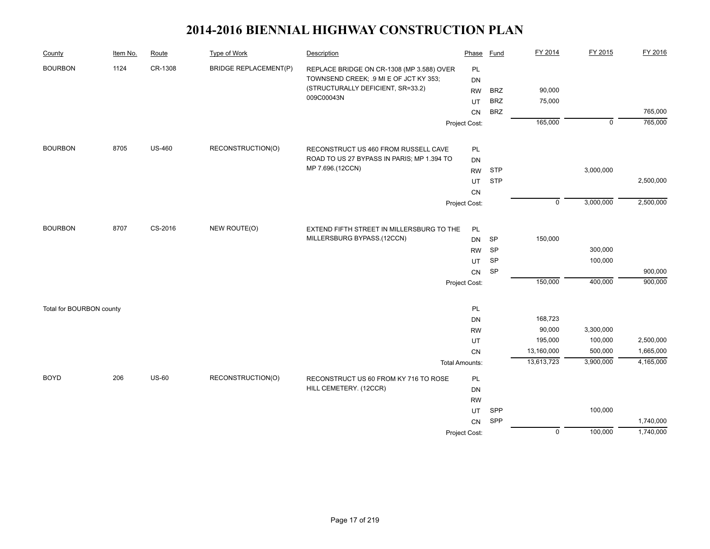| County                   | Item No. | Route         | <b>Type of Work</b>          | Description                                | Phase                 | <b>Fund</b> | FY 2014        | FY 2015     | FY 2016   |
|--------------------------|----------|---------------|------------------------------|--------------------------------------------|-----------------------|-------------|----------------|-------------|-----------|
| <b>BOURBON</b>           | 1124     | CR-1308       | <b>BRIDGE REPLACEMENT(P)</b> | REPLACE BRIDGE ON CR-1308 (MP 3.588) OVER  | PL                    |             |                |             |           |
|                          |          |               |                              | TOWNSEND CREEK; .9 MI E OF JCT KY 353;     | <b>DN</b>             |             |                |             |           |
|                          |          |               |                              | (STRUCTURALLY DEFICIENT, SR=33.2)          | <b>RW</b>             | <b>BRZ</b>  | 90,000         |             |           |
|                          |          |               |                              | 009C00043N                                 | UT                    | <b>BRZ</b>  | 75,000         |             |           |
|                          |          |               |                              |                                            | CN                    | <b>BRZ</b>  |                |             | 765,000   |
|                          |          |               |                              |                                            | Project Cost:         |             | 165,000        | $\mathbf 0$ | 765,000   |
| <b>BOURBON</b>           | 8705     | <b>US-460</b> | RECONSTRUCTION(O)            | RECONSTRUCT US 460 FROM RUSSELL CAVE       | PL                    |             |                |             |           |
|                          |          |               |                              | ROAD TO US 27 BYPASS IN PARIS; MP 1.394 TO | <b>DN</b>             |             |                |             |           |
|                          |          |               |                              | MP 7.696.(12CCN)                           | <b>RW</b>             | <b>STP</b>  |                | 3,000,000   |           |
|                          |          |               |                              |                                            | UT                    | <b>STP</b>  |                |             | 2,500,000 |
|                          |          |               |                              |                                            | CN                    |             |                |             |           |
|                          |          |               |                              |                                            | Project Cost:         |             | $\mathbf 0$    | 3,000,000   | 2,500,000 |
|                          |          |               |                              |                                            |                       |             |                |             |           |
| <b>BOURBON</b>           | 8707     | CS-2016       | NEW ROUTE(O)                 | EXTEND FIFTH STREET IN MILLERSBURG TO THE  | PL                    |             |                |             |           |
|                          |          |               |                              | MILLERSBURG BYPASS.(12CCN)                 | <b>DN</b>             | <b>SP</b>   | 150,000        |             |           |
|                          |          |               |                              |                                            | <b>RW</b>             | <b>SP</b>   |                | 300,000     |           |
|                          |          |               |                              |                                            | <b>UT</b>             | SP          |                | 100,000     |           |
|                          |          |               |                              |                                            | <b>CN</b>             | SP          |                |             | 900,000   |
|                          |          |               |                              |                                            | Project Cost:         |             | 150,000        | 400,000     | 900,000   |
| Total for BOURBON county |          |               |                              |                                            | PL                    |             |                |             |           |
|                          |          |               |                              |                                            | DN                    |             | 168,723        |             |           |
|                          |          |               |                              |                                            | <b>RW</b>             |             | 90,000         | 3,300,000   |           |
|                          |          |               |                              |                                            | UT                    |             | 195,000        | 100,000     | 2,500,000 |
|                          |          |               |                              |                                            | CN                    |             | 13,160,000     | 500,000     | 1,665,000 |
|                          |          |               |                              |                                            | <b>Total Amounts:</b> |             | 13,613,723     | 3,900,000   | 4,165,000 |
| <b>BOYD</b>              | 206      | <b>US-60</b>  | RECONSTRUCTION(O)            | RECONSTRUCT US 60 FROM KY 716 TO ROSE      | <b>PL</b>             |             |                |             |           |
|                          |          |               |                              | HILL CEMETERY. (12CCR)                     | <b>DN</b>             |             |                |             |           |
|                          |          |               |                              |                                            | <b>RW</b>             |             |                |             |           |
|                          |          |               |                              |                                            | UT                    | SPP         |                | 100,000     |           |
|                          |          |               |                              |                                            | <b>CN</b>             | SPP         |                |             | 1,740,000 |
|                          |          |               |                              |                                            | Project Cost:         |             | $\overline{0}$ | 100,000     | 1,740,000 |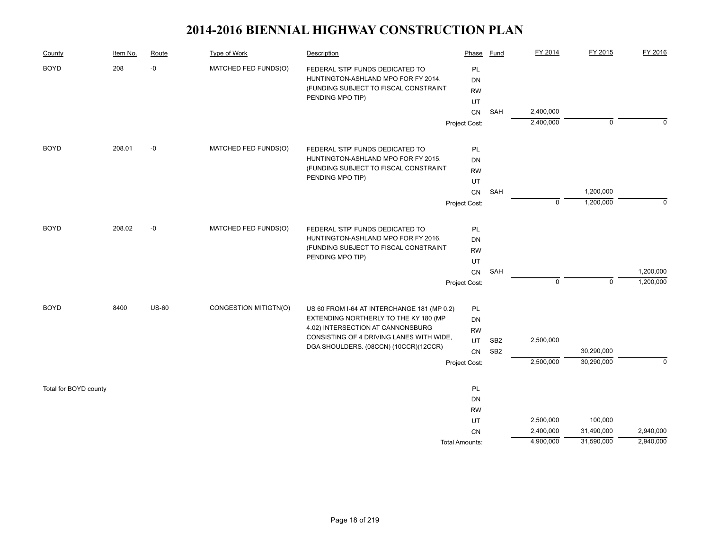| County                | Item No. | Route        | Type of Work          | Description                                                                  | Phase           | Fund            | FY 2014                | FY 2015     | FY 2016   |
|-----------------------|----------|--------------|-----------------------|------------------------------------------------------------------------------|-----------------|-----------------|------------------------|-------------|-----------|
| <b>BOYD</b>           | 208      | $\hbox{-}0$  | MATCHED FED FUNDS(O)  | FEDERAL 'STP' FUNDS DEDICATED TO                                             | PL              |                 |                        |             |           |
|                       |          |              |                       | HUNTINGTON-ASHLAND MPO FOR FY 2014.<br>(FUNDING SUBJECT TO FISCAL CONSTRAINT | <b>DN</b>       |                 |                        |             |           |
|                       |          |              |                       | PENDING MPO TIP)                                                             | <b>RW</b>       |                 |                        |             |           |
|                       |          |              |                       |                                                                              | UT              |                 |                        |             |           |
|                       |          |              |                       |                                                                              | CN              | SAH             | 2,400,000<br>2,400,000 | $\mathbf 0$ | $\Omega$  |
|                       |          |              |                       |                                                                              | Project Cost:   |                 |                        |             |           |
| <b>BOYD</b>           | 208.01   | $-0$         | MATCHED FED FUNDS(O)  | FEDERAL 'STP' FUNDS DEDICATED TO                                             | PL              |                 |                        |             |           |
|                       |          |              |                       | HUNTINGTON-ASHLAND MPO FOR FY 2015.                                          | <b>DN</b>       |                 |                        |             |           |
|                       |          |              |                       | (FUNDING SUBJECT TO FISCAL CONSTRAINT                                        | <b>RW</b>       |                 |                        |             |           |
|                       |          |              |                       | PENDING MPO TIP)                                                             | UT              |                 |                        |             |           |
|                       |          |              |                       |                                                                              | CN              | SAH             |                        | 1,200,000   |           |
|                       |          |              |                       |                                                                              | Project Cost:   |                 | $\mathbf 0$            | 1,200,000   | $\Omega$  |
| <b>BOYD</b>           | 208.02   | $-0$         | MATCHED FED FUNDS(O)  | FEDERAL 'STP' FUNDS DEDICATED TO                                             | PL              |                 |                        |             |           |
|                       |          |              |                       | HUNTINGTON-ASHLAND MPO FOR FY 2016.                                          | <b>DN</b>       |                 |                        |             |           |
|                       |          |              |                       | (FUNDING SUBJECT TO FISCAL CONSTRAINT                                        | <b>RW</b>       |                 |                        |             |           |
|                       |          |              |                       | PENDING MPO TIP)                                                             | UT              |                 |                        |             |           |
|                       |          |              |                       |                                                                              | ${\sf CN}$      | SAH             |                        |             | 1,200,000 |
|                       |          |              |                       |                                                                              | Project Cost:   |                 | $\mathbf 0$            | $\mathbf 0$ | 1,200,000 |
| <b>BOYD</b>           | 8400     | <b>US-60</b> | CONGESTION MITIGTN(O) | US 60 FROM I-64 AT INTERCHANGE 181 (MP 0.2)                                  | PL              |                 |                        |             |           |
|                       |          |              |                       | EXTENDING NORTHERLY TO THE KY 180 (MP                                        | DN              |                 |                        |             |           |
|                       |          |              |                       | 4.02) INTERSECTION AT CANNONSBURG                                            | <b>RW</b>       |                 |                        |             |           |
|                       |          |              |                       | CONSISTING OF 4 DRIVING LANES WITH WIDE,                                     | UT              | SB <sub>2</sub> | 2,500,000              |             |           |
|                       |          |              |                       | DGA SHOULDERS. (08CCN) (10CCR)(12CCR)                                        | CN              | SB <sub>2</sub> |                        | 30,290,000  |           |
|                       |          |              |                       |                                                                              | Project Cost:   |                 | 2,500,000              | 30,290,000  | $\Omega$  |
|                       |          |              |                       |                                                                              |                 |                 |                        |             |           |
| Total for BOYD county |          |              |                       |                                                                              | PL              |                 |                        |             |           |
|                       |          |              |                       |                                                                              | DN              |                 |                        |             |           |
|                       |          |              |                       |                                                                              | <b>RW</b><br>UT |                 | 2,500,000              | 100,000     |           |
|                       |          |              |                       |                                                                              | <b>CN</b>       |                 | 2,400,000              | 31,490,000  | 2,940,000 |
|                       |          |              |                       |                                                                              | Total Amounts:  |                 | 4,900,000              | 31,590,000  | 2,940,000 |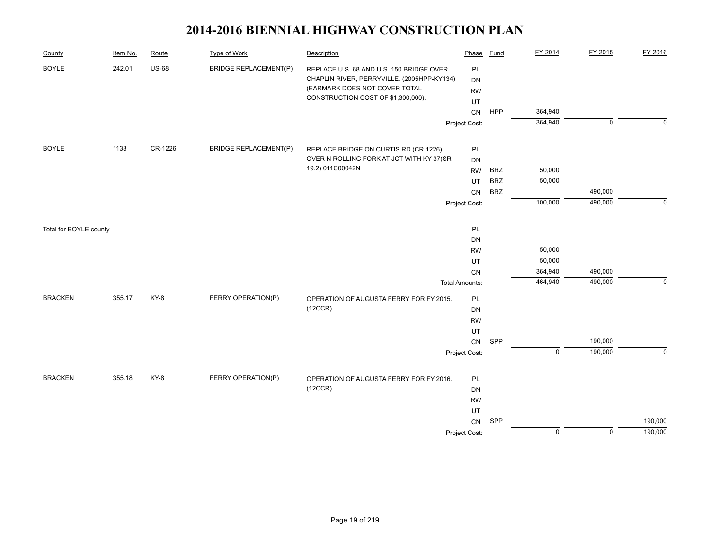| County                 | Item No. | Route        | <b>Type of Work</b>          | Description                                                                                                             | Phase                 | <b>Fund</b> | FY 2014        | FY 2015        | FY 2016     |
|------------------------|----------|--------------|------------------------------|-------------------------------------------------------------------------------------------------------------------------|-----------------------|-------------|----------------|----------------|-------------|
| <b>BOYLE</b>           | 242.01   | <b>US-68</b> | <b>BRIDGE REPLACEMENT(P)</b> | REPLACE U.S. 68 AND U.S. 150 BRIDGE OVER<br>CHAPLIN RIVER, PERRYVILLE. (2005HPP-KY134)<br>(EARMARK DOES NOT COVER TOTAL | PL<br>DN<br><b>RW</b> |             |                |                |             |
|                        |          |              |                              | CONSTRUCTION COST OF \$1,300,000).                                                                                      | UT                    |             |                |                |             |
|                        |          |              |                              |                                                                                                                         | CN                    | <b>HPP</b>  | 364,940        |                |             |
|                        |          |              |                              |                                                                                                                         | Project Cost:         |             | 364,940        | $\overline{0}$ | $\mathbf 0$ |
| <b>BOYLE</b>           | 1133     | CR-1226      | <b>BRIDGE REPLACEMENT(P)</b> | REPLACE BRIDGE ON CURTIS RD (CR 1226)                                                                                   | PL                    |             |                |                |             |
|                        |          |              |                              | OVER N ROLLING FORK AT JCT WITH KY 37(SR                                                                                | DN                    |             |                |                |             |
|                        |          |              |                              | 19.2) 011C00042N                                                                                                        | <b>RW</b>             | <b>BRZ</b>  | 50,000         |                |             |
|                        |          |              |                              |                                                                                                                         | UT                    | <b>BRZ</b>  | 50,000         |                |             |
|                        |          |              |                              |                                                                                                                         | <b>CN</b>             | <b>BRZ</b>  |                | 490,000        |             |
|                        |          |              |                              |                                                                                                                         | Project Cost:         |             | 100,000        | 490,000        | $\Omega$    |
|                        |          |              |                              |                                                                                                                         |                       |             |                |                |             |
| Total for BOYLE county |          |              |                              |                                                                                                                         | PL                    |             |                |                |             |
|                        |          |              |                              |                                                                                                                         | DN<br><b>RW</b>       |             | 50,000         |                |             |
|                        |          |              |                              |                                                                                                                         | UT                    |             | 50,000         |                |             |
|                        |          |              |                              |                                                                                                                         | CN                    |             | 364,940        | 490,000        |             |
|                        |          |              |                              |                                                                                                                         | <b>Total Amounts:</b> |             | 464,940        | 490,000        | $\Omega$    |
| <b>BRACKEN</b>         | 355.17   | KY-8         | FERRY OPERATION(P)           | OPERATION OF AUGUSTA FERRY FOR FY 2015.                                                                                 | PL                    |             |                |                |             |
|                        |          |              |                              | (12CCR)                                                                                                                 | DN                    |             |                |                |             |
|                        |          |              |                              |                                                                                                                         | <b>RW</b>             |             |                |                |             |
|                        |          |              |                              |                                                                                                                         | UT                    |             |                |                |             |
|                        |          |              |                              |                                                                                                                         | ${\sf CN}$            | SPP         |                | 190,000        |             |
|                        |          |              |                              |                                                                                                                         | Project Cost:         |             | $\mathbf 0$    | 190,000        | $\mathbf 0$ |
| <b>BRACKEN</b>         | 355.18   | KY-8         | FERRY OPERATION(P)           | OPERATION OF AUGUSTA FERRY FOR FY 2016.                                                                                 | PL                    |             |                |                |             |
|                        |          |              |                              | (12CCR)                                                                                                                 | DN                    |             |                |                |             |
|                        |          |              |                              |                                                                                                                         | <b>RW</b>             |             |                |                |             |
|                        |          |              |                              |                                                                                                                         | UT                    |             |                |                |             |
|                        |          |              |                              |                                                                                                                         | CN                    | SPP         |                |                | 190,000     |
|                        |          |              |                              |                                                                                                                         | Project Cost:         |             | $\overline{0}$ | $\overline{0}$ | 190,000     |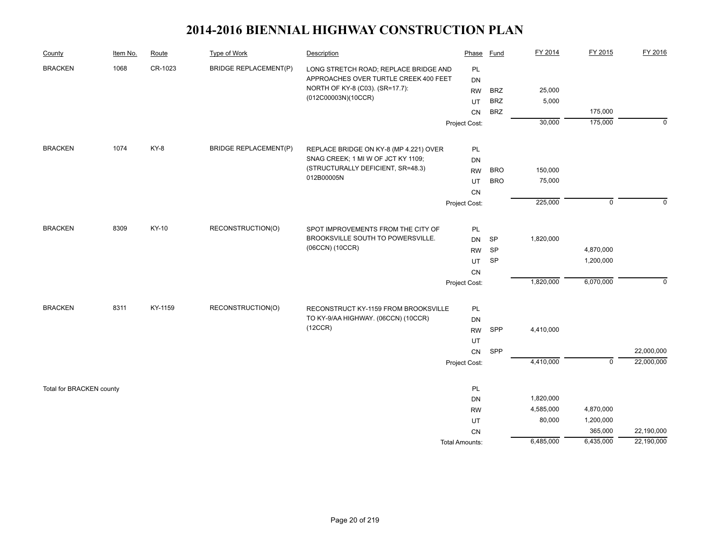| County                   | Item No. | Route   | Type of Work                 | Description                            | Phase                 | Fund       | FY 2014   | FY 2015     | FY 2016     |
|--------------------------|----------|---------|------------------------------|----------------------------------------|-----------------------|------------|-----------|-------------|-------------|
| <b>BRACKEN</b>           | 1068     | CR-1023 | <b>BRIDGE REPLACEMENT(P)</b> | LONG STRETCH ROAD; REPLACE BRIDGE AND  | PL                    |            |           |             |             |
|                          |          |         |                              | APPROACHES OVER TURTLE CREEK 400 FEET  | DN                    |            |           |             |             |
|                          |          |         |                              | NORTH OF KY-8 (C03). (SR=17.7):        | <b>RW</b>             | <b>BRZ</b> | 25,000    |             |             |
|                          |          |         |                              | (012C00003N)(10CCR)                    | UT                    | <b>BRZ</b> | 5,000     |             |             |
|                          |          |         |                              |                                        | CN                    | <b>BRZ</b> |           | 175,000     |             |
|                          |          |         |                              |                                        | Project Cost:         |            | 30,000    | 175,000     | $\mathbf 0$ |
| <b>BRACKEN</b>           | 1074     | KY-8    | <b>BRIDGE REPLACEMENT(P)</b> | REPLACE BRIDGE ON KY-8 (MP 4.221) OVER | PL                    |            |           |             |             |
|                          |          |         |                              | SNAG CREEK; 1 MI W OF JCT KY 1109;     | DN                    |            |           |             |             |
|                          |          |         |                              | (STRUCTURALLY DEFICIENT, SR=48.3)      | <b>RW</b>             | <b>BRO</b> | 150,000   |             |             |
|                          |          |         |                              | 012B00005N                             | UT                    | <b>BRO</b> | 75,000    |             |             |
|                          |          |         |                              |                                        | <b>CN</b>             |            |           |             |             |
|                          |          |         |                              |                                        | Project Cost:         |            | 225,000   | $\mathsf 0$ | $\Omega$    |
|                          |          |         |                              |                                        |                       |            |           |             |             |
| <b>BRACKEN</b>           | 8309     | KY-10   | RECONSTRUCTION(O)            | SPOT IMPROVEMENTS FROM THE CITY OF     | PL                    |            |           |             |             |
|                          |          |         |                              | BROOKSVILLE SOUTH TO POWERSVILLE.      | <b>DN</b>             | SP         | 1,820,000 |             |             |
|                          |          |         |                              | (06CCN) (10CCR)                        | <b>RW</b>             | SP         |           | 4,870,000   |             |
|                          |          |         |                              |                                        | UT                    | SP         |           | 1,200,000   |             |
|                          |          |         |                              |                                        | CN                    |            |           |             |             |
|                          |          |         |                              |                                        | Project Cost:         |            | 1,820,000 | 6,070,000   | $\mathbf 0$ |
| <b>BRACKEN</b>           | 8311     | KY-1159 | RECONSTRUCTION(O)            | RECONSTRUCT KY-1159 FROM BROOKSVILLE   | PL                    |            |           |             |             |
|                          |          |         |                              | TO KY-9/AA HIGHWAY. (06CCN) (10CCR)    | DN                    |            |           |             |             |
|                          |          |         |                              | (12CCR)                                | <b>RW</b>             | SPP        | 4,410,000 |             |             |
|                          |          |         |                              |                                        | UT                    |            |           |             |             |
|                          |          |         |                              |                                        | CN                    | SPP        |           |             | 22,000,000  |
|                          |          |         |                              |                                        | Project Cost:         |            | 4,410,000 | $\mathbf 0$ | 22,000,000  |
|                          |          |         |                              |                                        |                       |            |           |             |             |
| Total for BRACKEN county |          |         |                              |                                        | PL                    |            |           |             |             |
|                          |          |         |                              |                                        | DN                    |            | 1,820,000 |             |             |
|                          |          |         |                              |                                        | <b>RW</b>             |            | 4,585,000 | 4,870,000   |             |
|                          |          |         |                              |                                        | UT                    |            | 80,000    | 1,200,000   |             |
|                          |          |         |                              |                                        | CN                    |            |           | 365,000     | 22,190,000  |
|                          |          |         |                              |                                        | <b>Total Amounts:</b> |            | 6,485,000 | 6,435,000   | 22,190,000  |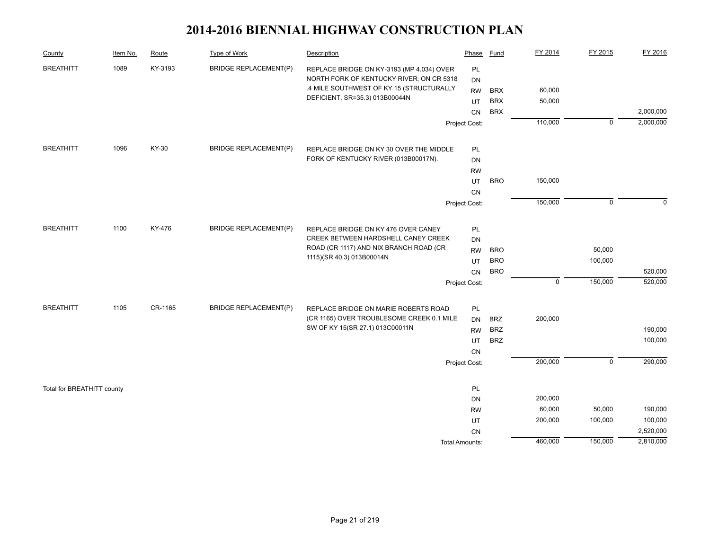| County                     | Item No. | Route   | Type of Work                 | Description                                                                       | Phase                 | Fund                     | FY 2014     | FY 2015        | FY 2016   |
|----------------------------|----------|---------|------------------------------|-----------------------------------------------------------------------------------|-----------------------|--------------------------|-------------|----------------|-----------|
| <b>BREATHITT</b>           | 1089     | KY-3193 | <b>BRIDGE REPLACEMENT(P)</b> | REPLACE BRIDGE ON KY-3193 (MP 4.034) OVER                                         | PL                    |                          |             |                |           |
|                            |          |         |                              | NORTH FORK OF KENTUCKY RIVER; ON CR 5318                                          | <b>DN</b>             |                          |             |                |           |
|                            |          |         |                              | .4 MILE SOUTHWEST OF KY 15 (STRUCTURALLY                                          | <b>RW</b>             | <b>BRX</b>               | 60,000      |                |           |
|                            |          |         |                              | DEFICIENT, SR=35.3) 013B00044N                                                    | UT                    | <b>BRX</b>               | 50,000      |                |           |
|                            |          |         |                              |                                                                                   | CN                    | <b>BRX</b>               |             |                | 2,000,000 |
|                            |          |         |                              |                                                                                   | Project Cost:         |                          | 110,000     | $\mathbf 0$    | 2,000,000 |
| <b>BREATHITT</b>           | 1096     | KY-30   | <b>BRIDGE REPLACEMENT(P)</b> | REPLACE BRIDGE ON KY 30 OVER THE MIDDLE                                           | PL                    |                          |             |                |           |
|                            |          |         |                              | FORK OF KENTUCKY RIVER (013B00017N).                                              | <b>DN</b>             |                          |             |                |           |
|                            |          |         |                              |                                                                                   | <b>RW</b>             |                          |             |                |           |
|                            |          |         |                              |                                                                                   | UT                    | <b>BRO</b>               | 150,000     |                |           |
|                            |          |         |                              |                                                                                   | <b>CN</b>             |                          |             |                |           |
|                            |          |         |                              |                                                                                   | Project Cost:         |                          | 150,000     | $\mathbf 0$    | $\Omega$  |
| <b>BREATHITT</b>           | 1100     | KY-476  | <b>BRIDGE REPLACEMENT(P)</b> | REPLACE BRIDGE ON KY 476 OVER CANEY                                               | PL                    |                          |             |                |           |
|                            |          |         |                              | CREEK BETWEEN HARDSHELL CANEY CREEK                                               | <b>DN</b>             |                          |             |                |           |
|                            |          |         |                              | ROAD (CR 1117) AND NIX BRANCH ROAD (CR                                            | <b>RW</b>             | <b>BRO</b>               |             | 50,000         |           |
|                            |          |         |                              | 1115)(SR 40.3) 013B00014N                                                         | UT                    | <b>BRO</b>               |             | 100,000        |           |
|                            |          |         |                              |                                                                                   | CN                    | <b>BRO</b>               |             |                | 520,000   |
|                            |          |         |                              |                                                                                   | Project Cost:         |                          | $\mathbf 0$ | 150,000        | 520,000   |
|                            |          |         |                              |                                                                                   |                       |                          |             |                |           |
| <b>BREATHITT</b>           | 1105     | CR-1165 | <b>BRIDGE REPLACEMENT(P)</b> | REPLACE BRIDGE ON MARIE ROBERTS ROAD<br>(CR 1165) OVER TROUBLESOME CREEK 0.1 MILE | PL                    |                          |             |                |           |
|                            |          |         |                              | SW OF KY 15(SR 27.1) 013C00011N                                                   | DN<br><b>RW</b>       | <b>BRZ</b><br><b>BRZ</b> | 200,000     |                | 190,000   |
|                            |          |         |                              |                                                                                   | UT                    | <b>BRZ</b>               |             |                | 100,000   |
|                            |          |         |                              |                                                                                   | <b>CN</b>             |                          |             |                |           |
|                            |          |         |                              |                                                                                   | Project Cost:         |                          | 200,000     | $\overline{0}$ | 290,000   |
|                            |          |         |                              |                                                                                   |                       |                          |             |                |           |
| Total for BREATHITT county |          |         |                              |                                                                                   | PL                    |                          |             |                |           |
|                            |          |         |                              |                                                                                   | <b>DN</b>             |                          | 200,000     |                |           |
|                            |          |         |                              |                                                                                   | <b>RW</b>             |                          | 60,000      | 50,000         | 190,000   |
|                            |          |         |                              |                                                                                   | UT                    |                          | 200,000     | 100,000        | 100,000   |
|                            |          |         |                              |                                                                                   | CN                    |                          |             |                | 2,520,000 |
|                            |          |         |                              |                                                                                   | <b>Total Amounts:</b> |                          | 460,000     | 150,000        | 2,810,000 |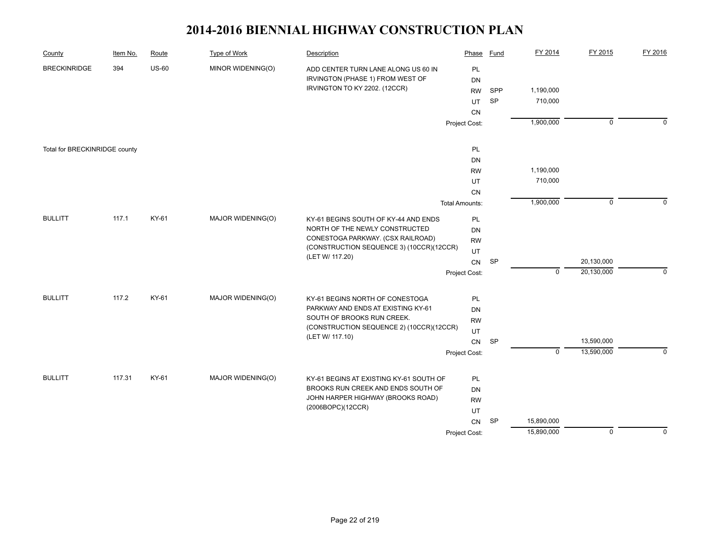| County                        | Item No. | Route   | Type of Work                   | Description                                                                   | Phase                 | <b>Fund</b> | FY 2014    | FY 2015        | FY 2016     |
|-------------------------------|----------|---------|--------------------------------|-------------------------------------------------------------------------------|-----------------------|-------------|------------|----------------|-------------|
| <b>BRECKINRIDGE</b>           | 394      | $US-60$ | MINOR WIDENING(O)              | ADD CENTER TURN LANE ALONG US 60 IN                                           | PL                    |             |            |                |             |
|                               |          |         |                                | IRVINGTON (PHASE 1) FROM WEST OF                                              | <b>DN</b>             |             |            |                |             |
|                               |          |         |                                | IRVINGTON TO KY 2202. (12CCR)                                                 | <b>RW</b>             | SPP         | 1,190,000  |                |             |
|                               |          |         |                                |                                                                               | UT                    | SP          | 710,000    |                |             |
|                               |          |         |                                |                                                                               | CN                    |             |            |                |             |
|                               |          |         |                                |                                                                               | Project Cost:         |             | 1,900,000  | $\overline{0}$ | $\mathbf 0$ |
| Total for BRECKINRIDGE county |          |         |                                |                                                                               | PL                    |             |            |                |             |
|                               |          |         |                                |                                                                               | DN                    |             |            |                |             |
|                               |          |         |                                |                                                                               | <b>RW</b>             |             | 1,190,000  |                |             |
|                               |          |         |                                |                                                                               | UT                    |             | 710,000    |                |             |
|                               |          |         |                                |                                                                               | CN                    |             |            |                |             |
|                               |          |         |                                |                                                                               | <b>Total Amounts:</b> |             | 1,900,000  | $\mathbf 0$    | $\Omega$    |
| <b>BULLITT</b>                | 117.1    | KY-61   | MAJOR WIDENING(O)              | KY-61 BEGINS SOUTH OF KY-44 AND ENDS                                          | PL                    |             |            |                |             |
|                               |          |         | NORTH OF THE NEWLY CONSTRUCTED | DN                                                                            |                       |             |            |                |             |
|                               |          |         |                                | CONESTOGA PARKWAY. (CSX RAILROAD)<br>(CONSTRUCTION SEQUENCE 3) (10CCR)(12CCR) | <b>RW</b>             |             |            |                |             |
|                               |          |         |                                | (LET W/ 117.20)                                                               | UT                    |             |            |                |             |
|                               |          |         |                                |                                                                               | <b>CN</b>             | <b>SP</b>   |            | 20,130,000     |             |
|                               |          |         |                                |                                                                               | Project Cost:         |             | $\Omega$   | 20,130,000     | $\Omega$    |
| <b>BULLITT</b>                | 117.2    | KY-61   | MAJOR WIDENING(O)              | KY-61 BEGINS NORTH OF CONESTOGA                                               | PL                    |             |            |                |             |
|                               |          |         |                                | PARKWAY AND ENDS AT EXISTING KY-61                                            | DN                    |             |            |                |             |
|                               |          |         |                                | SOUTH OF BROOKS RUN CREEK.                                                    | <b>RW</b>             |             |            |                |             |
|                               |          |         |                                | (CONSTRUCTION SEQUENCE 2) (10CCR)(12CCR)                                      | UT                    |             |            |                |             |
|                               |          |         |                                | (LET W/ 117.10)                                                               | CN                    | <b>SP</b>   |            | 13,590,000     |             |
|                               |          |         |                                |                                                                               | Project Cost:         |             | $\pmb{0}$  | 13,590,000     | $\Omega$    |
| <b>BULLITT</b>                | 117.31   | KY-61   | MAJOR WIDENING(O)              |                                                                               | PL                    |             |            |                |             |
|                               |          |         |                                | KY-61 BEGINS AT EXISTING KY-61 SOUTH OF<br>BROOKS RUN CREEK AND ENDS SOUTH OF | <b>DN</b>             |             |            |                |             |
|                               |          |         |                                | JOHN HARPER HIGHWAY (BROOKS ROAD)                                             | <b>RW</b>             |             |            |                |             |
|                               |          |         |                                | (2006BOPC)(12CCR)                                                             | UT                    |             |            |                |             |
|                               |          |         |                                |                                                                               | CN                    | SP          | 15,890,000 |                |             |
|                               |          |         |                                |                                                                               | Project Cost:         |             | 15,890,000 | $\overline{0}$ | $\Omega$    |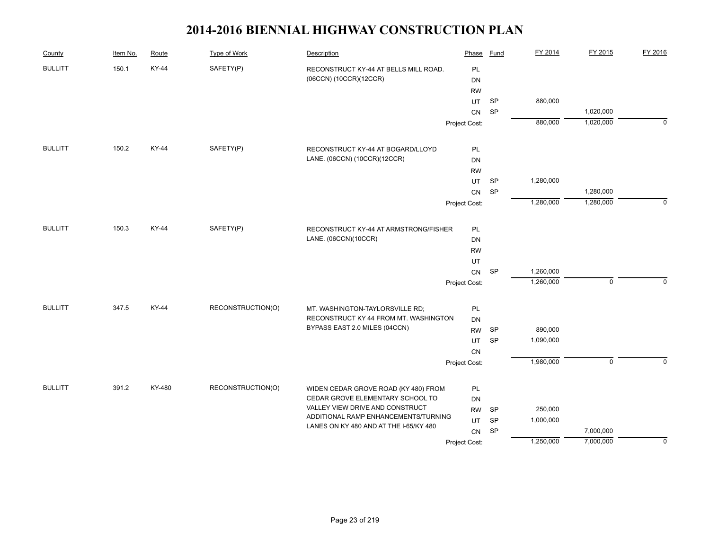| County         | Item No. | Route        | Type of Work      | Description                            | Phase         | <b>Fund</b> | FY 2014   | FY 2015        | FY 2016     |
|----------------|----------|--------------|-------------------|----------------------------------------|---------------|-------------|-----------|----------------|-------------|
| <b>BULLITT</b> | 150.1    | <b>KY-44</b> | SAFETY(P)         | RECONSTRUCT KY-44 AT BELLS MILL ROAD.  | PL            |             |           |                |             |
|                |          |              |                   | (06CCN) (10CCR)(12CCR)                 | DN            |             |           |                |             |
|                |          |              |                   |                                        | <b>RW</b>     |             |           |                |             |
|                |          |              |                   |                                        | <b>UT</b>     | <b>SP</b>   | 880,000   |                |             |
|                |          |              |                   |                                        | ${\sf CN}$    | <b>SP</b>   |           | 1,020,000      |             |
|                |          |              |                   |                                        | Project Cost: |             | 880,000   | 1,020,000      | $\mathbf 0$ |
| <b>BULLITT</b> | 150.2    | KY-44        | SAFETY(P)         | RECONSTRUCT KY-44 AT BOGARD/LLOYD      | PL            |             |           |                |             |
|                |          |              |                   | LANE. (06CCN) (10CCR)(12CCR)           | DN            |             |           |                |             |
|                |          |              |                   |                                        | <b>RW</b>     |             |           |                |             |
|                |          |              |                   |                                        | UT.           | <b>SP</b>   | 1,280,000 |                |             |
|                |          |              |                   |                                        | <b>CN</b>     | <b>SP</b>   |           | 1,280,000      |             |
|                |          |              |                   |                                        | Project Cost: |             | 1,280,000 | 1,280,000      | $\mathbf 0$ |
| <b>BULLITT</b> | 150.3    | KY-44        | SAFETY(P)         | RECONSTRUCT KY-44 AT ARMSTRONG/FISHER  | PL            |             |           |                |             |
|                |          |              |                   | LANE. (06CCN)(10CCR)                   | DN            |             |           |                |             |
|                |          |              |                   |                                        | <b>RW</b>     |             |           |                |             |
|                |          |              |                   |                                        | UT            |             |           |                |             |
|                |          |              |                   |                                        | CN            | SP          | 1,260,000 |                |             |
|                |          |              |                   |                                        | Project Cost: |             | 1,260,000 | $\mathsf 0$    | $\mathbf 0$ |
| <b>BULLITT</b> | 347.5    | KY-44        | RECONSTRUCTION(O) | MT. WASHINGTON-TAYLORSVILLE RD;        | PL            |             |           |                |             |
|                |          |              |                   | RECONSTRUCT KY 44 FROM MT. WASHINGTON  | DN            |             |           |                |             |
|                |          |              |                   | BYPASS EAST 2.0 MILES (04CCN)          | <b>RW</b>     | <b>SP</b>   | 890,000   |                |             |
|                |          |              |                   |                                        | UT            | <b>SP</b>   | 1,090,000 |                |             |
|                |          |              |                   |                                        | CN            |             |           |                |             |
|                |          |              |                   |                                        | Project Cost: |             | 1,980,000 | $\overline{0}$ | $\Omega$    |
| <b>BULLITT</b> | 391.2    | KY-480       | RECONSTRUCTION(O) | WIDEN CEDAR GROVE ROAD (KY 480) FROM   | PL            |             |           |                |             |
|                |          |              |                   | CEDAR GROVE ELEMENTARY SCHOOL TO       | DN            |             |           |                |             |
|                |          |              |                   | VALLEY VIEW DRIVE AND CONSTRUCT        | <b>RW</b>     | <b>SP</b>   | 250,000   |                |             |
|                |          |              |                   | ADDITIONAL RAMP ENHANCEMENTS/TURNING   | UT            | SP          | 1,000,000 |                |             |
|                |          |              |                   | LANES ON KY 480 AND AT THE I-65/KY 480 | CN            | SP          |           | 7,000,000      |             |
|                |          |              |                   |                                        | Project Cost: |             | 1,250,000 | 7,000,000      | 0           |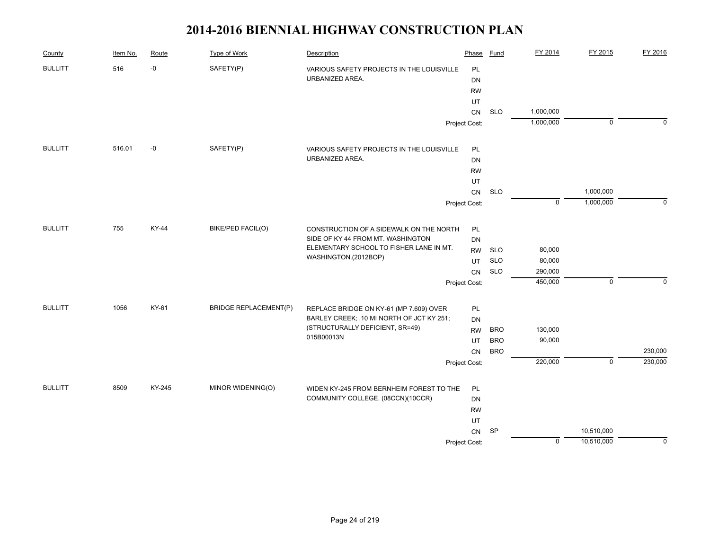| County         | Item No. | Route  | Type of Work                 | Description                               | Phase         | Fund       | FY 2014     | FY 2015        | FY 2016     |
|----------------|----------|--------|------------------------------|-------------------------------------------|---------------|------------|-------------|----------------|-------------|
| <b>BULLITT</b> | 516      | $-0$   | SAFETY(P)                    | VARIOUS SAFETY PROJECTS IN THE LOUISVILLE | PL            |            |             |                |             |
|                |          |        |                              | URBANIZED AREA.                           | <b>DN</b>     |            |             |                |             |
|                |          |        |                              |                                           | <b>RW</b>     |            |             |                |             |
|                |          |        |                              |                                           | UT            |            |             |                |             |
|                |          |        |                              |                                           | CN            | <b>SLO</b> | 1,000,000   |                |             |
|                |          |        |                              |                                           | Project Cost: |            | 1,000,000   | $\mathbf 0$    | $\Omega$    |
| <b>BULLITT</b> | 516.01   | -0     | SAFETY(P)                    | VARIOUS SAFETY PROJECTS IN THE LOUISVILLE | PL            |            |             |                |             |
|                |          |        |                              | URBANIZED AREA.                           | DN            |            |             |                |             |
|                |          |        |                              |                                           | <b>RW</b>     |            |             |                |             |
|                |          |        |                              |                                           | UT            |            |             |                |             |
|                |          |        |                              |                                           | ${\sf CN}$    | <b>SLO</b> |             | 1,000,000      |             |
|                |          |        |                              |                                           | Project Cost: |            | $\mathbf 0$ | 1,000,000      | $\mathbf 0$ |
| <b>BULLITT</b> | 755      | KY-44  | BIKE/PED FACIL(O)            | CONSTRUCTION OF A SIDEWALK ON THE NORTH   | PL            |            |             |                |             |
|                |          |        |                              | SIDE OF KY 44 FROM MT. WASHINGTON         | DN            |            |             |                |             |
|                |          |        |                              | ELEMENTARY SCHOOL TO FISHER LANE IN MT.   | <b>RW</b>     | <b>SLO</b> | 80,000      |                |             |
|                |          |        |                              | WASHINGTON.(2012BOP)                      | UT            | <b>SLO</b> | 80,000      |                |             |
|                |          |        |                              |                                           | CN            | <b>SLO</b> | 290,000     |                |             |
|                |          |        |                              |                                           | Project Cost: |            | 450,000     | $\pmb{0}$      | $\mathbf 0$ |
| <b>BULLITT</b> | 1056     | KY-61  | <b>BRIDGE REPLACEMENT(P)</b> | REPLACE BRIDGE ON KY-61 (MP 7.609) OVER   | PL            |            |             |                |             |
|                |          |        |                              | BARLEY CREEK; .10 MI NORTH OF JCT KY 251; | <b>DN</b>     |            |             |                |             |
|                |          |        |                              | (STRUCTURALLY DEFICIENT, SR=49)           | <b>RW</b>     | <b>BRO</b> | 130,000     |                |             |
|                |          |        |                              | 015B00013N                                | UT            | <b>BRO</b> | 90,000      |                |             |
|                |          |        |                              |                                           | <b>CN</b>     | <b>BRO</b> |             |                | 230,000     |
|                |          |        |                              |                                           | Project Cost: |            | 220,000     | $\overline{0}$ | 230,000     |
| <b>BULLITT</b> | 8509     | KY-245 | MINOR WIDENING(O)            | WIDEN KY-245 FROM BERNHEIM FOREST TO THE  | PL            |            |             |                |             |
|                |          |        |                              | COMMUNITY COLLEGE. (08CCN)(10CCR)         | DN            |            |             |                |             |
|                |          |        |                              |                                           | <b>RW</b>     |            |             |                |             |
|                |          |        |                              |                                           | UT            |            |             |                |             |
|                |          |        |                              |                                           | CN            | <b>SP</b>  |             | 10,510,000     |             |
|                |          |        |                              |                                           | Project Cost: |            | $\pmb{0}$   | 10,510,000     | $\mathbf 0$ |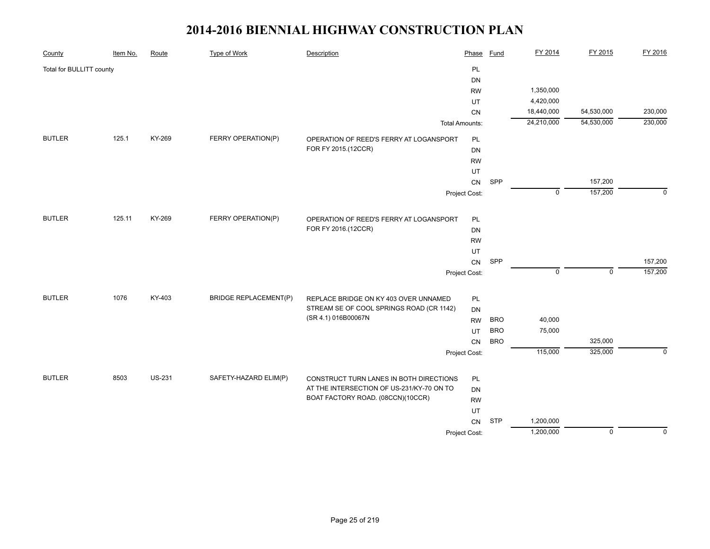| County                   | Item No. | Route         | <b>Type of Work</b>          | Description                                                                       | Phase                 | <b>Fund</b> | FY 2014     | FY 2015        | FY 2016     |
|--------------------------|----------|---------------|------------------------------|-----------------------------------------------------------------------------------|-----------------------|-------------|-------------|----------------|-------------|
| Total for BULLITT county |          |               |                              |                                                                                   | PL                    |             |             |                |             |
|                          |          |               |                              |                                                                                   | <b>DN</b>             |             |             |                |             |
|                          |          |               |                              |                                                                                   | <b>RW</b>             |             | 1,350,000   |                |             |
|                          |          |               |                              |                                                                                   | UT                    |             | 4,420,000   |                |             |
|                          |          |               |                              |                                                                                   | CN                    |             | 18,440,000  | 54,530,000     | 230,000     |
|                          |          |               |                              |                                                                                   | <b>Total Amounts:</b> |             | 24,210,000  | 54,530,000     | 230,000     |
| <b>BUTLER</b>            | 125.1    | KY-269        | FERRY OPERATION(P)           | OPERATION OF REED'S FERRY AT LOGANSPORT                                           | PL                    |             |             |                |             |
|                          |          |               |                              | FOR FY 2015.(12CCR)                                                               | DN                    |             |             |                |             |
|                          |          |               |                              |                                                                                   | <b>RW</b>             |             |             |                |             |
|                          |          |               |                              |                                                                                   | UT                    |             |             |                |             |
|                          |          |               |                              |                                                                                   | CN                    | SPP         |             | 157,200        |             |
|                          |          |               |                              |                                                                                   | Project Cost:         |             | $\mathbf 0$ | 157,200        | $\Omega$    |
| <b>BUTLER</b>            | 125.11   | KY-269        | FERRY OPERATION(P)           | OPERATION OF REED'S FERRY AT LOGANSPORT                                           | PL                    |             |             |                |             |
|                          |          |               |                              | FOR FY 2016.(12CCR)                                                               | DN                    |             |             |                |             |
|                          |          |               |                              |                                                                                   | <b>RW</b>             |             |             |                |             |
|                          |          |               |                              |                                                                                   | UT                    |             |             |                |             |
|                          |          |               |                              |                                                                                   | CN                    | SPP         |             |                | 157,200     |
|                          |          |               |                              |                                                                                   | Project Cost:         |             | $\mathbf 0$ | $\mathbf 0$    | 157,200     |
|                          |          |               |                              |                                                                                   |                       |             |             |                |             |
| <b>BUTLER</b>            | 1076     | KY-403        | <b>BRIDGE REPLACEMENT(P)</b> | REPLACE BRIDGE ON KY 403 OVER UNNAMED<br>STREAM SE OF COOL SPRINGS ROAD (CR 1142) | PL                    |             |             |                |             |
|                          |          |               |                              | (SR 4.1) 016B00067N                                                               | DN<br><b>RW</b>       | <b>BRO</b>  | 40,000      |                |             |
|                          |          |               |                              |                                                                                   | UT                    | <b>BRO</b>  | 75,000      |                |             |
|                          |          |               |                              |                                                                                   | CN                    | <b>BRO</b>  |             | 325,000        |             |
|                          |          |               |                              |                                                                                   | Project Cost:         |             | 115,000     | 325,000        | $\mathbf 0$ |
|                          |          |               |                              |                                                                                   |                       |             |             |                |             |
| <b>BUTLER</b>            | 8503     | <b>US-231</b> | SAFETY-HAZARD ELIM(P)        | CONSTRUCT TURN LANES IN BOTH DIRECTIONS                                           | PL                    |             |             |                |             |
|                          |          |               |                              | AT THE INTERSECTION OF US-231/KY-70 ON TO                                         | DN                    |             |             |                |             |
|                          |          |               |                              | BOAT FACTORY ROAD. (08CCN)(10CCR)                                                 | <b>RW</b>             |             |             |                |             |
|                          |          |               |                              |                                                                                   | UT                    |             |             |                |             |
|                          |          |               |                              |                                                                                   | ${\sf CN}$            | <b>STP</b>  | 1,200,000   |                |             |
|                          |          |               |                              |                                                                                   | Project Cost:         |             | 1,200,000   | $\overline{0}$ | $\mathbf 0$ |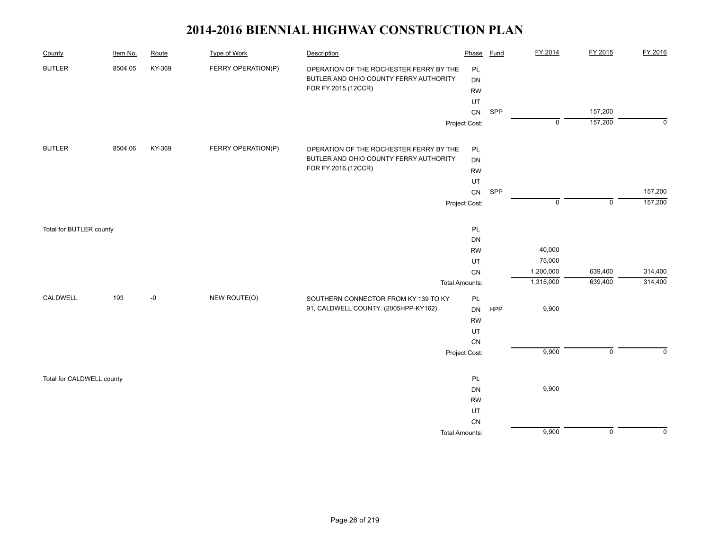| County                    | Item No. | Route  | <b>Type of Work</b> | Description                             | Phase                 | Fund | FY 2014                | FY 2015            | FY 2016            |
|---------------------------|----------|--------|---------------------|-----------------------------------------|-----------------------|------|------------------------|--------------------|--------------------|
| <b>BUTLER</b>             | 8504.05  | KY-369 | FERRY OPERATION(P)  | OPERATION OF THE ROCHESTER FERRY BY THE | PL                    |      |                        |                    |                    |
|                           |          |        |                     | BUTLER AND OHIO COUNTY FERRY AUTHORITY  | DN                    |      |                        |                    |                    |
|                           |          |        |                     | FOR FY 2015.(12CCR)                     | <b>RW</b>             |      |                        |                    |                    |
|                           |          |        |                     |                                         | UT                    |      |                        |                    |                    |
|                           |          |        |                     |                                         | ${\sf CN}$            | SPP  |                        | 157,200            |                    |
|                           |          |        |                     |                                         | Project Cost:         |      | $\overline{0}$         | 157,200            | $\mathbf 0$        |
| <b>BUTLER</b>             | 8504.06  | KY-369 | FERRY OPERATION(P)  | OPERATION OF THE ROCHESTER FERRY BY THE | PL                    |      |                        |                    |                    |
|                           |          |        |                     | BUTLER AND OHIO COUNTY FERRY AUTHORITY  | DN                    |      |                        |                    |                    |
|                           |          |        |                     | FOR FY 2016.(12CCR)                     | <b>RW</b>             |      |                        |                    |                    |
|                           |          |        |                     |                                         | UT                    |      |                        |                    |                    |
|                           |          |        |                     |                                         | ${\sf CN}$            | SPP  |                        |                    | 157,200            |
|                           |          |        |                     |                                         | Project Cost:         |      | $\overline{0}$         | $\mathsf 0$        | 157,200            |
|                           |          |        |                     |                                         |                       |      |                        |                    |                    |
| Total for BUTLER county   |          |        |                     |                                         | PL                    |      |                        |                    |                    |
|                           |          |        |                     |                                         | DN                    |      |                        |                    |                    |
|                           |          |        |                     |                                         | <b>RW</b>             |      | 40,000                 |                    |                    |
|                           |          |        |                     |                                         | UT                    |      | 75,000                 |                    |                    |
|                           |          |        |                     |                                         | ${\sf CN}$            |      | 1,200,000<br>1,315,000 | 639,400<br>639,400 | 314,400<br>314,400 |
|                           |          |        |                     |                                         | <b>Total Amounts:</b> |      |                        |                    |                    |
| CALDWELL                  | 193      | -0     | NEW ROUTE(O)        | SOUTHERN CONNECTOR FROM KY 139 TO KY    | PL                    |      |                        |                    |                    |
|                           |          |        |                     | 91, CALDWELL COUNTY. (2005HPP-KY162)    | <b>DN</b>             | HPP  | 9,900                  |                    |                    |
|                           |          |        |                     |                                         | <b>RW</b>             |      |                        |                    |                    |
|                           |          |        |                     |                                         | UT                    |      |                        |                    |                    |
|                           |          |        |                     |                                         | CN                    |      | 9,900                  | $\mathsf 0$        | $\Omega$           |
|                           |          |        |                     |                                         | Project Cost:         |      |                        |                    |                    |
| Total for CALDWELL county |          |        |                     |                                         | PL                    |      |                        |                    |                    |
|                           |          |        |                     |                                         | DN                    |      | 9,900                  |                    |                    |
|                           |          |        |                     |                                         | <b>RW</b>             |      |                        |                    |                    |
|                           |          |        |                     |                                         | UT                    |      |                        |                    |                    |
|                           |          |        |                     |                                         | ${\sf CN}$            |      |                        |                    |                    |
|                           |          |        |                     |                                         | <b>Total Amounts:</b> |      | 9,900                  | $\overline{0}$     | $\mathbf 0$        |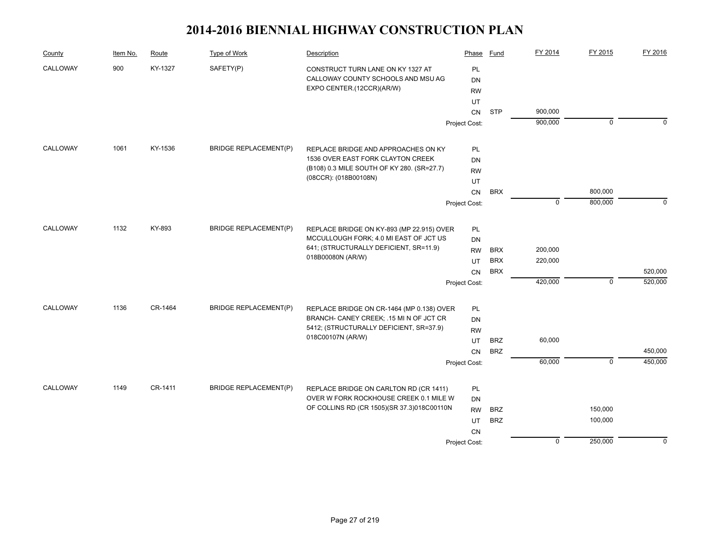| 900<br>KY-1327<br>SAFETY(P)<br>CALLOWAY<br><b>PL</b><br>CONSTRUCT TURN LANE ON KY 1327 AT<br>CALLOWAY COUNTY SCHOOLS AND MSU AG<br><b>DN</b><br>EXPO CENTER.(12CCR)(AR/W)<br><b>RW</b><br>UT<br>900,000<br><b>STP</b><br>CN<br>900,000<br>$\mathbf 0$<br>Project Cost:<br>CALLOWAY<br>1061<br>KY-1536<br><b>BRIDGE REPLACEMENT(P)</b><br>PL<br>REPLACE BRIDGE AND APPROACHES ON KY<br>1536 OVER EAST FORK CLAYTON CREEK<br>DN<br>(B108) 0.3 MILE SOUTH OF KY 280. (SR=27.7) | FY 2016     |
|-----------------------------------------------------------------------------------------------------------------------------------------------------------------------------------------------------------------------------------------------------------------------------------------------------------------------------------------------------------------------------------------------------------------------------------------------------------------------------|-------------|
|                                                                                                                                                                                                                                                                                                                                                                                                                                                                             |             |
|                                                                                                                                                                                                                                                                                                                                                                                                                                                                             |             |
|                                                                                                                                                                                                                                                                                                                                                                                                                                                                             |             |
|                                                                                                                                                                                                                                                                                                                                                                                                                                                                             |             |
|                                                                                                                                                                                                                                                                                                                                                                                                                                                                             |             |
|                                                                                                                                                                                                                                                                                                                                                                                                                                                                             | $\Omega$    |
|                                                                                                                                                                                                                                                                                                                                                                                                                                                                             |             |
|                                                                                                                                                                                                                                                                                                                                                                                                                                                                             |             |
| <b>RW</b>                                                                                                                                                                                                                                                                                                                                                                                                                                                                   |             |
| (08CCR): (018B00108N)<br>UT                                                                                                                                                                                                                                                                                                                                                                                                                                                 |             |
| ${\sf CN}$<br><b>BRX</b><br>800,000                                                                                                                                                                                                                                                                                                                                                                                                                                         |             |
| $\overline{0}$<br>800,000<br>Project Cost:                                                                                                                                                                                                                                                                                                                                                                                                                                  | $\Omega$    |
| CALLOWAY<br>1132<br>KY-893<br><b>BRIDGE REPLACEMENT(P)</b><br>REPLACE BRIDGE ON KY-893 (MP 22.915) OVER<br>PL                                                                                                                                                                                                                                                                                                                                                               |             |
| MCCULLOUGH FORK; 4.0 MI EAST OF JCT US<br>DN                                                                                                                                                                                                                                                                                                                                                                                                                                |             |
| 641; (STRUCTURALLY DEFICIENT, SR=11.9)<br>200,000<br><b>RW</b><br><b>BRX</b>                                                                                                                                                                                                                                                                                                                                                                                                |             |
| 018B00080N (AR/W)<br>220,000<br><b>BRX</b><br>UT                                                                                                                                                                                                                                                                                                                                                                                                                            |             |
| <b>BRX</b><br>CN                                                                                                                                                                                                                                                                                                                                                                                                                                                            | 520,000     |
| $\mathbf 0$<br>420,000<br>Project Cost:                                                                                                                                                                                                                                                                                                                                                                                                                                     | 520,000     |
| CALLOWAY<br>1136<br>CR-1464<br><b>BRIDGE REPLACEMENT(P)</b><br>REPLACE BRIDGE ON CR-1464 (MP 0.138) OVER<br>PL                                                                                                                                                                                                                                                                                                                                                              |             |
| BRANCH- CANEY CREEK; .15 MI N OF JCT CR<br><b>DN</b>                                                                                                                                                                                                                                                                                                                                                                                                                        |             |
| 5412; (STRUCTURALLY DEFICIENT, SR=37.9)<br><b>RW</b>                                                                                                                                                                                                                                                                                                                                                                                                                        |             |
| 018C00107N (AR/W)<br>60,000<br><b>BRZ</b><br>UT                                                                                                                                                                                                                                                                                                                                                                                                                             |             |
| <b>BRZ</b><br><b>CN</b>                                                                                                                                                                                                                                                                                                                                                                                                                                                     | 450,000     |
| 60,000<br>$\overline{0}$<br>Project Cost:                                                                                                                                                                                                                                                                                                                                                                                                                                   | 450,000     |
|                                                                                                                                                                                                                                                                                                                                                                                                                                                                             |             |
| CALLOWAY<br>1149<br>CR-1411<br><b>BRIDGE REPLACEMENT(P)</b><br>PL<br>REPLACE BRIDGE ON CARLTON RD (CR 1411)                                                                                                                                                                                                                                                                                                                                                                 |             |
| OVER W FORK ROCKHOUSE CREEK 0.1 MILE W<br>DN<br>OF COLLINS RD (CR 1505)(SR 37.3)018C00110N                                                                                                                                                                                                                                                                                                                                                                                  |             |
| <b>BRZ</b><br>150,000<br><b>RW</b>                                                                                                                                                                                                                                                                                                                                                                                                                                          |             |
| <b>BRZ</b><br>100,000<br>UT                                                                                                                                                                                                                                                                                                                                                                                                                                                 |             |
| <b>CN</b><br>$\mathbf 0$<br>250,000<br>Project Cost:                                                                                                                                                                                                                                                                                                                                                                                                                        | $\mathbf 0$ |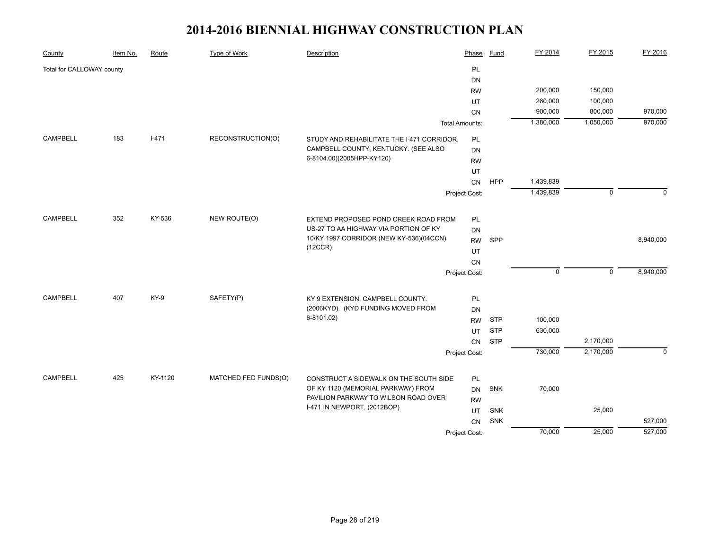| County                    | Item No. | Route     | Type of Work         | Description                                                                                 | Phase                 | Fund       | FY 2014     | FY 2015     | FY 2016      |
|---------------------------|----------|-----------|----------------------|---------------------------------------------------------------------------------------------|-----------------------|------------|-------------|-------------|--------------|
| Total for CALLOWAY county |          |           |                      |                                                                                             | PL                    |            |             |             |              |
|                           |          |           |                      |                                                                                             | <b>DN</b>             |            |             |             |              |
|                           |          |           |                      |                                                                                             | <b>RW</b>             |            | 200,000     | 150,000     |              |
|                           |          |           |                      |                                                                                             | UT                    |            | 280,000     | 100,000     |              |
|                           |          |           |                      |                                                                                             | <b>CN</b>             |            | 900,000     | 800,000     | 970,000      |
|                           |          |           |                      |                                                                                             | <b>Total Amounts:</b> |            | 1,380,000   | 1,050,000   | 970,000      |
| <b>CAMPBELL</b>           | 183      | $I - 471$ | RECONSTRUCTION(O)    | STUDY AND REHABILITATE THE I-471 CORRIDOR,                                                  | <b>PL</b>             |            |             |             |              |
|                           |          |           |                      | CAMPBELL COUNTY, KENTUCKY. (SEE ALSO                                                        | DN                    |            |             |             |              |
|                           |          |           |                      | 6-8104.00)(2005HPP-KY120)                                                                   | <b>RW</b>             |            |             |             |              |
|                           |          |           |                      |                                                                                             | UT                    |            |             |             |              |
|                           |          |           |                      |                                                                                             | CN                    | <b>HPP</b> | 1,439,839   |             |              |
|                           |          |           |                      |                                                                                             | Project Cost:         |            | 1,439,839   | $\mathbf 0$ | $\Omega$     |
|                           |          |           |                      |                                                                                             |                       |            |             |             |              |
| <b>CAMPBELL</b>           | 352      | KY-536    | NEW ROUTE(O)         | EXTEND PROPOSED POND CREEK ROAD FROM                                                        | PL                    |            |             |             |              |
|                           |          |           |                      | US-27 TO AA HIGHWAY VIA PORTION OF KY<br>10/KY 1997 CORRIDOR (NEW KY-536)(04CCN)<br>(12CCR) | <b>DN</b>             |            |             |             |              |
|                           |          |           |                      |                                                                                             | <b>RW</b>             | SPP        |             |             | 8,940,000    |
|                           |          |           |                      |                                                                                             | UT                    |            |             |             |              |
|                           |          |           |                      |                                                                                             | CN                    |            |             |             |              |
|                           |          |           |                      |                                                                                             | Project Cost:         |            | $\mathbf 0$ | $\mathbf 0$ | 8,940,000    |
| <b>CAMPBELL</b>           | 407      |           |                      |                                                                                             |                       |            |             |             |              |
|                           |          | KY-9      | SAFETY(P)            | KY 9 EXTENSION, CAMPBELL COUNTY.<br>(2006KYD). (KYD FUNDING MOVED FROM                      | PL                    |            |             |             |              |
|                           |          |           |                      | 6-8101.02)                                                                                  | DN                    | <b>STP</b> | 100,000     |             |              |
|                           |          |           |                      |                                                                                             | <b>RW</b>             |            | 630,000     |             |              |
|                           |          |           |                      |                                                                                             | UT                    | <b>STP</b> |             |             |              |
|                           |          |           |                      |                                                                                             | CN                    | <b>STP</b> |             | 2,170,000   | $\mathbf{0}$ |
|                           |          |           |                      |                                                                                             | Project Cost:         |            | 730,000     | 2,170,000   |              |
| <b>CAMPBELL</b>           | 425      | KY-1120   | MATCHED FED FUNDS(O) | CONSTRUCT A SIDEWALK ON THE SOUTH SIDE                                                      | PL                    |            |             |             |              |
|                           |          |           |                      | OF KY 1120 (MEMORIAL PARKWAY) FROM                                                          | <b>DN</b>             | <b>SNK</b> | 70,000      |             |              |
|                           |          |           |                      | PAVILION PARKWAY TO WILSON ROAD OVER                                                        | <b>RW</b>             |            |             |             |              |
|                           |          |           |                      | I-471 IN NEWPORT. (2012BOP)                                                                 | UT                    | <b>SNK</b> |             | 25,000      |              |
|                           |          |           |                      |                                                                                             | CN                    | SNK        |             |             | 527,000      |
|                           |          |           |                      |                                                                                             | Project Cost:         |            | 70,000      | 25,000      | 527,000      |
|                           |          |           |                      |                                                                                             |                       |            |             |             |              |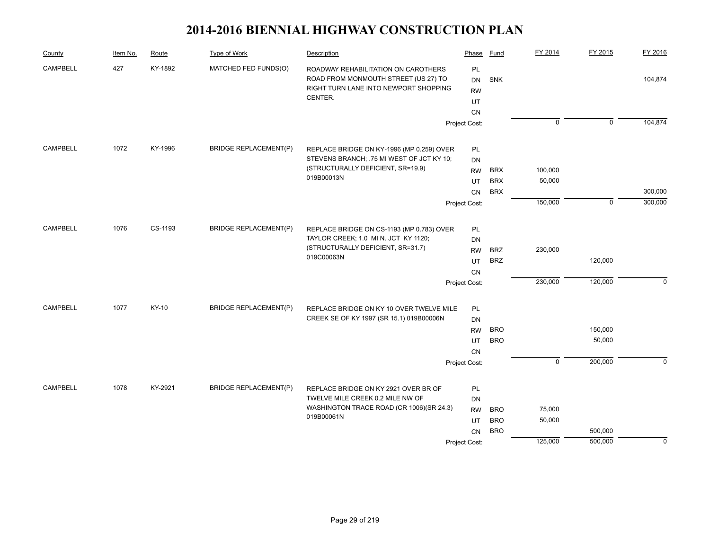| County          | Item No. | Route   | Type of Work                 | Description                                                                                                                     | Phase                                           | Fund       | FY 2014        | FY 2015        | FY 2016     |
|-----------------|----------|---------|------------------------------|---------------------------------------------------------------------------------------------------------------------------------|-------------------------------------------------|------------|----------------|----------------|-------------|
| <b>CAMPBELL</b> | 427      | KY-1892 | MATCHED FED FUNDS(O)         | ROADWAY REHABILITATION ON CAROTHERS<br>ROAD FROM MONMOUTH STREET (US 27) TO<br>RIGHT TURN LANE INTO NEWPORT SHOPPING<br>CENTER. | PL<br><b>DN</b><br><b>RW</b><br>UT<br><b>CN</b> | SNK        |                |                | 104,874     |
|                 |          |         |                              |                                                                                                                                 | Project Cost:                                   |            | $\overline{0}$ | $\overline{0}$ | 104,874     |
|                 |          |         |                              |                                                                                                                                 |                                                 |            |                |                |             |
| <b>CAMPBELL</b> | 1072     | KY-1996 | <b>BRIDGE REPLACEMENT(P)</b> | REPLACE BRIDGE ON KY-1996 (MP 0.259) OVER                                                                                       | PL                                              |            |                |                |             |
|                 |          |         |                              | STEVENS BRANCH; .75 MI WEST OF JCT KY 10;<br>(STRUCTURALLY DEFICIENT, SR=19.9)                                                  | DN                                              |            |                |                |             |
|                 |          |         |                              | 019B00013N                                                                                                                      | <b>RW</b>                                       | <b>BRX</b> | 100,000        |                |             |
|                 |          |         |                              |                                                                                                                                 | UT                                              | <b>BRX</b> | 50,000         |                |             |
|                 |          |         |                              |                                                                                                                                 | <b>CN</b>                                       | <b>BRX</b> |                |                | 300,000     |
|                 |          |         |                              |                                                                                                                                 | Project Cost:                                   |            | 150,000        | $\mathbf 0$    | 300,000     |
| <b>CAMPBELL</b> | 1076     | CS-1193 | <b>BRIDGE REPLACEMENT(P)</b> | REPLACE BRIDGE ON CS-1193 (MP 0.783) OVER                                                                                       | PL                                              |            |                |                |             |
|                 |          |         |                              | TAYLOR CREEK; 1.0 MI N. JCT KY 1120;                                                                                            | DN                                              |            |                |                |             |
|                 |          |         |                              | (STRUCTURALLY DEFICIENT, SR=31.7)                                                                                               | <b>RW</b>                                       | <b>BRZ</b> | 230,000        |                |             |
|                 |          |         |                              | 019C00063N                                                                                                                      | UT                                              | <b>BRZ</b> |                | 120,000        |             |
|                 |          |         |                              |                                                                                                                                 | CN                                              |            |                |                |             |
|                 |          |         |                              |                                                                                                                                 | Project Cost:                                   |            | 230,000        | 120,000        | $\Omega$    |
|                 |          |         |                              |                                                                                                                                 |                                                 |            |                |                |             |
| CAMPBELL        | 1077     | KY-10   | <b>BRIDGE REPLACEMENT(P)</b> | REPLACE BRIDGE ON KY 10 OVER TWELVE MILE                                                                                        | PL                                              |            |                |                |             |
|                 |          |         |                              | CREEK SE OF KY 1997 (SR 15.1) 019B00006N                                                                                        | DN                                              |            |                |                |             |
|                 |          |         |                              |                                                                                                                                 | <b>RW</b>                                       | <b>BRO</b> |                | 150,000        |             |
|                 |          |         |                              |                                                                                                                                 | UT                                              | <b>BRO</b> |                | 50,000         |             |
|                 |          |         |                              |                                                                                                                                 | <b>CN</b>                                       |            |                |                |             |
|                 |          |         |                              |                                                                                                                                 | Project Cost:                                   |            | $\overline{0}$ | 200,000        | $\Omega$    |
| <b>CAMPBELL</b> | 1078     | KY-2921 | <b>BRIDGE REPLACEMENT(P)</b> | REPLACE BRIDGE ON KY 2921 OVER BR OF                                                                                            | PL                                              |            |                |                |             |
|                 |          |         |                              | TWELVE MILE CREEK 0.2 MILE NW OF                                                                                                | DN                                              |            |                |                |             |
|                 |          |         |                              | WASHINGTON TRACE ROAD (CR 1006)(SR 24.3)                                                                                        | <b>RW</b>                                       | <b>BRO</b> | 75,000         |                |             |
|                 |          |         |                              | 019B00061N                                                                                                                      | UT                                              | <b>BRO</b> | 50,000         |                |             |
|                 |          |         |                              |                                                                                                                                 | <b>CN</b>                                       | <b>BRO</b> |                | 500,000        |             |
|                 |          |         |                              |                                                                                                                                 | Project Cost:                                   |            | 125,000        | 500,000        | $\mathbf 0$ |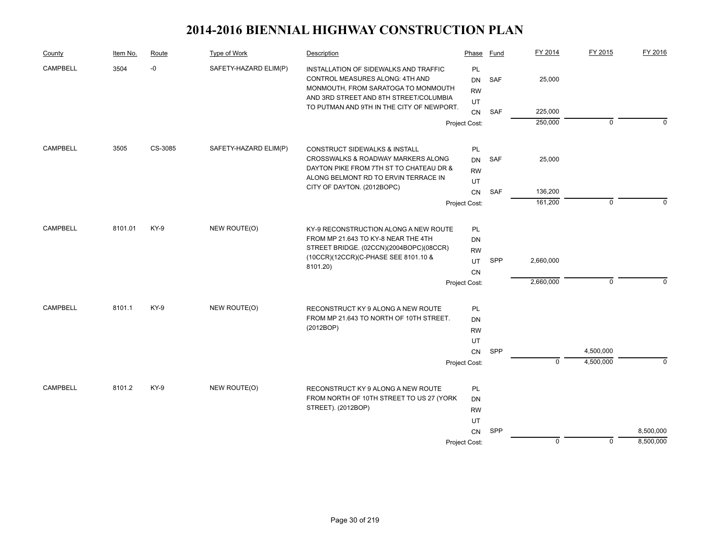| County          | Item No. | Route   | Type of Work          | Description                                                                                                                                                     | Phase                        | Fund       | FY 2014        | FY 2015     | FY 2016     |
|-----------------|----------|---------|-----------------------|-----------------------------------------------------------------------------------------------------------------------------------------------------------------|------------------------------|------------|----------------|-------------|-------------|
| <b>CAMPBELL</b> | 3504     | $-0$    | SAFETY-HAZARD ELIM(P) | INSTALLATION OF SIDEWALKS AND TRAFFIC<br>CONTROL MEASURES ALONG: 4TH AND<br>MONMOUTH, FROM SARATOGA TO MONMOUTH                                                 | PL<br><b>DN</b><br><b>RW</b> | <b>SAF</b> | 25,000         |             |             |
|                 |          |         |                       | AND 3RD STREET AND 8TH STREET/COLUMBIA<br>TO PUTMAN AND 9TH IN THE CITY OF NEWPORT.                                                                             | UT<br>CN                     | SAF        | 225,000        |             |             |
|                 |          |         |                       |                                                                                                                                                                 | Project Cost:                |            | 250,000        | $\mathbf 0$ | $\Omega$    |
| <b>CAMPBELL</b> | 3505     | CS-3085 | SAFETY-HAZARD ELIM(P) | CONSTRUCT SIDEWALKS & INSTALL                                                                                                                                   | <b>PL</b>                    |            |                |             |             |
|                 |          |         |                       | CROSSWALKS & ROADWAY MARKERS ALONG                                                                                                                              | <b>DN</b>                    | SAF        | 25,000         |             |             |
|                 |          |         |                       | DAYTON PIKE FROM 7TH ST TO CHATEAU DR &                                                                                                                         | <b>RW</b>                    |            |                |             |             |
|                 |          |         |                       | ALONG BELMONT RD TO ERVIN TERRACE IN                                                                                                                            | UT                           |            |                |             |             |
|                 |          |         |                       | CITY OF DAYTON. (2012BOPC)                                                                                                                                      | CN                           | SAF        | 136,200        |             |             |
|                 |          |         |                       | Project Cost:                                                                                                                                                   |                              |            | 161,200        | $\mathbf 0$ | $\Omega$    |
|                 | 8101.01  | KY-9    | NEW ROUTE(O)          |                                                                                                                                                                 |                              |            |                |             |             |
| <b>CAMPBELL</b> |          |         |                       | KY-9 RECONSTRUCTION ALONG A NEW ROUTE<br>FROM MP 21.643 TO KY-8 NEAR THE 4TH<br>STREET BRIDGE. (02CCN)(2004BOPC)(08CCR)<br>(10CCR)(12CCR)(C-PHASE SEE 8101.10 & | <b>PL</b><br>DN              |            |                |             |             |
|                 |          |         |                       |                                                                                                                                                                 | <b>RW</b>                    |            |                |             |             |
|                 |          |         |                       |                                                                                                                                                                 | UT                           | SPP        | 2,660,000      |             |             |
|                 |          |         |                       | 8101.20)                                                                                                                                                        | <b>CN</b>                    |            |                |             |             |
|                 |          |         |                       |                                                                                                                                                                 | Project Cost:                |            | 2,660,000      | $\mathbf 0$ | $\Omega$    |
| <b>CAMPBELL</b> | 8101.1   |         | NEW ROUTE(O)          |                                                                                                                                                                 |                              |            |                |             |             |
|                 |          | KY-9    |                       | RECONSTRUCT KY 9 ALONG A NEW ROUTE<br>FROM MP 21.643 TO NORTH OF 10TH STREET.                                                                                   | PL<br><b>DN</b>              |            |                |             |             |
|                 |          |         |                       | (2012BOP)                                                                                                                                                       | <b>RW</b>                    |            |                |             |             |
|                 |          |         |                       |                                                                                                                                                                 | UT                           |            |                |             |             |
|                 |          |         |                       |                                                                                                                                                                 | CN                           | SPP        |                | 4,500,000   |             |
|                 |          |         |                       |                                                                                                                                                                 | Project Cost:                |            | $\overline{0}$ | 4,500,000   | $\mathbf 0$ |
| <b>CAMPBELL</b> | 8101.2   | $KY-9$  | NEW ROUTE(O)          |                                                                                                                                                                 | PL                           |            |                |             |             |
|                 |          |         |                       | RECONSTRUCT KY 9 ALONG A NEW ROUTE<br>FROM NORTH OF 10TH STREET TO US 27 (YORK<br>STREET). (2012BOP)                                                            | <b>DN</b>                    |            |                |             |             |
|                 |          |         |                       |                                                                                                                                                                 | <b>RW</b>                    |            |                |             |             |
|                 |          |         |                       |                                                                                                                                                                 | UT                           |            |                |             |             |
|                 |          |         |                       | Project Cost:                                                                                                                                                   |                              | SPP        |                |             | 8,500,000   |
|                 |          |         |                       |                                                                                                                                                                 |                              |            | $\mathbf 0$    | $\mathbf 0$ | 8,500,000   |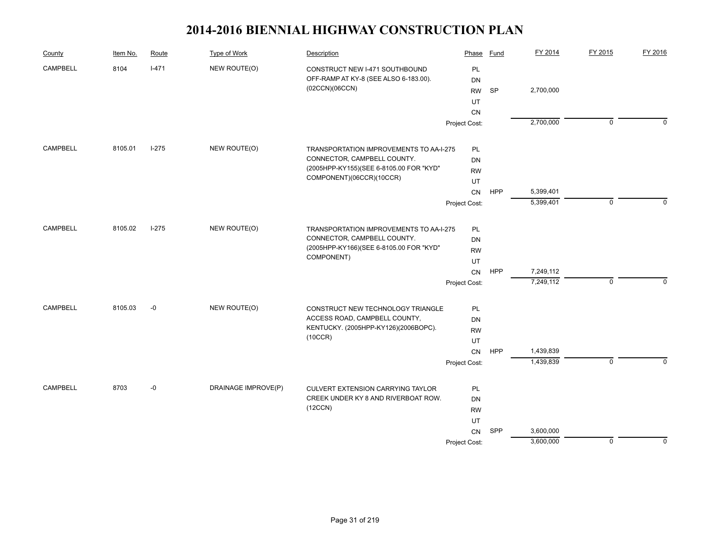| County          | Item No. | Route   | Type of Work        | Description                                                            | Phase         | Fund       | FY 2014   | FY 2015        | FY 2016     |
|-----------------|----------|---------|---------------------|------------------------------------------------------------------------|---------------|------------|-----------|----------------|-------------|
| <b>CAMPBELL</b> | 8104     | $I-471$ | NEW ROUTE(O)        | CONSTRUCT NEW I-471 SOUTHBOUND                                         | PL            |            |           |                |             |
|                 |          |         |                     | OFF-RAMP AT KY-8 (SEE ALSO 6-183.00).                                  | DN            |            |           |                |             |
|                 |          |         |                     | (02CCN)(06CCN)                                                         | <b>RW</b>     | SP         | 2,700,000 |                |             |
|                 |          |         |                     |                                                                        | UT            |            |           |                |             |
|                 |          |         |                     |                                                                        | CN            |            |           |                |             |
|                 |          |         |                     |                                                                        | Project Cost: |            | 2,700,000 | $\mathbf 0$    | $\Omega$    |
| <b>CAMPBELL</b> | 8105.01  | $I-275$ | NEW ROUTE(O)        | TRANSPORTATION IMPROVEMENTS TO AA-I-275<br>CONNECTOR, CAMPBELL COUNTY. | <b>PL</b>     |            |           |                |             |
|                 |          |         |                     |                                                                        | DN            |            |           |                |             |
|                 |          |         |                     | (2005HPP-KY155)(SEE 6-8105.00 FOR "KYD"                                | <b>RW</b>     |            |           |                |             |
|                 |          |         |                     | COMPONENT)(06CCR)(10CCR)                                               | UT            |            |           |                |             |
|                 |          |         |                     |                                                                        | CN            | <b>HPP</b> | 5,399,401 |                |             |
|                 |          |         |                     |                                                                        | Project Cost: |            | 5,399,401 | $\mathbf 0$    | $\Omega$    |
|                 |          |         |                     |                                                                        |               |            |           |                |             |
| <b>CAMPBELL</b> | 8105.02  | $I-275$ | NEW ROUTE(O)        | TRANSPORTATION IMPROVEMENTS TO AA-I-275                                | <b>PL</b>     |            |           |                |             |
|                 |          |         |                     | CONNECTOR, CAMPBELL COUNTY.                                            | DN            |            |           |                |             |
|                 |          |         |                     | (2005HPP-KY166)(SEE 6-8105.00 FOR "KYD"<br>COMPONENT)                  | <b>RW</b>     |            |           |                |             |
|                 |          |         |                     |                                                                        | UT            |            |           |                |             |
|                 |          |         |                     |                                                                        | CN            | HPP        | 7,249,112 |                |             |
|                 |          |         |                     |                                                                        | Project Cost: |            | 7,249,112 | $\mathbf 0$    | $\mathbf 0$ |
| <b>CAMPBELL</b> | 8105.03  | $-0$    | NEW ROUTE(O)        | CONSTRUCT NEW TECHNOLOGY TRIANGLE                                      | PL            |            |           |                |             |
|                 |          |         |                     | ACCESS ROAD, CAMPBELL COUNTY,                                          | <b>DN</b>     |            |           |                |             |
|                 |          |         |                     | KENTUCKY. (2005HPP-KY126)(2006BOPC).                                   | <b>RW</b>     |            |           |                |             |
|                 |          |         |                     | (10CCR)                                                                | UT            |            |           |                |             |
|                 |          |         |                     |                                                                        | CN            | HPP        | 1,439,839 |                |             |
|                 |          |         |                     |                                                                        | Project Cost: |            | 1,439,839 | $\overline{0}$ | $\Omega$    |
| <b>CAMPBELL</b> | 8703     | $-0$    | DRAINAGE IMPROVE(P) | CULVERT EXTENSION CARRYING TAYLOR                                      | PL            |            |           |                |             |
|                 |          |         |                     | CREEK UNDER KY 8 AND RIVERBOAT ROW.                                    | DN            |            |           |                |             |
|                 |          |         |                     | (12CCN)                                                                | <b>RW</b>     |            |           |                |             |
|                 |          |         |                     |                                                                        | UT            |            |           |                |             |
|                 |          |         |                     |                                                                        | CN            | SPP        | 3,600,000 |                |             |
|                 |          |         |                     |                                                                        | Project Cost: |            | 3,600,000 | $\mathbf 0$    | $\mathbf 0$ |
|                 |          |         |                     |                                                                        |               |            |           |                |             |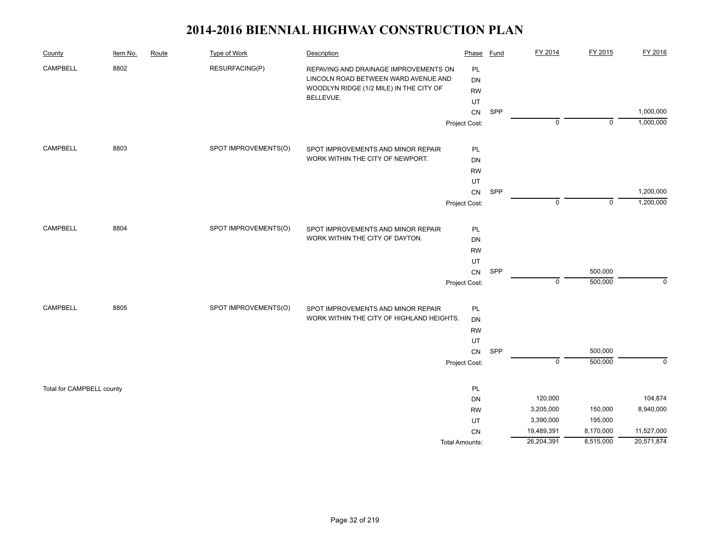| County                    | Item No. | Route | <b>Type of Work</b>  | Description                                                                                                              | Phase                        | <b>Fund</b> | FY 2014        | FY 2015     | FY 2016     |
|---------------------------|----------|-------|----------------------|--------------------------------------------------------------------------------------------------------------------------|------------------------------|-------------|----------------|-------------|-------------|
| CAMPBELL                  | 8802     |       | RESURFACING(P)       | REPAVING AND DRAINAGE IMPROVEMENTS ON<br>LINCOLN ROAD BETWEEN WARD AVENUE AND<br>WOODLYN RIDGE (1/2 MILE) IN THE CITY OF | PL<br><b>DN</b><br><b>RW</b> |             |                |             |             |
|                           |          |       |                      | BELLEVUE.                                                                                                                | UT                           |             |                |             |             |
|                           |          |       |                      |                                                                                                                          | ${\sf CN}$                   | SPP         |                |             | 1,000,000   |
|                           |          |       |                      |                                                                                                                          | Project Cost:                |             | 0              | $\mathbf 0$ | 1,000,000   |
| CAMPBELL                  | 8803     |       | SPOT IMPROVEMENTS(O) | SPOT IMPROVEMENTS AND MINOR REPAIR                                                                                       | PL                           |             |                |             |             |
|                           |          |       |                      | WORK WITHIN THE CITY OF NEWPORT.                                                                                         | <b>DN</b>                    |             |                |             |             |
|                           |          |       |                      |                                                                                                                          | <b>RW</b>                    |             |                |             |             |
|                           |          |       |                      |                                                                                                                          | UT                           |             |                |             |             |
|                           |          |       |                      |                                                                                                                          | CN                           | SPP         |                |             | 1,200,000   |
|                           |          |       |                      |                                                                                                                          | Project Cost:                |             | $\mathbf 0$    | $\mathbf 0$ | 1,200,000   |
| <b>CAMPBELL</b>           | 8804     |       | SPOT IMPROVEMENTS(O) | SPOT IMPROVEMENTS AND MINOR REPAIR                                                                                       | PL                           |             |                |             |             |
|                           |          |       |                      | WORK WITHIN THE CITY OF DAYTON.                                                                                          | DN                           |             |                |             |             |
|                           |          |       |                      |                                                                                                                          | <b>RW</b>                    |             |                |             |             |
|                           |          |       |                      |                                                                                                                          | UT                           |             |                |             |             |
|                           |          |       |                      |                                                                                                                          | CN                           | SPP         |                | 500,000     |             |
|                           |          |       |                      |                                                                                                                          | Project Cost:                |             | $\mathbf 0$    | 500,000     | $\mathbf 0$ |
| <b>CAMPBELL</b>           | 8805     |       | SPOT IMPROVEMENTS(O) | SPOT IMPROVEMENTS AND MINOR REPAIR                                                                                       | PL                           |             |                |             |             |
|                           |          |       |                      | WORK WITHIN THE CITY OF HIGHLAND HEIGHTS.                                                                                | DN                           |             |                |             |             |
|                           |          |       |                      |                                                                                                                          | <b>RW</b>                    |             |                |             |             |
|                           |          |       |                      |                                                                                                                          | UT                           |             |                |             |             |
|                           |          |       |                      |                                                                                                                          | CN                           | SPP         |                | 500,000     |             |
|                           |          |       |                      |                                                                                                                          | Project Cost:                |             | $\overline{0}$ | 500,000     | $\mathbf 0$ |
| Total for CAMPBELL county |          |       |                      |                                                                                                                          | PL                           |             |                |             |             |
|                           |          |       |                      |                                                                                                                          | DN                           |             | 120,000        |             | 104,874     |
|                           |          |       |                      |                                                                                                                          | <b>RW</b>                    |             | 3,205,000      | 150,000     | 8,940,000   |
|                           |          |       |                      |                                                                                                                          | UT                           |             | 3,390,000      | 195,000     |             |
|                           |          |       |                      |                                                                                                                          | <b>CN</b>                    |             | 19,489,391     | 8,170,000   | 11,527,000  |
|                           |          |       |                      |                                                                                                                          | <b>Total Amounts:</b>        |             | 26,204,391     | 8,515,000   | 20,571,874  |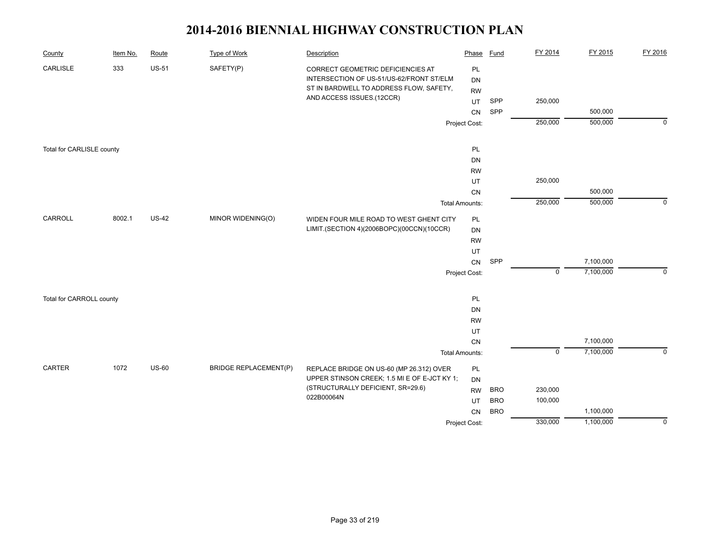| County                    | Item No. | Route        | <b>Type of Work</b>          | Description                                  | Phase                 | <b>Fund</b> | FY 2014     | FY 2015   | FY 2016     |
|---------------------------|----------|--------------|------------------------------|----------------------------------------------|-----------------------|-------------|-------------|-----------|-------------|
| CARLISLE                  | 333      | <b>US-51</b> | SAFETY(P)                    | CORRECT GEOMETRIC DEFICIENCIES AT            | PL                    |             |             |           |             |
|                           |          |              |                              | INTERSECTION OF US-51/US-62/FRONT ST/ELM     | <b>DN</b>             |             |             |           |             |
|                           |          |              |                              | ST IN BARDWELL TO ADDRESS FLOW, SAFETY,      | <b>RW</b>             |             |             |           |             |
|                           |          |              |                              | AND ACCESS ISSUES.(12CCR)                    | UT                    | SPP         | 250,000     |           |             |
|                           |          |              |                              |                                              | CN                    | SPP         |             | 500,000   |             |
|                           |          |              |                              |                                              | Project Cost:         |             | 250,000     | 500,000   | $\mathbf 0$ |
| Total for CARLISLE county |          |              |                              |                                              | PL                    |             |             |           |             |
|                           |          |              |                              |                                              | DN                    |             |             |           |             |
|                           |          |              |                              |                                              | <b>RW</b>             |             |             |           |             |
|                           |          |              |                              |                                              | UT                    |             | 250,000     |           |             |
|                           |          |              |                              |                                              | CN                    |             |             | 500,000   |             |
|                           |          |              |                              |                                              | <b>Total Amounts:</b> |             | 250,000     | 500,000   | $\mathbf 0$ |
| CARROLL                   | 8002.1   | $US-42$      | MINOR WIDENING(O)            | WIDEN FOUR MILE ROAD TO WEST GHENT CITY      | PL                    |             |             |           |             |
|                           |          |              |                              | LIMIT.(SECTION 4)(2006BOPC)(00CCN)(10CCR)    | DN                    |             |             |           |             |
|                           |          |              |                              |                                              | <b>RW</b>             |             |             |           |             |
|                           |          |              |                              |                                              | UT                    |             |             |           |             |
|                           |          |              |                              |                                              | CN                    | SPP         |             | 7,100,000 |             |
|                           |          |              |                              |                                              | Project Cost:         |             | $\mathbf 0$ | 7,100,000 | $\Omega$    |
| Total for CARROLL county  |          |              |                              |                                              | PL                    |             |             |           |             |
|                           |          |              |                              |                                              | DN                    |             |             |           |             |
|                           |          |              |                              |                                              | <b>RW</b>             |             |             |           |             |
|                           |          |              |                              |                                              | UT                    |             |             |           |             |
|                           |          |              |                              |                                              | CN                    |             |             | 7,100,000 |             |
|                           |          |              |                              |                                              | <b>Total Amounts:</b> |             | $\mathbf 0$ | 7,100,000 | $\mathbf 0$ |
| CARTER                    | 1072     | <b>US-60</b> | <b>BRIDGE REPLACEMENT(P)</b> | REPLACE BRIDGE ON US-60 (MP 26.312) OVER     | PL                    |             |             |           |             |
|                           |          |              |                              | UPPER STINSON CREEK; 1.5 MI E OF E-JCT KY 1; | <b>DN</b>             |             |             |           |             |
|                           |          |              |                              | (STRUCTURALLY DEFICIENT, SR=29.6)            | <b>RW</b>             | <b>BRO</b>  | 230,000     |           |             |
|                           |          |              |                              | 022B00064N                                   |                       | <b>BRO</b>  | 100,000     |           |             |
|                           |          |              |                              |                                              | UT<br>CN              | <b>BRO</b>  |             | 1,100,000 |             |
|                           |          |              |                              |                                              | Project Cost:         |             | 330,000     | 1,100,000 | $\mathbf 0$ |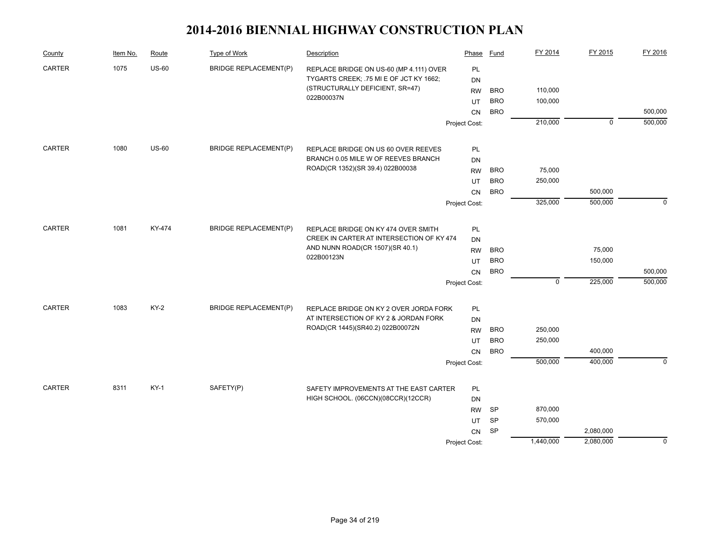| County        | Item No. | Route        | <b>Type of Work</b>          | Description                                                                      | Phase         | Fund       | FY 2014        | FY 2015     | FY 2016     |
|---------------|----------|--------------|------------------------------|----------------------------------------------------------------------------------|---------------|------------|----------------|-------------|-------------|
| CARTER        | 1075     | $US-60$      | <b>BRIDGE REPLACEMENT(P)</b> | REPLACE BRIDGE ON US-60 (MP 4.111) OVER                                          | PL            |            |                |             |             |
|               |          |              |                              | TYGARTS CREEK; .75 MI E OF JCT KY 1662;                                          | <b>DN</b>     |            |                |             |             |
|               |          |              |                              | (STRUCTURALLY DEFICIENT, SR=47)<br>022B00037N                                    | <b>RW</b>     | <b>BRO</b> | 110,000        |             |             |
|               |          |              |                              |                                                                                  | UT            | <b>BRO</b> | 100,000        |             |             |
|               |          |              |                              |                                                                                  | <b>CN</b>     | <b>BRO</b> |                |             | 500,000     |
|               |          |              |                              |                                                                                  | Project Cost: |            | 210,000        | $\mathbf 0$ | 500,000     |
| CARTER        | 1080     | <b>US-60</b> | <b>BRIDGE REPLACEMENT(P)</b> | REPLACE BRIDGE ON US 60 OVER REEVES                                              | PL            |            |                |             |             |
|               |          |              |                              | BRANCH 0.05 MILE W OF REEVES BRANCH                                              | <b>DN</b>     |            |                |             |             |
|               |          |              |                              | ROAD(CR 1352)(SR 39.4) 022B00038                                                 | <b>RW</b>     | <b>BRO</b> | 75,000         |             |             |
|               |          |              |                              |                                                                                  | UT            | <b>BRO</b> | 250,000        |             |             |
|               |          |              |                              |                                                                                  | CN            | <b>BRO</b> |                | 500,000     |             |
|               |          |              |                              |                                                                                  | Project Cost: |            | 325,000        | 500,000     | $\mathbf 0$ |
| <b>CARTER</b> | 1081     | KY-474       | <b>BRIDGE REPLACEMENT(P)</b> |                                                                                  |               |            |                |             |             |
|               |          |              |                              | REPLACE BRIDGE ON KY 474 OVER SMITH<br>CREEK IN CARTER AT INTERSECTION OF KY 474 | PL<br>DN      |            |                |             |             |
|               |          |              |                              | AND NUNN ROAD(CR 1507)(SR 40.1)                                                  | <b>RW</b>     | <b>BRO</b> |                | 75,000      |             |
|               |          |              |                              | 022B00123N                                                                       | UT            | <b>BRO</b> |                | 150,000     |             |
|               |          |              |                              |                                                                                  | CN            | <b>BRO</b> |                |             | 500,000     |
|               |          |              |                              |                                                                                  | Project Cost: |            | $\overline{0}$ | 225,000     | 500,000     |
|               |          |              |                              |                                                                                  |               |            |                |             |             |
| CARTER        | 1083     | $KY-2$       | <b>BRIDGE REPLACEMENT(P)</b> | REPLACE BRIDGE ON KY 2 OVER JORDA FORK                                           | PL            |            |                |             |             |
|               |          |              |                              | AT INTERSECTION OF KY 2 & JORDAN FORK                                            | DN            |            |                |             |             |
|               |          |              |                              | ROAD(CR 1445)(SR40.2) 022B00072N                                                 | <b>RW</b>     | <b>BRO</b> | 250,000        |             |             |
|               |          |              |                              |                                                                                  | UT            | <b>BRO</b> | 250,000        |             |             |
|               |          |              |                              |                                                                                  | <b>CN</b>     | <b>BRO</b> |                | 400,000     |             |
|               |          |              |                              |                                                                                  | Project Cost: |            | 500,000        | 400,000     | $\mathbf 0$ |
| CARTER        | 8311     | $KY-1$       | SAFETY(P)                    | SAFETY IMPROVEMENTS AT THE EAST CARTER                                           | PL            |            |                |             |             |
|               |          |              |                              | HIGH SCHOOL. (06CCN)(08CCR)(12CCR)                                               | <b>DN</b>     |            |                |             |             |
|               |          |              |                              |                                                                                  | <b>RW</b>     | SP         | 870,000        |             |             |
|               |          |              |                              |                                                                                  | UT            | <b>SP</b>  | 570,000        |             |             |
|               |          |              |                              |                                                                                  | CN            | <b>SP</b>  |                | 2,080,000   |             |
|               |          |              |                              |                                                                                  | Project Cost: |            | 1,440,000      | 2,080,000   | $\mathbf 0$ |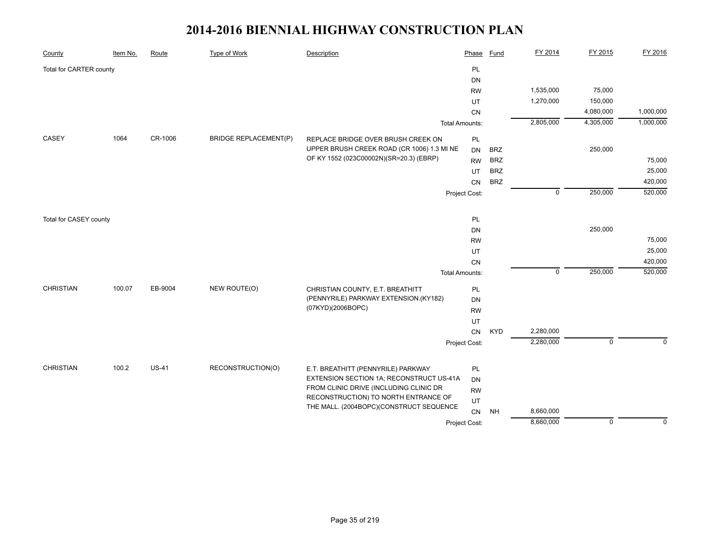| County                  | Item No. | Route        | <b>Type of Work</b>          | Description                                | Phase                 | Fund       | FY 2014        | FY 2015     | FY 2016   |
|-------------------------|----------|--------------|------------------------------|--------------------------------------------|-----------------------|------------|----------------|-------------|-----------|
| Total for CARTER county |          |              |                              |                                            | PL                    |            |                |             |           |
|                         |          |              |                              |                                            | DN                    |            |                |             |           |
|                         |          |              |                              |                                            | <b>RW</b>             |            | 1,535,000      | 75,000      |           |
|                         |          |              |                              |                                            | UT                    |            | 1,270,000      | 150,000     |           |
|                         |          |              |                              |                                            | CN                    |            |                | 4,080,000   | 1,000,000 |
|                         |          |              |                              |                                            | <b>Total Amounts:</b> |            | 2,805,000      | 4,305,000   | 1,000,000 |
| CASEY                   | 1064     | CR-1006      | <b>BRIDGE REPLACEMENT(P)</b> | REPLACE BRIDGE OVER BRUSH CREEK ON         | PL                    |            |                |             |           |
|                         |          |              |                              | UPPER BRUSH CREEK ROAD (CR 1006) 1.3 MI NE | <b>DN</b>             | <b>BRZ</b> |                | 250,000     |           |
|                         |          |              |                              | OF KY 1552 (023C00002N)(SR=20.3) (EBRP)    | <b>RW</b>             | <b>BRZ</b> |                |             | 75,000    |
|                         |          |              |                              |                                            | UT                    | <b>BRZ</b> |                |             | 25,000    |
|                         |          |              |                              |                                            | CN                    | <b>BRZ</b> |                |             | 420,000   |
|                         |          |              |                              |                                            | Project Cost:         |            | $\overline{0}$ | 250,000     | 520,000   |
| Total for CASEY county  |          |              |                              |                                            | PL                    |            |                |             |           |
|                         |          |              |                              |                                            | DN                    |            |                | 250,000     |           |
|                         |          |              |                              |                                            | <b>RW</b>             |            |                |             | 75,000    |
|                         |          |              |                              |                                            | UT                    |            |                |             | 25,000    |
|                         |          |              |                              |                                            | CN                    |            |                |             | 420,000   |
|                         |          |              |                              |                                            | <b>Total Amounts:</b> |            | $\mathbf 0$    | 250,000     | 520,000   |
| <b>CHRISTIAN</b>        | 100.07   | EB-9004      | NEW ROUTE(O)                 | CHRISTIAN COUNTY, E.T. BREATHITT           | <b>PL</b>             |            |                |             |           |
|                         |          |              |                              | (PENNYRILE) PARKWAY EXTENSION.(KY182)      | <b>DN</b>             |            |                |             |           |
|                         |          |              |                              | (07KYD)(2006BOPC)                          | <b>RW</b>             |            |                |             |           |
|                         |          |              |                              |                                            | UT                    |            |                |             |           |
|                         |          |              |                              |                                            | CN                    | <b>KYD</b> | 2,280,000      |             |           |
|                         |          |              |                              |                                            | Project Cost:         |            | 2,280,000      | $\mathbf 0$ | $\Omega$  |
|                         |          |              |                              |                                            |                       |            |                |             |           |
| <b>CHRISTIAN</b>        | 100.2    | <b>US-41</b> | RECONSTRUCTION(O)            | E.T. BREATHITT (PENNYRILE) PARKWAY         | PL                    |            |                |             |           |
|                         |          |              |                              | EXTENSION SECTION 1A; RECONSTRUCT US-41A   | DN                    |            |                |             |           |
|                         |          |              |                              | FROM CLINIC DRIVE (INCLUDING CLINIC DR     | <b>RW</b>             |            |                |             |           |
|                         |          |              |                              | RECONSTRUCTION) TO NORTH ENTRANCE OF       | UT                    |            |                |             |           |
|                         |          |              |                              | THE MALL. (2004BOPC)(CONSTRUCT SEQUENCE    | ${\sf CN}$            | <b>NH</b>  | 8,660,000      |             |           |
|                         |          |              |                              |                                            | Project Cost:         |            | 8,660,000      | $\mathbf 0$ | $\Omega$  |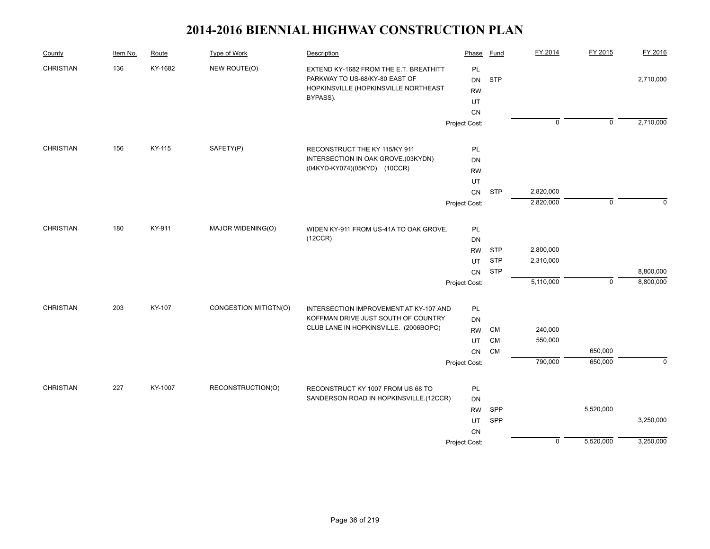| County           | Item No. | Route   | Type of Work          | Description                                                                                                                  | Phase                       | <b>Fund</b> | FY 2014     | FY 2015        | FY 2016      |
|------------------|----------|---------|-----------------------|------------------------------------------------------------------------------------------------------------------------------|-----------------------------|-------------|-------------|----------------|--------------|
| <b>CHRISTIAN</b> | 136      | KY-1682 | NEW ROUTE(O)          | EXTEND KY-1682 FROM THE E.T. BREATHITT<br>PARKWAY TO US-68/KY-80 EAST OF<br>HOPKINSVILLE (HOPKINSVILLE NORTHEAST<br>BYPASS). | PL<br>DN<br><b>RW</b><br>UT | <b>STP</b>  |             |                | 2,710,000    |
|                  |          |         |                       |                                                                                                                              | CN                          |             |             |                |              |
|                  |          |         |                       |                                                                                                                              | Project Cost:               |             | $\mathbf 0$ | $\overline{0}$ | 2,710,000    |
| <b>CHRISTIAN</b> | 156      | KY-115  | SAFETY(P)             | RECONSTRUCT THE KY 115/KY 911                                                                                                | PL                          |             |             |                |              |
|                  |          |         |                       | INTERSECTION IN OAK GROVE.(03KYDN)                                                                                           | DN                          |             |             |                |              |
|                  |          |         |                       | (04KYD-KY074)(05KYD) (10CCR)                                                                                                 | <b>RW</b>                   |             |             |                |              |
|                  |          |         |                       |                                                                                                                              | UT                          |             |             |                |              |
|                  |          |         |                       |                                                                                                                              | CN                          | <b>STP</b>  | 2,820,000   |                |              |
|                  |          |         |                       |                                                                                                                              | Project Cost:               |             | 2,820,000   | $\mathbf 0$    | $\mathbf{0}$ |
| <b>CHRISTIAN</b> | 180      | KY-911  | MAJOR WIDENING(O)     | WIDEN KY-911 FROM US-41A TO OAK GROVE.                                                                                       | PL                          |             |             |                |              |
|                  |          |         |                       | (12CCR)                                                                                                                      | DN                          |             |             |                |              |
|                  |          |         |                       |                                                                                                                              | <b>RW</b>                   | <b>STP</b>  | 2,800,000   |                |              |
|                  |          |         |                       |                                                                                                                              | UT                          | <b>STP</b>  | 2,310,000   |                |              |
|                  |          |         |                       |                                                                                                                              | CN                          | <b>STP</b>  |             |                | 8,800,000    |
|                  |          |         |                       |                                                                                                                              | Project Cost:               |             | 5,110,000   | $\mathbf 0$    | 8,800,000    |
| <b>CHRISTIAN</b> | 203      | KY-107  | CONGESTION MITIGTN(O) | INTERSECTION IMPROVEMENT AT KY-107 AND                                                                                       | PL                          |             |             |                |              |
|                  |          |         |                       | KOFFMAN DRIVE JUST SOUTH OF COUNTRY                                                                                          | DN                          |             |             |                |              |
|                  |          |         |                       | CLUB LANE IN HOPKINSVILLE. (2006BOPC)                                                                                        | <b>RW</b>                   | <b>CM</b>   | 240,000     |                |              |
|                  |          |         |                       |                                                                                                                              | UT                          | <b>CM</b>   | 550,000     |                |              |
|                  |          |         |                       |                                                                                                                              | CN                          | <b>CM</b>   |             | 650,000        |              |
|                  |          |         |                       |                                                                                                                              | Project Cost:               |             | 790,000     | 650,000        | $\mathbf 0$  |
| <b>CHRISTIAN</b> | 227      | KY-1007 | RECONSTRUCTION(O)     | RECONSTRUCT KY 1007 FROM US 68 TO                                                                                            | PL                          |             |             |                |              |
|                  |          |         |                       | SANDERSON ROAD IN HOPKINSVILLE.(12CCR)                                                                                       | DN                          |             |             |                |              |
|                  |          |         |                       |                                                                                                                              | <b>RW</b>                   | SPP         |             | 5,520,000      |              |
|                  |          |         |                       |                                                                                                                              | UT                          | SPP         |             |                | 3,250,000    |
|                  |          |         |                       |                                                                                                                              |                             |             |             |                |              |
|                  |          |         |                       |                                                                                                                              | Project Cost:               |             | $\mathbf 0$ | 5,520,000      | 3,250,000    |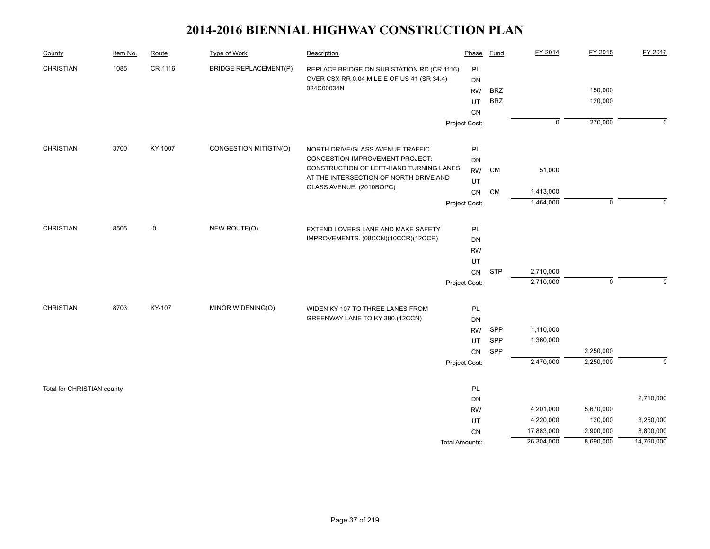| County                     | Item No. | Route   | Type of Work                 | Description                                                         | Phase                 | Fund       | FY 2014        | FY 2015     | FY 2016     |
|----------------------------|----------|---------|------------------------------|---------------------------------------------------------------------|-----------------------|------------|----------------|-------------|-------------|
| <b>CHRISTIAN</b>           | 1085     | CR-1116 | <b>BRIDGE REPLACEMENT(P)</b> | REPLACE BRIDGE ON SUB STATION RD (CR 1116)                          | PL                    |            |                |             |             |
|                            |          |         |                              | OVER CSX RR 0.04 MILE E OF US 41 (SR 34.4)                          | <b>DN</b>             |            |                |             |             |
|                            |          |         |                              | 024C00034N                                                          | <b>RW</b>             | <b>BRZ</b> |                | 150,000     |             |
|                            |          |         |                              |                                                                     | UT                    | <b>BRZ</b> |                | 120,000     |             |
|                            |          |         |                              |                                                                     | CN                    |            |                |             |             |
|                            |          |         |                              |                                                                     | Project Cost:         |            | $\overline{0}$ | 270,000     | $\mathbf 0$ |
| <b>CHRISTIAN</b>           | 3700     | KY-1007 | CONGESTION MITIGTN(O)        | NORTH DRIVE/GLASS AVENUE TRAFFIC                                    | $\mathsf{PL}$         |            |                |             |             |
|                            |          |         |                              | CONGESTION IMPROVEMENT PROJECT:                                     | DN                    |            |                |             |             |
|                            |          |         |                              | CONSTRUCTION OF LEFT-HAND TURNING LANES                             | <b>RW</b>             | CM         | 51,000         |             |             |
|                            |          |         |                              | AT THE INTERSECTION OF NORTH DRIVE AND                              | UT                    |            |                |             |             |
|                            |          |         |                              | GLASS AVENUE. (2010BOPC)                                            | CN                    | <b>CM</b>  | 1,413,000      |             |             |
|                            |          |         |                              |                                                                     | Project Cost:         |            | 1,464,000      | $\mathbf 0$ | $\Omega$    |
| <b>CHRISTIAN</b>           | 8505     | -0      | NEW ROUTE(O)                 | EXTEND LOVERS LANE AND MAKE SAFETY                                  | PL                    |            |                |             |             |
|                            |          |         |                              | IMPROVEMENTS. (08CCN)(10CCR)(12CCR)                                 | DN                    |            |                |             |             |
|                            |          |         |                              |                                                                     | <b>RW</b>             |            |                |             |             |
|                            |          |         |                              |                                                                     | UT                    |            |                |             |             |
|                            |          |         |                              |                                                                     | ${\sf CN}$            | <b>STP</b> | 2,710,000      |             |             |
|                            |          |         |                              |                                                                     | Project Cost:         |            | 2,710,000      | $\mathbf 0$ | $\mathbf 0$ |
| <b>CHRISTIAN</b>           | 8703     | KY-107  | MINOR WIDENING(O)            |                                                                     |                       |            |                |             |             |
|                            |          |         |                              | WIDEN KY 107 TO THREE LANES FROM<br>GREENWAY LANE TO KY 380.(12CCN) | PL<br>DN              |            |                |             |             |
|                            |          |         |                              |                                                                     | <b>RW</b>             | <b>SPP</b> | 1,110,000      |             |             |
|                            |          |         |                              |                                                                     | UT                    | SPP        | 1,360,000      |             |             |
|                            |          |         |                              |                                                                     | CN                    | SPP        |                | 2,250,000   |             |
|                            |          |         |                              |                                                                     | Project Cost:         |            | 2,470,000      | 2,250,000   | $\mathbf 0$ |
|                            |          |         |                              |                                                                     | PL                    |            |                |             |             |
| Total for CHRISTIAN county |          |         |                              |                                                                     | DN                    |            |                |             | 2,710,000   |
|                            |          |         |                              |                                                                     | <b>RW</b>             |            | 4,201,000      | 5,670,000   |             |
|                            |          |         |                              |                                                                     | UT                    |            | 4,220,000      | 120,000     | 3,250,000   |
|                            |          |         |                              |                                                                     | <b>CN</b>             |            | 17,883,000     | 2,900,000   | 8,800,000   |
|                            |          |         |                              |                                                                     | <b>Total Amounts:</b> |            | 26,304,000     | 8,690,000   | 14,760,000  |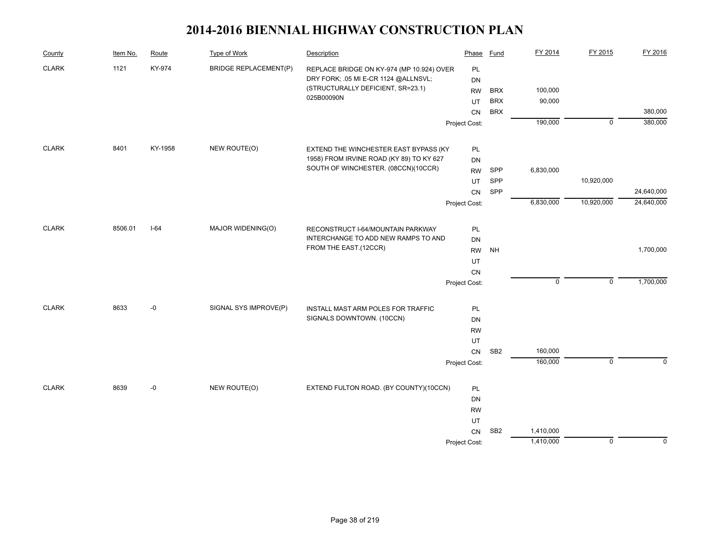| County       | Item No. | Route   | <b>Type of Work</b>          | Description                               | Phase         | Fund            | FY 2014     | FY 2015        | FY 2016     |
|--------------|----------|---------|------------------------------|-------------------------------------------|---------------|-----------------|-------------|----------------|-------------|
| <b>CLARK</b> | 1121     | KY-974  | <b>BRIDGE REPLACEMENT(P)</b> | REPLACE BRIDGE ON KY-974 (MP 10.924) OVER | PL            |                 |             |                |             |
|              |          |         |                              | DRY FORK; .05 MI E-CR 1124 @ALLNSVL;      | DN            |                 |             |                |             |
|              |          |         |                              | (STRUCTURALLY DEFICIENT, SR=23.1)         | <b>RW</b>     | <b>BRX</b>      | 100,000     |                |             |
|              |          |         |                              | 025B00090N                                | UT            | <b>BRX</b>      | 90,000      |                |             |
|              |          |         |                              |                                           | CN            | <b>BRX</b>      |             |                | 380,000     |
|              |          |         |                              |                                           | Project Cost: |                 | 190,000     | $\overline{0}$ | 380,000     |
| <b>CLARK</b> | 8401     | KY-1958 | NEW ROUTE(O)                 | EXTEND THE WINCHESTER EAST BYPASS (KY     | PL            |                 |             |                |             |
|              |          |         |                              | 1958) FROM IRVINE ROAD (KY 89) TO KY 627  | DN            |                 |             |                |             |
|              |          |         |                              | SOUTH OF WINCHESTER. (08CCN)(10CCR)       | <b>RW</b>     | SPP             | 6,830,000   |                |             |
|              |          |         |                              |                                           | UT            | SPP             |             | 10,920,000     |             |
|              |          |         |                              |                                           | CN            | SPP             |             |                | 24,640,000  |
|              |          |         |                              |                                           | Project Cost: |                 | 6,830,000   | 10,920,000     | 24,640,000  |
|              |          |         |                              |                                           |               |                 |             |                |             |
| <b>CLARK</b> | 8506.01  | $I-64$  | MAJOR WIDENING(O)            | RECONSTRUCT I-64/MOUNTAIN PARKWAY         | PL            |                 |             |                |             |
|              |          |         |                              | INTERCHANGE TO ADD NEW RAMPS TO AND       | <b>DN</b>     |                 |             |                |             |
|              |          |         |                              | FROM THE EAST.(12CCR)                     | <b>RW</b>     | NH              |             |                | 1,700,000   |
|              |          |         |                              |                                           | UT            |                 |             |                |             |
|              |          |         |                              |                                           | CN            |                 |             |                |             |
|              |          |         |                              |                                           | Project Cost: |                 | $\mathbf 0$ | $\mathsf 0$    | 1,700,000   |
| <b>CLARK</b> | 8633     | -0      | SIGNAL SYS IMPROVE(P)        | INSTALL MAST ARM POLES FOR TRAFFIC        | PL            |                 |             |                |             |
|              |          |         |                              | SIGNALS DOWNTOWN. (10CCN)                 | DN            |                 |             |                |             |
|              |          |         |                              |                                           | <b>RW</b>     |                 |             |                |             |
|              |          |         |                              |                                           | UT            |                 |             |                |             |
|              |          |         |                              |                                           | CN            | SB <sub>2</sub> | 160,000     |                |             |
|              |          |         |                              |                                           | Project Cost: |                 | 160,000     | $\mathbf 0$    | $\Omega$    |
|              |          |         |                              |                                           |               |                 |             |                |             |
| <b>CLARK</b> | 8639     | -0      | NEW ROUTE(O)                 | EXTEND FULTON ROAD. (BY COUNTY)(10CCN)    | PL            |                 |             |                |             |
|              |          |         |                              |                                           | DN            |                 |             |                |             |
|              |          |         |                              |                                           | <b>RW</b>     |                 |             |                |             |
|              |          |         |                              |                                           | UT            |                 |             |                |             |
|              |          |         |                              |                                           | CN            | SB <sub>2</sub> | 1,410,000   |                |             |
|              |          |         |                              |                                           | Project Cost: |                 | 1,410,000   | $\mathbf 0$    | $\mathbf 0$ |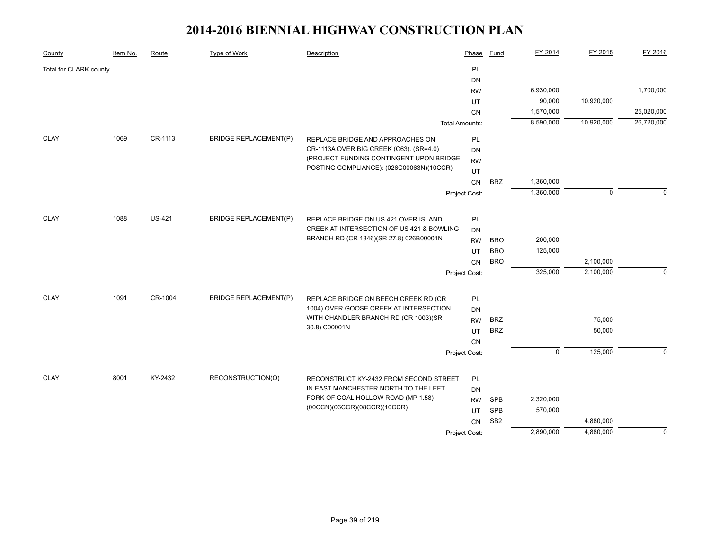| County                 | Item No. | Route         | <b>Type of Work</b>          | Description                                                                       | Phase                 | Fund            | FY 2014     | FY 2015     | FY 2016     |
|------------------------|----------|---------------|------------------------------|-----------------------------------------------------------------------------------|-----------------------|-----------------|-------------|-------------|-------------|
| Total for CLARK county |          |               |                              |                                                                                   | PL                    |                 |             |             |             |
|                        |          |               |                              |                                                                                   | DN                    |                 |             |             |             |
|                        |          |               |                              |                                                                                   | <b>RW</b>             |                 | 6,930,000   |             | 1,700,000   |
|                        |          |               |                              |                                                                                   | UT                    |                 | 90,000      | 10,920,000  |             |
|                        |          |               |                              |                                                                                   | CN                    |                 | 1,570,000   |             | 25,020,000  |
|                        |          |               |                              |                                                                                   | <b>Total Amounts:</b> |                 | 8,590,000   | 10,920,000  | 26,720,000  |
| <b>CLAY</b>            | 1069     | CR-1113       | <b>BRIDGE REPLACEMENT(P)</b> | REPLACE BRIDGE AND APPROACHES ON                                                  | PL                    |                 |             |             |             |
|                        |          |               |                              | CR-1113A OVER BIG CREEK (C63). (SR=4.0)                                           | <b>DN</b>             |                 |             |             |             |
|                        |          |               |                              | (PROJECT FUNDING CONTINGENT UPON BRIDGE                                           | <b>RW</b>             |                 |             |             |             |
|                        |          |               |                              | POSTING COMPLIANCE): (026C00063N)(10CCR)                                          | UT                    |                 |             |             |             |
|                        |          |               |                              |                                                                                   |                       | <b>BRZ</b>      | 1,360,000   |             |             |
|                        |          |               |                              |                                                                                   | Project Cost:         |                 | 1,360,000   | $\mathbf 0$ | ∩           |
| <b>CLAY</b>            | 1088     | <b>US-421</b> | <b>BRIDGE REPLACEMENT(P)</b> |                                                                                   |                       |                 |             |             |             |
|                        |          |               |                              | REPLACE BRIDGE ON US 421 OVER ISLAND<br>CREEK AT INTERSECTION OF US 421 & BOWLING | PL<br><b>DN</b>       |                 |             |             |             |
|                        |          |               |                              | BRANCH RD (CR 1346)(SR 27.8) 026B00001N                                           | <b>RW</b>             | <b>BRO</b>      | 200,000     |             |             |
|                        |          |               |                              |                                                                                   | UT                    | <b>BRO</b>      | 125,000     |             |             |
|                        |          |               |                              |                                                                                   |                       | <b>BRO</b>      |             | 2,100,000   |             |
|                        |          |               |                              |                                                                                   | CN                    |                 | 325,000     | 2,100,000   | $\Omega$    |
|                        |          |               |                              |                                                                                   | Project Cost:         |                 |             |             |             |
| <b>CLAY</b>            | 1091     | CR-1004       | <b>BRIDGE REPLACEMENT(P)</b> | REPLACE BRIDGE ON BEECH CREEK RD (CR                                              |                       |                 |             |             |             |
|                        |          |               |                              | 1004) OVER GOOSE CREEK AT INTERSECTION                                            | <b>DN</b>             |                 |             |             |             |
|                        |          |               |                              | WITH CHANDLER BRANCH RD (CR 1003)(SR                                              | <b>RW</b>             | <b>BRZ</b>      |             | 75,000      |             |
|                        |          |               |                              | 30.8) C00001N                                                                     | UT                    | <b>BRZ</b>      |             | 50,000      |             |
|                        |          |               |                              |                                                                                   | CN                    |                 |             |             |             |
|                        |          |               |                              |                                                                                   | Project Cost:         |                 | $\mathbf 0$ | 125,000     | $\Omega$    |
|                        |          |               |                              |                                                                                   |                       |                 |             |             |             |
| <b>CLAY</b>            | 8001     | KY-2432       | RECONSTRUCTION(O)            | RECONSTRUCT KY-2432 FROM SECOND STREET                                            | PL                    |                 |             |             |             |
|                        |          |               |                              | IN EAST MANCHESTER NORTH TO THE LEFT                                              | <b>DN</b>             |                 |             |             |             |
|                        |          |               |                              | FORK OF COAL HOLLOW ROAD (MP 1.58)<br>(00CCN)(06CCR)(08CCR)(10CCR)                | <b>RW</b>             | SPB             | 2,320,000   |             |             |
|                        |          |               |                              |                                                                                   | UT                    | SPB             | 570,000     |             |             |
|                        |          |               |                              |                                                                                   | CN                    | SB <sub>2</sub> |             | 4,880,000   |             |
|                        |          |               |                              |                                                                                   | Project Cost:         |                 | 2,890,000   | 4,880,000   | $\mathbf 0$ |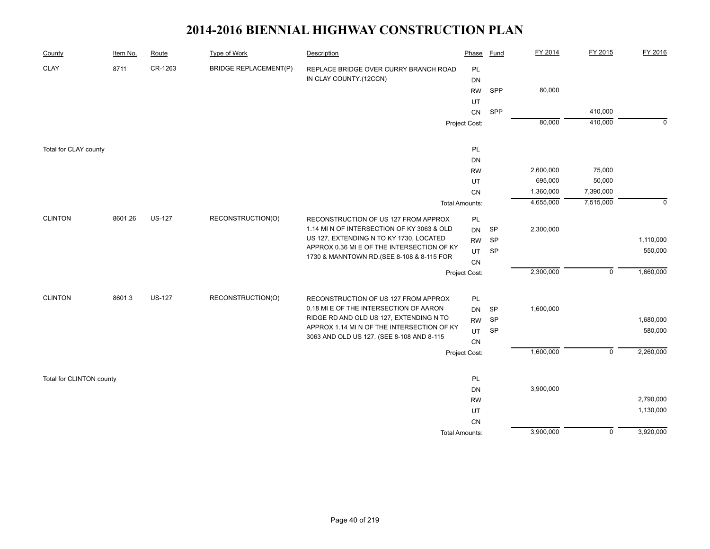| County                   | Item No. | Route         | <b>Type of Work</b>          | Description                                                                              | Phase                 | <b>Fund</b> | FY 2014   | FY 2015        | FY 2016     |
|--------------------------|----------|---------------|------------------------------|------------------------------------------------------------------------------------------|-----------------------|-------------|-----------|----------------|-------------|
| <b>CLAY</b>              | 8711     | CR-1263       | <b>BRIDGE REPLACEMENT(P)</b> | REPLACE BRIDGE OVER CURRY BRANCH ROAD                                                    | PL                    |             |           |                |             |
|                          |          |               |                              | IN CLAY COUNTY.(12CCN)                                                                   | <b>DN</b>             |             |           |                |             |
|                          |          |               |                              |                                                                                          | <b>RW</b>             | <b>SPP</b>  | 80,000    |                |             |
|                          |          |               |                              |                                                                                          | UT                    |             |           |                |             |
|                          |          |               |                              |                                                                                          | CN                    | SPP         |           | 410,000        |             |
|                          |          |               |                              |                                                                                          | Project Cost:         |             | 80,000    | 410,000        | $\mathbf 0$ |
| Total for CLAY county    |          |               |                              |                                                                                          | PL                    |             |           |                |             |
|                          |          |               |                              |                                                                                          | DN                    |             |           |                |             |
|                          |          |               |                              |                                                                                          | <b>RW</b>             |             | 2,600,000 | 75,000         |             |
|                          |          |               |                              |                                                                                          | UT                    |             | 695,000   | 50,000         |             |
|                          |          |               |                              |                                                                                          | CN                    |             | 1,360,000 | 7,390,000      |             |
|                          |          |               |                              |                                                                                          | <b>Total Amounts:</b> |             | 4,655,000 | 7,515,000      | $\mathbf 0$ |
|                          |          |               |                              |                                                                                          |                       |             |           |                |             |
| <b>CLINTON</b>           | 8601.26  | <b>US-127</b> | RECONSTRUCTION(O)            | RECONSTRUCTION OF US 127 FROM APPROX                                                     | PL                    |             |           |                |             |
|                          |          |               |                              | 1.14 MI N OF INTERSECTION OF KY 3063 & OLD                                               | <b>DN</b>             | <b>SP</b>   | 2,300,000 |                |             |
|                          |          |               |                              | US 127, EXTENDING N TO KY 1730, LOCATED                                                  | <b>RW</b>             | <b>SP</b>   |           |                | 1,110,000   |
|                          |          |               |                              | APPROX 0.36 MI E OF THE INTERSECTION OF KY<br>1730 & MANNTOWN RD. (SEE 8-108 & 8-115 FOR | <b>UT</b>             | SP          |           |                | 550,000     |
|                          |          |               |                              |                                                                                          | CN                    |             |           |                |             |
|                          |          |               |                              |                                                                                          | Project Cost:         |             | 2,300,000 | $\mathbf 0$    | 1,660,000   |
| <b>CLINTON</b>           | 8601.3   | <b>US-127</b> | RECONSTRUCTION(O)            | RECONSTRUCTION OF US 127 FROM APPROX                                                     | PL                    |             |           |                |             |
|                          |          |               |                              | 0.18 MI E OF THE INTERSECTION OF AARON                                                   | <b>DN</b>             | SP          | 1,600,000 |                |             |
|                          |          |               |                              | RIDGE RD AND OLD US 127, EXTENDING N TO                                                  | <b>RW</b>             | SP          |           |                | 1,680,000   |
|                          |          |               |                              | APPROX 1.14 MI N OF THE INTERSECTION OF KY                                               | <b>UT</b>             | SP          |           |                | 580,000     |
|                          |          |               |                              | 3063 AND OLD US 127. (SEE 8-108 AND 8-115                                                | CN                    |             |           |                |             |
|                          |          |               |                              |                                                                                          | Project Cost:         |             | 1,600,000 | $\mathbf 0$    | 2,260,000   |
|                          |          |               |                              |                                                                                          |                       |             |           |                |             |
| Total for CLINTON county |          |               |                              |                                                                                          | PL                    |             |           |                |             |
|                          |          |               |                              |                                                                                          | DN                    |             | 3,900,000 |                |             |
|                          |          |               |                              |                                                                                          | <b>RW</b>             |             |           |                | 2,790,000   |
|                          |          |               |                              |                                                                                          | UT                    |             |           |                | 1,130,000   |
|                          |          |               |                              |                                                                                          | ${\sf CN}$            |             |           |                |             |
|                          |          |               |                              |                                                                                          | <b>Total Amounts:</b> |             | 3,900,000 | $\overline{0}$ | 3,920,000   |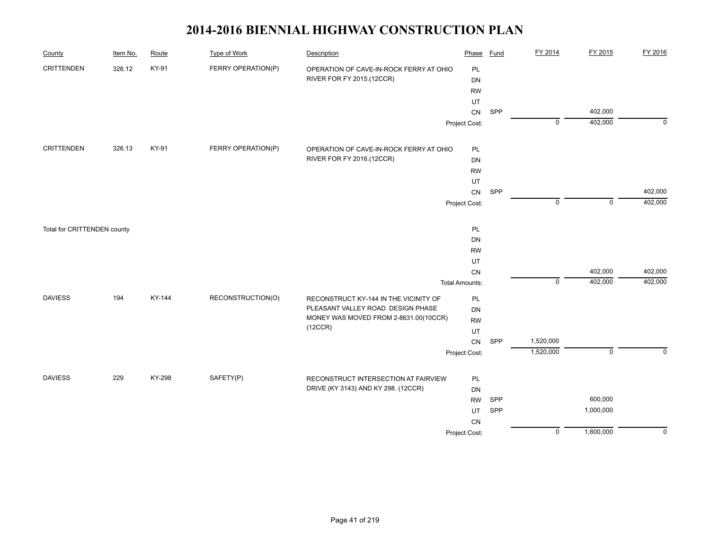| County                      | Item No. | Route  | <b>Type of Work</b> | Description                             | Phase                 | <b>Fund</b> | FY 2014        | FY 2015     | FY 2016     |
|-----------------------------|----------|--------|---------------------|-----------------------------------------|-----------------------|-------------|----------------|-------------|-------------|
| <b>CRITTENDEN</b>           | 326.12   | KY-91  | FERRY OPERATION(P)  | OPERATION OF CAVE-IN-ROCK FERRY AT OHIO | PL                    |             |                |             |             |
|                             |          |        |                     | RIVER FOR FY 2015.(12CCR)               | <b>DN</b>             |             |                |             |             |
|                             |          |        |                     |                                         | <b>RW</b>             |             |                |             |             |
|                             |          |        |                     |                                         | UT                    |             |                |             |             |
|                             |          |        |                     |                                         | ${\sf CN}$            | SPP         |                | 402,000     |             |
|                             |          |        |                     |                                         | Project Cost:         |             | $\overline{0}$ | 402,000     | $\Omega$    |
| <b>CRITTENDEN</b>           | 326.13   | KY-91  | FERRY OPERATION(P)  | OPERATION OF CAVE-IN-ROCK FERRY AT OHIO | PL                    |             |                |             |             |
|                             |          |        |                     | RIVER FOR FY 2016.(12CCR)               | DN                    |             |                |             |             |
|                             |          |        |                     |                                         | <b>RW</b>             |             |                |             |             |
|                             |          |        |                     |                                         | UT                    |             |                |             |             |
|                             |          |        |                     |                                         | CN                    | SPP         |                |             | 402,000     |
|                             |          |        |                     |                                         | Project Cost:         |             | $\mathbf 0$    | $\mathbf 0$ | 402,000     |
| Total for CRITTENDEN county |          |        |                     |                                         | PL                    |             |                |             |             |
|                             |          |        |                     |                                         | DN                    |             |                |             |             |
|                             |          |        |                     |                                         | <b>RW</b>             |             |                |             |             |
|                             |          |        |                     |                                         | UT                    |             |                |             |             |
|                             |          |        |                     |                                         | ${\sf CN}$            |             |                | 402,000     | 402,000     |
|                             |          |        |                     |                                         | <b>Total Amounts:</b> |             | $\mathbf 0$    | 402,000     | 402,000     |
| <b>DAVIESS</b>              | 194      | KY-144 | RECONSTRUCTION(O)   | RECONSTRUCT KY-144 IN THE VICINITY OF   | PL                    |             |                |             |             |
|                             |          |        |                     | PLEASANT VALLEY ROAD. DESIGN PHASE      | DN                    |             |                |             |             |
|                             |          |        |                     | MONEY WAS MOVED FROM 2-8631.00(10CCR)   | <b>RW</b>             |             |                |             |             |
|                             |          |        |                     | (12CCR)                                 | UT                    |             |                |             |             |
|                             |          |        |                     |                                         | CN                    | SPP         | 1,520,000      |             |             |
|                             |          |        |                     |                                         | Project Cost:         |             | 1,520,000      | $\mathbf 0$ | $\mathbf 0$ |
| <b>DAVIESS</b>              | 229      | KY-298 | SAFETY(P)           | RECONSTRUCT INTERSECTION AT FAIRVIEW    | PL                    |             |                |             |             |
|                             |          |        |                     | DRIVE (KY 3143) AND KY 298. (12CCR)     | <b>DN</b>             |             |                |             |             |
|                             |          |        |                     |                                         | <b>RW</b>             | SPP         |                | 600,000     |             |
|                             |          |        |                     |                                         | UT                    | SPP         |                | 1,000,000   |             |
|                             |          |        |                     |                                         | CN                    |             |                |             |             |
|                             |          |        |                     |                                         | Project Cost:         |             | $\mathbf 0$    | 1,600,000   | $\mathbf 0$ |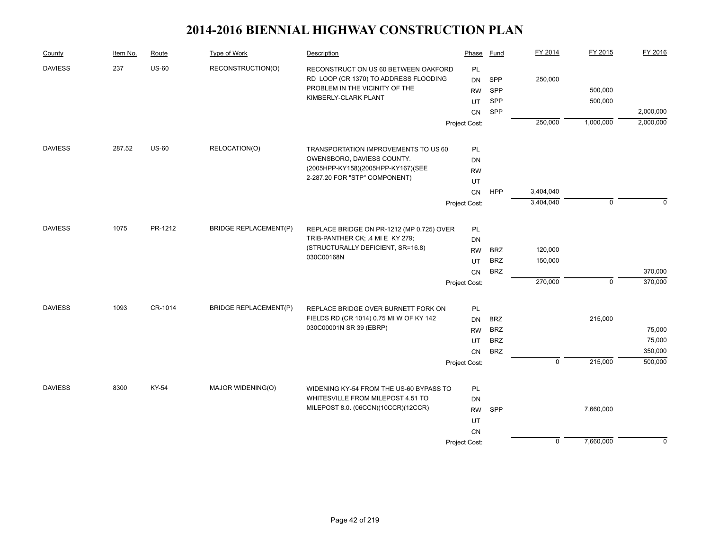| County         | Item No. | Route        | Type of Work                 | Description                                                                  | Phase         | Fund       | FY 2014        | FY 2015      | FY 2016     |
|----------------|----------|--------------|------------------------------|------------------------------------------------------------------------------|---------------|------------|----------------|--------------|-------------|
| <b>DAVIESS</b> | 237      | $US-60$      | RECONSTRUCTION(O)            | RECONSTRUCT ON US 60 BETWEEN OAKFORD                                         | PL            |            |                |              |             |
|                |          |              |                              | RD LOOP (CR 1370) TO ADDRESS FLOODING                                        | <b>DN</b>     | SPP        | 250,000        |              |             |
|                |          |              |                              | PROBLEM IN THE VICINITY OF THE<br>KIMBERLY-CLARK PLANT                       | <b>RW</b>     | SPP        |                | 500,000      |             |
|                |          |              |                              |                                                                              | UT            | SPP        |                | 500,000      |             |
|                |          |              |                              |                                                                              | CN            | SPP        |                |              | 2,000,000   |
|                |          |              |                              |                                                                              | Project Cost: |            | 250,000        | 1,000,000    | 2,000,000   |
| <b>DAVIESS</b> | 287.52   | <b>US-60</b> | RELOCATION(O)                | TRANSPORTATION IMPROVEMENTS TO US 60                                         | PL            |            |                |              |             |
|                |          |              |                              | OWENSBORO, DAVIESS COUNTY.                                                   | <b>DN</b>     |            |                |              |             |
|                |          |              |                              | (2005HPP-KY158)(2005HPP-KY167)(SEE                                           | <b>RW</b>     |            |                |              |             |
|                |          |              |                              | 2-287.20 FOR "STP" COMPONENT)                                                | UT            |            |                |              |             |
|                |          |              |                              |                                                                              | CN            | <b>HPP</b> | 3,404,040      |              |             |
|                |          |              |                              |                                                                              | Project Cost: |            | 3,404,040      | $\mathbf 0$  | $\Omega$    |
| <b>DAVIESS</b> | 1075     | PR-1212      | <b>BRIDGE REPLACEMENT(P)</b> | REPLACE BRIDGE ON PR-1212 (MP 0.725) OVER                                    | PL            |            |                |              |             |
|                |          |              |                              | TRIB-PANTHER CK; .4 MI E KY 279;                                             | DN            |            |                |              |             |
|                |          |              |                              | (STRUCTURALLY DEFICIENT, SR=16.8)                                            | <b>RW</b>     | <b>BRZ</b> | 120,000        |              |             |
|                |          |              |                              | 030C00168N                                                                   | UT            | <b>BRZ</b> | 150,000        |              |             |
|                |          |              |                              |                                                                              | <b>CN</b>     | <b>BRZ</b> |                |              | 370,000     |
|                |          |              |                              |                                                                              | Project Cost: |            | 270,000        | $\mathbf{0}$ | 370,000     |
| <b>DAVIESS</b> | 1093     | CR-1014      | <b>BRIDGE REPLACEMENT(P)</b> | REPLACE BRIDGE OVER BURNETT FORK ON                                          | PL            |            |                |              |             |
|                |          |              |                              | FIELDS RD (CR 1014) 0.75 MI W OF KY 142                                      | <b>DN</b>     | <b>BRZ</b> |                | 215,000      |             |
|                |          |              |                              | 030C00001N SR 39 (EBRP)                                                      | <b>RW</b>     | <b>BRZ</b> |                |              | 75,000      |
|                |          |              |                              |                                                                              | UT            | <b>BRZ</b> |                |              | 75,000      |
|                |          |              |                              |                                                                              | <b>CN</b>     | <b>BRZ</b> |                |              | 350,000     |
|                |          |              |                              |                                                                              | Project Cost: |            | $\overline{0}$ | 215,000      | 500,000     |
| <b>DAVIESS</b> | 8300     | KY-54        | MAJOR WIDENING(O)            |                                                                              |               |            |                |              |             |
|                |          |              |                              | WIDENING KY-54 FROM THE US-60 BYPASS TO<br>WHITESVILLE FROM MILEPOST 4.51 TO | PL<br>DN      |            |                |              |             |
|                |          |              |                              | MILEPOST 8.0. (06CCN)(10CCR)(12CCR)                                          | <b>RW</b>     | SPP        |                | 7,660,000    |             |
|                |          |              |                              |                                                                              | UT            |            |                |              |             |
|                |          |              |                              |                                                                              | <b>CN</b>     |            |                |              |             |
|                |          |              |                              |                                                                              | Project Cost: |            | $\mathbf 0$    | 7,660,000    | $\mathbf 0$ |
|                |          |              |                              |                                                                              |               |            |                |              |             |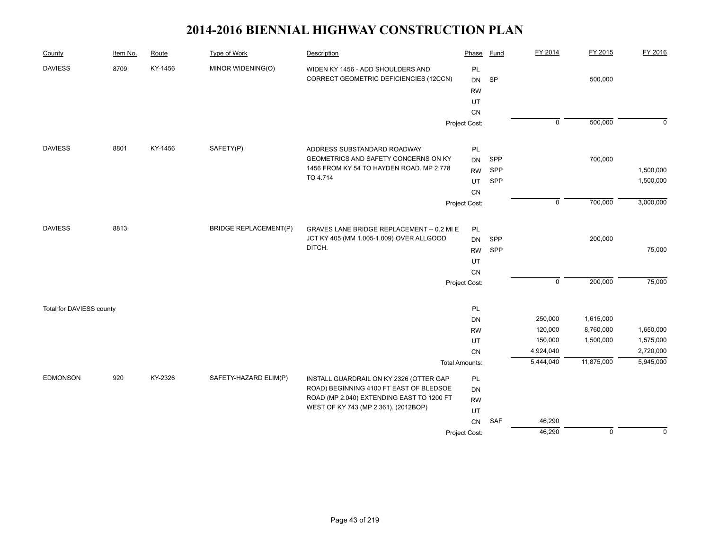| County                   | Item No. | Route   | <b>Type of Work</b>          | Description                                                                       | Phase                 | Fund | FY 2014        | FY 2015     | FY 2016     |
|--------------------------|----------|---------|------------------------------|-----------------------------------------------------------------------------------|-----------------------|------|----------------|-------------|-------------|
| <b>DAVIESS</b>           | 8709     | KY-1456 | MINOR WIDENING(O)            | WIDEN KY 1456 - ADD SHOULDERS AND<br>CORRECT GEOMETRIC DEFICIENCIES (12CCN)       | PL<br>DN<br><b>RW</b> | SP   |                | 500,000     |             |
|                          |          |         |                              |                                                                                   | UT                    |      |                |             |             |
|                          |          |         |                              |                                                                                   | CN                    |      |                |             |             |
|                          |          |         |                              |                                                                                   | Project Cost:         |      | $\overline{0}$ | 500,000     | $\mathbf 0$ |
|                          |          |         |                              |                                                                                   |                       |      |                |             |             |
| <b>DAVIESS</b>           | 8801     | KY-1456 | SAFETY(P)                    | ADDRESS SUBSTANDARD ROADWAY                                                       | PL                    |      |                |             |             |
|                          |          |         |                              | GEOMETRICS AND SAFETY CONCERNS ON KY                                              | <b>DN</b>             | SPP  |                | 700,000     |             |
|                          |          |         |                              | 1456 FROM KY 54 TO HAYDEN ROAD. MP 2.778<br>TO 4.714                              | <b>RW</b>             | SPP  |                |             | 1,500,000   |
|                          |          |         |                              |                                                                                   | UT                    | SPP  |                |             | 1,500,000   |
|                          |          |         |                              |                                                                                   | CN                    |      |                |             |             |
|                          |          |         |                              |                                                                                   | Project Cost:         |      | $\mathsf 0$    | 700,000     | 3,000,000   |
| <b>DAVIESS</b>           | 8813     |         | <b>BRIDGE REPLACEMENT(P)</b> | GRAVES LANE BRIDGE REPLACEMENT -- 0.2 MI E                                        | PL                    |      |                |             |             |
|                          |          |         |                              | JCT KY 405 (MM 1.005-1.009) OVER ALLGOOD                                          | <b>DN</b>             | SPP  |                | 200,000     |             |
|                          |          |         |                              | DITCH.                                                                            | <b>RW</b>             | SPP  |                |             | 75,000      |
|                          |          |         |                              |                                                                                   | UT                    |      |                |             |             |
|                          |          |         |                              | CN                                                                                |                       |      |                |             |             |
|                          |          |         |                              |                                                                                   | Project Cost:         |      | $\mathbf 0$    | 200,000     | 75,000      |
|                          |          |         |                              |                                                                                   |                       |      |                |             |             |
| Total for DAVIESS county |          |         |                              |                                                                                   | PL                    |      | 250,000        | 1,615,000   |             |
|                          |          |         |                              |                                                                                   | DN<br><b>RW</b>       |      | 120,000        | 8,760,000   | 1,650,000   |
|                          |          |         |                              |                                                                                   | UT                    |      | 150,000        | 1,500,000   | 1,575,000   |
|                          |          |         |                              |                                                                                   | CN                    |      | 4,924,040      |             | 2,720,000   |
|                          |          |         |                              |                                                                                   | <b>Total Amounts:</b> |      | 5,444,040      | 11,875,000  | 5,945,000   |
| <b>EDMONSON</b>          | 920      | KY-2326 | SAFETY-HAZARD ELIM(P)        | INSTALL GUARDRAIL ON KY 2326 (OTTER GAP                                           | PL                    |      |                |             |             |
|                          |          |         |                              | ROAD) BEGINNING 4100 FT EAST OF BLEDSOE                                           | DN                    |      |                |             |             |
|                          |          |         |                              | ROAD (MP 2.040) EXTENDING EAST TO 1200 FT<br>WEST OF KY 743 (MP 2.361). (2012BOP) | <b>RW</b>             |      |                |             |             |
|                          |          |         |                              |                                                                                   | UT                    |      |                |             |             |
|                          |          |         |                              |                                                                                   | CN                    | SAF  | 46,290         |             |             |
|                          |          |         |                              |                                                                                   | Project Cost:         |      | 46,290         | $\mathbf 0$ | $\mathbf 0$ |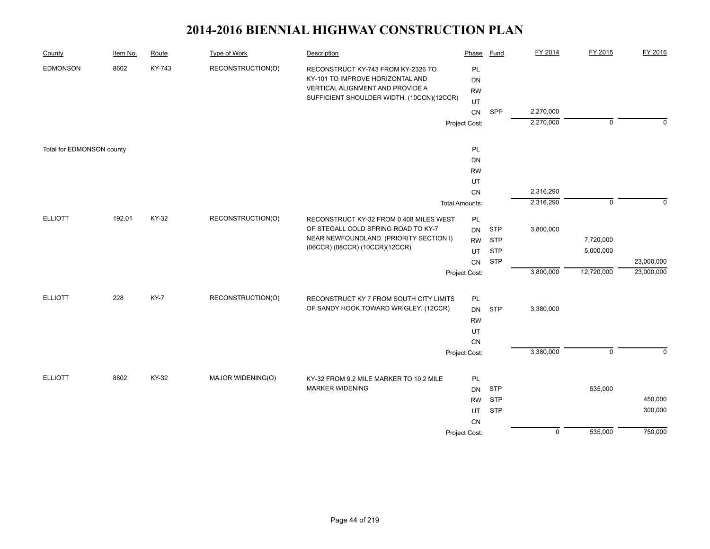| County                    | Item No. | Route  | <b>Type of Work</b> | Description                                                                                                                                             | Phase                        | <b>Fund</b> | FY 2014                | FY 2015        | FY 2016     |
|---------------------------|----------|--------|---------------------|---------------------------------------------------------------------------------------------------------------------------------------------------------|------------------------------|-------------|------------------------|----------------|-------------|
| <b>EDMONSON</b>           | 8602     | KY-743 | RECONSTRUCTION(O)   | RECONSTRUCT KY-743 FROM KY-2326 TO<br>KY-101 TO IMPROVE HORIZONTAL AND<br>VERTICAL ALIGNMENT AND PROVIDE A<br>SUFFICIENT SHOULDER WIDTH. (10CCN)(12CCR) | PL<br><b>DN</b><br><b>RW</b> |             |                        |                |             |
|                           |          |        |                     |                                                                                                                                                         | UT                           |             |                        |                |             |
|                           |          |        |                     |                                                                                                                                                         | CN                           | SPP         | 2,270,000<br>2,270,000 | $\overline{0}$ | $\mathbf 0$ |
|                           |          |        |                     |                                                                                                                                                         | Project Cost:                |             |                        |                |             |
| Total for EDMONSON county |          |        |                     |                                                                                                                                                         | PL                           |             |                        |                |             |
|                           |          |        |                     |                                                                                                                                                         | <b>DN</b>                    |             |                        |                |             |
|                           |          |        |                     |                                                                                                                                                         | <b>RW</b>                    |             |                        |                |             |
|                           |          |        |                     |                                                                                                                                                         | UT                           |             |                        |                |             |
|                           |          |        |                     |                                                                                                                                                         | CN                           |             | 2,316,290              |                |             |
|                           |          |        |                     |                                                                                                                                                         | <b>Total Amounts:</b>        |             | 2,316,290              | $\mathbf 0$    | $\Omega$    |
| <b>ELLIOTT</b>            | 192.01   | KY-32  | RECONSTRUCTION(O)   | RECONSTRUCT KY-32 FROM 0.408 MILES WEST<br>OF STEGALL COLD SPRING ROAD TO KY-7                                                                          | PL<br><b>DN</b>              | <b>STP</b>  | 3,800,000              |                |             |
|                           |          |        |                     | NEAR NEWFOUNDLAND. (PRIORITY SECTION I)                                                                                                                 | <b>RW</b>                    | <b>STP</b>  |                        | 7,720,000      |             |
|                           |          |        |                     | (06CCR) (08CCR) (10CCR) (12CCR)                                                                                                                         | UT                           | <b>STP</b>  |                        | 5,000,000      |             |
|                           |          |        |                     |                                                                                                                                                         | CN                           | <b>STP</b>  |                        |                | 23,000,000  |
|                           |          |        |                     |                                                                                                                                                         | Project Cost:                |             | 3,800,000              | 12,720,000     | 23,000,000  |
| <b>ELLIOTT</b>            | 228      | KY-7   | RECONSTRUCTION(O)   | RECONSTRUCT KY 7 FROM SOUTH CITY LIMITS                                                                                                                 | PL                           |             |                        |                |             |
|                           |          |        |                     | OF SANDY HOOK TOWARD WRIGLEY. (12CCR)                                                                                                                   | <b>DN</b>                    | <b>STP</b>  | 3,380,000              |                |             |
|                           |          |        |                     |                                                                                                                                                         | <b>RW</b>                    |             |                        |                |             |
|                           |          |        |                     |                                                                                                                                                         | UT                           |             |                        |                |             |
|                           |          |        |                     |                                                                                                                                                         | <b>CN</b>                    |             |                        |                |             |
|                           |          |        |                     |                                                                                                                                                         | Project Cost:                |             | 3,380,000              | $\mathsf 0$    | $\mathbf 0$ |
| <b>ELLIOTT</b>            | 8802     | KY-32  | MAJOR WIDENING(O)   | KY-32 FROM 9.2 MILE MARKER TO 10.2 MILE                                                                                                                 | PL                           |             |                        |                |             |
|                           |          |        |                     | <b>MARKER WIDENING</b>                                                                                                                                  | <b>DN</b>                    | <b>STP</b>  |                        | 535,000        |             |
|                           |          |        |                     |                                                                                                                                                         | <b>RW</b>                    | <b>STP</b>  |                        |                | 450,000     |
|                           |          |        |                     |                                                                                                                                                         | UT                           | <b>STP</b>  |                        |                | 300,000     |
|                           |          |        |                     |                                                                                                                                                         | CN                           |             |                        |                |             |
|                           |          |        |                     |                                                                                                                                                         | Project Cost:                |             | $\overline{0}$         | 535,000        | 750,000     |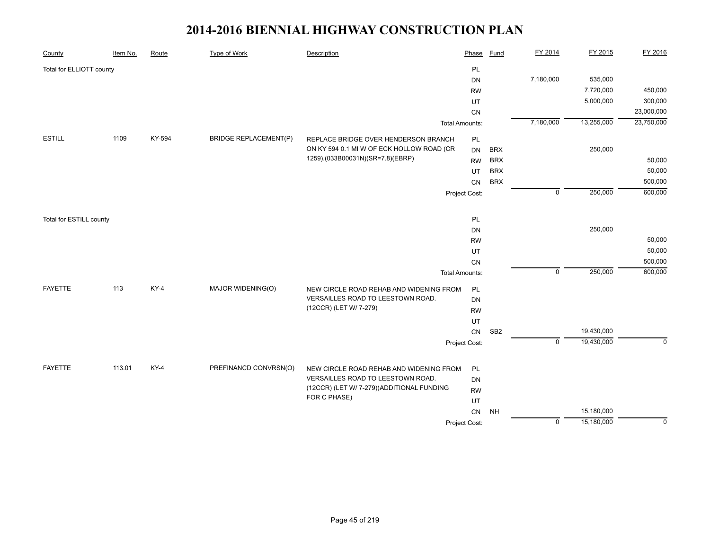| PL<br>Total for ELLIOTT county<br>7,180,000<br>535,000<br><b>DN</b>                                           | 450,000     |
|---------------------------------------------------------------------------------------------------------------|-------------|
|                                                                                                               |             |
|                                                                                                               |             |
| 7,720,000<br><b>RW</b>                                                                                        |             |
| 5,000,000<br>UT                                                                                               | 300,000     |
| CN                                                                                                            | 23,000,000  |
| 7,180,000<br>13,255,000<br><b>Total Amounts:</b>                                                              | 23,750,000  |
| <b>ESTILL</b><br>1109<br>KY-594<br><b>BRIDGE REPLACEMENT(P)</b><br>REPLACE BRIDGE OVER HENDERSON BRANCH<br>PL |             |
| ON KY 594 0.1 MI W OF ECK HOLLOW ROAD (CR<br>250,000<br><b>BRX</b><br><b>DN</b>                               |             |
| 1259).(033B00031N)(SR=7.8)(EBRP)<br><b>BRX</b><br><b>RW</b>                                                   | 50,000      |
| <b>BRX</b><br>UT                                                                                              | 50,000      |
| <b>BRX</b><br>CN                                                                                              | 500,000     |
| $\overline{0}$<br>250,000<br>Project Cost:                                                                    | 600,000     |
| PL<br>Total for ESTILL county                                                                                 |             |
| 250,000<br><b>DN</b>                                                                                          |             |
| <b>RW</b>                                                                                                     | 50,000      |
| UT                                                                                                            | 50,000      |
| CN                                                                                                            | 500,000     |
| $\mathbf 0$<br>250,000<br><b>Total Amounts:</b>                                                               | 600,000     |
| <b>FAYETTE</b><br>113<br>$KY-4$<br>MAJOR WIDENING(O)<br>NEW CIRCLE ROAD REHAB AND WIDENING FROM<br>PL         |             |
| VERSAILLES ROAD TO LEESTOWN ROAD.<br>DN                                                                       |             |
| (12CCR) (LET W/ 7-279)<br><b>RW</b>                                                                           |             |
| UT                                                                                                            |             |
| SB <sub>2</sub><br>19,430,000<br>${\sf CN}$                                                                   |             |
| $\mathbf 0$<br>19,430,000<br>Project Cost:                                                                    | $\mathbf 0$ |
| <b>FAYETTE</b><br>113.01<br>$KY-4$<br>PREFINANCD CONVRSN(O)                                                   |             |
| NEW CIRCLE ROAD REHAB AND WIDENING FROM<br>PL<br>VERSAILLES ROAD TO LEESTOWN ROAD.<br>DN                      |             |
| (12CCR) (LET W/ 7-279) (ADDITIONAL FUNDING<br><b>RW</b>                                                       |             |
| FOR C PHASE)<br>UT                                                                                            |             |
| 15,180,000<br>CN<br><b>NH</b>                                                                                 |             |
| 15,180,000<br>$\mathbf 0$<br>Project Cost:                                                                    | $\Omega$    |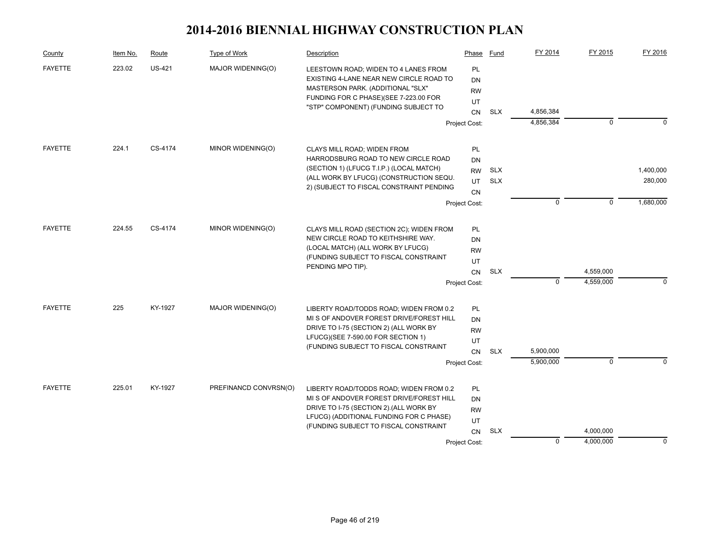| County         | Item No. | Route         | Type of Work          | Description                                                                                                                 | Phase           | Fund       | FY 2014     | FY 2015     | FY 2016     |
|----------------|----------|---------------|-----------------------|-----------------------------------------------------------------------------------------------------------------------------|-----------------|------------|-------------|-------------|-------------|
| <b>FAYETTE</b> | 223.02   | <b>US-421</b> | MAJOR WIDENING(O)     | LEESTOWN ROAD; WIDEN TO 4 LANES FROM<br>EXISTING 4-LANE NEAR NEW CIRCLE ROAD TO                                             | <b>PL</b><br>DN |            |             |             |             |
|                |          |               |                       | MASTERSON PARK. (ADDITIONAL "SLX"                                                                                           | <b>RW</b>       |            |             |             |             |
|                |          |               |                       | FUNDING FOR C PHASE)(SEE 7-223.00 FOR                                                                                       | UT              |            |             |             |             |
|                |          |               |                       | "STP" COMPONENT) (FUNDING SUBJECT TO                                                                                        | <b>CN</b>       | <b>SLX</b> | 4,856,384   |             |             |
|                |          |               |                       | Project Cost:                                                                                                               |                 |            | 4,856,384   | $\mathbf 0$ | $\Omega$    |
| <b>FAYETTE</b> | 224.1    | CS-4174       | MINOR WIDENING(O)     |                                                                                                                             |                 |            |             |             |             |
|                |          |               |                       | CLAYS MILL ROAD; WIDEN FROM<br>HARRODSBURG ROAD TO NEW CIRCLE ROAD                                                          | PL<br>DN        |            |             |             |             |
|                |          |               |                       | (SECTION 1) (LFUCG T.I.P.) (LOCAL MATCH)                                                                                    | <b>RW</b>       | <b>SLX</b> |             |             | 1,400,000   |
|                |          |               |                       | (ALL WORK BY LFUCG) (CONSTRUCTION SEQU.                                                                                     | UT              | <b>SLX</b> |             |             | 280,000     |
|                |          |               |                       | 2) (SUBJECT TO FISCAL CONSTRAINT PENDING                                                                                    | CN              |            |             |             |             |
|                |          |               |                       |                                                                                                                             | Project Cost:   |            | $\mathbf 0$ | $\mathbf 0$ | 1,680,000   |
| <b>FAYETTE</b> | 224.55   | CS-4174       | MINOR WIDENING(O)     | CLAYS MILL ROAD (SECTION 2C); WIDEN FROM                                                                                    | PL              |            |             |             |             |
|                |          |               |                       | NEW CIRCLE ROAD TO KEITHSHIRE WAY.                                                                                          | DN              |            |             |             |             |
|                |          |               |                       | (LOCAL MATCH) (ALL WORK BY LFUCG)                                                                                           | <b>RW</b>       |            |             |             |             |
|                |          |               |                       | (FUNDING SUBJECT TO FISCAL CONSTRAINT                                                                                       | UT              |            |             |             |             |
|                |          |               |                       | PENDING MPO TIP).                                                                                                           | CN              | <b>SLX</b> |             | 4,559,000   |             |
|                |          |               |                       |                                                                                                                             | Project Cost:   |            | $\mathbf 0$ | 4,559,000   | $\mathbf 0$ |
| <b>FAYETTE</b> | 225      | KY-1927       | MAJOR WIDENING(O)     | LIBERTY ROAD/TODDS ROAD; WIDEN FROM 0.2                                                                                     | PL              |            |             |             |             |
|                |          |               |                       | MI S OF ANDOVER FOREST DRIVE/FOREST HILL                                                                                    | DN              |            |             |             |             |
|                |          |               |                       | DRIVE TO I-75 (SECTION 2) (ALL WORK BY                                                                                      | <b>RW</b>       |            |             |             |             |
|                |          |               |                       | LFUCG)(SEE 7-590.00 FOR SECTION 1)                                                                                          | UT              |            |             |             |             |
|                |          |               |                       | (FUNDING SUBJECT TO FISCAL CONSTRAINT                                                                                       | CN              | <b>SLX</b> | 5,900,000   |             |             |
|                |          |               |                       |                                                                                                                             | Project Cost:   |            | 5,900,000   | $\mathbf 0$ | n           |
| <b>FAYETTE</b> | 225.01   | KY-1927       | PREFINANCD CONVRSN(O) | LIBERTY ROAD/TODDS ROAD; WIDEN FROM 0.2                                                                                     | <b>PL</b>       |            |             |             |             |
|                |          |               |                       | MIS OF ANDOVER FOREST DRIVE/FOREST HILL                                                                                     | DN              |            |             |             |             |
|                |          |               |                       | DRIVE TO I-75 (SECTION 2). (ALL WORK BY<br>LFUCG) (ADDITIONAL FUNDING FOR C PHASE)<br>(FUNDING SUBJECT TO FISCAL CONSTRAINT | <b>RW</b>       |            |             |             |             |
|                |          |               |                       |                                                                                                                             | UT              |            |             |             |             |
|                |          |               |                       |                                                                                                                             | <b>CN</b>       | <b>SLX</b> |             | 4,000,000   |             |
|                |          |               |                       |                                                                                                                             | Project Cost:   |            | $\mathbf 0$ | 4,000,000   | $\Omega$    |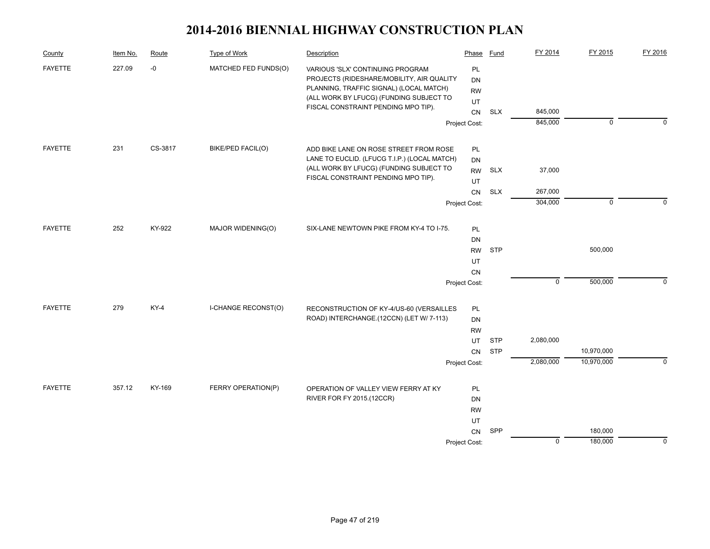| County         | Item No. | Route   | Type of Work         | Description                                                                    | Phase         | Fund       | FY 2014     | FY 2015     | FY 2016     |
|----------------|----------|---------|----------------------|--------------------------------------------------------------------------------|---------------|------------|-------------|-------------|-------------|
| <b>FAYETTE</b> | 227.09   | $-0$    | MATCHED FED FUNDS(O) | VARIOUS 'SLX' CONTINUING PROGRAM<br>PROJECTS (RIDESHARE/MOBILITY, AIR QUALITY  | PL<br>DN      |            |             |             |             |
|                |          |         |                      | PLANNING, TRAFFIC SIGNAL) (LOCAL MATCH)                                        | <b>RW</b>     |            |             |             |             |
|                |          |         |                      | (ALL WORK BY LFUCG) (FUNDING SUBJECT TO<br>FISCAL CONSTRAINT PENDING MPO TIP). | UT            |            |             |             |             |
|                |          |         |                      |                                                                                |               | <b>SLX</b> | 845,000     |             |             |
|                |          |         |                      |                                                                                | Project Cost: |            | 845,000     | $\mathbf 0$ | $\Omega$    |
| <b>FAYETTE</b> | 231      | CS-3817 | BIKE/PED FACIL(O)    | ADD BIKE LANE ON ROSE STREET FROM ROSE                                         | PL            |            |             |             |             |
|                |          |         |                      | LANE TO EUCLID. (LFUCG T.I.P.) (LOCAL MATCH)                                   | DN            |            |             |             |             |
|                |          |         |                      | (ALL WORK BY LFUCG) (FUNDING SUBJECT TO                                        | <b>RW</b>     | <b>SLX</b> | 37,000      |             |             |
|                |          |         |                      | FISCAL CONSTRAINT PENDING MPO TIP).                                            | UT            |            |             |             |             |
|                |          |         |                      |                                                                                | <b>CN</b>     | <b>SLX</b> | 267,000     |             |             |
|                |          |         |                      |                                                                                | Project Cost: |            | 304,000     | $\mathbf 0$ | $\Omega$    |
| <b>FAYETTE</b> | 252      | KY-922  | MAJOR WIDENING(O)    | SIX-LANE NEWTOWN PIKE FROM KY-4 TO I-75.                                       | PL            |            |             |             |             |
|                |          |         |                      |                                                                                | DN            |            |             |             |             |
|                |          |         |                      |                                                                                | <b>RW</b>     | <b>STP</b> |             | 500,000     |             |
|                |          |         |                      |                                                                                | UT            |            |             |             |             |
|                |          |         |                      |                                                                                | CN            |            |             |             |             |
|                |          |         |                      |                                                                                | Project Cost: |            | $\mathsf 0$ | 500,000     | 0           |
| <b>FAYETTE</b> | 279      | $KY-4$  | I-CHANGE RECONST(O)  | RECONSTRUCTION OF KY-4/US-60 (VERSAILLES                                       | PL            |            |             |             |             |
|                |          |         |                      | ROAD) INTERCHANGE.(12CCN) (LET W/ 7-113)                                       | <b>DN</b>     |            |             |             |             |
|                |          |         |                      |                                                                                | <b>RW</b>     |            |             |             |             |
|                |          |         |                      |                                                                                | UT            | <b>STP</b> | 2,080,000   |             |             |
|                |          |         |                      |                                                                                | CN            | <b>STP</b> |             | 10,970,000  |             |
|                |          |         |                      |                                                                                | Project Cost: |            | 2,080,000   | 10,970,000  | $\Omega$    |
| <b>FAYETTE</b> | 357.12   | KY-169  | FERRY OPERATION(P)   | OPERATION OF VALLEY VIEW FERRY AT KY                                           | PL            |            |             |             |             |
|                |          |         |                      | RIVER FOR FY 2015.(12CCR)                                                      |               |            |             |             |             |
|                |          |         |                      |                                                                                |               |            |             |             |             |
|                |          |         |                      | <b>RW</b>                                                                      | UT            |            |             |             |             |
|                |          |         |                      |                                                                                | CN            | SPP        |             | 180,000     |             |
|                |          |         |                      |                                                                                | Project Cost: |            | $\mathbf 0$ | 180,000     | $\mathbf 0$ |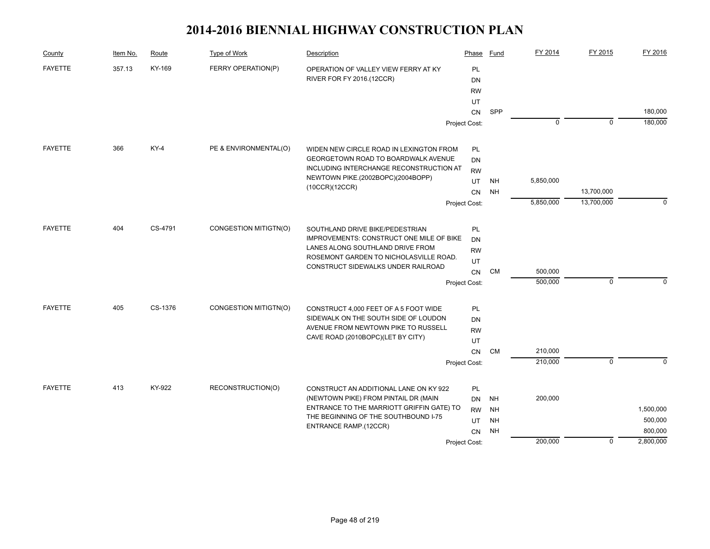| County         | Item No. | Route   | Type of Work          | Description                                                                  | Phase         | Fund      | FY 2014     | FY 2015        | FY 2016   |
|----------------|----------|---------|-----------------------|------------------------------------------------------------------------------|---------------|-----------|-------------|----------------|-----------|
| <b>FAYETTE</b> | 357.13   | KY-169  | FERRY OPERATION(P)    | OPERATION OF VALLEY VIEW FERRY AT KY                                         | PL            |           |             |                |           |
|                |          |         |                       | RIVER FOR FY 2016.(12CCR)                                                    | DN            |           |             |                |           |
|                |          |         |                       |                                                                              | <b>RW</b>     |           |             |                |           |
|                |          |         |                       |                                                                              | UT            |           |             |                |           |
|                |          |         |                       |                                                                              | <b>CN</b>     | SPP       |             |                | 180,000   |
|                |          |         |                       |                                                                              | Project Cost: |           | $\mathbf 0$ | $\mathbf 0$    | 180,000   |
| <b>FAYETTE</b> | 366      | $KY-4$  | PE & ENVIRONMENTAL(O) | WIDEN NEW CIRCLE ROAD IN LEXINGTON FROM                                      | PL            |           |             |                |           |
|                |          |         |                       | GEORGETOWN ROAD TO BOARDWALK AVENUE                                          | DN            |           |             |                |           |
|                |          |         |                       | INCLUDING INTERCHANGE RECONSTRUCTION AT                                      | <b>RW</b>     |           |             |                |           |
|                |          |         |                       | NEWTOWN PIKE.(2002BOPC)(2004BOPP)                                            | UT            | NH        | 5,850,000   |                |           |
|                |          |         |                       | (10CCR)(12CCR)                                                               | CN            | <b>NH</b> |             | 13,700,000     |           |
|                |          |         |                       |                                                                              | Project Cost: |           | 5,850,000   | 13,700,000     | $\Omega$  |
| <b>FAYETTE</b> | 404      | CS-4791 | CONGESTION MITIGTN(O) | SOUTHLAND DRIVE BIKE/PEDESTRIAN                                              | PL            |           |             |                |           |
|                |          |         |                       | IMPROVEMENTS: CONSTRUCT ONE MILE OF BIKE                                     | <b>DN</b>     |           |             |                |           |
|                |          |         |                       | LANES ALONG SOUTHLAND DRIVE FROM                                             | <b>RW</b>     |           |             |                |           |
|                |          |         |                       | ROSEMONT GARDEN TO NICHOLASVILLE ROAD.<br>CONSTRUCT SIDEWALKS UNDER RAILROAD | UT            |           |             |                |           |
|                |          |         |                       |                                                                              | CN            | <b>CM</b> | 500,000     |                |           |
|                |          |         |                       | Project Cost:                                                                |               |           | 500,000     | $\mathbf 0$    | $\Omega$  |
| <b>FAYETTE</b> | 405      | CS-1376 | CONGESTION MITIGTN(O) | CONSTRUCT 4,000 FEET OF A 5 FOOT WIDE                                        | PL            |           |             |                |           |
|                |          |         |                       | SIDEWALK ON THE SOUTH SIDE OF LOUDON                                         | DN            |           |             |                |           |
|                |          |         |                       | AVENUE FROM NEWTOWN PIKE TO RUSSELL                                          | <b>RW</b>     |           |             |                |           |
|                |          |         |                       | CAVE ROAD (2010BOPC)(LET BY CITY)                                            | UT            |           |             |                |           |
|                |          |         |                       |                                                                              | CN            | CM        | 210,000     |                |           |
|                |          |         |                       |                                                                              | Project Cost: |           | 210,000     | $\overline{0}$ | $\Omega$  |
| <b>FAYETTE</b> | 413      | KY-922  | RECONSTRUCTION(O)     | CONSTRUCT AN ADDITIONAL LANE ON KY 922                                       | PL            |           |             |                |           |
|                |          |         |                       | (NEWTOWN PIKE) FROM PINTAIL DR (MAIN                                         | DN            | NH        | 200,000     |                |           |
|                |          |         |                       | ENTRANCE TO THE MARRIOTT GRIFFIN GATE) TO                                    | <b>RW</b>     | <b>NH</b> |             |                | 1,500,000 |
|                |          |         |                       | THE BEGINNING OF THE SOUTHBOUND I-75<br>ENTRANCE RAMP.(12CCR)                | UT            | <b>NH</b> |             |                | 500,000   |
|                |          |         |                       |                                                                              | CN            | <b>NH</b> |             |                | 800,000   |
|                |          |         |                       |                                                                              | Project Cost: |           | 200,000     | $\mathbf 0$    | 2,800,000 |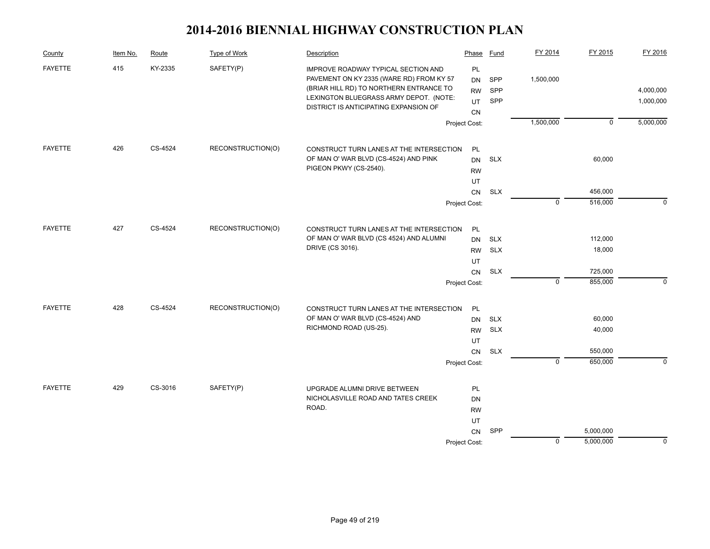| County         | Item No. | Route   | Type of Work      | Description                                                                                                                                                                                                   | Phase                             | <b>Fund</b>       | FY 2014        | FY 2015        | FY 2016                |
|----------------|----------|---------|-------------------|---------------------------------------------------------------------------------------------------------------------------------------------------------------------------------------------------------------|-----------------------------------|-------------------|----------------|----------------|------------------------|
| <b>FAYETTE</b> | 415      | KY-2335 | SAFETY(P)         | IMPROVE ROADWAY TYPICAL SECTION AND<br>PAVEMENT ON KY 2335 (WARE RD) FROM KY 57<br>(BRIAR HILL RD) TO NORTHERN ENTRANCE TO<br>LEXINGTON BLUEGRASS ARMY DEPOT. (NOTE:<br>DISTRICT IS ANTICIPATING EXPANSION OF | PL<br>DN<br><b>RW</b><br>UT<br>CN | SPP<br>SPP<br>SPP | 1,500,000      |                | 4,000,000<br>1,000,000 |
|                |          |         |                   |                                                                                                                                                                                                               | Project Cost:                     |                   | 1,500,000      | $\overline{0}$ | 5,000,000              |
| <b>FAYETTE</b> | 426      | CS-4524 | RECONSTRUCTION(O) | CONSTRUCT TURN LANES AT THE INTERSECTION                                                                                                                                                                      | PL                                |                   |                |                |                        |
|                |          |         |                   | OF MAN O' WAR BLVD (CS-4524) AND PINK                                                                                                                                                                         | DN                                | <b>SLX</b>        |                | 60,000         |                        |
|                |          |         |                   | PIGEON PKWY (CS-2540).                                                                                                                                                                                        | <b>RW</b>                         |                   |                |                |                        |
|                |          |         |                   |                                                                                                                                                                                                               | UT                                |                   |                |                |                        |
|                |          |         |                   |                                                                                                                                                                                                               | CN                                | <b>SLX</b>        |                | 456,000        |                        |
|                |          |         |                   |                                                                                                                                                                                                               | Project Cost:                     |                   | $\overline{0}$ | 516,000        | $\Omega$               |
| <b>FAYETTE</b> | 427      | CS-4524 | RECONSTRUCTION(O) | CONSTRUCT TURN LANES AT THE INTERSECTION                                                                                                                                                                      | PL                                |                   |                |                |                        |
|                |          |         |                   | OF MAN O' WAR BLVD (CS 4524) AND ALUMNI                                                                                                                                                                       | <b>DN</b>                         | <b>SLX</b>        |                | 112,000        |                        |
|                |          |         |                   | DRIVE (CS 3016).                                                                                                                                                                                              | <b>RW</b>                         | <b>SLX</b>        |                | 18,000         |                        |
|                |          |         |                   |                                                                                                                                                                                                               | UT                                |                   |                |                |                        |
|                |          |         |                   |                                                                                                                                                                                                               | CN                                | <b>SLX</b>        |                | 725,000        |                        |
|                |          |         |                   |                                                                                                                                                                                                               | Project Cost:                     |                   | $\mathbf 0$    | 855,000        | $\mathbf 0$            |
| <b>FAYETTE</b> | 428      | CS-4524 | RECONSTRUCTION(O) | CONSTRUCT TURN LANES AT THE INTERSECTION                                                                                                                                                                      | PL                                |                   |                |                |                        |
|                |          |         |                   | OF MAN O' WAR BLVD (CS-4524) AND                                                                                                                                                                              | <b>DN</b>                         | <b>SLX</b>        |                | 60,000         |                        |
|                |          |         |                   | RICHMOND ROAD (US-25).                                                                                                                                                                                        | <b>RW</b>                         | <b>SLX</b>        |                | 40,000         |                        |
|                |          |         |                   |                                                                                                                                                                                                               | UT                                |                   |                |                |                        |
|                |          |         |                   |                                                                                                                                                                                                               | CN                                | <b>SLX</b>        |                | 550,000        |                        |
|                |          |         |                   |                                                                                                                                                                                                               | Project Cost:                     |                   | $\overline{0}$ | 650,000        | $\Omega$               |
| <b>FAYETTE</b> | 429      | CS-3016 | SAFETY(P)         | UPGRADE ALUMNI DRIVE BETWEEN                                                                                                                                                                                  | PL                                |                   |                |                |                        |
|                |          |         |                   | NICHOLASVILLE ROAD AND TATES CREEK                                                                                                                                                                            | DN                                |                   |                |                |                        |
|                |          |         |                   | ROAD.                                                                                                                                                                                                         | <b>RW</b>                         |                   |                |                |                        |
|                |          |         |                   |                                                                                                                                                                                                               | UT                                |                   |                |                |                        |
|                |          |         |                   |                                                                                                                                                                                                               | CN                                | SPP               |                | 5,000,000      |                        |
|                |          |         |                   |                                                                                                                                                                                                               | Project Cost:                     |                   | $\mathbf 0$    | 5,000,000      | 0                      |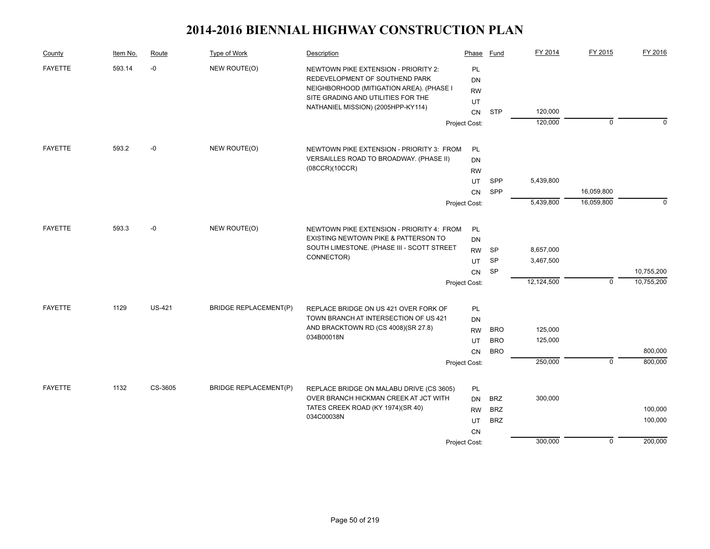| County         | Item No. | Route         | Type of Work                 | Description                                                                                                        | Phase                 | Fund       | FY 2014    | FY 2015        | FY 2016    |
|----------------|----------|---------------|------------------------------|--------------------------------------------------------------------------------------------------------------------|-----------------------|------------|------------|----------------|------------|
| <b>FAYETTE</b> | 593.14   | $-0$          | NEW ROUTE(O)                 | NEWTOWN PIKE EXTENSION - PRIORITY 2:<br>REDEVELOPMENT OF SOUTHEND PARK<br>NEIGHBORHOOD (MITIGATION AREA). (PHASE I | PL<br>DN<br><b>RW</b> |            |            |                |            |
|                |          |               |                              | SITE GRADING AND UTILITIES FOR THE                                                                                 | UT                    |            |            |                |            |
|                |          |               |                              | NATHANIEL MISSION) (2005HPP-KY114)                                                                                 | <b>CN</b>             | <b>STP</b> | 120,000    |                |            |
|                |          |               |                              |                                                                                                                    | Project Cost:         |            | 120,000    | $\mathbf 0$    | $\Omega$   |
| <b>FAYETTE</b> | 593.2    | -0            | NEW ROUTE(O)                 | NEWTOWN PIKE EXTENSION - PRIORITY 3: FROM                                                                          | PL                    |            |            |                |            |
|                |          |               |                              | VERSAILLES ROAD TO BROADWAY. (PHASE II)                                                                            | DN                    |            |            |                |            |
|                |          |               |                              | (08CCR)(10CCR)                                                                                                     | <b>RW</b>             |            |            |                |            |
|                |          |               |                              |                                                                                                                    | UT                    | SPP        | 5,439,800  |                |            |
|                |          |               |                              |                                                                                                                    | CN                    | SPP        |            | 16,059,800     |            |
|                |          |               |                              |                                                                                                                    | Project Cost:         |            | 5,439,800  | 16,059,800     | $\Omega$   |
| <b>FAYETTE</b> | 593.3    | $-0$          | NEW ROUTE(O)                 | NEWTOWN PIKE EXTENSION - PRIORITY 4: FROM                                                                          | PL                    |            |            |                |            |
|                |          |               |                              | EXISTING NEWTOWN PIKE & PATTERSON TO                                                                               | DN                    |            |            |                |            |
|                |          |               |                              | SOUTH LIMESTONE. (PHASE III - SCOTT STREET                                                                         | <b>RW</b>             | <b>SP</b>  | 8,657,000  |                |            |
|                |          |               |                              | CONNECTOR)                                                                                                         | UT                    | <b>SP</b>  | 3,467,500  |                |            |
|                |          |               |                              |                                                                                                                    | CN                    | SP         |            |                | 10,755,200 |
|                |          |               |                              |                                                                                                                    | Project Cost:         |            | 12,124,500 | $\mathbf 0$    | 10,755,200 |
| <b>FAYETTE</b> | 1129     | <b>US-421</b> | <b>BRIDGE REPLACEMENT(P)</b> | REPLACE BRIDGE ON US 421 OVER FORK OF                                                                              | PL                    |            |            |                |            |
|                |          |               |                              | TOWN BRANCH AT INTERSECTION OF US 421                                                                              | DN                    |            |            |                |            |
|                |          |               |                              | AND BRACKTOWN RD (CS 4008)(SR 27.8)                                                                                | <b>RW</b>             | <b>BRO</b> | 125,000    |                |            |
|                |          |               |                              | 034B00018N                                                                                                         | UT                    | <b>BRO</b> | 125,000    |                |            |
|                |          |               |                              |                                                                                                                    | <b>CN</b>             | <b>BRO</b> |            |                | 800,000    |
|                |          |               |                              |                                                                                                                    | Project Cost:         |            | 250,000    | $\overline{0}$ | 800,000    |
| <b>FAYETTE</b> | 1132     | CS-3605       | <b>BRIDGE REPLACEMENT(P)</b> | REPLACE BRIDGE ON MALABU DRIVE (CS 3605)                                                                           | PL                    |            |            |                |            |
|                |          |               |                              | OVER BRANCH HICKMAN CREEK AT JCT WITH                                                                              | DN                    | <b>BRZ</b> | 300,000    |                |            |
|                |          |               |                              | TATES CREEK ROAD (KY 1974)(SR 40)                                                                                  | <b>RW</b>             | <b>BRZ</b> |            |                | 100,000    |
|                |          |               |                              | 034C00038N                                                                                                         | UT                    | <b>BRZ</b> |            |                | 100,000    |
|                |          |               |                              |                                                                                                                    | <b>CN</b>             |            |            |                |            |
|                |          |               |                              |                                                                                                                    | Project Cost:         |            | 300,000    | 0              | 200,000    |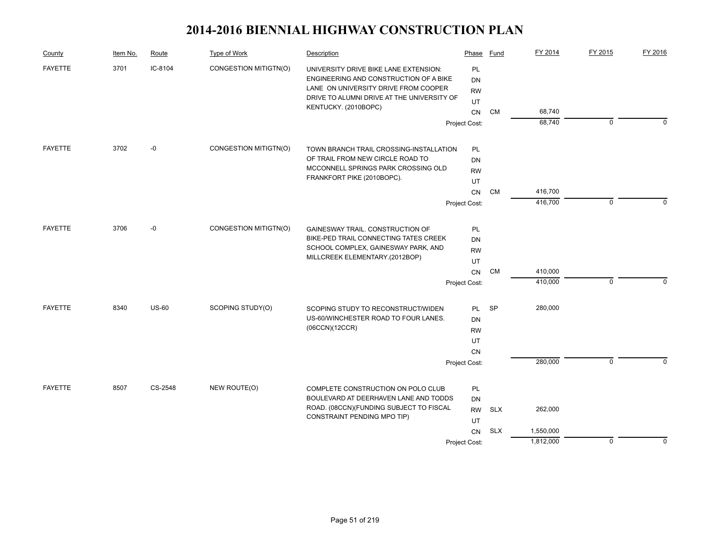| County         | Item No. | Route        | Type of Work          | Description                                                                                                                                                                                   | Phase                      | <b>Fund</b> | FY 2014   | FY 2015     | FY 2016  |
|----------------|----------|--------------|-----------------------|-----------------------------------------------------------------------------------------------------------------------------------------------------------------------------------------------|----------------------------|-------------|-----------|-------------|----------|
| <b>FAYETTE</b> | 3701     | IC-8104      | CONGESTION MITIGTN(O) | UNIVERSITY DRIVE BIKE LANE EXTENSION:<br>ENGINEERING AND CONSTRUCTION OF A BIKE<br>LANE ON UNIVERSITY DRIVE FROM COOPER<br>DRIVE TO ALUMNI DRIVE AT THE UNIVERSITY OF<br>KENTUCKY. (2010BOPC) |                            |             |           |             |          |
|                |          |              |                       |                                                                                                                                                                                               | <b>CN</b>                  | CM          | 68,740    |             |          |
|                |          |              |                       |                                                                                                                                                                                               | Project Cost:              |             | 68,740    | $\mathbf 0$ | n        |
| <b>FAYETTE</b> | 3702     | $-0$         | CONGESTION MITIGTN(O) | TOWN BRANCH TRAIL CROSSING-INSTALLATION                                                                                                                                                       | PL                         |             |           |             |          |
|                |          |              |                       | OF TRAIL FROM NEW CIRCLE ROAD TO                                                                                                                                                              | DN                         |             |           |             |          |
|                |          |              |                       | MCCONNELL SPRINGS PARK CROSSING OLD                                                                                                                                                           | <b>RW</b>                  |             |           |             |          |
|                |          |              |                       | FRANKFORT PIKE (2010BOPC).                                                                                                                                                                    | UT                         |             |           |             |          |
|                |          |              |                       |                                                                                                                                                                                               | CN                         | <b>CM</b>   | 416,700   |             |          |
|                |          |              |                       |                                                                                                                                                                                               | Project Cost:              |             | 416,700   | $\mathbf 0$ | $\Omega$ |
| <b>FAYETTE</b> | 3706     | $-0$         | CONGESTION MITIGTN(O) | GAINESWAY TRAIL. CONSTRUCTION OF                                                                                                                                                              | <b>PL</b>                  |             |           |             |          |
|                |          |              |                       | BIKE-PED TRAIL CONNECTING TATES CREEK                                                                                                                                                         | DN                         |             |           |             |          |
|                |          |              |                       | SCHOOL COMPLEX, GAINESWAY PARK, AND                                                                                                                                                           | <b>RW</b>                  |             |           |             |          |
|                |          |              |                       | MILLCREEK ELEMENTARY.(2012BOP)                                                                                                                                                                | UT                         |             |           |             |          |
|                |          |              |                       |                                                                                                                                                                                               | CN                         | <b>CM</b>   | 410,000   |             |          |
|                |          |              |                       |                                                                                                                                                                                               | Project Cost:              |             | 410,000   | 0           | 0        |
| <b>FAYETTE</b> | 8340     | <b>US-60</b> | SCOPING STUDY(O)      | SCOPING STUDY TO RECONSTRUCT/WIDEN                                                                                                                                                            | PL.                        | <b>SP</b>   | 280,000   |             |          |
|                |          |              |                       | US-60/WINCHESTER ROAD TO FOUR LANES.                                                                                                                                                          | DN                         |             |           |             |          |
|                |          |              |                       | (06CCN)(12CCR)                                                                                                                                                                                | <b>RW</b>                  |             |           |             |          |
|                |          |              |                       |                                                                                                                                                                                               | UT                         |             |           |             |          |
|                |          |              |                       |                                                                                                                                                                                               | <b>CN</b>                  |             |           |             |          |
|                |          |              |                       |                                                                                                                                                                                               | Project Cost:              |             | 280,000   | $\mathbf 0$ | $\Omega$ |
| <b>FAYETTE</b> | 8507     | CS-2548      | NEW ROUTE(O)          | COMPLETE CONSTRUCTION ON POLO CLUB                                                                                                                                                            | <b>PL</b>                  |             |           |             |          |
|                |          |              |                       | BOULEVARD AT DEERHAVEN LANE AND TODDS                                                                                                                                                         | <b>DN</b>                  |             |           |             |          |
|                |          |              |                       | ROAD. (08CCN)(FUNDING SUBJECT TO FISCAL<br>CONSTRAINT PENDING MPO TIP)                                                                                                                        | <b>RW</b>                  | <b>SLX</b>  | 262,000   |             |          |
|                |          |              |                       |                                                                                                                                                                                               | UT                         | <b>SLX</b>  | 1,550,000 |             |          |
|                |          |              |                       |                                                                                                                                                                                               | <b>CN</b><br>Project Cost: |             | 1,812,000 | 0           | $\Omega$ |
|                |          |              |                       |                                                                                                                                                                                               |                            |             |           |             |          |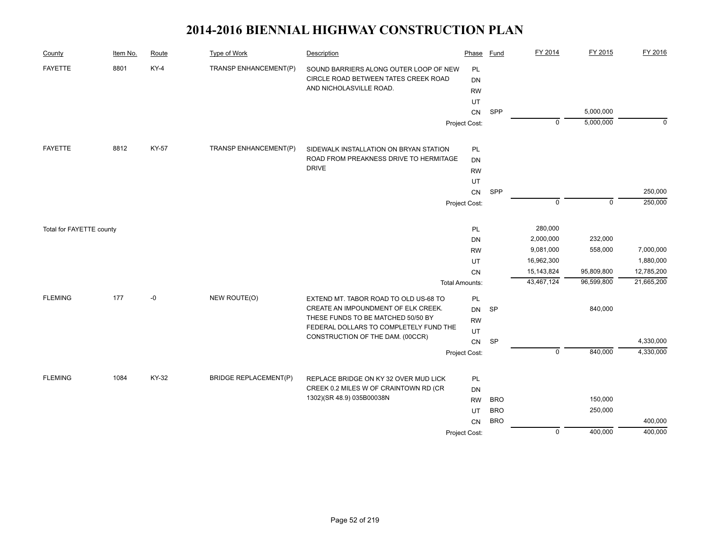| County                   | Item No. | Route        | <b>Type of Work</b>          | Description                                                                | Phase                 | Fund       | FY 2014        | FY 2015     | FY 2016     |
|--------------------------|----------|--------------|------------------------------|----------------------------------------------------------------------------|-----------------------|------------|----------------|-------------|-------------|
| <b>FAYETTE</b>           | 8801     | $KY-4$       | TRANSP ENHANCEMENT(P)        | SOUND BARRIERS ALONG OUTER LOOP OF NEW                                     | PL                    |            |                |             |             |
|                          |          |              |                              | CIRCLE ROAD BETWEEN TATES CREEK ROAD                                       | <b>DN</b>             |            |                |             |             |
|                          |          |              |                              | AND NICHOLASVILLE ROAD.                                                    | <b>RW</b>             |            |                |             |             |
|                          |          |              |                              |                                                                            | UT                    |            |                |             |             |
|                          |          |              |                              |                                                                            | ${\sf CN}$            | SPP        |                | 5,000,000   |             |
|                          |          |              |                              |                                                                            | Project Cost:         |            | $\mathbf 0$    | 5,000,000   | $\mathbf 0$ |
| <b>FAYETTE</b>           | 8812     | <b>KY-57</b> | TRANSP ENHANCEMENT(P)        | SIDEWALK INSTALLATION ON BRYAN STATION                                     | <b>PL</b>             |            |                |             |             |
|                          |          |              |                              | ROAD FROM PREAKNESS DRIVE TO HERMITAGE                                     | <b>DN</b>             |            |                |             |             |
|                          |          |              |                              | <b>DRIVE</b>                                                               | <b>RW</b>             |            |                |             |             |
|                          |          |              |                              |                                                                            | UT                    |            |                |             |             |
|                          |          |              |                              |                                                                            | CN                    | SPP        |                |             | 250,000     |
|                          |          |              |                              |                                                                            | Project Cost:         |            | $\mathbf 0$    | $\mathbf 0$ | 250,000     |
| Total for FAYETTE county |          |              |                              |                                                                            | PL                    |            | 280,000        |             |             |
|                          |          |              |                              |                                                                            | DN                    |            | 2,000,000      | 232,000     |             |
|                          |          |              |                              |                                                                            | <b>RW</b>             |            | 9,081,000      | 558,000     | 7,000,000   |
|                          |          |              |                              |                                                                            | UT                    |            | 16,962,300     |             | 1,880,000   |
|                          |          |              |                              |                                                                            | CN                    |            | 15,143,824     | 95,809,800  | 12,785,200  |
|                          |          |              |                              |                                                                            | <b>Total Amounts:</b> |            | 43,467,124     | 96,599,800  | 21,665,200  |
| <b>FLEMING</b>           | 177      | $-0$         | NEW ROUTE(O)                 | EXTEND MT. TABOR ROAD TO OLD US-68 TO                                      | PL                    |            |                |             |             |
|                          |          |              |                              | CREATE AN IMPOUNDMENT OF ELK CREEK.                                        | <b>DN</b>             | <b>SP</b>  |                | 840,000     |             |
|                          |          |              |                              | THESE FUNDS TO BE MATCHED 50/50 BY                                         | <b>RW</b>             |            |                |             |             |
|                          |          |              |                              | FEDERAL DOLLARS TO COMPLETELY FUND THE<br>CONSTRUCTION OF THE DAM. (00CCR) | UT                    |            |                |             |             |
|                          |          |              |                              |                                                                            | CN                    | <b>SP</b>  |                |             | 4,330,000   |
|                          |          |              |                              |                                                                            | Project Cost:         |            | $\mathbf 0$    | 840,000     | 4,330,000   |
| <b>FLEMING</b>           | 1084     | KY-32        | <b>BRIDGE REPLACEMENT(P)</b> | REPLACE BRIDGE ON KY 32 OVER MUD LICK                                      | PL                    |            |                |             |             |
|                          |          |              |                              | CREEK 0.2 MILES W OF CRAINTOWN RD (CR                                      | <b>DN</b>             |            |                |             |             |
|                          |          |              |                              | 1302)(SR 48.9) 035B00038N                                                  | <b>RW</b>             | <b>BRO</b> |                | 150,000     |             |
|                          |          |              |                              |                                                                            | UT                    | <b>BRO</b> |                | 250,000     |             |
|                          |          |              |                              |                                                                            | <b>CN</b>             | <b>BRO</b> |                |             | 400,000     |
|                          |          |              |                              |                                                                            | Project Cost:         |            | $\overline{0}$ | 400,000     | 400,000     |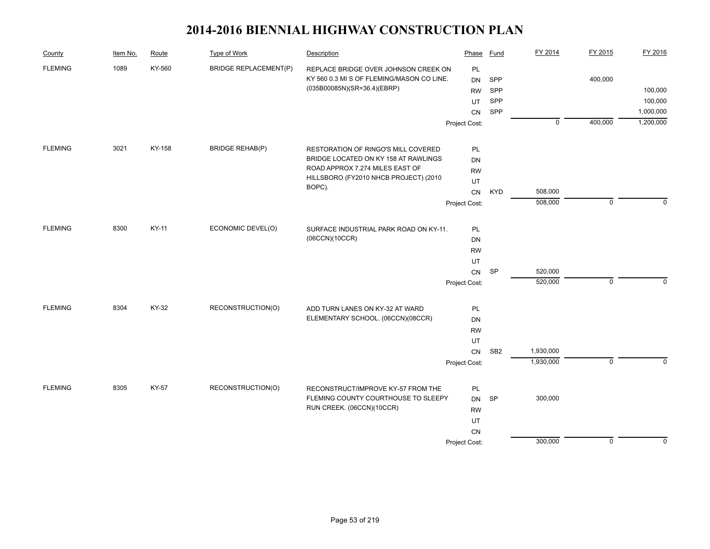| County         | Item No. | Route  | Type of Work                 | Description                                                               | Phase         | <b>Fund</b>     | FY 2014     | FY 2015        | FY 2016     |
|----------------|----------|--------|------------------------------|---------------------------------------------------------------------------|---------------|-----------------|-------------|----------------|-------------|
| <b>FLEMING</b> | 1089     | KY-560 | <b>BRIDGE REPLACEMENT(P)</b> | REPLACE BRIDGE OVER JOHNSON CREEK ON                                      | PL            |                 |             |                |             |
|                |          |        |                              | KY 560 0.3 MI S OF FLEMING/MASON CO LINE.                                 | DN            | SPP             |             | 400,000        |             |
|                |          |        |                              | (035B00085N)(SR=36.4)(EBRP)                                               | <b>RW</b>     | <b>SPP</b>      |             |                | 100,000     |
|                |          |        |                              |                                                                           | UT            | SPP             |             |                | 100,000     |
|                |          |        |                              |                                                                           | CN            | SPP             |             |                | 1,000,000   |
|                |          |        |                              |                                                                           | Project Cost: |                 | $\mathbf 0$ | 400,000        | 1,200,000   |
| <b>FLEMING</b> | 3021     | KY-158 | <b>BRIDGE REHAB(P)</b>       | RESTORATION OF RINGO'S MILL COVERED                                       | <b>PL</b>     |                 |             |                |             |
|                |          |        |                              | BRIDGE LOCATED ON KY 158 AT RAWLINGS                                      | DN            |                 |             |                |             |
|                |          |        |                              | ROAD APPROX 7.274 MILES EAST OF                                           | <b>RW</b>     |                 |             |                |             |
|                |          |        |                              | HILLSBORO (FY2010 NHCB PROJECT) (2010                                     | UT            |                 |             |                |             |
|                |          |        |                              | BOPC).                                                                    | CN            | <b>KYD</b>      | 508,000     |                |             |
|                |          |        |                              |                                                                           | Project Cost: |                 | 508,000     | $\mathbf 0$    | $\Omega$    |
|                |          |        |                              |                                                                           |               |                 |             |                |             |
| <b>FLEMING</b> | 8300     | KY-11  | ECONOMIC DEVEL(O)            | SURFACE INDUSTRIAL PARK ROAD ON KY-11.                                    | PL            |                 |             |                |             |
|                |          |        |                              | (06CCN)(10CCR)                                                            | DN            |                 |             |                |             |
|                |          |        |                              |                                                                           | <b>RW</b>     |                 |             |                |             |
|                |          |        |                              |                                                                           | UT            |                 |             |                |             |
|                |          |        |                              |                                                                           | CN            | SP              | 520,000     |                |             |
|                |          |        |                              |                                                                           | Project Cost: |                 | 520,000     | $\mathbf 0$    | $\mathbf 0$ |
| <b>FLEMING</b> | 8304     | KY-32  | RECONSTRUCTION(O)            | ADD TURN LANES ON KY-32 AT WARD                                           | PL            |                 |             |                |             |
|                |          |        |                              | ELEMENTARY SCHOOL. (06CCN)(08CCR)                                         | DN            |                 |             |                |             |
|                |          |        |                              |                                                                           | <b>RW</b>     |                 |             |                |             |
|                |          |        |                              |                                                                           | UT            |                 |             |                |             |
|                |          |        |                              |                                                                           | CN            | SB <sub>2</sub> | 1,930,000   |                |             |
|                |          |        |                              |                                                                           | Project Cost: |                 | 1,930,000   | $\overline{0}$ | $\Omega$    |
|                |          |        |                              |                                                                           |               |                 |             |                |             |
| <b>FLEMING</b> | 8305     | KY-57  | RECONSTRUCTION(O)            | RECONSTRUCT/IMPROVE KY-57 FROM THE<br>FLEMING COUNTY COURTHOUSE TO SLEEPY | PL            |                 |             |                |             |
|                |          |        |                              | RUN CREEK. (06CCN)(10CCR)                                                 | <b>DN</b>     | <b>SP</b>       | 300,000     |                |             |
|                |          |        |                              |                                                                           | <b>RW</b>     |                 |             |                |             |
|                |          |        |                              |                                                                           | UT            |                 |             |                |             |
|                |          |        |                              |                                                                           | <b>CN</b>     |                 | 300,000     | 0              | $\mathbf 0$ |
|                |          |        |                              |                                                                           | Project Cost: |                 |             |                |             |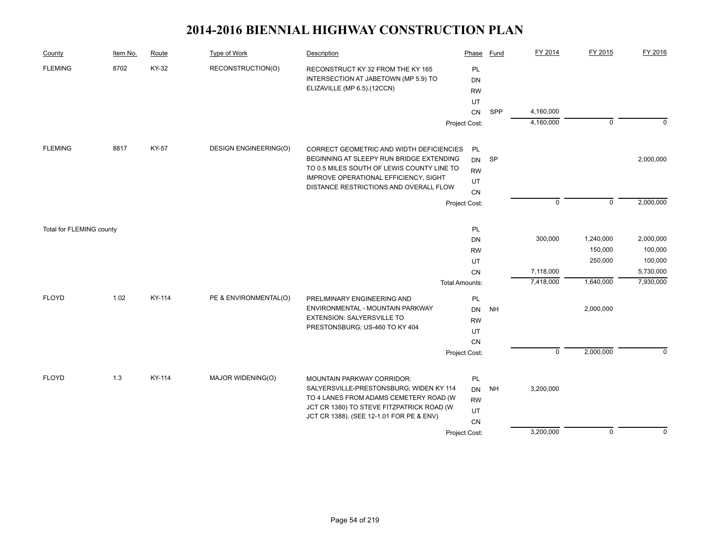| County                   | Item No. | Route  | <b>Type of Work</b>          | Description                                                                                              | Phase                        | Fund      | FY 2014     | FY 2015        | FY 2016     |
|--------------------------|----------|--------|------------------------------|----------------------------------------------------------------------------------------------------------|------------------------------|-----------|-------------|----------------|-------------|
| <b>FLEMING</b>           | 8702     | KY-32  | RECONSTRUCTION(O)            | RECONSTRUCT KY 32 FROM THE KY 165<br>INTERSECTION AT JABETOWN (MP 5.9) TO<br>ELIZAVILLE (MP 6.5).(12CCN) | PL<br><b>DN</b><br><b>RW</b> |           |             |                |             |
|                          |          |        |                              |                                                                                                          | UT                           |           |             |                |             |
|                          |          |        |                              |                                                                                                          | ${\sf CN}$                   | SPP       | 4,160,000   |                |             |
|                          |          |        |                              |                                                                                                          | Project Cost:                |           | 4,160,000   | $\mathbf 0$    | $\mathbf 0$ |
| <b>FLEMING</b>           | 8817     | KY-57  | <b>DESIGN ENGINEERING(O)</b> | CORRECT GEOMETRIC AND WIDTH DEFICIENCIES                                                                 | <b>PL</b>                    |           |             |                |             |
|                          |          |        |                              | BEGINNING AT SLEEPY RUN BRIDGE EXTENDING                                                                 | DN                           | SP        |             |                | 2,000,000   |
|                          |          |        |                              | TO 0.5 MILES SOUTH OF LEWIS COUNTY LINE TO                                                               | <b>RW</b>                    |           |             |                |             |
|                          |          |        |                              | IMPROVE OPERATIONAL EFFICIENCY, SIGHT<br>DISTANCE RESTRICTIONS AND OVERALL FLOW                          | UT                           |           |             |                |             |
|                          |          |        |                              |                                                                                                          | CN                           |           |             |                |             |
|                          |          |        |                              |                                                                                                          | Project Cost:                |           | $\mathbf 0$ | $\mathsf 0$    | 2,000,000   |
| Total for FLEMING county |          |        |                              |                                                                                                          | PL                           |           |             |                |             |
|                          |          |        |                              |                                                                                                          | DN                           |           | 300,000     | 1,240,000      | 2,000,000   |
|                          |          |        |                              |                                                                                                          | <b>RW</b>                    |           |             | 150,000        | 100,000     |
|                          |          |        |                              |                                                                                                          | UT                           |           |             | 250,000        | 100,000     |
|                          |          |        |                              |                                                                                                          | CN                           |           | 7,118,000   |                | 5,730,000   |
|                          |          |        |                              |                                                                                                          | <b>Total Amounts:</b>        |           | 7,418,000   | 1,640,000      | 7,930,000   |
| <b>FLOYD</b>             | 1.02     | KY-114 | PE & ENVIRONMENTAL(O)        | PRELIMINARY ENGINEERING AND                                                                              | PL                           |           |             |                |             |
|                          |          |        |                              | ENVIRONMENTAL - MOUNTAIN PARKWAY                                                                         | <b>DN</b>                    | <b>NH</b> |             | 2,000,000      |             |
|                          |          |        |                              | <b>EXTENSION: SALYERSVILLE TO</b>                                                                        | <b>RW</b>                    |           |             |                |             |
|                          |          |        |                              | PRESTONSBURG; US-460 TO KY 404                                                                           | UT                           |           |             |                |             |
|                          |          |        |                              |                                                                                                          | CN                           |           |             |                |             |
|                          |          |        |                              |                                                                                                          | Project Cost:                |           | $\mathbf 0$ | 2,000,000      | $\Omega$    |
| <b>FLOYD</b>             | 1.3      | KY-114 | MAJOR WIDENING(O)            | <b>MOUNTAIN PARKWAY CORRIDOR:</b>                                                                        | PL                           |           |             |                |             |
|                          |          |        |                              | SALYERSVILLE-PRESTONSBURG; WIDEN KY 114                                                                  | DN                           | <b>NH</b> | 3,200,000   |                |             |
|                          |          |        |                              | TO 4 LANES FROM ADAMS CEMETERY ROAD (W                                                                   | <b>RW</b>                    |           |             |                |             |
|                          |          |        |                              | JCT CR 1380) TO STEVE FITZPATRICK ROAD (W                                                                | UT                           |           |             |                |             |
|                          |          |        |                              | JCT CR 1388). (SEE 12-1.01 FOR PE & ENV)                                                                 | CN                           |           |             |                |             |
|                          |          |        |                              |                                                                                                          | Project Cost:                |           | 3,200,000   | $\overline{0}$ | $\Omega$    |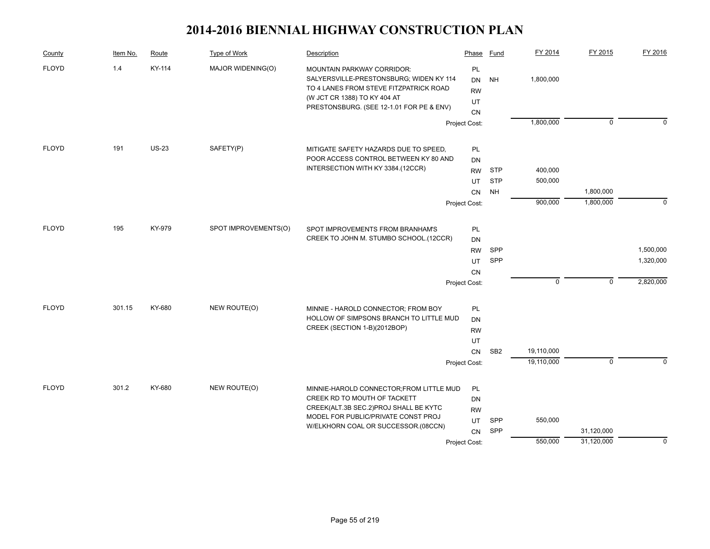| County       | Item No. | Route        | Type of Work         | Description                                                                                                                                                                                     | Phase                                    | <b>Fund</b>     | FY 2014     | FY 2015        | FY 2016     |
|--------------|----------|--------------|----------------------|-------------------------------------------------------------------------------------------------------------------------------------------------------------------------------------------------|------------------------------------------|-----------------|-------------|----------------|-------------|
| <b>FLOYD</b> | 1.4      | KY-114       | MAJOR WIDENING(O)    | MOUNTAIN PARKWAY CORRIDOR:<br>SALYERSVILLE-PRESTONSBURG; WIDEN KY 114<br>TO 4 LANES FROM STEVE FITZPATRICK ROAD<br>(W JCT CR 1388) TO KY 404 AT<br>PRESTONSBURG. (SEE 12-1.01 FOR PE & ENV)     | PL<br>DN<br><b>RW</b><br>UT<br><b>CN</b> | <b>NH</b>       | 1,800,000   |                |             |
|              |          |              |                      |                                                                                                                                                                                                 | Project Cost:                            |                 | 1,800,000   | $\overline{0}$ | $\Omega$    |
| <b>FLOYD</b> | 191      | <b>US-23</b> | SAFETY(P)            | MITIGATE SAFETY HAZARDS DUE TO SPEED,<br>POOR ACCESS CONTROL BETWEEN KY 80 AND                                                                                                                  | PL<br>DN                                 |                 |             |                |             |
|              |          |              |                      | INTERSECTION WITH KY 3384.(12CCR)                                                                                                                                                               | <b>RW</b>                                | <b>STP</b>      | 400,000     |                |             |
|              |          |              |                      |                                                                                                                                                                                                 | UT                                       | <b>STP</b>      | 500,000     |                |             |
|              |          |              |                      |                                                                                                                                                                                                 | CN                                       | <b>NH</b>       |             | 1,800,000      |             |
|              |          |              |                      |                                                                                                                                                                                                 | Project Cost:                            |                 | 900,000     | 1,800,000      | $\mathbf 0$ |
| <b>FLOYD</b> | 195      | KY-979       | SPOT IMPROVEMENTS(O) | SPOT IMPROVEMENTS FROM BRANHAM'S                                                                                                                                                                | PL                                       |                 |             |                |             |
|              |          |              |                      | CREEK TO JOHN M. STUMBO SCHOOL.(12CCR)                                                                                                                                                          | DN                                       |                 |             |                |             |
|              |          |              |                      |                                                                                                                                                                                                 | <b>RW</b>                                | SPP             |             |                | 1,500,000   |
|              |          |              |                      |                                                                                                                                                                                                 | UT                                       | SPP             |             |                | 1,320,000   |
|              |          |              |                      |                                                                                                                                                                                                 | CN                                       |                 |             |                |             |
|              |          |              |                      |                                                                                                                                                                                                 | Project Cost:                            |                 | $\mathbf 0$ | $\mathbf 0$    | 2,820,000   |
| <b>FLOYD</b> | 301.15   | KY-680       | NEW ROUTE(O)         | MINNIE - HAROLD CONNECTOR; FROM BOY                                                                                                                                                             | PL                                       |                 |             |                |             |
|              |          |              |                      | HOLLOW OF SIMPSONS BRANCH TO LITTLE MUD                                                                                                                                                         | DN                                       |                 |             |                |             |
|              |          |              |                      | CREEK (SECTION 1-B)(2012BOP)                                                                                                                                                                    | <b>RW</b>                                |                 |             |                |             |
|              |          |              |                      |                                                                                                                                                                                                 | UT                                       |                 |             |                |             |
|              |          |              |                      |                                                                                                                                                                                                 | CN                                       | SB <sub>2</sub> | 19,110,000  |                | $\Omega$    |
|              |          |              |                      |                                                                                                                                                                                                 | Project Cost:                            |                 | 19,110,000  | $\mathbf 0$    |             |
| <b>FLOYD</b> | 301.2    | KY-680       | NEW ROUTE(O)         | MINNIE-HAROLD CONNECTOR; FROM LITTLE MUD<br>CREEK RD TO MOUTH OF TACKETT<br>CREEK(ALT.3B SEC.2)PROJ SHALL BE KYTC<br>MODEL FOR PUBLIC/PRIVATE CONST PROJ<br>W/ELKHORN COAL OR SUCCESSOR.(08CCN) | PL<br>DN<br><b>RW</b><br>UT<br>CN        | SPP<br>SPP      | 550,000     | 31,120,000     |             |
|              |          |              |                      |                                                                                                                                                                                                 | Project Cost:                            |                 | 550,000     | 31,120,000     | $\mathbf 0$ |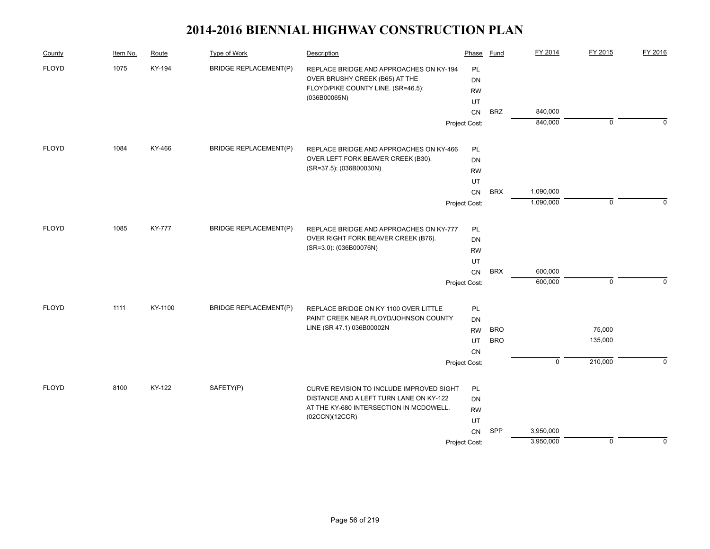| County       | Item No. | Route         | Type of Work                 | Description                              | Phase           | Fund       | FY 2014        | FY 2015     | FY 2016  |
|--------------|----------|---------------|------------------------------|------------------------------------------|-----------------|------------|----------------|-------------|----------|
| <b>FLOYD</b> | 1075     | KY-194        | <b>BRIDGE REPLACEMENT(P)</b> | REPLACE BRIDGE AND APPROACHES ON KY-194  | PL              |            |                |             |          |
|              |          |               |                              | OVER BRUSHY CREEK (B65) AT THE           | <b>DN</b>       |            |                |             |          |
|              |          |               |                              | FLOYD/PIKE COUNTY LINE. (SR=46.5):       | <b>RW</b>       |            |                |             |          |
|              |          |               |                              | (036B00065N)                             | UT              |            |                |             |          |
|              |          |               |                              |                                          | CN              | <b>BRZ</b> | 840,000        |             |          |
|              |          |               |                              |                                          | Project Cost:   |            | 840,000        | 0           | $\Omega$ |
| <b>FLOYD</b> | 1084     | KY-466        | <b>BRIDGE REPLACEMENT(P)</b> | REPLACE BRIDGE AND APPROACHES ON KY-466  | PL              |            |                |             |          |
|              |          |               |                              | OVER LEFT FORK BEAVER CREEK (B30).       | <b>DN</b>       |            |                |             |          |
|              |          |               |                              | (SR=37.5): (036B00030N)                  | <b>RW</b>       |            |                |             |          |
|              |          |               |                              |                                          | UT              |            |                |             |          |
|              |          |               |                              |                                          | CN              | <b>BRX</b> | 1,090,000      |             |          |
|              |          |               |                              |                                          | Project Cost:   |            | 1,090,000      | $\mathbf 0$ | $\Omega$ |
| <b>FLOYD</b> | 1085     | <b>KY-777</b> | <b>BRIDGE REPLACEMENT(P)</b> | REPLACE BRIDGE AND APPROACHES ON KY-777  | PL              |            |                |             |          |
|              |          |               |                              | OVER RIGHT FORK BEAVER CREEK (B76).      | <b>DN</b>       |            |                |             |          |
|              |          |               |                              | (SR=3.0): (036B00076N)                   |                 |            |                |             |          |
|              |          |               |                              |                                          | <b>RW</b><br>UT |            |                |             |          |
|              |          |               |                              |                                          | ${\sf CN}$      | <b>BRX</b> | 600,000        |             |          |
|              |          |               |                              |                                          | Project Cost:   |            | 600,000        | $\mathbf 0$ | $\Omega$ |
| <b>FLOYD</b> | 1111     | KY-1100       | <b>BRIDGE REPLACEMENT(P)</b> | REPLACE BRIDGE ON KY 1100 OVER LITTLE    | PL              |            |                |             |          |
|              |          |               |                              | PAINT CREEK NEAR FLOYD/JOHNSON COUNTY    | DN              |            |                |             |          |
|              |          |               |                              | LINE (SR 47.1) 036B00002N                | <b>RW</b>       | <b>BRO</b> |                | 75,000      |          |
|              |          |               |                              |                                          | UT              | <b>BRO</b> |                | 135,000     |          |
|              |          |               |                              |                                          | <b>CN</b>       |            |                |             |          |
|              |          |               |                              |                                          | Project Cost:   |            | $\overline{0}$ | 210,000     | $\Omega$ |
| <b>FLOYD</b> | 8100     | KY-122        | SAFETY(P)                    | CURVE REVISION TO INCLUDE IMPROVED SIGHT | PL              |            |                |             |          |
|              |          |               |                              | DISTANCE AND A LEFT TURN LANE ON KY-122  | DN              |            |                |             |          |
|              |          |               |                              | AT THE KY-680 INTERSECTION IN MCDOWELL.  | <b>RW</b>       |            |                |             |          |
|              |          |               |                              | (02CCN)(12CCR)                           | UT              |            |                |             |          |
|              |          |               |                              |                                          | CN              | SPP        | 3,950,000      |             |          |
|              |          |               |                              |                                          | Project Cost:   |            | 3,950,000      | 0           | $\Omega$ |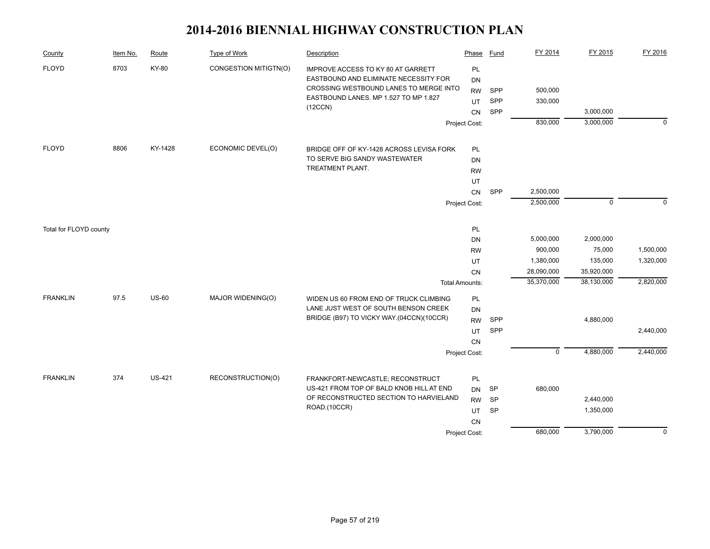| County                 | Item No. | Route         | <b>Type of Work</b>   | Description                                                                                                                                                               | Phase                                                                                 | Fund                                | FY 2014                                    | FY 2015                                          | FY 2016                |
|------------------------|----------|---------------|-----------------------|---------------------------------------------------------------------------------------------------------------------------------------------------------------------------|---------------------------------------------------------------------------------------|-------------------------------------|--------------------------------------------|--------------------------------------------------|------------------------|
| <b>FLOYD</b>           | 8703     | KY-80         | CONGESTION MITIGTN(O) | IMPROVE ACCESS TO KY 80 AT GARRETT<br>EASTBOUND AND ELIMINATE NECESSITY FOR<br>CROSSING WESTBOUND LANES TO MERGE INTO<br>EASTBOUND LANES. MP 1.527 TO MP 1.827<br>(12CCN) | PL<br>DN<br><b>RW</b><br>UT<br>CN<br>Project Cost:                                    | SPP<br>SPP<br>SPP                   | 500,000<br>330,000<br>830,000              | 3,000,000<br>3,000,000                           | $\mathbf 0$            |
| <b>FLOYD</b>           | 8806     | KY-1428       | ECONOMIC DEVEL(O)     | BRIDGE OFF OF KY-1428 ACROSS LEVISA FORK<br>TO SERVE BIG SANDY WASTEWATER<br>TREATMENT PLANT.                                                                             | <b>PL</b><br><b>DN</b><br><b>RW</b><br>UT<br>${\sf CN}$<br>Project Cost:              | SPP                                 | 2,500,000<br>2,500,000                     | $\mathbf 0$                                      | $\Omega$               |
| Total for FLOYD county |          |               |                       |                                                                                                                                                                           | PL<br><b>DN</b><br><b>RW</b><br><b>UT</b>                                             |                                     | 5,000,000<br>900,000<br>1,380,000          | 2,000,000<br>75,000<br>135,000                   | 1,500,000<br>1,320,000 |
| <b>FRANKLIN</b>        | 97.5     | <b>US-60</b>  | MAJOR WIDENING(O)     | WIDEN US 60 FROM END OF TRUCK CLIMBING<br>LANE JUST WEST OF SOUTH BENSON CREEK<br>BRIDGE (B97) TO VICKY WAY.(04CCN)(10CCR)                                                | CN<br><b>Total Amounts:</b><br><b>PL</b><br><b>DN</b><br><b>RW</b><br>UT<br><b>CN</b> | SPP<br>SPP                          | 28,090,000<br>35,370,000<br>$\overline{0}$ | 35,920,000<br>38,130,000<br>4,880,000            | 2,820,000<br>2,440,000 |
| <b>FRANKLIN</b>        | 374      | <b>US-421</b> | RECONSTRUCTION(O)     | FRANKFORT-NEWCASTLE; RECONSTRUCT<br>US-421 FROM TOP OF BALD KNOB HILL AT END<br>OF RECONSTRUCTED SECTION TO HARVIELAND<br>ROAD.(10CCR)                                    | Project Cost:<br>PL<br><b>DN</b><br><b>RW</b><br><b>UT</b><br>CN<br>Project Cost:     | <b>SP</b><br><b>SP</b><br><b>SP</b> | 680,000<br>680,000                         | 4,880,000<br>2,440,000<br>1,350,000<br>3,790,000 | 2,440,000<br>$\Omega$  |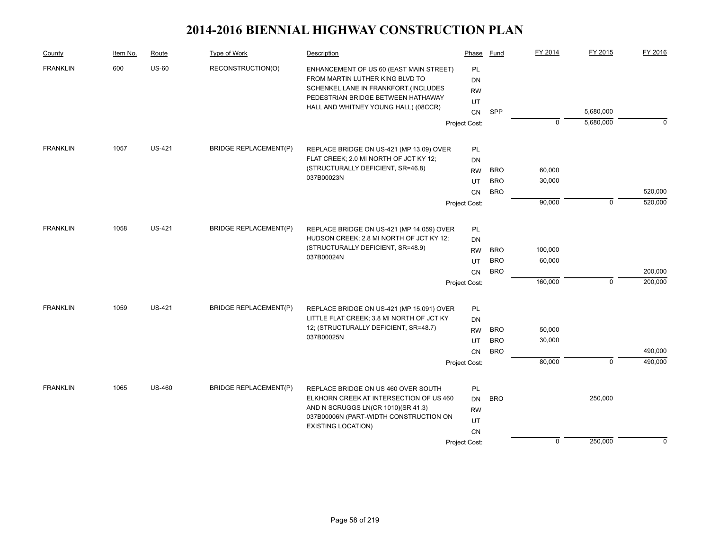| County          | Item No. | Route         | Type of Work                 | Description                                                                | Phase         | Fund       | FY 2014     | FY 2015        | FY 2016  |
|-----------------|----------|---------------|------------------------------|----------------------------------------------------------------------------|---------------|------------|-------------|----------------|----------|
| <b>FRANKLIN</b> | 600      | $US-60$       | RECONSTRUCTION(O)            | ENHANCEMENT OF US 60 (EAST MAIN STREET)<br>FROM MARTIN LUTHER KING BLVD TO | <b>PL</b>     |            |             |                |          |
|                 |          |               |                              | SCHENKEL LANE IN FRANKFORT.(INCLUDES                                       | <b>DN</b>     |            |             |                |          |
|                 |          |               |                              | PEDESTRIAN BRIDGE BETWEEN HATHAWAY                                         | <b>RW</b>     |            |             |                |          |
|                 |          |               |                              | HALL AND WHITNEY YOUNG HALL) (08CCR)                                       | UT            |            |             |                |          |
|                 |          |               |                              |                                                                            | CN            | SPP        |             | 5,680,000      |          |
|                 |          |               |                              |                                                                            | Project Cost: |            | 0           | 5,680,000      | $\Omega$ |
| <b>FRANKLIN</b> | 1057     | <b>US-421</b> | <b>BRIDGE REPLACEMENT(P)</b> | REPLACE BRIDGE ON US-421 (MP 13.09) OVER                                   | PL            |            |             |                |          |
|                 |          |               |                              | FLAT CREEK; 2.0 MI NORTH OF JCT KY 12;                                     | DN            |            |             |                |          |
|                 |          |               |                              | (STRUCTURALLY DEFICIENT, SR=46.8)                                          | <b>RW</b>     | <b>BRO</b> | 60,000      |                |          |
|                 |          |               |                              | 037B00023N                                                                 | UT            | <b>BRO</b> | 30,000      |                |          |
|                 |          |               |                              |                                                                            | CN            | <b>BRO</b> |             |                | 520,000  |
|                 |          |               |                              |                                                                            | Project Cost: |            | 90,000      | $\mathbf 0$    | 520,000  |
| <b>FRANKLIN</b> | 1058     | <b>US-421</b> | <b>BRIDGE REPLACEMENT(P)</b> | REPLACE BRIDGE ON US-421 (MP 14.059) OVER                                  | PL            |            |             |                |          |
|                 |          |               |                              | HUDSON CREEK; 2.8 MI NORTH OF JCT KY 12;                                   | DN            |            |             |                |          |
|                 |          |               |                              | (STRUCTURALLY DEFICIENT, SR=48.9)<br>037B00024N                            | <b>RW</b>     | <b>BRO</b> | 100,000     |                |          |
|                 |          |               |                              |                                                                            | UT            | <b>BRO</b> | 60,000      |                |          |
|                 |          |               |                              |                                                                            | <b>CN</b>     | <b>BRO</b> |             |                | 200,000  |
|                 |          |               |                              |                                                                            | Project Cost: |            | 160,000     | $\mathbf 0$    | 200,000  |
|                 |          |               |                              |                                                                            |               |            |             |                |          |
| <b>FRANKLIN</b> | 1059     | <b>US-421</b> | <b>BRIDGE REPLACEMENT(P)</b> | REPLACE BRIDGE ON US-421 (MP 15.091) OVER                                  | PL            |            |             |                |          |
|                 |          |               |                              | LITTLE FLAT CREEK; 3.8 MI NORTH OF JCT KY                                  | DN            |            |             |                |          |
|                 |          |               |                              | 12; (STRUCTURALLY DEFICIENT, SR=48.7)<br>037B00025N                        | <b>RW</b>     | <b>BRO</b> | 50,000      |                |          |
|                 |          |               |                              |                                                                            | UT            | <b>BRO</b> | 30,000      |                |          |
|                 |          |               |                              |                                                                            | <b>CN</b>     | <b>BRO</b> |             |                | 490,000  |
|                 |          |               |                              |                                                                            | Project Cost: |            | 80,000      | $\overline{0}$ | 490,000  |
| <b>FRANKLIN</b> | 1065     | <b>US-460</b> | <b>BRIDGE REPLACEMENT(P)</b> | REPLACE BRIDGE ON US 460 OVER SOUTH                                        | PL            |            |             |                |          |
|                 |          |               |                              | ELKHORN CREEK AT INTERSECTION OF US 460                                    | <b>DN</b>     | <b>BRO</b> |             | 250,000        |          |
|                 |          |               |                              | AND N SCRUGGS LN(CR 1010)(SR 41.3)                                         | <b>RW</b>     |            |             |                |          |
|                 |          |               |                              | 037B00006N (PART-WIDTH CONSTRUCTION ON                                     | UT            |            |             |                |          |
|                 |          |               |                              | <b>EXISTING LOCATION)</b>                                                  | CN            |            |             |                |          |
|                 |          |               |                              |                                                                            | Project Cost: |            | $\mathbf 0$ | 250,000        | $\Omega$ |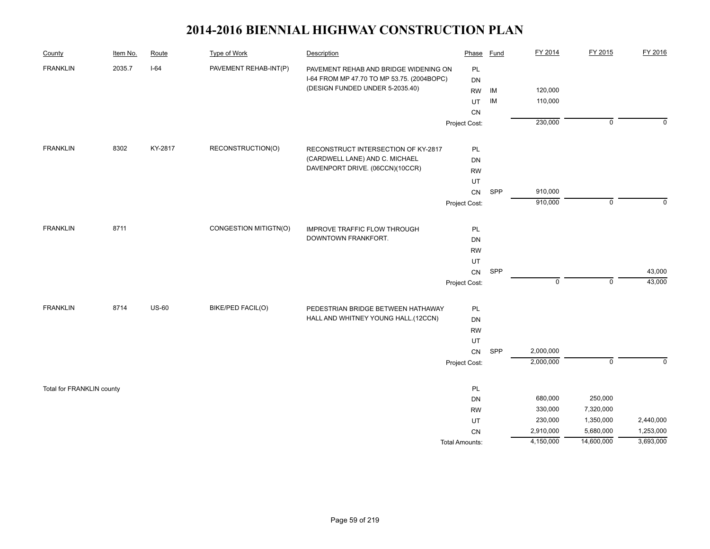| County                    | Item No. | Route        | <b>Type of Work</b>   | Description                                | Phase                 | <b>Fund</b> | FY 2014     | FY 2015        | FY 2016   |
|---------------------------|----------|--------------|-----------------------|--------------------------------------------|-----------------------|-------------|-------------|----------------|-----------|
| <b>FRANKLIN</b>           | 2035.7   | $I-64$       | PAVEMENT REHAB-INT(P) | PAVEMENT REHAB AND BRIDGE WIDENING ON      | PL                    |             |             |                |           |
|                           |          |              |                       | I-64 FROM MP 47.70 TO MP 53.75. (2004BOPC) | DN                    |             |             |                |           |
|                           |          |              |                       | (DESIGN FUNDED UNDER 5-2035.40)            | <b>RW</b>             | IM          | 120,000     |                |           |
|                           |          |              |                       |                                            | UT                    | IM          | 110,000     |                |           |
|                           |          |              |                       |                                            | CN                    |             |             |                |           |
|                           |          |              |                       |                                            | Project Cost:         |             | 230,000     | $\mathbf 0$    | 0         |
| <b>FRANKLIN</b>           | 8302     | KY-2817      | RECONSTRUCTION(O)     | RECONSTRUCT INTERSECTION OF KY-2817        | PL                    |             |             |                |           |
|                           |          |              |                       | (CARDWELL LANE) AND C. MICHAEL             | DN                    |             |             |                |           |
|                           |          |              |                       | DAVENPORT DRIVE. (06CCN)(10CCR)            | <b>RW</b>             |             |             |                |           |
|                           |          |              |                       |                                            | UT                    |             |             |                |           |
|                           |          |              |                       |                                            | CN                    | SPP         | 910,000     |                |           |
|                           |          |              |                       |                                            | Project Cost:         |             | 910,000     | $\mathbf 0$    | $\Omega$  |
| <b>FRANKLIN</b>           | 8711     |              | CONGESTION MITIGTN(O) | <b>IMPROVE TRAFFIC FLOW THROUGH</b>        | PL                    |             |             |                |           |
|                           |          |              |                       | DOWNTOWN FRANKFORT.                        | DN                    |             |             |                |           |
|                           |          |              |                       |                                            | <b>RW</b>             |             |             |                |           |
|                           |          |              |                       |                                            | UT                    |             |             |                |           |
|                           |          |              |                       |                                            | ${\sf CN}$            | SPP         |             |                | 43,000    |
|                           |          |              |                       |                                            | Project Cost:         |             | $\mathbf 0$ | $\mathsf 0$    | 43,000    |
| <b>FRANKLIN</b>           | 8714     | <b>US-60</b> | BIKE/PED FACIL(O)     | PEDESTRIAN BRIDGE BETWEEN HATHAWAY         | PL                    |             |             |                |           |
|                           |          |              |                       | HALL AND WHITNEY YOUNG HALL.(12CCN)        | DN                    |             |             |                |           |
|                           |          |              |                       |                                            | <b>RW</b>             |             |             |                |           |
|                           |          |              |                       |                                            | UT                    |             |             |                |           |
|                           |          |              |                       |                                            | ${\sf CN}$            | SPP         | 2,000,000   |                |           |
|                           |          |              |                       |                                            | Project Cost:         |             | 2,000,000   | $\overline{0}$ | $\Omega$  |
| Total for FRANKLIN county |          |              |                       |                                            | PL                    |             |             |                |           |
|                           |          |              |                       |                                            | <b>DN</b>             |             | 680,000     | 250,000        |           |
|                           |          |              |                       |                                            | <b>RW</b>             |             | 330,000     | 7,320,000      |           |
|                           |          |              |                       |                                            | UT                    |             | 230,000     | 1,350,000      | 2,440,000 |
|                           |          |              |                       |                                            | <b>CN</b>             |             | 2,910,000   | 5,680,000      | 1,253,000 |
|                           |          |              |                       |                                            | <b>Total Amounts:</b> |             | 4,150,000   | 14,600,000     | 3,693,000 |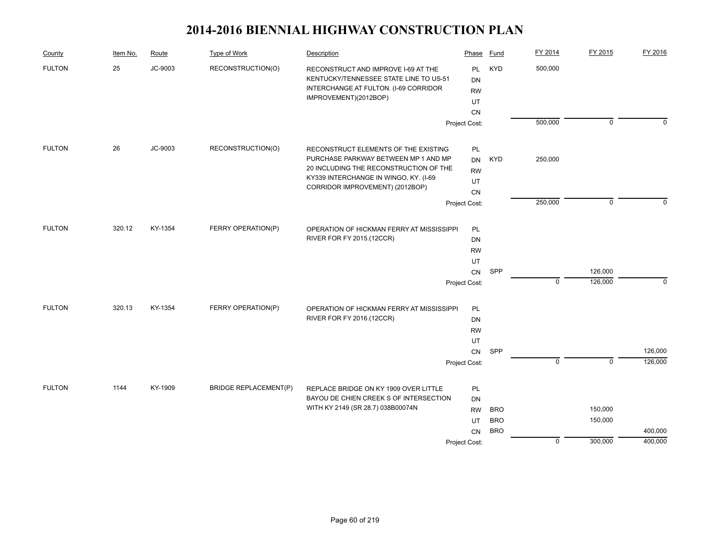| County        | Item No. | Route   | Type of Work                 | Description                                                                                                                                     | Phase                        | Fund       | FY 2014        | FY 2015        | FY 2016  |
|---------------|----------|---------|------------------------------|-------------------------------------------------------------------------------------------------------------------------------------------------|------------------------------|------------|----------------|----------------|----------|
| <b>FULTON</b> | 25       | JC-9003 | RECONSTRUCTION(O)            | RECONSTRUCT AND IMPROVE I-69 AT THE<br>KENTUCKY/TENNESSEE STATE LINE TO US-51<br>INTERCHANGE AT FULTON. (I-69 CORRIDOR<br>IMPROVEMENT)(2012BOP) | <b>PL</b><br>DN<br><b>RW</b> | <b>KYD</b> | 500,000        |                |          |
|               |          |         |                              |                                                                                                                                                 | UT                           |            |                |                |          |
|               |          |         |                              |                                                                                                                                                 | <b>CN</b><br>Project Cost:   |            | 500,000        | $\overline{0}$ | $\Omega$ |
|               |          |         |                              |                                                                                                                                                 |                              |            |                |                |          |
| <b>FULTON</b> | 26       | JC-9003 | RECONSTRUCTION(O)            | RECONSTRUCT ELEMENTS OF THE EXISTING                                                                                                            | PL                           |            |                |                |          |
|               |          |         |                              | PURCHASE PARKWAY BETWEEN MP 1 AND MP                                                                                                            | DN                           | <b>KYD</b> | 250,000        |                |          |
|               |          |         |                              | 20 INCLUDING THE RECONSTRUCTION OF THE<br>KY339 INTERCHANGE IN WINGO, KY. (I-69                                                                 | <b>RW</b>                    |            |                |                |          |
|               |          |         |                              | CORRIDOR IMPROVEMENT) (2012BOP)                                                                                                                 | UT                           |            |                |                |          |
|               |          |         |                              |                                                                                                                                                 | CN                           |            |                |                | $\Omega$ |
|               |          |         |                              |                                                                                                                                                 | Project Cost:                |            | 250,000        | $\mathbf 0$    |          |
| <b>FULTON</b> | 320.12   | KY-1354 | FERRY OPERATION(P)           | OPERATION OF HICKMAN FERRY AT MISSISSIPPI                                                                                                       | PL                           |            |                |                |          |
|               |          |         |                              | RIVER FOR FY 2015.(12CCR)                                                                                                                       | DN                           |            |                |                |          |
|               |          |         |                              |                                                                                                                                                 | <b>RW</b>                    |            |                |                |          |
|               |          |         |                              |                                                                                                                                                 | UT                           |            |                |                |          |
|               |          |         |                              |                                                                                                                                                 | CN                           | SPP        |                | 126,000        |          |
|               |          |         |                              |                                                                                                                                                 | Project Cost:                |            | $\mathbf 0$    | 126,000        | 0        |
| <b>FULTON</b> | 320.13   | KY-1354 | FERRY OPERATION(P)           | OPERATION OF HICKMAN FERRY AT MISSISSIPPI                                                                                                       | PL                           |            |                |                |          |
|               |          |         |                              | RIVER FOR FY 2016.(12CCR)                                                                                                                       | DN                           |            |                |                |          |
|               |          |         |                              |                                                                                                                                                 | <b>RW</b>                    |            |                |                |          |
|               |          |         |                              |                                                                                                                                                 | UT                           |            |                |                |          |
|               |          |         |                              |                                                                                                                                                 | CN                           | SPP        |                |                | 126,000  |
|               |          |         |                              |                                                                                                                                                 | Project Cost:                |            | $\overline{0}$ | $\overline{0}$ | 126,000  |
| <b>FULTON</b> | 1144     | KY-1909 | <b>BRIDGE REPLACEMENT(P)</b> | REPLACE BRIDGE ON KY 1909 OVER LITTLE                                                                                                           | PL                           |            |                |                |          |
|               |          |         |                              | BAYOU DE CHIEN CREEK S OF INTERSECTION                                                                                                          | <b>DN</b>                    |            |                |                |          |
|               |          |         |                              | WITH KY 2149 (SR 28.7) 038B00074N                                                                                                               | <b>RW</b>                    | <b>BRO</b> |                | 150,000        |          |
|               |          |         |                              |                                                                                                                                                 | UT                           | <b>BRO</b> |                | 150,000        |          |
|               |          |         |                              |                                                                                                                                                 | CN                           | <b>BRO</b> |                |                | 400,000  |
|               |          |         |                              |                                                                                                                                                 | Project Cost:                |            | $\mathbf 0$    | 300,000        | 400,000  |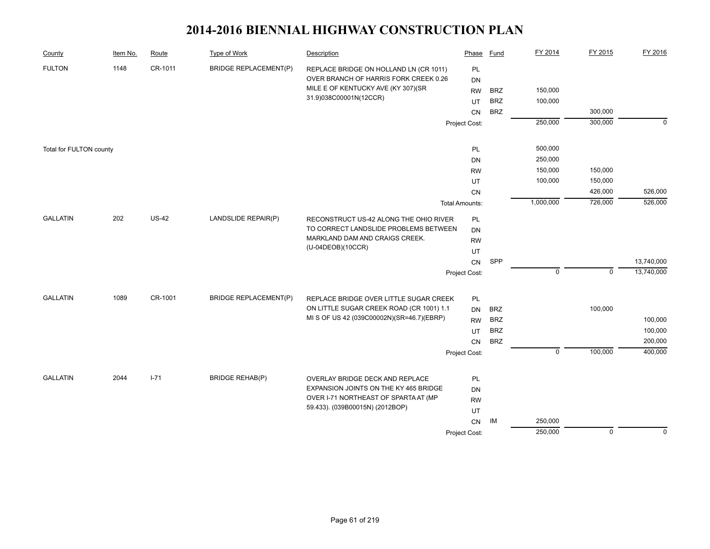| County                  | Item No. | Route        | <b>Type of Work</b>          | Description                                                                   | Phase                 | <b>Fund</b> | FY 2014     | FY 2015     | FY 2016     |
|-------------------------|----------|--------------|------------------------------|-------------------------------------------------------------------------------|-----------------------|-------------|-------------|-------------|-------------|
| <b>FULTON</b>           | 1148     | CR-1011      | <b>BRIDGE REPLACEMENT(P)</b> | REPLACE BRIDGE ON HOLLAND LN (CR 1011)                                        | PL                    |             |             |             |             |
|                         |          |              |                              | OVER BRANCH OF HARRIS FORK CREEK 0.26                                         | <b>DN</b>             |             |             |             |             |
|                         |          |              |                              | MILE E OF KENTUCKY AVE (KY 307)(SR<br>31.9)038C00001N(12CCR)                  | <b>RW</b>             | <b>BRZ</b>  | 150,000     |             |             |
|                         |          |              |                              |                                                                               | UT                    | <b>BRZ</b>  | 100,000     |             |             |
|                         |          |              |                              |                                                                               | <b>CN</b>             | <b>BRZ</b>  |             | 300,000     |             |
|                         |          |              |                              |                                                                               | Project Cost:         |             | 250,000     | 300,000     | $\mathbf 0$ |
| Total for FULTON county |          |              |                              |                                                                               | PL                    |             | 500,000     |             |             |
|                         |          |              |                              |                                                                               | DN                    |             | 250,000     |             |             |
|                         |          |              |                              |                                                                               | <b>RW</b>             |             | 150,000     | 150,000     |             |
|                         |          |              |                              |                                                                               | UT                    |             | 100,000     | 150,000     |             |
|                         |          |              |                              |                                                                               | CN                    |             |             | 426,000     | 526,000     |
|                         |          |              |                              |                                                                               | <b>Total Amounts:</b> |             | 1,000,000   | 726,000     | 526,000     |
| <b>GALLATIN</b>         | 202      | <b>US-42</b> | LANDSLIDE REPAIR(P)          | RECONSTRUCT US-42 ALONG THE OHIO RIVER                                        | PL                    |             |             |             |             |
|                         |          |              |                              | TO CORRECT LANDSLIDE PROBLEMS BETWEEN                                         | DN                    |             |             |             |             |
|                         |          |              |                              | MARKLAND DAM AND CRAIGS CREEK.                                                | <b>RW</b>             |             |             |             |             |
|                         |          |              |                              | (U-04DEOB)(10CCR)                                                             | UT                    |             |             |             |             |
|                         |          |              |                              |                                                                               | CN                    | SPP         |             |             | 13,740,000  |
|                         |          |              |                              |                                                                               | Project Cost:         |             | $\mathbf 0$ | $\mathbf 0$ | 13,740,000  |
| <b>GALLATIN</b>         | 1089     | CR-1001      | <b>BRIDGE REPLACEMENT(P)</b> | REPLACE BRIDGE OVER LITTLE SUGAR CREEK                                        | PL                    |             |             |             |             |
|                         |          |              |                              | ON LITTLE SUGAR CREEK ROAD (CR 1001) 1.1                                      | <b>DN</b>             | <b>BRZ</b>  |             | 100,000     |             |
|                         |          |              |                              | MI S OF US 42 (039C00002N)(SR=46.7)(EBRP)                                     | <b>RW</b>             | <b>BRZ</b>  |             |             | 100,000     |
|                         |          |              |                              |                                                                               | UT                    | <b>BRZ</b>  |             |             | 100,000     |
|                         |          |              |                              |                                                                               | CN                    | <b>BRZ</b>  |             |             | 200,000     |
|                         |          |              |                              |                                                                               | Project Cost:         |             | $\mathbf 0$ | 100,000     | 400,000     |
|                         |          |              |                              |                                                                               |                       |             |             |             |             |
| <b>GALLATIN</b>         | 2044     | $I - 71$     | <b>BRIDGE REHAB(P)</b>       | OVERLAY BRIDGE DECK AND REPLACE                                               | PL                    |             |             |             |             |
|                         |          |              |                              | EXPANSION JOINTS ON THE KY 465 BRIDGE<br>OVER I-71 NORTHEAST OF SPARTA AT (MP | DN                    |             |             |             |             |
|                         |          |              |                              | 59.433). (039B00015N) (2012BOP)                                               | <b>RW</b>             |             |             |             |             |
|                         |          |              |                              |                                                                               | UT                    |             |             |             |             |
|                         |          |              |                              |                                                                               | CN                    | IM          | 250,000     |             |             |
|                         |          |              |                              |                                                                               | Project Cost:         |             | 250,000     | $\mathbf 0$ | $\Omega$    |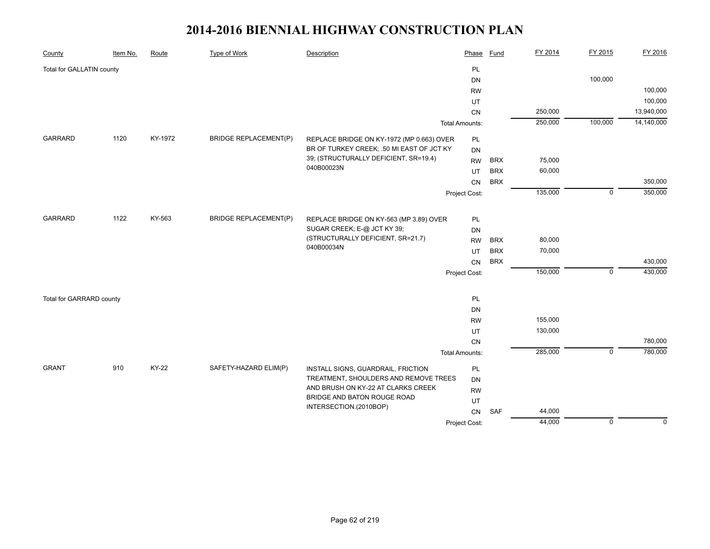| County                    | Item No. | Route        | Type of Work                 | Description                                                      | Phase                 | <b>Fund</b> | FY 2014 | FY 2015     | FY 2016     |
|---------------------------|----------|--------------|------------------------------|------------------------------------------------------------------|-----------------------|-------------|---------|-------------|-------------|
| Total for GALLATIN county |          |              |                              |                                                                  | PL                    |             |         |             |             |
|                           |          |              |                              |                                                                  | <b>DN</b>             |             |         | 100,000     |             |
|                           |          |              |                              |                                                                  | <b>RW</b>             |             |         |             | 100,000     |
|                           |          |              |                              |                                                                  | UT                    |             |         |             | 100,000     |
|                           |          |              |                              |                                                                  | CN                    |             | 250,000 |             | 13,940,000  |
|                           |          |              |                              |                                                                  | <b>Total Amounts:</b> |             | 250,000 | 100,000     | 14,140,000  |
| <b>GARRARD</b>            | 1120     | KY-1972      | <b>BRIDGE REPLACEMENT(P)</b> | REPLACE BRIDGE ON KY-1972 (MP 0.663) OVER                        | PL                    |             |         |             |             |
|                           |          |              |                              | BR OF TURKEY CREEK; .50 MI EAST OF JCT KY                        | <b>DN</b>             |             |         |             |             |
|                           |          |              |                              | 39; (STRUCTURALLY DEFICIENT, SR=19.4)                            | <b>RW</b>             | <b>BRX</b>  | 75,000  |             |             |
|                           |          |              |                              | 040B00023N                                                       | UT                    | <b>BRX</b>  | 60,000  |             |             |
|                           |          |              |                              |                                                                  | CN                    | <b>BRX</b>  |         |             | 350,000     |
|                           |          |              |                              |                                                                  | Project Cost:         |             | 135,000 | $\mathbf 0$ | 350,000     |
|                           |          |              |                              |                                                                  |                       |             |         |             |             |
| <b>GARRARD</b>            | 1122     | KY-563       | <b>BRIDGE REPLACEMENT(P)</b> | REPLACE BRIDGE ON KY-563 (MP 3.89) OVER                          | PL                    |             |         |             |             |
|                           |          |              |                              | SUGAR CREEK; E-@ JCT KY 39;<br>(STRUCTURALLY DEFICIENT, SR=21.7) | <b>DN</b>             |             |         |             |             |
|                           |          |              |                              | 040B00034N                                                       | <b>RW</b>             | <b>BRX</b>  | 80,000  |             |             |
|                           |          |              |                              |                                                                  | UT                    | <b>BRX</b>  | 70,000  |             |             |
|                           |          |              |                              |                                                                  | CN                    | <b>BRX</b>  |         |             | 430,000     |
|                           |          |              |                              |                                                                  | Project Cost:         |             | 150,000 | $\mathbf 0$ | 430,000     |
| Total for GARRARD county  |          |              |                              |                                                                  | PL                    |             |         |             |             |
|                           |          |              |                              |                                                                  | <b>DN</b>             |             |         |             |             |
|                           |          |              |                              |                                                                  | <b>RW</b>             |             | 155,000 |             |             |
|                           |          |              |                              |                                                                  | UT                    |             | 130,000 |             |             |
|                           |          |              |                              |                                                                  | CN                    |             |         |             | 780,000     |
|                           |          |              |                              |                                                                  | <b>Total Amounts:</b> |             | 285,000 | $\mathbf 0$ | 780,000     |
| <b>GRANT</b>              | 910      | <b>KY-22</b> | SAFETY-HAZARD ELIM(P)        | INSTALL SIGNS, GUARDRAIL, FRICTION                               | PL                    |             |         |             |             |
|                           |          |              |                              | TREATMENT, SHOULDERS AND REMOVE TREES                            | <b>DN</b>             |             |         |             |             |
|                           |          |              |                              | AND BRUSH ON KY-22 AT CLARKS CREEK                               | <b>RW</b>             |             |         |             |             |
|                           |          |              |                              | BRIDGE AND BATON ROUGE ROAD                                      | UT                    |             |         |             |             |
|                           |          |              |                              | INTERSECTION.(2010BOP)                                           | CN                    | <b>SAF</b>  | 44,000  |             |             |
|                           |          |              |                              |                                                                  | Project Cost:         |             | 44,000  | $\mathbf 0$ | $\mathbf 0$ |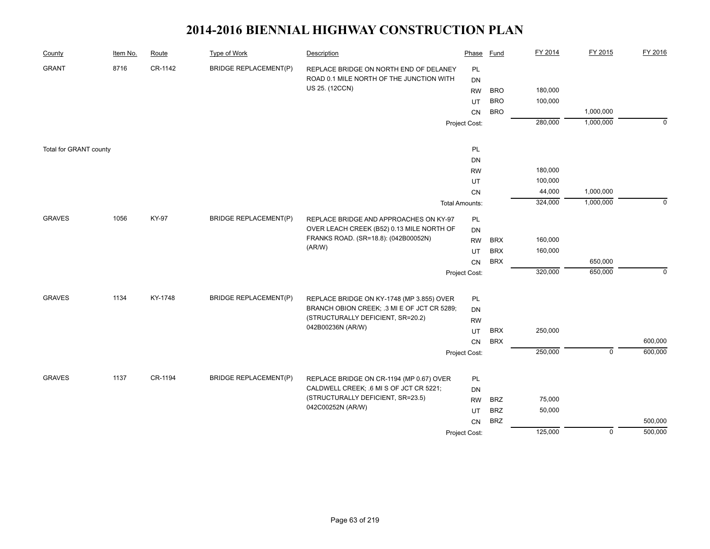| County                 | Item No. | Route   | Type of Work                 | Description                                                                  | Phase                 | Fund       | FY 2014 | FY 2015     | FY 2016     |
|------------------------|----------|---------|------------------------------|------------------------------------------------------------------------------|-----------------------|------------|---------|-------------|-------------|
| <b>GRANT</b>           | 8716     | CR-1142 | <b>BRIDGE REPLACEMENT(P)</b> | REPLACE BRIDGE ON NORTH END OF DELANEY                                       | PL                    |            |         |             |             |
|                        |          |         |                              | ROAD 0.1 MILE NORTH OF THE JUNCTION WITH                                     | DN                    |            |         |             |             |
|                        |          |         |                              | US 25. (12CCN)                                                               | <b>RW</b>             | <b>BRO</b> | 180,000 |             |             |
|                        |          |         |                              |                                                                              | UT                    | <b>BRO</b> | 100,000 |             |             |
|                        |          |         |                              |                                                                              | CN                    | <b>BRO</b> |         | 1,000,000   |             |
|                        |          |         |                              |                                                                              | Project Cost:         |            | 280,000 | 1,000,000   | $\mathbf 0$ |
| Total for GRANT county |          |         |                              |                                                                              | PL                    |            |         |             |             |
|                        |          |         |                              |                                                                              | DN                    |            |         |             |             |
|                        |          |         |                              |                                                                              | <b>RW</b>             |            | 180,000 |             |             |
|                        |          |         |                              |                                                                              | UT                    |            | 100,000 |             |             |
|                        |          |         |                              |                                                                              | CN                    |            | 44,000  | 1,000,000   |             |
|                        |          |         |                              |                                                                              | <b>Total Amounts:</b> |            | 324,000 | 1,000,000   | $\mathbf 0$ |
|                        |          |         |                              |                                                                              |                       |            |         |             |             |
| <b>GRAVES</b>          | 1056     | KY-97   | <b>BRIDGE REPLACEMENT(P)</b> | REPLACE BRIDGE AND APPROACHES ON KY-97                                       | PL                    |            |         |             |             |
|                        |          |         |                              | OVER LEACH CREEK (B52) 0.13 MILE NORTH OF                                    | DN                    |            |         |             |             |
|                        |          |         |                              | FRANKS ROAD. (SR=18.8): (042B00052N)                                         | <b>RW</b>             | <b>BRX</b> | 160,000 |             |             |
|                        |          |         |                              | (AR/W)                                                                       | UT                    | <b>BRX</b> | 160,000 |             |             |
|                        |          |         |                              |                                                                              | <b>CN</b>             | <b>BRX</b> |         | 650,000     |             |
|                        |          |         |                              |                                                                              | Project Cost:         |            | 320,000 | 650,000     | $\mathbf 0$ |
| <b>GRAVES</b>          | 1134     | KY-1748 | <b>BRIDGE REPLACEMENT(P)</b> | REPLACE BRIDGE ON KY-1748 (MP 3.855) OVER                                    | <b>PL</b>             |            |         |             |             |
|                        |          |         |                              | BRANCH OBION CREEK; .3 MI E OF JCT CR 5289;                                  | DN                    |            |         |             |             |
|                        |          |         |                              | (STRUCTURALLY DEFICIENT, SR=20.2)                                            | <b>RW</b>             |            |         |             |             |
|                        |          |         |                              | 042B00236N (AR/W)                                                            | UT                    | <b>BRX</b> | 250,000 |             |             |
|                        |          |         |                              |                                                                              | CN                    | <b>BRX</b> |         |             | 600,000     |
|                        |          |         |                              |                                                                              | Project Cost:         |            | 250,000 | $\mathbf 0$ | 600,000     |
|                        |          |         |                              |                                                                              |                       |            |         |             |             |
| <b>GRAVES</b>          | 1137     | CR-1194 | <b>BRIDGE REPLACEMENT(P)</b> | REPLACE BRIDGE ON CR-1194 (MP 0.67) OVER                                     | <b>PL</b>             |            |         |             |             |
|                        |          |         |                              | CALDWELL CREEK; .6 MI S OF JCT CR 5221;<br>(STRUCTURALLY DEFICIENT, SR=23.5) | DN                    |            |         |             |             |
|                        |          |         |                              | 042C00252N (AR/W)                                                            | <b>RW</b>             | <b>BRZ</b> | 75,000  |             |             |
|                        |          |         |                              |                                                                              | UT                    | <b>BRZ</b> | 50,000  |             |             |
|                        |          |         |                              |                                                                              | CN                    | <b>BRZ</b> |         |             | 500,000     |
|                        |          |         |                              |                                                                              | Project Cost:         |            | 125,000 | $\mathbf 0$ | 500,000     |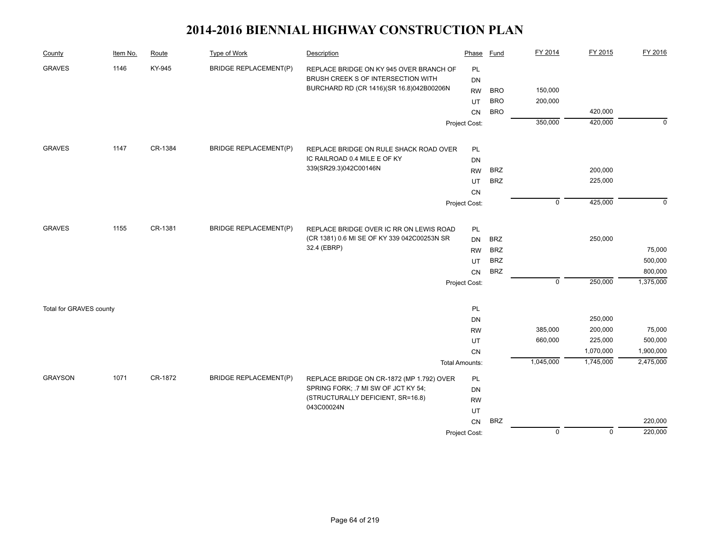| County                  | Item No. | Route   | <b>Type of Work</b>          | Description                                                                            | Phase                  | <b>Fund</b> | FY 2014        | FY 2015        | FY 2016     |
|-------------------------|----------|---------|------------------------------|----------------------------------------------------------------------------------------|------------------------|-------------|----------------|----------------|-------------|
| <b>GRAVES</b>           | 1146     | KY-945  | <b>BRIDGE REPLACEMENT(P)</b> | REPLACE BRIDGE ON KY 945 OVER BRANCH OF                                                | PL                     |             |                |                |             |
|                         |          |         |                              | BRUSH CREEK S OF INTERSECTION WITH                                                     | <b>DN</b>              |             |                |                |             |
|                         |          |         |                              | BURCHARD RD (CR 1416)(SR 16.8)042B00206N                                               | <b>RW</b>              | <b>BRO</b>  | 150,000        |                |             |
|                         |          |         |                              |                                                                                        | UT                     | <b>BRO</b>  | 200,000        |                |             |
|                         |          |         |                              |                                                                                        | CN                     | <b>BRO</b>  |                | 420,000        |             |
|                         |          |         |                              |                                                                                        | Project Cost:          |             | 350,000        | 420,000        | $\mathbf 0$ |
| <b>GRAVES</b>           | 1147     | CR-1384 | <b>BRIDGE REPLACEMENT(P)</b> | REPLACE BRIDGE ON RULE SHACK ROAD OVER                                                 | PL                     |             |                |                |             |
|                         |          |         |                              | IC RAILROAD 0.4 MILE E OF KY                                                           | <b>DN</b>              |             |                |                |             |
|                         |          |         |                              | 339(SR29.3)042C00146N                                                                  | <b>RW</b>              | <b>BRZ</b>  |                | 200,000        |             |
|                         |          |         |                              |                                                                                        | UT                     | <b>BRZ</b>  |                | 225,000        |             |
|                         |          |         |                              |                                                                                        | CN                     |             |                |                |             |
|                         |          |         |                              |                                                                                        | Project Cost:          |             | $\mathsf 0$    | 425,000        | $\Omega$    |
| <b>GRAVES</b>           | 1155     | CR-1381 | <b>BRIDGE REPLACEMENT(P)</b> |                                                                                        |                        |             |                |                |             |
|                         |          |         |                              | REPLACE BRIDGE OVER IC RR ON LEWIS ROAD<br>(CR 1381) 0.6 MI SE OF KY 339 042C00253N SR | PL                     | <b>BRZ</b>  |                | 250,000        |             |
|                         |          |         |                              | 32.4 (EBRP)                                                                            | <b>DN</b>              | <b>BRZ</b>  |                |                | 75,000      |
|                         |          |         |                              |                                                                                        | <b>RW</b><br><b>UT</b> | <b>BRZ</b>  |                |                | 500,000     |
|                         |          |         |                              |                                                                                        | CN                     | <b>BRZ</b>  |                |                | 800,000     |
|                         |          |         |                              |                                                                                        |                        |             | $\mathbf 0$    | 250,000        | 1,375,000   |
|                         |          |         |                              |                                                                                        | Project Cost:          |             |                |                |             |
| Total for GRAVES county |          |         |                              |                                                                                        | PL                     |             |                |                |             |
|                         |          |         |                              |                                                                                        | DN                     |             |                | 250,000        |             |
|                         |          |         |                              |                                                                                        | <b>RW</b>              |             | 385,000        | 200,000        | 75,000      |
|                         |          |         |                              |                                                                                        | UT                     |             | 660,000        | 225,000        | 500,000     |
|                         |          |         |                              |                                                                                        | CN                     |             |                | 1,070,000      | 1,900,000   |
|                         |          |         |                              |                                                                                        | <b>Total Amounts:</b>  |             | 1,045,000      | 1,745,000      | 2,475,000   |
| <b>GRAYSON</b>          | 1071     | CR-1872 | <b>BRIDGE REPLACEMENT(P)</b> | REPLACE BRIDGE ON CR-1872 (MP 1.792) OVER                                              | PL                     |             |                |                |             |
|                         |          |         |                              | SPRING FORK; .7 MI SW OF JCT KY 54;                                                    | DN                     |             |                |                |             |
|                         |          |         |                              | (STRUCTURALLY DEFICIENT, SR=16.8)                                                      | <b>RW</b>              |             |                |                |             |
|                         |          |         |                              | 043C00024N                                                                             | UT                     |             |                |                |             |
|                         |          |         |                              |                                                                                        | CN                     | <b>BRZ</b>  |                |                | 220,000     |
|                         |          |         |                              |                                                                                        | Project Cost:          |             | $\overline{0}$ | $\overline{0}$ | 220,000     |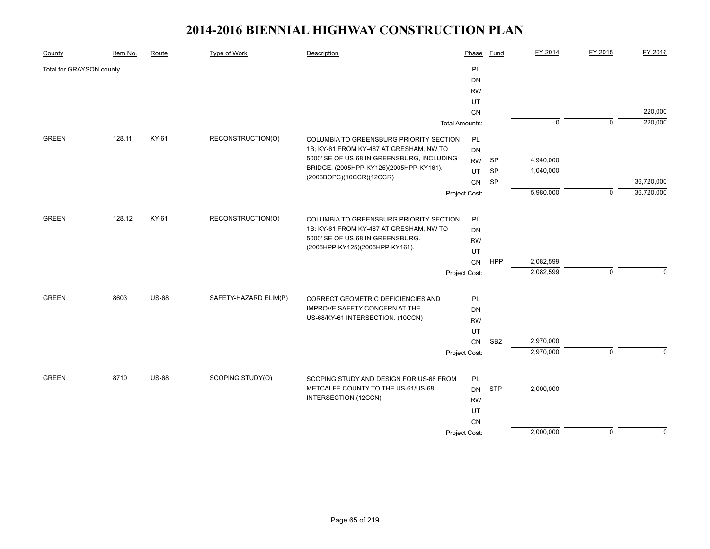| PL<br>Total for GRAYSON county<br>DN<br><b>RW</b><br>UT<br>CN<br>$\overline{0}$<br>$\overline{0}$<br><b>Total Amounts:</b><br><b>GREEN</b><br>KY-61<br>RECONSTRUCTION(O)<br>128.11<br>COLUMBIA TO GREENSBURG PRIORITY SECTION<br>PL<br>1B; KY-61 FROM KY-487 AT GRESHAM, NW TO<br><b>DN</b><br>5000' SE OF US-68 IN GREENSBURG, INCLUDING<br><b>SP</b><br>4,940,000<br><b>RW</b><br>BRIDGE. (2005HPP-KY125)(2005HPP-KY161).<br>1,040,000<br><b>SP</b><br>UT<br>(2006BOPC)(10CCR)(12CCR)<br><b>SP</b><br>CN<br>5,980,000<br>$\mathbf 0$<br>Project Cost:<br><b>GREEN</b><br>128.12<br>KY-61<br>RECONSTRUCTION(O)<br>COLUMBIA TO GREENSBURG PRIORITY SECTION<br>PL<br>1B: KY-61 FROM KY-487 AT GRESHAM, NW TO<br><b>DN</b><br>5000' SE OF US-68 IN GREENSBURG.<br><b>RW</b><br>(2005HPP-KY125)(2005HPP-KY161).<br>UT<br>HPP<br>2,082,599<br>CN<br>2,082,599<br>$\mathbf 0$<br>Project Cost:<br><b>GREEN</b><br>8603<br><b>US-68</b><br>SAFETY-HAZARD ELIM(P)<br>CORRECT GEOMETRIC DEFICIENCIES AND<br>PL<br>IMPROVE SAFETY CONCERN AT THE<br>DN<br>US-68/KY-61 INTERSECTION. (10CCN)<br><b>RW</b><br>UT | County | Item No. | Route | <b>Type of Work</b> | Description | Phase | <b>Fund</b> | FY 2014 | FY 2015 | FY 2016     |
|-------------------------------------------------------------------------------------------------------------------------------------------------------------------------------------------------------------------------------------------------------------------------------------------------------------------------------------------------------------------------------------------------------------------------------------------------------------------------------------------------------------------------------------------------------------------------------------------------------------------------------------------------------------------------------------------------------------------------------------------------------------------------------------------------------------------------------------------------------------------------------------------------------------------------------------------------------------------------------------------------------------------------------------------------------------------------------------------------------|--------|----------|-------|---------------------|-------------|-------|-------------|---------|---------|-------------|
|                                                                                                                                                                                                                                                                                                                                                                                                                                                                                                                                                                                                                                                                                                                                                                                                                                                                                                                                                                                                                                                                                                       |        |          |       |                     |             |       |             |         |         |             |
|                                                                                                                                                                                                                                                                                                                                                                                                                                                                                                                                                                                                                                                                                                                                                                                                                                                                                                                                                                                                                                                                                                       |        |          |       |                     |             |       |             |         |         |             |
|                                                                                                                                                                                                                                                                                                                                                                                                                                                                                                                                                                                                                                                                                                                                                                                                                                                                                                                                                                                                                                                                                                       |        |          |       |                     |             |       |             |         |         |             |
|                                                                                                                                                                                                                                                                                                                                                                                                                                                                                                                                                                                                                                                                                                                                                                                                                                                                                                                                                                                                                                                                                                       |        |          |       |                     |             |       |             |         |         |             |
|                                                                                                                                                                                                                                                                                                                                                                                                                                                                                                                                                                                                                                                                                                                                                                                                                                                                                                                                                                                                                                                                                                       |        |          |       |                     |             |       |             |         |         | 220,000     |
|                                                                                                                                                                                                                                                                                                                                                                                                                                                                                                                                                                                                                                                                                                                                                                                                                                                                                                                                                                                                                                                                                                       |        |          |       |                     |             |       |             |         |         | 220,000     |
|                                                                                                                                                                                                                                                                                                                                                                                                                                                                                                                                                                                                                                                                                                                                                                                                                                                                                                                                                                                                                                                                                                       |        |          |       |                     |             |       |             |         |         |             |
|                                                                                                                                                                                                                                                                                                                                                                                                                                                                                                                                                                                                                                                                                                                                                                                                                                                                                                                                                                                                                                                                                                       |        |          |       |                     |             |       |             |         |         |             |
|                                                                                                                                                                                                                                                                                                                                                                                                                                                                                                                                                                                                                                                                                                                                                                                                                                                                                                                                                                                                                                                                                                       |        |          |       |                     |             |       |             |         |         |             |
|                                                                                                                                                                                                                                                                                                                                                                                                                                                                                                                                                                                                                                                                                                                                                                                                                                                                                                                                                                                                                                                                                                       |        |          |       |                     |             |       |             |         |         |             |
|                                                                                                                                                                                                                                                                                                                                                                                                                                                                                                                                                                                                                                                                                                                                                                                                                                                                                                                                                                                                                                                                                                       |        |          |       |                     |             |       |             |         |         | 36,720,000  |
|                                                                                                                                                                                                                                                                                                                                                                                                                                                                                                                                                                                                                                                                                                                                                                                                                                                                                                                                                                                                                                                                                                       |        |          |       |                     |             |       |             |         |         | 36,720,000  |
|                                                                                                                                                                                                                                                                                                                                                                                                                                                                                                                                                                                                                                                                                                                                                                                                                                                                                                                                                                                                                                                                                                       |        |          |       |                     |             |       |             |         |         |             |
|                                                                                                                                                                                                                                                                                                                                                                                                                                                                                                                                                                                                                                                                                                                                                                                                                                                                                                                                                                                                                                                                                                       |        |          |       |                     |             |       |             |         |         |             |
|                                                                                                                                                                                                                                                                                                                                                                                                                                                                                                                                                                                                                                                                                                                                                                                                                                                                                                                                                                                                                                                                                                       |        |          |       |                     |             |       |             |         |         |             |
|                                                                                                                                                                                                                                                                                                                                                                                                                                                                                                                                                                                                                                                                                                                                                                                                                                                                                                                                                                                                                                                                                                       |        |          |       |                     |             |       |             |         |         |             |
|                                                                                                                                                                                                                                                                                                                                                                                                                                                                                                                                                                                                                                                                                                                                                                                                                                                                                                                                                                                                                                                                                                       |        |          |       |                     |             |       |             |         |         |             |
|                                                                                                                                                                                                                                                                                                                                                                                                                                                                                                                                                                                                                                                                                                                                                                                                                                                                                                                                                                                                                                                                                                       |        |          |       |                     |             |       |             |         |         |             |
|                                                                                                                                                                                                                                                                                                                                                                                                                                                                                                                                                                                                                                                                                                                                                                                                                                                                                                                                                                                                                                                                                                       |        |          |       |                     |             |       |             |         |         | $\Omega$    |
|                                                                                                                                                                                                                                                                                                                                                                                                                                                                                                                                                                                                                                                                                                                                                                                                                                                                                                                                                                                                                                                                                                       |        |          |       |                     |             |       |             |         |         |             |
|                                                                                                                                                                                                                                                                                                                                                                                                                                                                                                                                                                                                                                                                                                                                                                                                                                                                                                                                                                                                                                                                                                       |        |          |       |                     |             |       |             |         |         |             |
|                                                                                                                                                                                                                                                                                                                                                                                                                                                                                                                                                                                                                                                                                                                                                                                                                                                                                                                                                                                                                                                                                                       |        |          |       |                     |             |       |             |         |         |             |
|                                                                                                                                                                                                                                                                                                                                                                                                                                                                                                                                                                                                                                                                                                                                                                                                                                                                                                                                                                                                                                                                                                       |        |          |       |                     |             |       |             |         |         |             |
|                                                                                                                                                                                                                                                                                                                                                                                                                                                                                                                                                                                                                                                                                                                                                                                                                                                                                                                                                                                                                                                                                                       |        |          |       |                     |             |       |             |         |         |             |
| 2,970,000<br>SB <sub>2</sub><br>CN                                                                                                                                                                                                                                                                                                                                                                                                                                                                                                                                                                                                                                                                                                                                                                                                                                                                                                                                                                                                                                                                    |        |          |       |                     |             |       |             |         |         |             |
| 2,970,000<br>$\mathsf 0$<br>Project Cost:                                                                                                                                                                                                                                                                                                                                                                                                                                                                                                                                                                                                                                                                                                                                                                                                                                                                                                                                                                                                                                                             |        |          |       |                     |             |       |             |         |         | $\mathbf 0$ |
| <b>GREEN</b><br>8710<br><b>US-68</b><br>SCOPING STUDY(O)<br>PL<br>SCOPING STUDY AND DESIGN FOR US-68 FROM                                                                                                                                                                                                                                                                                                                                                                                                                                                                                                                                                                                                                                                                                                                                                                                                                                                                                                                                                                                             |        |          |       |                     |             |       |             |         |         |             |
| METCALFE COUNTY TO THE US-61/US-68<br><b>STP</b><br>2,000,000<br><b>DN</b>                                                                                                                                                                                                                                                                                                                                                                                                                                                                                                                                                                                                                                                                                                                                                                                                                                                                                                                                                                                                                            |        |          |       |                     |             |       |             |         |         |             |
| INTERSECTION.(12CCN)<br><b>RW</b>                                                                                                                                                                                                                                                                                                                                                                                                                                                                                                                                                                                                                                                                                                                                                                                                                                                                                                                                                                                                                                                                     |        |          |       |                     |             |       |             |         |         |             |
| UT                                                                                                                                                                                                                                                                                                                                                                                                                                                                                                                                                                                                                                                                                                                                                                                                                                                                                                                                                                                                                                                                                                    |        |          |       |                     |             |       |             |         |         |             |
| CN                                                                                                                                                                                                                                                                                                                                                                                                                                                                                                                                                                                                                                                                                                                                                                                                                                                                                                                                                                                                                                                                                                    |        |          |       |                     |             |       |             |         |         |             |
| 2,000,000<br>$\mathbf 0$<br>Project Cost:                                                                                                                                                                                                                                                                                                                                                                                                                                                                                                                                                                                                                                                                                                                                                                                                                                                                                                                                                                                                                                                             |        |          |       |                     |             |       |             |         |         | $\Omega$    |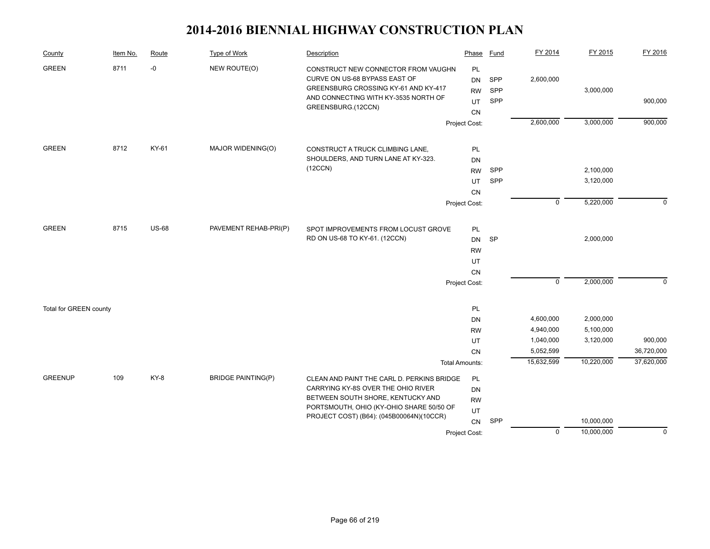| County                 | Item No. | Route        | <b>Type of Work</b>       | Description                                                                                                                                                                | Phase                                            | <b>Fund</b>       | FY 2014        | FY 2015    | FY 2016     |
|------------------------|----------|--------------|---------------------------|----------------------------------------------------------------------------------------------------------------------------------------------------------------------------|--------------------------------------------------|-------------------|----------------|------------|-------------|
| <b>GREEN</b>           | 8711     | -0           | NEW ROUTE(O)              | CONSTRUCT NEW CONNECTOR FROM VAUGHN<br>CURVE ON US-68 BYPASS EAST OF<br>GREENSBURG CROSSING KY-61 AND KY-417<br>AND CONNECTING WITH KY-3535 NORTH OF<br>GREENSBURG.(12CCN) | PL<br><b>DN</b><br><b>RW</b><br>UT<br>${\sf CN}$ | SPP<br>SPP<br>SPP | 2,600,000      | 3,000,000  | 900,000     |
|                        |          |              |                           |                                                                                                                                                                            | Project Cost:                                    |                   | 2,600,000      | 3,000,000  | 900,000     |
| <b>GREEN</b>           | 8712     | KY-61        |                           |                                                                                                                                                                            |                                                  |                   |                |            |             |
|                        |          |              | MAJOR WIDENING(O)         | CONSTRUCT A TRUCK CLIMBING LANE,<br>SHOULDERS, AND TURN LANE AT KY-323.                                                                                                    | <b>PL</b><br>DN                                  |                   |                |            |             |
|                        |          |              |                           | (12CCN)                                                                                                                                                                    | <b>RW</b>                                        | SPP               |                | 2,100,000  |             |
|                        |          |              |                           |                                                                                                                                                                            | UT                                               | SPP               |                | 3,120,000  |             |
|                        |          |              |                           |                                                                                                                                                                            | CN                                               |                   |                |            |             |
|                        |          |              |                           |                                                                                                                                                                            | Project Cost:                                    |                   | $\mathbf 0$    | 5,220,000  | $\Omega$    |
|                        |          |              |                           |                                                                                                                                                                            |                                                  |                   |                |            |             |
| <b>GREEN</b>           | 8715     | <b>US-68</b> | PAVEMENT REHAB-PRI(P)     | SPOT IMPROVEMENTS FROM LOCUST GROVE                                                                                                                                        | PL                                               |                   |                |            |             |
|                        |          |              |                           | RD ON US-68 TO KY-61. (12CCN)                                                                                                                                              | <b>DN</b>                                        | SP                |                | 2,000,000  |             |
|                        |          |              |                           |                                                                                                                                                                            | <b>RW</b>                                        |                   |                |            |             |
|                        |          |              |                           |                                                                                                                                                                            | UT                                               |                   |                |            |             |
|                        |          |              |                           |                                                                                                                                                                            | CN                                               |                   | $\overline{0}$ |            |             |
|                        |          |              |                           |                                                                                                                                                                            | Project Cost:                                    |                   |                | 2,000,000  | $\Omega$    |
| Total for GREEN county |          |              |                           |                                                                                                                                                                            | PL                                               |                   |                |            |             |
|                        |          |              |                           |                                                                                                                                                                            | DN                                               |                   | 4,600,000      | 2,000,000  |             |
|                        |          |              |                           |                                                                                                                                                                            | <b>RW</b>                                        |                   | 4,940,000      | 5,100,000  |             |
|                        |          |              |                           |                                                                                                                                                                            | UT                                               |                   | 1,040,000      | 3,120,000  | 900,000     |
|                        |          |              |                           |                                                                                                                                                                            | CN                                               |                   | 5,052,599      |            | 36,720,000  |
|                        |          |              |                           |                                                                                                                                                                            | <b>Total Amounts:</b>                            |                   | 15,632,599     | 10,220,000 | 37,620,000  |
| <b>GREENUP</b>         | 109      | KY-8         | <b>BRIDGE PAINTING(P)</b> | CLEAN AND PAINT THE CARL D. PERKINS BRIDGE                                                                                                                                 | PL                                               |                   |                |            |             |
|                        |          |              |                           | CARRYING KY-8S OVER THE OHIO RIVER                                                                                                                                         | <b>DN</b>                                        |                   |                |            |             |
|                        |          |              |                           | BETWEEN SOUTH SHORE, KENTUCKY AND                                                                                                                                          | <b>RW</b>                                        |                   |                |            |             |
|                        |          |              |                           | PORTSMOUTH, OHIO (KY-OHIO SHARE 50/50 OF<br>PROJECT COST) (B64): (045B00064N)(10CCR)                                                                                       | UT                                               |                   |                |            |             |
|                        |          |              |                           |                                                                                                                                                                            | CN                                               | SPP               |                | 10,000,000 |             |
|                        |          |              |                           |                                                                                                                                                                            | Project Cost:                                    |                   | $\overline{0}$ | 10,000,000 | $\mathbf 0$ |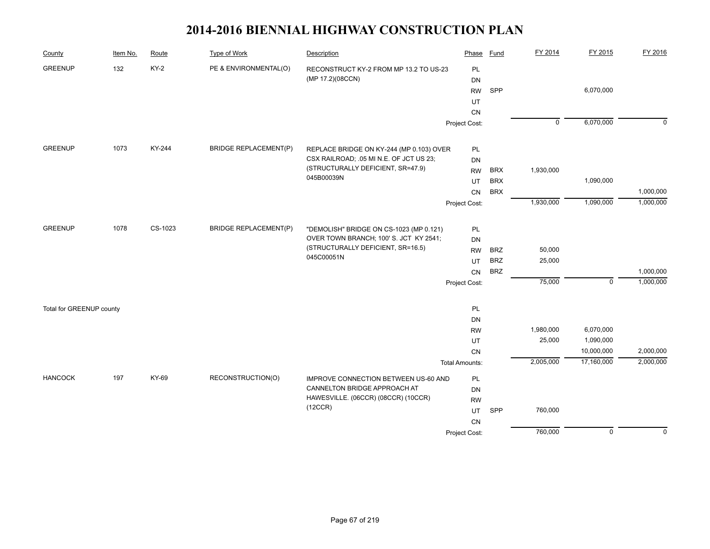| County                   | Item No. | Route   | <b>Type of Work</b>          | Description                                     | Phase                 | Fund       | FY 2014        | FY 2015             | FY 2016        |
|--------------------------|----------|---------|------------------------------|-------------------------------------------------|-----------------------|------------|----------------|---------------------|----------------|
| <b>GREENUP</b>           | 132      | $KY-2$  | PE & ENVIRONMENTAL(O)        | RECONSTRUCT KY-2 FROM MP 13.2 TO US-23          | PL                    |            |                |                     |                |
|                          |          |         |                              | (MP 17.2)(08CCN)                                | <b>DN</b>             |            |                |                     |                |
|                          |          |         |                              |                                                 | <b>RW</b>             | SPP        |                | 6,070,000           |                |
|                          |          |         |                              |                                                 | UT                    |            |                |                     |                |
|                          |          |         |                              |                                                 | CN                    |            |                |                     |                |
|                          |          |         |                              |                                                 | Project Cost:         |            | $\overline{0}$ | 6,070,000           | $\overline{0}$ |
| <b>GREENUP</b>           | 1073     | KY-244  | <b>BRIDGE REPLACEMENT(P)</b> | REPLACE BRIDGE ON KY-244 (MP 0.103) OVER        | PL                    |            |                |                     |                |
|                          |          |         |                              | CSX RAILROAD; .05 MI N.E. OF JCT US 23;         | <b>DN</b>             |            |                |                     |                |
|                          |          |         |                              | (STRUCTURALLY DEFICIENT, SR=47.9)               | <b>RW</b>             | <b>BRX</b> | 1,930,000      |                     |                |
|                          |          |         |                              | 045B00039N                                      | UT                    | <b>BRX</b> |                | 1,090,000           |                |
|                          |          |         |                              |                                                 | CN                    | <b>BRX</b> |                |                     | 1,000,000      |
|                          |          |         |                              |                                                 | Project Cost:         |            | 1,930,000      | 1,090,000           | 1,000,000      |
|                          |          |         |                              |                                                 |                       |            |                |                     |                |
| <b>GREENUP</b>           | 1078     | CS-1023 | <b>BRIDGE REPLACEMENT(P)</b> | "DEMOLISH" BRIDGE ON CS-1023 (MP 0.121)         | PL                    |            |                |                     |                |
|                          |          |         |                              | OVER TOWN BRANCH; 100' S. JCT KY 2541;          | DN                    |            |                |                     |                |
|                          |          |         |                              | (STRUCTURALLY DEFICIENT, SR=16.5)<br>045C00051N | <b>RW</b>             | <b>BRZ</b> | 50,000         |                     |                |
|                          |          |         |                              |                                                 | UT                    | <b>BRZ</b> | 25,000         |                     |                |
|                          |          |         |                              |                                                 | CN                    | <b>BRZ</b> |                |                     | 1,000,000      |
|                          |          |         |                              |                                                 | Project Cost:         |            | 75,000         | $\mathsf{O}\xspace$ | 1,000,000      |
| Total for GREENUP county |          |         |                              |                                                 | PL                    |            |                |                     |                |
|                          |          |         |                              |                                                 | <b>DN</b>             |            |                |                     |                |
|                          |          |         |                              |                                                 | <b>RW</b>             |            | 1,980,000      | 6,070,000           |                |
|                          |          |         |                              |                                                 | UT                    |            | 25,000         | 1,090,000           |                |
|                          |          |         |                              |                                                 | CN                    |            |                | 10,000,000          | 2,000,000      |
|                          |          |         |                              |                                                 | <b>Total Amounts:</b> |            | 2,005,000      | 17,160,000          | 2,000,000      |
| <b>HANCOCK</b>           | 197      | KY-69   | RECONSTRUCTION(O)            | IMPROVE CONNECTION BETWEEN US-60 AND            | <b>PL</b>             |            |                |                     |                |
|                          |          |         |                              | CANNELTON BRIDGE APPROACH AT                    | <b>DN</b>             |            |                |                     |                |
|                          |          |         |                              | HAWESVILLE. (06CCR) (08CCR) (10CCR)             | <b>RW</b>             |            |                |                     |                |
|                          |          |         |                              | (12CCR)                                         | UT                    | SPP        | 760,000        |                     |                |
|                          |          |         |                              |                                                 | CN                    |            |                |                     |                |
|                          |          |         |                              |                                                 | Project Cost:         |            | 760,000        | $\overline{0}$      | $\overline{0}$ |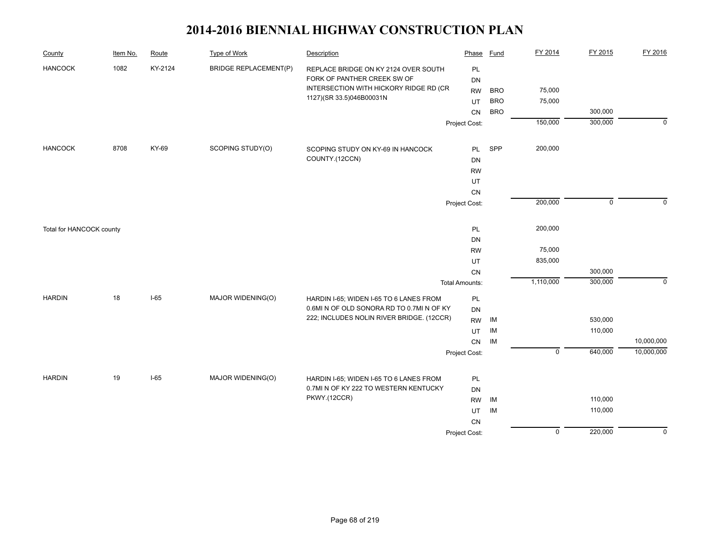| County                   | Item No. | Route   | <b>Type of Work</b>          | Description                                                        | Phase                 | <b>Fund</b> | FY 2014        | FY 2015     | FY 2016     |
|--------------------------|----------|---------|------------------------------|--------------------------------------------------------------------|-----------------------|-------------|----------------|-------------|-------------|
| <b>HANCOCK</b>           | 1082     | KY-2124 | <b>BRIDGE REPLACEMENT(P)</b> | REPLACE BRIDGE ON KY 2124 OVER SOUTH                               | PL                    |             |                |             |             |
|                          |          |         |                              | FORK OF PANTHER CREEK SW OF                                        | <b>DN</b>             |             |                |             |             |
|                          |          |         |                              | INTERSECTION WITH HICKORY RIDGE RD (CR<br>1127)(SR 33.5)046B00031N | <b>RW</b>             | <b>BRO</b>  | 75,000         |             |             |
|                          |          |         |                              |                                                                    | UT                    | <b>BRO</b>  | 75,000         |             |             |
|                          |          |         |                              |                                                                    | CN                    | <b>BRO</b>  |                | 300,000     |             |
|                          |          |         |                              |                                                                    | Project Cost:         |             | 150,000        | 300,000     | $\mathbf 0$ |
| <b>HANCOCK</b>           | 8708     | KY-69   | SCOPING STUDY(O)             | SCOPING STUDY ON KY-69 IN HANCOCK                                  | PL                    | SPP         | 200,000        |             |             |
|                          |          |         |                              | COUNTY.(12CCN)                                                     | DN                    |             |                |             |             |
|                          |          |         |                              |                                                                    | <b>RW</b>             |             |                |             |             |
|                          |          |         |                              |                                                                    | UT                    |             |                |             |             |
|                          |          |         |                              |                                                                    | CN                    |             |                |             |             |
|                          |          |         |                              |                                                                    | Project Cost:         |             | 200,000        | $\mathbf 0$ | $\Omega$    |
| Total for HANCOCK county |          |         |                              |                                                                    | PL                    |             | 200,000        |             |             |
|                          |          |         |                              |                                                                    | <b>DN</b>             |             |                |             |             |
|                          |          |         |                              |                                                                    | <b>RW</b>             |             | 75,000         |             |             |
|                          |          |         |                              |                                                                    | UT                    |             | 835,000        |             |             |
|                          |          |         |                              |                                                                    | CN                    |             |                | 300,000     |             |
|                          |          |         |                              |                                                                    | <b>Total Amounts:</b> |             | 1,110,000      | 300,000     | $\mathbf 0$ |
| <b>HARDIN</b>            | 18       | $I-65$  | MAJOR WIDENING(O)            | HARDIN I-65; WIDEN I-65 TO 6 LANES FROM                            | PL                    |             |                |             |             |
|                          |          |         |                              | 0.6MI N OF OLD SONORA RD TO 0.7MI N OF KY                          | DN                    |             |                |             |             |
|                          |          |         |                              | 222; INCLUDES NOLIN RIVER BRIDGE. (12CCR)                          | <b>RW</b>             | IM          |                | 530,000     |             |
|                          |          |         |                              |                                                                    | UT                    | IM          |                | 110,000     |             |
|                          |          |         |                              |                                                                    | CN                    | IM          |                |             | 10,000,000  |
|                          |          |         |                              |                                                                    | Project Cost:         |             | $\mathsf 0$    | 640,000     | 10,000,000  |
| <b>HARDIN</b>            | 19       | $I-65$  | MAJOR WIDENING(O)            | HARDIN I-65; WIDEN I-65 TO 6 LANES FROM                            | PL                    |             |                |             |             |
|                          |          |         |                              | 0.7MI N OF KY 222 TO WESTERN KENTUCKY                              | DN                    |             |                |             |             |
|                          |          |         |                              | PKWY.(12CCR)                                                       | <b>RW</b>             | IM          |                | 110,000     |             |
|                          |          |         |                              |                                                                    | UT                    | IM          |                | 110,000     |             |
|                          |          |         |                              |                                                                    | ${\sf CN}$            |             |                |             |             |
|                          |          |         |                              |                                                                    | Project Cost:         |             | $\overline{0}$ | 220,000     | $\mathbf 0$ |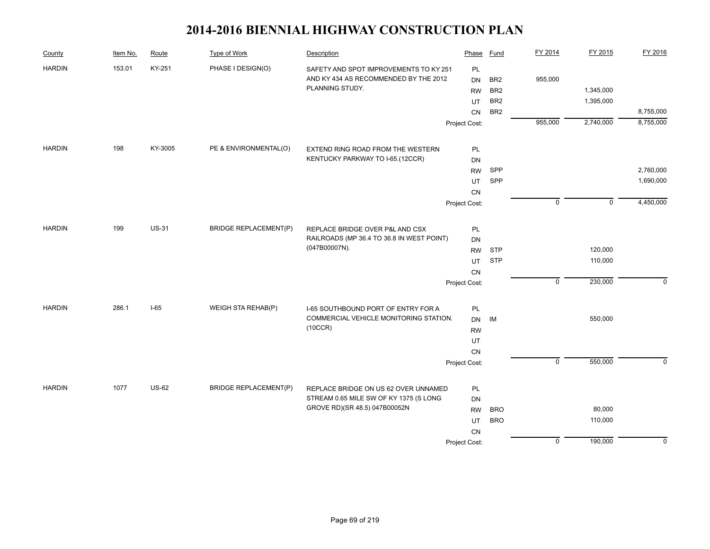| County        | Item No. | Route        | Type of Work                 | Description                                                                    | Phase         | <b>Fund</b>              | FY 2014        | FY 2015     | FY 2016     |
|---------------|----------|--------------|------------------------------|--------------------------------------------------------------------------------|---------------|--------------------------|----------------|-------------|-------------|
| <b>HARDIN</b> | 153.01   | KY-251       | PHASE I DESIGN(O)            | SAFETY AND SPOT IMPROVEMENTS TO KY 251                                         | PL            |                          |                |             |             |
|               |          |              |                              | AND KY 434 AS RECOMMENDED BY THE 2012                                          | <b>DN</b>     | BR <sub>2</sub>          | 955,000        |             |             |
|               |          |              |                              | PLANNING STUDY.                                                                | <b>RW</b>     | BR <sub>2</sub>          |                | 1,345,000   |             |
|               |          |              |                              |                                                                                | UT            | BR <sub>2</sub>          |                | 1,395,000   |             |
|               |          |              |                              |                                                                                | CN            | BR <sub>2</sub>          |                |             | 8,755,000   |
|               |          |              |                              |                                                                                | Project Cost: |                          | 955,000        | 2,740,000   | 8,755,000   |
| <b>HARDIN</b> | 198      | KY-3005      | PE & ENVIRONMENTAL(O)        | EXTEND RING ROAD FROM THE WESTERN                                              | PL            |                          |                |             |             |
|               |          |              |                              | KENTUCKY PARKWAY TO I-65.(12CCR)                                               | <b>DN</b>     |                          |                |             |             |
|               |          |              |                              |                                                                                | <b>RW</b>     | SPP                      |                |             | 2,760,000   |
|               |          |              |                              |                                                                                | UT            | SPP                      |                |             | 1,690,000   |
|               |          |              |                              |                                                                                | CN            |                          |                |             |             |
|               |          |              |                              |                                                                                | Project Cost: |                          | $\mathbf 0$    | $\mathsf 0$ | 4,450,000   |
| <b>HARDIN</b> | 199      | <b>US-31</b> | <b>BRIDGE REPLACEMENT(P)</b> | REPLACE BRIDGE OVER P&L AND CSX                                                | PL            |                          |                |             |             |
|               |          |              |                              | RAILROADS (MP 36.4 TO 36.8 IN WEST POINT)                                      | <b>DN</b>     |                          |                |             |             |
|               |          |              |                              | (047B00007N).                                                                  | <b>RW</b>     | <b>STP</b>               |                | 120,000     |             |
|               |          |              |                              |                                                                                | UT            | <b>STP</b>               |                | 110,000     |             |
|               |          |              |                              |                                                                                | CN            |                          |                |             |             |
|               |          |              |                              |                                                                                | Project Cost: |                          | $\mathsf 0$    | 230,000     | $\mathbf 0$ |
| <b>HARDIN</b> | 286.1    | $I-65$       | WEIGH STA REHAB(P)           | I-65 SOUTHBOUND PORT OF ENTRY FOR A                                            | PL            |                          |                |             |             |
|               |          |              |                              | COMMERCIAL VEHICLE MONITORING STATION.                                         | DN            | IM                       |                | 550,000     |             |
|               |          |              |                              | (10CCR)                                                                        | <b>RW</b>     |                          |                |             |             |
|               |          |              |                              |                                                                                | UT            |                          |                |             |             |
|               |          |              |                              |                                                                                | CN            |                          |                |             |             |
|               |          |              |                              |                                                                                | Project Cost: |                          | $\overline{0}$ | 550,000     | $\mathbf 0$ |
|               |          |              |                              |                                                                                |               |                          |                |             |             |
| <b>HARDIN</b> | 1077     | <b>US-62</b> | <b>BRIDGE REPLACEMENT(P)</b> | REPLACE BRIDGE ON US 62 OVER UNNAMED<br>STREAM 0.65 MILE SW OF KY 1375 (S LONG | PL            |                          |                |             |             |
|               |          |              |                              | GROVE RD)(SR 48.5) 047B00052N                                                  | DN            |                          |                |             |             |
|               |          |              |                              |                                                                                | <b>RW</b>     | <b>BRO</b><br><b>BRO</b> |                | 80,000      |             |
|               |          |              |                              |                                                                                | UT            |                          |                | 110,000     |             |
|               |          |              |                              |                                                                                | CN            |                          | $\mathsf 0$    | 190,000     | $\mathbf 0$ |
|               |          |              |                              |                                                                                | Project Cost: |                          |                |             |             |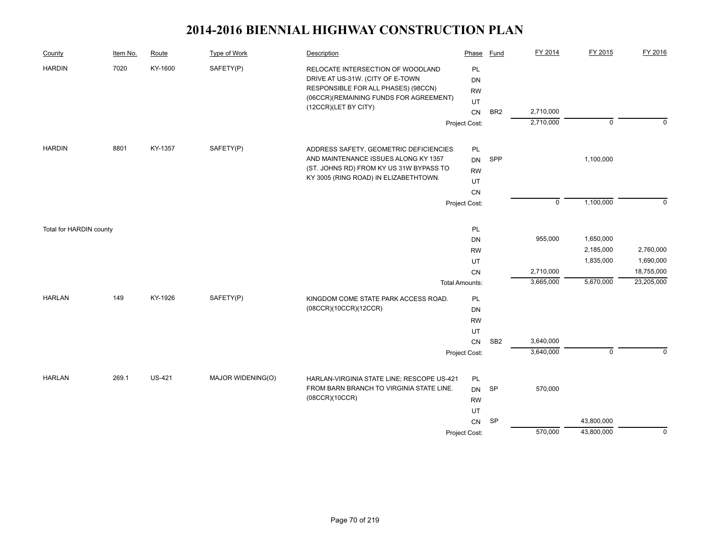| County                  | Item No. | Route         | <b>Type of Work</b> | Description                                                                                                                                            | Phase                              | <b>Fund</b>     | FY 2014     | FY 2015     | FY 2016     |
|-------------------------|----------|---------------|---------------------|--------------------------------------------------------------------------------------------------------------------------------------------------------|------------------------------------|-----------------|-------------|-------------|-------------|
| <b>HARDIN</b>           | 7020     | KY-1600       | SAFETY(P)           | RELOCATE INTERSECTION OF WOODLAND<br>DRIVE AT US-31W. (CITY OF E-TOWN<br>RESPONSIBLE FOR ALL PHASES) (98CCN)<br>(06CCR)(REMAINING FUNDS FOR AGREEMENT) | <b>PL</b><br>DN<br><b>RW</b><br>UT |                 |             |             |             |
|                         |          |               |                     | (12CCR)(LET BY CITY)                                                                                                                                   | CN                                 | BR <sub>2</sub> | 2,710,000   |             |             |
|                         |          |               |                     |                                                                                                                                                        | Project Cost:                      |                 | 2,710,000   | $\mathbf 0$ | $\mathbf 0$ |
|                         |          |               |                     |                                                                                                                                                        |                                    |                 |             |             |             |
| <b>HARDIN</b>           | 8801     | KY-1357       | SAFETY(P)           | ADDRESS SAFETY, GEOMETRIC DEFICIENCIES                                                                                                                 | PL                                 |                 |             |             |             |
|                         |          |               |                     | AND MAINTENANCE ISSUES ALONG KY 1357                                                                                                                   | DN                                 | SPP             |             | 1,100,000   |             |
|                         |          |               |                     | (ST. JOHNS RD) FROM KY US 31W BYPASS TO                                                                                                                | <b>RW</b>                          |                 |             |             |             |
|                         |          |               |                     | KY 3005 (RING ROAD) IN ELIZABETHTOWN.                                                                                                                  | UT                                 |                 |             |             |             |
|                         |          |               |                     |                                                                                                                                                        | CN                                 |                 |             |             |             |
|                         |          |               |                     |                                                                                                                                                        | Project Cost:                      |                 | $\mathbf 0$ | 1,100,000   | $\mathbf 0$ |
| Total for HARDIN county |          |               |                     |                                                                                                                                                        | PL                                 |                 |             |             |             |
|                         |          |               |                     |                                                                                                                                                        | <b>DN</b>                          |                 | 955,000     | 1,650,000   |             |
|                         |          |               |                     |                                                                                                                                                        | <b>RW</b>                          |                 |             | 2,185,000   | 2,760,000   |
|                         |          |               |                     |                                                                                                                                                        | UT                                 |                 |             | 1,835,000   | 1,690,000   |
|                         |          |               |                     |                                                                                                                                                        | CN                                 |                 | 2,710,000   |             | 18,755,000  |
|                         |          |               |                     |                                                                                                                                                        | <b>Total Amounts:</b>              |                 | 3,665,000   | 5,670,000   | 23,205,000  |
| <b>HARLAN</b>           | 149      | KY-1926       | SAFETY(P)           | KINGDOM COME STATE PARK ACCESS ROAD.                                                                                                                   | PL                                 |                 |             |             |             |
|                         |          |               |                     | (08CCR)(10CCR)(12CCR)                                                                                                                                  | DN                                 |                 |             |             |             |
|                         |          |               |                     |                                                                                                                                                        | <b>RW</b>                          |                 |             |             |             |
|                         |          |               |                     |                                                                                                                                                        | UT                                 |                 |             |             |             |
|                         |          |               |                     |                                                                                                                                                        | CN                                 | SB <sub>2</sub> | 3,640,000   |             |             |
|                         |          |               |                     |                                                                                                                                                        | Project Cost:                      |                 | 3,640,000   | $\mathbf 0$ | $\Omega$    |
| <b>HARLAN</b>           | 269.1    | <b>US-421</b> | MAJOR WIDENING(O)   | HARLAN-VIRGINIA STATE LINE; RESCOPE US-421                                                                                                             | PL                                 |                 |             |             |             |
|                         |          |               |                     | FROM BARN BRANCH TO VIRGINIA STATE LINE.                                                                                                               | <b>DN</b>                          | <b>SP</b>       | 570,000     |             |             |
|                         |          |               |                     | (08CCR)(10CCR)                                                                                                                                         | <b>RW</b>                          |                 |             |             |             |
|                         |          |               |                     |                                                                                                                                                        | UT                                 |                 |             |             |             |
|                         |          |               |                     |                                                                                                                                                        | CN                                 | <b>SP</b>       |             | 43,800,000  |             |
|                         |          |               |                     |                                                                                                                                                        | Project Cost:                      |                 | 570,000     | 43,800,000  | $\mathbf 0$ |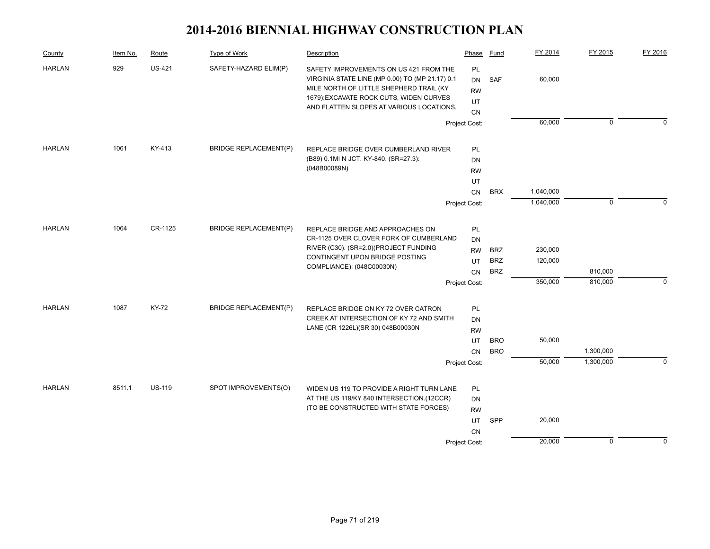| County        | Item No. | Route         | Type of Work                 | Description                                                                                                                                                                                                                 | Phase                                    | Fund                     | FY 2014            | FY 2015                | FY 2016     |
|---------------|----------|---------------|------------------------------|-----------------------------------------------------------------------------------------------------------------------------------------------------------------------------------------------------------------------------|------------------------------------------|--------------------------|--------------------|------------------------|-------------|
| <b>HARLAN</b> | 929      | <b>US-421</b> | SAFETY-HAZARD ELIM(P)        | SAFETY IMPROVEMENTS ON US 421 FROM THE<br>VIRGINIA STATE LINE (MP 0.00) TO (MP 21.17) 0.1<br>MILE NORTH OF LITTLE SHEPHERD TRAIL (KY<br>1679): EXCAVATE ROCK CUTS, WIDEN CURVES<br>AND FLATTEN SLOPES AT VARIOUS LOCATIONS. | PL<br><b>DN</b><br><b>RW</b><br>UT<br>CN | <b>SAF</b>               | 60,000             |                        |             |
|               |          |               |                              |                                                                                                                                                                                                                             | Project Cost:                            |                          | 60,000             | $\mathbf 0$            | $\Omega$    |
| <b>HARLAN</b> | 1061     | KY-413        | <b>BRIDGE REPLACEMENT(P)</b> | REPLACE BRIDGE OVER CUMBERLAND RIVER<br>(B89) 0.1MI N JCT. KY-840. (SR=27.3):                                                                                                                                               | PL<br><b>DN</b>                          |                          |                    |                        |             |
|               |          |               |                              | (048B00089N)                                                                                                                                                                                                                | <b>RW</b>                                |                          |                    |                        |             |
|               |          |               |                              |                                                                                                                                                                                                                             | UT<br>CN                                 | <b>BRX</b>               | 1,040,000          |                        |             |
|               |          |               |                              |                                                                                                                                                                                                                             | Project Cost:                            |                          | 1,040,000          | $\mathbf 0$            | 0           |
| <b>HARLAN</b> | 1064     | CR-1125       | <b>BRIDGE REPLACEMENT(P)</b> | REPLACE BRIDGE AND APPROACHES ON<br>CR-1125 OVER CLOVER FORK OF CUMBERLAND                                                                                                                                                  | PL<br><b>DN</b>                          |                          |                    |                        |             |
|               |          |               |                              | RIVER (C30). (SR=2.0)(PROJECT FUNDING<br>CONTINGENT UPON BRIDGE POSTING                                                                                                                                                     | <b>RW</b><br>UT                          | <b>BRZ</b><br><b>BRZ</b> | 230,000<br>120,000 |                        |             |
|               |          |               |                              | COMPLIANCE): (048C00030N)                                                                                                                                                                                                   | CN                                       | <b>BRZ</b>               |                    | 810,000                |             |
|               |          |               |                              |                                                                                                                                                                                                                             | Project Cost:                            |                          | 350,000            | 810,000                | $\mathbf 0$ |
| <b>HARLAN</b> | 1087     | <b>KY-72</b>  | <b>BRIDGE REPLACEMENT(P)</b> | REPLACE BRIDGE ON KY 72 OVER CATRON<br>CREEK AT INTERSECTION OF KY 72 AND SMITH<br>LANE (CR 1226L)(SR 30) 048B00030N                                                                                                        | PL<br>DN<br><b>RW</b>                    |                          |                    |                        |             |
|               |          |               |                              |                                                                                                                                                                                                                             | UT                                       | <b>BRO</b>               | 50,000             |                        |             |
|               |          |               |                              |                                                                                                                                                                                                                             | CN<br>Project Cost:                      | <b>BRO</b>               | 50,000             | 1,300,000<br>1,300,000 | $\Omega$    |
|               |          |               |                              |                                                                                                                                                                                                                             |                                          |                          |                    |                        |             |
| <b>HARLAN</b> | 8511.1   | <b>US-119</b> | SPOT IMPROVEMENTS(O)         | WIDEN US 119 TO PROVIDE A RIGHT TURN LANE<br>AT THE US 119/KY 840 INTERSECTION.(12CCR)<br>(TO BE CONSTRUCTED WITH STATE FORCES)                                                                                             | PL<br>DN<br><b>RW</b><br>UT              | SPP                      | 20,000             |                        |             |
|               |          |               |                              |                                                                                                                                                                                                                             | CN<br>Project Cost:                      |                          | 20,000             | $\mathbf 0$            | $\mathbf 0$ |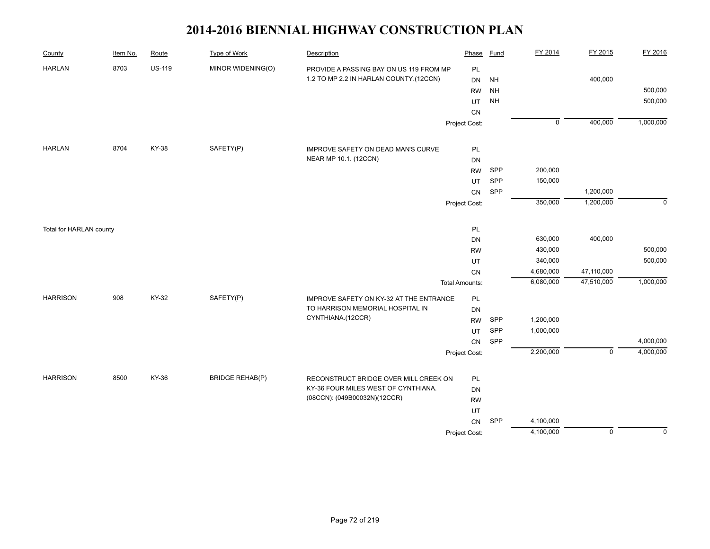| County                  | Item No. | Route         | <b>Type of Work</b>    | Description                             | Phase                 | <b>Fund</b> | FY 2014        | FY 2015        | FY 2016     |
|-------------------------|----------|---------------|------------------------|-----------------------------------------|-----------------------|-------------|----------------|----------------|-------------|
| <b>HARLAN</b>           | 8703     | <b>US-119</b> | MINOR WIDENING(O)      | PROVIDE A PASSING BAY ON US 119 FROM MP | PL                    |             |                |                |             |
|                         |          |               |                        | 1.2 TO MP 2.2 IN HARLAN COUNTY.(12CCN)  | DN                    | <b>NH</b>   |                | 400,000        |             |
|                         |          |               |                        |                                         | <b>RW</b>             | <b>NH</b>   |                |                | 500,000     |
|                         |          |               |                        |                                         | UT                    | <b>NH</b>   |                |                | 500,000     |
|                         |          |               |                        |                                         | ${\sf CN}$            |             |                |                |             |
|                         |          |               |                        |                                         | Project Cost:         |             | $\overline{0}$ | 400,000        | 1,000,000   |
| <b>HARLAN</b>           | 8704     | <b>KY-38</b>  | SAFETY(P)              | IMPROVE SAFETY ON DEAD MAN'S CURVE      | PL                    |             |                |                |             |
|                         |          |               |                        | NEAR MP 10.1. (12CCN)                   | DN                    |             |                |                |             |
|                         |          |               |                        |                                         | <b>RW</b>             | SPP         | 200,000        |                |             |
|                         |          |               |                        |                                         | UT                    | SPP         | 150,000        |                |             |
|                         |          |               |                        |                                         | CN                    | SPP         |                | 1,200,000      |             |
|                         |          |               |                        |                                         | Project Cost:         |             | 350,000        | 1,200,000      | $\mathbf 0$ |
|                         |          |               |                        |                                         |                       |             |                |                |             |
| Total for HARLAN county |          |               |                        |                                         | PL                    |             |                |                |             |
|                         |          |               |                        |                                         | DN                    |             | 630,000        | 400,000        |             |
|                         |          |               |                        |                                         | <b>RW</b>             |             | 430,000        |                | 500,000     |
|                         |          |               |                        |                                         | UT                    |             | 340,000        |                | 500,000     |
|                         |          |               |                        |                                         | CN                    |             | 4,680,000      | 47,110,000     |             |
|                         |          |               |                        |                                         | <b>Total Amounts:</b> |             | 6,080,000      | 47,510,000     | 1,000,000   |
| <b>HARRISON</b>         | 908      | KY-32         | SAFETY(P)              | IMPROVE SAFETY ON KY-32 AT THE ENTRANCE | PL                    |             |                |                |             |
|                         |          |               |                        | TO HARRISON MEMORIAL HOSPITAL IN        | DN                    |             |                |                |             |
|                         |          |               |                        | CYNTHIANA.(12CCR)                       | <b>RW</b>             | SPP         | 1,200,000      |                |             |
|                         |          |               |                        |                                         | <b>UT</b>             | SPP         | 1,000,000      |                |             |
|                         |          |               |                        |                                         | ${\sf CN}$            | SPP         |                |                | 4,000,000   |
|                         |          |               |                        |                                         | Project Cost:         |             | 2,200,000      | $\mathsf 0$    | 4,000,000   |
| <b>HARRISON</b>         | 8500     | KY-36         | <b>BRIDGE REHAB(P)</b> | RECONSTRUCT BRIDGE OVER MILL CREEK ON   | PL                    |             |                |                |             |
|                         |          |               |                        | KY-36 FOUR MILES WEST OF CYNTHIANA.     | DN                    |             |                |                |             |
|                         |          |               |                        | (08CCN): (049B00032N)(12CCR)            | <b>RW</b>             |             |                |                |             |
|                         |          |               |                        |                                         | UT                    |             |                |                |             |
|                         |          |               |                        |                                         | CN                    | SPP         | 4,100,000      |                |             |
|                         |          |               |                        |                                         | Project Cost:         |             | 4,100,000      | $\overline{0}$ | $\mathbf 0$ |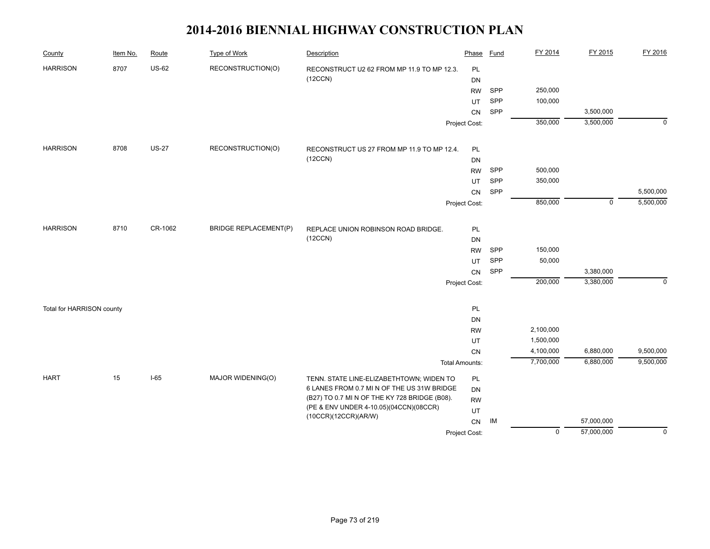| County                    | Item No. | Route        | <b>Type of Work</b>          | Description                                   | Phase                 | Fund | FY 2014        | FY 2015     | FY 2016     |
|---------------------------|----------|--------------|------------------------------|-----------------------------------------------|-----------------------|------|----------------|-------------|-------------|
| <b>HARRISON</b>           | 8707     | <b>US-62</b> | RECONSTRUCTION(O)            | RECONSTRUCT U2 62 FROM MP 11.9 TO MP 12.3.    | <b>PL</b>             |      |                |             |             |
|                           |          |              |                              | (12CCN)                                       | <b>DN</b>             |      |                |             |             |
|                           |          |              |                              |                                               | <b>RW</b>             | SPP  | 250,000        |             |             |
|                           |          |              |                              |                                               | UT                    | SPP  | 100,000        |             |             |
|                           |          |              |                              |                                               | CN                    | SPP  |                | 3,500,000   |             |
|                           |          |              |                              |                                               | Project Cost:         |      | 350,000        | 3,500,000   | $\mathbf 0$ |
| <b>HARRISON</b>           | 8708     | <b>US-27</b> | RECONSTRUCTION(O)            | RECONSTRUCT US 27 FROM MP 11.9 TO MP 12.4.    | PL                    |      |                |             |             |
|                           |          |              |                              | (12CCN)                                       | DN                    |      |                |             |             |
|                           |          |              |                              |                                               | <b>RW</b>             | SPP  | 500,000        |             |             |
|                           |          |              |                              |                                               | UT                    | SPP  | 350,000        |             |             |
|                           |          |              |                              |                                               | CN                    | SPP  |                |             | 5,500,000   |
|                           |          |              |                              |                                               | Project Cost:         |      | 850,000        | $\mathbf 0$ | 5,500,000   |
|                           |          |              |                              |                                               |                       |      |                |             |             |
| <b>HARRISON</b>           | 8710     | CR-1062      | <b>BRIDGE REPLACEMENT(P)</b> | REPLACE UNION ROBINSON ROAD BRIDGE.           | PL                    |      |                |             |             |
|                           |          |              |                              | (12CCN)                                       | DN                    |      |                |             |             |
|                           |          |              |                              |                                               | <b>RW</b>             | SPP  | 150,000        |             |             |
|                           |          |              |                              |                                               | UT                    | SPP  | 50,000         |             |             |
|                           |          |              |                              |                                               | CN                    | SPP  |                | 3,380,000   |             |
|                           |          |              |                              |                                               | Project Cost:         |      | 200,000        | 3,380,000   | $\mathbf 0$ |
| Total for HARRISON county |          |              |                              |                                               | PL                    |      |                |             |             |
|                           |          |              |                              |                                               | DN                    |      |                |             |             |
|                           |          |              |                              |                                               | <b>RW</b>             |      | 2,100,000      |             |             |
|                           |          |              |                              |                                               | UT                    |      | 1,500,000      |             |             |
|                           |          |              |                              |                                               | ${\sf CN}$            |      | 4,100,000      | 6,880,000   | 9,500,000   |
|                           |          |              |                              |                                               | <b>Total Amounts:</b> |      | 7,700,000      | 6,880,000   | 9,500,000   |
| <b>HART</b>               | 15       | $I-65$       | MAJOR WIDENING(O)            | TENN. STATE LINE-ELIZABETHTOWN; WIDEN TO      | <b>PL</b>             |      |                |             |             |
|                           |          |              |                              | 6 LANES FROM 0.7 MI N OF THE US 31W BRIDGE    | DN                    |      |                |             |             |
|                           |          |              |                              | (B27) TO 0.7 MI N OF THE KY 728 BRIDGE (B08). | <b>RW</b>             |      |                |             |             |
|                           |          |              |                              | (PE & ENV UNDER 4-10.05)(04CCN)(08CCR)        | UT                    |      |                |             |             |
|                           |          |              |                              | (10CCR)(12CCR)(AR/W)                          | CN                    | IM   |                | 57,000,000  |             |
|                           |          |              |                              |                                               | Project Cost:         |      | $\overline{0}$ | 57,000,000  | $\mathbf 0$ |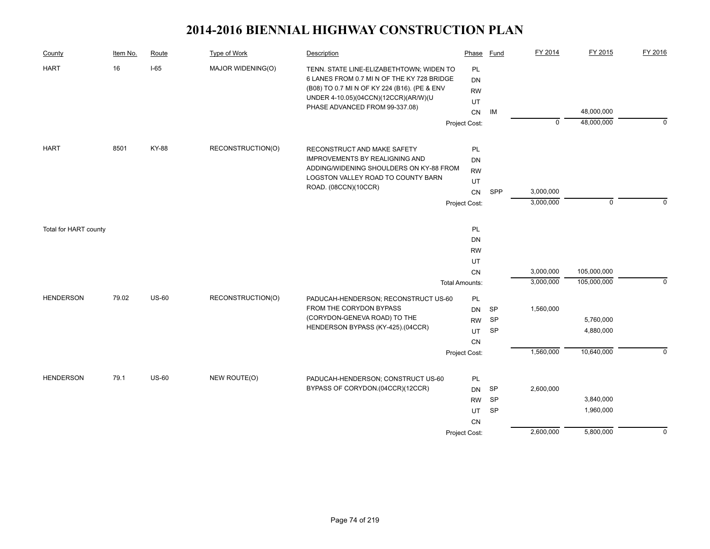| County                | Item No. | Route        | <b>Type of Work</b> | Description                                                                                                                                                                                                      | Phase                              | Fund      | FY 2014     | FY 2015     | FY 2016     |
|-----------------------|----------|--------------|---------------------|------------------------------------------------------------------------------------------------------------------------------------------------------------------------------------------------------------------|------------------------------------|-----------|-------------|-------------|-------------|
| <b>HART</b>           | 16       | $I-65$       | MAJOR WIDENING(O)   | TENN. STATE LINE-ELIZABETHTOWN; WIDEN TO<br>6 LANES FROM 0.7 MI N OF THE KY 728 BRIDGE<br>(B08) TO 0.7 MI N OF KY 224 (B16). (PE & ENV<br>UNDER 4-10.05)(04CCN)(12CCR)(AR/W)(U<br>PHASE ADVANCED FROM 99-337.08) | PL<br><b>DN</b><br><b>RW</b><br>UT | IM        |             | 48,000,000  |             |
|                       |          |              |                     |                                                                                                                                                                                                                  | CN<br>Project Cost:                |           | $\mathbf 0$ | 48,000,000  | $\mathbf 0$ |
|                       |          |              |                     |                                                                                                                                                                                                                  |                                    |           |             |             |             |
| <b>HART</b>           | 8501     | KY-88        | RECONSTRUCTION(O)   | RECONSTRUCT AND MAKE SAFETY                                                                                                                                                                                      | PL                                 |           |             |             |             |
|                       |          |              |                     | <b>IMPROVEMENTS BY REALIGNING AND</b>                                                                                                                                                                            | DN                                 |           |             |             |             |
|                       |          |              |                     | ADDING/WIDENING SHOULDERS ON KY-88 FROM                                                                                                                                                                          | <b>RW</b>                          |           |             |             |             |
|                       |          |              |                     | LOGSTON VALLEY ROAD TO COUNTY BARN<br>ROAD. (08CCN)(10CCR)                                                                                                                                                       | UT                                 |           |             |             |             |
|                       |          |              |                     |                                                                                                                                                                                                                  | CN                                 | SPP       | 3,000,000   |             |             |
|                       |          |              |                     |                                                                                                                                                                                                                  | Project Cost:                      |           | 3,000,000   | $\mathbf 0$ | $\Omega$    |
| Total for HART county |          |              |                     |                                                                                                                                                                                                                  | PL                                 |           |             |             |             |
|                       |          |              |                     |                                                                                                                                                                                                                  | DN                                 |           |             |             |             |
|                       |          |              |                     |                                                                                                                                                                                                                  | <b>RW</b>                          |           |             |             |             |
|                       |          |              |                     |                                                                                                                                                                                                                  | UT                                 |           |             |             |             |
|                       |          |              |                     |                                                                                                                                                                                                                  | CN                                 |           | 3,000,000   | 105,000,000 |             |
|                       |          |              |                     |                                                                                                                                                                                                                  | <b>Total Amounts:</b>              |           | 3,000,000   | 105,000,000 | $\mathbf 0$ |
| <b>HENDERSON</b>      | 79.02    | <b>US-60</b> | RECONSTRUCTION(O)   | PADUCAH-HENDERSON; RECONSTRUCT US-60                                                                                                                                                                             | PL                                 |           |             |             |             |
|                       |          |              |                     | FROM THE CORYDON BYPASS                                                                                                                                                                                          | <b>DN</b>                          | SP        | 1,560,000   |             |             |
|                       |          |              |                     | (CORYDON-GENEVA ROAD) TO THE                                                                                                                                                                                     | <b>RW</b>                          | <b>SP</b> |             | 5,760,000   |             |
|                       |          |              |                     | HENDERSON BYPASS (KY-425).(04CCR)                                                                                                                                                                                | <b>UT</b>                          | <b>SP</b> |             | 4,880,000   |             |
|                       |          |              |                     |                                                                                                                                                                                                                  | CN                                 |           |             |             |             |
|                       |          |              |                     |                                                                                                                                                                                                                  | Project Cost:                      |           | 1,560,000   | 10,640,000  | $\Omega$    |
| <b>HENDERSON</b>      | 79.1     | <b>US-60</b> | NEW ROUTE(O)        | PADUCAH-HENDERSON; CONSTRUCT US-60                                                                                                                                                                               | PL                                 |           |             |             |             |
|                       |          |              |                     | BYPASS OF CORYDON.(04CCR)(12CCR)                                                                                                                                                                                 | DN                                 | SP        | 2,600,000   |             |             |
|                       |          |              |                     |                                                                                                                                                                                                                  | <b>RW</b>                          | <b>SP</b> |             | 3,840,000   |             |
|                       |          |              |                     |                                                                                                                                                                                                                  | UT                                 | SP        |             | 1,960,000   |             |
|                       |          |              |                     |                                                                                                                                                                                                                  | CN                                 |           |             |             |             |
|                       |          |              |                     |                                                                                                                                                                                                                  | Project Cost:                      |           | 2,600,000   | 5,800,000   | $\mathbf 0$ |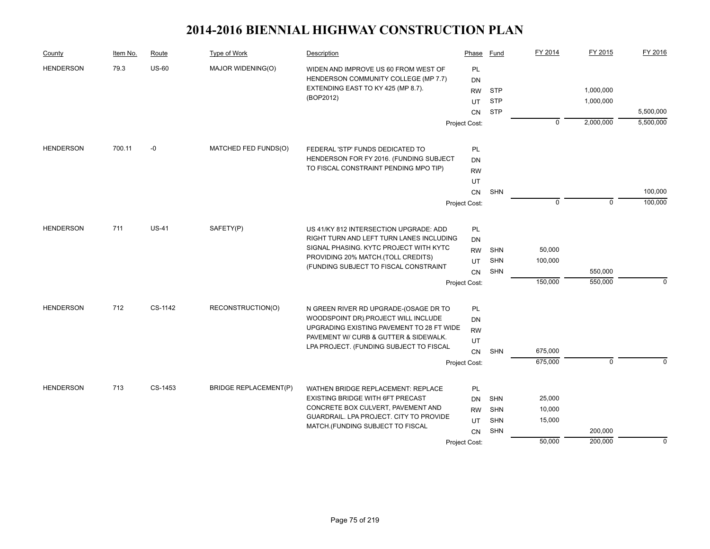| County           | Item No. | Route        | Type of Work                 | Description                                                                      | Phase         | Fund       | FY 2014     | FY 2015     | FY 2016     |
|------------------|----------|--------------|------------------------------|----------------------------------------------------------------------------------|---------------|------------|-------------|-------------|-------------|
| <b>HENDERSON</b> | 79.3     | <b>US-60</b> | MAJOR WIDENING(O)            | WIDEN AND IMPROVE US 60 FROM WEST OF                                             | PL            |            |             |             |             |
|                  |          |              |                              | HENDERSON COMMUNITY COLLEGE (MP 7.7)                                             | DN            |            |             |             |             |
|                  |          |              |                              | EXTENDING EAST TO KY 425 (MP 8.7).                                               | <b>RW</b>     | <b>STP</b> |             | 1,000,000   |             |
|                  |          |              |                              | (BOP2012)                                                                        | UT            | <b>STP</b> |             | 1,000,000   |             |
|                  |          |              |                              |                                                                                  | <b>CN</b>     | <b>STP</b> |             |             | 5,500,000   |
|                  |          |              |                              |                                                                                  | Project Cost: |            | $\mathbf 0$ | 2,000,000   | 5,500,000   |
| <b>HENDERSON</b> | 700.11   | $-0$         | MATCHED FED FUNDS(O)         | FEDERAL 'STP' FUNDS DEDICATED TO                                                 | PL            |            |             |             |             |
|                  |          |              |                              | HENDERSON FOR FY 2016. (FUNDING SUBJECT                                          | DN            |            |             |             |             |
|                  |          |              |                              | TO FISCAL CONSTRAINT PENDING MPO TIP)                                            | <b>RW</b>     |            |             |             |             |
|                  |          |              |                              |                                                                                  | UT            |            |             |             |             |
|                  |          |              |                              |                                                                                  | CN            | SHN        |             |             | 100,000     |
|                  |          |              |                              |                                                                                  | Project Cost: |            | $\mathbf 0$ | $\mathbf 0$ | 100,000     |
| <b>HENDERSON</b> | 711      | <b>US-41</b> | SAFETY(P)                    | US 41/KY 812 INTERSECTION UPGRADE: ADD                                           | PL            |            |             |             |             |
|                  |          |              |                              | RIGHT TURN AND LEFT TURN LANES INCLUDING                                         | DN            |            |             |             |             |
|                  |          |              |                              | SIGNAL PHASING. KYTC PROJECT WITH KYTC<br>PROVIDING 20% MATCH. (TOLL CREDITS)    | <b>RW</b>     | <b>SHN</b> | 50,000      |             |             |
|                  |          |              |                              |                                                                                  | UT            | <b>SHN</b> | 100,000     |             |             |
|                  |          |              |                              | (FUNDING SUBJECT TO FISCAL CONSTRAINT                                            | CN            | <b>SHN</b> |             | 550,000     |             |
|                  |          |              |                              |                                                                                  | Project Cost: |            | 150,000     | 550,000     | $\mathbf 0$ |
|                  |          |              |                              |                                                                                  |               |            |             |             |             |
| <b>HENDERSON</b> | 712      | CS-1142      | RECONSTRUCTION(O)            | N GREEN RIVER RD UPGRADE-(OSAGE DR TO                                            | PL            |            |             |             |             |
|                  |          |              |                              | WOODSPOINT DR).PROJECT WILL INCLUDE<br>UPGRADING EXISTING PAVEMENT TO 28 FT WIDE | DN            |            |             |             |             |
|                  |          |              |                              | PAVEMENT W/ CURB & GUTTER & SIDEWALK.                                            | <b>RW</b>     |            |             |             |             |
|                  |          |              |                              | LPA PROJECT. (FUNDING SUBJECT TO FISCAL                                          | UT            |            |             |             |             |
|                  |          |              |                              |                                                                                  | CN            | <b>SHN</b> | 675,000     |             |             |
|                  |          |              |                              |                                                                                  | Project Cost: |            | 675,000     | $\mathbf 0$ | $\Omega$    |
| <b>HENDERSON</b> | 713      | CS-1453      | <b>BRIDGE REPLACEMENT(P)</b> | WATHEN BRIDGE REPLACEMENT: REPLACE                                               | PL            |            |             |             |             |
|                  |          |              |                              | EXISTING BRIDGE WITH 6FT PRECAST                                                 | DN            | <b>SHN</b> | 25,000      |             |             |
|                  |          |              |                              | CONCRETE BOX CULVERT, PAVEMENT AND                                               | <b>RW</b>     | <b>SHN</b> | 10,000      |             |             |
|                  |          |              |                              | GUARDRAIL. LPA PROJECT. CITY TO PROVIDE<br>MATCH.(FUNDING SUBJECT TO FISCAL      | UT            | <b>SHN</b> | 15,000      |             |             |
|                  |          |              |                              |                                                                                  | <b>CN</b>     | <b>SHN</b> |             | 200,000     |             |
|                  |          |              |                              |                                                                                  | Project Cost: |            | 50,000      | 200,000     | $\mathbf 0$ |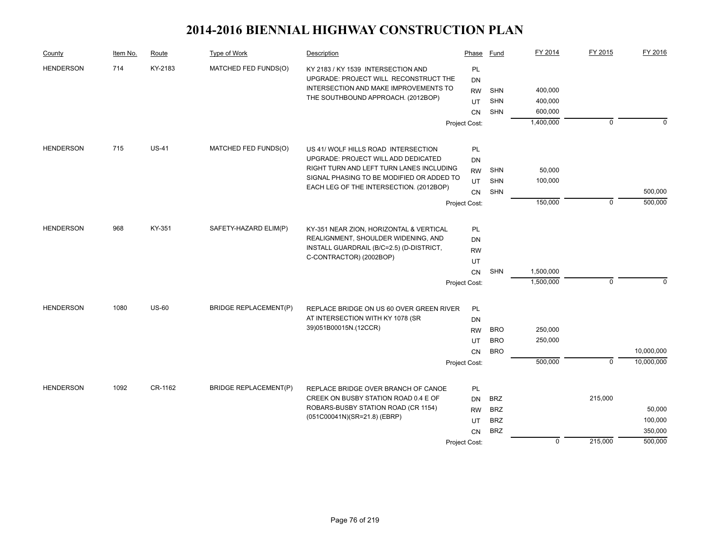| County           | Item No. | Route        | Type of Work                 | Description                                                                     | Phase         | Fund       | FY 2014     | FY 2015        | FY 2016     |
|------------------|----------|--------------|------------------------------|---------------------------------------------------------------------------------|---------------|------------|-------------|----------------|-------------|
| <b>HENDERSON</b> | 714      | KY-2183      | MATCHED FED FUNDS(O)         | KY 2183 / KY 1539 INTERSECTION AND                                              | PL            |            |             |                |             |
|                  |          |              |                              | UPGRADE: PROJECT WILL RECONSTRUCT THE                                           | DN            |            |             |                |             |
|                  |          |              |                              | INTERSECTION AND MAKE IMPROVEMENTS TO                                           | <b>RW</b>     | <b>SHN</b> | 400,000     |                |             |
|                  |          |              |                              | THE SOUTHBOUND APPROACH. (2012BOP)                                              | UT            | <b>SHN</b> | 400,000     |                |             |
|                  |          |              |                              |                                                                                 | <b>CN</b>     | <b>SHN</b> | 600,000     |                |             |
|                  |          |              |                              |                                                                                 | Project Cost: |            | 1,400,000   | $\mathbf 0$    | $\mathbf 0$ |
|                  |          |              |                              |                                                                                 |               |            |             |                |             |
| <b>HENDERSON</b> | 715      | <b>US-41</b> | MATCHED FED FUNDS(O)         | US 41/ WOLF HILLS ROAD INTERSECTION                                             | PL            |            |             |                |             |
|                  |          |              |                              | UPGRADE: PROJECT WILL ADD DEDICATED<br>RIGHT TURN AND LEFT TURN LANES INCLUDING | <b>DN</b>     |            |             |                |             |
|                  |          |              |                              | SIGNAL PHASING TO BE MODIFIED OR ADDED TO                                       | <b>RW</b>     | <b>SHN</b> | 50,000      |                |             |
|                  |          |              |                              | EACH LEG OF THE INTERSECTION. (2012BOP)                                         | UT            | <b>SHN</b> | 100,000     |                |             |
|                  |          |              |                              |                                                                                 | <b>CN</b>     | <b>SHN</b> |             |                | 500,000     |
|                  |          |              |                              |                                                                                 | Project Cost: |            | 150,000     | $\mathbf 0$    | 500,000     |
| <b>HENDERSON</b> | 968      | KY-351       | SAFETY-HAZARD ELIM(P)        |                                                                                 |               |            |             |                |             |
|                  |          |              |                              | KY-351 NEAR ZION, HORIZONTAL & VERTICAL<br>REALIGNMENT, SHOULDER WIDENING, AND  | <b>PL</b>     |            |             |                |             |
|                  |          |              |                              | INSTALL GUARDRAIL (B/C=2.5) (D-DISTRICT,                                        | DN            |            |             |                |             |
|                  |          |              |                              | C-CONTRACTOR) (2002BOP)                                                         | <b>RW</b>     |            |             |                |             |
|                  |          |              |                              |                                                                                 | UT            |            |             |                |             |
|                  |          |              |                              |                                                                                 | <b>CN</b>     | <b>SHN</b> | 1,500,000   |                |             |
|                  |          |              |                              |                                                                                 | Project Cost: |            | 1,500,000   | $\mathbf 0$    | $\Omega$    |
| <b>HENDERSON</b> | 1080     | <b>US-60</b> | <b>BRIDGE REPLACEMENT(P)</b> | REPLACE BRIDGE ON US 60 OVER GREEN RIVER                                        | PL            |            |             |                |             |
|                  |          |              |                              | AT INTERSECTION WITH KY 1078 (SR                                                | <b>DN</b>     |            |             |                |             |
|                  |          |              |                              | 39)051B00015N.(12CCR)                                                           | <b>RW</b>     | <b>BRO</b> | 250,000     |                |             |
|                  |          |              |                              |                                                                                 | UT            | <b>BRO</b> | 250,000     |                |             |
|                  |          |              |                              |                                                                                 | <b>CN</b>     | <b>BRO</b> |             |                | 10,000,000  |
|                  |          |              |                              |                                                                                 | Project Cost: |            | 500,000     | $\overline{0}$ | 10,000,000  |
|                  |          |              |                              |                                                                                 |               |            |             |                |             |
| <b>HENDERSON</b> | 1092     | CR-1162      | <b>BRIDGE REPLACEMENT(P)</b> | REPLACE BRIDGE OVER BRANCH OF CANOE                                             | <b>PL</b>     |            |             |                |             |
|                  |          |              |                              | CREEK ON BUSBY STATION ROAD 0.4 E OF                                            | <b>DN</b>     | <b>BRZ</b> |             | 215,000        |             |
|                  |          |              |                              | ROBARS-BUSBY STATION ROAD (CR 1154)                                             | <b>RW</b>     | <b>BRZ</b> |             |                | 50,000      |
|                  |          |              |                              | (051C00041N)(SR=21.8) (EBRP)                                                    | UT            | <b>BRZ</b> |             |                | 100,000     |
|                  |          |              |                              |                                                                                 | <b>CN</b>     | <b>BRZ</b> |             |                | 350,000     |
|                  |          |              |                              |                                                                                 | Project Cost: |            | $\mathbf 0$ | 215,000        | 500,000     |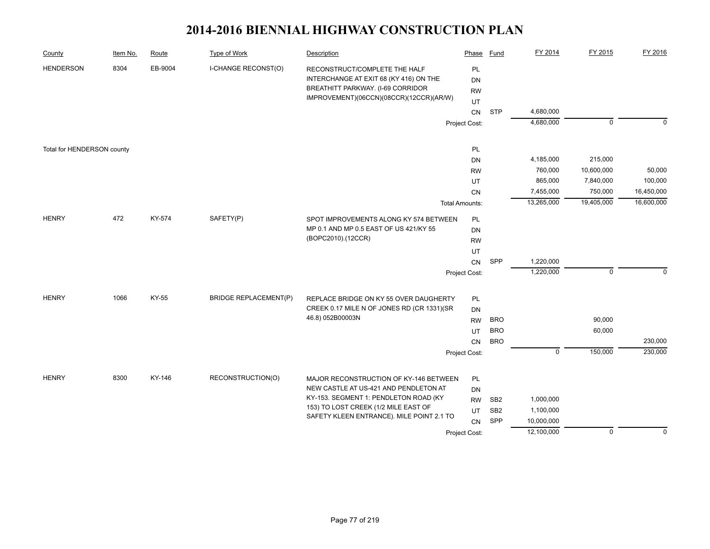| County                     | Item No. | Route   | <b>Type of Work</b>          | Description                                                                                                                                             | Phase                              | Fund                     | FY 2014     | FY 2015          | FY 2016     |
|----------------------------|----------|---------|------------------------------|---------------------------------------------------------------------------------------------------------------------------------------------------------|------------------------------------|--------------------------|-------------|------------------|-------------|
| <b>HENDERSON</b>           | 8304     | EB-9004 | I-CHANGE RECONST(O)          | RECONSTRUCT/COMPLETE THE HALF<br>INTERCHANGE AT EXIT 68 (KY 416) ON THE<br>BREATHITT PARKWAY. (I-69 CORRIDOR<br>IMPROVEMENT)(06CCN)(08CCR)(12CCR)(AR/W) | PL<br><b>DN</b><br><b>RW</b><br>UT |                          |             |                  |             |
|                            |          |         |                              |                                                                                                                                                         | CN                                 | <b>STP</b>               | 4,680,000   |                  |             |
|                            |          |         |                              |                                                                                                                                                         | Project Cost:                      |                          | 4,680,000   | $\mathbf 0$      | $\Omega$    |
|                            |          |         |                              |                                                                                                                                                         |                                    |                          |             |                  |             |
| Total for HENDERSON county |          |         |                              |                                                                                                                                                         | PL                                 |                          |             |                  |             |
|                            |          |         |                              |                                                                                                                                                         | <b>DN</b>                          |                          | 4,185,000   | 215,000          |             |
|                            |          |         |                              |                                                                                                                                                         | <b>RW</b>                          |                          | 760,000     | 10,600,000       | 50,000      |
|                            |          |         |                              |                                                                                                                                                         | UT                                 |                          | 865,000     | 7,840,000        | 100,000     |
|                            |          |         |                              |                                                                                                                                                         | CN                                 |                          | 7,455,000   | 750,000          | 16,450,000  |
|                            |          |         |                              |                                                                                                                                                         | <b>Total Amounts:</b>              |                          | 13,265,000  | 19,405,000       | 16,600,000  |
| <b>HENRY</b>               | 472      | KY-574  | SAFETY(P)                    | SPOT IMPROVEMENTS ALONG KY 574 BETWEEN                                                                                                                  | PL                                 |                          |             |                  |             |
|                            |          |         |                              | MP 0.1 AND MP 0.5 EAST OF US 421/KY 55                                                                                                                  | DN                                 |                          |             |                  |             |
|                            |          |         | (BOPC2010).(12CCR)           | <b>RW</b>                                                                                                                                               |                                    |                          |             |                  |             |
|                            |          |         |                              |                                                                                                                                                         | UT                                 |                          |             |                  |             |
|                            |          |         |                              |                                                                                                                                                         | CN                                 | SPP                      | 1,220,000   |                  |             |
|                            |          |         |                              |                                                                                                                                                         | Project Cost:                      |                          | 1,220,000   | $\mathbf 0$      | $\Omega$    |
|                            |          |         |                              |                                                                                                                                                         |                                    |                          |             |                  |             |
| <b>HENRY</b>               | 1066     | KY-55   | <b>BRIDGE REPLACEMENT(P)</b> | REPLACE BRIDGE ON KY 55 OVER DAUGHERTY                                                                                                                  | PL                                 |                          |             |                  |             |
|                            |          |         |                              | CREEK 0.17 MILE N OF JONES RD (CR 1331)(SR<br>46.8) 052B00003N                                                                                          | <b>DN</b>                          |                          |             |                  |             |
|                            |          |         |                              |                                                                                                                                                         | <b>RW</b>                          | <b>BRO</b>               |             | 90,000<br>60,000 |             |
|                            |          |         |                              |                                                                                                                                                         | UT                                 | <b>BRO</b><br><b>BRO</b> |             |                  | 230,000     |
|                            |          |         |                              |                                                                                                                                                         | CN                                 |                          | $\mathbf 0$ | 150,000          | 230,000     |
|                            |          |         |                              |                                                                                                                                                         | Project Cost:                      |                          |             |                  |             |
| <b>HENRY</b>               | 8300     | KY-146  | RECONSTRUCTION(O)            | MAJOR RECONSTRUCTION OF KY-146 BETWEEN                                                                                                                  | PL                                 |                          |             |                  |             |
|                            |          |         |                              | NEW CASTLE AT US-421 AND PENDLETON AT                                                                                                                   | <b>DN</b>                          |                          |             |                  |             |
|                            |          |         |                              | KY-153. SEGMENT 1: PENDLETON ROAD (KY                                                                                                                   | <b>RW</b>                          | SB <sub>2</sub>          | 1,000,000   |                  |             |
|                            |          |         |                              | 153) TO LOST CREEK (1/2 MILE EAST OF                                                                                                                    | UT                                 | SB <sub>2</sub>          | 1,100,000   |                  |             |
|                            |          |         |                              | SAFETY KLEEN ENTRANCE). MILE POINT 2.1 TO                                                                                                               | CN                                 | SPP                      | 10,000,000  |                  |             |
|                            |          |         |                              |                                                                                                                                                         | Project Cost:                      |                          | 12,100,000  | $\mathbf 0$      | $\mathbf 0$ |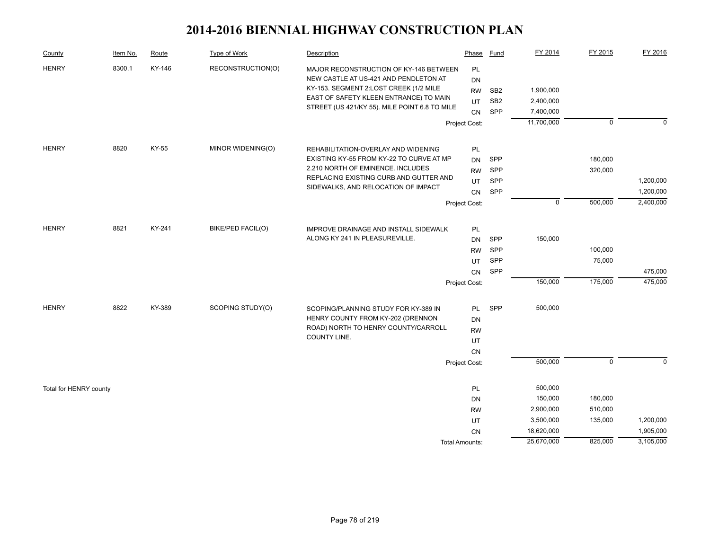| County                 | Item No. | Route  | Type of Work      | Description                                                                     | Phase                 | Fund            | FY 2014     | FY 2015        | FY 2016   |
|------------------------|----------|--------|-------------------|---------------------------------------------------------------------------------|-----------------------|-----------------|-------------|----------------|-----------|
| <b>HENRY</b>           | 8300.1   | KY-146 | RECONSTRUCTION(O) | MAJOR RECONSTRUCTION OF KY-146 BETWEEN<br>NEW CASTLE AT US-421 AND PENDLETON AT | PL<br><b>DN</b>       |                 |             |                |           |
|                        |          |        |                   | KY-153. SEGMENT 2:LOST CREEK (1/2 MILE                                          | <b>RW</b>             | SB <sub>2</sub> | 1,900,000   |                |           |
|                        |          |        |                   | EAST OF SAFETY KLEEN ENTRANCE) TO MAIN                                          | UT                    | SB <sub>2</sub> | 2,400,000   |                |           |
|                        |          |        |                   | STREET (US 421/KY 55). MILE POINT 6.8 TO MILE                                   | <b>CN</b>             | SPP             | 7,400,000   |                |           |
|                        |          |        |                   |                                                                                 | Project Cost:         |                 | 11,700,000  | $\mathbf 0$    | $\Omega$  |
| <b>HENRY</b>           | 8820     | KY-55  | MINOR WIDENING(O) | REHABILITATION-OVERLAY AND WIDENING                                             | PL                    |                 |             |                |           |
|                        |          |        |                   | EXISTING KY-55 FROM KY-22 TO CURVE AT MP                                        | DN                    | SPP             |             | 180,000        |           |
|                        |          |        |                   | 2.210 NORTH OF EMINENCE. INCLUDES                                               | <b>RW</b>             | SPP             |             | 320,000        |           |
|                        |          |        |                   | REPLACING EXISTING CURB AND GUTTER AND                                          | UT                    | SPP             |             |                | 1,200,000 |
|                        |          |        |                   | SIDEWALKS, AND RELOCATION OF IMPACT                                             | CN                    | SPP             |             |                | 1,200,000 |
|                        |          |        |                   |                                                                                 | Project Cost:         |                 | $\mathbf 0$ | 500,000        | 2,400,000 |
|                        |          |        |                   |                                                                                 |                       |                 |             |                |           |
| <b>HENRY</b>           | 8821     | KY-241 | BIKE/PED FACIL(O) | <b>IMPROVE DRAINAGE AND INSTALL SIDEWALK</b>                                    | PL                    |                 |             |                |           |
|                        |          |        |                   | ALONG KY 241 IN PLEASUREVILLE.                                                  | <b>DN</b>             | SPP             | 150,000     |                |           |
|                        |          |        |                   |                                                                                 | <b>RW</b>             | SPP             |             | 100,000        |           |
|                        |          |        |                   |                                                                                 | UT                    | <b>SPP</b>      |             | 75,000         |           |
|                        |          |        |                   |                                                                                 | CN                    | SPP             |             |                | 475,000   |
|                        |          |        |                   |                                                                                 | Project Cost:         |                 | 150,000     | 175,000        | 475,000   |
|                        |          |        |                   |                                                                                 |                       |                 |             |                |           |
| <b>HENRY</b>           | 8822     | KY-389 | SCOPING STUDY(O)  | SCOPING/PLANNING STUDY FOR KY-389 IN<br>HENRY COUNTY FROM KY-202 (DRENNON       | <b>PL</b>             | SPP             | 500,000     |                |           |
|                        |          |        |                   | ROAD) NORTH TO HENRY COUNTY/CARROLL                                             | <b>DN</b>             |                 |             |                |           |
|                        |          |        |                   | COUNTY LINE.                                                                    | <b>RW</b>             |                 |             |                |           |
|                        |          |        |                   |                                                                                 | UT                    |                 |             |                |           |
|                        |          |        |                   |                                                                                 | CN                    |                 | 500,000     | $\overline{0}$ | $\Omega$  |
|                        |          |        |                   |                                                                                 | Project Cost:         |                 |             |                |           |
| Total for HENRY county |          |        |                   |                                                                                 | <b>PL</b>             |                 | 500,000     |                |           |
|                        |          |        |                   |                                                                                 | DN                    |                 | 150,000     | 180,000        |           |
|                        |          |        |                   |                                                                                 | <b>RW</b>             |                 | 2,900,000   | 510,000        |           |
|                        |          |        |                   |                                                                                 | UT                    |                 | 3,500,000   | 135,000        | 1,200,000 |
|                        |          |        |                   |                                                                                 | CN                    |                 | 18,620,000  |                | 1,905,000 |
|                        |          |        |                   |                                                                                 | <b>Total Amounts:</b> |                 | 25,670,000  | 825,000        | 3,105,000 |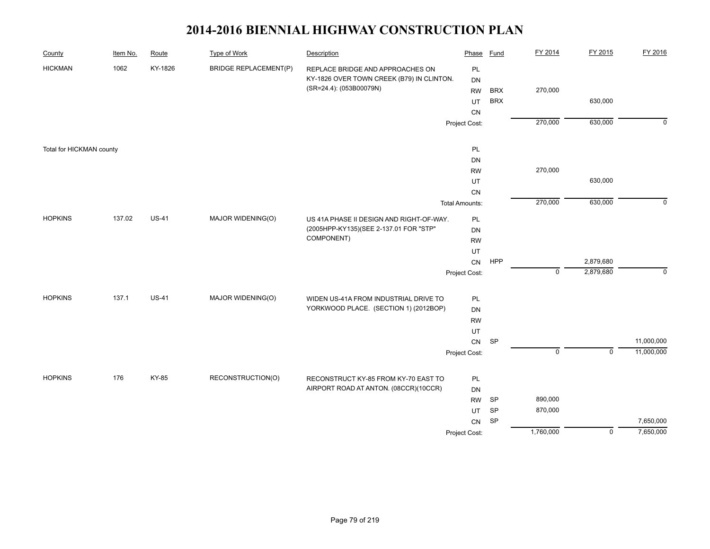| County                   | Item No. | Route        | <b>Type of Work</b>          | Description                               | Phase                 | <b>Fund</b> | FY 2014     | FY 2015        | FY 2016        |
|--------------------------|----------|--------------|------------------------------|-------------------------------------------|-----------------------|-------------|-------------|----------------|----------------|
| <b>HICKMAN</b>           | 1062     | KY-1826      | <b>BRIDGE REPLACEMENT(P)</b> | REPLACE BRIDGE AND APPROACHES ON          | PL                    |             |             |                |                |
|                          |          |              |                              | KY-1826 OVER TOWN CREEK (B79) IN CLINTON. | DN                    |             |             |                |                |
|                          |          |              |                              | (SR=24.4): (053B00079N)                   | <b>RW</b>             | <b>BRX</b>  | 270,000     |                |                |
|                          |          |              |                              |                                           | UT                    | <b>BRX</b>  |             | 630,000        |                |
|                          |          |              |                              |                                           | CN                    |             |             |                |                |
|                          |          |              |                              |                                           | Project Cost:         |             | 270,000     | 630,000        | $\overline{0}$ |
| Total for HICKMAN county |          |              |                              |                                           | PL                    |             |             |                |                |
|                          |          |              |                              |                                           | DN                    |             |             |                |                |
|                          |          |              |                              |                                           | <b>RW</b>             |             | 270,000     |                |                |
|                          |          |              |                              |                                           | UT                    |             |             | 630,000        |                |
|                          |          |              |                              |                                           | CN                    |             |             |                |                |
|                          |          |              |                              |                                           | <b>Total Amounts:</b> |             | 270,000     | 630,000        | $\mathbf 0$    |
| <b>HOPKINS</b>           | 137.02   | <b>US-41</b> | MAJOR WIDENING(O)            | US 41A PHASE II DESIGN AND RIGHT-OF-WAY.  | PL                    |             |             |                |                |
|                          |          |              |                              | (2005HPP-KY135)(SEE 2-137.01 FOR "STP"    | DN                    |             |             |                |                |
|                          |          |              |                              | COMPONENT)                                | <b>RW</b>             |             |             |                |                |
|                          |          |              |                              |                                           | UT                    |             |             |                |                |
|                          |          |              |                              |                                           | CN                    | <b>HPP</b>  |             | 2,879,680      |                |
|                          |          |              |                              |                                           | Project Cost:         |             | $\mathbf 0$ | 2,879,680      | $\mathbf 0$    |
| <b>HOPKINS</b>           | 137.1    | <b>US-41</b> | MAJOR WIDENING(O)            | WIDEN US-41A FROM INDUSTRIAL DRIVE TO     | PL                    |             |             |                |                |
|                          |          |              |                              | YORKWOOD PLACE. (SECTION 1) (2012BOP)     | DN                    |             |             |                |                |
|                          |          |              |                              |                                           | <b>RW</b>             |             |             |                |                |
|                          |          |              |                              |                                           | UT                    |             |             |                |                |
|                          |          |              |                              |                                           | ${\sf CN}$            | SP          |             |                | 11,000,000     |
|                          |          |              |                              |                                           | Project Cost:         |             | $\mathsf 0$ | $\mathsf 0$    | 11,000,000     |
|                          |          |              |                              |                                           |                       |             |             |                |                |
| <b>HOPKINS</b>           | 176      | KY-85        | RECONSTRUCTION(O)            | RECONSTRUCT KY-85 FROM KY-70 EAST TO      | PL                    |             |             |                |                |
|                          |          |              |                              | AIRPORT ROAD AT ANTON. (08CCR)(10CCR)     | <b>DN</b>             |             |             |                |                |
|                          |          |              |                              |                                           | <b>RW</b>             | SP          | 890,000     |                |                |
|                          |          |              |                              |                                           | UT                    | SP          | 870,000     |                |                |
|                          |          |              |                              |                                           | ${\sf CN}$            | SP          |             |                | 7,650,000      |
|                          |          |              |                              |                                           | Project Cost:         |             | 1,760,000   | $\overline{0}$ | 7,650,000      |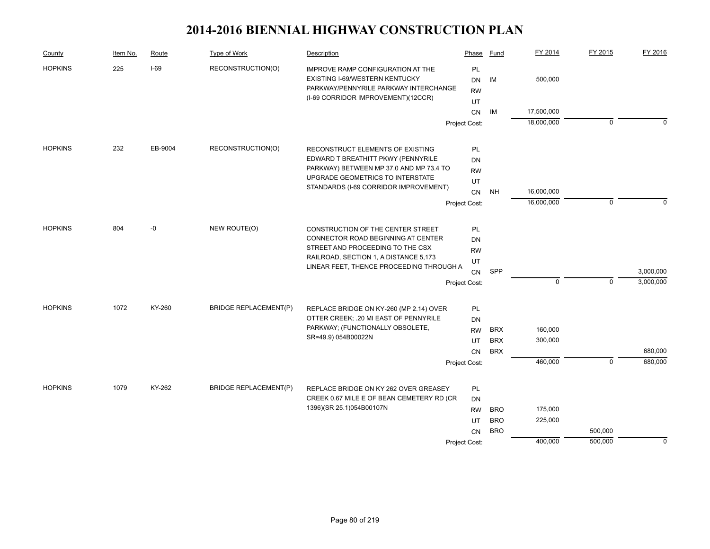| County         | Item No. | Route   | Type of Work                 | Description                                                                                                                                        | Phase                 | Fund       | FY 2014     | FY 2015        | FY 2016     |
|----------------|----------|---------|------------------------------|----------------------------------------------------------------------------------------------------------------------------------------------------|-----------------------|------------|-------------|----------------|-------------|
| <b>HOPKINS</b> | 225      | $I-69$  | RECONSTRUCTION(O)            | IMPROVE RAMP CONFIGURATION AT THE<br>EXISTING I-69/WESTERN KENTUCKY<br>PARKWAY/PENNYRILE PARKWAY INTERCHANGE<br>(I-69 CORRIDOR IMPROVEMENT)(12CCR) | PL<br>DN<br><b>RW</b> | IM         | 500,000     |                |             |
|                |          |         |                              |                                                                                                                                                    | UT<br>CN              | ΙM         | 17,500,000  |                |             |
|                |          |         |                              |                                                                                                                                                    | Project Cost:         |            | 18,000,000  | $\mathbf 0$    | $\mathbf 0$ |
|                | 232      |         |                              |                                                                                                                                                    |                       |            |             |                |             |
| <b>HOPKINS</b> |          | EB-9004 | RECONSTRUCTION(O)            | RECONSTRUCT ELEMENTS OF EXISTING<br>EDWARD T BREATHITT PKWY (PENNYRILE                                                                             | <b>PL</b><br>DN       |            |             |                |             |
|                |          |         |                              | PARKWAY) BETWEEN MP 37.0 AND MP 73.4 TO                                                                                                            | <b>RW</b>             |            |             |                |             |
|                |          |         |                              | UPGRADE GEOMETRICS TO INTERSTATE                                                                                                                   | UT                    |            |             |                |             |
|                |          |         |                              | STANDARDS (I-69 CORRIDOR IMPROVEMENT)                                                                                                              | <b>CN</b>             | <b>NH</b>  | 16,000,000  |                |             |
|                |          |         |                              |                                                                                                                                                    | Project Cost:         |            | 16,000,000  | $\mathbf 0$    | $\Omega$    |
| <b>HOPKINS</b> | 804      | -0      | NEW ROUTE(O)                 | CONSTRUCTION OF THE CENTER STREET                                                                                                                  | <b>PL</b>             |            |             |                |             |
|                |          |         |                              | CONNECTOR ROAD BEGINNING AT CENTER                                                                                                                 | <b>DN</b>             |            |             |                |             |
|                |          |         |                              | STREET AND PROCEEDING TO THE CSX                                                                                                                   | <b>RW</b>             |            |             |                |             |
|                |          |         |                              | RAILROAD, SECTION 1, A DISTANCE 5,173                                                                                                              | UT                    |            |             |                |             |
|                |          |         |                              | LINEAR FEET, THENCE PROCEEDING THROUGH A                                                                                                           | <b>CN</b>             | SPP        |             |                | 3,000,000   |
|                |          |         |                              |                                                                                                                                                    | Project Cost:         |            | $\mathbf 0$ | $\mathbf 0$    | 3,000,000   |
| <b>HOPKINS</b> | 1072     | KY-260  | <b>BRIDGE REPLACEMENT(P)</b> | REPLACE BRIDGE ON KY-260 (MP 2.14) OVER                                                                                                            | PL                    |            |             |                |             |
|                |          |         |                              | OTTER CREEK; .20 MI EAST OF PENNYRILE                                                                                                              | DN                    |            |             |                |             |
|                |          |         |                              | PARKWAY; (FUNCTIONALLY OBSOLETE,                                                                                                                   | <b>RW</b>             | <b>BRX</b> | 160,000     |                |             |
|                |          |         |                              | SR=49.9) 054B00022N                                                                                                                                | UT                    | <b>BRX</b> | 300,000     |                |             |
|                |          |         |                              |                                                                                                                                                    | <b>CN</b>             | <b>BRX</b> |             |                | 680,000     |
|                |          |         |                              |                                                                                                                                                    | Project Cost:         |            | 460,000     | $\overline{0}$ | 680,000     |
| <b>HOPKINS</b> | 1079     | KY-262  | <b>BRIDGE REPLACEMENT(P)</b> | REPLACE BRIDGE ON KY 262 OVER GREASEY                                                                                                              | PL                    |            |             |                |             |
|                |          |         |                              | CREEK 0.67 MILE E OF BEAN CEMETERY RD (CR                                                                                                          | <b>DN</b>             |            |             |                |             |
|                |          |         |                              | 1396)(SR 25.1)054B00107N                                                                                                                           | <b>RW</b>             | <b>BRO</b> | 175,000     |                |             |
|                |          |         |                              |                                                                                                                                                    | UT                    | <b>BRO</b> | 225,000     |                |             |
|                |          |         |                              |                                                                                                                                                    | <b>CN</b>             | <b>BRO</b> |             | 500,000        |             |
|                |          |         |                              |                                                                                                                                                    | Project Cost:         |            | 400,000     | 500,000        | $\mathbf 0$ |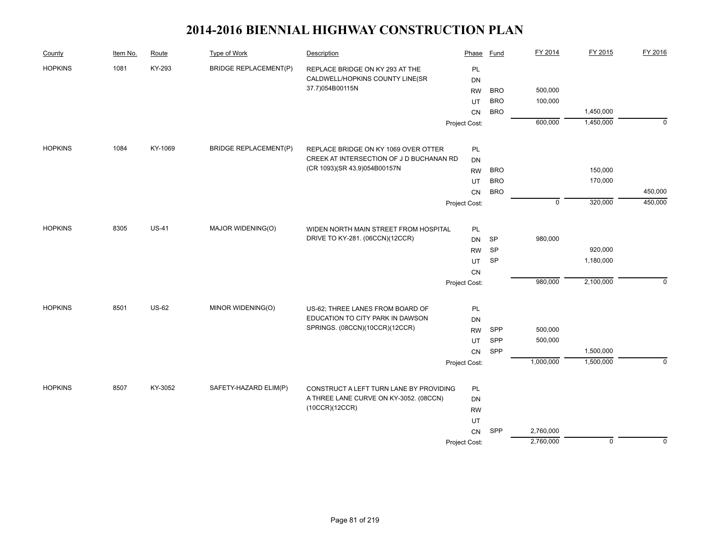| County         | Item No. | Route        | Type of Work                 | Description                              | Phase         | <b>Fund</b> | FY 2014     | FY 2015   | FY 2016     |
|----------------|----------|--------------|------------------------------|------------------------------------------|---------------|-------------|-------------|-----------|-------------|
| <b>HOPKINS</b> | 1081     | KY-293       | <b>BRIDGE REPLACEMENT(P)</b> | REPLACE BRIDGE ON KY 293 AT THE          | PL            |             |             |           |             |
|                |          |              |                              | CALDWELL/HOPKINS COUNTY LINE(SR          | <b>DN</b>     |             |             |           |             |
|                |          |              |                              | 37.7)054B00115N                          | <b>RW</b>     | <b>BRO</b>  | 500,000     |           |             |
|                |          |              |                              |                                          | UT            | <b>BRO</b>  | 100,000     |           |             |
|                |          |              |                              |                                          | <b>CN</b>     | <b>BRO</b>  |             | 1,450,000 |             |
|                |          |              |                              |                                          | Project Cost: |             | 600,000     | 1,450,000 | $\mathbf 0$ |
| <b>HOPKINS</b> | 1084     | KY-1069      | <b>BRIDGE REPLACEMENT(P)</b> | REPLACE BRIDGE ON KY 1069 OVER OTTER     | PL            |             |             |           |             |
|                |          |              |                              | CREEK AT INTERSECTION OF J D BUCHANAN RD | <b>DN</b>     |             |             |           |             |
|                |          |              |                              | (CR 1093)(SR 43.9)054B00157N             | <b>RW</b>     | <b>BRO</b>  |             | 150,000   |             |
|                |          |              |                              |                                          | UT            | <b>BRO</b>  |             | 170,000   |             |
|                |          |              |                              |                                          | <b>CN</b>     | <b>BRO</b>  |             |           | 450,000     |
|                |          |              |                              |                                          | Project Cost: |             | $\mathsf 0$ | 320,000   | 450,000     |
|                |          |              |                              |                                          |               |             |             |           |             |
| <b>HOPKINS</b> | 8305     | <b>US-41</b> | MAJOR WIDENING(O)            | WIDEN NORTH MAIN STREET FROM HOSPITAL    | PL            |             |             |           |             |
|                |          |              |                              | DRIVE TO KY-281. (06CCN)(12CCR)          | DN            | <b>SP</b>   | 980,000     |           |             |
|                |          |              |                              |                                          | <b>RW</b>     | <b>SP</b>   |             | 920,000   |             |
|                |          |              |                              |                                          | UT            | SP          |             | 1,180,000 |             |
|                |          |              |                              |                                          | CN            |             |             |           |             |
|                |          |              |                              |                                          | Project Cost: |             | 980,000     | 2,100,000 | $\mathbf 0$ |
| <b>HOPKINS</b> | 8501     | <b>US-62</b> | MINOR WIDENING(O)            | US-62; THREE LANES FROM BOARD OF         | PL            |             |             |           |             |
|                |          |              |                              | EDUCATION TO CITY PARK IN DAWSON         | <b>DN</b>     |             |             |           |             |
|                |          |              |                              | SPRINGS. (08CCN)(10CCR)(12CCR)           | <b>RW</b>     | SPP         | 500,000     |           |             |
|                |          |              |                              |                                          | UT            | SPP         | 500,000     |           |             |
|                |          |              |                              |                                          | CN            | SPP         |             | 1,500,000 |             |
|                |          |              |                              |                                          | Project Cost: |             | 1,000,000   | 1,500,000 | $\Omega$    |
|                |          |              |                              |                                          |               |             |             |           |             |
| <b>HOPKINS</b> | 8507     | KY-3052      | SAFETY-HAZARD ELIM(P)        | CONSTRUCT A LEFT TURN LANE BY PROVIDING  | <b>PL</b>     |             |             |           |             |
|                |          |              |                              | A THREE LANE CURVE ON KY-3052. (08CCN)   | <b>DN</b>     |             |             |           |             |
|                |          |              |                              | (10CCR)(12CCR)                           | <b>RW</b>     |             |             |           |             |
|                |          |              |                              |                                          | UT            |             |             |           |             |
|                |          |              |                              |                                          | CN            | SPP         | 2,760,000   |           |             |
|                |          |              |                              |                                          | Project Cost: |             | 2,760,000   | $\pmb{0}$ | $\mathbf 0$ |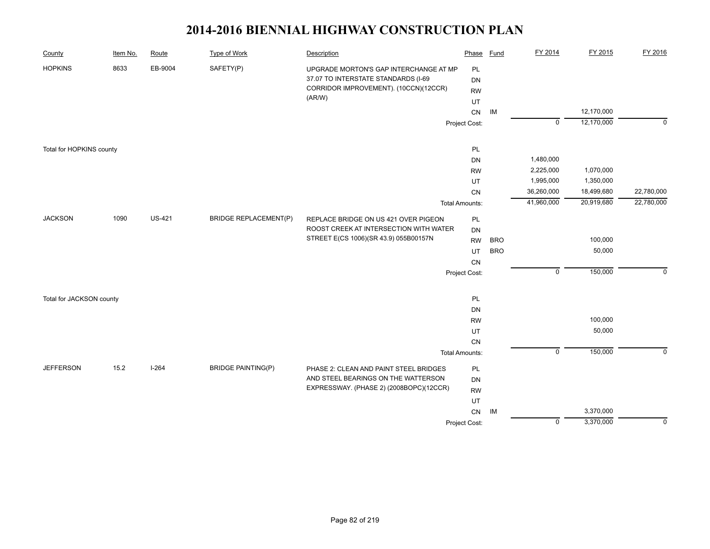| County                   | Item No. | Route         | <b>Type of Work</b>          | Description                                                                    | Phase                 | Fund       | FY 2014        | FY 2015    | FY 2016     |
|--------------------------|----------|---------------|------------------------------|--------------------------------------------------------------------------------|-----------------------|------------|----------------|------------|-------------|
| <b>HOPKINS</b>           | 8633     | EB-9004       | SAFETY(P)                    | UPGRADE MORTON'S GAP INTERCHANGE AT MP                                         | PL                    |            |                |            |             |
|                          |          |               |                              | 37.07 TO INTERSTATE STANDARDS (I-69                                            | DN                    |            |                |            |             |
|                          |          |               |                              | CORRIDOR IMPROVEMENT). (10CCN)(12CCR)                                          | <b>RW</b>             |            |                |            |             |
|                          |          |               |                              | (AR/W)                                                                         | UT                    |            |                |            |             |
|                          |          |               |                              |                                                                                | CN                    | IM         |                | 12,170,000 |             |
|                          |          |               |                              |                                                                                | Project Cost:         |            | $\overline{0}$ | 12,170,000 | $\mathbf 0$ |
| Total for HOPKINS county |          |               |                              |                                                                                | PL                    |            |                |            |             |
|                          |          |               |                              |                                                                                | DN                    |            | 1,480,000      |            |             |
|                          |          |               |                              |                                                                                | <b>RW</b>             |            | 2,225,000      | 1,070,000  |             |
|                          |          |               |                              |                                                                                | UT                    |            | 1,995,000      | 1,350,000  |             |
|                          |          |               |                              |                                                                                | CN                    |            | 36,260,000     | 18,499,680 | 22,780,000  |
|                          |          |               |                              |                                                                                | <b>Total Amounts:</b> |            | 41,960,000     | 20,919,680 | 22,780,000  |
| <b>JACKSON</b>           |          | <b>US-421</b> | <b>BRIDGE REPLACEMENT(P)</b> |                                                                                |                       |            |                |            |             |
| 1090                     |          |               |                              | REPLACE BRIDGE ON US 421 OVER PIGEON<br>ROOST CREEK AT INTERSECTION WITH WATER | PL                    |            |                |            |             |
|                          |          |               |                              | STREET E(CS 1006)(SR 43.9) 055B00157N                                          | DN<br><b>RW</b>       | <b>BRO</b> |                | 100,000    |             |
|                          |          |               |                              |                                                                                | UT                    | <b>BRO</b> |                | 50,000     |             |
|                          |          |               |                              |                                                                                | CN                    |            |                |            |             |
|                          |          |               |                              |                                                                                | Project Cost:         |            | $\mathsf 0$    | 150,000    | $\mathbf 0$ |
|                          |          |               |                              |                                                                                |                       |            |                |            |             |
| Total for JACKSON county |          |               |                              |                                                                                | PL                    |            |                |            |             |
|                          |          |               |                              |                                                                                | DN                    |            |                |            |             |
|                          |          |               |                              |                                                                                | <b>RW</b>             |            |                | 100,000    |             |
|                          |          |               |                              |                                                                                | UT                    |            |                | 50,000     |             |
|                          |          |               |                              |                                                                                | CN                    |            |                |            |             |
|                          |          |               |                              |                                                                                | <b>Total Amounts:</b> |            | $\mathsf 0$    | 150,000    | $\mathbf 0$ |
| <b>JEFFERSON</b>         | 15.2     | $I - 264$     | <b>BRIDGE PAINTING(P)</b>    | PHASE 2: CLEAN AND PAINT STEEL BRIDGES                                         | PL                    |            |                |            |             |
|                          |          |               |                              | AND STEEL BEARINGS ON THE WATTERSON                                            | DN                    |            |                |            |             |
|                          |          |               |                              | EXPRESSWAY. (PHASE 2) (2008BOPC)(12CCR)                                        | <b>RW</b>             |            |                |            |             |
|                          |          |               |                              |                                                                                | UT                    |            |                |            |             |
|                          |          |               |                              |                                                                                | CN                    | IM         |                | 3,370,000  |             |
|                          |          |               |                              |                                                                                | Project Cost:         |            | $\mathbf 0$    | 3,370,000  | $\mathbf 0$ |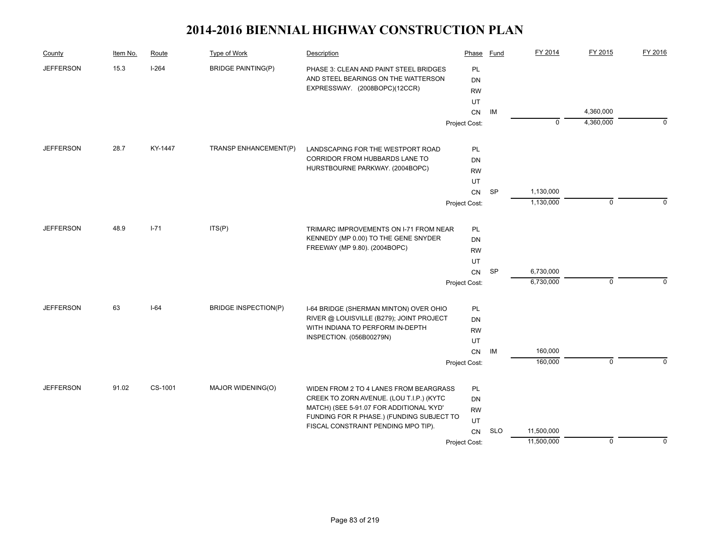| County           | Item No. | Route   | Type of Work                         | Description                                                                  | Phase           | Fund       | FY 2014     | FY 2015     | FY 2016     |
|------------------|----------|---------|--------------------------------------|------------------------------------------------------------------------------|-----------------|------------|-------------|-------------|-------------|
| <b>JEFFERSON</b> | 15.3     | $I-264$ | <b>BRIDGE PAINTING(P)</b>            | PHASE 3: CLEAN AND PAINT STEEL BRIDGES                                       | <b>PL</b>       |            |             |             |             |
|                  |          |         |                                      | AND STEEL BEARINGS ON THE WATTERSON                                          | DN              |            |             |             |             |
|                  |          |         |                                      | EXPRESSWAY. (2008BOPC)(12CCR)                                                | <b>RW</b>       |            |             |             |             |
|                  |          |         |                                      |                                                                              | UT              |            |             |             |             |
|                  |          |         |                                      |                                                                              | CN              | IM         |             | 4,360,000   |             |
|                  |          |         |                                      |                                                                              | Project Cost:   |            | $\mathbf 0$ | 4,360,000   | 0           |
| <b>JEFFERSON</b> | 28.7     | KY-1447 | TRANSP ENHANCEMENT(P)                | LANDSCAPING FOR THE WESTPORT ROAD                                            | PL              |            |             |             |             |
|                  |          |         |                                      | CORRIDOR FROM HUBBARDS LANE TO                                               | DN              |            |             |             |             |
|                  |          |         |                                      | HURSTBOURNE PARKWAY. (2004BOPC)                                              | <b>RW</b>       |            |             |             |             |
|                  |          |         |                                      |                                                                              | UT              |            |             |             |             |
|                  |          |         |                                      |                                                                              | CN              | SP         | 1,130,000   |             |             |
|                  |          |         |                                      |                                                                              | Project Cost:   |            | 1,130,000   | $\mathbf 0$ |             |
| <b>JEFFERSON</b> | 48.9     | $I-71$  | ITS(P)                               | TRIMARC IMPROVEMENTS ON I-71 FROM NEAR                                       | <b>PL</b>       |            |             |             |             |
|                  |          |         | KENNEDY (MP 0.00) TO THE GENE SNYDER | DN                                                                           |                 |            |             |             |             |
|                  |          |         |                                      | FREEWAY (MP 9.80). (2004BOPC)                                                |                 |            |             |             |             |
|                  |          |         |                                      |                                                                              | <b>RW</b><br>UT |            |             |             |             |
|                  |          |         |                                      |                                                                              | CN              | SP         | 6,730,000   |             |             |
|                  |          |         |                                      |                                                                              | Project Cost:   |            | 6,730,000   | $\mathbf 0$ | $\Omega$    |
|                  |          |         |                                      |                                                                              |                 |            |             |             |             |
| <b>JEFFERSON</b> | 63       | $I-64$  | <b>BRIDGE INSPECTION(P)</b>          | I-64 BRIDGE (SHERMAN MINTON) OVER OHIO                                       | PL              |            |             |             |             |
|                  |          |         |                                      | RIVER @ LOUISVILLE (B279); JOINT PROJECT<br>WITH INDIANA TO PERFORM IN-DEPTH | DN              |            |             |             |             |
|                  |          |         |                                      | INSPECTION. (056B00279N)                                                     | <b>RW</b>       |            |             |             |             |
|                  |          |         |                                      |                                                                              | UT<br>CN        | IM         | 160,000     |             |             |
|                  |          |         |                                      |                                                                              |                 |            | 160,000     | $\mathbf 0$ | $\Omega$    |
|                  |          |         |                                      |                                                                              | Project Cost:   |            |             |             |             |
| <b>JEFFERSON</b> | 91.02    | CS-1001 | MAJOR WIDENING(O)                    | WIDEN FROM 2 TO 4 LANES FROM BEARGRASS                                       | PL              |            |             |             |             |
|                  |          |         |                                      | CREEK TO ZORN AVENUE. (LOU T.I.P.) (KYTC                                     | DN              |            |             |             |             |
|                  |          |         |                                      | MATCH) (SEE 5-91.07 FOR ADDITIONAL 'KYD'                                     | <b>RW</b>       |            |             |             |             |
|                  |          |         |                                      | FUNDING FOR R PHASE.) (FUNDING SUBJECT TO                                    | UT              |            |             |             |             |
|                  |          |         |                                      | FISCAL CONSTRAINT PENDING MPO TIP).                                          | <b>CN</b>       | <b>SLO</b> | 11,500,000  |             |             |
|                  |          |         |                                      |                                                                              | Project Cost:   |            | 11,500,000  | $\mathbf 0$ | $\mathbf 0$ |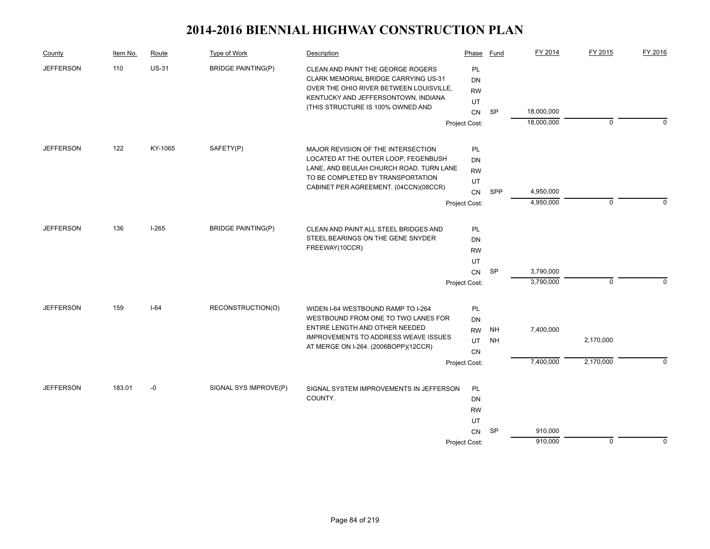| County           | Item No. | Route        | Type of Work              | Description                                                                                                                                                                                      | Phase                              | Fund      | FY 2014    | FY 2015     | FY 2016        |
|------------------|----------|--------------|---------------------------|--------------------------------------------------------------------------------------------------------------------------------------------------------------------------------------------------|------------------------------------|-----------|------------|-------------|----------------|
| <b>JEFFERSON</b> | 110      | <b>US-31</b> | <b>BRIDGE PAINTING(P)</b> | CLEAN AND PAINT THE GEORGE ROGERS<br>CLARK MEMORIAL BRIDGE CARRYING US-31<br>OVER THE OHIO RIVER BETWEEN LOUISVILLE,<br>KENTUCKY AND JEFFERSONTOWN, INDIANA<br>(THIS STRUCTURE IS 100% OWNED AND | <b>PL</b><br>DN<br><b>RW</b><br>UT |           |            |             |                |
|                  |          |              |                           |                                                                                                                                                                                                  | <b>CN</b>                          | <b>SP</b> | 18,000,000 |             |                |
|                  |          |              |                           |                                                                                                                                                                                                  | Project Cost:                      |           | 18,000,000 | $\mathbf 0$ | $\Omega$       |
| <b>JEFFERSON</b> | 122      | KY-1065      | SAFETY(P)                 | MAJOR REVISION OF THE INTERSECTION                                                                                                                                                               | PL                                 |           |            |             |                |
|                  |          |              |                           | LOCATED AT THE OUTER LOOP, FEGENBUSH                                                                                                                                                             | DN                                 |           |            |             |                |
|                  |          |              |                           | LANE, AND BEULAH CHURCH ROAD. TURN LANE                                                                                                                                                          | <b>RW</b>                          |           |            |             |                |
|                  |          |              |                           | TO BE COMPLETED BY TRANSPORTATION<br>CABINET PER AGREEMENT. (04CCN)(08CCR)                                                                                                                       | UT                                 |           |            |             |                |
|                  |          |              |                           |                                                                                                                                                                                                  | CN                                 | SPP       | 4,950,000  |             |                |
|                  |          |              |                           |                                                                                                                                                                                                  | Project Cost:                      |           | 4,950,000  | $\mathbf 0$ | $\Omega$       |
| <b>JEFFERSON</b> | 136      | $I-265$      | <b>BRIDGE PAINTING(P)</b> | CLEAN AND PAINT ALL STEEL BRIDGES AND                                                                                                                                                            | PL                                 |           |            |             |                |
|                  |          |              |                           | STEEL BEARINGS ON THE GENE SNYDER                                                                                                                                                                | DN                                 |           |            |             |                |
|                  |          |              |                           | FREEWAY(10CCR)                                                                                                                                                                                   | <b>RW</b>                          |           |            |             |                |
|                  |          |              |                           |                                                                                                                                                                                                  | UT                                 |           |            |             |                |
|                  |          |              |                           |                                                                                                                                                                                                  | CN                                 | <b>SP</b> | 3,790,000  |             |                |
|                  |          |              |                           |                                                                                                                                                                                                  | Project Cost:                      |           | 3,790,000  | $\mathbf 0$ | $\Omega$       |
| <b>JEFFERSON</b> | 159      | $I-64$       | RECONSTRUCTION(O)         | WIDEN I-64 WESTBOUND RAMP TO I-264                                                                                                                                                               | PL                                 |           |            |             |                |
|                  |          |              |                           | WESTBOUND FROM ONE TO TWO LANES FOR                                                                                                                                                              | DN                                 |           |            |             |                |
|                  |          |              |                           | ENTIRE LENGTH AND OTHER NEEDED<br><b>IMPROVEMENTS TO ADDRESS WEAVE ISSUES</b>                                                                                                                    | <b>RW</b>                          | <b>NH</b> | 7,400,000  |             |                |
|                  |          |              |                           | AT MERGE ON I-264. (2006BOPP)(12CCR)                                                                                                                                                             | UT                                 | <b>NH</b> |            | 2,170,000   |                |
|                  |          |              |                           |                                                                                                                                                                                                  | CN                                 |           |            |             |                |
|                  |          |              |                           |                                                                                                                                                                                                  | Project Cost:                      |           | 7,400,000  | 2,170,000   | $\overline{0}$ |
| <b>JEFFERSON</b> | 183.01   | $-0$         | SIGNAL SYS IMPROVE(P)     | SIGNAL SYSTEM IMPROVEMENTS IN JEFFERSON                                                                                                                                                          | PL                                 |           |            |             |                |
|                  |          |              |                           | COUNTY.                                                                                                                                                                                          | DN                                 |           |            |             |                |
|                  |          |              |                           |                                                                                                                                                                                                  | <b>RW</b>                          |           |            |             |                |
|                  |          |              |                           |                                                                                                                                                                                                  | UT                                 |           |            |             |                |
|                  |          |              |                           |                                                                                                                                                                                                  | CN                                 | SP        | 910,000    |             |                |
|                  |          |              |                           |                                                                                                                                                                                                  | Project Cost:                      |           | 910,000    | $\mathbf 0$ | $\mathbf 0$    |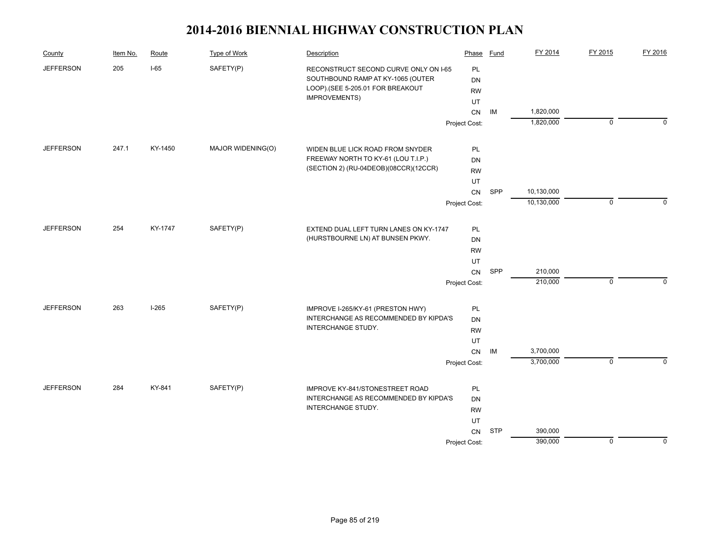| 205<br>$I-65$<br>SAFETY(P)<br><b>JEFFERSON</b><br>PL<br>RECONSTRUCT SECOND CURVE ONLY ON I-65<br>SOUTHBOUND RAMP AT KY-1065 (OUTER<br>DN<br>LOOP).(SEE 5-205.01 FOR BREAKOUT<br><b>RW</b><br>IMPROVEMENTS)<br>UT<br>1,820,000<br>CN<br>IM<br>1,820,000<br>$\pmb{0}$<br>$\Omega$<br>Project Cost:<br>247.1<br>MAJOR WIDENING(O)<br><b>JEFFERSON</b><br>KY-1450<br>PL<br>WIDEN BLUE LICK ROAD FROM SNYDER<br>FREEWAY NORTH TO KY-61 (LOU T.I.P.)<br>DN<br>(SECTION 2) (RU-04DEOB)(08CCR)(12CCR)<br><b>RW</b><br>UT<br>SPP<br>10,130,000<br>CN<br>10,130,000<br>$\mathbf 0$<br>$\Omega$<br>Project Cost:<br>254<br>KY-1747<br>SAFETY(P)<br><b>JEFFERSON</b><br>EXTEND DUAL LEFT TURN LANES ON KY-1747<br>PL<br>(HURSTBOURNE LN) AT BUNSEN PKWY.<br><b>DN</b><br><b>RW</b><br>UT<br>SPP<br>210,000<br>CN<br>210,000<br>$\mathbf 0$<br>$\Omega$<br>Project Cost:<br><b>JEFFERSON</b><br>263<br>$I-265$<br>SAFETY(P)<br>PL<br>IMPROVE I-265/KY-61 (PRESTON HWY)<br>INTERCHANGE AS RECOMMENDED BY KIPDA'S<br><b>DN</b><br>INTERCHANGE STUDY.<br><b>RW</b><br>UT<br>3,700,000<br>CN<br>IM<br>3,700,000<br>$\overline{0}$<br>$\Omega$<br>Project Cost:<br><b>JEFFERSON</b><br>284<br>KY-841<br>SAFETY(P)<br>IMPROVE KY-841/STONESTREET ROAD<br>PL<br>INTERCHANGE AS RECOMMENDED BY KIPDA'S<br><b>DN</b><br>INTERCHANGE STUDY.<br><b>RW</b><br>UT<br><b>STP</b><br>CN<br>390,000<br>Project Cost: | County | Item No. | Route | <b>Type of Work</b> | Description | Phase | Fund | FY 2014 | FY 2015   | FY 2016     |
|-----------------------------------------------------------------------------------------------------------------------------------------------------------------------------------------------------------------------------------------------------------------------------------------------------------------------------------------------------------------------------------------------------------------------------------------------------------------------------------------------------------------------------------------------------------------------------------------------------------------------------------------------------------------------------------------------------------------------------------------------------------------------------------------------------------------------------------------------------------------------------------------------------------------------------------------------------------------------------------------------------------------------------------------------------------------------------------------------------------------------------------------------------------------------------------------------------------------------------------------------------------------------------------------------------------------------------------------------------------------------------------------|--------|----------|-------|---------------------|-------------|-------|------|---------|-----------|-------------|
|                                                                                                                                                                                                                                                                                                                                                                                                                                                                                                                                                                                                                                                                                                                                                                                                                                                                                                                                                                                                                                                                                                                                                                                                                                                                                                                                                                                         |        |          |       |                     |             |       |      |         |           |             |
|                                                                                                                                                                                                                                                                                                                                                                                                                                                                                                                                                                                                                                                                                                                                                                                                                                                                                                                                                                                                                                                                                                                                                                                                                                                                                                                                                                                         |        |          |       |                     |             |       |      |         |           |             |
|                                                                                                                                                                                                                                                                                                                                                                                                                                                                                                                                                                                                                                                                                                                                                                                                                                                                                                                                                                                                                                                                                                                                                                                                                                                                                                                                                                                         |        |          |       |                     |             |       |      |         |           |             |
|                                                                                                                                                                                                                                                                                                                                                                                                                                                                                                                                                                                                                                                                                                                                                                                                                                                                                                                                                                                                                                                                                                                                                                                                                                                                                                                                                                                         |        |          |       |                     |             |       |      |         |           |             |
|                                                                                                                                                                                                                                                                                                                                                                                                                                                                                                                                                                                                                                                                                                                                                                                                                                                                                                                                                                                                                                                                                                                                                                                                                                                                                                                                                                                         |        |          |       |                     |             |       |      |         |           |             |
|                                                                                                                                                                                                                                                                                                                                                                                                                                                                                                                                                                                                                                                                                                                                                                                                                                                                                                                                                                                                                                                                                                                                                                                                                                                                                                                                                                                         |        |          |       |                     |             |       |      |         |           |             |
|                                                                                                                                                                                                                                                                                                                                                                                                                                                                                                                                                                                                                                                                                                                                                                                                                                                                                                                                                                                                                                                                                                                                                                                                                                                                                                                                                                                         |        |          |       |                     |             |       |      |         |           |             |
|                                                                                                                                                                                                                                                                                                                                                                                                                                                                                                                                                                                                                                                                                                                                                                                                                                                                                                                                                                                                                                                                                                                                                                                                                                                                                                                                                                                         |        |          |       |                     |             |       |      |         |           |             |
|                                                                                                                                                                                                                                                                                                                                                                                                                                                                                                                                                                                                                                                                                                                                                                                                                                                                                                                                                                                                                                                                                                                                                                                                                                                                                                                                                                                         |        |          |       |                     |             |       |      |         |           |             |
|                                                                                                                                                                                                                                                                                                                                                                                                                                                                                                                                                                                                                                                                                                                                                                                                                                                                                                                                                                                                                                                                                                                                                                                                                                                                                                                                                                                         |        |          |       |                     |             |       |      |         |           |             |
|                                                                                                                                                                                                                                                                                                                                                                                                                                                                                                                                                                                                                                                                                                                                                                                                                                                                                                                                                                                                                                                                                                                                                                                                                                                                                                                                                                                         |        |          |       |                     |             |       |      |         |           |             |
|                                                                                                                                                                                                                                                                                                                                                                                                                                                                                                                                                                                                                                                                                                                                                                                                                                                                                                                                                                                                                                                                                                                                                                                                                                                                                                                                                                                         |        |          |       |                     |             |       |      |         |           |             |
|                                                                                                                                                                                                                                                                                                                                                                                                                                                                                                                                                                                                                                                                                                                                                                                                                                                                                                                                                                                                                                                                                                                                                                                                                                                                                                                                                                                         |        |          |       |                     |             |       |      |         |           |             |
|                                                                                                                                                                                                                                                                                                                                                                                                                                                                                                                                                                                                                                                                                                                                                                                                                                                                                                                                                                                                                                                                                                                                                                                                                                                                                                                                                                                         |        |          |       |                     |             |       |      |         |           |             |
|                                                                                                                                                                                                                                                                                                                                                                                                                                                                                                                                                                                                                                                                                                                                                                                                                                                                                                                                                                                                                                                                                                                                                                                                                                                                                                                                                                                         |        |          |       |                     |             |       |      |         |           |             |
|                                                                                                                                                                                                                                                                                                                                                                                                                                                                                                                                                                                                                                                                                                                                                                                                                                                                                                                                                                                                                                                                                                                                                                                                                                                                                                                                                                                         |        |          |       |                     |             |       |      |         |           |             |
|                                                                                                                                                                                                                                                                                                                                                                                                                                                                                                                                                                                                                                                                                                                                                                                                                                                                                                                                                                                                                                                                                                                                                                                                                                                                                                                                                                                         |        |          |       |                     |             |       |      |         |           |             |
|                                                                                                                                                                                                                                                                                                                                                                                                                                                                                                                                                                                                                                                                                                                                                                                                                                                                                                                                                                                                                                                                                                                                                                                                                                                                                                                                                                                         |        |          |       |                     |             |       |      |         |           |             |
|                                                                                                                                                                                                                                                                                                                                                                                                                                                                                                                                                                                                                                                                                                                                                                                                                                                                                                                                                                                                                                                                                                                                                                                                                                                                                                                                                                                         |        |          |       |                     |             |       |      |         |           |             |
|                                                                                                                                                                                                                                                                                                                                                                                                                                                                                                                                                                                                                                                                                                                                                                                                                                                                                                                                                                                                                                                                                                                                                                                                                                                                                                                                                                                         |        |          |       |                     |             |       |      |         |           |             |
|                                                                                                                                                                                                                                                                                                                                                                                                                                                                                                                                                                                                                                                                                                                                                                                                                                                                                                                                                                                                                                                                                                                                                                                                                                                                                                                                                                                         |        |          |       |                     |             |       |      |         |           |             |
|                                                                                                                                                                                                                                                                                                                                                                                                                                                                                                                                                                                                                                                                                                                                                                                                                                                                                                                                                                                                                                                                                                                                                                                                                                                                                                                                                                                         |        |          |       |                     |             |       |      |         |           |             |
|                                                                                                                                                                                                                                                                                                                                                                                                                                                                                                                                                                                                                                                                                                                                                                                                                                                                                                                                                                                                                                                                                                                                                                                                                                                                                                                                                                                         |        |          |       |                     |             |       |      |         |           |             |
|                                                                                                                                                                                                                                                                                                                                                                                                                                                                                                                                                                                                                                                                                                                                                                                                                                                                                                                                                                                                                                                                                                                                                                                                                                                                                                                                                                                         |        |          |       |                     |             |       |      |         |           |             |
|                                                                                                                                                                                                                                                                                                                                                                                                                                                                                                                                                                                                                                                                                                                                                                                                                                                                                                                                                                                                                                                                                                                                                                                                                                                                                                                                                                                         |        |          |       |                     |             |       |      |         |           |             |
|                                                                                                                                                                                                                                                                                                                                                                                                                                                                                                                                                                                                                                                                                                                                                                                                                                                                                                                                                                                                                                                                                                                                                                                                                                                                                                                                                                                         |        |          |       |                     |             |       |      |         |           |             |
|                                                                                                                                                                                                                                                                                                                                                                                                                                                                                                                                                                                                                                                                                                                                                                                                                                                                                                                                                                                                                                                                                                                                                                                                                                                                                                                                                                                         |        |          |       |                     |             |       |      |         |           |             |
|                                                                                                                                                                                                                                                                                                                                                                                                                                                                                                                                                                                                                                                                                                                                                                                                                                                                                                                                                                                                                                                                                                                                                                                                                                                                                                                                                                                         |        |          |       |                     |             |       |      |         |           |             |
|                                                                                                                                                                                                                                                                                                                                                                                                                                                                                                                                                                                                                                                                                                                                                                                                                                                                                                                                                                                                                                                                                                                                                                                                                                                                                                                                                                                         |        |          |       |                     |             |       |      |         |           |             |
|                                                                                                                                                                                                                                                                                                                                                                                                                                                                                                                                                                                                                                                                                                                                                                                                                                                                                                                                                                                                                                                                                                                                                                                                                                                                                                                                                                                         |        |          |       |                     |             |       |      |         |           |             |
|                                                                                                                                                                                                                                                                                                                                                                                                                                                                                                                                                                                                                                                                                                                                                                                                                                                                                                                                                                                                                                                                                                                                                                                                                                                                                                                                                                                         |        |          |       |                     |             |       |      | 390,000 | $\pmb{0}$ | $\mathbf 0$ |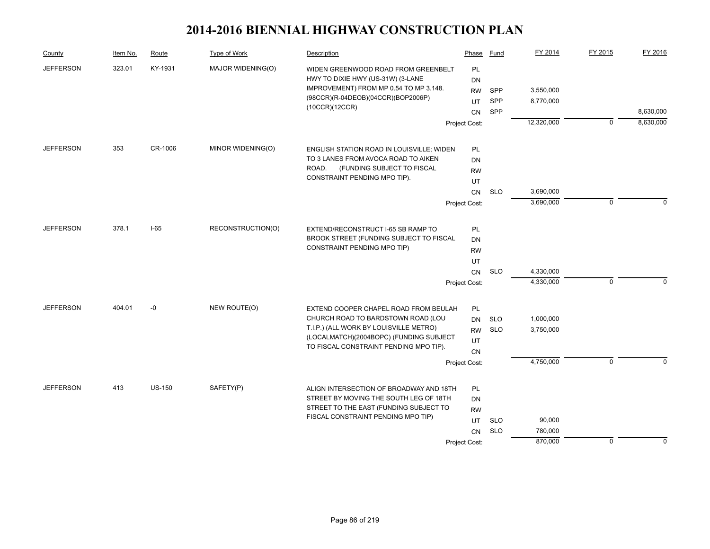| County           | Item No. | Route         | Type of Work                | Description                                                                  | Phase         | Fund       | FY 2014    | FY 2015      | FY 2016   |
|------------------|----------|---------------|-----------------------------|------------------------------------------------------------------------------|---------------|------------|------------|--------------|-----------|
| <b>JEFFERSON</b> | 323.01   | KY-1931       | MAJOR WIDENING(O)           | WIDEN GREENWOOD ROAD FROM GREENBELT                                          | PL            |            |            |              |           |
|                  |          |               |                             | HWY TO DIXIE HWY (US-31W) (3-LANE                                            | <b>DN</b>     |            |            |              |           |
|                  |          |               |                             | IMPROVEMENT) FROM MP 0.54 TO MP 3.148.<br>(98CCR)(R-04DEOB)(04CCR)(BOP2006P) | <b>RW</b>     | SPP        | 3,550,000  |              |           |
|                  |          |               |                             | (10CCR)(12CCR)                                                               | UT            | SPP        | 8,770,000  |              |           |
|                  |          |               |                             |                                                                              | <b>CN</b>     | SPP        |            |              | 8,630,000 |
|                  |          |               |                             |                                                                              | Project Cost: |            | 12,320,000 | $\mathbf{0}$ | 8,630,000 |
| <b>JEFFERSON</b> | 353      | CR-1006       | MINOR WIDENING(O)           | ENGLISH STATION ROAD IN LOUISVILLE; WIDEN                                    | <b>PL</b>     |            |            |              |           |
|                  |          |               |                             | TO 3 LANES FROM AVOCA ROAD TO AIKEN                                          | DN            |            |            |              |           |
|                  |          |               |                             | ROAD.<br>(FUNDING SUBJECT TO FISCAL                                          | <b>RW</b>     |            |            |              |           |
|                  |          |               |                             | CONSTRAINT PENDING MPO TIP).                                                 | UT            |            |            |              |           |
|                  |          |               |                             |                                                                              | CN            | <b>SLO</b> | 3,690,000  |              |           |
|                  |          |               |                             |                                                                              | Project Cost: |            | 3,690,000  | $\mathbf 0$  | $\Omega$  |
| <b>JEFFERSON</b> | 378.1    | $I-65$        | RECONSTRUCTION(O)           | EXTEND/RECONSTRUCT I-65 SB RAMP TO                                           | <b>PL</b>     |            |            |              |           |
|                  |          |               |                             | BROOK STREET (FUNDING SUBJECT TO FISCAL                                      | DN            |            |            |              |           |
|                  |          |               | CONSTRAINT PENDING MPO TIP) | <b>RW</b>                                                                    |               |            |            |              |           |
|                  |          |               |                             |                                                                              | UT            |            |            |              |           |
|                  |          |               |                             |                                                                              | <b>CN</b>     | <b>SLO</b> | 4,330,000  |              |           |
|                  |          |               |                             |                                                                              | Project Cost: |            | 4,330,000  | $\mathbf 0$  | $\theta$  |
| <b>JEFFERSON</b> | 404.01   | -0            | NEW ROUTE(O)                | EXTEND COOPER CHAPEL ROAD FROM BEULAH                                        | PL            |            |            |              |           |
|                  |          |               |                             | CHURCH ROAD TO BARDSTOWN ROAD (LOU                                           | DN            | <b>SLO</b> | 1,000,000  |              |           |
|                  |          |               |                             | T.I.P.) (ALL WORK BY LOUISVILLE METRO)                                       | <b>RW</b>     | <b>SLO</b> | 3,750,000  |              |           |
|                  |          |               |                             | (LOCALMATCH)(2004BOPC) (FUNDING SUBJECT                                      | UT            |            |            |              |           |
|                  |          |               |                             | TO FISCAL CONSTRAINT PENDING MPO TIP).                                       | <b>CN</b>     |            |            |              |           |
|                  |          |               |                             |                                                                              | Project Cost: |            | 4,750,000  | $\mathbf 0$  | $\Omega$  |
| <b>JEFFERSON</b> | 413      | <b>US-150</b> | SAFETY(P)                   | ALIGN INTERSECTION OF BROADWAY AND 18TH                                      | <b>PL</b>     |            |            |              |           |
|                  |          |               |                             | STREET BY MOVING THE SOUTH LEG OF 18TH                                       | DN            |            |            |              |           |
|                  |          |               |                             | STREET TO THE EAST (FUNDING SUBJECT TO                                       | <b>RW</b>     |            |            |              |           |
|                  |          |               |                             | FISCAL CONSTRAINT PENDING MPO TIP)                                           | UT            | <b>SLO</b> | 90,000     |              |           |
|                  |          |               |                             |                                                                              | <b>CN</b>     | <b>SLO</b> | 780,000    |              |           |
|                  |          |               |                             |                                                                              | Project Cost: |            | 870,000    | $\mathbf 0$  | $\theta$  |
|                  |          |               |                             |                                                                              |               |            |            |              |           |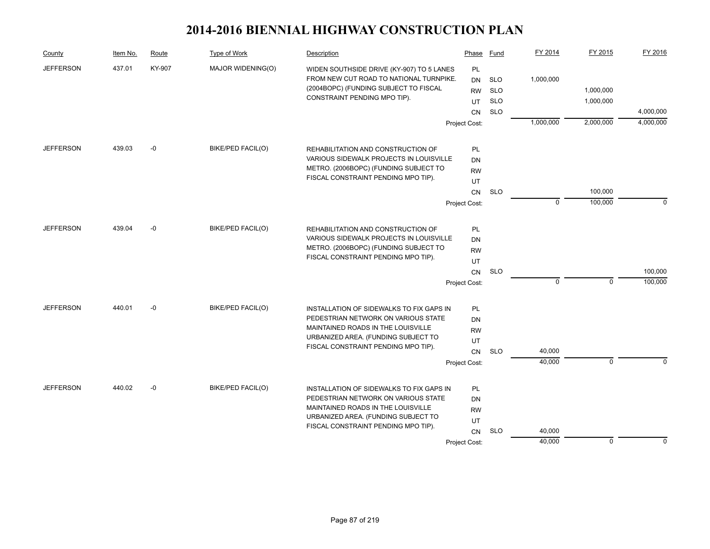| County           | Item No. | Route  | Type of Work      | Description                                                                | Phase           | Fund       | FY 2014     | FY 2015      | FY 2016     |
|------------------|----------|--------|-------------------|----------------------------------------------------------------------------|-----------------|------------|-------------|--------------|-------------|
| <b>JEFFERSON</b> | 437.01   | KY-907 | MAJOR WIDENING(O) | WIDEN SOUTHSIDE DRIVE (KY-907) TO 5 LANES                                  | PL              |            |             |              |             |
|                  |          |        |                   | FROM NEW CUT ROAD TO NATIONAL TURNPIKE.                                    | <b>DN</b>       | <b>SLO</b> | 1,000,000   |              |             |
|                  |          |        |                   | (2004BOPC) (FUNDING SUBJECT TO FISCAL                                      | <b>RW</b>       | <b>SLO</b> |             | 1,000,000    |             |
|                  |          |        |                   | CONSTRAINT PENDING MPO TIP).                                               | UT              | <b>SLO</b> |             | 1,000,000    |             |
|                  |          |        |                   |                                                                            | <b>CN</b>       | <b>SLO</b> |             |              | 4,000,000   |
|                  |          |        |                   |                                                                            | Project Cost:   |            | 1,000,000   | 2,000,000    | 4,000,000   |
| <b>JEFFERSON</b> | 439.03   | $-0$   | BIKE/PED FACIL(O) | REHABILITATION AND CONSTRUCTION OF                                         | PL              |            |             |              |             |
|                  |          |        |                   | VARIOUS SIDEWALK PROJECTS IN LOUISVILLE                                    | <b>DN</b>       |            |             |              |             |
|                  |          |        |                   | METRO. (2006BOPC) (FUNDING SUBJECT TO                                      | <b>RW</b>       |            |             |              |             |
|                  |          |        |                   | FISCAL CONSTRAINT PENDING MPO TIP).                                        | UT              |            |             |              |             |
|                  |          |        |                   |                                                                            | CN              | <b>SLO</b> |             | 100,000      |             |
|                  |          |        |                   |                                                                            | Project Cost:   |            | $\mathbf 0$ | 100,000      | $\Omega$    |
| <b>JEFFERSON</b> | 439.04   | -0     | BIKE/PED FACIL(O) | REHABILITATION AND CONSTRUCTION OF                                         | PL              |            |             |              |             |
|                  |          |        |                   | VARIOUS SIDEWALK PROJECTS IN LOUISVILLE                                    |                 |            |             |              |             |
|                  |          |        |                   | METRO. (2006BOPC) (FUNDING SUBJECT TO                                      | DN<br><b>RW</b> |            |             |              |             |
|                  |          |        |                   | FISCAL CONSTRAINT PENDING MPO TIP).                                        | UT              |            |             |              |             |
|                  |          |        |                   |                                                                            | <b>CN</b>       | <b>SLO</b> |             |              | 100,000     |
|                  |          |        |                   |                                                                            | Project Cost:   |            | $\mathbf 0$ | $\mathbf 0$  | 100,000     |
|                  |          |        |                   |                                                                            |                 |            |             |              |             |
| <b>JEFFERSON</b> | 440.01   | $-0$   | BIKE/PED FACIL(O) | INSTALLATION OF SIDEWALKS TO FIX GAPS IN                                   | PL              |            |             |              |             |
|                  |          |        |                   | PEDESTRIAN NETWORK ON VARIOUS STATE                                        | <b>DN</b>       |            |             |              |             |
|                  |          |        |                   | MAINTAINED ROADS IN THE LOUISVILLE                                         | <b>RW</b>       |            |             |              |             |
|                  |          |        |                   | URBANIZED AREA. (FUNDING SUBJECT TO<br>FISCAL CONSTRAINT PENDING MPO TIP). | UT              |            |             |              |             |
|                  |          |        |                   |                                                                            | <b>CN</b>       | <b>SLO</b> | 40,000      |              |             |
|                  |          |        |                   |                                                                            | Project Cost:   |            | 40,000      | $\mathbf{0}$ | $\Omega$    |
| <b>JEFFERSON</b> | 440.02   | $-0$   | BIKE/PED FACIL(O) | INSTALLATION OF SIDEWALKS TO FIX GAPS IN                                   | PL              |            |             |              |             |
|                  |          |        |                   | PEDESTRIAN NETWORK ON VARIOUS STATE                                        | <b>DN</b>       |            |             |              |             |
|                  |          |        |                   | MAINTAINED ROADS IN THE LOUISVILLE                                         | <b>RW</b>       |            |             |              |             |
|                  |          |        |                   | URBANIZED AREA. (FUNDING SUBJECT TO                                        | UT              |            |             |              |             |
|                  |          |        |                   | FISCAL CONSTRAINT PENDING MPO TIP).                                        | CN              | <b>SLO</b> | 40,000      |              |             |
|                  |          |        |                   |                                                                            | Project Cost:   |            | 40,000      | $\mathbf 0$  | $\mathbf 0$ |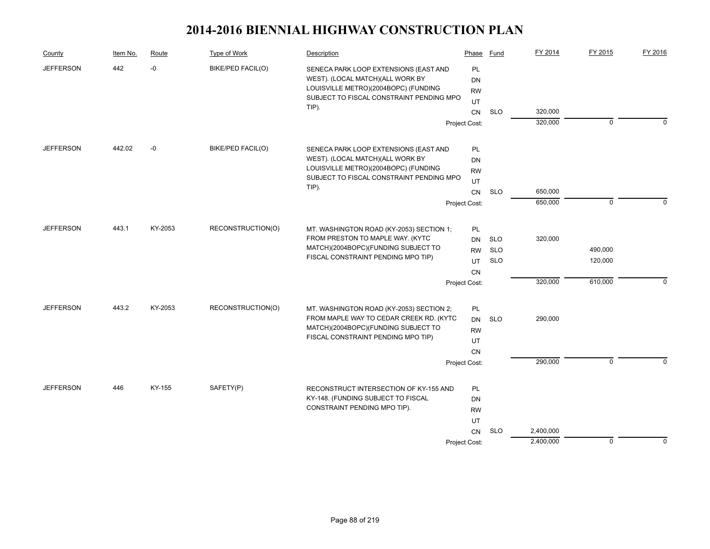| County           | Item No. | Route   | Type of Work             | Description                                                                  | Phase           | Fund       | FY 2014   | FY 2015     | FY 2016     |
|------------------|----------|---------|--------------------------|------------------------------------------------------------------------------|-----------------|------------|-----------|-------------|-------------|
| <b>JEFFERSON</b> | 442      | $-0$    | <b>BIKE/PED FACIL(O)</b> | SENECA PARK LOOP EXTENSIONS (EAST AND                                        | PL              |            |           |             |             |
|                  |          |         |                          | WEST). (LOCAL MATCH)(ALL WORK BY<br>LOUISVILLE METRO)(2004BOPC) (FUNDING     | <b>DN</b>       |            |           |             |             |
|                  |          |         |                          | SUBJECT TO FISCAL CONSTRAINT PENDING MPO                                     | <b>RW</b>       |            |           |             |             |
|                  |          |         |                          | TIP).                                                                        | UT<br><b>CN</b> | <b>SLO</b> | 320,000   |             |             |
|                  |          |         |                          |                                                                              | Project Cost:   |            | 320,000   | $\mathbf 0$ | $\Omega$    |
|                  |          |         |                          |                                                                              |                 |            |           |             |             |
| <b>JEFFERSON</b> | 442.02   | -0      | BIKE/PED FACIL(O)        | SENECA PARK LOOP EXTENSIONS (EAST AND                                        | <b>PL</b>       |            |           |             |             |
|                  |          |         |                          | WEST). (LOCAL MATCH)(ALL WORK BY                                             | DN              |            |           |             |             |
|                  |          |         |                          | LOUISVILLE METRO)(2004BOPC) (FUNDING                                         | <b>RW</b>       |            |           |             |             |
|                  |          |         |                          | SUBJECT TO FISCAL CONSTRAINT PENDING MPO                                     | UT              |            |           |             |             |
|                  |          |         |                          | TIP).                                                                        | CN              | <b>SLO</b> | 650,000   |             |             |
|                  |          |         |                          |                                                                              | Project Cost:   |            | 650,000   | $\mathbf 0$ | $\Omega$    |
| <b>JEFFERSON</b> | 443.1    | KY-2053 | RECONSTRUCTION(O)        |                                                                              |                 |            |           |             |             |
|                  |          |         |                          | MT. WASHINGTON ROAD (KY-2053) SECTION 1;<br>FROM PRESTON TO MAPLE WAY. (KYTC | PL<br><b>DN</b> | <b>SLO</b> | 320,000   |             |             |
|                  |          |         |                          | MATCH)(2004BOPC)(FUNDING SUBJECT TO                                          | <b>RW</b>       | <b>SLO</b> |           | 490,000     |             |
|                  |          |         |                          | FISCAL CONSTRAINT PENDING MPO TIP)                                           | UT              | <b>SLO</b> |           | 120,000     |             |
|                  |          |         |                          |                                                                              | CN              |            |           |             |             |
|                  |          |         |                          |                                                                              | Project Cost:   |            | 320,000   | 610,000     | $\Omega$    |
|                  |          |         |                          |                                                                              |                 |            |           |             |             |
| <b>JEFFERSON</b> | 443.2    | KY-2053 | RECONSTRUCTION(O)        | MT. WASHINGTON ROAD (KY-2053) SECTION 2;                                     | PL              |            |           |             |             |
|                  |          |         |                          | FROM MAPLE WAY TO CEDAR CREEK RD. (KYTC                                      | <b>DN</b>       | <b>SLO</b> | 290,000   |             |             |
|                  |          |         |                          | MATCH)(2004BOPC)(FUNDING SUBJECT TO<br>FISCAL CONSTRAINT PENDING MPO TIP)    | <b>RW</b>       |            |           |             |             |
|                  |          |         |                          |                                                                              | UT              |            |           |             |             |
|                  |          |         |                          |                                                                              | CN              |            |           | $\mathbf 0$ | $\Omega$    |
|                  |          |         |                          |                                                                              | Project Cost:   |            | 290,000   |             |             |
| <b>JEFFERSON</b> | 446      | KY-155  | SAFETY(P)                | RECONSTRUCT INTERSECTION OF KY-155 AND                                       | PL              |            |           |             |             |
|                  |          |         |                          | KY-148. (FUNDING SUBJECT TO FISCAL                                           | DN              |            |           |             |             |
|                  |          |         |                          | CONSTRAINT PENDING MPO TIP).                                                 | <b>RW</b>       |            |           |             |             |
|                  |          |         |                          |                                                                              | UT              |            |           |             |             |
|                  |          |         |                          |                                                                              | CN              | <b>SLO</b> | 2,400,000 |             |             |
|                  |          |         |                          |                                                                              | Project Cost:   |            | 2,400,000 | $\mathbf 0$ | $\mathbf 0$ |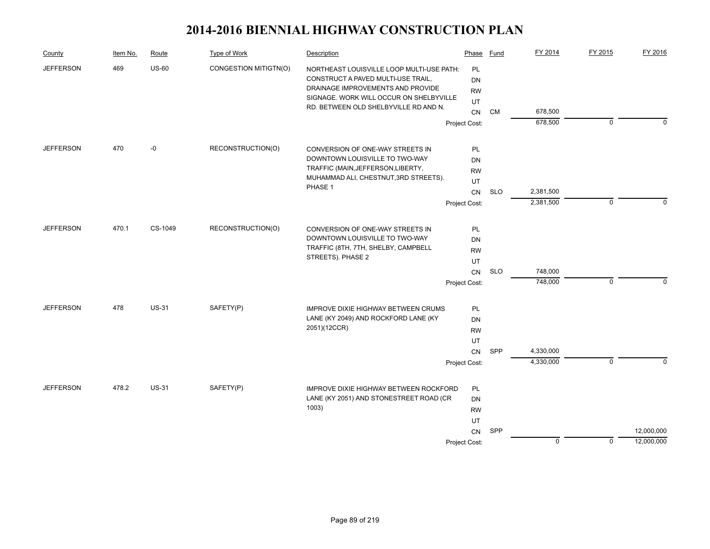| County                  | Item No. | Route        | Type of Work                        | Description                                                                                                                                                     | Phase                                     | Fund       | FY 2014                | FY 2015     | FY 2016                  |
|-------------------------|----------|--------------|-------------------------------------|-----------------------------------------------------------------------------------------------------------------------------------------------------------------|-------------------------------------------|------------|------------------------|-------------|--------------------------|
| <b>JEFFERSON</b><br>469 |          | <b>US-60</b> | CONGESTION MITIGTN(O)               | NORTHEAST LOUISVILLE LOOP MULTI-USE PATH:<br>CONSTRUCT A PAVED MULTI-USE TRAIL,<br>DRAINAGE IMPROVEMENTS AND PROVIDE<br>SIGNAGE. WORK WILL OCCUR ON SHELBYVILLE | <b>PL</b><br><b>DN</b><br><b>RW</b><br>UT |            |                        |             |                          |
|                         |          |              |                                     | RD. BETWEEN OLD SHELBYVILLE RD AND N.                                                                                                                           | CN                                        | <b>CM</b>  | 678,500                |             |                          |
|                         |          |              |                                     |                                                                                                                                                                 | Project Cost:                             |            | 678,500                | $\mathbf 0$ | $\Omega$                 |
| <b>JEFFERSON</b>        | 470      | -0           | RECONSTRUCTION(O)                   | CONVERSION OF ONE-WAY STREETS IN                                                                                                                                | PL                                        |            |                        |             |                          |
|                         |          |              |                                     | DOWNTOWN LOUISVILLE TO TWO-WAY                                                                                                                                  | DN                                        |            |                        |             |                          |
|                         |          |              |                                     | TRAFFIC (MAIN, JEFFERSON, LIBERTY,                                                                                                                              | <b>RW</b>                                 |            |                        |             |                          |
|                         |          |              |                                     | MUHAMMAD ALI, CHESTNUT, 3RD STREETS).                                                                                                                           | UT                                        |            |                        |             |                          |
|                         |          |              |                                     | PHASE 1                                                                                                                                                         | CN                                        | <b>SLO</b> | 2,381,500              |             |                          |
|                         |          |              |                                     |                                                                                                                                                                 | Project Cost:                             |            | 2,381,500              | $\mathbf 0$ | $\Omega$                 |
| <b>JEFFERSON</b>        | 470.1    | CS-1049      | RECONSTRUCTION(O)                   | CONVERSION OF ONE-WAY STREETS IN                                                                                                                                | PL                                        |            |                        |             |                          |
|                         |          |              |                                     | DOWNTOWN LOUISVILLE TO TWO-WAY                                                                                                                                  | DN                                        |            |                        |             |                          |
|                         |          |              | TRAFFIC (8TH, 7TH, SHELBY, CAMPBELL | <b>RW</b>                                                                                                                                                       |                                           |            |                        |             |                          |
|                         |          |              |                                     | STREETS). PHASE 2                                                                                                                                               | UT                                        |            |                        |             |                          |
|                         |          |              |                                     |                                                                                                                                                                 | CN                                        | <b>SLO</b> | 748,000                |             |                          |
|                         |          |              |                                     |                                                                                                                                                                 | Project Cost:                             |            | 748,000                | $\mathbf 0$ | $\Omega$                 |
| <b>JEFFERSON</b>        | 478      | <b>US-31</b> | SAFETY(P)                           | IMPROVE DIXIE HIGHWAY BETWEEN CRUMS                                                                                                                             | PL                                        |            |                        |             |                          |
|                         |          |              |                                     | LANE (KY 2049) AND ROCKFORD LANE (KY                                                                                                                            | <b>DN</b>                                 |            |                        |             |                          |
|                         |          |              |                                     | 2051)(12CCR)                                                                                                                                                    | <b>RW</b>                                 |            |                        |             |                          |
|                         |          |              |                                     |                                                                                                                                                                 | UT                                        |            |                        |             |                          |
|                         |          |              |                                     |                                                                                                                                                                 | CN                                        | SPP        | 4,330,000<br>4,330,000 |             | $\Omega$                 |
|                         |          |              |                                     |                                                                                                                                                                 | Project Cost:                             |            |                        | $\mathbf 0$ |                          |
| <b>JEFFERSON</b>        | 478.2    | <b>US-31</b> | SAFETY(P)                           | <b>IMPROVE DIXIE HIGHWAY BETWEEN ROCKFORD</b>                                                                                                                   | PL                                        |            |                        |             |                          |
|                         |          |              |                                     | LANE (KY 2051) AND STONESTREET ROAD (CR                                                                                                                         | DN                                        |            |                        |             |                          |
|                         |          |              |                                     | 1003)                                                                                                                                                           | <b>RW</b>                                 |            |                        |             |                          |
|                         |          |              |                                     |                                                                                                                                                                 | UT                                        |            |                        |             |                          |
|                         |          |              |                                     |                                                                                                                                                                 | CN                                        | SPP        | $\mathbf 0$            |             | 12,000,000<br>12,000,000 |
|                         |          |              |                                     |                                                                                                                                                                 | Project Cost:                             |            |                        | $\mathbf 0$ |                          |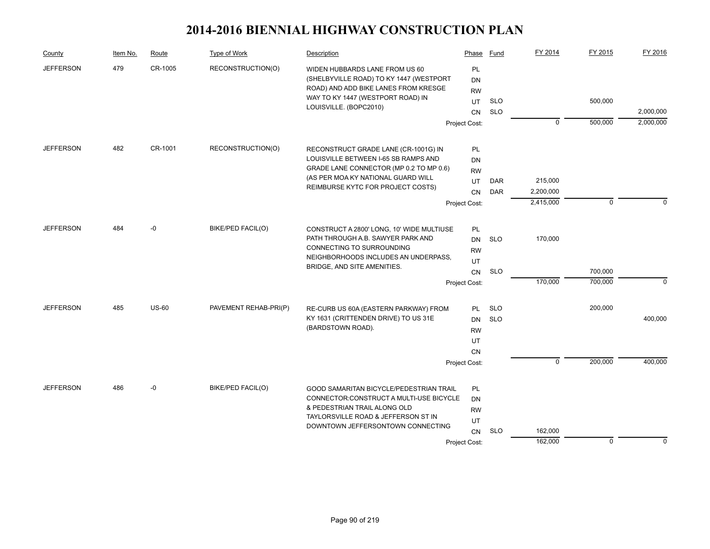| County                  | Item No. | Route        | Type of Work                      | Description                                                                                                                                            | Phase                 | Fund       | FY 2014        | FY 2015      | FY 2016     |
|-------------------------|----------|--------------|-----------------------------------|--------------------------------------------------------------------------------------------------------------------------------------------------------|-----------------------|------------|----------------|--------------|-------------|
| 479<br><b>JEFFERSON</b> |          | CR-1005      | RECONSTRUCTION(O)                 | WIDEN HUBBARDS LANE FROM US 60<br>(SHELBYVILLE ROAD) TO KY 1447 (WESTPORT<br>ROAD) AND ADD BIKE LANES FROM KRESGE<br>WAY TO KY 1447 (WESTPORT ROAD) IN | PL<br>DN<br><b>RW</b> |            |                |              |             |
|                         |          |              |                                   | LOUISVILLE. (BOPC2010)                                                                                                                                 | UT                    | <b>SLO</b> |                | 500,000      |             |
|                         |          |              |                                   |                                                                                                                                                        | <b>CN</b>             | <b>SLO</b> |                |              | 2,000,000   |
|                         |          |              |                                   |                                                                                                                                                        | Project Cost:         |            | $\mathbf 0$    | 500,000      | 2,000,000   |
| <b>JEFFERSON</b>        | 482      | CR-1001      | RECONSTRUCTION(O)                 | RECONSTRUCT GRADE LANE (CR-1001G) IN                                                                                                                   | <b>PL</b>             |            |                |              |             |
|                         |          |              |                                   | LOUISVILLE BETWEEN I-65 SB RAMPS AND                                                                                                                   | DN                    |            |                |              |             |
|                         |          |              |                                   | GRADE LANE CONNECTOR (MP 0.2 TO MP 0.6)                                                                                                                | <b>RW</b>             |            |                |              |             |
|                         |          |              |                                   | (AS PER MOA KY NATIONAL GUARD WILL<br>REIMBURSE KYTC FOR PROJECT COSTS)                                                                                | UT                    | DAR        | 215,000        |              |             |
|                         |          |              |                                   |                                                                                                                                                        | CN                    | <b>DAR</b> | 2,200,000      |              |             |
|                         |          |              |                                   |                                                                                                                                                        | Project Cost:         |            | 2,415,000      | $\mathbf{0}$ | $\Omega$    |
| <b>JEFFERSON</b>        | 484      | -0           | BIKE/PED FACIL(O)                 | CONSTRUCT A 2800' LONG, 10' WIDE MULTIUSE                                                                                                              | PL                    |            |                |              |             |
|                         |          |              | PATH THROUGH A.B. SAWYER PARK AND | <b>DN</b>                                                                                                                                              | <b>SLO</b>            | 170,000    |                |              |             |
|                         |          |              |                                   | CONNECTING TO SURROUNDING                                                                                                                              | <b>RW</b>             |            |                |              |             |
|                         |          |              |                                   | NEIGHBORHOODS INCLUDES AN UNDERPASS.                                                                                                                   | UT                    |            |                |              |             |
|                         |          |              |                                   | BRIDGE, AND SITE AMENITIES.                                                                                                                            | CN                    | <b>SLO</b> |                | 700,000      |             |
|                         |          |              |                                   |                                                                                                                                                        | Project Cost:         |            | 170,000        | 700,000      | $\mathbf 0$ |
| <b>JEFFERSON</b>        | 485      | <b>US-60</b> | PAVEMENT REHAB-PRI(P)             | RE-CURB US 60A (EASTERN PARKWAY) FROM                                                                                                                  | PL                    | <b>SLO</b> |                | 200,000      |             |
|                         |          |              |                                   | KY 1631 (CRITTENDEN DRIVE) TO US 31E                                                                                                                   | <b>DN</b>             | <b>SLO</b> |                |              | 400,000     |
|                         |          |              |                                   | (BARDSTOWN ROAD).                                                                                                                                      | <b>RW</b>             |            |                |              |             |
|                         |          |              |                                   |                                                                                                                                                        | UT                    |            |                |              |             |
|                         |          |              |                                   |                                                                                                                                                        | <b>CN</b>             |            |                |              |             |
|                         |          |              |                                   |                                                                                                                                                        | Project Cost:         |            | $\overline{0}$ | 200,000      | 400,000     |
| <b>JEFFERSON</b>        | 486      | $-0$         | BIKE/PED FACIL(O)                 | GOOD SAMARITAN BICYCLE/PEDESTRIAN TRAIL                                                                                                                | PL                    |            |                |              |             |
|                         |          |              |                                   | CONNECTOR: CONSTRUCT A MULTI-USE BICYCLE                                                                                                               | <b>DN</b>             |            |                |              |             |
|                         |          |              |                                   | & PEDESTRIAN TRAIL ALONG OLD                                                                                                                           | <b>RW</b>             |            |                |              |             |
|                         |          |              |                                   | TAYLORSVILLE ROAD & JEFFERSON ST IN<br>DOWNTOWN JEFFERSONTOWN CONNECTING                                                                               | UT                    |            |                |              |             |
|                         |          |              |                                   |                                                                                                                                                        | <b>CN</b>             | <b>SLO</b> | 162,000        |              |             |
|                         |          |              |                                   |                                                                                                                                                        | Project Cost:         |            | 162,000        | $\mathbf 0$  | $\mathbf 0$ |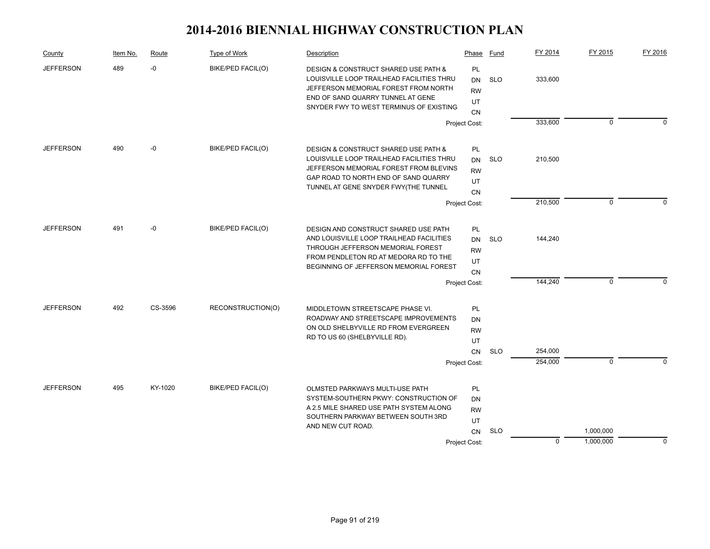| County           | Item No. | Route   | Type of Work             | Description                                                                                                                                                                                                 | Phase                                                            | Fund       | FY 2014            | FY 2015     | FY 2016     |
|------------------|----------|---------|--------------------------|-------------------------------------------------------------------------------------------------------------------------------------------------------------------------------------------------------------|------------------------------------------------------------------|------------|--------------------|-------------|-------------|
| <b>JEFFERSON</b> | 489      | -0      | <b>BIKE/PED FACIL(O)</b> | DESIGN & CONSTRUCT SHARED USE PATH &<br>LOUISVILLE LOOP TRAILHEAD FACILITIES THRU<br>JEFFERSON MEMORIAL FOREST FROM NORTH<br>END OF SAND QUARRY TUNNEL AT GENE<br>SNYDER FWY TO WEST TERMINUS OF EXISTING   | PL<br><b>DN</b><br><b>RW</b><br>UT<br><b>CN</b>                  | <b>SLO</b> | 333,600            |             |             |
|                  |          |         |                          |                                                                                                                                                                                                             | Project Cost:                                                    |            | 333,600            | $\mathbf 0$ | $\Omega$    |
| <b>JEFFERSON</b> | 490      | -0      | BIKE/PED FACIL(O)        | DESIGN & CONSTRUCT SHARED USE PATH &<br>LOUISVILLE LOOP TRAILHEAD FACILITIES THRU<br>JEFFERSON MEMORIAL FOREST FROM BLEVINS<br>GAP ROAD TO NORTH END OF SAND QUARRY<br>TUNNEL AT GENE SNYDER FWY(THE TUNNEL | PL<br><b>DN</b><br><b>RW</b><br>UT<br>CN                         | <b>SLO</b> | 210,500            |             |             |
|                  |          |         |                          |                                                                                                                                                                                                             | Project Cost:                                                    |            | 210,500            | $\mathbf 0$ | $\Omega$    |
| <b>JEFFERSON</b> | 491      | -0      | BIKE/PED FACIL(O)        | DESIGN AND CONSTRUCT SHARED USE PATH<br>AND LOUISVILLE LOOP TRAILHEAD FACILITIES<br>THROUGH JEFFERSON MEMORIAL FOREST<br>FROM PENDLETON RD AT MEDORA RD TO THE<br>BEGINNING OF JEFFERSON MEMORIAL FOREST    | PL<br><b>DN</b><br><b>RW</b><br>UT<br><b>CN</b><br>Project Cost: | <b>SLO</b> | 144,240<br>144,240 | 0           | $\Omega$    |
|                  |          |         |                          |                                                                                                                                                                                                             |                                                                  |            |                    |             |             |
| <b>JEFFERSON</b> | 492      | CS-3596 | RECONSTRUCTION(O)        | MIDDLETOWN STREETSCAPE PHASE VI.<br>ROADWAY AND STREETSCAPE IMPROVEMENTS<br>ON OLD SHELBYVILLE RD FROM EVERGREEN<br>RD TO US 60 (SHELBYVILLE RD).                                                           | PL<br><b>DN</b><br><b>RW</b><br>UT<br><b>CN</b>                  | <b>SLO</b> | 254,000            |             |             |
|                  |          |         |                          |                                                                                                                                                                                                             | Project Cost:                                                    |            | 254,000            | $\Omega$    | $\Omega$    |
| <b>JEFFERSON</b> | 495      | KY-1020 | BIKE/PED FACIL(O)        | OLMSTED PARKWAYS MULTI-USE PATH<br>SYSTEM-SOUTHERN PKWY: CONSTRUCTION OF<br>A 2.5 MILE SHARED USE PATH SYSTEM ALONG<br>SOUTHERN PARKWAY BETWEEN SOUTH 3RD<br>AND NEW CUT ROAD.                              | PL<br>DN<br><b>RW</b><br>UT<br><b>CN</b>                         | <b>SLO</b> |                    | 1,000,000   |             |
|                  |          |         |                          |                                                                                                                                                                                                             | Project Cost:                                                    |            | $\mathbf 0$        | 1,000,000   | $\mathbf 0$ |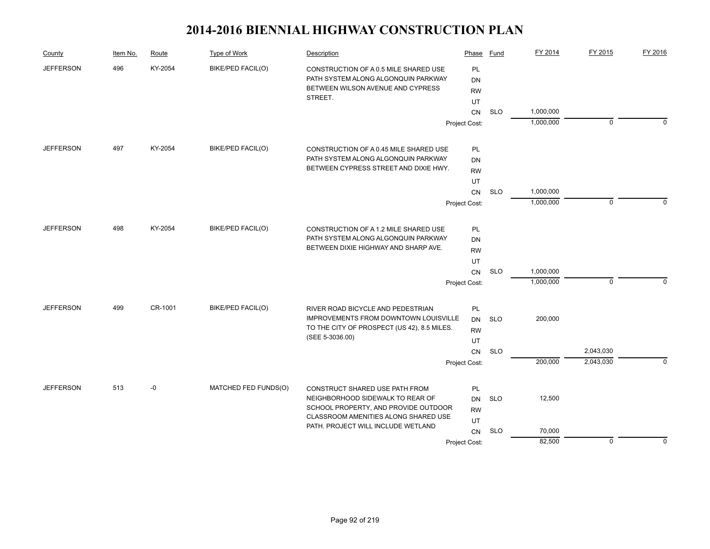| County           | Item No. | Route   | Type of Work                         | Description                                                                  | Phase         | Fund       | FY 2014   | FY 2015     | FY 2016     |
|------------------|----------|---------|--------------------------------------|------------------------------------------------------------------------------|---------------|------------|-----------|-------------|-------------|
| <b>JEFFERSON</b> | 496      | KY-2054 | BIKE/PED FACIL(O)                    | CONSTRUCTION OF A 0.5 MILE SHARED USE                                        | <b>PL</b>     |            |           |             |             |
|                  |          |         |                                      | PATH SYSTEM ALONG ALGONQUIN PARKWAY                                          | DN            |            |           |             |             |
|                  |          |         |                                      | BETWEEN WILSON AVENUE AND CYPRESS                                            | <b>RW</b>     |            |           |             |             |
|                  |          |         |                                      | STREET.                                                                      | UT            |            |           |             |             |
|                  |          |         |                                      |                                                                              | <b>CN</b>     | <b>SLO</b> | 1,000,000 |             |             |
|                  |          |         |                                      |                                                                              | Project Cost: |            | 1,000,000 | $\pmb{0}$   | $\Omega$    |
| <b>JEFFERSON</b> | 497      | KY-2054 | BIKE/PED FACIL(O)                    | CONSTRUCTION OF A 0.45 MILE SHARED USE                                       | PL            |            |           |             |             |
|                  |          |         |                                      | PATH SYSTEM ALONG ALGONQUIN PARKWAY                                          | <b>DN</b>     |            |           |             |             |
|                  |          |         |                                      | BETWEEN CYPRESS STREET AND DIXIE HWY.                                        | <b>RW</b>     |            |           |             |             |
|                  |          |         |                                      |                                                                              | UT            |            |           |             |             |
|                  |          |         |                                      |                                                                              | <b>CN</b>     | <b>SLO</b> | 1,000,000 |             |             |
|                  |          |         |                                      |                                                                              | Project Cost: |            | 1,000,000 | $\mathbf 0$ | $\Omega$    |
| <b>JEFFERSON</b> | 498      | KY-2054 | BIKE/PED FACIL(O)                    |                                                                              |               |            |           |             |             |
|                  |          |         |                                      | CONSTRUCTION OF A 1.2 MILE SHARED USE<br>PATH SYSTEM ALONG ALGONQUIN PARKWAY | PL            |            |           |             |             |
|                  |          |         | BETWEEN DIXIE HIGHWAY AND SHARP AVE. | DN<br><b>RW</b>                                                              |               |            |           |             |             |
|                  |          |         |                                      |                                                                              |               |            |           |             |             |
|                  |          |         |                                      |                                                                              | UT<br>CN      | <b>SLO</b> | 1,000,000 |             |             |
|                  |          |         |                                      |                                                                              |               |            | 1,000,000 | $\pmb{0}$   | $\Omega$    |
|                  |          |         |                                      |                                                                              | Project Cost: |            |           |             |             |
| <b>JEFFERSON</b> | 499      | CR-1001 | <b>BIKE/PED FACIL(O)</b>             | RIVER ROAD BICYCLE AND PEDESTRIAN                                            | PL            |            |           |             |             |
|                  |          |         |                                      | IMPROVEMENTS FROM DOWNTOWN LOUISVILLE                                        | DN            | <b>SLO</b> | 200,000   |             |             |
|                  |          |         |                                      | TO THE CITY OF PROSPECT (US 42), 8.5 MILES.<br>(SEE 5-3036.00)               | <b>RW</b>     |            |           |             |             |
|                  |          |         |                                      |                                                                              | UT            |            |           |             |             |
|                  |          |         |                                      |                                                                              | CN            | <b>SLO</b> |           | 2,043,030   |             |
|                  |          |         |                                      |                                                                              | Project Cost: |            | 200,000   | 2,043,030   | $\mathbf 0$ |
| <b>JEFFERSON</b> | 513      | $-0$    | MATCHED FED FUNDS(O)                 | CONSTRUCT SHARED USE PATH FROM                                               | PL            |            |           |             |             |
|                  |          |         |                                      | NEIGHBORHOOD SIDEWALK TO REAR OF                                             | <b>DN</b>     | <b>SLO</b> | 12,500    |             |             |
|                  |          |         |                                      | SCHOOL PROPERTY, AND PROVIDE OUTDOOR                                         | <b>RW</b>     |            |           |             |             |
|                  |          |         |                                      | CLASSROOM AMENITIES ALONG SHARED USE<br>PATH. PROJECT WILL INCLUDE WETLAND   | UT            |            |           |             |             |
|                  |          |         |                                      |                                                                              | CN            | <b>SLO</b> | 70,000    |             |             |
|                  |          |         |                                      |                                                                              | Project Cost: |            | 82,500    | $\mathbf 0$ | $\Omega$    |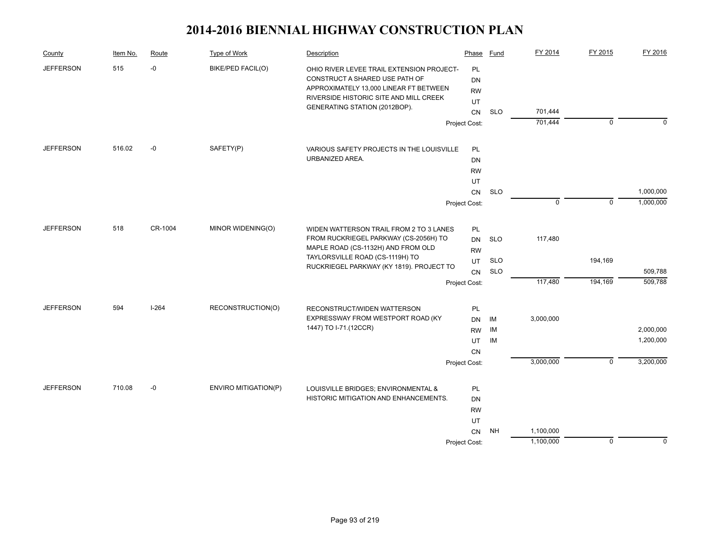| County                  | Item No. | Route   | Type of Work                | Description                                                                                                                                                     | Phase                       | Fund              | FY 2014     | FY 2015        | FY 2016                |
|-------------------------|----------|---------|-----------------------------|-----------------------------------------------------------------------------------------------------------------------------------------------------------------|-----------------------------|-------------------|-------------|----------------|------------------------|
| <b>JEFFERSON</b><br>515 |          | $-0$    | <b>BIKE/PED FACIL(O)</b>    | OHIO RIVER LEVEE TRAIL EXTENSION PROJECT-<br>CONSTRUCT A SHARED USE PATH OF<br>APPROXIMATELY 13,000 LINEAR FT BETWEEN<br>RIVERSIDE HISTORIC SITE AND MILL CREEK | PL<br>DN<br><b>RW</b><br>UT |                   |             |                |                        |
|                         |          |         |                             | GENERATING STATION (2012BOP).                                                                                                                                   | CN                          | <b>SLO</b>        | 701,444     |                |                        |
|                         |          |         |                             |                                                                                                                                                                 | Project Cost:               |                   | 701,444     | $\overline{0}$ | $\Omega$               |
| <b>JEFFERSON</b>        | 516.02   | $-0$    | SAFETY(P)                   | VARIOUS SAFETY PROJECTS IN THE LOUISVILLE                                                                                                                       | PL                          |                   |             |                |                        |
|                         |          |         |                             | URBANIZED AREA.                                                                                                                                                 | DN                          |                   |             |                |                        |
|                         |          |         |                             |                                                                                                                                                                 | <b>RW</b>                   |                   |             |                |                        |
|                         |          |         |                             |                                                                                                                                                                 | UT                          |                   |             |                |                        |
|                         |          |         |                             |                                                                                                                                                                 | CN                          | <b>SLO</b>        |             |                | 1,000,000              |
|                         |          |         |                             |                                                                                                                                                                 | Project Cost:               |                   | $\mathbf 0$ | $\mathbf 0$    | 1,000,000              |
| <b>JEFFERSON</b>        | 518      | CR-1004 | MINOR WIDENING(O)           | WIDEN WATTERSON TRAIL FROM 2 TO 3 LANES                                                                                                                         | PL                          |                   |             |                |                        |
|                         |          |         |                             | FROM RUCKRIEGEL PARKWAY (CS-2056H) TO                                                                                                                           | DN                          | <b>SLO</b>        | 117,480     |                |                        |
|                         |          |         |                             | MAPLE ROAD (CS-1132H) AND FROM OLD<br>TAYLORSVILLE ROAD (CS-1119H) TO                                                                                           | <b>RW</b>                   |                   |             |                |                        |
|                         |          |         |                             | RUCKRIEGEL PARKWAY (KY 1819). PROJECT TO                                                                                                                        | UT                          | <b>SLO</b><br>SLO |             | 194,169        | 509,788                |
|                         |          |         |                             |                                                                                                                                                                 | CN<br>Project Cost:         |                   | 117,480     | 194,169        | 509,788                |
|                         |          |         |                             |                                                                                                                                                                 |                             |                   |             |                |                        |
| <b>JEFFERSON</b>        | 594      | $I-264$ | RECONSTRUCTION(O)           | RECONSTRUCT/WIDEN WATTERSON                                                                                                                                     | PL                          |                   |             |                |                        |
|                         |          |         |                             | EXPRESSWAY FROM WESTPORT ROAD (KY)<br>1447) TO I-71.(12CCR)                                                                                                     | DN                          | IM                | 3,000,000   |                |                        |
|                         |          |         |                             |                                                                                                                                                                 | <b>RW</b>                   | IM                |             |                | 2,000,000<br>1,200,000 |
|                         |          |         |                             |                                                                                                                                                                 | UT<br><b>CN</b>             | IM                |             |                |                        |
|                         |          |         |                             |                                                                                                                                                                 | Project Cost:               |                   | 3,000,000   | $\overline{0}$ | 3,200,000              |
|                         |          |         |                             |                                                                                                                                                                 |                             |                   |             |                |                        |
| <b>JEFFERSON</b>        | 710.08   | $-0$    | <b>ENVIRO MITIGATION(P)</b> | LOUISVILLE BRIDGES; ENVIRONMENTAL &                                                                                                                             | PL                          |                   |             |                |                        |
|                         |          |         |                             | HISTORIC MITIGATION AND ENHANCEMENTS.                                                                                                                           | DN                          |                   |             |                |                        |
|                         |          |         |                             |                                                                                                                                                                 | <b>RW</b><br>UT             |                   |             |                |                        |
|                         |          |         |                             |                                                                                                                                                                 | CN                          | <b>NH</b>         | 1,100,000   |                |                        |
|                         |          |         |                             |                                                                                                                                                                 | Project Cost:               |                   | 1,100,000   | $\mathbf 0$    | $\mathbf 0$            |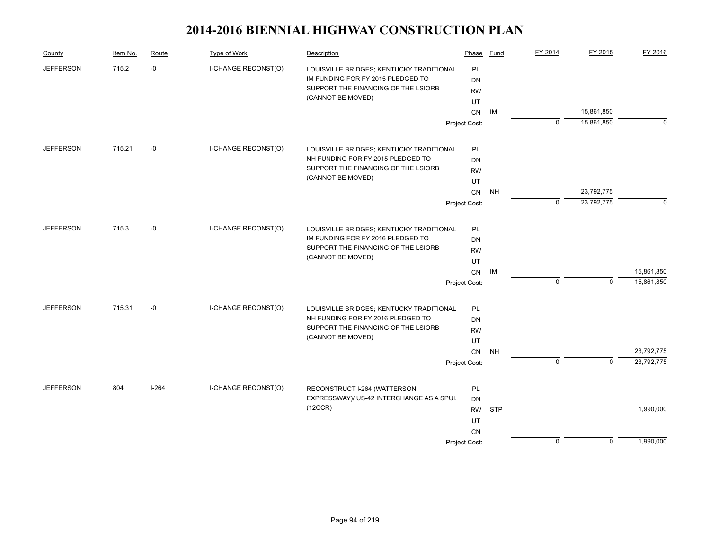| County           | Item No. | Route   | Type of Work                        | Description                               | Phase         | Fund       | FY 2014        | FY 2015        | FY 2016    |
|------------------|----------|---------|-------------------------------------|-------------------------------------------|---------------|------------|----------------|----------------|------------|
| <b>JEFFERSON</b> | 715.2    | $-0$    | I-CHANGE RECONST(O)                 | LOUISVILLE BRIDGES; KENTUCKY TRADITIONAL  | <b>PL</b>     |            |                |                |            |
|                  |          |         |                                     | IM FUNDING FOR FY 2015 PLEDGED TO         | <b>DN</b>     |            |                |                |            |
|                  |          |         |                                     | SUPPORT THE FINANCING OF THE LSIORB       | <b>RW</b>     |            |                |                |            |
|                  |          |         |                                     | (CANNOT BE MOVED)                         | UT            |            |                |                |            |
|                  |          |         |                                     |                                           | <b>CN</b>     | IM         |                | 15,861,850     |            |
|                  |          |         |                                     |                                           | Project Cost: |            | $\mathbf 0$    | 15,861,850     | $\Omega$   |
| <b>JEFFERSON</b> | 715.21   | $-0$    | I-CHANGE RECONST(O)                 | LOUISVILLE BRIDGES; KENTUCKY TRADITIONAL  | PL            |            |                |                |            |
|                  |          |         |                                     | NH FUNDING FOR FY 2015 PLEDGED TO         | DN            |            |                |                |            |
|                  |          |         |                                     | SUPPORT THE FINANCING OF THE LSIORB       | <b>RW</b>     |            |                |                |            |
|                  |          |         |                                     | (CANNOT BE MOVED)                         | UT            |            |                |                |            |
|                  |          |         |                                     |                                           | CN            | <b>NH</b>  |                | 23,792,775     |            |
|                  |          |         |                                     |                                           | Project Cost: |            | $\mathbf 0$    | 23,792,775     | $\Omega$   |
| <b>JEFFERSON</b> | 715.3    | $-0$    | I-CHANGE RECONST(O)                 | LOUISVILLE BRIDGES; KENTUCKY TRADITIONAL  | PL            |            |                |                |            |
|                  |          |         |                                     | IM FUNDING FOR FY 2016 PLEDGED TO         | DN            |            |                |                |            |
|                  |          |         | SUPPORT THE FINANCING OF THE LSIORB | <b>RW</b>                                 |               |            |                |                |            |
|                  |          |         |                                     | (CANNOT BE MOVED)                         | UT            |            |                |                |            |
|                  |          |         |                                     |                                           | <b>CN</b>     | IM         |                |                | 15,861,850 |
|                  |          |         |                                     |                                           | Project Cost: |            | $\Omega$       | $\mathbf{0}$   | 15,861,850 |
| <b>JEFFERSON</b> | 715.31   | -0      | <b>I-CHANGE RECONST(O)</b>          | LOUISVILLE BRIDGES; KENTUCKY TRADITIONAL  | PL            |            |                |                |            |
|                  |          |         |                                     | NH FUNDING FOR FY 2016 PLEDGED TO         | DN            |            |                |                |            |
|                  |          |         |                                     | SUPPORT THE FINANCING OF THE LSIORB       | <b>RW</b>     |            |                |                |            |
|                  |          |         |                                     | (CANNOT BE MOVED)                         | UT            |            |                |                |            |
|                  |          |         |                                     |                                           | CN            | <b>NH</b>  |                |                | 23,792,775 |
|                  |          |         |                                     |                                           | Project Cost: |            | $\overline{0}$ | $\overline{0}$ | 23,792,775 |
| <b>JEFFERSON</b> | 804      | $I-264$ | I-CHANGE RECONST(O)                 | RECONSTRUCT I-264 (WATTERSON              | PL            |            |                |                |            |
|                  |          |         |                                     | EXPRESSWAY)/ US-42 INTERCHANGE AS A SPUI. | DN            |            |                |                |            |
|                  |          |         |                                     | (12CCR)                                   | <b>RW</b>     | <b>STP</b> |                |                | 1,990,000  |
|                  |          |         |                                     |                                           | UT            |            |                |                |            |
|                  |          |         |                                     |                                           | <b>CN</b>     |            |                |                |            |
|                  |          |         |                                     |                                           | Project Cost: |            | $\mathbf 0$    | $\mathbf 0$    | 1,990,000  |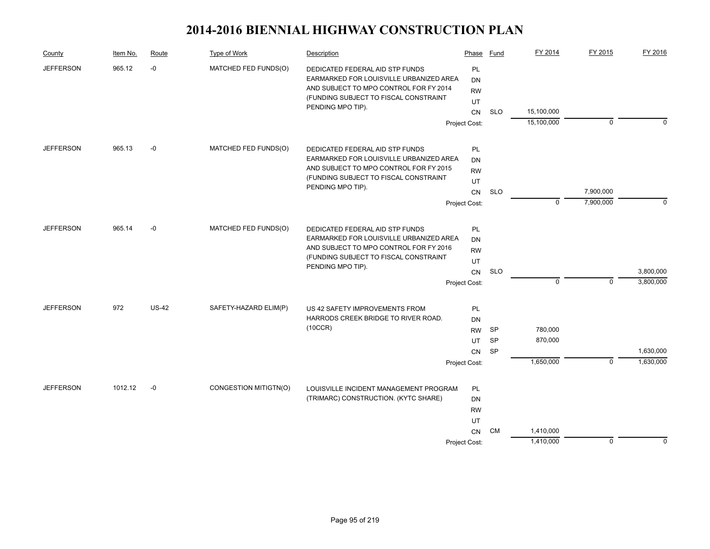| County           | Item No. | Route                                             | Type of Work                                                                                                                                                  | Description                                                | Phase         | Fund       | FY 2014     | FY 2015     | FY 2016     |
|------------------|----------|---------------------------------------------------|---------------------------------------------------------------------------------------------------------------------------------------------------------------|------------------------------------------------------------|---------------|------------|-------------|-------------|-------------|
| <b>JEFFERSON</b> | 965.12   | $-0$<br>MATCHED FED FUNDS(O)<br>PENDING MPO TIP). | DEDICATED FEDERAL AID STP FUNDS<br>EARMARKED FOR LOUISVILLE URBANIZED AREA<br>AND SUBJECT TO MPO CONTROL FOR FY 2014<br>(FUNDING SUBJECT TO FISCAL CONSTRAINT | <b>PL</b><br>DN<br><b>RW</b><br>UT                         |               |            |             |             |             |
|                  |          |                                                   |                                                                                                                                                               |                                                            | CN            | <b>SLO</b> | 15,100,000  | $\mathbf 0$ | $\Omega$    |
|                  |          |                                                   |                                                                                                                                                               |                                                            | Project Cost: |            | 15,100,000  |             |             |
| <b>JEFFERSON</b> | 965.13   | -0                                                | MATCHED FED FUNDS(O)                                                                                                                                          | DEDICATED FEDERAL AID STP FUNDS                            | PL            |            |             |             |             |
|                  |          |                                                   |                                                                                                                                                               | EARMARKED FOR LOUISVILLE URBANIZED AREA                    | DN            |            |             |             |             |
|                  |          |                                                   |                                                                                                                                                               | AND SUBJECT TO MPO CONTROL FOR FY 2015                     | <b>RW</b>     |            |             |             |             |
|                  |          |                                                   |                                                                                                                                                               | (FUNDING SUBJECT TO FISCAL CONSTRAINT<br>PENDING MPO TIP). | UT<br>CN      |            |             |             |             |
|                  |          |                                                   |                                                                                                                                                               |                                                            |               | <b>SLO</b> |             | 7,900,000   |             |
|                  |          |                                                   |                                                                                                                                                               |                                                            | Project Cost: |            | $\mathbf 0$ | 7,900,000   | $\mathbf 0$ |
| <b>JEFFERSON</b> | 965.14   | $-0$                                              | MATCHED FED FUNDS(O)                                                                                                                                          | DEDICATED FEDERAL AID STP FUNDS                            | PL            |            |             |             |             |
|                  |          |                                                   |                                                                                                                                                               | EARMARKED FOR LOUISVILLE URBANIZED AREA                    | <b>DN</b>     |            |             |             |             |
|                  |          |                                                   |                                                                                                                                                               | AND SUBJECT TO MPO CONTROL FOR FY 2016                     | <b>RW</b>     |            |             |             |             |
|                  |          |                                                   |                                                                                                                                                               | (FUNDING SUBJECT TO FISCAL CONSTRAINT<br>PENDING MPO TIP). | UT            |            |             |             |             |
|                  |          |                                                   |                                                                                                                                                               |                                                            | CN            | <b>SLO</b> |             |             | 3,800,000   |
|                  |          |                                                   |                                                                                                                                                               |                                                            | Project Cost: |            | $\mathbf 0$ | $\mathbf 0$ | 3,800,000   |
| <b>JEFFERSON</b> | 972      | $US-42$                                           | SAFETY-HAZARD ELIM(P)                                                                                                                                         | US 42 SAFETY IMPROVEMENTS FROM                             | PL            |            |             |             |             |
|                  |          |                                                   |                                                                                                                                                               | HARRODS CREEK BRIDGE TO RIVER ROAD.                        | DN            |            |             |             |             |
|                  |          |                                                   |                                                                                                                                                               | (10CCR)                                                    | <b>RW</b>     | SP         | 780,000     |             |             |
|                  |          |                                                   |                                                                                                                                                               |                                                            | UT            | <b>SP</b>  | 870,000     |             |             |
|                  |          |                                                   |                                                                                                                                                               |                                                            | <b>CN</b>     | <b>SP</b>  |             |             | 1,630,000   |
|                  |          |                                                   |                                                                                                                                                               |                                                            | Project Cost: |            | 1,650,000   | $\mathbf 0$ | 1,630,000   |
| <b>JEFFERSON</b> | 1012.12  | $-0$                                              | CONGESTION MITIGTN(O)                                                                                                                                         | LOUISVILLE INCIDENT MANAGEMENT PROGRAM                     | PL            |            |             |             |             |
|                  |          |                                                   |                                                                                                                                                               | (TRIMARC) CONSTRUCTION. (KYTC SHARE)                       | DN            |            |             |             |             |
|                  |          |                                                   |                                                                                                                                                               |                                                            |               |            |             |             |             |
|                  |          |                                                   |                                                                                                                                                               |                                                            | UT            |            |             |             |             |
|                  |          |                                                   |                                                                                                                                                               |                                                            | <b>CN</b>     | CM         | 1,410,000   |             |             |
|                  |          |                                                   |                                                                                                                                                               |                                                            | Project Cost: |            | 1,410,000   | $\mathbf 0$ | $\Omega$    |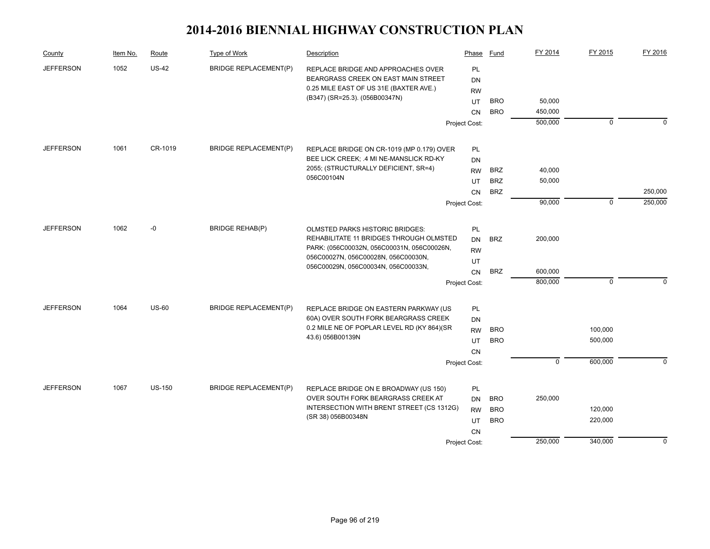| County           | Item No. | Route         | Type of Work                 | Description                                | Phase         | Fund       | FY 2014     | FY 2015     | FY 2016     |
|------------------|----------|---------------|------------------------------|--------------------------------------------|---------------|------------|-------------|-------------|-------------|
| <b>JEFFERSON</b> | 1052     | <b>US-42</b>  | <b>BRIDGE REPLACEMENT(P)</b> | REPLACE BRIDGE AND APPROACHES OVER         | PL            |            |             |             |             |
|                  |          |               |                              | BEARGRASS CREEK ON EAST MAIN STREET        | DN            |            |             |             |             |
|                  |          |               |                              | 0.25 MILE EAST OF US 31E (BAXTER AVE.)     | <b>RW</b>     |            |             |             |             |
|                  |          |               |                              | (B347) (SR=25.3). (056B00347N)             | UT            | <b>BRO</b> | 50,000      |             |             |
|                  |          |               |                              |                                            | <b>CN</b>     | <b>BRO</b> | 450,000     |             |             |
|                  |          |               |                              |                                            | Project Cost: |            | 500,000     | $\mathbf 0$ | $\mathbf 0$ |
| <b>JEFFERSON</b> | 1061     | CR-1019       | <b>BRIDGE REPLACEMENT(P)</b> | REPLACE BRIDGE ON CR-1019 (MP 0.179) OVER  | <b>PL</b>     |            |             |             |             |
|                  |          |               |                              | BEE LICK CREEK; .4 MI NE-MANSLICK RD-KY    | DN            |            |             |             |             |
|                  |          |               |                              | 2055; (STRUCTURALLY DEFICIENT, SR=4)       | <b>RW</b>     | <b>BRZ</b> | 40,000      |             |             |
|                  |          |               |                              | 056C00104N                                 |               | <b>BRZ</b> |             |             |             |
|                  |          |               |                              |                                            | UT            | <b>BRZ</b> | 50,000      |             | 250,000     |
|                  |          |               |                              |                                            | <b>CN</b>     |            | 90,000      | $\mathbf 0$ | 250,000     |
|                  |          |               |                              |                                            | Project Cost: |            |             |             |             |
| <b>JEFFERSON</b> | 1062     | $-0$          | <b>BRIDGE REHAB(P)</b>       | <b>OLMSTED PARKS HISTORIC BRIDGES:</b>     | PL            |            |             |             |             |
|                  |          |               |                              | REHABILITATE 11 BRIDGES THROUGH OLMSTED    | DN            | <b>BRZ</b> | 200,000     |             |             |
|                  |          |               |                              | PARK: (056C00032N, 056C00031N, 056C00026N, | <b>RW</b>     |            |             |             |             |
|                  |          |               |                              | 056C00027N, 056C00028N, 056C00030N,        | UT            |            |             |             |             |
|                  |          |               |                              | 056C00029N, 056C00034N, 056C00033N,        | <b>CN</b>     | <b>BRZ</b> | 600,000     |             |             |
|                  |          |               |                              |                                            | Project Cost: |            | 800,000     | $\pmb{0}$   | $\Omega$    |
| <b>JEFFERSON</b> | 1064     | <b>US-60</b>  | <b>BRIDGE REPLACEMENT(P)</b> | REPLACE BRIDGE ON EASTERN PARKWAY (US      | <b>PL</b>     |            |             |             |             |
|                  |          |               |                              | 60A) OVER SOUTH FORK BEARGRASS CREEK       | DN            |            |             |             |             |
|                  |          |               |                              | 0.2 MILE NE OF POPLAR LEVEL RD (KY 864)(SR | <b>RW</b>     | <b>BRO</b> |             | 100,000     |             |
|                  |          |               |                              | 43.6) 056B00139N                           | UT            | <b>BRO</b> |             | 500,000     |             |
|                  |          |               |                              |                                            | <b>CN</b>     |            |             |             |             |
|                  |          |               |                              |                                            | Project Cost: |            | $\mathbf 0$ | 600,000     | $\Omega$    |
|                  |          |               |                              |                                            |               |            |             |             |             |
| <b>JEFFERSON</b> | 1067     | <b>US-150</b> | <b>BRIDGE REPLACEMENT(P)</b> | REPLACE BRIDGE ON E BROADWAY (US 150)      | PL            |            |             |             |             |
|                  |          |               |                              | OVER SOUTH FORK BEARGRASS CREEK AT         | <b>DN</b>     | <b>BRO</b> | 250,000     |             |             |
|                  |          |               |                              | INTERSECTION WITH BRENT STREET (CS 1312G)  | <b>RW</b>     | <b>BRO</b> |             | 120,000     |             |
|                  |          |               |                              | (SR 38) 056B00348N                         | UT            | <b>BRO</b> |             | 220,000     |             |
|                  |          |               |                              |                                            | <b>CN</b>     |            |             |             |             |
|                  |          |               |                              |                                            | Project Cost: |            | 250,000     | 340,000     | $\mathbf 0$ |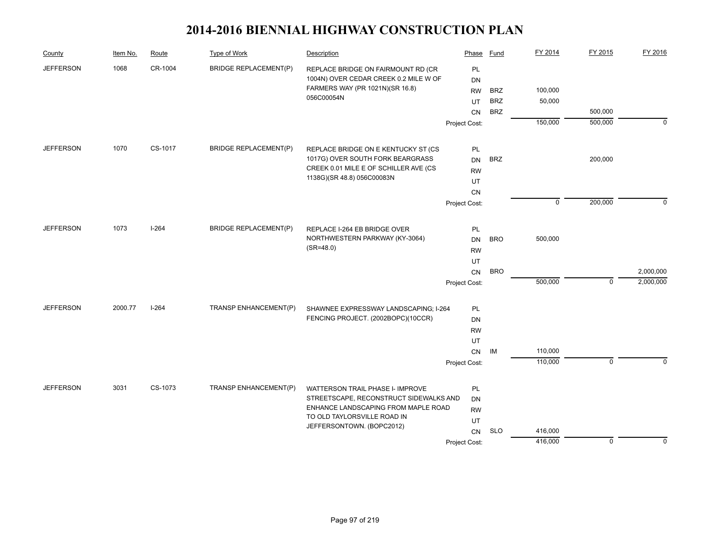| County           | Item No. | Route   | Type of Work                 | Description                                                    | Phase           | Fund       | FY 2014     | FY 2015        | FY 2016     |
|------------------|----------|---------|------------------------------|----------------------------------------------------------------|-----------------|------------|-------------|----------------|-------------|
| <b>JEFFERSON</b> | 1068     | CR-1004 | <b>BRIDGE REPLACEMENT(P)</b> | REPLACE BRIDGE ON FAIRMOUNT RD (CR                             | PL              |            |             |                |             |
|                  |          |         |                              | 1004N) OVER CEDAR CREEK 0.2 MILE W OF                          | DN              |            |             |                |             |
|                  |          |         |                              | FARMERS WAY (PR 1021N)(SR 16.8)<br>056C00054N                  | <b>RW</b>       | <b>BRZ</b> | 100,000     |                |             |
|                  |          |         |                              |                                                                | UT              | <b>BRZ</b> | 50,000      |                |             |
|                  |          |         |                              |                                                                | <b>CN</b>       | <b>BRZ</b> |             | 500,000        |             |
|                  |          |         |                              |                                                                | Project Cost:   |            | 150,000     | 500,000        | $\Omega$    |
| <b>JEFFERSON</b> | 1070     | CS-1017 | <b>BRIDGE REPLACEMENT(P)</b> | REPLACE BRIDGE ON E KENTUCKY ST (CS                            | PL              |            |             |                |             |
|                  |          |         |                              | 1017G) OVER SOUTH FORK BEARGRASS                               | <b>DN</b>       | <b>BRZ</b> |             | 200,000        |             |
|                  |          |         |                              | CREEK 0.01 MILE E OF SCHILLER AVE (CS                          | <b>RW</b>       |            |             |                |             |
|                  |          |         |                              | 1138G)(SR 48.8) 056C00083N                                     | UT              |            |             |                |             |
|                  |          |         |                              |                                                                | CN              |            |             |                |             |
|                  |          |         |                              |                                                                | Project Cost:   |            | $\mathbf 0$ | 200,000        | $\mathbf 0$ |
| <b>JEFFERSON</b> | 1073     | $I-264$ | <b>BRIDGE REPLACEMENT(P)</b> |                                                                |                 |            |             |                |             |
|                  |          |         |                              | REPLACE I-264 EB BRIDGE OVER<br>NORTHWESTERN PARKWAY (KY-3064) | PL<br><b>DN</b> | <b>BRO</b> | 500,000     |                |             |
|                  |          |         |                              | $(SR = 48.0)$                                                  | <b>RW</b>       |            |             |                |             |
|                  |          |         |                              |                                                                |                 |            |             |                |             |
|                  |          |         |                              |                                                                | UT<br>CN        | <b>BRO</b> |             |                | 2,000,000   |
|                  |          |         |                              |                                                                | Project Cost:   |            | 500,000     | $\mathbf 0$    | 2,000,000   |
|                  |          |         |                              |                                                                |                 |            |             |                |             |
| <b>JEFFERSON</b> | 2000.77  | $I-264$ | TRANSP ENHANCEMENT(P)        | SHAWNEE EXPRESSWAY LANDSCAPING; I-264                          | PL              |            |             |                |             |
|                  |          |         |                              | FENCING PROJECT. (2002BOPC)(10CCR)                             | <b>DN</b>       |            |             |                |             |
|                  |          |         |                              |                                                                | <b>RW</b>       |            |             |                |             |
|                  |          |         |                              |                                                                | UT              |            |             |                |             |
|                  |          |         |                              |                                                                | <b>CN</b>       | IM         | 110,000     |                |             |
|                  |          |         |                              |                                                                | Project Cost:   |            | 110,000     | $\overline{0}$ | $\Omega$    |
| <b>JEFFERSON</b> | 3031     | CS-1073 | TRANSP ENHANCEMENT(P)        | WATTERSON TRAIL PHASE I- IMPROVE                               | PL              |            |             |                |             |
|                  |          |         |                              | STREETSCAPE, RECONSTRUCT SIDEWALKS AND                         | <b>DN</b>       |            |             |                |             |
|                  |          |         |                              | ENHANCE LANDSCAPING FROM MAPLE ROAD                            | <b>RW</b>       |            |             |                |             |
|                  |          |         |                              | TO OLD TAYLORSVILLE ROAD IN<br>JEFFERSONTOWN. (BOPC2012)       | UT              |            |             |                |             |
|                  |          |         |                              |                                                                | CN              | <b>SLO</b> | 416,000     |                |             |
|                  |          |         |                              |                                                                | Project Cost:   |            | 416,000     | $\mathbf 0$    | $\mathbf 0$ |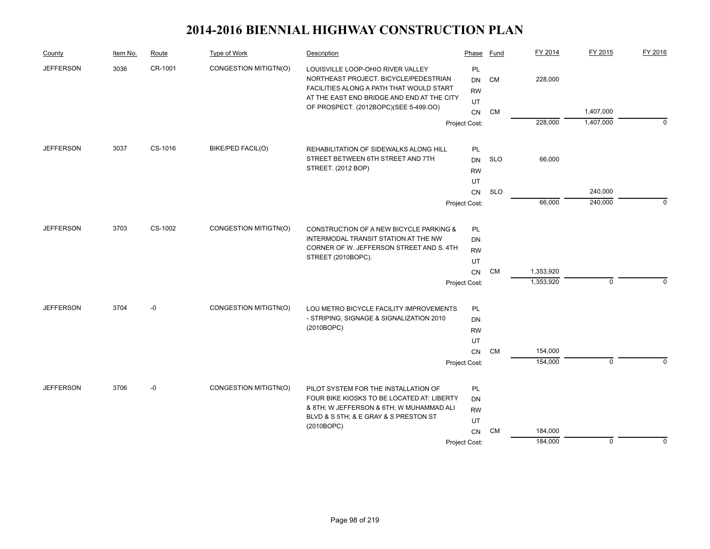| County           | Item No. | Route   | Type of Work          | Description                                                                                                            | Phase                        | Fund       | FY 2014   | FY 2015      | FY 2016  |
|------------------|----------|---------|-----------------------|------------------------------------------------------------------------------------------------------------------------|------------------------------|------------|-----------|--------------|----------|
| <b>JEFFERSON</b> | 3036     | CR-1001 | CONGESTION MITIGTN(O) | LOUISVILLE LOOP-OHIO RIVER VALLEY<br>NORTHEAST PROJECT. BICYCLE/PEDESTRIAN<br>FACILITIES ALONG A PATH THAT WOULD START | PL<br><b>DN</b><br><b>RW</b> | CM         | 228,000   |              |          |
|                  |          |         |                       | AT THE EAST END BRIDGE AND END AT THE CITY<br>OF PROSPECT. (2012BOPC)(SEE 5-499.OO)                                    | UT                           |            |           |              |          |
|                  |          |         |                       |                                                                                                                        | <b>CN</b>                    | <b>CM</b>  |           | 1,407,000    |          |
|                  |          |         |                       |                                                                                                                        | Project Cost:                |            | 228,000   | 1,407,000    | $\Omega$ |
| <b>JEFFERSON</b> | 3037     | CS-1016 | BIKE/PED FACIL(O)     | REHABILITATION OF SIDEWALKS ALONG HILL                                                                                 | PL                           |            |           |              |          |
|                  |          |         |                       | STREET BETWEEN 6TH STREET AND 7TH                                                                                      | <b>DN</b>                    | <b>SLO</b> | 66,000    |              |          |
|                  |          |         |                       | STREET. (2012 BOP)                                                                                                     | <b>RW</b>                    |            |           |              |          |
|                  |          |         |                       |                                                                                                                        | UT                           |            |           |              |          |
|                  |          |         |                       |                                                                                                                        | <b>CN</b>                    | <b>SLO</b> |           | 240,000      |          |
|                  |          |         |                       |                                                                                                                        | Project Cost:                |            | 66,000    | 240,000      | $\Omega$ |
| <b>JEFFERSON</b> | 3703     | CS-1002 | CONGESTION MITIGTN(O) | CONSTRUCTION OF A NEW BICYCLE PARKING &                                                                                | <b>PL</b>                    |            |           |              |          |
|                  |          |         |                       | INTERMODAL TRANSIT STATION AT THE NW                                                                                   | DN                           |            |           |              |          |
|                  |          |         |                       | CORNER OF W. JEFFERSON STREET AND S. 4TH                                                                               | <b>RW</b>                    |            |           |              |          |
|                  |          |         |                       | STREET (2010BOPC).                                                                                                     | UT                           |            |           |              |          |
|                  |          |         |                       |                                                                                                                        | CN                           | <b>CM</b>  | 1,353,920 |              |          |
|                  |          |         |                       |                                                                                                                        | Project Cost:                |            | 1,353,920 | $\mathbf 0$  | $\Omega$ |
| <b>JEFFERSON</b> | 3704     | -0      | CONGESTION MITIGTN(O) | LOU METRO BICYCLE FACILITY IMPROVEMENTS                                                                                | <b>PL</b>                    |            |           |              |          |
|                  |          |         |                       | - STRIPING, SIGNAGE & SIGNALIZATION 2010                                                                               | <b>DN</b>                    |            |           |              |          |
|                  |          |         |                       | (2010BOPC)                                                                                                             | <b>RW</b>                    |            |           |              |          |
|                  |          |         |                       |                                                                                                                        | UT                           |            |           |              |          |
|                  |          |         |                       |                                                                                                                        | CN                           | CM         | 154,000   |              |          |
|                  |          |         |                       |                                                                                                                        | Project Cost:                |            | 154,000   | $\mathbf{0}$ | $\Omega$ |
| <b>JEFFERSON</b> | 3706     | $-0$    | CONGESTION MITIGTN(O) | PILOT SYSTEM FOR THE INSTALLATION OF                                                                                   | PL                           |            |           |              |          |
|                  |          |         |                       | FOUR BIKE KIOSKS TO BE LOCATED AT: LIBERTY                                                                             | DN                           |            |           |              |          |
|                  |          |         |                       | & 8TH; W JEFFERSON & 6TH; W MUHAMMAD ALI                                                                               | <b>RW</b>                    |            |           |              |          |
|                  |          |         |                       | BLVD & S 5TH; & E GRAY & S PRESTON ST                                                                                  | UT                           |            |           |              |          |
|                  |          |         |                       | (2010BOPC)                                                                                                             | <b>CN</b>                    | <b>CM</b>  | 184,000   |              |          |
|                  |          |         |                       |                                                                                                                        | Project Cost:                |            | 184,000   | $\mathbf 0$  | $\Omega$ |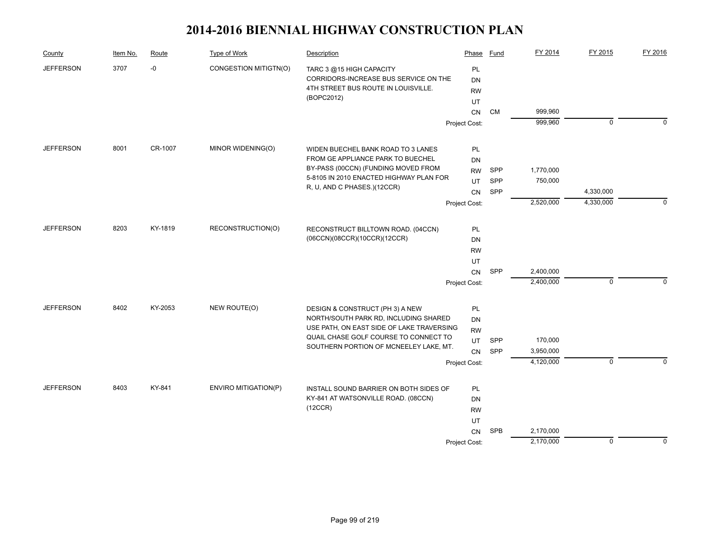| County           | Item No. | Route   | Type of Work                | Description                                                                        | Phase         | Fund       | FY 2014   | FY 2015        | FY 2016     |
|------------------|----------|---------|-----------------------------|------------------------------------------------------------------------------------|---------------|------------|-----------|----------------|-------------|
| <b>JEFFERSON</b> | 3707     | $-0$    | CONGESTION MITIGTN(O)       | TARC 3 @15 HIGH CAPACITY                                                           | PL            |            |           |                |             |
|                  |          |         |                             | CORRIDORS-INCREASE BUS SERVICE ON THE                                              | <b>DN</b>     |            |           |                |             |
|                  |          |         |                             | 4TH STREET BUS ROUTE IN LOUISVILLE.                                                | <b>RW</b>     |            |           |                |             |
|                  |          |         |                             | (BOPC2012)                                                                         | UT            |            |           |                |             |
|                  |          |         |                             |                                                                                    | CN            | CM         | 999,960   |                |             |
|                  |          |         |                             |                                                                                    | Project Cost: |            | 999,960   | $\overline{0}$ | $\Omega$    |
| <b>JEFFERSON</b> | 8001     | CR-1007 | MINOR WIDENING(O)           | WIDEN BUECHEL BANK ROAD TO 3 LANES                                                 | PL            |            |           |                |             |
|                  |          |         |                             | FROM GE APPLIANCE PARK TO BUECHEL                                                  | DN            |            |           |                |             |
|                  |          |         |                             | BY-PASS (00CCN) (FUNDING MOVED FROM                                                | <b>RW</b>     | <b>SPP</b> | 1,770,000 |                |             |
|                  |          |         |                             | 5-8105 IN 2010 ENACTED HIGHWAY PLAN FOR                                            | UT            | SPP        | 750,000   |                |             |
|                  |          |         |                             | R, U, AND C PHASES.)(12CCR)                                                        | CN            | SPP        |           | 4,330,000      |             |
|                  |          |         |                             |                                                                                    | Project Cost: |            | 2,520,000 | 4,330,000      | $\Omega$    |
| <b>JEFFERSON</b> | 8203     | KY-1819 | RECONSTRUCTION(O)           |                                                                                    | PL            |            |           |                |             |
|                  |          |         |                             | RECONSTRUCT BILLTOWN ROAD. (04CCN)<br>(06CCN)(08CCR)(10CCR)(12CCR)                 | DN            |            |           |                |             |
|                  |          |         |                             | <b>RW</b>                                                                          |               |            |           |                |             |
|                  |          |         |                             |                                                                                    | UT            |            |           |                |             |
|                  |          |         |                             |                                                                                    | CN            | SPP        | 2,400,000 |                |             |
|                  |          |         |                             |                                                                                    | Project Cost: |            | 2,400,000 | $\mathbf 0$    | $\Omega$    |
|                  |          |         |                             |                                                                                    |               |            |           |                |             |
| <b>JEFFERSON</b> | 8402     | KY-2053 | NEW ROUTE(O)                | DESIGN & CONSTRUCT (PH 3) A NEW                                                    | PL            |            |           |                |             |
|                  |          |         |                             | NORTH/SOUTH PARK RD, INCLUDING SHARED                                              | DN            |            |           |                |             |
|                  |          |         |                             | USE PATH, ON EAST SIDE OF LAKE TRAVERSING<br>QUAIL CHASE GOLF COURSE TO CONNECT TO | <b>RW</b>     |            |           |                |             |
|                  |          |         |                             | SOUTHERN PORTION OF MCNEELEY LAKE, MT.                                             | UT            | <b>SPP</b> | 170,000   |                |             |
|                  |          |         |                             |                                                                                    | CN            | SPP        | 3,950,000 |                |             |
|                  |          |         |                             |                                                                                    | Project Cost: |            | 4,120,000 | $\overline{0}$ | $\Omega$    |
| <b>JEFFERSON</b> | 8403     | KY-841  | <b>ENVIRO MITIGATION(P)</b> | INSTALL SOUND BARRIER ON BOTH SIDES OF                                             | PL            |            |           |                |             |
|                  |          |         |                             | KY-841 AT WATSONVILLE ROAD. (08CCN)                                                | DN            |            |           |                |             |
|                  |          |         |                             | (12CCR)                                                                            | <b>RW</b>     |            |           |                |             |
|                  |          |         |                             |                                                                                    | UT            |            |           |                |             |
|                  |          |         |                             |                                                                                    | CN            | SPB        | 2,170,000 |                |             |
|                  |          |         |                             |                                                                                    | Project Cost: |            | 2,170,000 | $\mathbf 0$    | $\mathbf 0$ |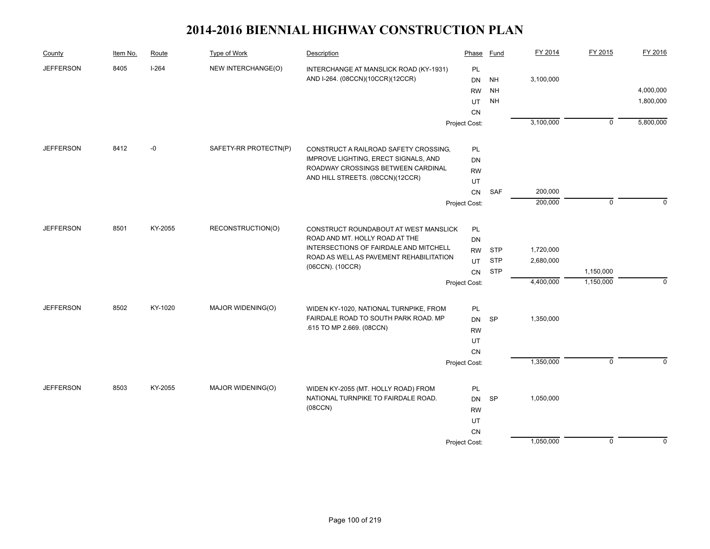| County           | Item No. | Route   | <b>Type of Work</b>                    | Description                                                                    | Phase         | Fund       | FY 2014   | FY 2015        | FY 2016      |
|------------------|----------|---------|----------------------------------------|--------------------------------------------------------------------------------|---------------|------------|-----------|----------------|--------------|
| <b>JEFFERSON</b> | 8405     | $I-264$ | NEW INTERCHANGE(O)                     | INTERCHANGE AT MANSLICK ROAD (KY-1931)                                         | PL            |            |           |                |              |
|                  |          |         |                                        | AND I-264. (08CCN)(10CCR)(12CCR)                                               | <b>DN</b>     | <b>NH</b>  | 3,100,000 |                |              |
|                  |          |         |                                        |                                                                                | <b>RW</b>     | <b>NH</b>  |           |                | 4,000,000    |
|                  |          |         |                                        |                                                                                | UT            | <b>NH</b>  |           |                | 1,800,000    |
|                  |          |         |                                        |                                                                                | CN            |            |           |                |              |
|                  |          |         |                                        |                                                                                | Project Cost: |            | 3,100,000 | $\overline{0}$ | 5,800,000    |
| <b>JEFFERSON</b> | 8412     | $-0$    | SAFETY-RR PROTECTN(P)                  | CONSTRUCT A RAILROAD SAFETY CROSSING,                                          | PL            |            |           |                |              |
|                  |          |         |                                        | IMPROVE LIGHTING, ERECT SIGNALS, AND                                           | <b>DN</b>     |            |           |                |              |
|                  |          |         |                                        | ROADWAY CROSSINGS BETWEEN CARDINAL                                             | <b>RW</b>     |            |           |                |              |
|                  |          |         |                                        | AND HILL STREETS. (08CCN)(12CCR)                                               | UT            |            |           |                |              |
|                  |          |         |                                        |                                                                                | ${\sf CN}$    | <b>SAF</b> | 200,000   |                |              |
|                  |          |         |                                        |                                                                                | Project Cost: |            | 200,000   | $\mathbf 0$    | $\Omega$     |
|                  |          |         |                                        |                                                                                |               |            |           |                |              |
| <b>JEFFERSON</b> | 8501     | KY-2055 | RECONSTRUCTION(O)                      | CONSTRUCT ROUNDABOUT AT WEST MANSLICK                                          | PL            |            |           |                |              |
|                  |          |         |                                        | ROAD AND MT. HOLLY ROAD AT THE                                                 | <b>DN</b>     |            |           |                |              |
|                  |          |         | INTERSECTIONS OF FAIRDALE AND MITCHELL | <b>RW</b>                                                                      | <b>STP</b>    | 1,720,000  |           |                |              |
|                  |          |         |                                        | ROAD AS WELL AS PAVEMENT REHABILITATION                                        | UT            | <b>STP</b> | 2,680,000 |                |              |
|                  |          |         |                                        | (06CCN). (10CCR)                                                               | CN            | <b>STP</b> |           | 1,150,000      |              |
|                  |          |         |                                        |                                                                                | Project Cost: |            | 4,400,000 | 1,150,000      | $\mathbf{0}$ |
| <b>JEFFERSON</b> | 8502     | KY-1020 | MAJOR WIDENING(O)                      |                                                                                |               |            |           |                |              |
|                  |          |         |                                        | WIDEN KY-1020, NATIONAL TURNPIKE, FROM<br>FAIRDALE ROAD TO SOUTH PARK ROAD. MP | PL            |            | 1,350,000 |                |              |
|                  |          |         |                                        | .615 TO MP 2.669. (08CCN)                                                      | DN            | SP         |           |                |              |
|                  |          |         |                                        |                                                                                | <b>RW</b>     |            |           |                |              |
|                  |          |         |                                        |                                                                                | UT<br>CN      |            |           |                |              |
|                  |          |         |                                        |                                                                                |               |            | 1,350,000 | $\overline{0}$ | $\Omega$     |
|                  |          |         |                                        |                                                                                | Project Cost: |            |           |                |              |
| <b>JEFFERSON</b> | 8503     | KY-2055 | MAJOR WIDENING(O)                      | WIDEN KY-2055 (MT. HOLLY ROAD) FROM                                            | PL            |            |           |                |              |
|                  |          |         |                                        | NATIONAL TURNPIKE TO FAIRDALE ROAD.                                            | <b>DN</b>     | <b>SP</b>  | 1,050,000 |                |              |
|                  |          |         |                                        | (08CCN)                                                                        | <b>RW</b>     |            |           |                |              |
|                  |          |         |                                        |                                                                                | UT            |            |           |                |              |
|                  |          |         |                                        |                                                                                | CN            |            |           |                |              |
|                  |          |         |                                        |                                                                                | Project Cost: |            | 1,050,000 | $\mathbf 0$    | $\mathbf 0$  |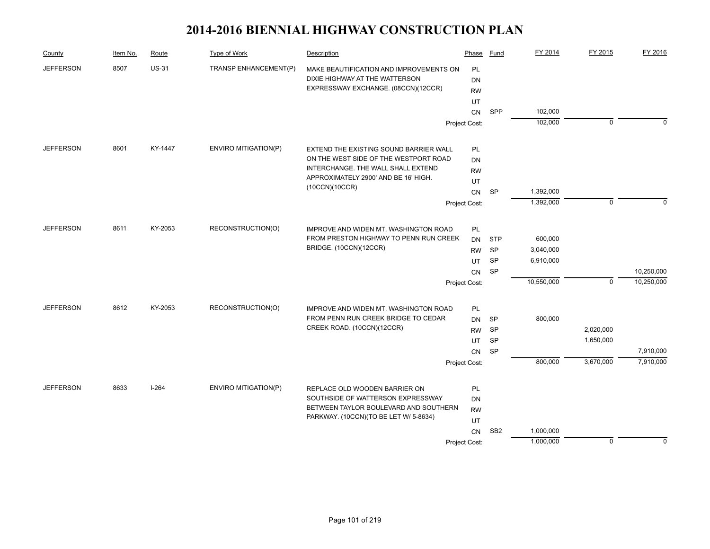| County           | Item No. | Route        | Type of Work                | Description                                                      | Phase         | Fund            | FY 2014    | FY 2015     | FY 2016     |
|------------------|----------|--------------|-----------------------------|------------------------------------------------------------------|---------------|-----------------|------------|-------------|-------------|
| <b>JEFFERSON</b> | 8507     | <b>US-31</b> | TRANSP ENHANCEMENT(P)       | MAKE BEAUTIFICATION AND IMPROVEMENTS ON                          | PL            |                 |            |             |             |
|                  |          |              |                             | DIXIE HIGHWAY AT THE WATTERSON                                   | DN            |                 |            |             |             |
|                  |          |              |                             | EXPRESSWAY EXCHANGE. (08CCN)(12CCR)                              | <b>RW</b>     |                 |            |             |             |
|                  |          |              |                             |                                                                  | UT            |                 |            |             |             |
|                  |          |              |                             |                                                                  | CN            | SPP             | 102,000    |             |             |
|                  |          |              |                             |                                                                  | Project Cost: |                 | 102,000    | $\mathbf 0$ | $\Omega$    |
| <b>JEFFERSON</b> | 8601     | KY-1447      | ENVIRO MITIGATION(P)        | EXTEND THE EXISTING SOUND BARRIER WALL                           | <b>PL</b>     |                 |            |             |             |
|                  |          |              |                             | ON THE WEST SIDE OF THE WESTPORT ROAD                            | DN            |                 |            |             |             |
|                  |          |              |                             | INTERCHANGE. THE WALL SHALL EXTEND                               | <b>RW</b>     |                 |            |             |             |
|                  |          |              |                             | APPROXIMATELY 2900' AND BE 16' HIGH.                             | UT            |                 |            |             |             |
|                  |          |              |                             | (10CCN)(10CCR)                                                   | CN            | SP              | 1,392,000  |             |             |
|                  |          |              |                             |                                                                  | Project Cost: |                 | 1,392,000  | $\mathbf 0$ | $\Omega$    |
|                  |          |              |                             |                                                                  |               |                 |            |             |             |
| <b>JEFFERSON</b> | 8611     | KY-2053      | RECONSTRUCTION(O)           | <b>IMPROVE AND WIDEN MT. WASHINGTON ROAD</b>                     | <b>PL</b>     |                 |            |             |             |
|                  |          |              |                             | FROM PRESTON HIGHWAY TO PENN RUN CREEK<br>BRIDGE. (10CCN)(12CCR) | DN            | <b>STP</b>      | 600,000    |             |             |
|                  |          |              |                             |                                                                  | <b>RW</b>     | SP              | 3,040,000  |             |             |
|                  |          |              |                             |                                                                  | UT            | <b>SP</b>       | 6,910,000  |             |             |
|                  |          |              |                             |                                                                  | ${\sf CN}$    | <b>SP</b>       |            |             | 10,250,000  |
|                  |          |              |                             |                                                                  | Project Cost: |                 | 10,550,000 | 0           | 10,250,000  |
| <b>JEFFERSON</b> | 8612     | KY-2053      | RECONSTRUCTION(O)           | IMPROVE AND WIDEN MT. WASHINGTON ROAD                            | <b>PL</b>     |                 |            |             |             |
|                  |          |              |                             | FROM PENN RUN CREEK BRIDGE TO CEDAR                              | <b>DN</b>     | SP              | 800,000    |             |             |
|                  |          |              |                             | CREEK ROAD. (10CCN)(12CCR)                                       | <b>RW</b>     | SP              |            | 2,020,000   |             |
|                  |          |              |                             |                                                                  | UT            | SP              |            | 1,650,000   |             |
|                  |          |              |                             |                                                                  | <b>CN</b>     | SP              |            |             | 7,910,000   |
|                  |          |              |                             |                                                                  | Project Cost: |                 | 800,000    | 3,670,000   | 7,910,000   |
| <b>JEFFERSON</b> | 8633     | $I-264$      | <b>ENVIRO MITIGATION(P)</b> | REPLACE OLD WOODEN BARRIER ON                                    | <b>PL</b>     |                 |            |             |             |
|                  |          |              |                             | SOUTHSIDE OF WATTERSON EXPRESSWAY                                | <b>DN</b>     |                 |            |             |             |
|                  |          |              |                             | BETWEEN TAYLOR BOULEVARD AND SOUTHERN                            | <b>RW</b>     |                 |            |             |             |
|                  |          |              |                             | PARKWAY. (10CCN)(TO BE LET W/ 5-8634)                            | UT            |                 |            |             |             |
|                  |          |              |                             |                                                                  | <b>CN</b>     | SB <sub>2</sub> | 1,000,000  |             |             |
|                  |          |              |                             |                                                                  | Project Cost: |                 | 1,000,000  | $\mathbf 0$ | $\mathbf 0$ |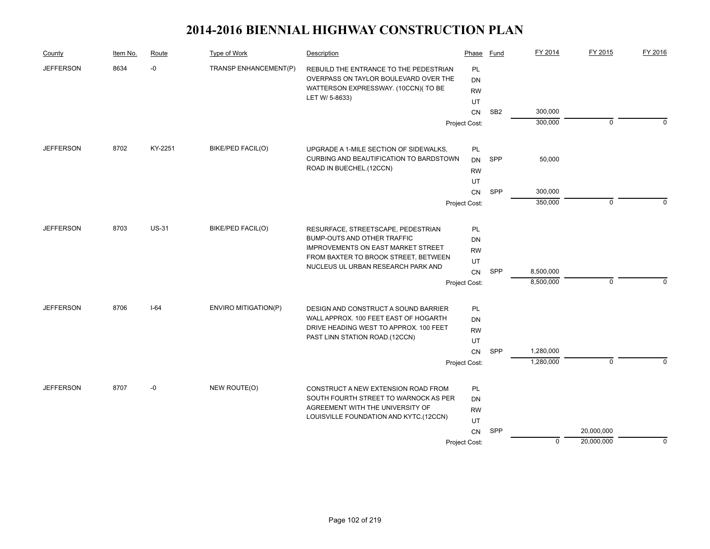| County           | Item No. | Route        | Type of Work                | Description                                                                                                            | Phase                 | Fund            | FY 2014                | FY 2015      | FY 2016     |
|------------------|----------|--------------|-----------------------------|------------------------------------------------------------------------------------------------------------------------|-----------------------|-----------------|------------------------|--------------|-------------|
| <b>JEFFERSON</b> | 8634     | $-0$         | TRANSP ENHANCEMENT(P)       | REBUILD THE ENTRANCE TO THE PEDESTRIAN<br>OVERPASS ON TAYLOR BOULEVARD OVER THE<br>WATTERSON EXPRESSWAY. (10CCN)(TO BE | PL<br>DN<br><b>RW</b> |                 |                        |              |             |
|                  |          |              |                             | LET W/ 5-8633)                                                                                                         | UT                    |                 |                        |              |             |
|                  |          |              |                             |                                                                                                                        | <b>CN</b>             | SB <sub>2</sub> | 300,000                |              |             |
|                  |          |              |                             |                                                                                                                        | Project Cost:         |                 | 300,000                | $\mathbf 0$  | $\Omega$    |
| <b>JEFFERSON</b> | 8702     | KY-2251      | BIKE/PED FACIL(O)           | UPGRADE A 1-MILE SECTION OF SIDEWALKS,                                                                                 | PL                    |                 |                        |              |             |
|                  |          |              |                             | CURBING AND BEAUTIFICATION TO BARDSTOWN                                                                                | DN                    | SPP             | 50,000                 |              |             |
|                  |          |              |                             | ROAD IN BUECHEL.(12CCN)                                                                                                | <b>RW</b>             |                 |                        |              |             |
|                  |          |              |                             |                                                                                                                        | UT                    |                 |                        |              |             |
|                  |          |              |                             |                                                                                                                        | CN                    | SPP             | 300,000                |              |             |
|                  |          |              |                             |                                                                                                                        | Project Cost:         |                 | 350,000                | $\mathbf 0$  | $\Omega$    |
| <b>JEFFERSON</b> | 8703     | <b>US-31</b> | BIKE/PED FACIL(O)           | RESURFACE, STREETSCAPE, PEDESTRIAN                                                                                     | PL                    |                 |                        |              |             |
|                  |          |              |                             | BUMP-OUTS AND OTHER TRAFFIC                                                                                            | DN                    |                 |                        |              |             |
|                  |          |              |                             | <b>IMPROVEMENTS ON EAST MARKET STREET</b>                                                                              | <b>RW</b>             |                 |                        |              |             |
|                  |          |              |                             | FROM BAXTER TO BROOK STREET, BETWEEN<br>NUCLEUS UL URBAN RESEARCH PARK AND                                             | UT                    |                 |                        |              |             |
|                  |          |              |                             |                                                                                                                        | CN                    | SPP             | 8,500,000              |              |             |
|                  |          |              |                             |                                                                                                                        | Project Cost:         |                 | 8,500,000              | $\mathbf 0$  | $\Omega$    |
| <b>JEFFERSON</b> | 8706     | $I-64$       | <b>ENVIRO MITIGATION(P)</b> | DESIGN AND CONSTRUCT A SOUND BARRIER                                                                                   | PL                    |                 |                        |              |             |
|                  |          |              |                             | WALL APPROX. 100 FEET EAST OF HOGARTH                                                                                  | DN                    |                 |                        |              |             |
|                  |          |              |                             | DRIVE HEADING WEST TO APPROX. 100 FEET<br>PAST LINN STATION ROAD.(12CCN)                                               | <b>RW</b>             |                 |                        |              |             |
|                  |          |              |                             |                                                                                                                        | UT                    |                 |                        |              |             |
|                  |          |              |                             |                                                                                                                        | <b>CN</b>             | SPP             | 1,280,000<br>1,280,000 | $\mathbf{0}$ | $\Omega$    |
|                  |          |              |                             |                                                                                                                        | Project Cost:         |                 |                        |              |             |
| <b>JEFFERSON</b> | 8707     | -0           | NEW ROUTE(O)                | CONSTRUCT A NEW EXTENSION ROAD FROM                                                                                    | PL                    |                 |                        |              |             |
|                  |          |              |                             | SOUTH FOURTH STREET TO WARNOCK AS PER                                                                                  | DN                    |                 |                        |              |             |
|                  |          |              |                             | AGREEMENT WITH THE UNIVERSITY OF                                                                                       | <b>RW</b>             |                 |                        |              |             |
|                  |          |              |                             | LOUISVILLE FOUNDATION AND KYTC.(12CCN)                                                                                 | UT                    |                 |                        |              |             |
|                  |          |              |                             |                                                                                                                        | <b>CN</b>             | SPP             |                        | 20,000,000   |             |
|                  |          |              |                             |                                                                                                                        | Project Cost:         |                 | 0                      | 20,000,000   | $\mathbf 0$ |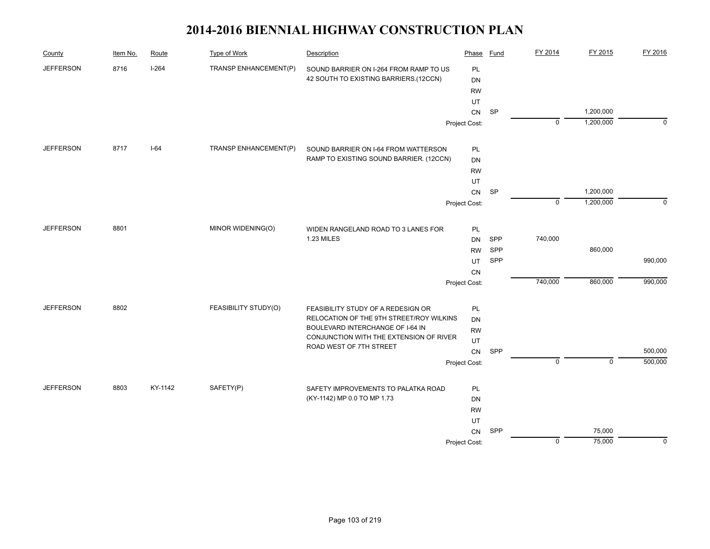| County           | Item No. | Route   | Type of Work          | Description                              | Phase         | Fund      | FY 2014        | FY 2015     | FY 2016     |
|------------------|----------|---------|-----------------------|------------------------------------------|---------------|-----------|----------------|-------------|-------------|
| <b>JEFFERSON</b> | 8716     | $I-264$ | TRANSP ENHANCEMENT(P) | SOUND BARRIER ON I-264 FROM RAMP TO US   | PL            |           |                |             |             |
|                  |          |         |                       | 42 SOUTH TO EXISTING BARRIERS.(12CCN)    | DN            |           |                |             |             |
|                  |          |         |                       |                                          | <b>RW</b>     |           |                |             |             |
|                  |          |         |                       |                                          | UT            |           |                |             |             |
|                  |          |         |                       |                                          | CN            | <b>SP</b> |                | 1,200,000   |             |
|                  |          |         |                       |                                          | Project Cost: |           | $\mathbf 0$    | 1,200,000   | $\mathbf 0$ |
| <b>JEFFERSON</b> | 8717     | $I-64$  | TRANSP ENHANCEMENT(P) | SOUND BARRIER ON I-64 FROM WATTERSON     | PL            |           |                |             |             |
|                  |          |         |                       | RAMP TO EXISTING SOUND BARRIER. (12CCN)  | DN            |           |                |             |             |
|                  |          |         |                       |                                          | <b>RW</b>     |           |                |             |             |
|                  |          |         |                       |                                          | UT            |           |                |             |             |
|                  |          |         |                       |                                          | CN            | <b>SP</b> |                | 1,200,000   |             |
|                  |          |         |                       |                                          | Project Cost: |           | $\overline{0}$ | 1,200,000   | $\Omega$    |
| <b>JEFFERSON</b> | 8801     |         | MINOR WIDENING(O)     | WIDEN RANGELAND ROAD TO 3 LANES FOR      | PL            |           |                |             |             |
|                  |          |         |                       | 1.23 MILES                               | <b>DN</b>     | SPP       | 740,000        |             |             |
|                  |          |         |                       |                                          | <b>RW</b>     | SPP       |                | 860,000     |             |
|                  |          |         |                       |                                          | UT            | SPP       |                |             | 990,000     |
|                  |          |         |                       |                                          | CN            |           |                |             |             |
|                  |          |         |                       |                                          | Project Cost: |           | 740,000        | 860,000     | 990,000     |
| <b>JEFFERSON</b> | 8802     |         | FEASIBILITY STUDY(O)  | FEASIBILITY STUDY OF A REDESIGN OR       | PL            |           |                |             |             |
|                  |          |         |                       | RELOCATION OF THE 9TH STREET/ROY WILKINS | DN            |           |                |             |             |
|                  |          |         |                       | BOULEVARD INTERCHANGE OF I-64 IN         | <b>RW</b>     |           |                |             |             |
|                  |          |         |                       | CONJUNCTION WITH THE EXTENSION OF RIVER  | UT            |           |                |             |             |
|                  |          |         |                       | ROAD WEST OF 7TH STREET                  | ${\sf CN}$    | SPP       |                |             | 500,000     |
|                  |          |         |                       |                                          | Project Cost: |           | $\mathbf 0$    | $\mathbf 0$ | 500,000     |
| <b>JEFFERSON</b> | 8803     | KY-1142 | SAFETY(P)             | SAFETY IMPROVEMENTS TO PALATKA ROAD      | PL            |           |                |             |             |
|                  |          |         |                       | (KY-1142) MP 0.0 TO MP 1.73              | DN            |           |                |             |             |
|                  |          |         |                       |                                          | <b>RW</b>     |           |                |             |             |
|                  |          |         |                       |                                          | UT            |           |                |             |             |
|                  |          |         |                       |                                          | CN            | SPP       |                | 75,000      |             |
|                  |          |         |                       |                                          | Project Cost: |           | $\mathbf 0$    | 75,000      | 0           |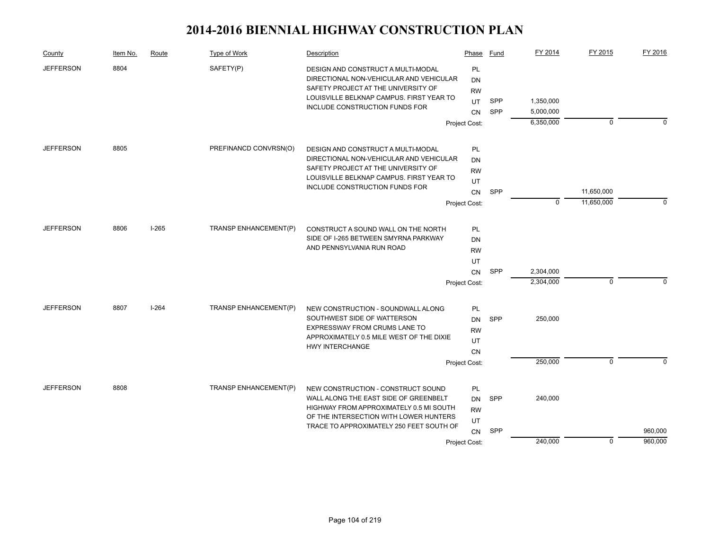| County                   | Item No. | Route   | Type of Work          | Description                                                                                                                                                      | Phase                 | Fund       | FY 2014                | FY 2015     | FY 2016     |
|--------------------------|----------|---------|-----------------------|------------------------------------------------------------------------------------------------------------------------------------------------------------------|-----------------------|------------|------------------------|-------------|-------------|
| <b>JEFFERSON</b><br>8804 |          |         | SAFETY(P)             | DESIGN AND CONSTRUCT A MULTI-MODAL<br>DIRECTIONAL NON-VEHICULAR AND VEHICULAR<br>SAFETY PROJECT AT THE UNIVERSITY OF<br>LOUISVILLE BELKNAP CAMPUS. FIRST YEAR TO | PL<br>DN<br><b>RW</b> |            |                        |             |             |
|                          |          |         |                       | INCLUDE CONSTRUCTION FUNDS FOR                                                                                                                                   | UT                    | <b>SPP</b> | 1,350,000              |             |             |
|                          |          |         |                       |                                                                                                                                                                  | CN                    | <b>SPP</b> | 5,000,000<br>6,350,000 | 0           | $\Omega$    |
|                          |          |         |                       |                                                                                                                                                                  | Project Cost:         |            |                        |             |             |
| <b>JEFFERSON</b>         | 8805     |         | PREFINANCD CONVRSN(O) | DESIGN AND CONSTRUCT A MULTI-MODAL                                                                                                                               | <b>PL</b>             |            |                        |             |             |
|                          |          |         |                       | DIRECTIONAL NON-VEHICULAR AND VEHICULAR                                                                                                                          | DN                    |            |                        |             |             |
|                          |          |         |                       | SAFETY PROJECT AT THE UNIVERSITY OF                                                                                                                              | <b>RW</b>             |            |                        |             |             |
|                          |          |         |                       | LOUISVILLE BELKNAP CAMPUS. FIRST YEAR TO<br><b>INCLUDE CONSTRUCTION FUNDS FOR</b>                                                                                | UT                    |            |                        |             |             |
|                          |          |         |                       |                                                                                                                                                                  | CN                    | <b>SPP</b> |                        | 11,650,000  |             |
|                          |          |         |                       |                                                                                                                                                                  | Project Cost:         |            | 0                      | 11,650,000  | $\mathbf 0$ |
| <b>JEFFERSON</b>         | 8806     | $I-265$ | TRANSP ENHANCEMENT(P) | CONSTRUCT A SOUND WALL ON THE NORTH                                                                                                                              | <b>PL</b>             |            |                        |             |             |
|                          |          |         |                       | SIDE OF I-265 BETWEEN SMYRNA PARKWAY                                                                                                                             | DN                    |            |                        |             |             |
|                          |          |         |                       | AND PENNSYLVANIA RUN ROAD                                                                                                                                        | <b>RW</b>             |            |                        |             |             |
|                          |          |         |                       |                                                                                                                                                                  | UT                    |            |                        |             |             |
|                          |          |         |                       |                                                                                                                                                                  | CN                    | SPP        | 2,304,000              |             |             |
|                          |          |         |                       |                                                                                                                                                                  | Project Cost:         |            | 2,304,000              | $\mathbf 0$ | $\Omega$    |
| <b>JEFFERSON</b>         | 8807     | $I-264$ | TRANSP ENHANCEMENT(P) | NEW CONSTRUCTION - SOUNDWALL ALONG                                                                                                                               | PL                    |            |                        |             |             |
|                          |          |         |                       | SOUTHWEST SIDE OF WATTERSON                                                                                                                                      | DN                    | <b>SPP</b> | 250,000                |             |             |
|                          |          |         |                       | EXPRESSWAY FROM CRUMS LANE TO                                                                                                                                    | <b>RW</b>             |            |                        |             |             |
|                          |          |         |                       | APPROXIMATELY 0.5 MILE WEST OF THE DIXIE                                                                                                                         | UT                    |            |                        |             |             |
|                          |          |         |                       | <b>HWY INTERCHANGE</b>                                                                                                                                           | <b>CN</b>             |            |                        |             |             |
|                          |          |         |                       |                                                                                                                                                                  | Project Cost:         |            | 250,000                | $\mathbf 0$ | $\Omega$    |
| <b>JEFFERSON</b>         | 8808     |         | TRANSP ENHANCEMENT(P) | NEW CONSTRUCTION - CONSTRUCT SOUND                                                                                                                               | PL                    |            |                        |             |             |
|                          |          |         |                       | WALL ALONG THE EAST SIDE OF GREENBELT                                                                                                                            | DN                    | <b>SPP</b> | 240,000                |             |             |
|                          |          |         |                       | HIGHWAY FROM APPROXIMATELY 0.5 MI SOUTH                                                                                                                          | <b>RW</b>             |            |                        |             |             |
|                          |          |         |                       | OF THE INTERSECTION WITH LOWER HUNTERS                                                                                                                           | UT                    |            |                        |             |             |
|                          |          |         |                       | TRACE TO APPROXIMATELY 250 FEET SOUTH OF                                                                                                                         | CN                    | SPP        |                        |             | 960,000     |
|                          |          |         |                       |                                                                                                                                                                  | Project Cost:         |            | 240,000                | $\mathbf 0$ | 960,000     |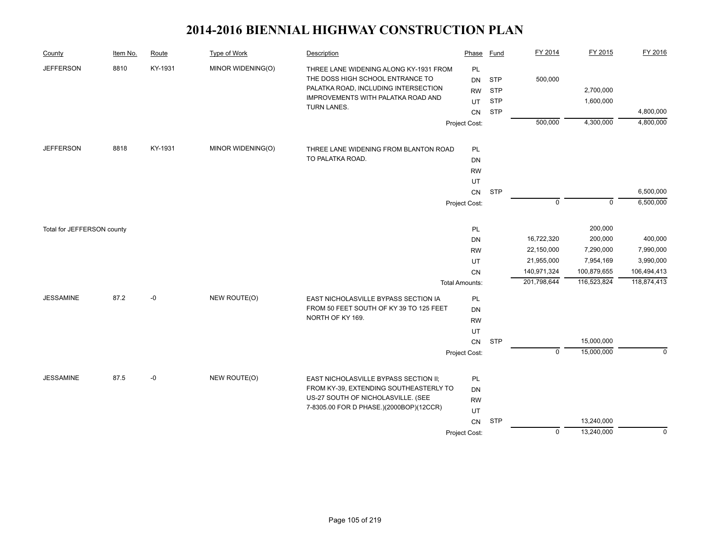| County                     | Item No. | Route   | <b>Type of Work</b> | Description                                                                                                                                                             | Phase                                     | Fund                                                 | FY 2014      | FY 2015                  | FY 2016                |
|----------------------------|----------|---------|---------------------|-------------------------------------------------------------------------------------------------------------------------------------------------------------------------|-------------------------------------------|------------------------------------------------------|--------------|--------------------------|------------------------|
| <b>JEFFERSON</b>           | 8810     | KY-1931 | MINOR WIDENING(O)   | THREE LANE WIDENING ALONG KY-1931 FROM<br>THE DOSS HIGH SCHOOL ENTRANCE TO<br>PALATKA ROAD, INCLUDING INTERSECTION<br>IMPROVEMENTS WITH PALATKA ROAD AND<br>TURN LANES. | PL<br>DN<br><b>RW</b><br>UT<br>${\sf CN}$ | <b>STP</b><br><b>STP</b><br><b>STP</b><br><b>STP</b> | 500,000      | 2,700,000<br>1,600,000   | 4,800,000              |
|                            |          |         |                     |                                                                                                                                                                         | Project Cost:                             |                                                      | 500,000      | 4,300,000                | 4,800,000              |
| <b>JEFFERSON</b>           | 8818     | KY-1931 | MINOR WIDENING(O)   | THREE LANE WIDENING FROM BLANTON ROAD<br>TO PALATKA ROAD.                                                                                                               | <b>PL</b><br><b>DN</b>                    |                                                      |              |                          |                        |
|                            |          |         |                     |                                                                                                                                                                         | <b>RW</b>                                 |                                                      |              |                          |                        |
|                            |          |         |                     |                                                                                                                                                                         | UT                                        |                                                      |              |                          |                        |
|                            |          |         |                     |                                                                                                                                                                         | CN                                        | <b>STP</b>                                           | $\mathbf{0}$ | $\mathbf 0$              | 6,500,000<br>6,500,000 |
|                            |          |         |                     |                                                                                                                                                                         | Project Cost:                             |                                                      |              |                          |                        |
| Total for JEFFERSON county |          |         |                     |                                                                                                                                                                         | PL                                        |                                                      |              | 200,000                  |                        |
|                            |          |         |                     |                                                                                                                                                                         | <b>DN</b>                                 |                                                      | 16,722,320   | 200,000                  | 400,000                |
|                            |          |         |                     |                                                                                                                                                                         | <b>RW</b>                                 |                                                      | 22,150,000   | 7,290,000                | 7,990,000              |
|                            |          |         |                     |                                                                                                                                                                         | UT                                        |                                                      | 21,955,000   | 7,954,169                | 3,990,000              |
|                            |          |         |                     |                                                                                                                                                                         | CN                                        |                                                      | 140,971,324  | 100,879,655              | 106,494,413            |
|                            |          |         |                     |                                                                                                                                                                         | <b>Total Amounts:</b>                     |                                                      | 201,798,644  | 116,523,824              | 118,874,413            |
| <b>JESSAMINE</b>           | 87.2     | -0      | NEW ROUTE(O)        | EAST NICHOLASVILLE BYPASS SECTION IA                                                                                                                                    | PL                                        |                                                      |              |                          |                        |
|                            |          |         |                     | FROM 50 FEET SOUTH OF KY 39 TO 125 FEET                                                                                                                                 | <b>DN</b>                                 |                                                      |              |                          |                        |
|                            |          |         |                     | NORTH OF KY 169.                                                                                                                                                        | <b>RW</b>                                 |                                                      |              |                          |                        |
|                            |          |         |                     |                                                                                                                                                                         | UT                                        |                                                      |              |                          |                        |
|                            |          |         |                     |                                                                                                                                                                         | CN                                        | <b>STP</b>                                           |              | 15,000,000               |                        |
|                            |          |         |                     |                                                                                                                                                                         | Project Cost:                             |                                                      | $\mathbf 0$  | 15,000,000               | $\mathbf 0$            |
| <b>JESSAMINE</b>           | 87.5     | $-0$    | NEW ROUTE(O)        | EAST NICHOLASVILLE BYPASS SECTION II;<br>FROM KY-39, EXTENDING SOUTHEASTERLY TO<br>US-27 SOUTH OF NICHOLASVILLE. (SEE<br>7-8305.00 FOR D PHASE.)(2000BOP)(12CCR)        | PL<br><b>DN</b><br><b>RW</b>              |                                                      |              |                          |                        |
|                            |          |         |                     |                                                                                                                                                                         | UT                                        |                                                      |              |                          |                        |
|                            |          |         |                     |                                                                                                                                                                         | CN<br>Project Cost:                       | <b>STP</b>                                           | $\mathbf 0$  | 13,240,000<br>13,240,000 | 0                      |
|                            |          |         |                     |                                                                                                                                                                         |                                           |                                                      |              |                          |                        |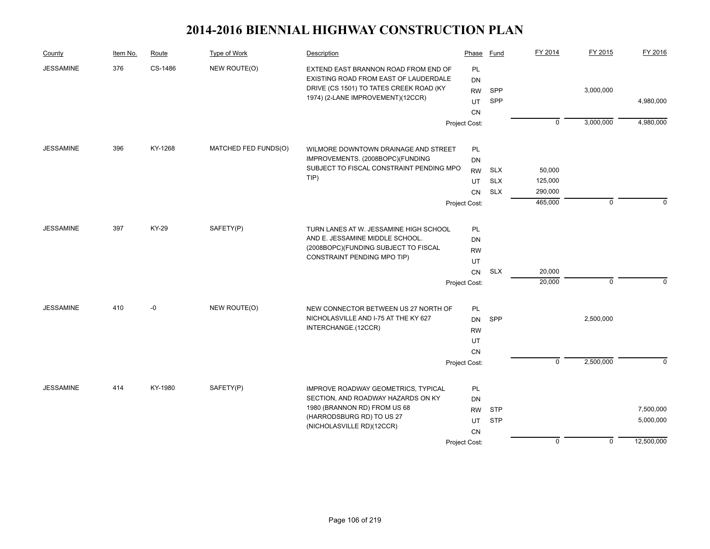| County           | Item No. | Route   | Type of Work                         | Description                              | Phase         | Fund       | FY 2014        | FY 2015     | FY 2016     |
|------------------|----------|---------|--------------------------------------|------------------------------------------|---------------|------------|----------------|-------------|-------------|
| <b>JESSAMINE</b> | 376      | CS-1486 | NEW ROUTE(O)                         | EXTEND EAST BRANNON ROAD FROM END OF     | PL            |            |                |             |             |
|                  |          |         |                                      | EXISTING ROAD FROM EAST OF LAUDERDALE    | DN            |            |                |             |             |
|                  |          |         |                                      | DRIVE (CS 1501) TO TATES CREEK ROAD (KY  | <b>RW</b>     | SPP        |                | 3,000,000   |             |
|                  |          |         |                                      | 1974) (2-LANE IMPROVEMENT)(12CCR)        | UT            | SPP        |                |             | 4,980,000   |
|                  |          |         |                                      |                                          | CN            |            |                |             |             |
|                  |          |         |                                      |                                          | Project Cost: |            | $\overline{0}$ | 3,000,000   | 4,980,000   |
| <b>JESSAMINE</b> | 396      | KY-1268 | MATCHED FED FUNDS(O)                 | WILMORE DOWNTOWN DRAINAGE AND STREET     | PL            |            |                |             |             |
|                  |          |         |                                      | IMPROVEMENTS. (2008BOPC)(FUNDING         | DN            |            |                |             |             |
|                  |          |         |                                      | SUBJECT TO FISCAL CONSTRAINT PENDING MPO | <b>RW</b>     | <b>SLX</b> | 50,000         |             |             |
|                  |          |         |                                      | $TIP$ )                                  | UT            | <b>SLX</b> | 125,000        |             |             |
|                  |          |         |                                      |                                          | CN            | <b>SLX</b> | 290,000        |             |             |
|                  |          |         |                                      |                                          | Project Cost: |            | 465,000        | $\mathbf 0$ | $\mathbf 0$ |
|                  |          |         |                                      |                                          |               |            |                |             |             |
| <b>JESSAMINE</b> | 397      | KY-29   | SAFETY(P)                            | TURN LANES AT W. JESSAMINE HIGH SCHOOL   | PL            |            |                |             |             |
|                  |          |         |                                      | AND E. JESSAMINE MIDDLE SCHOOL.          | DN            |            |                |             |             |
|                  |          |         | (2008BOPC)(FUNDING SUBJECT TO FISCAL | <b>RW</b>                                |               |            |                |             |             |
|                  |          |         |                                      | CONSTRAINT PENDING MPO TIP)              | UT            |            |                |             |             |
|                  |          |         |                                      |                                          | CN            | <b>SLX</b> | 20,000         |             |             |
|                  |          |         |                                      |                                          | Project Cost: |            | 20,000         | 0           | $\Omega$    |
| <b>JESSAMINE</b> | 410      | -0      | NEW ROUTE(O)                         | NEW CONNECTOR BETWEEN US 27 NORTH OF     | PL            |            |                |             |             |
|                  |          |         |                                      | NICHOLASVILLE AND I-75 AT THE KY 627     | DN            | SPP        |                | 2,500,000   |             |
|                  |          |         |                                      | INTERCHANGE.(12CCR)                      | <b>RW</b>     |            |                |             |             |
|                  |          |         |                                      |                                          | UT            |            |                |             |             |
|                  |          |         |                                      |                                          | CN            |            |                |             |             |
|                  |          |         |                                      |                                          | Project Cost: |            | $\mathbf 0$    | 2,500,000   | $\Omega$    |
|                  |          |         |                                      |                                          |               |            |                |             |             |
| <b>JESSAMINE</b> | 414      | KY-1980 | SAFETY(P)                            | IMPROVE ROADWAY GEOMETRICS, TYPICAL      | PL            |            |                |             |             |
|                  |          |         |                                      | SECTION, AND ROADWAY HAZARDS ON KY       | DN            |            |                |             |             |
|                  |          |         |                                      | 1980 (BRANNON RD) FROM US 68             | <b>RW</b>     | <b>STP</b> |                |             | 7,500,000   |
|                  |          |         |                                      | (HARRODSBURG RD) TO US 27                | UT            | <b>STP</b> |                |             | 5,000,000   |
|                  |          |         |                                      | (NICHOLASVILLE RD)(12CCR)                | CN            |            |                |             |             |
|                  |          |         |                                      |                                          | Project Cost: |            | $\mathbf 0$    | $\mathbf 0$ | 12,500,000  |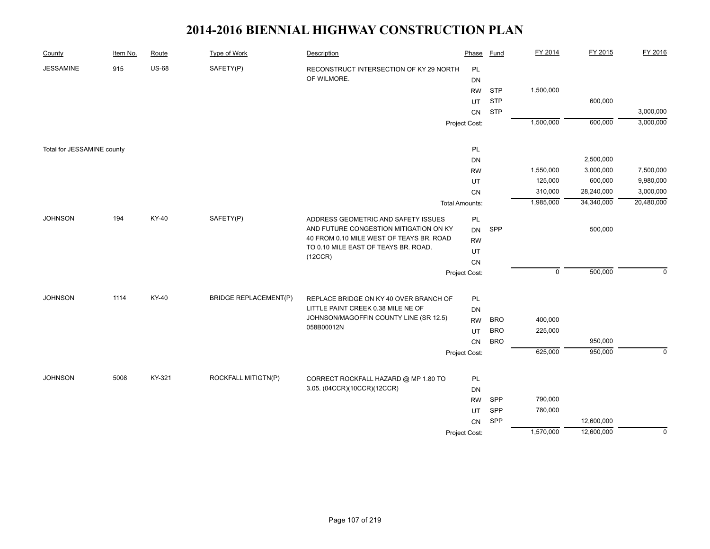| County                     | Item No. | Route        | <b>Type of Work</b>          | Description                                                                  | Phase                 | <b>Fund</b> | FY 2014     | FY 2015    | FY 2016     |
|----------------------------|----------|--------------|------------------------------|------------------------------------------------------------------------------|-----------------------|-------------|-------------|------------|-------------|
| <b>JESSAMINE</b>           | 915      | <b>US-68</b> | SAFETY(P)                    | RECONSTRUCT INTERSECTION OF KY 29 NORTH                                      | PL                    |             |             |            |             |
|                            |          |              |                              | OF WILMORE.                                                                  | DN                    |             |             |            |             |
|                            |          |              |                              |                                                                              | <b>RW</b>             | <b>STP</b>  | 1,500,000   |            |             |
|                            |          |              |                              |                                                                              | UT                    | <b>STP</b>  |             | 600,000    |             |
|                            |          |              |                              |                                                                              | CN                    | <b>STP</b>  |             |            | 3,000,000   |
|                            |          |              |                              |                                                                              | Project Cost:         |             | 1,500,000   | 600,000    | 3,000,000   |
|                            |          |              |                              |                                                                              |                       |             |             |            |             |
| Total for JESSAMINE county |          |              |                              |                                                                              | PL                    |             |             |            |             |
|                            |          |              |                              |                                                                              | DN                    |             |             | 2,500,000  |             |
|                            |          |              |                              |                                                                              | <b>RW</b>             |             | 1,550,000   | 3,000,000  | 7,500,000   |
|                            |          |              |                              |                                                                              | UT                    |             | 125,000     | 600,000    | 9,980,000   |
|                            |          |              |                              |                                                                              | CN                    |             | 310,000     | 28,240,000 | 3,000,000   |
|                            |          |              |                              |                                                                              | <b>Total Amounts:</b> |             | 1,985,000   | 34,340,000 | 20,480,000  |
| <b>JOHNSON</b>             | 194      | KY-40        | SAFETY(P)                    | ADDRESS GEOMETRIC AND SAFETY ISSUES                                          | PL                    |             |             |            |             |
|                            |          |              |                              | AND FUTURE CONGESTION MITIGATION ON KY                                       | <b>DN</b>             | SPP         |             | 500,000    |             |
|                            |          |              |                              | 40 FROM 0.10 MILE WEST OF TEAYS BR. ROAD                                     | <b>RW</b>             |             |             |            |             |
|                            |          |              |                              | TO 0.10 MILE EAST OF TEAYS BR. ROAD.                                         | UT                    |             |             |            |             |
|                            |          |              |                              | (12CCR)                                                                      | CN                    |             |             |            |             |
|                            |          |              |                              |                                                                              | Project Cost:         |             | $\mathbf 0$ | 500,000    | $\Omega$    |
| <b>JOHNSON</b>             | 1114     | KY-40        | <b>BRIDGE REPLACEMENT(P)</b> |                                                                              |                       |             |             |            |             |
|                            |          |              |                              | REPLACE BRIDGE ON KY 40 OVER BRANCH OF<br>LITTLE PAINT CREEK 0.38 MILE NE OF | PL                    |             |             |            |             |
|                            |          |              |                              | JOHNSON/MAGOFFIN COUNTY LINE (SR 12.5)                                       | <b>DN</b>             | <b>BRO</b>  | 400,000     |            |             |
|                            |          |              |                              | 058B00012N                                                                   | <b>RW</b>             | <b>BRO</b>  | 225,000     |            |             |
|                            |          |              |                              |                                                                              | UT                    |             |             | 950,000    |             |
|                            |          |              |                              |                                                                              | CN                    | <b>BRO</b>  |             |            |             |
|                            |          |              |                              |                                                                              | Project Cost:         |             | 625,000     | 950,000    | $\mathbf 0$ |
|                            |          |              |                              |                                                                              |                       |             |             |            |             |
| <b>JOHNSON</b>             | 5008     | KY-321       | ROCKFALL MITIGTN(P)          | CORRECT ROCKFALL HAZARD @ MP 1.80 TO                                         | PL                    |             |             |            |             |
|                            |          |              |                              | 3.05. (04CCR)(10CCR)(12CCR)                                                  | DN                    |             |             |            |             |
|                            |          |              |                              |                                                                              | <b>RW</b>             | SPP         | 790,000     |            |             |
|                            |          |              |                              |                                                                              | UT                    | SPP         | 780,000     |            |             |
|                            |          |              |                              |                                                                              | CN                    | SPP         |             | 12,600,000 |             |
|                            |          |              |                              |                                                                              | Project Cost:         |             | 1,570,000   | 12,600,000 | $\mathbf 0$ |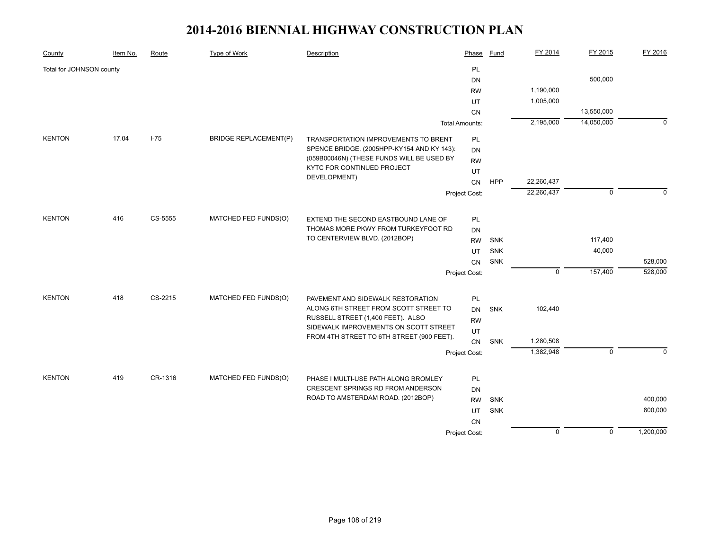| County                   | Item No. | Route    | Type of Work                 | Description                                                             | Phase                 | <b>Fund</b> | FY 2014        | FY 2015        | FY 2016     |
|--------------------------|----------|----------|------------------------------|-------------------------------------------------------------------------|-----------------------|-------------|----------------|----------------|-------------|
| Total for JOHNSON county |          |          |                              |                                                                         | <b>PL</b>             |             |                |                |             |
|                          |          |          |                              |                                                                         | DN                    |             |                | 500,000        |             |
|                          |          |          |                              |                                                                         | <b>RW</b>             |             | 1,190,000      |                |             |
|                          |          |          |                              |                                                                         | UT                    |             | 1,005,000      |                |             |
|                          |          |          |                              |                                                                         | <b>CN</b>             |             |                | 13,550,000     |             |
|                          |          |          |                              |                                                                         | <b>Total Amounts:</b> |             | 2,195,000      | 14,050,000     | $\mathbf 0$ |
| <b>KENTON</b>            | 17.04    | $I - 75$ | <b>BRIDGE REPLACEMENT(P)</b> | TRANSPORTATION IMPROVEMENTS TO BRENT                                    | PL                    |             |                |                |             |
|                          |          |          |                              | SPENCE BRIDGE. (2005HPP-KY154 AND KY 143):                              | DN                    |             |                |                |             |
|                          |          |          |                              | (059B00046N) (THESE FUNDS WILL BE USED BY<br>KYTC FOR CONTINUED PROJECT | <b>RW</b>             |             |                |                |             |
|                          |          |          |                              | DEVELOPMENT)                                                            | UT                    |             |                |                |             |
|                          |          |          |                              |                                                                         | CN                    | HPP         | 22,260,437     |                |             |
|                          |          |          |                              |                                                                         | Project Cost:         |             | 22,260,437     | $\mathbf 0$    | $\Omega$    |
| <b>KENTON</b>            | 416      | CS-5555  | MATCHED FED FUNDS(O)         | EXTEND THE SECOND EASTBOUND LANE OF                                     | PL                    |             |                |                |             |
|                          |          |          |                              | THOMAS MORE PKWY FROM TURKEYFOOT RD                                     | DN                    |             |                |                |             |
|                          |          |          |                              | TO CENTERVIEW BLVD. (2012BOP)                                           | <b>RW</b>             | <b>SNK</b>  |                | 117,400        |             |
|                          |          |          |                              |                                                                         | UT                    | <b>SNK</b>  |                | 40,000         |             |
|                          |          |          |                              |                                                                         |                       | <b>SNK</b>  |                |                | 528,000     |
|                          |          |          |                              |                                                                         | <b>CN</b>             |             | $\mathbf 0$    | 157,400        | 528,000     |
|                          |          |          |                              |                                                                         | Project Cost:         |             |                |                |             |
| <b>KENTON</b>            | 418      | CS-2215  | MATCHED FED FUNDS(O)         | PAVEMENT AND SIDEWALK RESTORATION                                       | PL                    |             |                |                |             |
|                          |          |          |                              | ALONG 6TH STREET FROM SCOTT STREET TO                                   | DN                    | SNK         | 102,440        |                |             |
|                          |          |          |                              | RUSSELL STREET (1,400 FEET). ALSO                                       | <b>RW</b>             |             |                |                |             |
|                          |          |          |                              | SIDEWALK IMPROVEMENTS ON SCOTT STREET                                   | UT                    |             |                |                |             |
|                          |          |          |                              | FROM 4TH STREET TO 6TH STREET (900 FEET).                               | CN                    | SNK         | 1,280,508      |                |             |
|                          |          |          |                              |                                                                         | Project Cost:         |             | 1,382,948      | $\mathbf 0$    | $\Omega$    |
|                          |          |          |                              |                                                                         |                       |             |                |                |             |
| <b>KENTON</b>            | 419      | CR-1316  | MATCHED FED FUNDS(O)         | PHASE I MULTI-USE PATH ALONG BROMLEY                                    | PL                    |             |                |                |             |
|                          |          |          |                              | CRESCENT SPRINGS RD FROM ANDERSON                                       | DN                    |             |                |                |             |
|                          |          |          |                              | ROAD TO AMSTERDAM ROAD. (2012BOP)                                       | <b>RW</b>             | <b>SNK</b>  |                |                | 400,000     |
|                          |          |          |                              |                                                                         | UT                    | SNK         |                |                | 800,000     |
|                          |          |          |                              |                                                                         | CN                    |             |                |                |             |
|                          |          |          |                              |                                                                         | Project Cost:         |             | $\overline{0}$ | $\overline{0}$ | 1,200,000   |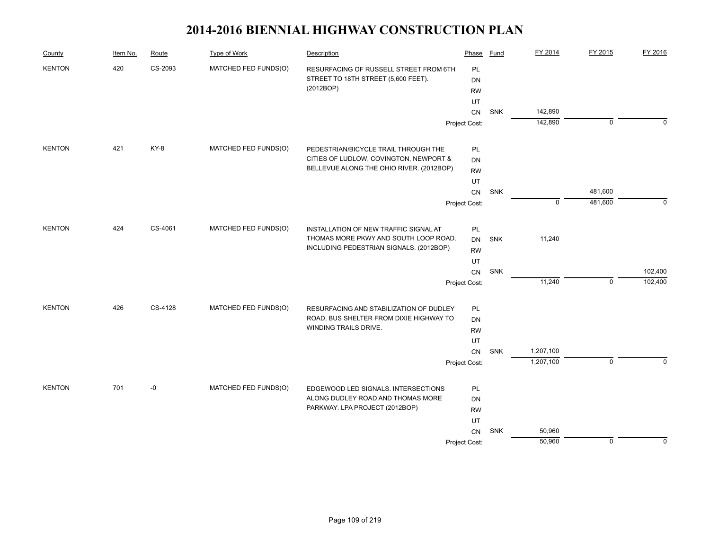| County        | Item No. | Route   | Type of Work         | Description                                                      | Phase         | <b>Fund</b> | FY 2014     | FY 2015     | FY 2016     |
|---------------|----------|---------|----------------------|------------------------------------------------------------------|---------------|-------------|-------------|-------------|-------------|
| <b>KENTON</b> | 420      | CS-2093 | MATCHED FED FUNDS(O) | RESURFACING OF RUSSELL STREET FROM 6TH                           | PL            |             |             |             |             |
|               |          |         |                      | STREET TO 18TH STREET (5,600 FEET).                              | <b>DN</b>     |             |             |             |             |
|               |          |         |                      | (2012BOP)                                                        | <b>RW</b>     |             |             |             |             |
|               |          |         |                      |                                                                  | UT            |             |             |             |             |
|               |          |         |                      |                                                                  | CN            | SNK         | 142,890     |             |             |
|               |          |         |                      |                                                                  | Project Cost: |             | 142,890     | $\mathbf 0$ | $\Omega$    |
| <b>KENTON</b> | 421      | KY-8    | MATCHED FED FUNDS(O) | PEDESTRIAN/BICYCLE TRAIL THROUGH THE                             | PL            |             |             |             |             |
|               |          |         |                      | CITIES OF LUDLOW, COVINGTON, NEWPORT &                           | <b>DN</b>     |             |             |             |             |
|               |          |         |                      | BELLEVUE ALONG THE OHIO RIVER. (2012BOP)                         | <b>RW</b>     |             |             |             |             |
|               |          |         |                      |                                                                  | UT            |             |             |             |             |
|               |          |         |                      |                                                                  | CN            | SNK         |             | 481,600     |             |
|               |          |         |                      |                                                                  | Project Cost: |             | $\mathbf 0$ | 481,600     | $\mathbf 0$ |
| <b>KENTON</b> | 424      | CS-4061 | MATCHED FED FUNDS(O) | INSTALLATION OF NEW TRAFFIC SIGNAL AT                            | PL            |             |             |             |             |
|               |          |         |                      | THOMAS MORE PKWY AND SOUTH LOOP ROAD,                            | <b>DN</b>     | <b>SNK</b>  | 11,240      |             |             |
|               |          |         |                      | INCLUDING PEDESTRIAN SIGNALS. (2012BOP)                          | <b>RW</b>     |             |             |             |             |
|               |          |         |                      |                                                                  | UT            |             |             |             |             |
|               |          |         |                      |                                                                  | CN            | SNK         |             |             | 102,400     |
|               |          |         |                      |                                                                  | Project Cost: |             | 11,240      | $\mathbf 0$ | 102,400     |
|               |          |         |                      |                                                                  |               |             |             |             |             |
| <b>KENTON</b> | 426      | CS-4128 | MATCHED FED FUNDS(O) | RESURFACING AND STABILIZATION OF DUDLEY                          | PL            |             |             |             |             |
|               |          |         |                      | ROAD, BUS SHELTER FROM DIXIE HIGHWAY TO<br>WINDING TRAILS DRIVE. | DN            |             |             |             |             |
|               |          |         |                      |                                                                  | <b>RW</b>     |             |             |             |             |
|               |          |         |                      |                                                                  | UT            | SNK         | 1,207,100   |             |             |
|               |          |         |                      |                                                                  | CN            |             | 1,207,100   | $\mathbf 0$ | $\Omega$    |
|               |          |         |                      |                                                                  | Project Cost: |             |             |             |             |
| <b>KENTON</b> | 701      | $-0$    | MATCHED FED FUNDS(O) | EDGEWOOD LED SIGNALS. INTERSECTIONS                              | PL            |             |             |             |             |
|               |          |         |                      | ALONG DUDLEY ROAD AND THOMAS MORE                                | <b>DN</b>     |             |             |             |             |
|               |          |         |                      | PARKWAY. LPA PROJECT (2012BOP)                                   | <b>RW</b>     |             |             |             |             |
|               |          |         |                      |                                                                  | UT            |             |             |             |             |
|               |          |         |                      |                                                                  | CN            | <b>SNK</b>  | 50,960      |             |             |
|               |          |         |                      |                                                                  | Project Cost: |             | 50,960      | $\mathbf 0$ | $\mathbf 0$ |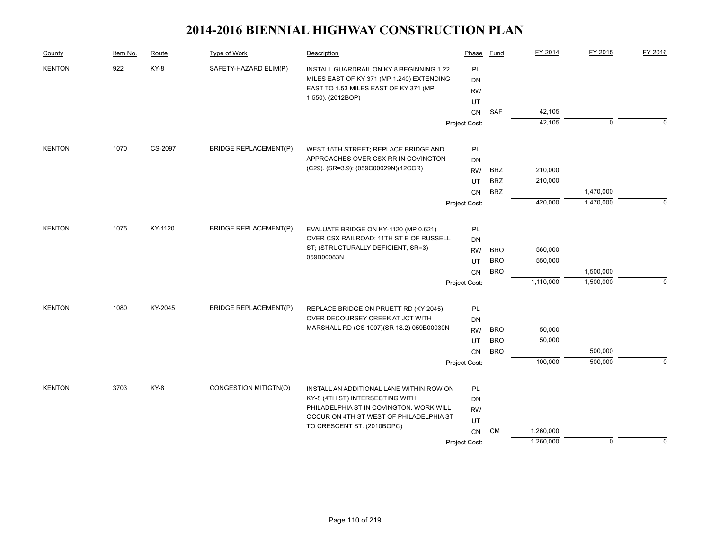| County        | Item No. | Route   | Type of Work                 | Description                                                                 | Phase         | Fund       | FY 2014   | FY 2015     | FY 2016     |
|---------------|----------|---------|------------------------------|-----------------------------------------------------------------------------|---------------|------------|-----------|-------------|-------------|
| <b>KENTON</b> | 922      | KY-8    | SAFETY-HAZARD ELIM(P)        | INSTALL GUARDRAIL ON KY 8 BEGINNING 1.22                                    | PL            |            |           |             |             |
|               |          |         |                              | MILES EAST OF KY 371 (MP 1.240) EXTENDING                                   | <b>DN</b>     |            |           |             |             |
|               |          |         |                              | EAST TO 1.53 MILES EAST OF KY 371 (MP                                       | <b>RW</b>     |            |           |             |             |
|               |          |         |                              | 1.550). (2012BOP)                                                           | UT            |            |           |             |             |
|               |          |         |                              |                                                                             | <b>CN</b>     | <b>SAF</b> | 42,105    |             |             |
|               |          |         |                              |                                                                             | Project Cost: |            | 42,105    | $\mathbf 0$ | $\Omega$    |
| <b>KENTON</b> | 1070     | CS-2097 | <b>BRIDGE REPLACEMENT(P)</b> | WEST 15TH STREET; REPLACE BRIDGE AND                                        | PL            |            |           |             |             |
|               |          |         |                              | APPROACHES OVER CSX RR IN COVINGTON                                         | DN            |            |           |             |             |
|               |          |         |                              | (C29). (SR=3.9): (059C00029N)(12CCR)                                        | <b>RW</b>     | <b>BRZ</b> | 210,000   |             |             |
|               |          |         |                              |                                                                             | UT            | <b>BRZ</b> | 210,000   |             |             |
|               |          |         |                              |                                                                             | <b>CN</b>     | <b>BRZ</b> |           | 1,470,000   |             |
|               |          |         |                              |                                                                             | Project Cost: |            | 420,000   | 1,470,000   | $\Omega$    |
| <b>KENTON</b> | 1075     | KY-1120 | <b>BRIDGE REPLACEMENT(P)</b> | EVALUATE BRIDGE ON KY-1120 (MP 0.621)                                       | PL            |            |           |             |             |
|               |          |         |                              | OVER CSX RAILROAD; 11TH ST E OF RUSSELL                                     | DN            |            |           |             |             |
|               |          |         |                              | ST; (STRUCTURALLY DEFICIENT, SR=3)<br>059B00083N                            | <b>RW</b>     | <b>BRO</b> | 560,000   |             |             |
|               |          |         |                              |                                                                             | UT            | <b>BRO</b> | 550,000   |             |             |
|               |          |         |                              |                                                                             | <b>CN</b>     | <b>BRO</b> |           | 1,500,000   |             |
|               |          |         |                              |                                                                             | Project Cost: |            | 1,110,000 | 1,500,000   | $\mathbf 0$ |
| <b>KENTON</b> | 1080     | KY-2045 | <b>BRIDGE REPLACEMENT(P)</b> | REPLACE BRIDGE ON PRUETT RD (KY 2045)                                       | PL            |            |           |             |             |
|               |          |         |                              | OVER DECOURSEY CREEK AT JCT WITH                                            | DN            |            |           |             |             |
|               |          |         |                              | MARSHALL RD (CS 1007)(SR 18.2) 059B00030N                                   | <b>RW</b>     | <b>BRO</b> | 50,000    |             |             |
|               |          |         |                              |                                                                             | UT            | <b>BRO</b> | 50,000    |             |             |
|               |          |         |                              |                                                                             | CN            | <b>BRO</b> |           | 500,000     |             |
|               |          |         |                              |                                                                             | Project Cost: |            | 100,000   | 500,000     | $\Omega$    |
| <b>KENTON</b> | 3703     | KY-8    | CONGESTION MITIGTN(O)        |                                                                             |               |            |           |             |             |
|               |          |         |                              | INSTALL AN ADDITIONAL LANE WITHIN ROW ON<br>KY-8 (4TH ST) INTERSECTING WITH | PL<br>DN      |            |           |             |             |
|               |          |         |                              | PHILADELPHIA ST IN COVINGTON. WORK WILL                                     | <b>RW</b>     |            |           |             |             |
|               |          |         |                              | OCCUR ON 4TH ST WEST OF PHILADELPHIA ST<br>TO CRESCENT ST. (2010BOPC)       | UT            |            |           |             |             |
|               |          |         |                              |                                                                             | CN            | CM         | 1,260,000 |             |             |
|               |          |         |                              |                                                                             | Project Cost: |            | 1,260,000 | $\mathbf 0$ | $\Omega$    |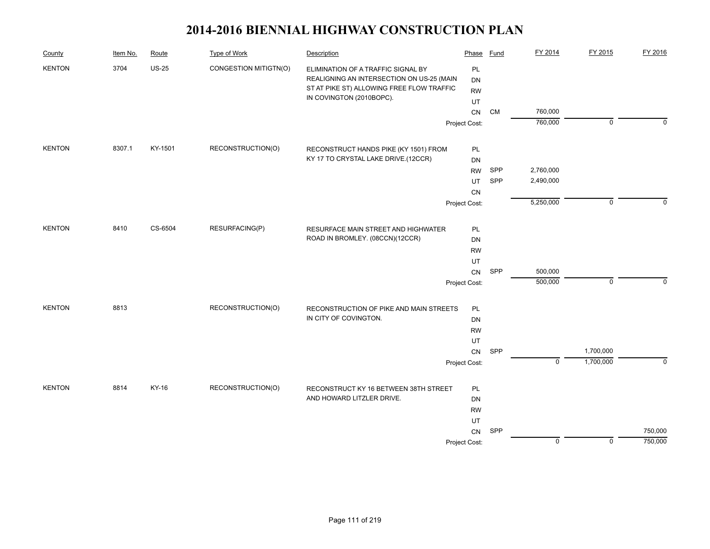| County        | Item No. | Route        | Type of Work          | Description                               | Phase         | Fund | FY 2014                   | FY 2015     | FY 2016  |
|---------------|----------|--------------|-----------------------|-------------------------------------------|---------------|------|---------------------------|-------------|----------|
| <b>KENTON</b> | 3704     | <b>US-25</b> | CONGESTION MITIGTN(O) | ELIMINATION OF A TRAFFIC SIGNAL BY        | PL            |      |                           |             |          |
|               |          |              |                       | REALIGNING AN INTERSECTION ON US-25 (MAIN | <b>DN</b>     |      |                           |             |          |
|               |          |              |                       | ST AT PIKE ST) ALLOWING FREE FLOW TRAFFIC | <b>RW</b>     |      |                           |             |          |
|               |          |              |                       | IN COVINGTON (2010BOPC).                  | UT            |      |                           |             |          |
|               |          |              |                       |                                           | CN            | CM   | 760,000                   |             |          |
|               |          |              |                       |                                           | Project Cost: |      | 760,000                   | $\mathbf 0$ | $\Omega$ |
| <b>KENTON</b> | 8307.1   | KY-1501      | RECONSTRUCTION(O)     | RECONSTRUCT HANDS PIKE (KY 1501) FROM     | PL            |      |                           |             |          |
|               |          |              |                       | KY 17 TO CRYSTAL LAKE DRIVE.(12CCR)       | DN            |      |                           |             |          |
|               |          |              |                       |                                           | <b>RW</b>     | SPP  | 2,760,000                 |             |          |
|               |          |              |                       |                                           | UT            | SPP  | 2,490,000                 |             |          |
|               |          |              |                       |                                           | CN            |      |                           |             |          |
|               |          |              |                       |                                           | Project Cost: |      | 5,250,000                 | $\mathbf 0$ | $\Omega$ |
| <b>KENTON</b> | 8410     | CS-6504      | RESURFACING(P)        | RESURFACE MAIN STREET AND HIGHWATER       | PL            |      |                           |             |          |
|               |          |              |                       | ROAD IN BROMLEY. (08CCN)(12CCR)           | DN            |      |                           |             |          |
|               |          |              |                       | <b>RW</b>                                 |               |      |                           |             |          |
|               |          |              |                       |                                           | UT            |      |                           |             |          |
|               |          |              |                       |                                           | CN            | SPP  | 500,000                   |             |          |
|               |          |              |                       |                                           | Project Cost: |      | 500,000                   | $\mathbf 0$ | $\Omega$ |
| <b>KENTON</b> | 8813     |              | RECONSTRUCTION(O)     | RECONSTRUCTION OF PIKE AND MAIN STREETS   | PL            |      |                           |             |          |
|               |          |              |                       | IN CITY OF COVINGTON.                     | DN            |      |                           |             |          |
|               |          |              |                       |                                           | <b>RW</b>     |      |                           |             |          |
|               |          |              |                       |                                           | UT            |      |                           |             |          |
|               |          |              |                       |                                           | CN            | SPP  |                           | 1,700,000   |          |
|               |          |              |                       |                                           | Project Cost: |      | $\overline{\mathfrak{o}}$ | 1,700,000   | $\Omega$ |
| <b>KENTON</b> | 8814     | KY-16        | RECONSTRUCTION(O)     | RECONSTRUCT KY 16 BETWEEN 38TH STREET     | PL            |      |                           |             |          |
|               |          |              |                       | AND HOWARD LITZLER DRIVE.                 | DN            |      |                           |             |          |
|               |          |              |                       |                                           | <b>RW</b>     |      |                           |             |          |
|               |          |              |                       |                                           | UT            |      |                           |             |          |
|               |          |              |                       |                                           | CN            | SPP  |                           |             | 750,000  |
|               |          |              |                       |                                           | Project Cost: |      | $\mathbf 0$               | $\mathbf 0$ | 750,000  |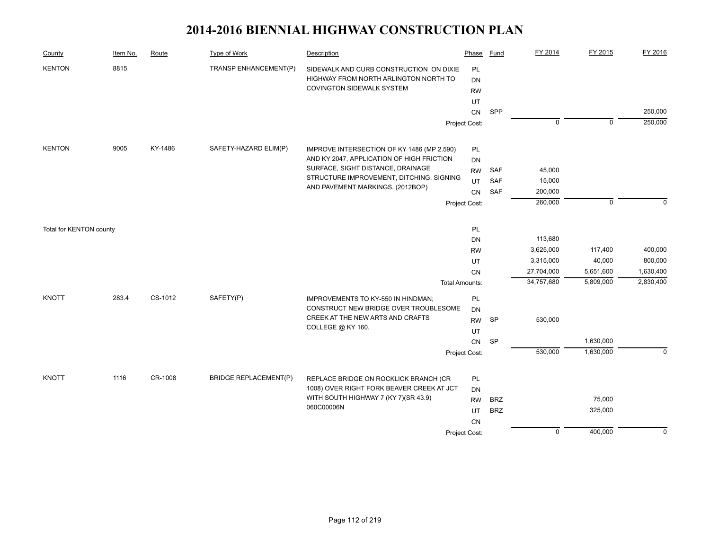| County                  | Item No. | Route   | <b>Type of Work</b>          | Description                                                                                                   | Phase                        | Fund       | FY 2014        | FY 2015     | FY 2016     |
|-------------------------|----------|---------|------------------------------|---------------------------------------------------------------------------------------------------------------|------------------------------|------------|----------------|-------------|-------------|
| <b>KENTON</b>           | 8815     |         | TRANSP ENHANCEMENT(P)        | SIDEWALK AND CURB CONSTRUCTION ON DIXIE<br>HIGHWAY FROM NORTH ARLINGTON NORTH TO<br>COVINGTON SIDEWALK SYSTEM | PL<br><b>DN</b><br><b>RW</b> |            |                |             |             |
|                         |          |         |                              |                                                                                                               | UT                           |            |                |             |             |
|                         |          |         |                              |                                                                                                               | ${\sf CN}$                   | SPP        |                |             | 250,000     |
|                         |          |         |                              |                                                                                                               | Project Cost:                |            | $\overline{0}$ | $\mathbf 0$ | 250,000     |
|                         |          |         |                              |                                                                                                               |                              |            |                |             |             |
| <b>KENTON</b>           | 9005     | KY-1486 | SAFETY-HAZARD ELIM(P)        | IMPROVE INTERSECTION OF KY 1486 (MP 2.590)                                                                    | PL                           |            |                |             |             |
|                         |          |         |                              | AND KY 2047, APPLICATION OF HIGH FRICTION                                                                     | DN                           |            |                |             |             |
|                         |          |         |                              | SURFACE, SIGHT DISTANCE, DRAINAGE                                                                             | <b>RW</b>                    | SAF        | 45,000         |             |             |
|                         |          |         |                              | STRUCTURE IMPROVEMENT, DITCHING, SIGNING                                                                      | UT                           | SAF        | 15,000         |             |             |
|                         |          |         |                              | AND PAVEMENT MARKINGS. (2012BOP)                                                                              | <b>CN</b>                    | SAF        | 200,000        |             |             |
|                         |          |         |                              |                                                                                                               | Project Cost:                |            | 260,000        | $\Omega$    | $\Omega$    |
|                         |          |         |                              |                                                                                                               |                              |            |                |             |             |
| Total for KENTON county |          |         |                              |                                                                                                               | PL                           |            |                |             |             |
|                         |          |         |                              |                                                                                                               | <b>DN</b>                    |            | 113,680        |             |             |
|                         |          |         |                              |                                                                                                               | <b>RW</b>                    |            | 3,625,000      | 117,400     | 400,000     |
|                         |          |         |                              |                                                                                                               | UT                           |            | 3,315,000      | 40,000      | 800,000     |
|                         |          |         |                              |                                                                                                               | CN                           |            | 27,704,000     | 5,651,600   | 1,630,400   |
|                         |          |         |                              |                                                                                                               | <b>Total Amounts:</b>        |            | 34,757,680     | 5,809,000   | 2,830,400   |
| <b>KNOTT</b>            | 283.4    | CS-1012 | SAFETY(P)                    | IMPROVEMENTS TO KY-550 IN HINDMAN;                                                                            | PL                           |            |                |             |             |
|                         |          |         |                              | CONSTRUCT NEW BRIDGE OVER TROUBLESOME                                                                         | <b>DN</b>                    |            |                |             |             |
|                         |          |         |                              | CREEK AT THE NEW ARTS AND CRAFTS                                                                              | <b>RW</b>                    | SP         | 530,000        |             |             |
|                         |          |         |                              | COLLEGE @ KY 160.                                                                                             | UT                           |            |                |             |             |
|                         |          |         |                              |                                                                                                               | CN                           | <b>SP</b>  |                | 1,630,000   |             |
|                         |          |         |                              |                                                                                                               | Project Cost:                |            | 530,000        | 1,630,000   | $\mathbf 0$ |
|                         |          |         |                              |                                                                                                               |                              |            |                |             |             |
| <b>KNOTT</b>            | 1116     | CR-1008 | <b>BRIDGE REPLACEMENT(P)</b> | REPLACE BRIDGE ON ROCKLICK BRANCH (CR                                                                         | <b>PL</b>                    |            |                |             |             |
|                         |          |         |                              | 1008) OVER RIGHT FORK BEAVER CREEK AT JCT                                                                     | DN                           |            |                |             |             |
|                         |          |         |                              | WITH SOUTH HIGHWAY 7 (KY 7)(SR 43.9)<br>060C00006N                                                            | <b>RW</b>                    | <b>BRZ</b> |                | 75,000      |             |
|                         |          |         |                              |                                                                                                               | UT                           | <b>BRZ</b> |                | 325,000     |             |
|                         |          |         |                              |                                                                                                               | CN                           |            |                |             |             |
|                         |          |         |                              |                                                                                                               | Project Cost:                |            | $\overline{0}$ | 400,000     | $\mathbf 0$ |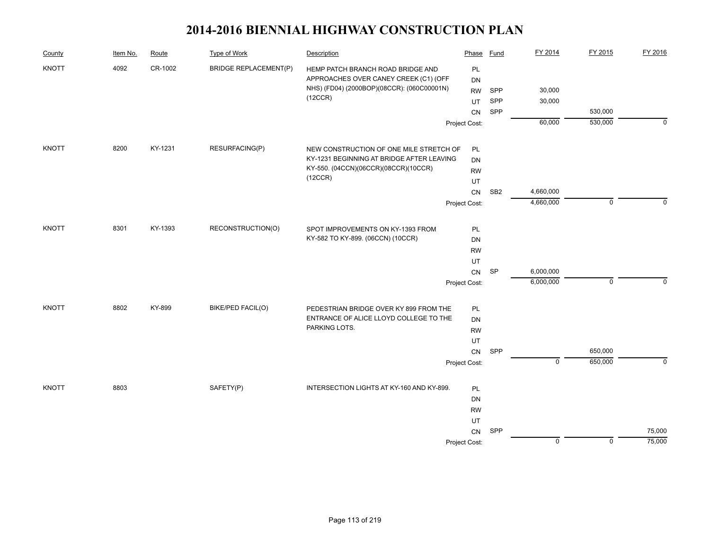| County       | Item No. | Route   | Type of Work                 | Description                                           | Phase         | Fund            | FY 2014        | FY 2015     | FY 2016  |
|--------------|----------|---------|------------------------------|-------------------------------------------------------|---------------|-----------------|----------------|-------------|----------|
| <b>KNOTT</b> | 4092     | CR-1002 | <b>BRIDGE REPLACEMENT(P)</b> | HEMP PATCH BRANCH ROAD BRIDGE AND                     | PL            |                 |                |             |          |
|              |          |         |                              | APPROACHES OVER CANEY CREEK (C1) (OFF                 | <b>DN</b>     |                 |                |             |          |
|              |          |         |                              | NHS) (FD04) (2000BOP)(08CCR): (060C00001N)<br>(12CCR) | RW            | SPP             | 30,000         |             |          |
|              |          |         |                              |                                                       | UT            | SPP             | 30,000         |             |          |
|              |          |         |                              |                                                       | <b>CN</b>     | SPP             |                | 530,000     |          |
|              |          |         |                              |                                                       | Project Cost: |                 | 60,000         | 530,000     | $\Omega$ |
| <b>KNOTT</b> | 8200     | KY-1231 | RESURFACING(P)               | NEW CONSTRUCTION OF ONE MILE STRETCH OF               | PL            |                 |                |             |          |
|              |          |         |                              | KY-1231 BEGINNING AT BRIDGE AFTER LEAVING             | <b>DN</b>     |                 |                |             |          |
|              |          |         |                              | KY-550. (04CCN)(06CCR)(08CCR)(10CCR)                  | <b>RW</b>     |                 |                |             |          |
|              |          |         |                              | (12CCR)                                               | UT            |                 |                |             |          |
|              |          |         |                              |                                                       | CN            | SB <sub>2</sub> | 4,660,000      |             |          |
|              |          |         |                              |                                                       | Project Cost: |                 | 4,660,000      | $\mathbf 0$ | $\Omega$ |
| <b>KNOTT</b> | 8301     | KY-1393 | RECONSTRUCTION(O)            | SPOT IMPROVEMENTS ON KY-1393 FROM                     | PL            |                 |                |             |          |
|              |          |         |                              | KY-582 TO KY-899. (06CCN) (10CCR)                     | DN            |                 |                |             |          |
|              |          |         |                              |                                                       | <b>RW</b>     |                 |                |             |          |
|              |          |         |                              |                                                       | UT            |                 |                |             |          |
|              |          |         |                              |                                                       | CN            | <b>SP</b>       | 6,000,000      |             |          |
|              |          |         |                              |                                                       | Project Cost: |                 | 6,000,000      | $\mathbf 0$ | $\Omega$ |
| <b>KNOTT</b> | 8802     | KY-899  | <b>BIKE/PED FACIL(O)</b>     | PEDESTRIAN BRIDGE OVER KY 899 FROM THE                | PL            |                 |                |             |          |
|              |          |         |                              | ENTRANCE OF ALICE LLOYD COLLEGE TO THE                | DN            |                 |                |             |          |
|              |          |         |                              | PARKING LOTS.                                         | <b>RW</b>     |                 |                |             |          |
|              |          |         |                              |                                                       | UT            |                 |                |             |          |
|              |          |         |                              |                                                       | CN            | SPP             |                | 650,000     |          |
|              |          |         |                              |                                                       | Project Cost: |                 | $\overline{0}$ | 650,000     | $\Omega$ |
| <b>KNOTT</b> | 8803     |         | SAFETY(P)                    | INTERSECTION LIGHTS AT KY-160 AND KY-899.             | PL            |                 |                |             |          |
|              |          |         |                              |                                                       | DN            |                 |                |             |          |
|              |          |         |                              |                                                       | <b>RW</b>     |                 |                |             |          |
|              |          |         |                              |                                                       | UT            |                 |                |             |          |
|              |          |         |                              |                                                       | CN            | SPP             |                |             | 75,000   |
|              |          |         |                              |                                                       | Project Cost: |                 | $\mathbf 0$    | $\mathbf 0$ | 75,000   |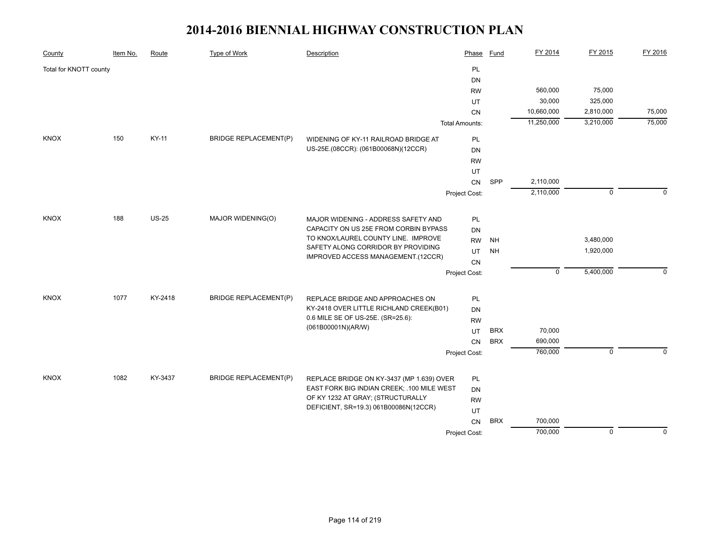| County                 | Item No. | Route        | <b>Type of Work</b>          | Description                                | Phase                 | Fund       | FY 2014     | FY 2015        | FY 2016     |
|------------------------|----------|--------------|------------------------------|--------------------------------------------|-----------------------|------------|-------------|----------------|-------------|
| Total for KNOTT county |          |              |                              |                                            | PL                    |            |             |                |             |
|                        |          |              |                              |                                            | DN                    |            |             |                |             |
|                        |          |              |                              |                                            | <b>RW</b>             |            | 560,000     | 75,000         |             |
|                        |          |              |                              |                                            | UT                    |            | 30,000      | 325,000        |             |
|                        |          |              |                              |                                            | CN                    |            | 10,660,000  | 2,810,000      | 75,000      |
|                        |          |              |                              |                                            | <b>Total Amounts:</b> |            | 11,250,000  | 3,210,000      | 75,000      |
| <b>KNOX</b>            | 150      | KY-11        | <b>BRIDGE REPLACEMENT(P)</b> | WIDENING OF KY-11 RAILROAD BRIDGE AT       | <b>PL</b>             |            |             |                |             |
|                        |          |              |                              | US-25E.(08CCR): (061B00068N)(12CCR)        | DN                    |            |             |                |             |
|                        |          |              |                              |                                            | <b>RW</b>             |            |             |                |             |
|                        |          |              |                              |                                            | UT                    |            |             |                |             |
|                        |          |              |                              |                                            | CN                    | SPP        | 2,110,000   |                |             |
|                        |          |              |                              |                                            | Project Cost:         |            | 2,110,000   | $\mathbf 0$    | n           |
| <b>KNOX</b>            | 188      | <b>US-25</b> | MAJOR WIDENING(O)            | MAJOR WIDENING - ADDRESS SAFETY AND        | PL                    |            |             |                |             |
|                        |          |              |                              | CAPACITY ON US 25E FROM CORBIN BYPASS      | DN                    |            |             |                |             |
|                        |          |              |                              | TO KNOX/LAUREL COUNTY LINE. IMPROVE        | <b>RW</b>             | <b>NH</b>  |             | 3,480,000      |             |
|                        |          |              |                              | SAFETY ALONG CORRIDOR BY PROVIDING         | UT                    | <b>NH</b>  |             | 1,920,000      |             |
|                        |          |              |                              | IMPROVED ACCESS MANAGEMENT.(12CCR)         | CN                    |            |             |                |             |
|                        |          |              |                              |                                            | Project Cost:         |            | $\mathbf 0$ | 5,400,000      | $\Omega$    |
|                        |          |              |                              |                                            |                       |            |             |                |             |
| <b>KNOX</b>            | 1077     | KY-2418      | <b>BRIDGE REPLACEMENT(P)</b> | REPLACE BRIDGE AND APPROACHES ON           | PL                    |            |             |                |             |
|                        |          |              |                              | KY-2418 OVER LITTLE RICHLAND CREEK(B01)    | DN                    |            |             |                |             |
|                        |          |              |                              | 0.6 MILE SE OF US-25E. (SR=25.6):          | <b>RW</b>             |            |             |                |             |
|                        |          |              |                              | (061B00001N)(AR/W)                         | UT                    | <b>BRX</b> | 70,000      |                |             |
|                        |          |              |                              |                                            | CN                    | <b>BRX</b> | 690,000     |                |             |
|                        |          |              |                              |                                            | Project Cost:         |            | 760,000     | $\mathbf 0$    | $\Omega$    |
| <b>KNOX</b>            | 1082     | KY-3437      | <b>BRIDGE REPLACEMENT(P)</b> | REPLACE BRIDGE ON KY-3437 (MP 1.639) OVER  | PL                    |            |             |                |             |
|                        |          |              |                              | EAST FORK BIG INDIAN CREEK; .100 MILE WEST | DN                    |            |             |                |             |
|                        |          |              |                              | OF KY 1232 AT GRAY; (STRUCTURALLY          | <b>RW</b>             |            |             |                |             |
|                        |          |              |                              | DEFICIENT, SR=19.3) 061B00086N(12CCR)      | UT                    |            |             |                |             |
|                        |          |              |                              |                                            | CN                    | <b>BRX</b> | 700,000     |                |             |
|                        |          |              |                              |                                            | Project Cost:         |            | 700,000     | $\overline{0}$ | $\mathbf 0$ |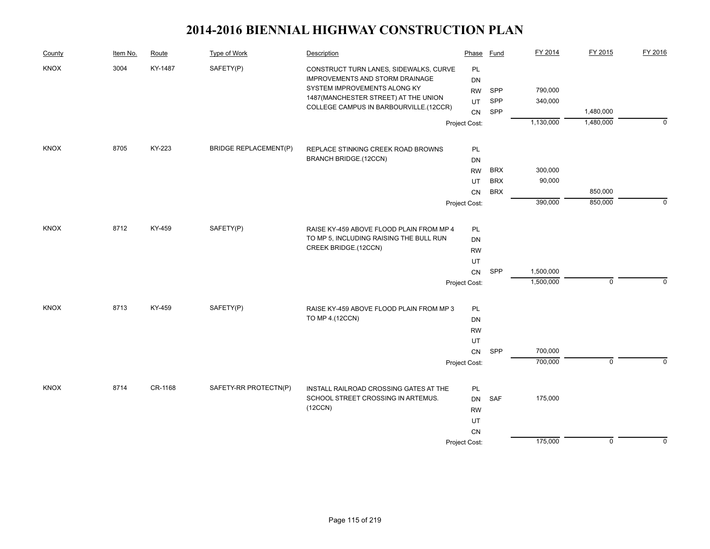| County      | Item No. | Route   | Type of Work                 | Description                                                               | Phase         | Fund       | FY 2014   | FY 2015     | FY 2016     |
|-------------|----------|---------|------------------------------|---------------------------------------------------------------------------|---------------|------------|-----------|-------------|-------------|
| KNOX        | 3004     | KY-1487 | SAFETY(P)                    | CONSTRUCT TURN LANES, SIDEWALKS, CURVE<br>IMPROVEMENTS AND STORM DRAINAGE | PL<br>DN      |            |           |             |             |
|             |          |         |                              | SYSTEM IMPROVEMENTS ALONG KY                                              | <b>RW</b>     | SPP        | 790,000   |             |             |
|             |          |         |                              | 1487 (MANCHESTER STREET) AT THE UNION                                     | <b>UT</b>     | SPP        | 340,000   |             |             |
|             |          |         |                              | COLLEGE CAMPUS IN BARBOURVILLE.(12CCR)                                    | CN            | SPP        |           | 1,480,000   |             |
|             |          |         |                              |                                                                           | Project Cost: |            | 1,130,000 | 1,480,000   | $\mathbf 0$ |
|             | 8705     | KY-223  |                              |                                                                           |               |            |           |             |             |
| <b>KNOX</b> |          |         | <b>BRIDGE REPLACEMENT(P)</b> | REPLACE STINKING CREEK ROAD BROWNS<br><b>BRANCH BRIDGE.(12CCN)</b>        | PL<br>DN      |            |           |             |             |
|             |          |         |                              |                                                                           | <b>RW</b>     | <b>BRX</b> | 300,000   |             |             |
|             |          |         |                              |                                                                           | UT            | <b>BRX</b> | 90,000    |             |             |
|             |          |         |                              |                                                                           | CN            | <b>BRX</b> |           | 850,000     |             |
|             |          |         |                              |                                                                           | Project Cost: |            | 390,000   | 850,000     | $\mathbf 0$ |
|             |          |         |                              |                                                                           |               |            |           |             |             |
| <b>KNOX</b> | 8712     | KY-459  | SAFETY(P)                    | RAISE KY-459 ABOVE FLOOD PLAIN FROM MP 4                                  | PL            |            |           |             |             |
|             |          |         |                              | TO MP 5, INCLUDING RAISING THE BULL RUN                                   | DN            |            |           |             |             |
|             |          |         |                              | CREEK BRIDGE.(12CCN)                                                      | <b>RW</b>     |            |           |             |             |
|             |          |         |                              |                                                                           | UT            |            |           |             |             |
|             |          |         |                              |                                                                           | CN            | SPP        | 1,500,000 |             |             |
|             |          |         |                              |                                                                           | Project Cost: |            | 1,500,000 | $\mathbf 0$ | $\Omega$    |
| KNOX        | 8713     | KY-459  | SAFETY(P)                    | RAISE KY-459 ABOVE FLOOD PLAIN FROM MP 3                                  | PL            |            |           |             |             |
|             |          |         |                              | TO MP 4.(12CCN)                                                           | DN            |            |           |             |             |
|             |          |         |                              |                                                                           | <b>RW</b>     |            |           |             |             |
|             |          |         |                              |                                                                           | UT            |            |           |             |             |
|             |          |         |                              |                                                                           | CN            | SPP        | 700,000   |             |             |
|             |          |         |                              |                                                                           | Project Cost: |            | 700,000   | $\mathbf 0$ | $\Omega$    |
| <b>KNOX</b> | 8714     | CR-1168 | SAFETY-RR PROTECTN(P)        | INSTALL RAILROAD CROSSING GATES AT THE                                    | PL            |            |           |             |             |
|             |          |         |                              | SCHOOL STREET CROSSING IN ARTEMUS.                                        | <b>DN</b>     | SAF        | 175,000   |             |             |
|             |          |         |                              | (12CCN)                                                                   | <b>RW</b>     |            |           |             |             |
|             |          |         |                              |                                                                           | UT            |            |           |             |             |
|             |          |         |                              |                                                                           | <b>CN</b>     |            |           |             |             |
|             |          |         |                              |                                                                           | Project Cost: |            | 175,000   | $\mathbf 0$ | $\mathbf 0$ |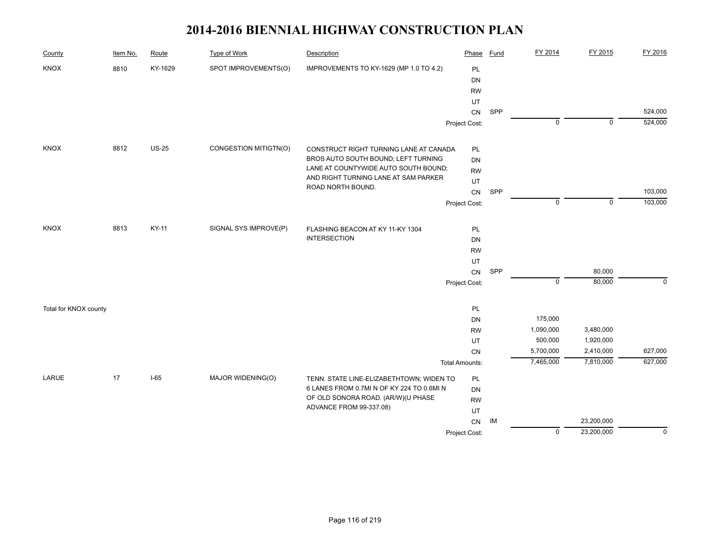| County                | Item No. | Route   | <b>Type of Work</b>   | Description                                               | Phase                 | <b>Fund</b> | FY 2014        | FY 2015     | FY 2016     |
|-----------------------|----------|---------|-----------------------|-----------------------------------------------------------|-----------------------|-------------|----------------|-------------|-------------|
| <b>KNOX</b>           | 8810     | KY-1629 | SPOT IMPROVEMENTS(O)  | IMPROVEMENTS TO KY-1629 (MP 1.0 TO 4.2)                   | <b>PL</b>             |             |                |             |             |
|                       |          |         |                       |                                                           | DN                    |             |                |             |             |
|                       |          |         |                       |                                                           | <b>RW</b>             |             |                |             |             |
|                       |          |         |                       |                                                           | UT                    |             |                |             |             |
|                       |          |         |                       |                                                           | CN                    | SPP         |                |             | 524,000     |
|                       |          |         |                       |                                                           | Project Cost:         |             | $\mathbf 0$    | $\mathbf 0$ | 524,000     |
| <b>KNOX</b>           | 8812     | $US-25$ | CONGESTION MITIGTN(O) | CONSTRUCT RIGHT TURNING LANE AT CANADA                    | PL                    |             |                |             |             |
|                       |          |         |                       | BROS AUTO SOUTH BOUND; LEFT TURNING                       | DN                    |             |                |             |             |
|                       |          |         |                       | LANE AT COUNTYWIDE AUTO SOUTH BOUND;                      | <b>RW</b>             |             |                |             |             |
|                       |          |         |                       | AND RIGHT TURNING LANE AT SAM PARKER<br>ROAD NORTH BOUND. | UT                    |             |                |             |             |
|                       |          |         |                       |                                                           | ${\sf CN}$            | SPP         |                |             | 103,000     |
|                       |          |         |                       |                                                           | Project Cost:         |             | $\mathbf 0$    | $\mathbf 0$ | 103,000     |
| <b>KNOX</b>           | 8813     | KY-11   | SIGNAL SYS IMPROVE(P) | FLASHING BEACON AT KY 11-KY 1304                          | PL                    |             |                |             |             |
|                       |          |         |                       | <b>INTERSECTION</b>                                       | DN                    |             |                |             |             |
|                       |          |         |                       |                                                           | <b>RW</b>             |             |                |             |             |
|                       |          |         |                       |                                                           | UT                    |             |                |             |             |
|                       |          |         |                       |                                                           | CN                    | SPP         |                | 80,000      |             |
|                       |          |         |                       |                                                           | Project Cost:         |             | $\overline{0}$ | 80,000      | $\mathbf 0$ |
| Total for KNOX county |          |         |                       |                                                           | PL                    |             |                |             |             |
|                       |          |         |                       |                                                           | DN                    |             | 175,000        |             |             |
|                       |          |         |                       |                                                           | <b>RW</b>             |             | 1,090,000      | 3,480,000   |             |
|                       |          |         |                       |                                                           | UT                    |             | 500,000        | 1,920,000   |             |
|                       |          |         |                       |                                                           | CN                    |             | 5,700,000      | 2,410,000   | 627,000     |
|                       |          |         |                       |                                                           | <b>Total Amounts:</b> |             | 7,465,000      | 7,810,000   | 627,000     |
| LARUE                 | 17       | $I-65$  | MAJOR WIDENING(O)     | TENN. STATE LINE-ELIZABETHTOWN; WIDEN TO                  | PL                    |             |                |             |             |
|                       |          |         |                       | 6 LANES FROM 0.7MI N OF KY 224 TO 0.6MI N                 | DN                    |             |                |             |             |
|                       |          |         |                       | OF OLD SONORA ROAD. (AR/W)(U PHASE                        | <b>RW</b>             |             |                |             |             |
|                       |          |         |                       | ADVANCE FROM 99-337.08)                                   | UT                    |             |                |             |             |
|                       |          |         |                       |                                                           | ${\sf CN}$            | IM          |                | 23,200,000  |             |
|                       |          |         |                       |                                                           | Project Cost:         |             | $\mathbf 0$    | 23,200,000  | $\mathbf 0$ |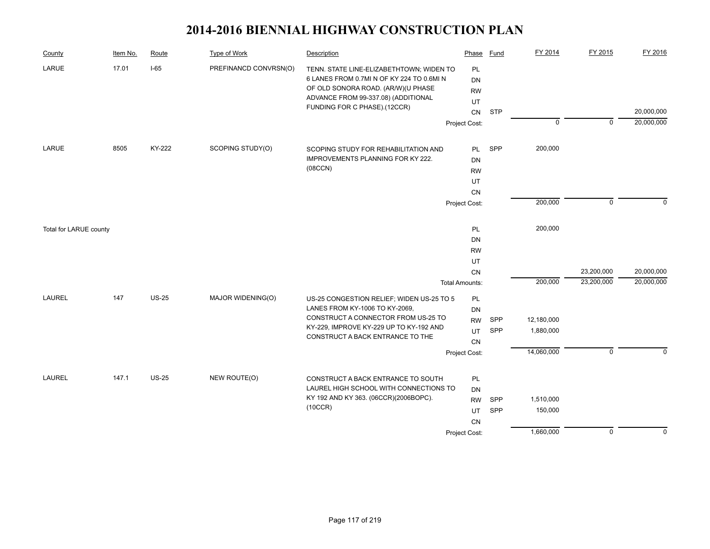| County                 | Item No. | Route        | Type of Work          | Description                                                                                                                                                                                        | Phase                                                      | Fund              | FY 2014                            | FY 2015        | FY 2016        |
|------------------------|----------|--------------|-----------------------|----------------------------------------------------------------------------------------------------------------------------------------------------------------------------------------------------|------------------------------------------------------------|-------------------|------------------------------------|----------------|----------------|
| LARUE                  | 17.01    | $I-65$       | PREFINANCD CONVRSN(O) | TENN. STATE LINE-ELIZABETHTOWN; WIDEN TO<br>6 LANES FROM 0.7MI N OF KY 224 TO 0.6MI N<br>OF OLD SONORA ROAD. (AR/W)(U PHASE<br>ADVANCE FROM 99-337.08) (ADDITIONAL<br>FUNDING FOR C PHASE).(12CCR) | PL<br>DN<br><b>RW</b><br>UT<br>CN                          | <b>STP</b>        |                                    |                | 20,000,000     |
|                        |          |              |                       |                                                                                                                                                                                                    | Project Cost:                                              |                   | $\overline{0}$                     | $\overline{0}$ | 20,000,000     |
| LARUE                  | 8505     | KY-222       | SCOPING STUDY(O)      | SCOPING STUDY FOR REHABILITATION AND<br><b>IMPROVEMENTS PLANNING FOR KY 222.</b><br>(08CCN)                                                                                                        | <b>PL</b><br><b>DN</b><br><b>RW</b><br>UT<br>CN            | SPP               | 200,000                            |                |                |
|                        |          |              |                       |                                                                                                                                                                                                    | Project Cost:                                              |                   | 200,000                            | $\mathbf 0$    | $\Omega$       |
| Total for LARUE county |          |              |                       |                                                                                                                                                                                                    | PL<br><b>DN</b><br><b>RW</b><br>UT                         |                   | 200,000                            |                |                |
|                        |          |              |                       |                                                                                                                                                                                                    | CN                                                         |                   |                                    | 23,200,000     | 20,000,000     |
| <b>LAUREL</b>          | 147      | <b>US-25</b> | MAJOR WIDENING(O)     | US-25 CONGESTION RELIEF; WIDEN US-25 TO 5<br>LANES FROM KY-1006 TO KY-2069,<br>CONSTRUCT A CONNECTOR FROM US-25 TO<br>KY-229, IMPROVE KY-229 UP TO KY-192 AND<br>CONSTRUCT A BACK ENTRANCE TO THE  | <b>Total Amounts:</b><br>PL<br>DN<br><b>RW</b><br>UT<br>CN | <b>SPP</b><br>SPP | 200,000<br>12,180,000<br>1,880,000 | 23,200,000     | 20,000,000     |
|                        |          |              |                       |                                                                                                                                                                                                    | Project Cost:                                              |                   | 14,060,000                         | $\mathbf 0$    | $\Omega$       |
| <b>LAUREL</b>          | 147.1    | <b>US-25</b> | NEW ROUTE(O)          | CONSTRUCT A BACK ENTRANCE TO SOUTH<br>LAUREL HIGH SCHOOL WITH CONNECTIONS TO<br>KY 192 AND KY 363. (06CCR)(2006BOPC).<br>(10CCR)                                                                   | PL<br>DN<br><b>RW</b><br>UT<br><b>CN</b>                   | SPP<br>SPP        | 1,510,000<br>150,000               |                |                |
|                        |          |              |                       |                                                                                                                                                                                                    | Project Cost:                                              |                   | 1,660,000                          | $\overline{0}$ | $\overline{0}$ |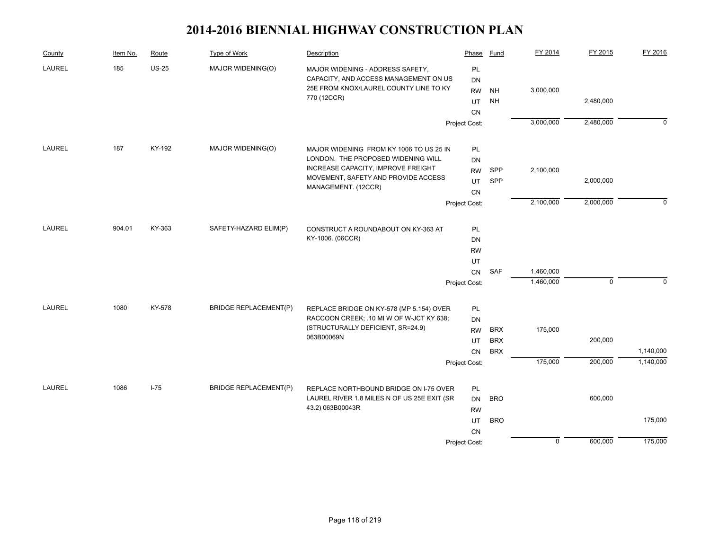| County        | Item No. | Route    | Type of Work                 | Description                                                                          | Phase           | Fund       | FY 2014     | FY 2015     | FY 2016     |
|---------------|----------|----------|------------------------------|--------------------------------------------------------------------------------------|-----------------|------------|-------------|-------------|-------------|
| <b>LAUREL</b> | 185      | $US-25$  | MAJOR WIDENING(O)            | MAJOR WIDENING - ADDRESS SAFETY,                                                     | PL              |            |             |             |             |
|               |          |          |                              | CAPACITY, AND ACCESS MANAGEMENT ON US                                                | DN              |            |             |             |             |
|               |          |          |                              | 25E FROM KNOX/LAUREL COUNTY LINE TO KY<br>770 (12CCR)                                | <b>RW</b>       | <b>NH</b>  | 3,000,000   |             |             |
|               |          |          |                              |                                                                                      | UT              | <b>NH</b>  |             | 2,480,000   |             |
|               |          |          |                              |                                                                                      | <b>CN</b>       |            |             |             |             |
|               |          |          |                              |                                                                                      | Project Cost:   |            | 3,000,000   | 2,480,000   | $\Omega$    |
| LAUREL        | 187      | KY-192   | MAJOR WIDENING(O)            | MAJOR WIDENING FROM KY 1006 TO US 25 IN                                              | PL              |            |             |             |             |
|               |          |          |                              | LONDON. THE PROPOSED WIDENING WILL                                                   | <b>DN</b>       |            |             |             |             |
|               |          |          |                              | <b>INCREASE CAPACITY, IMPROVE FREIGHT</b>                                            | <b>RW</b>       | SPP        | 2,100,000   |             |             |
|               |          |          |                              | MOVEMENT, SAFETY AND PROVIDE ACCESS                                                  | <b>UT</b>       | SPP        |             | 2,000,000   |             |
|               |          |          |                              | MANAGEMENT. (12CCR)                                                                  | <b>CN</b>       |            |             |             |             |
|               |          |          |                              |                                                                                      | Project Cost:   |            | 2,100,000   | 2,000,000   | $\mathbf 0$ |
| LAUREL        | 904.01   | KY-363   | SAFETY-HAZARD ELIM(P)        | CONSTRUCT A ROUNDABOUT ON KY-363 AT                                                  | PL              |            |             |             |             |
|               |          |          |                              | KY-1006. (06CCR)                                                                     | <b>DN</b>       |            |             |             |             |
|               |          |          |                              |                                                                                      | <b>RW</b>       |            |             |             |             |
|               |          |          |                              |                                                                                      | UT              |            |             |             |             |
|               |          |          |                              |                                                                                      | CN              | SAF        | 1,460,000   |             |             |
|               |          |          |                              |                                                                                      | Project Cost:   |            | 1,460,000   | $\mathbf 0$ | $\mathbf 0$ |
| <b>LAUREL</b> | 1080     | KY-578   | <b>BRIDGE REPLACEMENT(P)</b> |                                                                                      |                 |            |             |             |             |
|               |          |          |                              | REPLACE BRIDGE ON KY-578 (MP 5.154) OVER<br>RACCOON CREEK; .10 MI W OF W-JCT KY 638; | PL              |            |             |             |             |
|               |          |          |                              | (STRUCTURALLY DEFICIENT, SR=24.9)                                                    | DN<br><b>RW</b> | <b>BRX</b> | 175,000     |             |             |
|               |          |          |                              | 063B00069N                                                                           | UT              | <b>BRX</b> |             | 200,000     |             |
|               |          |          |                              |                                                                                      | <b>CN</b>       | <b>BRX</b> |             |             | 1,140,000   |
|               |          |          |                              |                                                                                      | Project Cost:   |            | 175,000     | 200,000     | 1,140,000   |
|               |          |          |                              |                                                                                      |                 |            |             |             |             |
| LAUREL        | 1086     | $I - 75$ | <b>BRIDGE REPLACEMENT(P)</b> | REPLACE NORTHBOUND BRIDGE ON I-75 OVER                                               | PL              |            |             |             |             |
|               |          |          |                              | LAUREL RIVER 1.8 MILES N OF US 25E EXIT (SR                                          | <b>DN</b>       | <b>BRO</b> |             | 600,000     |             |
|               |          |          |                              | 43.2) 063B00043R                                                                     | <b>RW</b>       |            |             |             |             |
|               |          |          |                              |                                                                                      | UT              | <b>BRO</b> |             |             | 175,000     |
|               |          |          |                              |                                                                                      | <b>CN</b>       |            |             |             |             |
|               |          |          |                              |                                                                                      | Project Cost:   |            | $\mathbf 0$ | 600,000     | 175,000     |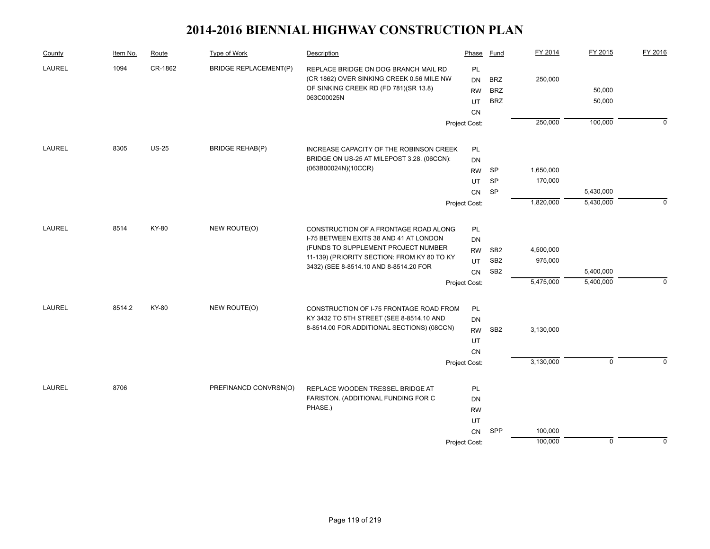| County        | Item No. | Route   | Type of Work                 | Description                                                                        | Phase           | <b>Fund</b>     | FY 2014   | FY 2015        | FY 2016     |
|---------------|----------|---------|------------------------------|------------------------------------------------------------------------------------|-----------------|-----------------|-----------|----------------|-------------|
| <b>LAUREL</b> | 1094     | CR-1862 | <b>BRIDGE REPLACEMENT(P)</b> | REPLACE BRIDGE ON DOG BRANCH MAIL RD                                               | PL              |                 |           |                |             |
|               |          |         |                              | (CR 1862) OVER SINKING CREEK 0.56 MILE NW<br>OF SINKING CREEK RD (FD 781)(SR 13.8) | <b>DN</b>       | <b>BRZ</b>      | 250,000   |                |             |
|               |          |         |                              | 063C00025N                                                                         | <b>RW</b>       | <b>BRZ</b>      |           | 50,000         |             |
|               |          |         |                              |                                                                                    | UT<br><b>CN</b> | <b>BRZ</b>      |           | 50,000         |             |
|               |          |         |                              |                                                                                    | Project Cost:   |                 | 250,000   | 100,000        | $\Omega$    |
|               |          |         |                              |                                                                                    |                 |                 |           |                |             |
| LAUREL        | 8305     | $US-25$ | <b>BRIDGE REHAB(P)</b>       | INCREASE CAPACITY OF THE ROBINSON CREEK                                            | PL              |                 |           |                |             |
|               |          |         |                              | BRIDGE ON US-25 AT MILEPOST 3.28. (06CCN):                                         | <b>DN</b>       |                 |           |                |             |
|               |          |         |                              | (063B00024N)(10CCR)                                                                | <b>RW</b>       | SP              | 1,650,000 |                |             |
|               |          |         |                              |                                                                                    | UT              | <b>SP</b>       | 170,000   |                |             |
|               |          |         |                              |                                                                                    | CN              | <b>SP</b>       |           | 5,430,000      |             |
|               |          |         |                              |                                                                                    | Project Cost:   |                 | 1,820,000 | 5,430,000      | $\mathbf 0$ |
| LAUREL        | 8514     | KY-80   | NEW ROUTE(O)                 | CONSTRUCTION OF A FRONTAGE ROAD ALONG                                              | PL              |                 |           |                |             |
|               |          |         |                              | I-75 BETWEEN EXITS 38 AND 41 AT LONDON                                             | DN              |                 |           |                |             |
|               |          |         |                              | (FUNDS TO SUPPLEMENT PROJECT NUMBER                                                | <b>RW</b>       | SB <sub>2</sub> | 4,500,000 |                |             |
|               |          |         |                              | 11-139) (PRIORITY SECTION: FROM KY 80 TO KY                                        | UT              | SB <sub>2</sub> | 975,000   |                |             |
|               |          |         |                              | 3432) (SEE 8-8514.10 AND 8-8514.20 FOR                                             | <b>CN</b>       | SB <sub>2</sub> |           | 5,400,000      |             |
|               |          |         |                              |                                                                                    | Project Cost:   |                 | 5,475,000 | 5,400,000      | $\mathbf 0$ |
|               |          |         |                              |                                                                                    |                 |                 |           |                |             |
| <b>LAUREL</b> | 8514.2   | KY-80   | NEW ROUTE(O)                 | CONSTRUCTION OF I-75 FRONTAGE ROAD FROM                                            | PL              |                 |           |                |             |
|               |          |         |                              | KY 3432 TO 5TH STREET (SEE 8-8514.10 AND                                           | <b>DN</b>       |                 |           |                |             |
|               |          |         |                              | 8-8514.00 FOR ADDITIONAL SECTIONS) (08CCN)                                         | <b>RW</b>       | SB <sub>2</sub> | 3,130,000 |                |             |
|               |          |         |                              |                                                                                    | UT              |                 |           |                |             |
|               |          |         |                              |                                                                                    | CN              |                 |           |                |             |
|               |          |         |                              |                                                                                    | Project Cost:   |                 | 3,130,000 | $\overline{0}$ | $\Omega$    |
| <b>LAUREL</b> | 8706     |         | PREFINANCD CONVRSN(O)        | REPLACE WOODEN TRESSEL BRIDGE AT                                                   | PL              |                 |           |                |             |
|               |          |         |                              | FARISTON. (ADDITIONAL FUNDING FOR C                                                | DN              |                 |           |                |             |
|               |          |         |                              | PHASE.)                                                                            | <b>RW</b>       |                 |           |                |             |
|               |          |         |                              |                                                                                    | UT              |                 |           |                |             |
|               |          |         |                              |                                                                                    | CN              | SPP             | 100,000   |                |             |
|               |          |         |                              |                                                                                    | Project Cost:   |                 | 100,000   | $\mathbf 0$    | $\mathbf 0$ |
|               |          |         |                              |                                                                                    |                 |                 |           |                |             |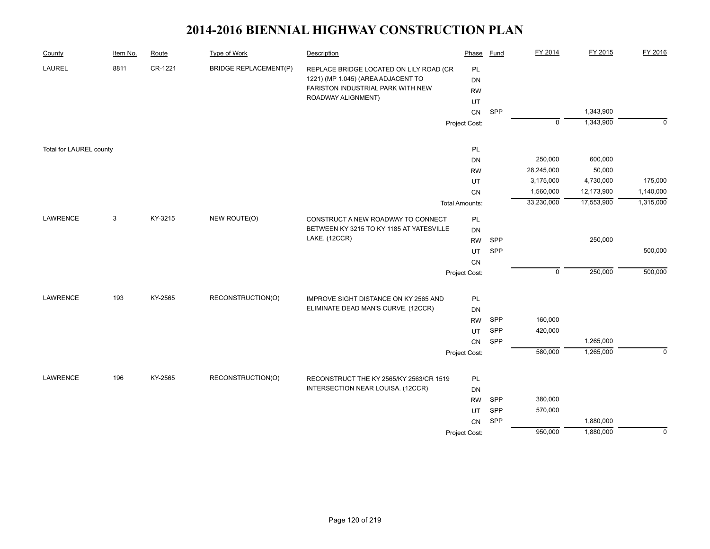| County                  | Item No. | Route   | <b>Type of Work</b>          | Description                              | Phase                 | Fund       | FY 2014        | FY 2015    | FY 2016        |
|-------------------------|----------|---------|------------------------------|------------------------------------------|-----------------------|------------|----------------|------------|----------------|
| LAUREL                  | 8811     | CR-1221 | <b>BRIDGE REPLACEMENT(P)</b> | REPLACE BRIDGE LOCATED ON LILY ROAD (CR  | PL                    |            |                |            |                |
|                         |          |         |                              | 1221) (MP 1.045) (AREA ADJACENT TO       | DN                    |            |                |            |                |
|                         |          |         |                              | FARISTON INDUSTRIAL PARK WITH NEW        | <b>RW</b>             |            |                |            |                |
|                         |          |         |                              | ROADWAY ALIGNMENT)                       | UT                    |            |                |            |                |
|                         |          |         |                              |                                          | ${\sf CN}$            | SPP        |                | 1,343,900  |                |
|                         |          |         |                              |                                          | Project Cost:         |            | $\overline{0}$ | 1,343,900  | $\mathbf 0$    |
| Total for LAUREL county |          |         |                              |                                          | PL                    |            |                |            |                |
|                         |          |         |                              |                                          | DN                    |            | 250,000        | 600,000    |                |
|                         |          |         |                              |                                          | <b>RW</b>             |            | 28,245,000     | 50,000     |                |
|                         |          |         |                              |                                          | UT                    |            | 3,175,000      | 4,730,000  | 175,000        |
|                         |          |         |                              |                                          | CN                    |            | 1,560,000      | 12,173,900 | 1,140,000      |
|                         |          |         |                              |                                          | <b>Total Amounts:</b> |            | 33,230,000     | 17,553,900 | 1,315,000      |
| LAWRENCE                | 3        | KY-3215 | NEW ROUTE(O)                 | CONSTRUCT A NEW ROADWAY TO CONNECT       | PL                    |            |                |            |                |
|                         |          |         |                              | BETWEEN KY 3215 TO KY 1185 AT YATESVILLE | DN                    |            |                |            |                |
|                         |          |         |                              | LAKE. (12CCR)                            | <b>RW</b>             | SPP        |                | 250,000    |                |
|                         |          |         |                              |                                          | UT                    | SPP        |                |            | 500,000        |
|                         |          |         |                              |                                          | CN                    |            |                |            |                |
|                         |          |         |                              |                                          | Project Cost:         |            | $\mathbf 0$    | 250,000    | 500,000        |
| <b>LAWRENCE</b>         | 193      | KY-2565 | RECONSTRUCTION(O)            | IMPROVE SIGHT DISTANCE ON KY 2565 AND    | PL                    |            |                |            |                |
|                         |          |         |                              | ELIMINATE DEAD MAN'S CURVE. (12CCR)      | <b>DN</b>             |            |                |            |                |
|                         |          |         |                              |                                          | <b>RW</b>             | <b>SPP</b> | 160,000        |            |                |
|                         |          |         |                              |                                          | UT                    | SPP        | 420,000        |            |                |
|                         |          |         |                              |                                          | CN                    | SPP        |                | 1,265,000  |                |
|                         |          |         |                              |                                          | Project Cost:         |            | 580,000        | 1,265,000  | $\mathbf 0$    |
|                         |          |         |                              |                                          |                       |            |                |            |                |
| LAWRENCE                | 196      | KY-2565 | RECONSTRUCTION(O)            | RECONSTRUCT THE KY 2565/KY 2563/CR 1519  | PL                    |            |                |            |                |
|                         |          |         |                              | INTERSECTION NEAR LOUISA. (12CCR)        | <b>DN</b>             |            |                |            |                |
|                         |          |         |                              |                                          | <b>RW</b>             | SPP        | 380,000        |            |                |
|                         |          |         |                              |                                          | UT                    | SPP        | 570,000        |            |                |
|                         |          |         |                              |                                          | CN                    | SPP        |                | 1,880,000  |                |
|                         |          |         |                              |                                          | Project Cost:         |            | 950,000        | 1,880,000  | $\overline{0}$ |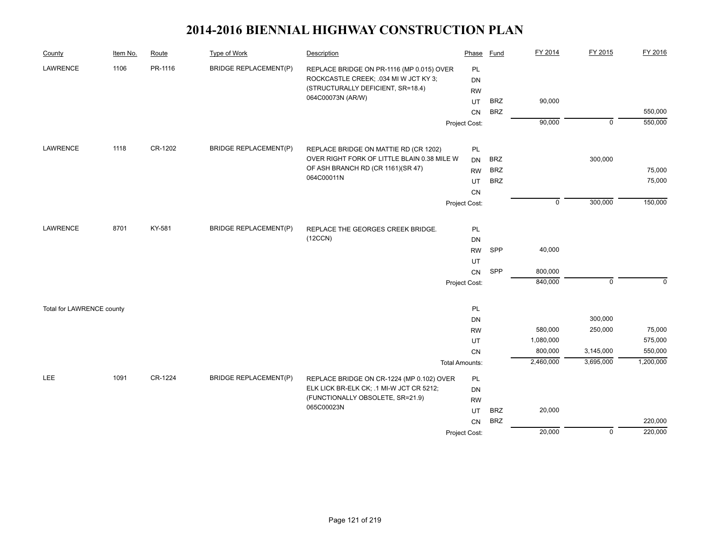| County                    | Item No. | Route   | <b>Type of Work</b>          | Description                                                                        | Phase                 | Fund       | FY 2014     | FY 2015        | FY 2016   |
|---------------------------|----------|---------|------------------------------|------------------------------------------------------------------------------------|-----------------------|------------|-------------|----------------|-----------|
| LAWRENCE                  | 1106     | PR-1116 | <b>BRIDGE REPLACEMENT(P)</b> | REPLACE BRIDGE ON PR-1116 (MP 0.015) OVER<br>ROCKCASTLE CREEK; .034 MI W JCT KY 3; | PL<br><b>DN</b>       |            |             |                |           |
|                           |          |         |                              | (STRUCTURALLY DEFICIENT, SR=18.4)<br>064C00073N (AR/W)                             | <b>RW</b><br>UT       | <b>BRZ</b> | 90,000      |                |           |
|                           |          |         |                              |                                                                                    | CN                    | <b>BRZ</b> |             |                | 550,000   |
|                           |          |         |                              |                                                                                    | Project Cost:         |            | 90,000      | $\overline{0}$ | 550,000   |
|                           |          |         |                              |                                                                                    |                       |            |             |                |           |
| LAWRENCE                  | 1118     | CR-1202 | <b>BRIDGE REPLACEMENT(P)</b> | REPLACE BRIDGE ON MATTIE RD (CR 1202)                                              | PL                    |            |             |                |           |
|                           |          |         |                              | OVER RIGHT FORK OF LITTLE BLAIN 0.38 MILE W                                        | <b>DN</b>             | <b>BRZ</b> |             | 300,000        |           |
|                           |          |         |                              | OF ASH BRANCH RD (CR 1161)(SR 47)<br>064C00011N                                    | <b>RW</b>             | <b>BRZ</b> |             |                | 75,000    |
|                           |          |         |                              |                                                                                    | UT                    | <b>BRZ</b> |             |                | 75,000    |
|                           |          |         |                              |                                                                                    | CN                    |            |             |                |           |
|                           |          |         |                              |                                                                                    | Project Cost:         |            | $\mathbf 0$ | 300,000        | 150,000   |
| LAWRENCE                  | 8701     | KY-581  | <b>BRIDGE REPLACEMENT(P)</b> | REPLACE THE GEORGES CREEK BRIDGE.                                                  | PL                    |            |             |                |           |
|                           |          |         |                              | (12CCN)                                                                            | DN                    |            |             |                |           |
|                           |          |         |                              |                                                                                    | <b>RW</b>             | SPP        | 40,000      |                |           |
|                           |          |         |                              |                                                                                    | UT                    |            |             |                |           |
|                           |          |         |                              |                                                                                    | CN                    | SPP        | 800,000     |                |           |
|                           |          |         |                              |                                                                                    | Project Cost:         |            | 840,000     | $\mathbf 0$    | $\Omega$  |
| Total for LAWRENCE county |          |         |                              |                                                                                    | PL                    |            |             |                |           |
|                           |          |         |                              |                                                                                    | DN                    |            |             | 300,000        |           |
|                           |          |         |                              |                                                                                    | <b>RW</b>             |            | 580,000     | 250,000        | 75,000    |
|                           |          |         |                              |                                                                                    | UT                    |            | 1,080,000   |                | 575,000   |
|                           |          |         |                              |                                                                                    | CN                    |            | 800,000     | 3,145,000      | 550,000   |
|                           |          |         |                              |                                                                                    | <b>Total Amounts:</b> |            | 2,460,000   | 3,695,000      | 1,200,000 |
| <b>LEE</b>                | 1091     | CR-1224 | <b>BRIDGE REPLACEMENT(P)</b> | REPLACE BRIDGE ON CR-1224 (MP 0.102) OVER                                          | PL                    |            |             |                |           |
|                           |          |         |                              | ELK LICK BR-ELK CK; .1 MI-W JCT CR 5212;                                           | <b>DN</b>             |            |             |                |           |
|                           |          |         |                              | (FUNCTIONALLY OBSOLETE, SR=21.9)                                                   | <b>RW</b>             |            |             |                |           |
|                           |          |         |                              | 065C00023N                                                                         | UT                    | <b>BRZ</b> | 20,000      |                |           |
|                           |          |         |                              |                                                                                    | <b>CN</b>             | <b>BRZ</b> |             |                | 220,000   |
|                           |          |         |                              |                                                                                    | Project Cost:         |            | 20,000      | $\overline{0}$ | 220,000   |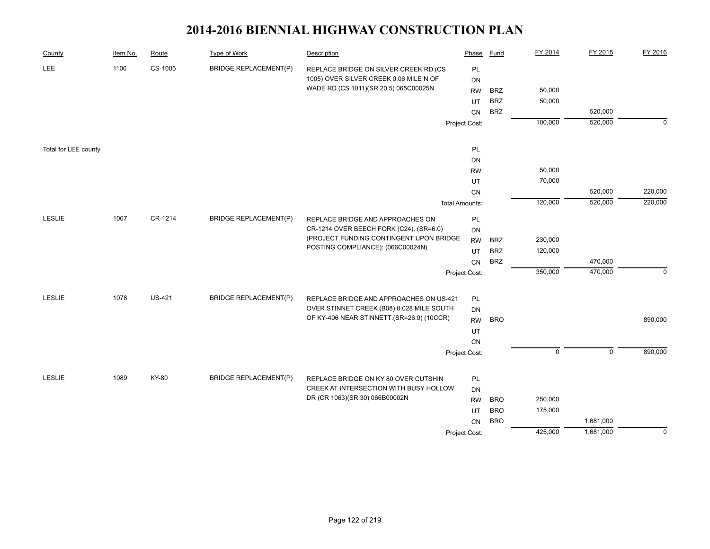| County               | Item No. | Route         | <b>Type of Work</b>          | Description                                                                    | Phase                 | <b>Fund</b> | FY 2014     | FY 2015     | FY 2016     |
|----------------------|----------|---------------|------------------------------|--------------------------------------------------------------------------------|-----------------------|-------------|-------------|-------------|-------------|
| <b>LEE</b>           | 1106     | CS-1005       | <b>BRIDGE REPLACEMENT(P)</b> | REPLACE BRIDGE ON SILVER CREEK RD (CS                                          | PL                    |             |             |             |             |
|                      |          |               |                              | 1005) OVER SILVER CREEK 0.06 MILE N OF                                         | <b>DN</b>             |             |             |             |             |
|                      |          |               |                              | WADE RD (CS 1011)(SR 20.5) 065C00025N                                          | <b>RW</b>             | <b>BRZ</b>  | 50,000      |             |             |
|                      |          |               |                              |                                                                                | UT                    | <b>BRZ</b>  | 50,000      |             |             |
|                      |          |               |                              |                                                                                | CN                    | <b>BRZ</b>  |             | 520,000     |             |
|                      |          |               |                              |                                                                                | Project Cost:         |             | 100,000     | 520,000     | $\mathbf 0$ |
| Total for LEE county |          |               |                              |                                                                                | PL                    |             |             |             |             |
|                      |          |               |                              |                                                                                | DN                    |             |             |             |             |
|                      |          |               |                              |                                                                                | <b>RW</b>             |             | 50,000      |             |             |
|                      |          |               |                              |                                                                                | UT                    |             | 70,000      |             |             |
|                      |          |               |                              |                                                                                | CN                    |             |             | 520,000     | 220,000     |
|                      |          |               |                              |                                                                                | <b>Total Amounts:</b> |             | 120,000     | 520,000     | 220,000     |
| <b>LESLIE</b>        | 1067     | CR-1214       | <b>BRIDGE REPLACEMENT(P)</b> | REPLACE BRIDGE AND APPROACHES ON                                               | PL                    |             |             |             |             |
|                      |          |               |                              | CR-1214 OVER BEECH FORK (C24). (SR=6.0)                                        | DN                    |             |             |             |             |
|                      |          |               |                              | (PROJECT FUNDING CONTINGENT UPON BRIDGE                                        | <b>RW</b>             | <b>BRZ</b>  | 230,000     |             |             |
|                      |          |               |                              | POSTING COMPLIANCE): (066C00024N)                                              | UT                    | <b>BRZ</b>  | 120,000     |             |             |
|                      |          |               |                              |                                                                                | <b>CN</b>             | <b>BRZ</b>  |             | 470,000     |             |
|                      |          |               |                              |                                                                                | Project Cost:         |             | 350,000     | 470,000     | $\mathbf 0$ |
|                      |          |               |                              |                                                                                |                       |             |             |             |             |
| <b>LESLIE</b>        | 1078     | <b>US-421</b> | <b>BRIDGE REPLACEMENT(P)</b> | REPLACE BRIDGE AND APPROACHES ON US-421                                        | PL                    |             |             |             |             |
|                      |          |               |                              | OVER STINNET CREEK (B08) 0.028 MILE SOUTH                                      | <b>DN</b>             |             |             |             |             |
|                      |          |               |                              | OF KY-406 NEAR STINNETT.(SR=26.0) (10CCR)                                      | <b>RW</b>             | <b>BRO</b>  |             |             | 890,000     |
|                      |          |               |                              |                                                                                | UT                    |             |             |             |             |
|                      |          |               |                              |                                                                                | CN                    |             |             |             |             |
|                      |          |               |                              |                                                                                | Project Cost:         |             | $\mathsf 0$ | $\mathbf 0$ | 890,000     |
| LESLIE               | 1089     | KY-80         |                              |                                                                                |                       |             |             |             |             |
|                      |          |               | <b>BRIDGE REPLACEMENT(P)</b> | REPLACE BRIDGE ON KY 80 OVER CUTSHIN<br>CREEK AT INTERSECTION WITH BUSY HOLLOW | PL                    |             |             |             |             |
|                      |          |               |                              | DR (CR 1063)(SR 30) 066B00002N                                                 | DN                    | <b>BRO</b>  | 250,000     |             |             |
|                      |          |               |                              |                                                                                | <b>RW</b>             | <b>BRO</b>  | 175,000     |             |             |
|                      |          |               |                              |                                                                                | UT<br>CN              | <b>BRO</b>  |             | 1,681,000   |             |
|                      |          |               |                              |                                                                                |                       |             | 425,000     | 1,681,000   | $\mathbf 0$ |
|                      |          |               |                              |                                                                                | Project Cost:         |             |             |             |             |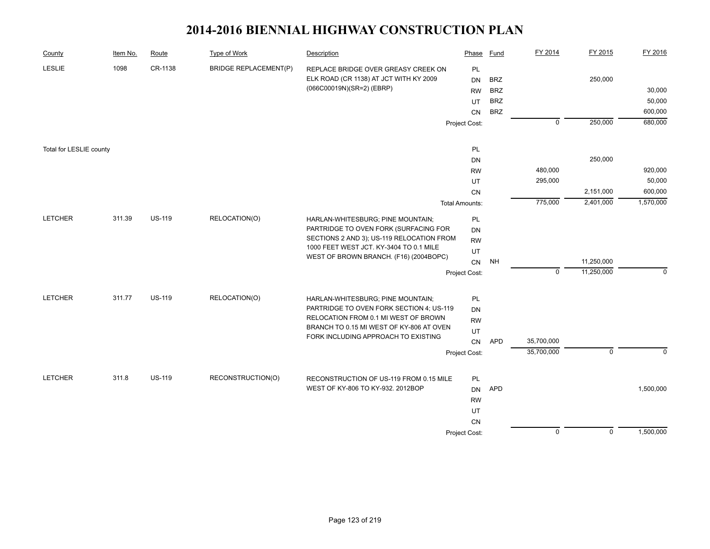| <b>LESLIE</b><br>1098<br>CR-1138<br><b>BRIDGE REPLACEMENT(P)</b><br>PL<br>REPLACE BRIDGE OVER GREASY CREEK ON<br>ELK ROAD (CR 1138) AT JCT WITH KY 2009<br>250,000<br><b>BRZ</b><br>DN<br>(066C00019N)(SR=2) (EBRP)<br>30,000<br><b>BRZ</b><br><b>RW</b><br><b>BRZ</b><br>UT<br><b>BRZ</b><br>CN<br>250,000<br>$\mathbf 0$<br>Project Cost:<br>PL<br>Total for LESLIE county<br>250,000<br>DN<br>480,000<br><b>RW</b><br>295,000<br>UT<br>2,151,000<br>CN<br>775,000<br>2,401,000<br><b>Total Amounts:</b><br><b>LETCHER</b><br>311.39<br><b>US-119</b><br>RELOCATION(O)<br>PL<br>HARLAN-WHITESBURG; PINE MOUNTAIN;<br>PARTRIDGE TO OVEN FORK (SURFACING FOR<br>DN<br>SECTIONS 2 AND 3); US-119 RELOCATION FROM<br><b>RW</b><br>1000 FEET WEST JCT. KY-3404 TO 0.1 MILE<br>UT<br>WEST OF BROWN BRANCH. (F16) (2004BOPC)<br>11,250,000<br>NH<br>CN<br>11,250,000<br>$\mathbf{0}$<br>Project Cost:<br>311.77<br><b>US-119</b><br>RELOCATION(O)<br><b>LETCHER</b><br>PL<br>HARLAN-WHITESBURG; PINE MOUNTAIN;<br>PARTRIDGE TO OVEN FORK SECTION 4; US-119<br>DN<br>RELOCATION FROM 0.1 MI WEST OF BROWN<br><b>RW</b><br>BRANCH TO 0.15 MI WEST OF KY-806 AT OVEN<br>UT<br>FORK INCLUDING APPROACH TO EXISTING<br>35,700,000<br><b>APD</b><br>CN<br>35,700,000<br>$\mathbf 0$<br>Project Cost: | County | Item No. | Route | <b>Type of Work</b> | Description | Phase | Fund | FY 2014 | FY 2015 | FY 2016   |
|-------------------------------------------------------------------------------------------------------------------------------------------------------------------------------------------------------------------------------------------------------------------------------------------------------------------------------------------------------------------------------------------------------------------------------------------------------------------------------------------------------------------------------------------------------------------------------------------------------------------------------------------------------------------------------------------------------------------------------------------------------------------------------------------------------------------------------------------------------------------------------------------------------------------------------------------------------------------------------------------------------------------------------------------------------------------------------------------------------------------------------------------------------------------------------------------------------------------------------------------------------------------------------------------|--------|----------|-------|---------------------|-------------|-------|------|---------|---------|-----------|
|                                                                                                                                                                                                                                                                                                                                                                                                                                                                                                                                                                                                                                                                                                                                                                                                                                                                                                                                                                                                                                                                                                                                                                                                                                                                                           |        |          |       |                     |             |       |      |         |         |           |
|                                                                                                                                                                                                                                                                                                                                                                                                                                                                                                                                                                                                                                                                                                                                                                                                                                                                                                                                                                                                                                                                                                                                                                                                                                                                                           |        |          |       |                     |             |       |      |         |         |           |
|                                                                                                                                                                                                                                                                                                                                                                                                                                                                                                                                                                                                                                                                                                                                                                                                                                                                                                                                                                                                                                                                                                                                                                                                                                                                                           |        |          |       |                     |             |       |      |         |         | 50,000    |
|                                                                                                                                                                                                                                                                                                                                                                                                                                                                                                                                                                                                                                                                                                                                                                                                                                                                                                                                                                                                                                                                                                                                                                                                                                                                                           |        |          |       |                     |             |       |      |         |         | 600,000   |
|                                                                                                                                                                                                                                                                                                                                                                                                                                                                                                                                                                                                                                                                                                                                                                                                                                                                                                                                                                                                                                                                                                                                                                                                                                                                                           |        |          |       |                     |             |       |      |         |         | 680,000   |
|                                                                                                                                                                                                                                                                                                                                                                                                                                                                                                                                                                                                                                                                                                                                                                                                                                                                                                                                                                                                                                                                                                                                                                                                                                                                                           |        |          |       |                     |             |       |      |         |         |           |
|                                                                                                                                                                                                                                                                                                                                                                                                                                                                                                                                                                                                                                                                                                                                                                                                                                                                                                                                                                                                                                                                                                                                                                                                                                                                                           |        |          |       |                     |             |       |      |         |         |           |
|                                                                                                                                                                                                                                                                                                                                                                                                                                                                                                                                                                                                                                                                                                                                                                                                                                                                                                                                                                                                                                                                                                                                                                                                                                                                                           |        |          |       |                     |             |       |      |         |         |           |
|                                                                                                                                                                                                                                                                                                                                                                                                                                                                                                                                                                                                                                                                                                                                                                                                                                                                                                                                                                                                                                                                                                                                                                                                                                                                                           |        |          |       |                     |             |       |      |         |         | 920,000   |
|                                                                                                                                                                                                                                                                                                                                                                                                                                                                                                                                                                                                                                                                                                                                                                                                                                                                                                                                                                                                                                                                                                                                                                                                                                                                                           |        |          |       |                     |             |       |      |         |         | 50,000    |
|                                                                                                                                                                                                                                                                                                                                                                                                                                                                                                                                                                                                                                                                                                                                                                                                                                                                                                                                                                                                                                                                                                                                                                                                                                                                                           |        |          |       |                     |             |       |      |         |         | 600,000   |
|                                                                                                                                                                                                                                                                                                                                                                                                                                                                                                                                                                                                                                                                                                                                                                                                                                                                                                                                                                                                                                                                                                                                                                                                                                                                                           |        |          |       |                     |             |       |      |         |         | 1,570,000 |
|                                                                                                                                                                                                                                                                                                                                                                                                                                                                                                                                                                                                                                                                                                                                                                                                                                                                                                                                                                                                                                                                                                                                                                                                                                                                                           |        |          |       |                     |             |       |      |         |         |           |
|                                                                                                                                                                                                                                                                                                                                                                                                                                                                                                                                                                                                                                                                                                                                                                                                                                                                                                                                                                                                                                                                                                                                                                                                                                                                                           |        |          |       |                     |             |       |      |         |         |           |
|                                                                                                                                                                                                                                                                                                                                                                                                                                                                                                                                                                                                                                                                                                                                                                                                                                                                                                                                                                                                                                                                                                                                                                                                                                                                                           |        |          |       |                     |             |       |      |         |         |           |
|                                                                                                                                                                                                                                                                                                                                                                                                                                                                                                                                                                                                                                                                                                                                                                                                                                                                                                                                                                                                                                                                                                                                                                                                                                                                                           |        |          |       |                     |             |       |      |         |         |           |
|                                                                                                                                                                                                                                                                                                                                                                                                                                                                                                                                                                                                                                                                                                                                                                                                                                                                                                                                                                                                                                                                                                                                                                                                                                                                                           |        |          |       |                     |             |       |      |         |         |           |
|                                                                                                                                                                                                                                                                                                                                                                                                                                                                                                                                                                                                                                                                                                                                                                                                                                                                                                                                                                                                                                                                                                                                                                                                                                                                                           |        |          |       |                     |             |       |      |         |         | $\Omega$  |
|                                                                                                                                                                                                                                                                                                                                                                                                                                                                                                                                                                                                                                                                                                                                                                                                                                                                                                                                                                                                                                                                                                                                                                                                                                                                                           |        |          |       |                     |             |       |      |         |         |           |
|                                                                                                                                                                                                                                                                                                                                                                                                                                                                                                                                                                                                                                                                                                                                                                                                                                                                                                                                                                                                                                                                                                                                                                                                                                                                                           |        |          |       |                     |             |       |      |         |         |           |
|                                                                                                                                                                                                                                                                                                                                                                                                                                                                                                                                                                                                                                                                                                                                                                                                                                                                                                                                                                                                                                                                                                                                                                                                                                                                                           |        |          |       |                     |             |       |      |         |         |           |
|                                                                                                                                                                                                                                                                                                                                                                                                                                                                                                                                                                                                                                                                                                                                                                                                                                                                                                                                                                                                                                                                                                                                                                                                                                                                                           |        |          |       |                     |             |       |      |         |         |           |
|                                                                                                                                                                                                                                                                                                                                                                                                                                                                                                                                                                                                                                                                                                                                                                                                                                                                                                                                                                                                                                                                                                                                                                                                                                                                                           |        |          |       |                     |             |       |      |         |         |           |
|                                                                                                                                                                                                                                                                                                                                                                                                                                                                                                                                                                                                                                                                                                                                                                                                                                                                                                                                                                                                                                                                                                                                                                                                                                                                                           |        |          |       |                     |             |       |      |         |         | $\Omega$  |
|                                                                                                                                                                                                                                                                                                                                                                                                                                                                                                                                                                                                                                                                                                                                                                                                                                                                                                                                                                                                                                                                                                                                                                                                                                                                                           |        |          |       |                     |             |       |      |         |         |           |
| <b>LETCHER</b><br>311.8<br><b>US-119</b><br>RECONSTRUCTION(O)<br>RECONSTRUCTION OF US-119 FROM 0.15 MILE<br>PL                                                                                                                                                                                                                                                                                                                                                                                                                                                                                                                                                                                                                                                                                                                                                                                                                                                                                                                                                                                                                                                                                                                                                                            |        |          |       |                     |             |       |      |         |         |           |
| WEST OF KY-806 TO KY-932. 2012BOP<br><b>APD</b><br><b>DN</b>                                                                                                                                                                                                                                                                                                                                                                                                                                                                                                                                                                                                                                                                                                                                                                                                                                                                                                                                                                                                                                                                                                                                                                                                                              |        |          |       |                     |             |       |      |         |         | 1,500,000 |
| <b>RW</b>                                                                                                                                                                                                                                                                                                                                                                                                                                                                                                                                                                                                                                                                                                                                                                                                                                                                                                                                                                                                                                                                                                                                                                                                                                                                                 |        |          |       |                     |             |       |      |         |         |           |
| UT                                                                                                                                                                                                                                                                                                                                                                                                                                                                                                                                                                                                                                                                                                                                                                                                                                                                                                                                                                                                                                                                                                                                                                                                                                                                                        |        |          |       |                     |             |       |      |         |         |           |
| CN                                                                                                                                                                                                                                                                                                                                                                                                                                                                                                                                                                                                                                                                                                                                                                                                                                                                                                                                                                                                                                                                                                                                                                                                                                                                                        |        |          |       |                     |             |       |      |         |         |           |
| $\overline{0}$<br>$\overline{0}$<br>Project Cost:                                                                                                                                                                                                                                                                                                                                                                                                                                                                                                                                                                                                                                                                                                                                                                                                                                                                                                                                                                                                                                                                                                                                                                                                                                         |        |          |       |                     |             |       |      |         |         | 1,500,000 |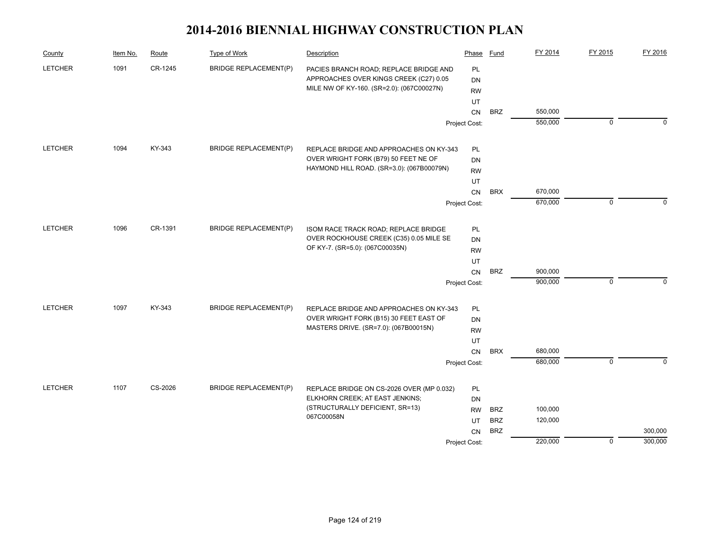| County         | Item No. | Route   | Type of Work                 | Description                                                                       | Phase           | Fund       | FY 2014 | FY 2015     | FY 2016  |
|----------------|----------|---------|------------------------------|-----------------------------------------------------------------------------------|-----------------|------------|---------|-------------|----------|
| <b>LETCHER</b> | 1091     | CR-1245 | <b>BRIDGE REPLACEMENT(P)</b> | PACIES BRANCH ROAD; REPLACE BRIDGE AND                                            | PL              |            |         |             |          |
|                |          |         |                              | APPROACHES OVER KINGS CREEK (C27) 0.05                                            | <b>DN</b>       |            |         |             |          |
|                |          |         |                              | MILE NW OF KY-160. (SR=2.0): (067C00027N)                                         | <b>RW</b>       |            |         |             |          |
|                |          |         |                              |                                                                                   | UT              |            |         |             |          |
|                |          |         |                              |                                                                                   | <b>CN</b>       | <b>BRZ</b> | 550,000 |             |          |
|                |          |         |                              |                                                                                   | Project Cost:   |            | 550,000 | $\mathbf 0$ | $\Omega$ |
| <b>LETCHER</b> | 1094     | KY-343  | <b>BRIDGE REPLACEMENT(P)</b> | REPLACE BRIDGE AND APPROACHES ON KY-343                                           | PL              |            |         |             |          |
|                |          |         |                              | OVER WRIGHT FORK (B79) 50 FEET NE OF                                              | <b>DN</b>       |            |         |             |          |
|                |          |         |                              | HAYMOND HILL ROAD. (SR=3.0): (067B00079N)                                         | <b>RW</b>       |            |         |             |          |
|                |          |         |                              |                                                                                   | UT              |            |         |             |          |
|                |          |         |                              |                                                                                   | CN              | <b>BRX</b> | 670,000 |             |          |
|                |          |         |                              |                                                                                   | Project Cost:   |            | 670,000 | $\mathbf 0$ | $\Omega$ |
| <b>LETCHER</b> | 1096     | CR-1391 | <b>BRIDGE REPLACEMENT(P)</b> | ISOM RACE TRACK ROAD; REPLACE BRIDGE                                              | PL              |            |         |             |          |
|                |          |         |                              | OVER ROCKHOUSE CREEK (C35) 0.05 MILE SE                                           | DN              |            |         |             |          |
|                |          |         |                              | OF KY-7. (SR=5.0): (067C00035N)                                                   | <b>RW</b>       |            |         |             |          |
|                |          |         |                              |                                                                                   | UT              |            |         |             |          |
|                |          |         |                              |                                                                                   | CN              | <b>BRZ</b> | 900,000 |             |          |
|                |          |         |                              |                                                                                   | Project Cost:   |            | 900,000 | $\mathbf 0$ | $\Omega$ |
| <b>LETCHER</b> | 1097     | KY-343  | <b>BRIDGE REPLACEMENT(P)</b> |                                                                                   |                 |            |         |             |          |
|                |          |         |                              | REPLACE BRIDGE AND APPROACHES ON KY-343<br>OVER WRIGHT FORK (B15) 30 FEET EAST OF | PL<br>DN        |            |         |             |          |
|                |          |         |                              | MASTERS DRIVE. (SR=7.0): (067B00015N)                                             | <b>RW</b>       |            |         |             |          |
|                |          |         |                              |                                                                                   | UT              |            |         |             |          |
|                |          |         |                              |                                                                                   | CN              | <b>BRX</b> | 680,000 |             |          |
|                |          |         |                              |                                                                                   | Project Cost:   |            | 680,000 | $\mathbf 0$ | $\Omega$ |
| <b>LETCHER</b> | 1107     | CS-2026 | <b>BRIDGE REPLACEMENT(P)</b> |                                                                                   |                 |            |         |             |          |
|                |          |         |                              | REPLACE BRIDGE ON CS-2026 OVER (MP 0.032)<br>ELKHORN CREEK; AT EAST JENKINS;      | <b>PL</b><br>DN |            |         |             |          |
|                |          |         |                              | (STRUCTURALLY DEFICIENT, SR=13)                                                   | <b>RW</b>       | <b>BRZ</b> | 100,000 |             |          |
|                |          |         |                              | 067C00058N                                                                        | UT              | <b>BRZ</b> | 120,000 |             |          |
|                |          |         |                              |                                                                                   | CN              | <b>BRZ</b> |         |             | 300,000  |
|                |          |         |                              |                                                                                   | Project Cost:   |            | 220,000 | $\mathbf 0$ | 300,000  |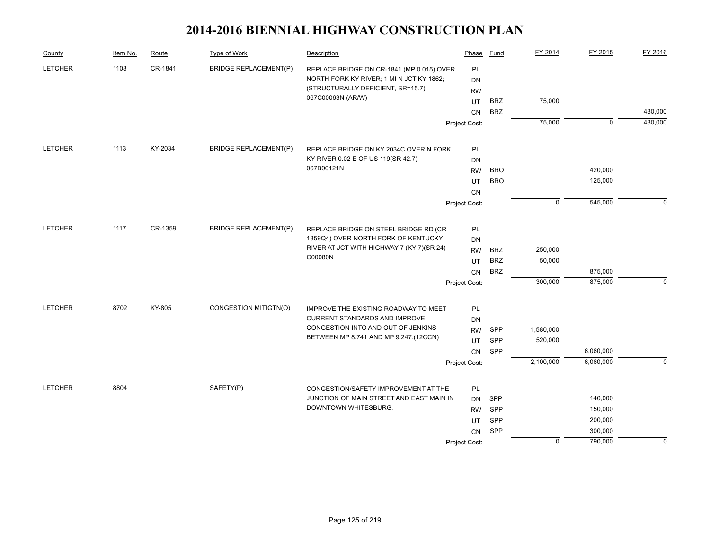| County         | Item No. | Route   | Type of Work                 | Description                                                                      | Phase         | Fund       | FY 2014     | FY 2015            | FY 2016     |
|----------------|----------|---------|------------------------------|----------------------------------------------------------------------------------|---------------|------------|-------------|--------------------|-------------|
| <b>LETCHER</b> | 1108     | CR-1841 | <b>BRIDGE REPLACEMENT(P)</b> | REPLACE BRIDGE ON CR-1841 (MP 0.015) OVER                                        | PL            |            |             |                    |             |
|                |          |         |                              | NORTH FORK KY RIVER; 1 MI N JCT KY 1862;                                         | <b>DN</b>     |            |             |                    |             |
|                |          |         |                              | (STRUCTURALLY DEFICIENT, SR=15.7)                                                | <b>RW</b>     |            |             |                    |             |
|                |          |         |                              | 067C00063N (AR/W)                                                                | UT            | <b>BRZ</b> | 75,000      |                    |             |
|                |          |         |                              |                                                                                  | CN            | <b>BRZ</b> |             |                    | 430,000     |
|                |          |         |                              |                                                                                  | Project Cost: |            | 75,000      | $\mathbf 0$        | 430,000     |
| <b>LETCHER</b> | 1113     | KY-2034 | <b>BRIDGE REPLACEMENT(P)</b> | REPLACE BRIDGE ON KY 2034C OVER N FORK                                           | PL            |            |             |                    |             |
|                |          |         |                              | KY RIVER 0.02 E OF US 119(SR 42.7)                                               | <b>DN</b>     |            |             |                    |             |
|                |          |         |                              | 067B00121N                                                                       | <b>RW</b>     | <b>BRO</b> |             | 420,000            |             |
|                |          |         |                              |                                                                                  | UT            | <b>BRO</b> |             | 125,000            |             |
|                |          |         |                              |                                                                                  | CN            |            |             |                    |             |
|                |          |         |                              |                                                                                  | Project Cost: |            | $\mathbf 0$ | 545,000            | $\mathbf 0$ |
| <b>LETCHER</b> | 1117     | CR-1359 | <b>BRIDGE REPLACEMENT(P)</b> | REPLACE BRIDGE ON STEEL BRIDGE RD (CR                                            | PL            |            |             |                    |             |
|                |          |         |                              | 1359Q4) OVER NORTH FORK OF KENTUCKY                                              | <b>DN</b>     |            |             |                    |             |
|                |          |         |                              | RIVER AT JCT WITH HIGHWAY 7 (KY 7)(SR 24)                                        | <b>RW</b>     | <b>BRZ</b> | 250,000     |                    |             |
|                |          |         |                              | C00080N                                                                          | UT            | <b>BRZ</b> | 50,000      |                    |             |
|                |          |         |                              |                                                                                  | CN            | <b>BRZ</b> |             | 875,000            |             |
|                |          |         |                              |                                                                                  | Project Cost: |            | 300,000     | 875,000            | $\mathbf 0$ |
| <b>LETCHER</b> | 8702     | KY-805  | CONGESTION MITIGTN(O)        | IMPROVE THE EXISTING ROADWAY TO MEET                                             | PL            |            |             |                    |             |
|                |          |         |                              | <b>CURRENT STANDARDS AND IMPROVE</b>                                             | DN            |            |             |                    |             |
|                |          |         |                              | CONGESTION INTO AND OUT OF JENKINS                                               | <b>RW</b>     | SPP        | 1,580,000   |                    |             |
|                |          |         |                              | BETWEEN MP 8.741 AND MP 9.247 (12CCN)                                            | UT            | SPP        | 520,000     |                    |             |
|                |          |         |                              |                                                                                  | CN            | SPP        |             | 6,060,000          |             |
|                |          |         |                              |                                                                                  | Project Cost: |            | 2,100,000   | 6,060,000          | $\Omega$    |
|                |          |         |                              |                                                                                  |               |            |             |                    |             |
| <b>LETCHER</b> | 8804     |         | SAFETY(P)                    | CONGESTION/SAFETY IMPROVEMENT AT THE<br>JUNCTION OF MAIN STREET AND EAST MAIN IN | PL            | SPP        |             | 140,000            |             |
|                |          |         |                              | DOWNTOWN WHITESBURG.                                                             | <b>DN</b>     | SPP        |             |                    |             |
|                |          |         |                              |                                                                                  | <b>RW</b>     | SPP        |             | 150,000            |             |
|                |          |         |                              |                                                                                  | UT            | SPP        |             | 200,000<br>300,000 |             |
|                |          |         |                              |                                                                                  | <b>CN</b>     |            | $\mathbf 0$ | 790,000            | $\mathbf 0$ |
|                |          |         |                              |                                                                                  | Project Cost: |            |             |                    |             |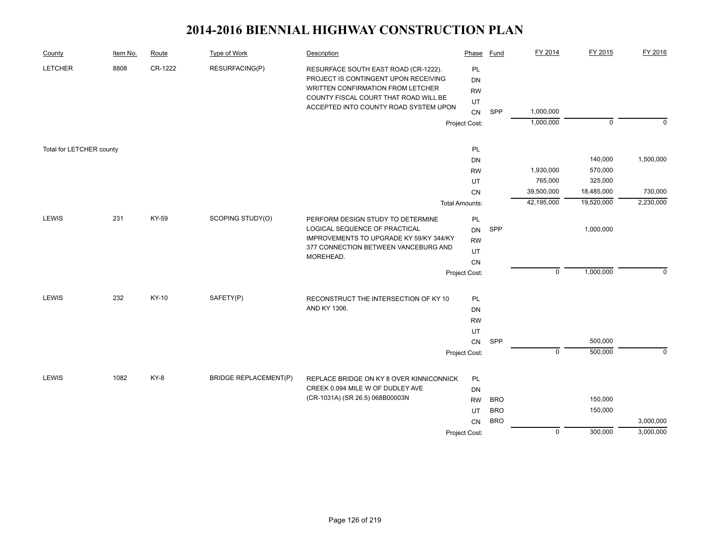| County                   | Item No. | Route   | <b>Type of Work</b>          | Description                                                                                                                                                                                                | Phase                       | Fund       | FY 2014        | FY 2015     | FY 2016     |
|--------------------------|----------|---------|------------------------------|------------------------------------------------------------------------------------------------------------------------------------------------------------------------------------------------------------|-----------------------------|------------|----------------|-------------|-------------|
| <b>LETCHER</b>           | 8808     | CR-1222 | RESURFACING(P)               | RESURFACE SOUTH EAST ROAD (CR-1222).<br>PROJECT IS CONTINGENT UPON RECEIVING<br><b>WRITTEN CONFIRMATION FROM LETCHER</b><br>COUNTY FISCAL COURT THAT ROAD WILL BE<br>ACCEPTED INTO COUNTY ROAD SYSTEM UPON | PL<br>DN<br><b>RW</b><br>UT |            |                |             |             |
|                          |          |         |                              |                                                                                                                                                                                                            | CN                          | SPP        | 1,000,000      |             |             |
|                          |          |         |                              |                                                                                                                                                                                                            | Project Cost:               |            | 1,000,000      | $\mathbf 0$ | $\Omega$    |
| Total for LETCHER county |          |         |                              |                                                                                                                                                                                                            | PL                          |            |                |             |             |
|                          |          |         |                              |                                                                                                                                                                                                            | DN                          |            |                | 140,000     | 1,500,000   |
|                          |          |         |                              |                                                                                                                                                                                                            | <b>RW</b>                   |            | 1,930,000      | 570,000     |             |
|                          |          |         |                              |                                                                                                                                                                                                            | UT                          |            | 765,000        | 325,000     |             |
|                          |          |         |                              |                                                                                                                                                                                                            | CN                          |            | 39,500,000     | 18,485,000  | 730,000     |
|                          |          |         |                              |                                                                                                                                                                                                            | <b>Total Amounts:</b>       |            | 42,195,000     | 19,520,000  | 2,230,000   |
| LEWIS                    | 231      | KY-59   | SCOPING STUDY(O)             | PERFORM DESIGN STUDY TO DETERMINE<br>LOGICAL SEQUENCE OF PRACTICAL                                                                                                                                         | PL<br><b>DN</b>             | SPP        |                | 1,000,000   |             |
|                          |          |         |                              | IMPROVEMENTS TO UPGRADE KY 59/KY 344/KY                                                                                                                                                                    | <b>RW</b>                   |            |                |             |             |
|                          |          |         |                              | 377 CONNECTION BETWEEN VANCEBURG AND                                                                                                                                                                       | UT                          |            |                |             |             |
|                          |          |         |                              | MOREHEAD.                                                                                                                                                                                                  | CN                          |            |                |             |             |
|                          |          |         |                              |                                                                                                                                                                                                            | Project Cost:               |            | $\mathbf 0$    | 1,000,000   | $\Omega$    |
|                          |          |         |                              |                                                                                                                                                                                                            |                             |            |                |             |             |
| LEWIS                    | 232      | KY-10   | SAFETY(P)                    | RECONSTRUCT THE INTERSECTION OF KY 10                                                                                                                                                                      | PL                          |            |                |             |             |
|                          |          |         |                              | AND KY 1306.                                                                                                                                                                                               | DN                          |            |                |             |             |
|                          |          |         |                              |                                                                                                                                                                                                            | <b>RW</b>                   |            |                |             |             |
|                          |          |         |                              |                                                                                                                                                                                                            | UT<br>${\sf CN}$            | SPP        |                | 500,000     |             |
|                          |          |         |                              |                                                                                                                                                                                                            | Project Cost:               |            | $\mathbf 0$    | 500,000     | $\mathbf 0$ |
|                          |          |         |                              |                                                                                                                                                                                                            |                             |            |                |             |             |
| <b>LEWIS</b>             | 1082     | KY-8    | <b>BRIDGE REPLACEMENT(P)</b> | REPLACE BRIDGE ON KY 8 OVER KINNICONNICK                                                                                                                                                                   | PL                          |            |                |             |             |
|                          |          |         |                              | CREEK 0.094 MILE W OF DUDLEY AVE                                                                                                                                                                           | DN                          |            |                |             |             |
|                          |          |         |                              | (CR-1031A) (SR 26.5) 068B00003N                                                                                                                                                                            | <b>RW</b>                   | <b>BRO</b> |                | 150,000     |             |
|                          |          |         |                              |                                                                                                                                                                                                            | UT                          | <b>BRO</b> |                | 150,000     |             |
|                          |          |         |                              |                                                                                                                                                                                                            | CN                          | <b>BRO</b> |                |             | 3,000,000   |
|                          |          |         |                              |                                                                                                                                                                                                            | Project Cost:               |            | $\overline{0}$ | 300,000     | 3,000,000   |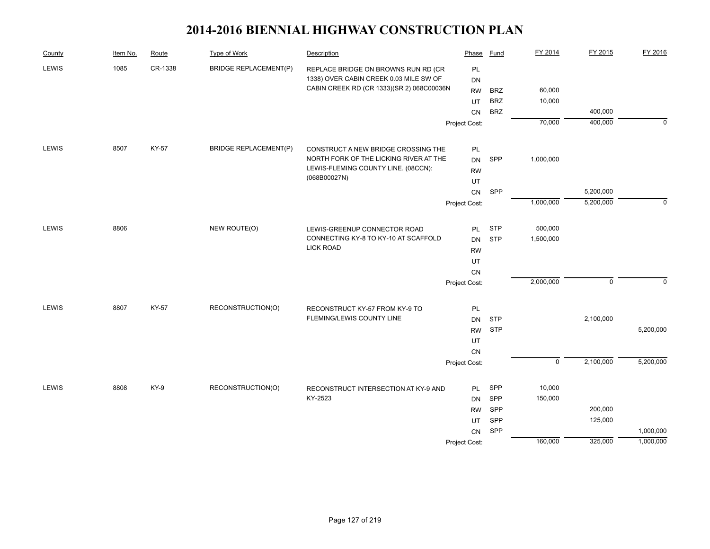| County       | Item No. | Route   | Type of Work                 | Description                                     | Phase         | Fund       | FY 2014        | FY 2015     | FY 2016     |
|--------------|----------|---------|------------------------------|-------------------------------------------------|---------------|------------|----------------|-------------|-------------|
| <b>LEWIS</b> | 1085     | CR-1338 | <b>BRIDGE REPLACEMENT(P)</b> | REPLACE BRIDGE ON BROWNS RUN RD (CR             | PL            |            |                |             |             |
|              |          |         |                              | 1338) OVER CABIN CREEK 0.03 MILE SW OF          | DN            |            |                |             |             |
|              |          |         |                              | CABIN CREEK RD (CR 1333)(SR 2) 068C00036N       | <b>RW</b>     | <b>BRZ</b> | 60,000         |             |             |
|              |          |         |                              |                                                 | UT            | <b>BRZ</b> | 10,000         |             |             |
|              |          |         |                              |                                                 | CN            | <b>BRZ</b> |                | 400,000     |             |
|              |          |         |                              |                                                 | Project Cost: |            | 70,000         | 400,000     | $\mathbf 0$ |
| <b>LEWIS</b> | 8507     | KY-57   | <b>BRIDGE REPLACEMENT(P)</b> | CONSTRUCT A NEW BRIDGE CROSSING THE             | PL            |            |                |             |             |
|              |          |         |                              | NORTH FORK OF THE LICKING RIVER AT THE          | <b>DN</b>     | SPP        | 1,000,000      |             |             |
|              |          |         |                              | LEWIS-FLEMING COUNTY LINE. (08CCN):             | <b>RW</b>     |            |                |             |             |
|              |          |         |                              | (068B00027N)                                    | UT            |            |                |             |             |
|              |          |         |                              |                                                 | ${\sf CN}$    | SPP        |                | 5,200,000   |             |
|              |          |         |                              |                                                 | Project Cost: |            | 1,000,000      | 5,200,000   | $\mathbf 0$ |
| <b>LEWIS</b> | 8806     |         | NEW ROUTE(O)                 | LEWIS-GREENUP CONNECTOR ROAD                    | <b>PL</b>     | <b>STP</b> | 500,000        |             |             |
|              |          |         |                              | CONNECTING KY-8 TO KY-10 AT SCAFFOLD            | <b>DN</b>     | <b>STP</b> | 1,500,000      |             |             |
|              |          |         |                              | <b>LICK ROAD</b>                                | <b>RW</b>     |            |                |             |             |
|              |          |         |                              |                                                 | UT            |            |                |             |             |
|              |          |         |                              |                                                 | CN            |            |                |             |             |
|              |          |         |                              |                                                 | Project Cost: |            | 2,000,000      | $\mathbf 0$ | $\mathbf 0$ |
| <b>LEWIS</b> | 8807     | KY-57   | RECONSTRUCTION(O)            | RECONSTRUCT KY-57 FROM KY-9 TO                  | PL            |            |                |             |             |
|              |          |         |                              | FLEMING/LEWIS COUNTY LINE                       | <b>DN</b>     | <b>STP</b> |                | 2,100,000   |             |
|              |          |         |                              |                                                 | <b>RW</b>     | <b>STP</b> |                |             | 5,200,000   |
|              |          |         |                              |                                                 | UT            |            |                |             |             |
|              |          |         |                              |                                                 | CN            |            |                |             |             |
|              |          |         |                              |                                                 | Project Cost: |            | $\overline{0}$ | 2,100,000   | 5,200,000   |
|              |          |         |                              |                                                 |               |            |                |             |             |
| <b>LEWIS</b> | 8808     | KY-9    | RECONSTRUCTION(O)            | RECONSTRUCT INTERSECTION AT KY-9 AND<br>KY-2523 | <b>PL</b>     | SPP        | 10,000         |             |             |
|              |          |         |                              |                                                 | <b>DN</b>     | SPP        | 150,000        |             |             |
|              |          |         |                              |                                                 | <b>RW</b>     | SPP        |                | 200,000     |             |
|              |          |         |                              |                                                 | UT            | SPP        |                | 125,000     |             |
|              |          |         |                              |                                                 | CN            | SPP        | 160,000        |             | 1,000,000   |
|              |          |         |                              |                                                 | Project Cost: |            |                | 325,000     | 1,000,000   |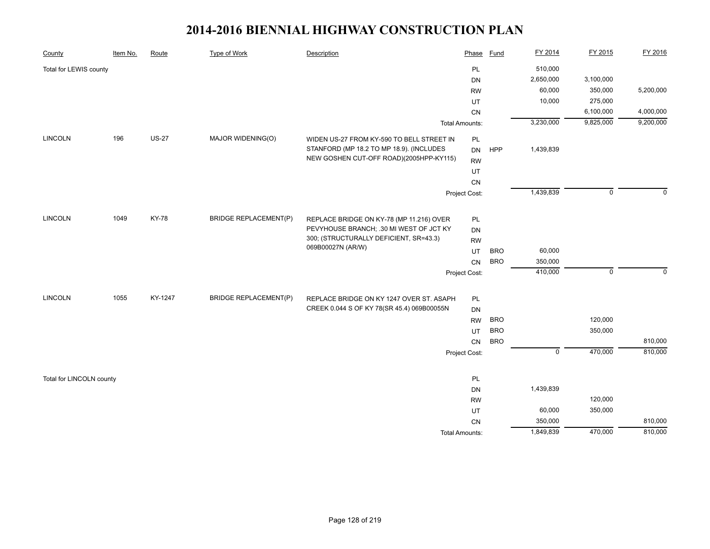| County                   | Item No. | Route        | Type of Work                 | Description                                | Phase                 | Fund       | FY 2014     | FY 2015     | FY 2016   |
|--------------------------|----------|--------------|------------------------------|--------------------------------------------|-----------------------|------------|-------------|-------------|-----------|
| Total for LEWIS county   |          |              |                              |                                            | PL                    |            | 510,000     |             |           |
|                          |          |              |                              |                                            | <b>DN</b>             |            | 2,650,000   | 3,100,000   |           |
|                          |          |              |                              |                                            | <b>RW</b>             |            | 60,000      | 350,000     | 5,200,000 |
|                          |          |              |                              |                                            | UT                    |            | 10,000      | 275,000     |           |
|                          |          |              |                              |                                            | CN                    |            |             | 6,100,000   | 4,000,000 |
|                          |          |              |                              |                                            | <b>Total Amounts:</b> |            | 3,230,000   | 9,825,000   | 9,200,000 |
| <b>LINCOLN</b>           | 196      | <b>US-27</b> | MAJOR WIDENING(O)            | WIDEN US-27 FROM KY-590 TO BELL STREET IN  | PL                    |            |             |             |           |
|                          |          |              |                              | STANFORD (MP 18.2 TO MP 18.9). (INCLUDES   | <b>DN</b>             | HPP        | 1,439,839   |             |           |
|                          |          |              |                              | NEW GOSHEN CUT-OFF ROAD)(2005HPP-KY115)    | <b>RW</b>             |            |             |             |           |
|                          |          |              |                              |                                            | UT                    |            |             |             |           |
|                          |          |              |                              |                                            | CN                    |            |             |             |           |
|                          |          |              |                              |                                            | Project Cost:         |            | 1,439,839   | $\mathbf 0$ | $\Omega$  |
| <b>LINCOLN</b>           | 1049     | <b>KY-78</b> | <b>BRIDGE REPLACEMENT(P)</b> | REPLACE BRIDGE ON KY-78 (MP 11.216) OVER   | PL                    |            |             |             |           |
|                          |          |              |                              | PEVYHOUSE BRANCH; .30 MI WEST OF JCT KY    | <b>DN</b>             |            |             |             |           |
|                          |          |              |                              | 300; (STRUCTURALLY DEFICIENT, SR=43.3)     | <b>RW</b>             |            |             |             |           |
|                          |          |              |                              | 069B00027N (AR/W)                          | UT                    | <b>BRO</b> | 60,000      |             |           |
|                          |          |              |                              |                                            | CN                    | <b>BRO</b> | 350,000     |             |           |
|                          |          |              |                              |                                            | Project Cost:         |            | 410,000     | $\mathbf 0$ | $\Omega$  |
|                          |          |              |                              |                                            |                       |            |             |             |           |
| <b>LINCOLN</b>           | 1055     | KY-1247      | <b>BRIDGE REPLACEMENT(P)</b> | REPLACE BRIDGE ON KY 1247 OVER ST. ASAPH   | PL                    |            |             |             |           |
|                          |          |              |                              | CREEK 0.044 S OF KY 78(SR 45.4) 069B00055N | <b>DN</b>             |            |             |             |           |
|                          |          |              |                              |                                            | <b>RW</b>             | <b>BRO</b> |             | 120,000     |           |
|                          |          |              |                              |                                            | <b>UT</b>             | <b>BRO</b> |             | 350,000     |           |
|                          |          |              |                              |                                            | CN                    | <b>BRO</b> |             |             | 810,000   |
|                          |          |              |                              |                                            | Project Cost:         |            | $\mathbf 0$ | 470,000     | 810,000   |
| Total for LINCOLN county |          |              |                              |                                            | PL                    |            |             |             |           |
|                          |          |              |                              |                                            | <b>DN</b>             |            | 1,439,839   |             |           |
|                          |          |              |                              |                                            | <b>RW</b>             |            |             | 120,000     |           |
|                          |          |              |                              |                                            | UT                    |            | 60,000      | 350,000     |           |
|                          |          |              |                              |                                            | CN                    |            | 350,000     |             | 810,000   |
|                          |          |              |                              |                                            | <b>Total Amounts:</b> |            | 1,849,839   | 470,000     | 810,000   |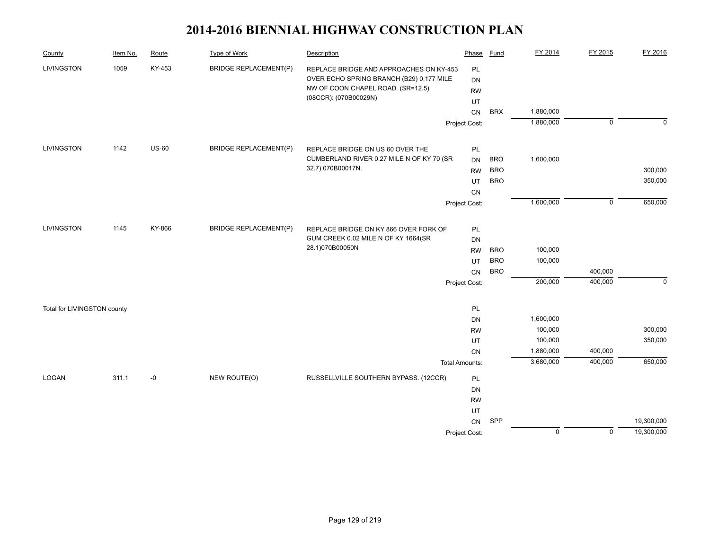| County                      | Item No. | Route   | <b>Type of Work</b>          | Description                                                                  | Phase                 | <b>Fund</b>              | FY 2014        | FY 2015     | FY 2016     |
|-----------------------------|----------|---------|------------------------------|------------------------------------------------------------------------------|-----------------------|--------------------------|----------------|-------------|-------------|
| LIVINGSTON                  | 1059     | KY-453  | <b>BRIDGE REPLACEMENT(P)</b> | REPLACE BRIDGE AND APPROACHES ON KY-453                                      | PL                    |                          |                |             |             |
|                             |          |         |                              | OVER ECHO SPRING BRANCH (B29) 0.177 MILE                                     | <b>DN</b>             |                          |                |             |             |
|                             |          |         |                              | NW OF COON CHAPEL ROAD. (SR=12.5)<br>(08CCR): (070B00029N)                   | <b>RW</b>             |                          |                |             |             |
|                             |          |         |                              |                                                                              | UT                    |                          |                |             |             |
|                             |          |         |                              |                                                                              | <b>CN</b>             | <b>BRX</b>               | 1,880,000      |             |             |
|                             |          |         |                              |                                                                              | Project Cost:         |                          | 1,880,000      | $\mathbf 0$ | $\mathbf 0$ |
| LIVINGSTON                  | 1142     | $US-60$ | <b>BRIDGE REPLACEMENT(P)</b> | REPLACE BRIDGE ON US 60 OVER THE                                             | PL                    |                          |                |             |             |
|                             |          |         |                              | CUMBERLAND RIVER 0.27 MILE N OF KY 70 (SR                                    | <b>DN</b>             | <b>BRO</b>               | 1,600,000      |             |             |
|                             |          |         |                              | 32.7) 070B00017N.                                                            | <b>RW</b>             | <b>BRO</b>               |                |             | 300,000     |
|                             |          |         |                              |                                                                              | UT                    | <b>BRO</b>               |                |             | 350,000     |
|                             |          |         |                              |                                                                              | CN                    |                          |                |             |             |
|                             |          |         |                              |                                                                              | Project Cost:         |                          | 1,600,000      | $\mathbf 0$ | 650,000     |
| <b>LIVINGSTON</b>           | 1145     | KY-866  | <b>BRIDGE REPLACEMENT(P)</b> |                                                                              |                       |                          |                |             |             |
|                             |          |         |                              | REPLACE BRIDGE ON KY 866 OVER FORK OF<br>GUM CREEK 0.02 MILE N OF KY 1664(SR | $\mathsf{PL}$         |                          |                |             |             |
|                             |          |         |                              | 28.1)070B00050N                                                              | <b>DN</b>             |                          | 100,000        |             |             |
|                             |          |         |                              |                                                                              | <b>RW</b>             | <b>BRO</b><br><b>BRO</b> | 100,000        |             |             |
|                             |          |         |                              |                                                                              | UT                    | <b>BRO</b>               |                | 400,000     |             |
|                             |          |         |                              |                                                                              | CN<br>Project Cost:   |                          | 200,000        | 400,000     | $\mathbf 0$ |
|                             |          |         |                              |                                                                              |                       |                          |                |             |             |
| Total for LIVINGSTON county |          |         |                              |                                                                              | PL                    |                          |                |             |             |
|                             |          |         |                              |                                                                              | <b>DN</b>             |                          | 1,600,000      |             |             |
|                             |          |         |                              |                                                                              | <b>RW</b>             |                          | 100,000        |             | 300,000     |
|                             |          |         |                              |                                                                              | UT                    |                          | 100,000        |             | 350,000     |
|                             |          |         |                              |                                                                              | CN                    |                          | 1,880,000      | 400,000     |             |
|                             |          |         |                              |                                                                              | <b>Total Amounts:</b> |                          | 3,680,000      | 400,000     | 650,000     |
| LOGAN                       | 311.1    | -0      | NEW ROUTE(O)                 | RUSSELLVILLE SOUTHERN BYPASS. (12CCR)                                        | PL                    |                          |                |             |             |
|                             |          |         |                              |                                                                              | <b>DN</b>             |                          |                |             |             |
|                             |          |         |                              |                                                                              | <b>RW</b>             |                          |                |             |             |
|                             |          |         |                              |                                                                              | UT                    |                          |                |             |             |
|                             |          |         |                              |                                                                              | CN                    | SPP                      |                |             | 19,300,000  |
|                             |          |         |                              |                                                                              | Project Cost:         |                          | $\overline{0}$ | $\mathbf 0$ | 19,300,000  |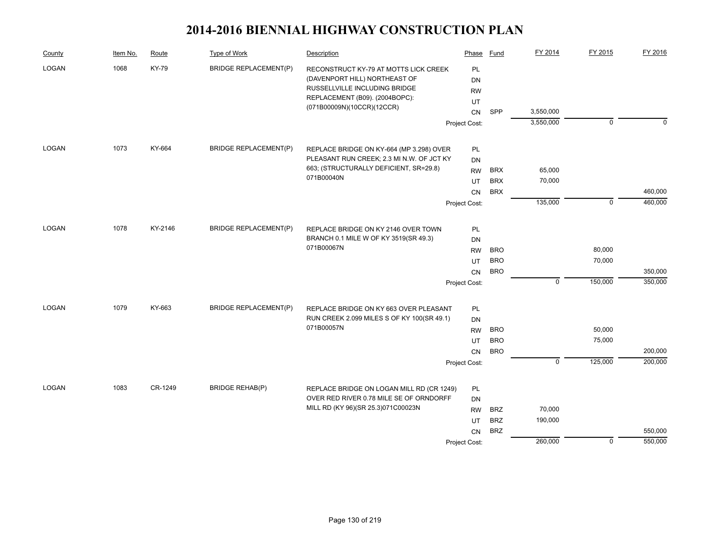| County        | Item No. | Route        | Type of Work                 | Description                                                                                                                               | Phase                              | Fund       | FY 2014                   | FY 2015     | FY 2016     |
|---------------|----------|--------------|------------------------------|-------------------------------------------------------------------------------------------------------------------------------------------|------------------------------------|------------|---------------------------|-------------|-------------|
| 1068<br>LOGAN |          | <b>KY-79</b> | <b>BRIDGE REPLACEMENT(P)</b> | RECONSTRUCT KY-79 AT MOTTS LICK CREEK<br>(DAVENPORT HILL) NORTHEAST OF<br>RUSSELLVILLE INCLUDING BRIDGE<br>REPLACEMENT (B09). (2004BOPC): | PL<br><b>DN</b><br><b>RW</b><br>UT |            |                           |             |             |
|               |          |              |                              | (071B00009N)(10CCR)(12CCR)                                                                                                                | <b>CN</b>                          | SPP        | 3,550,000                 |             |             |
|               |          |              |                              |                                                                                                                                           | Project Cost:                      |            | 3,550,000                 | $\mathbf 0$ | $\mathbf 0$ |
|               |          |              |                              |                                                                                                                                           |                                    |            |                           |             |             |
| <b>LOGAN</b>  | 1073     | KY-664       | <b>BRIDGE REPLACEMENT(P)</b> | REPLACE BRIDGE ON KY-664 (MP 3.298) OVER<br>PLEASANT RUN CREEK; 2.3 MI N.W. OF JCT KY                                                     | <b>PL</b>                          |            |                           |             |             |
|               |          |              |                              | 663; (STRUCTURALLY DEFICIENT, SR=29.8)                                                                                                    | <b>DN</b><br><b>RW</b>             | <b>BRX</b> | 65,000                    |             |             |
|               |          |              |                              | 071B00040N                                                                                                                                | UT                                 | <b>BRX</b> | 70,000                    |             |             |
|               |          |              |                              |                                                                                                                                           | CN                                 | <b>BRX</b> |                           |             | 460,000     |
|               |          |              |                              |                                                                                                                                           | Project Cost:                      |            | 135,000                   | $\mathbf 0$ | 460,000     |
|               |          |              |                              |                                                                                                                                           |                                    |            |                           |             |             |
| <b>LOGAN</b>  | 1078     | KY-2146      | <b>BRIDGE REPLACEMENT(P)</b> | REPLACE BRIDGE ON KY 2146 OVER TOWN                                                                                                       | PL                                 |            |                           |             |             |
|               |          |              |                              | BRANCH 0.1 MILE W OF KY 3519(SR 49.3)                                                                                                     | <b>DN</b>                          |            |                           |             |             |
|               |          |              |                              | 071B00067N                                                                                                                                | <b>RW</b>                          | <b>BRO</b> |                           | 80,000      |             |
|               |          |              |                              |                                                                                                                                           | UT                                 | <b>BRO</b> |                           | 70,000      |             |
|               |          |              |                              |                                                                                                                                           | <b>CN</b>                          | <b>BRO</b> |                           |             | 350,000     |
|               |          |              |                              |                                                                                                                                           | Project Cost:                      |            | $\mathsf 0$               | 150,000     | 350,000     |
| LOGAN         | 1079     | KY-663       | <b>BRIDGE REPLACEMENT(P)</b> | REPLACE BRIDGE ON KY 663 OVER PLEASANT                                                                                                    | PL                                 |            |                           |             |             |
|               |          |              |                              | RUN CREEK 2.099 MILES S OF KY 100(SR 49.1)                                                                                                | <b>DN</b>                          |            |                           |             |             |
|               |          |              |                              | 071B00057N                                                                                                                                | <b>RW</b>                          | <b>BRO</b> |                           | 50,000      |             |
|               |          |              |                              |                                                                                                                                           | UT                                 | <b>BRO</b> |                           | 75,000      |             |
|               |          |              |                              |                                                                                                                                           | <b>CN</b>                          | <b>BRO</b> |                           |             | 200,000     |
|               |          |              |                              |                                                                                                                                           | Project Cost:                      |            | $\overline{\mathfrak{o}}$ | 125,000     | 200,000     |
| LOGAN         | 1083     | CR-1249      | <b>BRIDGE REHAB(P)</b>       |                                                                                                                                           |                                    |            |                           |             |             |
|               |          |              |                              | REPLACE BRIDGE ON LOGAN MILL RD (CR 1249)<br>OVER RED RIVER 0.78 MILE SE OF ORNDORFF                                                      | PL<br><b>DN</b>                    |            |                           |             |             |
|               |          |              |                              | MILL RD (KY 96)(SR 25.3)071C00023N                                                                                                        | <b>RW</b>                          | <b>BRZ</b> | 70,000                    |             |             |
|               |          |              |                              |                                                                                                                                           | UT                                 | <b>BRZ</b> | 190,000                   |             |             |
|               |          |              |                              |                                                                                                                                           | CN                                 | <b>BRZ</b> |                           |             | 550,000     |
|               |          |              |                              |                                                                                                                                           | Project Cost:                      |            | 260,000                   | $\mathbf 0$ | 550,000     |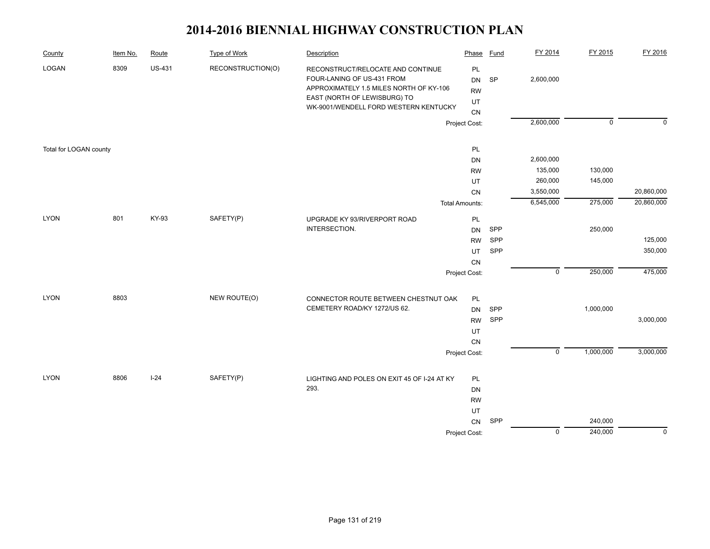| County                 | Item No. | Route         | <b>Type of Work</b> | Description                                                                                                                                                                         | Phase                             | <b>Fund</b> | FY 2014              | FY 2015        | FY 2016     |
|------------------------|----------|---------------|---------------------|-------------------------------------------------------------------------------------------------------------------------------------------------------------------------------------|-----------------------------------|-------------|----------------------|----------------|-------------|
| LOGAN                  | 8309     | <b>US-431</b> | RECONSTRUCTION(O)   | RECONSTRUCT/RELOCATE AND CONTINUE<br>FOUR-LANING OF US-431 FROM<br>APPROXIMATELY 1.5 MILES NORTH OF KY-106<br>EAST (NORTH OF LEWISBURG) TO<br>WK-9001/WENDELL FORD WESTERN KENTUCKY | PL<br>DN<br><b>RW</b><br>UT<br>CN | SP          | 2,600,000            |                |             |
|                        |          |               |                     |                                                                                                                                                                                     | Project Cost:                     |             | 2,600,000            | $\overline{0}$ | $\Omega$    |
|                        |          |               |                     |                                                                                                                                                                                     |                                   |             |                      |                |             |
| Total for LOGAN county |          |               |                     |                                                                                                                                                                                     | PL                                |             |                      |                |             |
|                        |          |               |                     |                                                                                                                                                                                     | DN<br><b>RW</b>                   |             | 2,600,000<br>135,000 | 130,000        |             |
|                        |          |               |                     |                                                                                                                                                                                     | UT                                |             | 260,000              | 145,000        |             |
|                        |          |               |                     |                                                                                                                                                                                     | CN                                |             | 3,550,000            |                | 20,860,000  |
|                        |          |               |                     |                                                                                                                                                                                     | <b>Total Amounts:</b>             |             | 6,545,000            | 275,000        | 20,860,000  |
|                        |          |               |                     |                                                                                                                                                                                     |                                   |             |                      |                |             |
| <b>LYON</b>            | 801      | KY-93         | SAFETY(P)           | UPGRADE KY 93/RIVERPORT ROAD<br>INTERSECTION.                                                                                                                                       | PL                                | SPP         |                      | 250,000        |             |
|                        |          |               |                     |                                                                                                                                                                                     | <b>DN</b><br><b>RW</b>            | SPP         |                      |                | 125,000     |
|                        |          |               |                     |                                                                                                                                                                                     | UT                                | SPP         |                      |                | 350,000     |
|                        |          |               |                     |                                                                                                                                                                                     | CN                                |             |                      |                |             |
|                        |          |               |                     |                                                                                                                                                                                     | Project Cost:                     |             | $\overline{0}$       | 250,000        | 475,000     |
|                        |          |               |                     |                                                                                                                                                                                     |                                   |             |                      |                |             |
| <b>LYON</b>            | 8803     |               | NEW ROUTE(O)        | CONNECTOR ROUTE BETWEEN CHESTNUT OAK                                                                                                                                                | PL                                |             |                      |                |             |
|                        |          |               |                     | CEMETERY ROAD/KY 1272/US 62.                                                                                                                                                        | <b>DN</b>                         | SPP         |                      | 1,000,000      |             |
|                        |          |               |                     |                                                                                                                                                                                     | <b>RW</b>                         | SPP         |                      |                | 3,000,000   |
|                        |          |               |                     |                                                                                                                                                                                     | UT                                |             |                      |                |             |
|                        |          |               |                     |                                                                                                                                                                                     | ${\sf CN}$                        |             |                      |                |             |
|                        |          |               |                     |                                                                                                                                                                                     | Project Cost:                     |             | $\overline{0}$       | 1,000,000      | 3,000,000   |
|                        |          |               |                     |                                                                                                                                                                                     |                                   |             |                      |                |             |
| <b>LYON</b>            | 8806     | $I-24$        | SAFETY(P)           | LIGHTING AND POLES ON EXIT 45 OF I-24 AT KY                                                                                                                                         | PL                                |             |                      |                |             |
|                        |          |               |                     | 293.                                                                                                                                                                                | DN                                |             |                      |                |             |
|                        |          |               |                     |                                                                                                                                                                                     | <b>RW</b>                         |             |                      |                |             |
|                        |          |               |                     |                                                                                                                                                                                     | UT                                |             |                      |                |             |
|                        |          |               |                     |                                                                                                                                                                                     | CN                                | SPP         |                      | 240,000        |             |
|                        |          |               |                     |                                                                                                                                                                                     | Project Cost:                     |             | $\overline{0}$       | 240,000        | $\mathbf 0$ |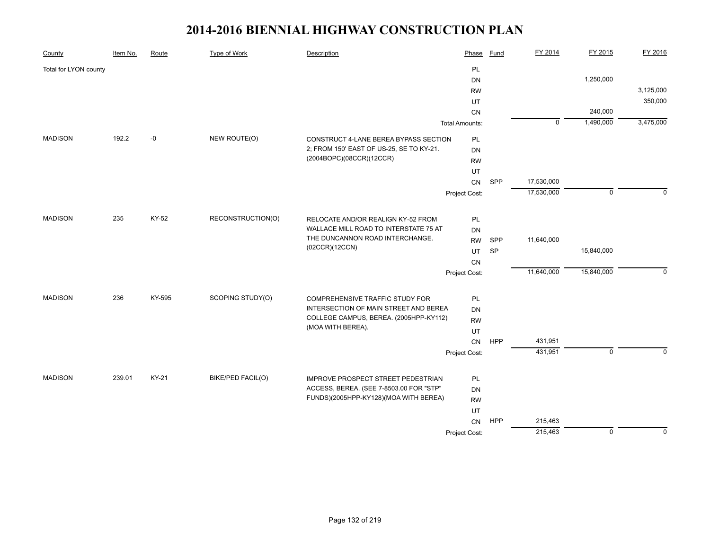| County                | Item No. | Route  | <b>Type of Work</b> | Description                                                                 | Phase                 | <b>Fund</b> | FY 2014     | FY 2015        | FY 2016     |
|-----------------------|----------|--------|---------------------|-----------------------------------------------------------------------------|-----------------------|-------------|-------------|----------------|-------------|
| Total for LYON county |          |        |                     |                                                                             | PL                    |             |             |                |             |
|                       |          |        |                     |                                                                             | DN                    |             |             | 1,250,000      |             |
|                       |          |        |                     |                                                                             | <b>RW</b>             |             |             |                | 3,125,000   |
|                       |          |        |                     |                                                                             | UT                    |             |             |                | 350,000     |
|                       |          |        |                     |                                                                             | CN                    |             |             | 240,000        |             |
|                       |          |        |                     |                                                                             | <b>Total Amounts:</b> |             | $\mathbf 0$ | 1,490,000      | 3,475,000   |
| <b>MADISON</b>        | 192.2    | $-0$   | NEW ROUTE(O)        | CONSTRUCT 4-LANE BEREA BYPASS SECTION                                       | PL                    |             |             |                |             |
|                       |          |        |                     | 2; FROM 150' EAST OF US-25, SE TO KY-21.                                    | DN                    |             |             |                |             |
|                       |          |        |                     | (2004BOPC)(08CCR)(12CCR)                                                    | <b>RW</b>             |             |             |                |             |
|                       |          |        |                     |                                                                             | UT                    |             |             |                |             |
|                       |          |        |                     |                                                                             | CN                    | SPP         | 17,530,000  |                |             |
|                       |          |        |                     |                                                                             | Project Cost:         |             | 17,530,000  | $\overline{0}$ | $\Omega$    |
| <b>MADISON</b>        | 235      | KY-52  | RECONSTRUCTION(O)   |                                                                             |                       |             |             |                |             |
|                       |          |        |                     | RELOCATE AND/OR REALIGN KY-52 FROM<br>WALLACE MILL ROAD TO INTERSTATE 75 AT | PL<br><b>DN</b>       |             |             |                |             |
|                       |          |        |                     | THE DUNCANNON ROAD INTERCHANGE.                                             | <b>RW</b>             | SPP         | 11,640,000  |                |             |
|                       |          |        |                     | (02CCR)(12CCN)                                                              | UT                    | SP          |             | 15,840,000     |             |
|                       |          |        |                     |                                                                             | <b>CN</b>             |             |             |                |             |
|                       |          |        |                     |                                                                             | Project Cost:         |             | 11,640,000  | 15,840,000     | $\mathbf 0$ |
|                       |          |        |                     |                                                                             |                       |             |             |                |             |
| <b>MADISON</b>        | 236      | KY-595 | SCOPING STUDY(O)    | COMPREHENSIVE TRAFFIC STUDY FOR                                             | PL                    |             |             |                |             |
|                       |          |        |                     | INTERSECTION OF MAIN STREET AND BEREA                                       | DN                    |             |             |                |             |
|                       |          |        |                     | COLLEGE CAMPUS, BEREA. (2005HPP-KY112)                                      | <b>RW</b>             |             |             |                |             |
|                       |          |        |                     | (MOA WITH BEREA).                                                           | UT                    |             |             |                |             |
|                       |          |        |                     |                                                                             | CN                    | <b>HPP</b>  | 431,951     |                |             |
|                       |          |        |                     |                                                                             | Project Cost:         |             | 431,951     | $\mathbf 0$    | $\Omega$    |
| <b>MADISON</b>        | 239.01   | KY-21  | BIKE/PED FACIL(O)   | IMPROVE PROSPECT STREET PEDESTRIAN                                          | <b>PL</b>             |             |             |                |             |
|                       |          |        |                     | ACCESS, BEREA. (SEE 7-8503.00 FOR "STP"                                     | <b>DN</b>             |             |             |                |             |
|                       |          |        |                     | FUNDS)(2005HPP-KY128)(MOA WITH BEREA)                                       | <b>RW</b>             |             |             |                |             |
|                       |          |        |                     |                                                                             | UT                    |             |             |                |             |
|                       |          |        |                     |                                                                             | CN                    | HPP         | 215,463     |                |             |
|                       |          |        |                     |                                                                             | Project Cost:         |             | 215,463     | $\overline{0}$ | $\mathbf 0$ |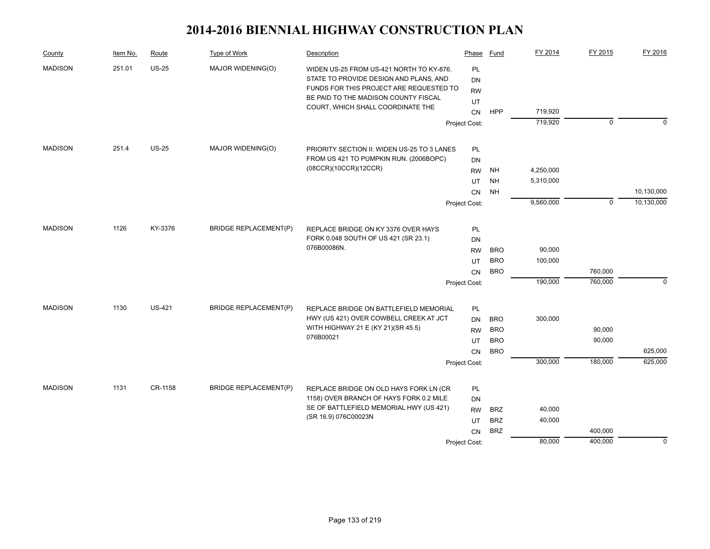| County         | Item No. | Route         | Type of Work                 | Description                                                                                                                                                                                                | Phase                       | Fund       | FY 2014   | FY 2015     | FY 2016     |
|----------------|----------|---------------|------------------------------|------------------------------------------------------------------------------------------------------------------------------------------------------------------------------------------------------------|-----------------------------|------------|-----------|-------------|-------------|
| <b>MADISON</b> | 251.01   | $US-25$       | MAJOR WIDENING(O)            | WIDEN US-25 FROM US-421 NORTH TO KY-876.<br>STATE TO PROVIDE DESIGN AND PLANS, AND<br>FUNDS FOR THIS PROJECT ARE REQUESTED TO<br>BE PAID TO THE MADISON COUNTY FISCAL<br>COURT, WHICH SHALL COORDINATE THE | PL<br>DN<br><b>RW</b><br>UT |            |           |             |             |
|                |          |               |                              |                                                                                                                                                                                                            | CN                          | <b>HPP</b> | 719,920   |             |             |
|                |          |               |                              |                                                                                                                                                                                                            | Project Cost:               |            | 719,920   | $\mathbf 0$ | $\Omega$    |
| <b>MADISON</b> | 251.4    | <b>US-25</b>  | MAJOR WIDENING(O)            | PRIORITY SECTION II: WIDEN US-25 TO 3 LANES                                                                                                                                                                | PL                          |            |           |             |             |
|                |          |               |                              | FROM US 421 TO PUMPKIN RUN. (2006BOPC)                                                                                                                                                                     | DN                          |            |           |             |             |
|                |          |               |                              | (08CCR)(10CCR)(12CCR)                                                                                                                                                                                      | <b>RW</b>                   | <b>NH</b>  | 4,250,000 |             |             |
|                |          |               |                              |                                                                                                                                                                                                            | UT                          | <b>NH</b>  | 5,310,000 |             |             |
|                |          |               |                              |                                                                                                                                                                                                            | <b>CN</b>                   | <b>NH</b>  |           |             | 10,130,000  |
|                |          |               |                              |                                                                                                                                                                                                            | Project Cost:               |            | 9,560,000 | $\mathbf 0$ | 10,130,000  |
| <b>MADISON</b> | 1126     | KY-3376       | <b>BRIDGE REPLACEMENT(P)</b> | REPLACE BRIDGE ON KY 3376 OVER HAYS                                                                                                                                                                        | PL                          |            |           |             |             |
|                |          |               |                              | FORK 0.048 SOUTH OF US 421 (SR 23.1)                                                                                                                                                                       | DN                          |            |           |             |             |
|                |          |               |                              | 076B00086N.                                                                                                                                                                                                | <b>RW</b>                   | <b>BRO</b> | 90,000    |             |             |
|                |          |               |                              |                                                                                                                                                                                                            | UT                          | <b>BRO</b> | 100,000   |             |             |
|                |          |               |                              |                                                                                                                                                                                                            | CN                          | <b>BRO</b> |           | 760,000     |             |
|                |          |               |                              |                                                                                                                                                                                                            | Project Cost:               |            | 190,000   | 760,000     | $\mathbf 0$ |
| <b>MADISON</b> | 1130     | <b>US-421</b> | <b>BRIDGE REPLACEMENT(P)</b> | REPLACE BRIDGE ON BATTLEFIELD MEMORIAL                                                                                                                                                                     | PL                          |            |           |             |             |
|                |          |               |                              | HWY (US 421) OVER COWBELL CREEK AT JCT                                                                                                                                                                     | DN                          | <b>BRO</b> | 300,000   |             |             |
|                |          |               |                              | WITH HIGHWAY 21 E (KY 21)(SR 45.5)                                                                                                                                                                         | <b>RW</b>                   | <b>BRO</b> |           | 90,000      |             |
|                |          |               |                              | 076B00021                                                                                                                                                                                                  | UT                          | <b>BRO</b> |           | 90,000      |             |
|                |          |               |                              |                                                                                                                                                                                                            | <b>CN</b>                   | <b>BRO</b> |           |             | 625,000     |
|                |          |               |                              |                                                                                                                                                                                                            | Project Cost:               |            | 300,000   | 180,000     | 625,000     |
| <b>MADISON</b> | 1131     | CR-1158       | <b>BRIDGE REPLACEMENT(P)</b> | REPLACE BRIDGE ON OLD HAYS FORK LN (CR                                                                                                                                                                     | PL                          |            |           |             |             |
|                |          |               |                              | 1158) OVER BRANCH OF HAYS FORK 0.2 MILE                                                                                                                                                                    | <b>DN</b>                   |            |           |             |             |
|                |          |               |                              | SE OF BATTLEFIELD MEMORIAL HWY (US 421)                                                                                                                                                                    | <b>RW</b>                   | <b>BRZ</b> | 40,000    |             |             |
|                |          |               |                              | (SR 16.9) 076C00023N                                                                                                                                                                                       | UT                          | <b>BRZ</b> | 40,000    |             |             |
|                |          |               |                              |                                                                                                                                                                                                            | <b>CN</b>                   | <b>BRZ</b> |           | 400,000     |             |
|                |          |               |                              |                                                                                                                                                                                                            | Project Cost:               |            | 80,000    | 400,000     | $\mathbf 0$ |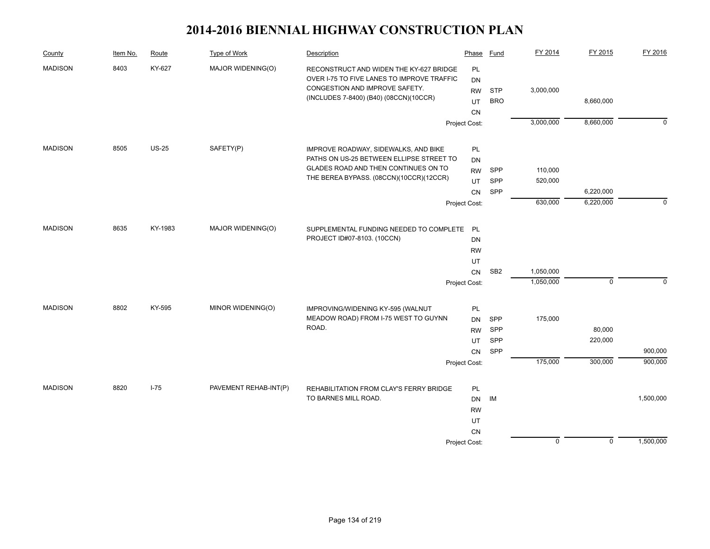| County         | Item No. | Route    | Type of Work          | Description                                                                  | Phase           | Fund            | FY 2014     | FY 2015     | FY 2016     |
|----------------|----------|----------|-----------------------|------------------------------------------------------------------------------|-----------------|-----------------|-------------|-------------|-------------|
| <b>MADISON</b> | 8403     | KY-627   | MAJOR WIDENING(O)     | RECONSTRUCT AND WIDEN THE KY-627 BRIDGE                                      | PL              |                 |             |             |             |
|                |          |          |                       | OVER I-75 TO FIVE LANES TO IMPROVE TRAFFIC<br>CONGESTION AND IMPROVE SAFETY. | DN              |                 |             |             |             |
|                |          |          |                       | (INCLUDES 7-8400) (B40) (08CCN)(10CCR)                                       | <b>RW</b>       | <b>STP</b>      | 3,000,000   |             |             |
|                |          |          |                       |                                                                              | UT              | <b>BRO</b>      |             | 8,660,000   |             |
|                |          |          |                       |                                                                              | CN              |                 |             |             |             |
|                |          |          |                       |                                                                              | Project Cost:   |                 | 3,000,000   | 8,660,000   | $\mathbf 0$ |
| <b>MADISON</b> | 8505     | $US-25$  | SAFETY(P)             | IMPROVE ROADWAY, SIDEWALKS, AND BIKE                                         | PL              |                 |             |             |             |
|                |          |          |                       | PATHS ON US-25 BETWEEN ELLIPSE STREET TO                                     | <b>DN</b>       |                 |             |             |             |
|                |          |          |                       | GLADES ROAD AND THEN CONTINUES ON TO                                         | <b>RW</b>       | <b>SPP</b>      | 110,000     |             |             |
|                |          |          |                       | THE BEREA BYPASS. (08CCN)(10CCR)(12CCR)                                      | UT              | SPP             | 520,000     |             |             |
|                |          |          |                       |                                                                              | CN              | SPP             |             | 6,220,000   |             |
|                |          |          |                       |                                                                              | Project Cost:   |                 | 630,000     | 6,220,000   | $\mathbf 0$ |
| <b>MADISON</b> | 8635     | KY-1983  | MAJOR WIDENING(O)     |                                                                              |                 |                 |             |             |             |
|                |          |          |                       | SUPPLEMENTAL FUNDING NEEDED TO COMPLETE PL<br>PROJECT ID#07-8103. (10CCN)    |                 |                 |             |             |             |
|                |          |          |                       |                                                                              | DN<br><b>RW</b> |                 |             |             |             |
|                |          |          |                       |                                                                              | UT              |                 |             |             |             |
|                |          |          |                       |                                                                              | <b>CN</b>       | SB <sub>2</sub> | 1,050,000   |             |             |
|                |          |          |                       |                                                                              | Project Cost:   |                 | 1,050,000   | $\mathbf 0$ | $\Omega$    |
|                |          |          |                       |                                                                              |                 |                 |             |             |             |
| <b>MADISON</b> | 8802     | KY-595   | MINOR WIDENING(O)     | IMPROVING/WIDENING KY-595 (WALNUT                                            | PL              |                 |             |             |             |
|                |          |          |                       | MEADOW ROAD) FROM I-75 WEST TO GUYNN                                         | <b>DN</b>       | SPP             | 175,000     |             |             |
|                |          |          |                       | ROAD.                                                                        | <b>RW</b>       | SPP             |             | 80,000      |             |
|                |          |          |                       |                                                                              | UT              | SPP             |             | 220,000     |             |
|                |          |          |                       |                                                                              | CN              | SPP             |             |             | 900,000     |
|                |          |          |                       |                                                                              | Project Cost:   |                 | 175,000     | 300,000     | 900,000     |
| <b>MADISON</b> | 8820     | $I - 75$ | PAVEMENT REHAB-INT(P) | REHABILITATION FROM CLAY'S FERRY BRIDGE                                      | PL              |                 |             |             |             |
|                |          |          |                       | TO BARNES MILL ROAD.                                                         | DN              | IM              |             |             | 1,500,000   |
|                |          |          |                       |                                                                              | <b>RW</b>       |                 |             |             |             |
|                |          |          |                       |                                                                              | UT              |                 |             |             |             |
|                |          |          |                       |                                                                              | <b>CN</b>       |                 |             |             |             |
|                |          |          |                       |                                                                              | Project Cost:   |                 | $\mathbf 0$ | $\mathbf 0$ | 1,500,000   |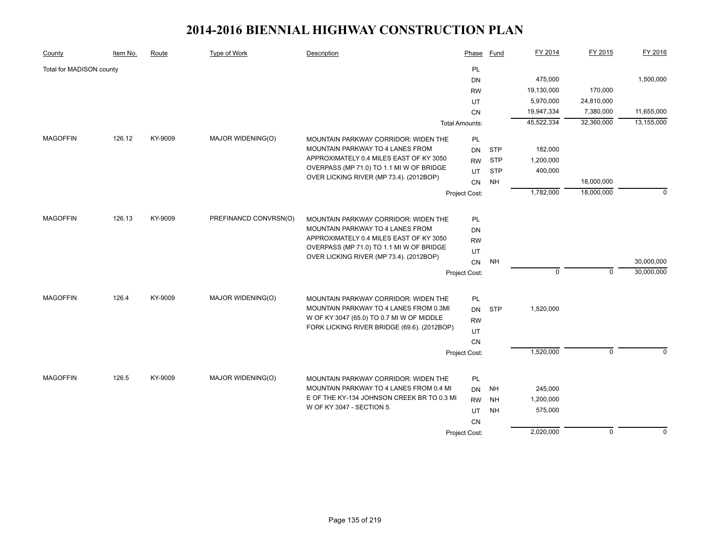| County                   | Item No. | Route   | <b>Type of Work</b>   | Description                                 | Phase                 | Fund       | FY 2014     | FY 2015     | FY 2016     |
|--------------------------|----------|---------|-----------------------|---------------------------------------------|-----------------------|------------|-------------|-------------|-------------|
| Total for MADISON county |          |         |                       |                                             | PL                    |            |             |             |             |
|                          |          |         |                       |                                             | <b>DN</b>             |            | 475,000     |             | 1,500,000   |
|                          |          |         |                       |                                             | <b>RW</b>             |            | 19,130,000  | 170,000     |             |
|                          |          |         |                       |                                             | UT                    |            | 5,970,000   | 24,810,000  |             |
|                          |          |         |                       |                                             | CN                    |            | 19,947,334  | 7,380,000   | 11,655,000  |
|                          |          |         |                       |                                             | <b>Total Amounts:</b> |            | 45,522,334  | 32,360,000  | 13,155,000  |
| <b>MAGOFFIN</b>          | 126.12   | KY-9009 | MAJOR WIDENING(O)     | MOUNTAIN PARKWAY CORRIDOR: WIDEN THE        | PL                    |            |             |             |             |
|                          |          |         |                       | MOUNTAIN PARKWAY TO 4 LANES FROM            | <b>DN</b>             | <b>STP</b> | 182,000     |             |             |
|                          |          |         |                       | APPROXIMATELY 0.4 MILES EAST OF KY 3050     | <b>RW</b>             | <b>STP</b> | 1,200,000   |             |             |
|                          |          |         |                       | OVERPASS (MP 71.0) TO 1.1 MI W OF BRIDGE    | UT                    | <b>STP</b> | 400,000     |             |             |
|                          |          |         |                       | OVER LICKING RIVER (MP 73.4). (2012BOP)     | CN                    | <b>NH</b>  |             | 18,000,000  |             |
|                          |          |         |                       |                                             | Project Cost:         |            | 1,782,000   | 18,000,000  | $\mathbf 0$ |
|                          |          |         |                       |                                             |                       |            |             |             |             |
| <b>MAGOFFIN</b>          | 126.13   | KY-9009 | PREFINANCD CONVRSN(O) | MOUNTAIN PARKWAY CORRIDOR: WIDEN THE        | <b>PL</b>             |            |             |             |             |
|                          |          |         |                       | <b>MOUNTAIN PARKWAY TO 4 LANES FROM</b>     | DN                    |            |             |             |             |
|                          |          |         |                       | APPROXIMATELY 0.4 MILES EAST OF KY 3050     | <b>RW</b>             |            |             |             |             |
|                          |          |         |                       | OVERPASS (MP 71.0) TO 1.1 MI W OF BRIDGE    | UT                    |            |             |             |             |
|                          |          |         |                       | OVER LICKING RIVER (MP 73.4). (2012BOP)     | CN                    | <b>NH</b>  |             |             | 30,000,000  |
|                          |          |         |                       |                                             | Project Cost:         |            | $\mathbf 0$ | $\mathbf 0$ | 30,000,000  |
|                          |          |         |                       |                                             |                       |            |             |             |             |
| <b>MAGOFFIN</b>          | 126.4    | KY-9009 | MAJOR WIDENING(O)     | MOUNTAIN PARKWAY CORRIDOR: WIDEN THE        | PL                    |            |             |             |             |
|                          |          |         |                       | MOUNTAIN PARKWAY TO 4 LANES FROM 0.3MI      | <b>DN</b>             | <b>STP</b> | 1,520,000   |             |             |
|                          |          |         |                       | W OF KY 3047 (65.0) TO 0.7 MI W OF MIDDLE   | <b>RW</b>             |            |             |             |             |
|                          |          |         |                       | FORK LICKING RIVER BRIDGE (69.6). (2012BOP) | UT                    |            |             |             |             |
|                          |          |         |                       |                                             | CN                    |            |             |             |             |
|                          |          |         |                       |                                             | Project Cost:         |            | 1,520,000   | $\mathbf 0$ | $\mathbf 0$ |
|                          |          |         |                       |                                             |                       |            |             |             |             |
| <b>MAGOFFIN</b>          | 126.5    | KY-9009 | MAJOR WIDENING(O)     | MOUNTAIN PARKWAY CORRIDOR: WIDEN THE        | PL                    |            |             |             |             |
|                          |          |         |                       | MOUNTAIN PARKWAY TO 4 LANES FROM 0.4 MI     | <b>DN</b>             | <b>NH</b>  | 245,000     |             |             |
|                          |          |         |                       | E OF THE KY-134 JOHNSON CREEK BR TO 0.3 MI  | <b>RW</b>             | <b>NH</b>  | 1,200,000   |             |             |
|                          |          |         |                       | W OF KY 3047 - SECTION 5.                   | UT                    | <b>NH</b>  | 575,000     |             |             |
|                          |          |         |                       |                                             | <b>CN</b>             |            |             |             |             |
|                          |          |         |                       |                                             | Project Cost:         |            | 2,020,000   | $\mathbf 0$ | $\mathbf 0$ |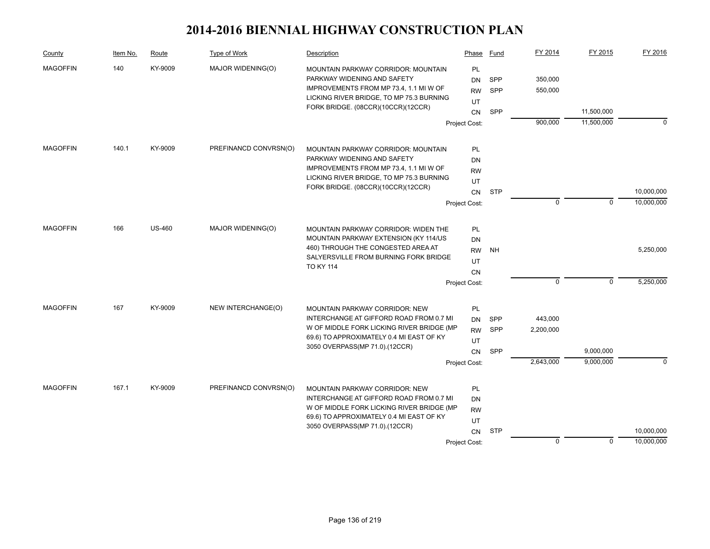| County          | Item No. | Route         | Type of Work          | Description                                                                          | Phase         | Fund       | FY 2014   | FY 2015     | FY 2016    |
|-----------------|----------|---------------|-----------------------|--------------------------------------------------------------------------------------|---------------|------------|-----------|-------------|------------|
| <b>MAGOFFIN</b> | 140      | KY-9009       | MAJOR WIDENING(O)     | MOUNTAIN PARKWAY CORRIDOR: MOUNTAIN                                                  | PL            |            |           |             |            |
|                 |          |               |                       | PARKWAY WIDENING AND SAFETY                                                          | DN            | <b>SPP</b> | 350,000   |             |            |
|                 |          |               |                       | IMPROVEMENTS FROM MP 73.4, 1.1 MI W OF                                               | <b>RW</b>     | <b>SPP</b> | 550,000   |             |            |
|                 |          |               |                       | LICKING RIVER BRIDGE, TO MP 75.3 BURNING<br>FORK BRIDGE. (08CCR)(10CCR)(12CCR)       | UT            |            |           |             |            |
|                 |          |               |                       |                                                                                      | <b>CN</b>     | SPP        |           | 11,500,000  |            |
|                 |          |               |                       |                                                                                      | Project Cost: |            | 900,000   | 11,500,000  | $\Omega$   |
| <b>MAGOFFIN</b> | 140.1    | KY-9009       | PREFINANCD CONVRSN(O) | MOUNTAIN PARKWAY CORRIDOR: MOUNTAIN                                                  | PL            |            |           |             |            |
|                 |          |               |                       | PARKWAY WIDENING AND SAFETY                                                          | DN            |            |           |             |            |
|                 |          |               |                       | IMPROVEMENTS FROM MP 73.4, 1.1 MI W OF                                               | <b>RW</b>     |            |           |             |            |
|                 |          |               |                       | LICKING RIVER BRIDGE, TO MP 75.3 BURNING                                             | UT            |            |           |             |            |
|                 |          |               |                       | FORK BRIDGE. (08CCR)(10CCR)(12CCR)                                                   |               | <b>STP</b> |           |             | 10,000,000 |
|                 |          |               |                       |                                                                                      | CN            |            | 0         | $\mathbf 0$ | 10,000,000 |
|                 |          |               |                       |                                                                                      | Project Cost: |            |           |             |            |
| <b>MAGOFFIN</b> | 166      | <b>US-460</b> | MAJOR WIDENING(O)     | MOUNTAIN PARKWAY CORRIDOR: WIDEN THE                                                 | PL            |            |           |             |            |
|                 |          |               |                       | MOUNTAIN PARKWAY EXTENSION (KY 114/US                                                | <b>DN</b>     |            |           |             |            |
|                 |          |               |                       | 460) THROUGH THE CONGESTED AREA AT                                                   | <b>RW</b>     | <b>NH</b>  |           |             | 5,250,000  |
|                 |          |               |                       | SALYERSVILLE FROM BURNING FORK BRIDGE                                                | UT            |            |           |             |            |
|                 |          |               |                       | <b>TO KY 114</b>                                                                     | <b>CN</b>     |            |           |             |            |
|                 |          |               |                       |                                                                                      | Project Cost: |            | $\Omega$  | $\mathbf 0$ | 5,250,000  |
|                 |          |               |                       |                                                                                      |               |            |           |             |            |
| <b>MAGOFFIN</b> | 167      | KY-9009       | NEW INTERCHANGE(O)    | MOUNTAIN PARKWAY CORRIDOR: NEW                                                       | PL            |            |           |             |            |
|                 |          |               |                       | INTERCHANGE AT GIFFORD ROAD FROM 0.7 MI<br>W OF MIDDLE FORK LICKING RIVER BRIDGE (MP | <b>DN</b>     | SPP        | 443,000   |             |            |
|                 |          |               |                       | 69.6) TO APPROXIMATELY 0.4 MI EAST OF KY                                             | <b>RW</b>     | <b>SPP</b> | 2,200,000 |             |            |
|                 |          |               |                       | 3050 OVERPASS(MP 71.0).(12CCR)                                                       | UT            |            |           |             |            |
|                 |          |               |                       |                                                                                      | <b>CN</b>     | SPP        |           | 9,000,000   |            |
|                 |          |               |                       |                                                                                      | Project Cost: |            | 2,643,000 | 9,000,000   | $\Omega$   |
| <b>MAGOFFIN</b> | 167.1    | KY-9009       | PREFINANCD CONVRSN(O) | <b>MOUNTAIN PARKWAY CORRIDOR: NEW</b>                                                | PL            |            |           |             |            |
|                 |          |               |                       | INTERCHANGE AT GIFFORD ROAD FROM 0.7 MI                                              | DN            |            |           |             |            |
|                 |          |               |                       | W OF MIDDLE FORK LICKING RIVER BRIDGE (MP                                            | <b>RW</b>     |            |           |             |            |
|                 |          |               |                       | 69.6) TO APPROXIMATELY 0.4 MI EAST OF KY                                             | UT            |            |           |             |            |
|                 |          |               |                       | 3050 OVERPASS(MP 71.0).(12CCR)                                                       | CN            | <b>STP</b> |           |             | 10,000,000 |
|                 |          |               |                       |                                                                                      | Project Cost: |            | $\Omega$  | $\mathbf 0$ | 10,000,000 |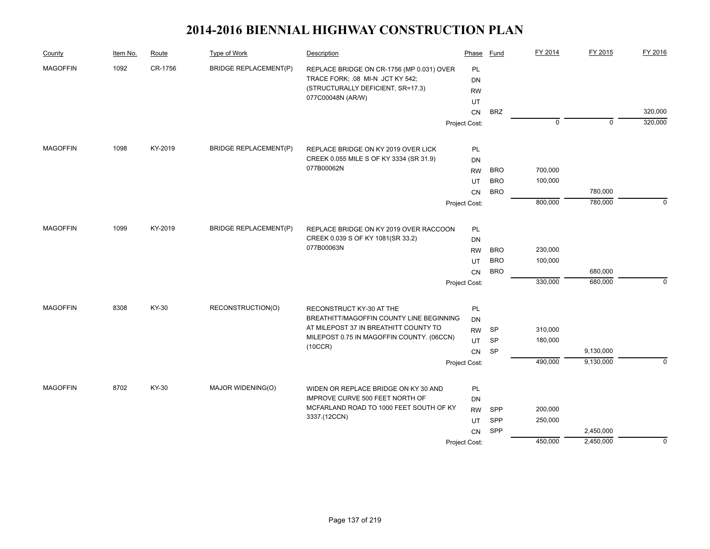| County          | Item No. | Route   | Type of Work                 | Description                                                                        | Phase           | Fund       | FY 2014     | FY 2015     | FY 2016     |
|-----------------|----------|---------|------------------------------|------------------------------------------------------------------------------------|-----------------|------------|-------------|-------------|-------------|
| <b>MAGOFFIN</b> | 1092     | CR-1756 | <b>BRIDGE REPLACEMENT(P)</b> | REPLACE BRIDGE ON CR-1756 (MP 0.031) OVER<br>TRACE FORK; .08 MI-N JCT KY 542;      | PL<br><b>DN</b> |            |             |             |             |
|                 |          |         |                              | (STRUCTURALLY DEFICIENT, SR=17.3)<br>077C00048N (AR/W)                             | <b>RW</b>       |            |             |             |             |
|                 |          |         |                              |                                                                                    | UT<br><b>CN</b> | <b>BRZ</b> |             |             | 320,000     |
|                 |          |         |                              |                                                                                    | Project Cost:   |            | $\mathbf 0$ | $\mathbf 0$ | 320,000     |
|                 |          |         |                              |                                                                                    |                 |            |             |             |             |
| <b>MAGOFFIN</b> | 1098     | KY-2019 | <b>BRIDGE REPLACEMENT(P)</b> | REPLACE BRIDGE ON KY 2019 OVER LICK                                                | PL              |            |             |             |             |
|                 |          |         |                              | CREEK 0.055 MILE S OF KY 3334 (SR 31.9)                                            | DN              |            |             |             |             |
|                 |          |         |                              | 077B00062N                                                                         | <b>RW</b>       | <b>BRO</b> | 700,000     |             |             |
|                 |          |         |                              |                                                                                    | UT              | <b>BRO</b> | 100,000     |             |             |
|                 |          |         |                              |                                                                                    | CN              | <b>BRO</b> |             | 780,000     |             |
|                 |          |         |                              |                                                                                    | Project Cost:   |            | 800,000     | 780,000     | $\Omega$    |
| <b>MAGOFFIN</b> | 1099     | KY-2019 | <b>BRIDGE REPLACEMENT(P)</b> |                                                                                    |                 |            |             |             |             |
|                 |          |         |                              | REPLACE BRIDGE ON KY 2019 OVER RACCOON<br>CREEK 0.039 S OF KY 1081(SR 33.2)        | PL              |            |             |             |             |
|                 |          |         |                              | 077B00063N                                                                         | DN<br><b>RW</b> | <b>BRO</b> | 230,000     |             |             |
|                 |          |         |                              |                                                                                    | UT              | <b>BRO</b> | 100,000     |             |             |
|                 |          |         |                              |                                                                                    | <b>CN</b>       | <b>BRO</b> |             | 680,000     |             |
|                 |          |         |                              |                                                                                    | Project Cost:   |            | 330,000     | 680,000     | $\mathbf 0$ |
|                 |          |         |                              |                                                                                    |                 |            |             |             |             |
| <b>MAGOFFIN</b> | 8308     | KY-30   | RECONSTRUCTION(O)            | RECONSTRUCT KY-30 AT THE                                                           | PL              |            |             |             |             |
|                 |          |         |                              | BREATHITT/MAGOFFIN COUNTY LINE BEGINNING                                           | DN              |            |             |             |             |
|                 |          |         |                              | AT MILEPOST 37 IN BREATHITT COUNTY TO<br>MILEPOST 0.75 IN MAGOFFIN COUNTY. (06CCN) | <b>RW</b>       | SP         | 310,000     |             |             |
|                 |          |         |                              | (10CCR)                                                                            | UT              | <b>SP</b>  | 180,000     |             |             |
|                 |          |         |                              |                                                                                    | CN              | <b>SP</b>  |             | 9,130,000   |             |
|                 |          |         |                              |                                                                                    | Project Cost:   |            | 490,000     | 9,130,000   | $\Omega$    |
| <b>MAGOFFIN</b> | 8702     | KY-30   | MAJOR WIDENING(O)            | WIDEN OR REPLACE BRIDGE ON KY 30 AND                                               | PL              |            |             |             |             |
|                 |          |         |                              | IMPROVE CURVE 500 FEET NORTH OF                                                    | DN              |            |             |             |             |
|                 |          |         |                              | MCFARLAND ROAD TO 1000 FEET SOUTH OF KY                                            | <b>RW</b>       | SPP        | 200,000     |             |             |
|                 |          |         |                              | 3337.(12CCN)                                                                       | UT              | SPP        | 250,000     |             |             |
|                 |          |         |                              |                                                                                    | <b>CN</b>       | SPP        |             | 2,450,000   |             |
|                 |          |         |                              |                                                                                    | Project Cost:   |            | 450,000     | 2,450,000   | $\mathbf 0$ |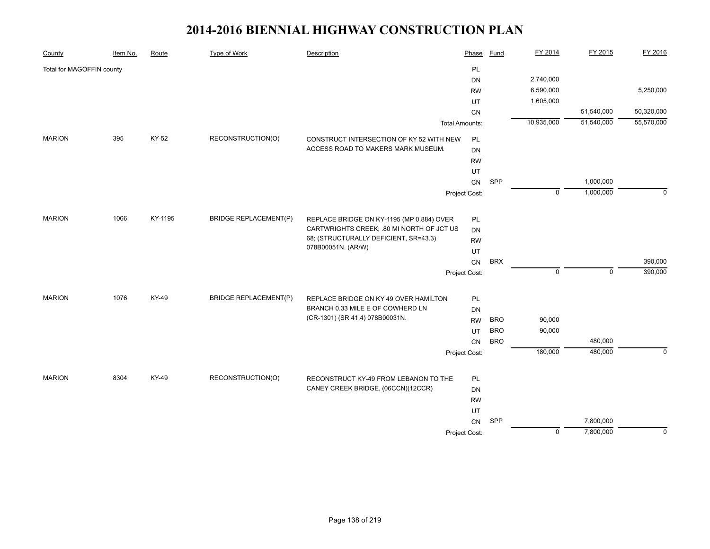| County                    | Item No. | Route   | Type of Work                 | Description                                                                        | Phase                 | <b>Fund</b> | FY 2014        | FY 2015     | FY 2016        |
|---------------------------|----------|---------|------------------------------|------------------------------------------------------------------------------------|-----------------------|-------------|----------------|-------------|----------------|
| Total for MAGOFFIN county |          |         |                              |                                                                                    | PL                    |             |                |             |                |
|                           |          |         |                              |                                                                                    | DN                    |             | 2,740,000      |             |                |
|                           |          |         |                              |                                                                                    | <b>RW</b>             |             | 6,590,000      |             | 5,250,000      |
|                           |          |         |                              |                                                                                    | UT                    |             | 1,605,000      |             |                |
|                           |          |         |                              |                                                                                    | CN                    |             |                | 51,540,000  | 50,320,000     |
|                           |          |         |                              |                                                                                    | <b>Total Amounts:</b> |             | 10,935,000     | 51,540,000  | 55,570,000     |
| <b>MARION</b>             | 395      | KY-52   | RECONSTRUCTION(O)            | CONSTRUCT INTERSECTION OF KY 52 WITH NEW                                           | PL                    |             |                |             |                |
|                           |          |         |                              | ACCESS ROAD TO MAKERS MARK MUSEUM.                                                 | DN                    |             |                |             |                |
|                           |          |         |                              |                                                                                    | <b>RW</b>             |             |                |             |                |
|                           |          |         |                              |                                                                                    | UT                    |             |                |             |                |
|                           |          |         |                              |                                                                                    | CN                    | SPP         |                | 1,000,000   |                |
|                           |          |         |                              |                                                                                    | Project Cost:         |             | $\mathbf 0$    | 1,000,000   | $\Omega$       |
|                           |          |         |                              |                                                                                    |                       |             |                |             |                |
| <b>MARION</b>             | 1066     | KY-1195 | <b>BRIDGE REPLACEMENT(P)</b> | REPLACE BRIDGE ON KY-1195 (MP 0.884) OVER                                          | PL                    |             |                |             |                |
|                           |          |         |                              | CARTWRIGHTS CREEK; .80 MI NORTH OF JCT US<br>68; (STRUCTURALLY DEFICIENT, SR=43.3) | DN                    |             |                |             |                |
|                           |          |         |                              | 078B00051N. (AR/W)                                                                 | <b>RW</b>             |             |                |             |                |
|                           |          |         |                              |                                                                                    | UT                    |             |                |             |                |
|                           |          |         |                              |                                                                                    | CN                    | <b>BRX</b>  |                |             | 390,000        |
|                           |          |         |                              |                                                                                    | Project Cost:         |             | $\mathbf 0$    | $\mathbf 0$ | 390,000        |
| <b>MARION</b>             | 1076     | KY-49   | <b>BRIDGE REPLACEMENT(P)</b> | REPLACE BRIDGE ON KY 49 OVER HAMILTON                                              | PL                    |             |                |             |                |
|                           |          |         |                              | BRANCH 0.33 MILE E OF COWHERD LN                                                   | <b>DN</b>             |             |                |             |                |
|                           |          |         |                              | (CR-1301) (SR 41.4) 078B00031N.                                                    | <b>RW</b>             | <b>BRO</b>  | 90,000         |             |                |
|                           |          |         |                              |                                                                                    | UT                    | <b>BRO</b>  | 90,000         |             |                |
|                           |          |         |                              |                                                                                    | CN                    | <b>BRO</b>  |                | 480,000     |                |
|                           |          |         |                              |                                                                                    | Project Cost:         |             | 180,000        | 480,000     | $\mathbf 0$    |
|                           |          |         |                              |                                                                                    |                       |             |                |             |                |
| <b>MARION</b>             | 8304     | KY-49   | RECONSTRUCTION(O)            | RECONSTRUCT KY-49 FROM LEBANON TO THE                                              | PL                    |             |                |             |                |
|                           |          |         |                              | CANEY CREEK BRIDGE. (06CCN)(12CCR)                                                 | DN                    |             |                |             |                |
|                           |          |         |                              |                                                                                    | <b>RW</b>             |             |                |             |                |
|                           |          |         |                              |                                                                                    | UT                    |             |                |             |                |
|                           |          |         |                              |                                                                                    | <b>CN</b>             | SPP         |                | 7,800,000   |                |
|                           |          |         |                              |                                                                                    | Project Cost:         |             | $\overline{0}$ | 7,800,000   | $\overline{0}$ |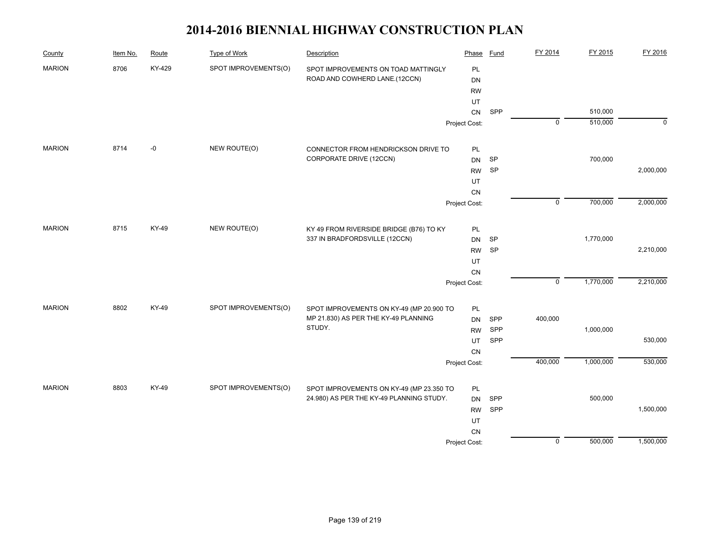| County        | Item No. | Route  | <b>Type of Work</b>  | Description                              | Phase         | Fund | FY 2014        | FY 2015   | FY 2016     |
|---------------|----------|--------|----------------------|------------------------------------------|---------------|------|----------------|-----------|-------------|
| <b>MARION</b> | 8706     | KY-429 | SPOT IMPROVEMENTS(O) | SPOT IMPROVEMENTS ON TOAD MATTINGLY      | PL            |      |                |           |             |
|               |          |        |                      | ROAD AND COWHERD LANE.(12CCN)            | <b>DN</b>     |      |                |           |             |
|               |          |        |                      |                                          | <b>RW</b>     |      |                |           |             |
|               |          |        |                      |                                          | UT            |      |                |           |             |
|               |          |        |                      |                                          | ${\sf CN}$    | SPP  |                | 510,000   |             |
|               |          |        |                      |                                          | Project Cost: |      | $\overline{0}$ | 510,000   | $\mathbf 0$ |
| <b>MARION</b> | 8714     | $-0$   | NEW ROUTE(O)         | CONNECTOR FROM HENDRICKSON DRIVE TO      | PL            |      |                |           |             |
|               |          |        |                      | CORPORATE DRIVE (12CCN)                  | DN            | SP   |                | 700,000   |             |
|               |          |        |                      |                                          | <b>RW</b>     | SP   |                |           | 2,000,000   |
|               |          |        |                      |                                          | UT            |      |                |           |             |
|               |          |        |                      |                                          | ${\sf CN}$    |      |                |           |             |
|               |          |        |                      |                                          | Project Cost: |      | $\overline{0}$ | 700,000   | 2,000,000   |
| <b>MARION</b> | 8715     | KY-49  | NEW ROUTE(O)         | KY 49 FROM RIVERSIDE BRIDGE (B76) TO KY  | PL            |      |                |           |             |
|               |          |        |                      | 337 IN BRADFORDSVILLE (12CCN)            | <b>DN</b>     | SP   |                | 1,770,000 |             |
|               |          |        |                      |                                          | <b>RW</b>     | SP   |                |           | 2,210,000   |
|               |          |        |                      |                                          | UT            |      |                |           |             |
|               |          |        |                      |                                          | CN            |      |                |           |             |
|               |          |        |                      |                                          | Project Cost: |      | $\mathsf 0$    | 1,770,000 | 2,210,000   |
| <b>MARION</b> | 8802     | KY-49  | SPOT IMPROVEMENTS(O) | SPOT IMPROVEMENTS ON KY-49 (MP 20.900 TO | PL            |      |                |           |             |
|               |          |        |                      | MP 21.830) AS PER THE KY-49 PLANNING     | <b>DN</b>     | SPP  | 400,000        |           |             |
|               |          |        |                      | STUDY.                                   | <b>RW</b>     | SPP  |                | 1,000,000 |             |
|               |          |        |                      |                                          | UT            | SPP  |                |           | 530,000     |
|               |          |        |                      |                                          | ${\sf CN}$    |      |                |           |             |
|               |          |        |                      |                                          | Project Cost: |      | 400,000        | 1,000,000 | 530,000     |
| <b>MARION</b> | 8803     | KY-49  | SPOT IMPROVEMENTS(O) | SPOT IMPROVEMENTS ON KY-49 (MP 23.350 TO | PL            |      |                |           |             |
|               |          |        |                      | 24.980) AS PER THE KY-49 PLANNING STUDY. | <b>DN</b>     | SPP  |                | 500,000   |             |
|               |          |        |                      |                                          | <b>RW</b>     | SPP  |                |           | 1,500,000   |
|               |          |        |                      |                                          | UT            |      |                |           |             |
|               |          |        |                      |                                          | CN            |      |                |           |             |
|               |          |        |                      |                                          | Project Cost: |      | $\mathsf 0$    | 500,000   | 1,500,000   |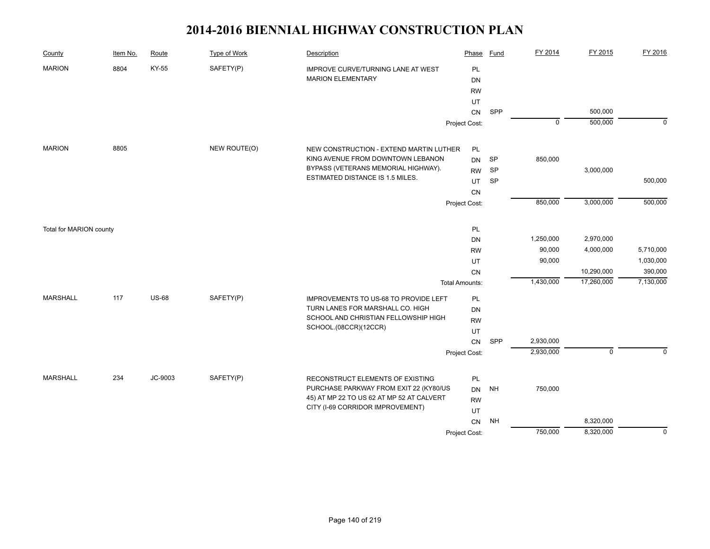| County                  | Item No. | Route        | <b>Type of Work</b> | <b>Description</b>                        | Phase                 | Fund      | FY 2014     | FY 2015     | FY 2016     |
|-------------------------|----------|--------------|---------------------|-------------------------------------------|-----------------------|-----------|-------------|-------------|-------------|
| <b>MARION</b>           | 8804     | KY-55        | SAFETY(P)           | IMPROVE CURVE/TURNING LANE AT WEST        | PL                    |           |             |             |             |
|                         |          |              |                     | <b>MARION ELEMENTARY</b>                  | DN                    |           |             |             |             |
|                         |          |              |                     |                                           | <b>RW</b>             |           |             |             |             |
|                         |          |              |                     |                                           | UT                    |           |             |             |             |
|                         |          |              |                     |                                           | ${\sf CN}$            | SPP       |             | 500,000     |             |
|                         |          |              |                     |                                           | Project Cost:         |           | $\mathbf 0$ | 500,000     | $\mathbf 0$ |
| <b>MARION</b>           | 8805     |              | NEW ROUTE(O)        | NEW CONSTRUCTION - EXTEND MARTIN LUTHER   | PL                    |           |             |             |             |
|                         |          |              |                     | KING AVENUE FROM DOWNTOWN LEBANON         | <b>DN</b>             | SP        | 850,000     |             |             |
|                         |          |              |                     | BYPASS (VETERANS MEMORIAL HIGHWAY).       | <b>RW</b>             | <b>SP</b> |             | 3,000,000   |             |
|                         |          |              |                     | ESTIMATED DISTANCE IS 1.5 MILES.          | UT                    | <b>SP</b> |             |             | 500,000     |
|                         |          |              |                     |                                           | CN                    |           |             |             |             |
|                         |          |              |                     |                                           | Project Cost:         |           | 850,000     | 3,000,000   | 500,000     |
|                         |          |              |                     |                                           |                       |           |             |             |             |
| Total for MARION county |          |              |                     |                                           | PL                    |           |             |             |             |
|                         |          |              |                     |                                           | DN                    |           | 1,250,000   | 2,970,000   |             |
|                         |          |              |                     |                                           | <b>RW</b>             |           | 90,000      | 4,000,000   | 5,710,000   |
|                         |          |              |                     |                                           | UT                    |           | 90,000      |             | 1,030,000   |
|                         |          |              |                     |                                           | <b>CN</b>             |           |             | 10,290,000  | 390,000     |
|                         |          |              |                     |                                           | <b>Total Amounts:</b> |           | 1,430,000   | 17,260,000  | 7,130,000   |
| <b>MARSHALL</b>         | 117      | <b>US-68</b> | SAFETY(P)           | IMPROVEMENTS TO US-68 TO PROVIDE LEFT     | PL                    |           |             |             |             |
|                         |          |              |                     | TURN LANES FOR MARSHALL CO. HIGH          | <b>DN</b>             |           |             |             |             |
|                         |          |              |                     | SCHOOL AND CHRISTIAN FELLOWSHIP HIGH      | <b>RW</b>             |           |             |             |             |
|                         |          |              |                     | SCHOOL.(08CCR)(12CCR)                     | UT                    |           |             |             |             |
|                         |          |              |                     |                                           | CN                    | SPP       | 2,930,000   |             |             |
|                         |          |              |                     |                                           | Project Cost:         |           | 2,930,000   | $\mathbf 0$ | $\Omega$    |
| <b>MARSHALL</b>         | 234      | JC-9003      | SAFETY(P)           | RECONSTRUCT ELEMENTS OF EXISTING          | PL                    |           |             |             |             |
|                         |          |              |                     | PURCHASE PARKWAY FROM EXIT 22 (KY80/US    | <b>DN</b>             | <b>NH</b> | 750,000     |             |             |
|                         |          |              |                     | 45) AT MP 22 TO US 62 AT MP 52 AT CALVERT | <b>RW</b>             |           |             |             |             |
|                         |          |              |                     | CITY (I-69 CORRIDOR IMPROVEMENT)          | UT                    |           |             |             |             |
|                         |          |              |                     |                                           | CN                    | <b>NH</b> |             | 8,320,000   |             |
|                         |          |              |                     |                                           | Project Cost:         |           | 750,000     | 8,320,000   | $\mathbf 0$ |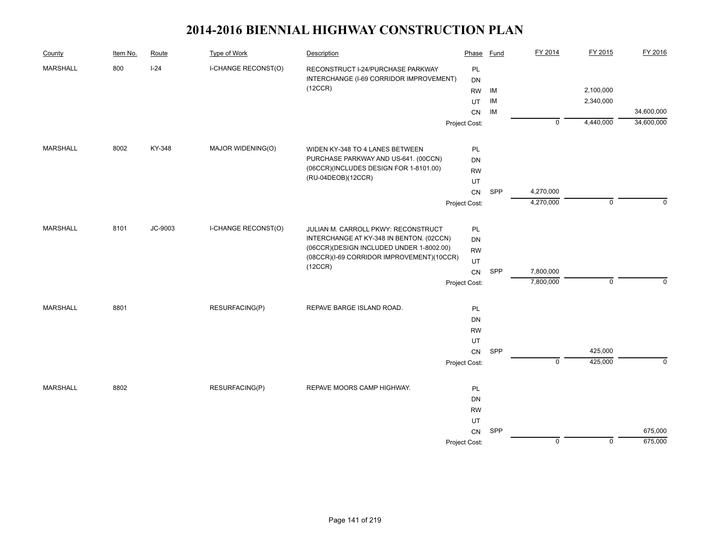| County          | Item No. | Route   | Type of Work                             | Description                               | Phase         | Fund       | FY 2014        | FY 2015     | FY 2016    |
|-----------------|----------|---------|------------------------------------------|-------------------------------------------|---------------|------------|----------------|-------------|------------|
| <b>MARSHALL</b> | 800      | $I-24$  | I-CHANGE RECONST(O)                      | RECONSTRUCT I-24/PURCHASE PARKWAY         | PL            |            |                |             |            |
|                 |          |         |                                          | INTERCHANGE (I-69 CORRIDOR IMPROVEMENT)   | DN            |            |                |             |            |
|                 |          |         |                                          | (12CCR)                                   | <b>RW</b>     | IM         |                | 2,100,000   |            |
|                 |          |         |                                          |                                           | UT            | IM         |                | 2,340,000   |            |
|                 |          |         |                                          |                                           | CN            | IM         |                |             | 34,600,000 |
|                 |          |         |                                          |                                           | Project Cost: |            | $\mathbf 0$    | 4,440,000   | 34,600,000 |
| <b>MARSHALL</b> | 8002     | KY-348  | MAJOR WIDENING(O)                        | WIDEN KY-348 TO 4 LANES BETWEEN           | PL            |            |                |             |            |
|                 |          |         |                                          | PURCHASE PARKWAY AND US-641. (00CCN)      | <b>DN</b>     |            |                |             |            |
|                 |          |         |                                          | (06CCR)(INCLUDES DESIGN FOR 1-8101.00)    | <b>RW</b>     |            |                |             |            |
|                 |          |         |                                          | (RU-04DEOB)(12CCR)                        | UT            |            |                |             |            |
|                 |          |         |                                          |                                           | CN            | <b>SPP</b> | 4,270,000      |             |            |
|                 |          |         |                                          |                                           | Project Cost: |            | 4,270,000      | $\mathbf 0$ | $\Omega$   |
| <b>MARSHALL</b> | 8101     | JC-9003 | I-CHANGE RECONST(O)                      | JULIAN M. CARROLL PKWY: RECONSTRUCT       | PL            |            |                |             |            |
|                 |          |         |                                          | INTERCHANGE AT KY-348 IN BENTON. (02CCN)  | DN            |            |                |             |            |
|                 |          |         | (06CCR)(DESIGN INCLUDED UNDER 1-8002.00) | <b>RW</b>                                 |               |            |                |             |            |
|                 |          |         |                                          | (08CCR)(I-69 CORRIDOR IMPROVEMENT)(10CCR) | UT            |            |                |             |            |
|                 |          |         |                                          | (12CCR)                                   | CN            | SPP        | 7,800,000      |             |            |
|                 |          |         |                                          |                                           | Project Cost: |            | 7,800,000      | $\mathbf 0$ | $\Omega$   |
| <b>MARSHALL</b> | 8801     |         | RESURFACING(P)                           | REPAVE BARGE ISLAND ROAD.                 | PL            |            |                |             |            |
|                 |          |         |                                          |                                           | DN            |            |                |             |            |
|                 |          |         |                                          |                                           | <b>RW</b>     |            |                |             |            |
|                 |          |         |                                          |                                           | UT            |            |                |             |            |
|                 |          |         |                                          |                                           | CN            | SPP        |                | 425,000     |            |
|                 |          |         |                                          |                                           | Project Cost: |            | $\overline{0}$ | 425,000     | $\Omega$   |
| <b>MARSHALL</b> | 8802     |         | RESURFACING(P)                           | REPAVE MOORS CAMP HIGHWAY.                | PL            |            |                |             |            |
|                 |          |         |                                          |                                           | DN            |            |                |             |            |
|                 |          |         |                                          |                                           | <b>RW</b>     |            |                |             |            |
|                 |          |         |                                          |                                           | UT            |            |                |             |            |
|                 |          |         |                                          |                                           | CN            | SPP        |                |             | 675,000    |
|                 |          |         |                                          |                                           | Project Cost: |            | $\mathbf 0$    | $\mathbf 0$ | 675,000    |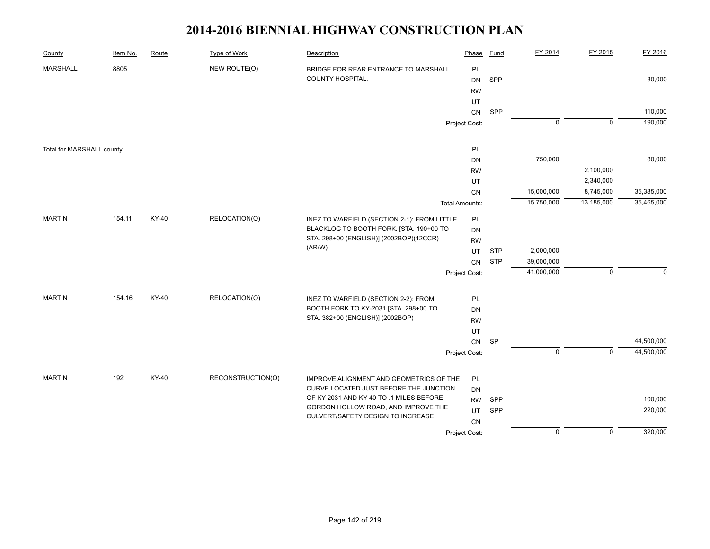| County                    | Item No. | Route | Type of Work      | Description                                                                   | Phase                 | <b>Fund</b> | FY 2014        | FY 2015        | FY 2016    |
|---------------------------|----------|-------|-------------------|-------------------------------------------------------------------------------|-----------------------|-------------|----------------|----------------|------------|
| <b>MARSHALL</b>           | 8805     |       | NEW ROUTE(O)      | BRIDGE FOR REAR ENTRANCE TO MARSHALL<br>COUNTY HOSPITAL.                      | PL<br><b>DN</b>       | SPP         |                |                | 80,000     |
|                           |          |       |                   |                                                                               | <b>RW</b><br>UT       |             |                |                |            |
|                           |          |       |                   |                                                                               | <b>CN</b>             | SPP         |                |                | 110,000    |
|                           |          |       |                   |                                                                               | Project Cost:         |             | $\overline{0}$ | $\overline{0}$ | 190,000    |
|                           |          |       |                   |                                                                               |                       |             |                |                |            |
| Total for MARSHALL county |          |       |                   |                                                                               | PL                    |             |                |                |            |
|                           |          |       |                   |                                                                               | <b>DN</b>             |             | 750,000        |                | 80,000     |
|                           |          |       |                   |                                                                               | <b>RW</b>             |             |                | 2,100,000      |            |
|                           |          |       |                   |                                                                               | UT                    |             |                | 2,340,000      |            |
|                           |          |       |                   |                                                                               | ${\sf CN}$            |             | 15,000,000     | 8,745,000      | 35,385,000 |
|                           |          |       |                   |                                                                               | <b>Total Amounts:</b> |             | 15,750,000     | 13,185,000     | 35,465,000 |
| <b>MARTIN</b>             | 154.11   | KY-40 | RELOCATION(O)     | INEZ TO WARFIELD (SECTION 2-1): FROM LITTLE                                   | <b>PL</b>             |             |                |                |            |
|                           |          |       |                   | BLACKLOG TO BOOTH FORK. [STA. 190+00 TO                                       | DN                    |             |                |                |            |
|                           |          |       |                   | STA. 298+00 (ENGLISH)] (2002BOP)(12CCR)                                       | <b>RW</b>             |             |                |                |            |
|                           |          |       |                   | (AR/W)                                                                        | <b>UT</b>             | <b>STP</b>  | 2,000,000      |                |            |
|                           |          |       |                   |                                                                               | CN                    | <b>STP</b>  | 39,000,000     |                |            |
|                           |          |       |                   |                                                                               | Project Cost:         |             | 41,000,000     | $\mathsf 0$    | $\Omega$   |
| <b>MARTIN</b>             | 154.16   | KY-40 | RELOCATION(O)     |                                                                               |                       |             |                |                |            |
|                           |          |       |                   | INEZ TO WARFIELD (SECTION 2-2): FROM<br>BOOTH FORK TO KY-2031 [STA. 298+00 TO | PL<br>DN              |             |                |                |            |
|                           |          |       |                   | STA. 382+00 (ENGLISH)] (2002BOP)                                              | <b>RW</b>             |             |                |                |            |
|                           |          |       |                   |                                                                               | UT                    |             |                |                |            |
|                           |          |       |                   |                                                                               | ${\sf CN}$            | SP          |                |                | 44,500,000 |
|                           |          |       |                   |                                                                               | Project Cost:         |             | $\overline{0}$ | $\overline{0}$ | 44,500,000 |
|                           |          |       |                   |                                                                               |                       |             |                |                |            |
| <b>MARTIN</b>             | 192      | KY-40 | RECONSTRUCTION(O) | IMPROVE ALIGNMENT AND GEOMETRICS OF THE                                       | PL                    |             |                |                |            |
|                           |          |       |                   | CURVE LOCATED JUST BEFORE THE JUNCTION                                        | <b>DN</b>             |             |                |                |            |
|                           |          |       |                   | OF KY 2031 AND KY 40 TO .1 MILES BEFORE                                       | <b>RW</b>             | SPP         |                |                | 100,000    |
|                           |          |       |                   | GORDON HOLLOW ROAD, AND IMPROVE THE<br>CULVERT/SAFETY DESIGN TO INCREASE      | UT                    | SPP         |                |                | 220,000    |
|                           |          |       |                   |                                                                               | CN                    |             |                |                |            |
|                           |          |       |                   |                                                                               | Project Cost:         |             | $\overline{0}$ | $\overline{0}$ | 320,000    |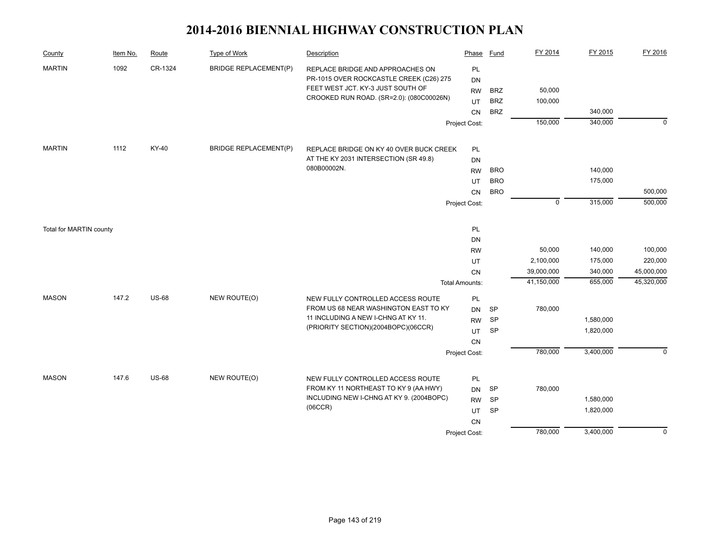| County                  | Item No. | Route        | <b>Type of Work</b>          | Description                                                                                                      | Phase                 | Fund                     | FY 2014           | FY 2015   | FY 2016     |
|-------------------------|----------|--------------|------------------------------|------------------------------------------------------------------------------------------------------------------|-----------------------|--------------------------|-------------------|-----------|-------------|
| <b>MARTIN</b>           | 1092     | CR-1324      | <b>BRIDGE REPLACEMENT(P)</b> | REPLACE BRIDGE AND APPROACHES ON<br>PR-1015 OVER ROCKCASTLE CREEK (C26) 275<br>FEET WEST JCT. KY-3 JUST SOUTH OF | PL<br>DN              |                          |                   |           |             |
|                         |          |              |                              | CROOKED RUN ROAD. (SR=2.0): (080C00026N)                                                                         | <b>RW</b>             | <b>BRZ</b><br><b>BRZ</b> | 50,000<br>100,000 |           |             |
|                         |          |              |                              |                                                                                                                  | UT<br>CN              | <b>BRZ</b>               |                   | 340,000   |             |
|                         |          |              |                              |                                                                                                                  | Project Cost:         |                          | 150,000           | 340,000   | $\mathbf 0$ |
|                         |          |              |                              |                                                                                                                  |                       |                          |                   |           |             |
| <b>MARTIN</b>           | 1112     | KY-40        | <b>BRIDGE REPLACEMENT(P)</b> | REPLACE BRIDGE ON KY 40 OVER BUCK CREEK                                                                          | PL                    |                          |                   |           |             |
|                         |          |              |                              | AT THE KY 2031 INTERSECTION (SR 49.8)                                                                            | DN                    |                          |                   |           |             |
|                         |          |              |                              | 080B00002N.                                                                                                      | <b>RW</b>             | <b>BRO</b>               |                   | 140,000   |             |
|                         |          |              |                              |                                                                                                                  | UT                    | <b>BRO</b>               |                   | 175,000   |             |
|                         |          |              |                              |                                                                                                                  | CN                    | <b>BRO</b>               |                   |           | 500,000     |
|                         |          |              |                              |                                                                                                                  | Project Cost:         |                          | $\mathbf 0$       | 315,000   | 500,000     |
| Total for MARTIN county |          |              |                              |                                                                                                                  | PL                    |                          |                   |           |             |
|                         |          |              |                              |                                                                                                                  | DN                    |                          |                   |           |             |
|                         |          |              |                              |                                                                                                                  | <b>RW</b>             |                          | 50,000            | 140,000   | 100,000     |
|                         |          |              |                              |                                                                                                                  | UT                    |                          | 2,100,000         | 175,000   | 220,000     |
|                         |          |              |                              |                                                                                                                  | CN                    |                          | 39,000,000        | 340,000   | 45,000,000  |
|                         |          |              |                              |                                                                                                                  | <b>Total Amounts:</b> |                          | 41,150,000        | 655,000   | 45,320,000  |
| <b>MASON</b>            | 147.2    | <b>US-68</b> | NEW ROUTE(O)                 | NEW FULLY CONTROLLED ACCESS ROUTE                                                                                | PL                    |                          |                   |           |             |
|                         |          |              |                              | FROM US 68 NEAR WASHINGTON EAST TO KY                                                                            | DN                    | <b>SP</b>                | 780,000           |           |             |
|                         |          |              |                              | 11 INCLUDING A NEW I-CHNG AT KY 11.<br>(PRIORITY SECTION)(2004BOPC)(06CCR)                                       | <b>RW</b>             | <b>SP</b>                |                   | 1,580,000 |             |
|                         |          |              |                              |                                                                                                                  | UT                    | <b>SP</b>                |                   | 1,820,000 |             |
|                         |          |              |                              |                                                                                                                  | CN                    |                          |                   |           |             |
|                         |          |              |                              |                                                                                                                  | Project Cost:         |                          | 780,000           | 3,400,000 | $\mathbf 0$ |
| <b>MASON</b>            | 147.6    | <b>US-68</b> | NEW ROUTE(O)                 | NEW FULLY CONTROLLED ACCESS ROUTE                                                                                | PL                    |                          |                   |           |             |
|                         |          |              |                              | FROM KY 11 NORTHEAST TO KY 9 (AA HWY)                                                                            | <b>DN</b>             | <b>SP</b>                | 780,000           |           |             |
|                         |          |              |                              | INCLUDING NEW I-CHNG AT KY 9. (2004BOPC)                                                                         | <b>RW</b>             | <b>SP</b>                |                   | 1,580,000 |             |
|                         |          |              |                              | (06CCR)                                                                                                          | UT                    | SP                       |                   | 1,820,000 |             |
|                         |          |              |                              |                                                                                                                  | CN                    |                          |                   |           |             |
|                         |          |              |                              |                                                                                                                  | Project Cost:         |                          | 780,000           | 3,400,000 | $\mathbf 0$ |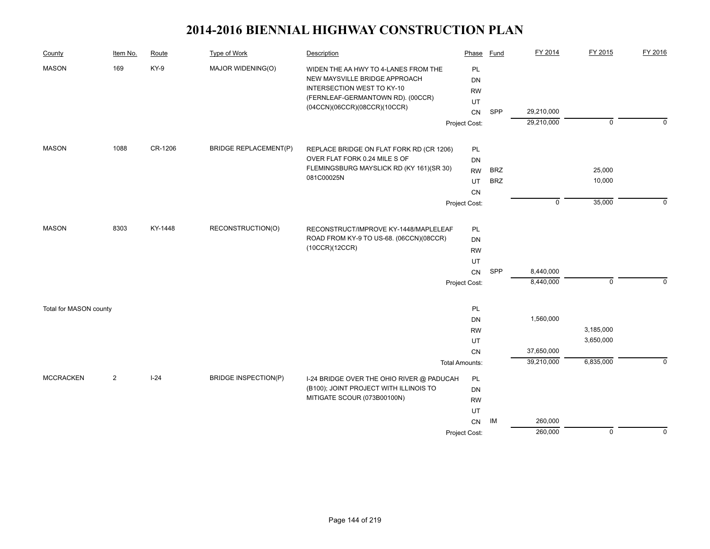| County                 | Item No.       | Route   | <b>Type of Work</b>          | Description                                                                                                                                     | Phase                              | <b>Fund</b> | FY 2014                  | FY 2015        | FY 2016     |
|------------------------|----------------|---------|------------------------------|-------------------------------------------------------------------------------------------------------------------------------------------------|------------------------------------|-------------|--------------------------|----------------|-------------|
| 169<br><b>MASON</b>    |                | KY-9    | MAJOR WIDENING(O)            | WIDEN THE AA HWY TO 4-LANES FROM THE<br>NEW MAYSVILLE BRIDGE APPROACH<br><b>INTERSECTION WEST TO KY-10</b><br>(FERNLEAF-GERMANTOWN RD). (00CCR) | PL<br><b>DN</b><br><b>RW</b><br>UT |             |                          |                |             |
|                        |                |         |                              | (04CCN)(06CCR)(08CCR)(10CCR)                                                                                                                    | CN                                 | <b>SPP</b>  | 29,210,000               |                |             |
|                        |                |         |                              |                                                                                                                                                 | Project Cost:                      |             | 29,210,000               | $\overline{0}$ | $\mathbf 0$ |
| <b>MASON</b>           | 1088           | CR-1206 | <b>BRIDGE REPLACEMENT(P)</b> | REPLACE BRIDGE ON FLAT FORK RD (CR 1206)                                                                                                        | PL                                 |             |                          |                |             |
|                        |                |         |                              | OVER FLAT FORK 0.24 MILE S OF                                                                                                                   | DN                                 |             |                          |                |             |
|                        |                |         |                              | FLEMINGSBURG MAYSLICK RD (KY 161)(SR 30)<br>081C00025N                                                                                          | <b>RW</b>                          | <b>BRZ</b>  |                          | 25,000         |             |
|                        |                |         |                              |                                                                                                                                                 | UT                                 | <b>BRZ</b>  |                          | 10,000         |             |
|                        |                |         |                              |                                                                                                                                                 | CN<br>Project Cost:                |             | $\mathbf 0$              | 35,000         | $\Omega$    |
|                        |                |         |                              |                                                                                                                                                 |                                    |             |                          |                |             |
| <b>MASON</b>           | 8303           | KY-1448 | RECONSTRUCTION(O)            | RECONSTRUCT/IMPROVE KY-1448/MAPLELEAF                                                                                                           | PL                                 |             |                          |                |             |
|                        |                |         |                              | ROAD FROM KY-9 TO US-68. (06CCN)(08CCR)                                                                                                         | DN                                 |             |                          |                |             |
|                        |                |         |                              | (10CCR)(12CCR)                                                                                                                                  | <b>RW</b>                          |             |                          |                |             |
|                        |                |         |                              |                                                                                                                                                 | UT                                 |             |                          |                |             |
|                        |                |         |                              |                                                                                                                                                 | CN                                 | SPP         | 8,440,000                | $\Omega$       |             |
|                        |                |         |                              |                                                                                                                                                 | Project Cost:                      |             | 8,440,000                |                |             |
| Total for MASON county |                |         |                              |                                                                                                                                                 | PL                                 |             |                          |                |             |
|                        |                |         |                              |                                                                                                                                                 | DN                                 |             | 1,560,000                |                |             |
|                        |                |         |                              |                                                                                                                                                 | <b>RW</b>                          |             |                          | 3,185,000      |             |
|                        |                |         |                              |                                                                                                                                                 | UT                                 |             |                          | 3,650,000      |             |
|                        |                |         |                              |                                                                                                                                                 | CN                                 |             | 37,650,000<br>39,210,000 | 6,835,000      | $\Omega$    |
|                        |                |         |                              |                                                                                                                                                 | <b>Total Amounts:</b>              |             |                          |                |             |
| <b>MCCRACKEN</b>       | $\overline{2}$ | $I-24$  | <b>BRIDGE INSPECTION(P)</b>  | I-24 BRIDGE OVER THE OHIO RIVER @ PADUCAH                                                                                                       | PL                                 |             |                          |                |             |
|                        |                |         |                              | (B100); JOINT PROJECT WITH ILLINOIS TO<br>MITIGATE SCOUR (073B00100N)                                                                           | DN                                 |             |                          |                |             |
|                        |                |         |                              |                                                                                                                                                 | <b>RW</b><br>UT                    |             |                          |                |             |
|                        |                |         |                              |                                                                                                                                                 | CN                                 | IM          | 260,000                  |                |             |
|                        |                |         |                              |                                                                                                                                                 | Project Cost:                      |             | 260,000                  | $\overline{0}$ | $\mathbf 0$ |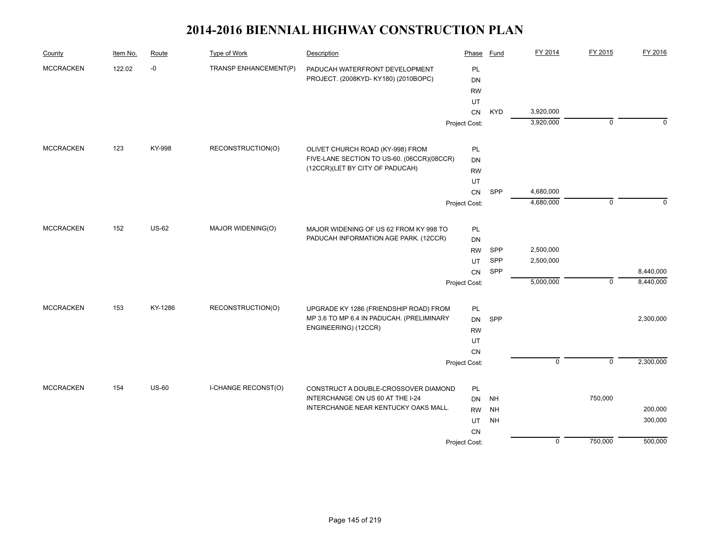| County           | Item No. | Route        | Type of Work               | Description                                | Phase         | Fund       | FY 2014        | FY 2015        | FY 2016   |
|------------------|----------|--------------|----------------------------|--------------------------------------------|---------------|------------|----------------|----------------|-----------|
| <b>MCCRACKEN</b> | 122.02   | $-0$         | TRANSP ENHANCEMENT(P)      | PADUCAH WATERFRONT DEVELOPMENT             | PL            |            |                |                |           |
|                  |          |              |                            | PROJECT. (2008KYD-KY180) (2010BOPC)        | <b>DN</b>     |            |                |                |           |
|                  |          |              |                            |                                            | <b>RW</b>     |            |                |                |           |
|                  |          |              |                            |                                            | UT            |            |                |                |           |
|                  |          |              |                            |                                            | CN            | <b>KYD</b> | 3,920,000      |                |           |
|                  |          |              |                            |                                            | Project Cost: |            | 3,920,000      | $\mathbf 0$    | $\Omega$  |
| <b>MCCRACKEN</b> | 123      | KY-998       | RECONSTRUCTION(O)          | OLIVET CHURCH ROAD (KY-998) FROM           | <b>PL</b>     |            |                |                |           |
|                  |          |              |                            | FIVE-LANE SECTION TO US-60. (06CCR)(08CCR) | DN            |            |                |                |           |
|                  |          |              |                            | (12CCR)(LET BY CITY OF PADUCAH)            | <b>RW</b>     |            |                |                |           |
|                  |          |              |                            |                                            | UT            |            |                |                |           |
|                  |          |              |                            |                                            | CN            | SPP        | 4,680,000      |                |           |
|                  |          |              |                            |                                            | Project Cost: |            | 4,680,000      | $\mathbf 0$    | $\Omega$  |
| <b>MCCRACKEN</b> | 152      | <b>US-62</b> | MAJOR WIDENING(O)          | MAJOR WIDENING OF US 62 FROM KY 998 TO     | <b>PL</b>     |            |                |                |           |
|                  |          |              |                            | PADUCAH INFORMATION AGE PARK. (12CCR)      | DN            |            |                |                |           |
|                  |          |              |                            |                                            | <b>RW</b>     | <b>SPP</b> | 2,500,000      |                |           |
|                  |          |              |                            |                                            | UT            | SPP        | 2,500,000      |                |           |
|                  |          |              |                            |                                            | CN            | SPP        |                |                | 8,440,000 |
|                  |          |              |                            |                                            | Project Cost: |            | 5,000,000      | $\mathbf{0}$   | 8,440,000 |
| <b>MCCRACKEN</b> | 153      | KY-1286      | RECONSTRUCTION(O)          | UPGRADE KY 1286 (FRIENDSHIP ROAD) FROM     | PL            |            |                |                |           |
|                  |          |              |                            | MP 3.6 TO MP 6.4 IN PADUCAH. (PRELIMINARY  | <b>DN</b>     | SPP        |                |                | 2,300,000 |
|                  |          |              |                            | ENGINEERING) (12CCR)                       | <b>RW</b>     |            |                |                |           |
|                  |          |              |                            |                                            | UT            |            |                |                |           |
|                  |          |              |                            |                                            | CN            |            |                |                |           |
|                  |          |              |                            |                                            | Project Cost: |            | $\overline{0}$ | $\overline{0}$ | 2,300,000 |
| <b>MCCRACKEN</b> | 154      | <b>US-60</b> | <b>I-CHANGE RECONST(O)</b> | CONSTRUCT A DOUBLE-CROSSOVER DIAMOND       | PL            |            |                |                |           |
|                  |          |              |                            | INTERCHANGE ON US 60 AT THE I-24           | DN            | <b>NH</b>  |                | 750,000        |           |
|                  |          |              |                            | INTERCHANGE NEAR KENTUCKY OAKS MALL.       | <b>RW</b>     | <b>NH</b>  |                |                | 200,000   |
|                  |          |              |                            |                                            | UT            | <b>NH</b>  |                |                | 300,000   |
|                  |          |              |                            |                                            | <b>CN</b>     |            |                |                |           |
|                  |          |              |                            |                                            | Project Cost: |            | $\mathbf 0$    | 750,000        | 500,000   |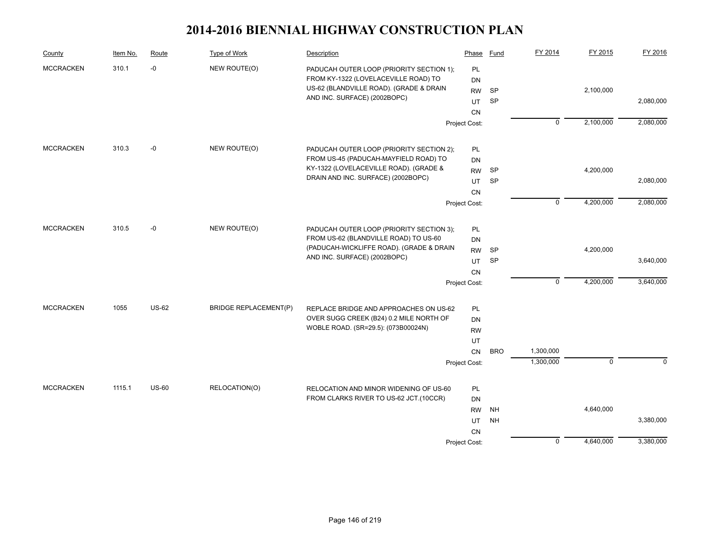| County           | Item No. | Route        | Type of Work                 | Description                                                             | Phase         | Fund       | FY 2014        | FY 2015        | FY 2016   |
|------------------|----------|--------------|------------------------------|-------------------------------------------------------------------------|---------------|------------|----------------|----------------|-----------|
| <b>MCCRACKEN</b> | 310.1    | $-0$         | NEW ROUTE(O)                 | PADUCAH OUTER LOOP (PRIORITY SECTION 1);                                | PL            |            |                |                |           |
|                  |          |              |                              | FROM KY-1322 (LOVELACEVILLE ROAD) TO                                    | DN            |            |                |                |           |
|                  |          |              |                              | US-62 (BLANDVILLE ROAD). (GRADE & DRAIN<br>AND INC. SURFACE) (2002BOPC) | <b>RW</b>     | <b>SP</b>  |                | 2,100,000      |           |
|                  |          |              |                              |                                                                         | UT            | SP         |                |                | 2,080,000 |
|                  |          |              |                              |                                                                         | <b>CN</b>     |            |                |                |           |
|                  |          |              |                              |                                                                         | Project Cost: |            | $\overline{0}$ | 2,100,000      | 2,080,000 |
| <b>MCCRACKEN</b> | 310.3    | $-0$         | NEW ROUTE(O)                 | PADUCAH OUTER LOOP (PRIORITY SECTION 2);                                | PL            |            |                |                |           |
|                  |          |              |                              | FROM US-45 (PADUCAH-MAYFIELD ROAD) TO                                   | DN            |            |                |                |           |
|                  |          |              |                              | KY-1322 (LOVELACEVILLE ROAD). (GRADE &                                  | <b>RW</b>     | SP         |                | 4,200,000      |           |
|                  |          |              |                              | DRAIN AND INC. SURFACE) (2002BOPC)                                      | UT            | <b>SP</b>  |                |                | 2,080,000 |
|                  |          |              |                              |                                                                         | <b>CN</b>     |            |                |                |           |
|                  |          |              |                              |                                                                         | Project Cost: |            | ᅙ              | 4,200,000      | 2,080,000 |
| <b>MCCRACKEN</b> | 310.5    | $-0$         | NEW ROUTE(O)                 | PADUCAH OUTER LOOP (PRIORITY SECTION 3);                                | PL            |            |                |                |           |
|                  |          |              |                              | FROM US-62 (BLANDVILLE ROAD) TO US-60                                   | DN            |            |                |                |           |
|                  |          |              |                              | (PADUCAH-WICKLIFFE ROAD). (GRADE & DRAIN                                | <b>RW</b>     | <b>SP</b>  |                | 4,200,000      |           |
|                  |          |              |                              | AND INC. SURFACE) (2002BOPC)                                            | UT            | SP         |                |                | 3,640,000 |
|                  |          |              |                              |                                                                         | <b>CN</b>     |            |                |                |           |
|                  |          |              |                              |                                                                         | Project Cost: |            | $\mathbf 0$    | 4,200,000      | 3,640,000 |
| <b>MCCRACKEN</b> | 1055     | <b>US-62</b> | <b>BRIDGE REPLACEMENT(P)</b> | REPLACE BRIDGE AND APPROACHES ON US-62                                  | PL            |            |                |                |           |
|                  |          |              |                              | OVER SUGG CREEK (B24) 0.2 MILE NORTH OF                                 | DN            |            |                |                |           |
|                  |          |              |                              | WOBLE ROAD. (SR=29.5): (073B00024N)                                     | <b>RW</b>     |            |                |                |           |
|                  |          |              |                              |                                                                         | UT            |            |                |                |           |
|                  |          |              |                              |                                                                         | <b>CN</b>     | <b>BRO</b> | 1,300,000      |                |           |
|                  |          |              |                              |                                                                         | Project Cost: |            | 1,300,000      | $\overline{0}$ | $\Omega$  |
| <b>MCCRACKEN</b> | 1115.1   | <b>US-60</b> | RELOCATION(O)                | RELOCATION AND MINOR WIDENING OF US-60                                  | <b>PL</b>     |            |                |                |           |
|                  |          |              |                              | FROM CLARKS RIVER TO US-62 JCT.(10CCR)                                  | <b>DN</b>     |            |                |                |           |
|                  |          |              |                              |                                                                         | <b>RW</b>     | <b>NH</b>  |                | 4,640,000      |           |
|                  |          |              |                              |                                                                         | UT            | <b>NH</b>  |                |                | 3,380,000 |
|                  |          |              |                              |                                                                         | <b>CN</b>     |            |                |                |           |
|                  |          |              |                              |                                                                         | Project Cost: |            | $\mathbf 0$    | 4,640,000      | 3,380,000 |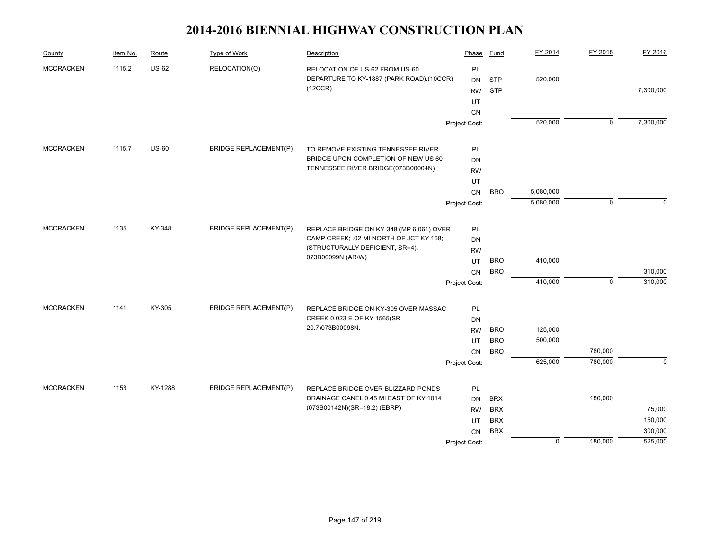| County           | Item No. | Route        | <b>Type of Work</b>          | Description                              | Phase         | <b>Fund</b> | FY 2014     | FY 2015        | FY 2016        |
|------------------|----------|--------------|------------------------------|------------------------------------------|---------------|-------------|-------------|----------------|----------------|
| <b>MCCRACKEN</b> | 1115.2   | <b>US-62</b> | RELOCATION(O)                | RELOCATION OF US-62 FROM US-60           | PL            |             |             |                |                |
|                  |          |              |                              | DEPARTURE TO KY-1887 (PARK ROAD).(10CCR) | <b>DN</b>     | <b>STP</b>  | 520,000     |                |                |
|                  |          |              |                              | (12CCR)                                  | <b>RW</b>     | <b>STP</b>  |             |                | 7,300,000      |
|                  |          |              |                              |                                          | UT            |             |             |                |                |
|                  |          |              |                              |                                          | <b>CN</b>     |             |             |                |                |
|                  |          |              |                              |                                          | Project Cost: |             | 520,000     | $\overline{0}$ | 7,300,000      |
| <b>MCCRACKEN</b> | 1115.7   | $US-60$      | <b>BRIDGE REPLACEMENT(P)</b> | TO REMOVE EXISTING TENNESSEE RIVER       | PL            |             |             |                |                |
|                  |          |              |                              | BRIDGE UPON COMPLETION OF NEW US 60      | DN            |             |             |                |                |
|                  |          |              |                              | TENNESSEE RIVER BRIDGE(073B00004N)       | <b>RW</b>     |             |             |                |                |
|                  |          |              |                              |                                          | UT            |             |             |                |                |
|                  |          |              |                              |                                          | CN            | <b>BRO</b>  | 5,080,000   |                |                |
|                  |          |              |                              |                                          | Project Cost: |             | 5,080,000   | $\mathbf 0$    | $\Omega$       |
|                  |          |              |                              |                                          |               |             |             |                |                |
| <b>MCCRACKEN</b> | 1135     | KY-348       | <b>BRIDGE REPLACEMENT(P)</b> | REPLACE BRIDGE ON KY-348 (MP 6.061) OVER | PL            |             |             |                |                |
|                  |          |              |                              | CAMP CREEK; .02 MI NORTH OF JCT KY 168;  | DN            |             |             |                |                |
|                  |          |              |                              | (STRUCTURALLY DEFICIENT, SR=4).          | <b>RW</b>     |             |             |                |                |
|                  |          |              |                              | 073B00099N (AR/W)                        | UT            | <b>BRO</b>  | 410,000     |                |                |
|                  |          |              |                              |                                          | CN            | <b>BRO</b>  |             |                | 310,000        |
|                  |          |              |                              |                                          | Project Cost: |             | 410,000     | $\mathbf 0$    | 310,000        |
|                  |          |              |                              |                                          |               |             |             |                |                |
| <b>MCCRACKEN</b> | 1141     | KY-305       | <b>BRIDGE REPLACEMENT(P)</b> | REPLACE BRIDGE ON KY-305 OVER MASSAC     | PL            |             |             |                |                |
|                  |          |              |                              | CREEK 0.023 E OF KY 1565(SR              | DN            |             |             |                |                |
|                  |          |              |                              | 20.7)073B00098N.                         | <b>RW</b>     | <b>BRO</b>  | 125,000     |                |                |
|                  |          |              |                              |                                          | UT            | <b>BRO</b>  | 500,000     |                |                |
|                  |          |              |                              |                                          | <b>CN</b>     | <b>BRO</b>  |             | 780,000        |                |
|                  |          |              |                              |                                          | Project Cost: |             | 625,000     | 780,000        | $\overline{0}$ |
| <b>MCCRACKEN</b> | 1153     | KY-1288      | <b>BRIDGE REPLACEMENT(P)</b> | REPLACE BRIDGE OVER BLIZZARD PONDS       | <b>PL</b>     |             |             |                |                |
|                  |          |              |                              | DRAINAGE CANEL 0.45 MI EAST OF KY 1014   | DN            | <b>BRX</b>  |             | 180,000        |                |
|                  |          |              |                              | (073B00142N)(SR=18.2) (EBRP)             | <b>RW</b>     | <b>BRX</b>  |             |                | 75,000         |
|                  |          |              |                              |                                          | UT            | <b>BRX</b>  |             |                | 150,000        |
|                  |          |              |                              |                                          | <b>CN</b>     | <b>BRX</b>  |             |                | 300,000        |
|                  |          |              |                              |                                          | Project Cost: |             | $\mathbf 0$ | 180,000        | 525,000        |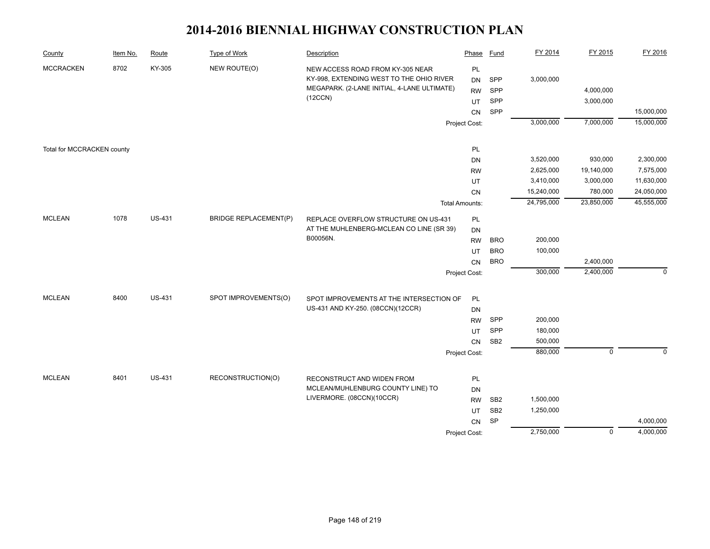| County                     | Item No. | Route         | <b>Type of Work</b>          | Description                                                                                                                            | Phase                                           | <b>Fund</b>                | FY 2014    | FY 2015                | FY 2016     |
|----------------------------|----------|---------------|------------------------------|----------------------------------------------------------------------------------------------------------------------------------------|-------------------------------------------------|----------------------------|------------|------------------------|-------------|
| <b>MCCRACKEN</b>           | 8702     | KY-305        | NEW ROUTE(O)                 | NEW ACCESS ROAD FROM KY-305 NEAR<br>KY-998, EXTENDING WEST TO THE OHIO RIVER<br>MEGAPARK. (2-LANE INITIAL, 4-LANE ULTIMATE)<br>(12CCN) | <b>PL</b><br><b>DN</b><br><b>RW</b><br>UT<br>CN | SPP<br>SPP<br>SPP<br>SPP   | 3,000,000  | 4,000,000<br>3,000,000 | 15,000,000  |
|                            |          |               |                              |                                                                                                                                        | Project Cost:                                   |                            | 3,000,000  | 7,000,000              | 15,000,000  |
| Total for MCCRACKEN county |          |               |                              |                                                                                                                                        | PL                                              |                            |            |                        |             |
|                            |          |               |                              |                                                                                                                                        | <b>DN</b>                                       |                            | 3,520,000  | 930,000                | 2,300,000   |
|                            |          |               |                              |                                                                                                                                        | <b>RW</b>                                       |                            | 2,625,000  | 19,140,000             | 7,575,000   |
|                            |          |               |                              |                                                                                                                                        | UT                                              |                            | 3,410,000  | 3,000,000              | 11,630,000  |
|                            |          |               |                              |                                                                                                                                        | CN                                              |                            | 15,240,000 | 780,000                | 24,050,000  |
|                            |          |               |                              |                                                                                                                                        | <b>Total Amounts:</b>                           |                            | 24,795,000 | 23,850,000             | 45,555,000  |
| <b>MCLEAN</b>              | 1078     | <b>US-431</b> | <b>BRIDGE REPLACEMENT(P)</b> | REPLACE OVERFLOW STRUCTURE ON US-431<br>AT THE MUHLENBERG-MCLEAN CO LINE (SR 39)                                                       | PL<br>DN                                        |                            |            |                        |             |
|                            |          |               |                              | B00056N.                                                                                                                               | <b>RW</b>                                       | <b>BRO</b>                 | 200,000    |                        |             |
|                            |          |               |                              |                                                                                                                                        | UT                                              | <b>BRO</b>                 | 100,000    |                        |             |
|                            |          |               |                              |                                                                                                                                        | CN                                              | <b>BRO</b>                 |            | 2,400,000              |             |
|                            |          |               |                              |                                                                                                                                        | Project Cost:                                   |                            | 300,000    | 2,400,000              | $\mathbf 0$ |
| <b>MCLEAN</b>              | 8400     | <b>US-431</b> | SPOT IMPROVEMENTS(O)         | SPOT IMPROVEMENTS AT THE INTERSECTION OF                                                                                               | PL                                              |                            |            |                        |             |
|                            |          |               |                              | US-431 AND KY-250. (08CCN)(12CCR)                                                                                                      | DN                                              |                            |            |                        |             |
|                            |          |               |                              |                                                                                                                                        | <b>RW</b>                                       | SPP                        | 200,000    |                        |             |
|                            |          |               |                              |                                                                                                                                        | UT                                              | SPP                        | 180,000    |                        |             |
|                            |          |               |                              |                                                                                                                                        | CN                                              | SB <sub>2</sub>            | 500,000    |                        |             |
|                            |          |               |                              |                                                                                                                                        | Project Cost:                                   |                            | 880,000    | $\mathbf 0$            | $\mathbf 0$ |
|                            |          |               |                              |                                                                                                                                        |                                                 |                            |            |                        |             |
| <b>MCLEAN</b>              | 8401     | <b>US-431</b> | RECONSTRUCTION(O)            | RECONSTRUCT AND WIDEN FROM                                                                                                             | PL                                              |                            |            |                        |             |
|                            |          |               |                              | MCLEAN/MUHLENBURG COUNTY LINE) TO                                                                                                      | <b>DN</b>                                       |                            |            |                        |             |
|                            |          |               |                              | LIVERMORE. (08CCN)(10CCR)                                                                                                              | <b>RW</b>                                       | SB <sub>2</sub>            | 1,500,000  |                        |             |
|                            |          |               |                              |                                                                                                                                        | UT                                              | SB <sub>2</sub>            | 1,250,000  |                        |             |
|                            |          |               |                              |                                                                                                                                        | CN                                              | $\ensuremath{\mathsf{SP}}$ |            |                        | 4,000,000   |
|                            |          |               |                              |                                                                                                                                        | Project Cost:                                   |                            | 2,750,000  | $\mathbf 0$            | 4,000,000   |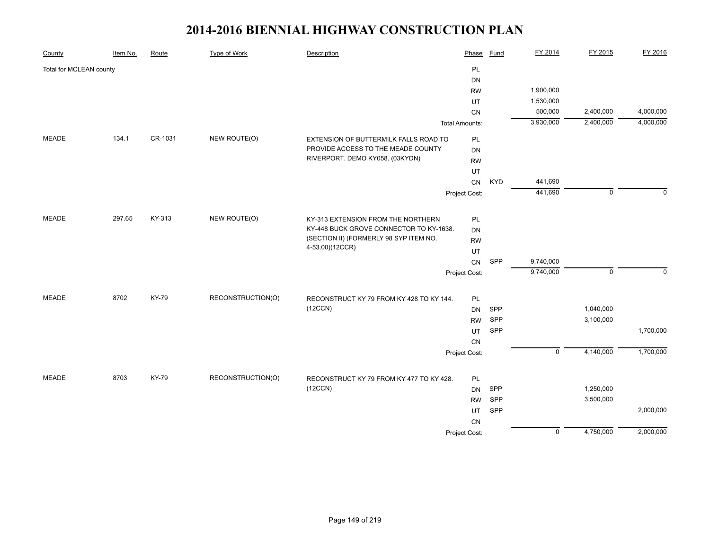| County                  | Item No. | Route   | <b>Type of Work</b> | Description                                               | Phase                 | <b>Fund</b> | FY 2014        | FY 2015     | FY 2016      |
|-------------------------|----------|---------|---------------------|-----------------------------------------------------------|-----------------------|-------------|----------------|-------------|--------------|
| Total for MCLEAN county |          |         |                     |                                                           | PL                    |             |                |             |              |
|                         |          |         |                     |                                                           | <b>DN</b>             |             |                |             |              |
|                         |          |         |                     |                                                           | <b>RW</b>             |             | 1,900,000      |             |              |
|                         |          |         |                     |                                                           | UT                    |             | 1,530,000      |             |              |
|                         |          |         |                     |                                                           | <b>CN</b>             |             | 500,000        | 2,400,000   | 4,000,000    |
|                         |          |         |                     |                                                           | <b>Total Amounts:</b> |             | 3,930,000      | 2,400,000   | 4,000,000    |
| MEADE                   | 134.1    | CR-1031 | NEW ROUTE(O)        | EXTENSION OF BUTTERMILK FALLS ROAD TO                     | PL                    |             |                |             |              |
|                         |          |         |                     | PROVIDE ACCESS TO THE MEADE COUNTY                        | <b>DN</b>             |             |                |             |              |
|                         |          |         |                     | RIVERPORT. DEMO KY058. (03KYDN)                           | <b>RW</b>             |             |                |             |              |
|                         |          |         |                     |                                                           | UT                    |             |                |             |              |
|                         |          |         |                     |                                                           | CN                    | <b>KYD</b>  | 441,690        |             |              |
|                         |          |         |                     |                                                           | Project Cost:         |             | 441,690        | $\mathbf 0$ | $\Omega$     |
|                         |          |         |                     |                                                           |                       |             |                |             |              |
| <b>MEADE</b>            | 297.65   | KY-313  | NEW ROUTE(O)        | KY-313 EXTENSION FROM THE NORTHERN                        | $\mathsf{PL}$         |             |                |             |              |
|                         |          |         |                     | KY-448 BUCK GROVE CONNECTOR TO KY-1638.                   | <b>DN</b>             |             |                |             |              |
|                         |          |         |                     | (SECTION II) (FORMERLY 98 SYP ITEM NO.<br>4-53.00)(12CCR) | <b>RW</b>             |             |                |             |              |
|                         |          |         |                     |                                                           | UT                    |             |                |             |              |
|                         |          |         |                     |                                                           | CN                    | SPP         | 9,740,000      |             |              |
|                         |          |         |                     |                                                           | Project Cost:         |             | 9,740,000      | $\mathbf 0$ | $\mathbf{0}$ |
| <b>MEADE</b>            | 8702     | KY-79   | RECONSTRUCTION(O)   | RECONSTRUCT KY 79 FROM KY 428 TO KY 144.                  | PL                    |             |                |             |              |
|                         |          |         |                     | (12CCN)                                                   | <b>DN</b>             | SPP         |                | 1,040,000   |              |
|                         |          |         |                     |                                                           | <b>RW</b>             | SPP         |                | 3,100,000   |              |
|                         |          |         |                     |                                                           | UT                    | SPP         |                |             | 1,700,000    |
|                         |          |         |                     |                                                           | CN                    |             |                |             |              |
|                         |          |         |                     |                                                           | Project Cost:         |             | $\overline{0}$ | 4,140,000   | 1,700,000    |
|                         |          |         |                     |                                                           |                       |             |                |             |              |
| <b>MEADE</b>            | 8703     | KY-79   | RECONSTRUCTION(O)   | RECONSTRUCT KY 79 FROM KY 477 TO KY 428.                  | PL                    |             |                |             |              |
|                         |          |         |                     | (12CCN)                                                   | <b>DN</b>             | SPP         |                | 1,250,000   |              |
|                         |          |         |                     |                                                           | <b>RW</b>             | SPP         |                | 3,500,000   |              |
|                         |          |         |                     |                                                           | UT                    | SPP         |                |             | 2,000,000    |
|                         |          |         |                     |                                                           | <b>CN</b>             |             |                |             |              |
|                         |          |         |                     |                                                           | Project Cost:         |             | $\overline{0}$ | 4,750,000   | 2,000,000    |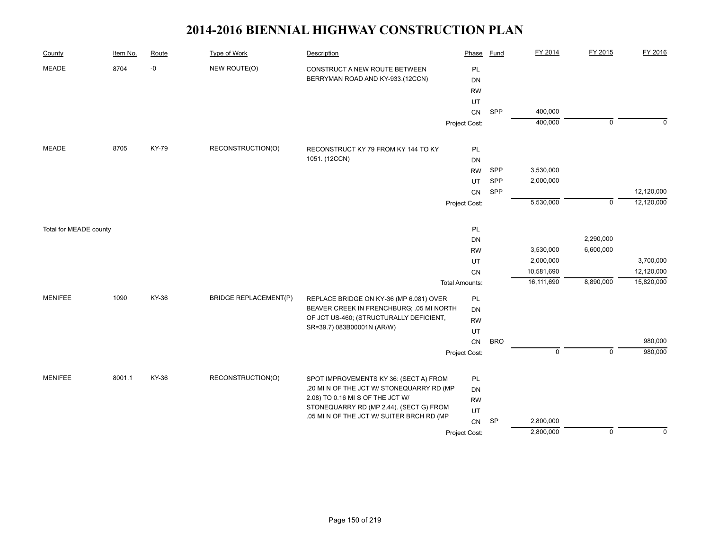| County                 | Item No. | Route | <b>Type of Work</b>          | Description                                                                          | Phase                 | <b>Fund</b> | FY 2014     | FY 2015        | FY 2016    |
|------------------------|----------|-------|------------------------------|--------------------------------------------------------------------------------------|-----------------------|-------------|-------------|----------------|------------|
| <b>MEADE</b>           | 8704     | $-0$  | NEW ROUTE(O)                 | CONSTRUCT A NEW ROUTE BETWEEN<br>BERRYMAN ROAD AND KY-933.(12CCN)                    | PL<br><b>DN</b>       |             |             |                |            |
|                        |          |       |                              |                                                                                      | <b>RW</b>             |             |             |                |            |
|                        |          |       |                              |                                                                                      | UT                    |             |             |                |            |
|                        |          |       |                              |                                                                                      | CN                    | SPP         | 400,000     |                |            |
|                        |          |       |                              |                                                                                      | Project Cost:         |             | 400,000     | $\overline{0}$ | $\Omega$   |
| <b>MEADE</b>           | 8705     | KY-79 | RECONSTRUCTION(O)            | RECONSTRUCT KY 79 FROM KY 144 TO KY                                                  | <b>PL</b>             |             |             |                |            |
|                        |          |       |                              | 1051. (12CCN)                                                                        | <b>DN</b>             |             |             |                |            |
|                        |          |       |                              |                                                                                      | <b>RW</b>             | SPP         | 3,530,000   |                |            |
|                        |          |       |                              |                                                                                      | UT                    | SPP         | 2,000,000   |                |            |
|                        |          |       |                              |                                                                                      | CN                    | SPP         |             |                | 12,120,000 |
|                        |          |       |                              |                                                                                      | Project Cost:         |             | 5,530,000   | $\mathbf 0$    | 12,120,000 |
| Total for MEADE county |          |       |                              |                                                                                      | PL                    |             |             |                |            |
|                        |          |       |                              |                                                                                      | DN                    |             |             | 2,290,000      |            |
|                        |          |       |                              |                                                                                      | <b>RW</b>             |             | 3,530,000   | 6,600,000      |            |
|                        |          |       |                              |                                                                                      | UT                    |             | 2,000,000   |                | 3,700,000  |
|                        |          |       |                              |                                                                                      | CN                    |             | 10,581,690  |                | 12,120,000 |
|                        |          |       |                              |                                                                                      | <b>Total Amounts:</b> |             | 16,111,690  | 8,890,000      | 15,820,000 |
| <b>MENIFEE</b>         | 1090     | KY-36 | <b>BRIDGE REPLACEMENT(P)</b> | REPLACE BRIDGE ON KY-36 (MP 6.081) OVER                                              | <b>PL</b>             |             |             |                |            |
|                        |          |       |                              | BEAVER CREEK IN FRENCHBURG; .05 MI NORTH                                             | DN                    |             |             |                |            |
|                        |          |       |                              | OF JCT US-460; (STRUCTURALLY DEFICIENT,<br>SR=39.7) 083B00001N (AR/W)                | <b>RW</b>             |             |             |                |            |
|                        |          |       |                              |                                                                                      | UT                    |             |             |                |            |
|                        |          |       |                              |                                                                                      | ${\sf CN}$            | <b>BRO</b>  |             |                | 980,000    |
|                        |          |       |                              |                                                                                      | Project Cost:         |             | $\mathsf 0$ | $\mathsf 0$    | 980,000    |
| <b>MENIFEE</b>         | 8001.1   | KY-36 | RECONSTRUCTION(O)            | SPOT IMPROVEMENTS KY 36: (SECT A) FROM                                               | PL                    |             |             |                |            |
|                        |          |       |                              | .20 MI N OF THE JCT W/ STONEQUARRY RD (MP                                            | <b>DN</b>             |             |             |                |            |
|                        |          |       |                              | 2.08) TO 0.16 MI S OF THE JCT W/                                                     | <b>RW</b>             |             |             |                |            |
|                        |          |       |                              | STONEQUARRY RD (MP 2.44). (SECT G) FROM<br>.05 MI N OF THE JCT W/ SUITER BRCH RD (MP | UT                    |             |             |                |            |
|                        |          |       |                              |                                                                                      | ${\sf CN}$            | <b>SP</b>   | 2,800,000   |                |            |
|                        |          |       |                              |                                                                                      | Project Cost:         |             | 2,800,000   | $\mathbf 0$    | $\Omega$   |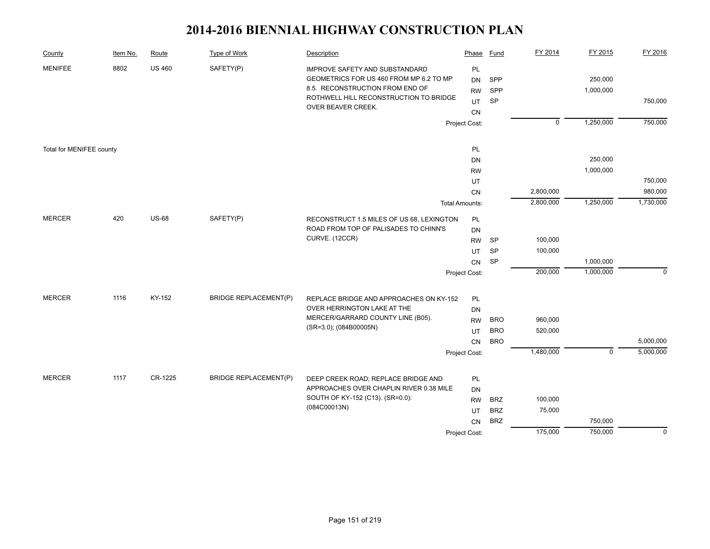| County                   | Item No. | Route         | Type of Work                 | Description                                                                                                                                                                  | Phase                                    | Fund             | FY 2014        | FY 2015              | FY 2016     |
|--------------------------|----------|---------------|------------------------------|------------------------------------------------------------------------------------------------------------------------------------------------------------------------------|------------------------------------------|------------------|----------------|----------------------|-------------|
| <b>MENIFEE</b>           | 8802     | <b>US 460</b> | SAFETY(P)                    | IMPROVE SAFETY AND SUBSTANDARD<br>GEOMETRICS FOR US 460 FROM MP 6.2 TO MP<br>8.5. RECONSTRUCTION FROM END OF<br>ROTHWELL HILL RECONSTRUCTION TO BRIDGE<br>OVER BEAVER CREEK. | PL<br><b>DN</b><br><b>RW</b><br>UT<br>CN | SPP<br>SPP<br>SP |                | 250,000<br>1,000,000 | 750,000     |
|                          |          |               |                              |                                                                                                                                                                              | Project Cost:                            |                  | $\overline{0}$ | 1,250,000            | 750,000     |
| Total for MENIFEE county |          |               |                              |                                                                                                                                                                              | PL                                       |                  |                |                      |             |
|                          |          |               |                              |                                                                                                                                                                              | <b>DN</b>                                |                  |                | 250,000              |             |
|                          |          |               |                              |                                                                                                                                                                              | <b>RW</b>                                |                  |                | 1,000,000            |             |
|                          |          |               |                              |                                                                                                                                                                              | UT                                       |                  |                |                      | 750,000     |
|                          |          |               |                              |                                                                                                                                                                              | CN                                       |                  | 2,800,000      |                      | 980,000     |
|                          |          |               |                              |                                                                                                                                                                              | <b>Total Amounts:</b>                    |                  | 2,800,000      | 1,250,000            | 1,730,000   |
| <b>MERCER</b>            | 420      | <b>US-68</b>  | SAFETY(P)                    | RECONSTRUCT 1.5 MILES OF US 68, LEXINGTON<br>ROAD FROM TOP OF PALISADES TO CHINN'S                                                                                           | PL<br><b>DN</b>                          |                  |                |                      |             |
|                          |          |               |                              | CURVE. (12CCR)                                                                                                                                                               | <b>RW</b>                                | <b>SP</b>        | 100,000        |                      |             |
|                          |          |               |                              |                                                                                                                                                                              | UT                                       | <b>SP</b>        | 100,000        |                      |             |
|                          |          |               |                              |                                                                                                                                                                              | <b>CN</b>                                | <b>SP</b>        |                | 1,000,000            |             |
|                          |          |               |                              |                                                                                                                                                                              | Project Cost:                            |                  | 200,000        | 1,000,000            | $\Omega$    |
| <b>MERCER</b>            | 1116     | KY-152        | <b>BRIDGE REPLACEMENT(P)</b> | REPLACE BRIDGE AND APPROACHES ON KY-152                                                                                                                                      | PL                                       |                  |                |                      |             |
|                          |          |               |                              | OVER HERRINGTON LAKE AT THE                                                                                                                                                  | DN                                       |                  |                |                      |             |
|                          |          |               |                              | MERCER/GARRARD COUNTY LINE (B05).                                                                                                                                            | <b>RW</b>                                | <b>BRO</b>       | 960,000        |                      |             |
|                          |          |               |                              | (SR=3.0); (084B00005N)                                                                                                                                                       | UT                                       | <b>BRO</b>       | 520,000        |                      |             |
|                          |          |               |                              |                                                                                                                                                                              | <b>CN</b>                                | <b>BRO</b>       |                |                      | 5,000,000   |
|                          |          |               |                              |                                                                                                                                                                              | Project Cost:                            |                  | 1,480,000      | $\mathbf 0$          | 5,000,000   |
| <b>MERCER</b>            | 1117     | CR-1225       | <b>BRIDGE REPLACEMENT(P)</b> | DEEP CREEK ROAD; REPLACE BRIDGE AND                                                                                                                                          | PL                                       |                  |                |                      |             |
|                          |          |               |                              | APPROACHES OVER CHAPLIN RIVER 0.38 MILE                                                                                                                                      | <b>DN</b>                                |                  |                |                      |             |
|                          |          |               |                              | SOUTH OF KY-152 (C13). (SR=0.0):                                                                                                                                             | <b>RW</b>                                | <b>BRZ</b>       | 100,000        |                      |             |
|                          |          |               |                              | (084C00013N)                                                                                                                                                                 | UT                                       | <b>BRZ</b>       | 75,000         |                      |             |
|                          |          |               |                              |                                                                                                                                                                              | CN                                       | <b>BRZ</b>       |                | 750,000              |             |
|                          |          |               |                              |                                                                                                                                                                              | Project Cost:                            |                  | 175,000        | 750,000              | $\mathbf 0$ |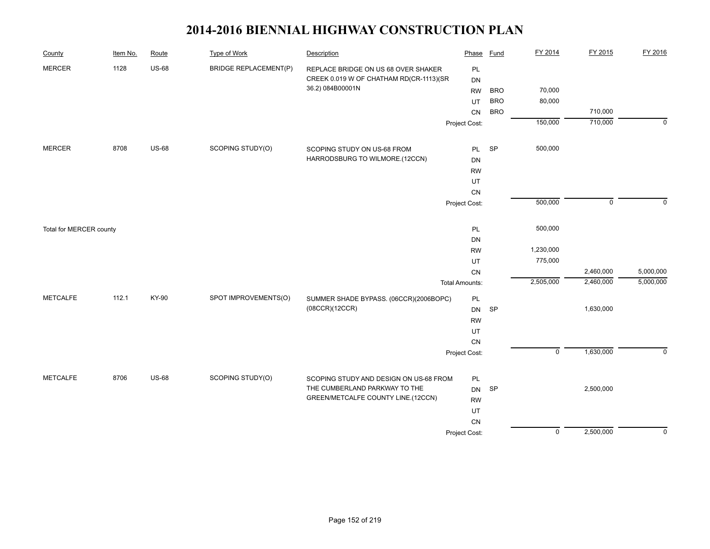| County                  | Item No. | Route        | <b>Type of Work</b>          | Description                                                             | Phase                               | <b>Fund</b> | FY 2014        | FY 2015     | FY 2016     |
|-------------------------|----------|--------------|------------------------------|-------------------------------------------------------------------------|-------------------------------------|-------------|----------------|-------------|-------------|
| <b>MERCER</b>           | 1128     | <b>US-68</b> | <b>BRIDGE REPLACEMENT(P)</b> | REPLACE BRIDGE ON US 68 OVER SHAKER                                     | PL                                  |             |                |             |             |
|                         |          |              |                              | CREEK 0.019 W OF CHATHAM RD(CR-1113)(SR                                 | <b>DN</b>                           |             |                |             |             |
|                         |          |              |                              | 36.2) 084B00001N                                                        | <b>RW</b>                           | <b>BRO</b>  | 70,000         |             |             |
|                         |          |              |                              |                                                                         | UT                                  | <b>BRO</b>  | 80,000         |             |             |
|                         |          |              |                              |                                                                         | CN                                  | <b>BRO</b>  |                | 710,000     |             |
|                         |          |              |                              |                                                                         | Project Cost:                       |             | 150,000        | 710,000     | $\mathbf 0$ |
| <b>MERCER</b>           | 8708     | <b>US-68</b> | SCOPING STUDY(O)             | SCOPING STUDY ON US-68 FROM                                             | PL                                  | SP          | 500,000        |             |             |
|                         |          |              |                              | HARRODSBURG TO WILMORE.(12CCN)                                          | DN                                  |             |                |             |             |
|                         |          |              |                              |                                                                         | <b>RW</b>                           |             |                |             |             |
|                         |          |              |                              |                                                                         | UT                                  |             |                |             |             |
|                         |          |              |                              |                                                                         | CN                                  |             |                |             |             |
|                         |          |              |                              |                                                                         | Project Cost:                       |             | 500,000        | $\mathbf 0$ | $\Omega$    |
|                         |          |              |                              |                                                                         |                                     |             | 500,000        |             |             |
| Total for MERCER county |          |              |                              |                                                                         | PL<br>DN                            |             |                |             |             |
|                         |          |              |                              |                                                                         |                                     |             | 1,230,000      |             |             |
|                         |          |              |                              |                                                                         | <b>RW</b><br>UT                     |             | 775,000        |             |             |
|                         |          |              |                              |                                                                         |                                     |             |                | 2,460,000   | 5,000,000   |
|                         |          |              |                              |                                                                         | ${\sf CN}$<br><b>Total Amounts:</b> |             | 2,505,000      | 2,460,000   | 5,000,000   |
| <b>METCALFE</b>         | 112.1    | KY-90        | SPOT IMPROVEMENTS(O)         | SUMMER SHADE BYPASS. (06CCR)(2006BOPC)                                  | PL                                  |             |                |             |             |
|                         |          |              |                              | (08CCR)(12CCR)                                                          | DN                                  | SP          |                | 1,630,000   |             |
|                         |          |              |                              |                                                                         | <b>RW</b>                           |             |                |             |             |
|                         |          |              |                              |                                                                         | UT                                  |             |                |             |             |
|                         |          |              |                              |                                                                         | CN                                  |             |                |             |             |
|                         |          |              |                              |                                                                         | Project Cost:                       |             | $\mathsf 0$    | 1,630,000   | $\mathbf 0$ |
| <b>METCALFE</b>         | 8706     | <b>US-68</b> | SCOPING STUDY(O)             |                                                                         |                                     |             |                |             |             |
|                         |          |              |                              | SCOPING STUDY AND DESIGN ON US-68 FROM<br>THE CUMBERLAND PARKWAY TO THE | PL<br>DN                            | <b>SP</b>   |                | 2,500,000   |             |
|                         |          |              |                              | GREEN/METCALFE COUNTY LINE.(12CCN)                                      | <b>RW</b>                           |             |                |             |             |
|                         |          |              |                              |                                                                         | UT                                  |             |                |             |             |
|                         |          |              |                              |                                                                         | ${\sf CN}$                          |             |                |             |             |
|                         |          |              |                              |                                                                         | Project Cost:                       |             | $\overline{0}$ | 2,500,000   | $\mathbf 0$ |
|                         |          |              |                              |                                                                         |                                     |             |                |             |             |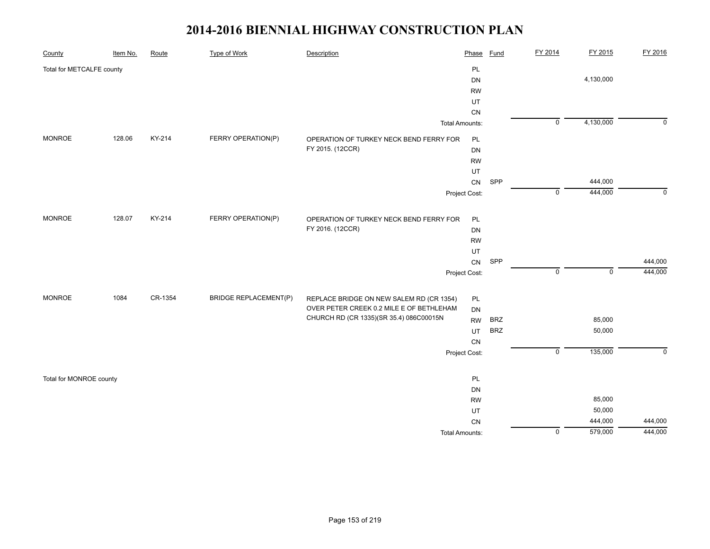| County                    | Item No. | Route   | <b>Type of Work</b>          | Description                                                                          | Phase           | <b>Fund</b> | FY 2014                   | FY 2015     | FY 2016        |
|---------------------------|----------|---------|------------------------------|--------------------------------------------------------------------------------------|-----------------|-------------|---------------------------|-------------|----------------|
| Total for METCALFE county |          |         |                              |                                                                                      | PL              |             |                           |             |                |
|                           |          |         |                              |                                                                                      | DN              |             |                           | 4,130,000   |                |
|                           |          |         |                              |                                                                                      | <b>RW</b>       |             |                           |             |                |
|                           |          |         |                              |                                                                                      | UT              |             |                           |             |                |
|                           |          |         |                              |                                                                                      | ${\sf CN}$      |             |                           |             |                |
|                           |          |         |                              | <b>Total Amounts:</b>                                                                |                 |             | $\overline{\mathfrak{o}}$ | 4,130,000   | $\overline{0}$ |
| <b>MONROE</b>             | 128.06   | KY-214  | FERRY OPERATION(P)           | OPERATION OF TURKEY NECK BEND FERRY FOR                                              | PL              |             |                           |             |                |
|                           |          |         |                              | FY 2015. (12CCR)                                                                     | DN              |             |                           |             |                |
|                           |          |         |                              |                                                                                      | <b>RW</b>       |             |                           |             |                |
|                           |          |         |                              |                                                                                      | UT              |             |                           |             |                |
|                           |          |         |                              |                                                                                      | ${\sf CN}$      | SPP         |                           | 444,000     |                |
|                           |          |         |                              |                                                                                      | Project Cost:   |             | $\overline{0}$            | 444,000     | $\overline{0}$ |
| <b>MONROE</b>             | 128.07   | KY-214  | FERRY OPERATION(P)           | OPERATION OF TURKEY NECK BEND FERRY FOR                                              | PL              |             |                           |             |                |
|                           |          |         |                              | FY 2016. (12CCR)                                                                     | DN              |             |                           |             |                |
|                           |          |         |                              |                                                                                      | <b>RW</b>       |             |                           |             |                |
|                           |          |         |                              |                                                                                      | UT              |             |                           |             |                |
|                           |          |         |                              |                                                                                      | CN              | SPP         |                           |             | 444,000        |
|                           |          |         |                              |                                                                                      | Project Cost:   |             | $\pmb{0}$                 | $\mathbf 0$ | 444,000        |
| <b>MONROE</b>             | 1084     | CR-1354 | <b>BRIDGE REPLACEMENT(P)</b> |                                                                                      |                 |             |                           |             |                |
|                           |          |         |                              | REPLACE BRIDGE ON NEW SALEM RD (CR 1354)<br>OVER PETER CREEK 0.2 MILE E OF BETHLEHAM | PL<br><b>DN</b> |             |                           |             |                |
|                           |          |         |                              | CHURCH RD (CR 1335)(SR 35.4) 086C00015N                                              | <b>RW</b>       | <b>BRZ</b>  |                           | 85,000      |                |
|                           |          |         |                              |                                                                                      | UT              | <b>BRZ</b>  |                           | 50,000      |                |
|                           |          |         |                              |                                                                                      | CN              |             |                           |             |                |
|                           |          |         |                              |                                                                                      | Project Cost:   |             | $\overline{0}$            | 135,000     | $\mathsf 0$    |
|                           |          |         |                              |                                                                                      |                 |             |                           |             |                |
| Total for MONROE county   |          |         |                              |                                                                                      | PL              |             |                           |             |                |
|                           |          |         |                              |                                                                                      | DN              |             |                           |             |                |
|                           |          |         |                              |                                                                                      | <b>RW</b>       |             |                           | 85,000      |                |
|                           |          |         |                              |                                                                                      | UT              |             |                           | 50,000      |                |
|                           |          |         |                              |                                                                                      | ${\sf CN}$      |             |                           | 444,000     | 444,000        |
|                           |          |         |                              | <b>Total Amounts:</b>                                                                |                 |             | $\overline{0}$            | 579,000     | 444,000        |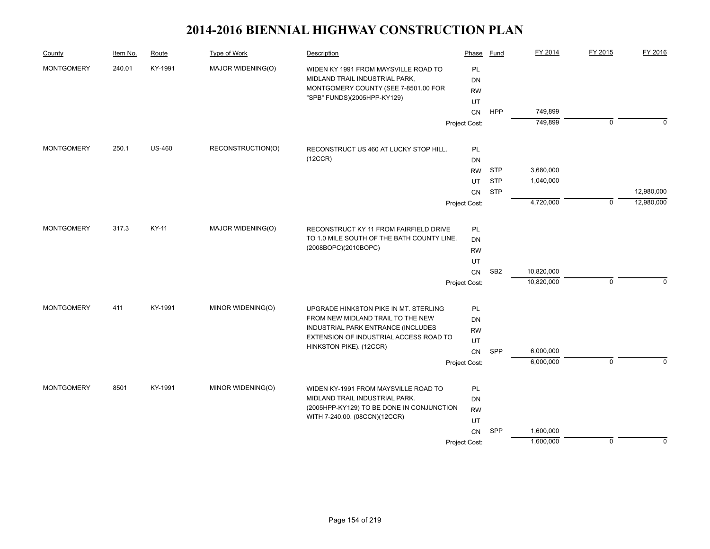| County            | Item No. | Route         | Type of Work      | Description                                                                          | Phase         | Fund            | FY 2014    | FY 2015     | FY 2016     |
|-------------------|----------|---------------|-------------------|--------------------------------------------------------------------------------------|---------------|-----------------|------------|-------------|-------------|
| <b>MONTGOMERY</b> | 240.01   | KY-1991       | MAJOR WIDENING(O) | WIDEN KY 1991 FROM MAYSVILLE ROAD TO                                                 | PL            |                 |            |             |             |
|                   |          |               |                   | MIDLAND TRAIL INDUSTRIAL PARK,                                                       | DN            |                 |            |             |             |
|                   |          |               |                   | MONTGOMERY COUNTY (SEE 7-8501.00 FOR                                                 | <b>RW</b>     |                 |            |             |             |
|                   |          |               |                   | "SPB" FUNDS)(2005HPP-KY129)                                                          | UT            |                 |            |             |             |
|                   |          |               |                   |                                                                                      | <b>CN</b>     | HPP             | 749,899    |             |             |
|                   |          |               |                   |                                                                                      | Project Cost: |                 | 749,899    | $\mathbf 0$ | $\Omega$    |
| <b>MONTGOMERY</b> | 250.1    | <b>US-460</b> | RECONSTRUCTION(O) | RECONSTRUCT US 460 AT LUCKY STOP HILL.                                               | PL            |                 |            |             |             |
|                   |          |               |                   | (12CCR)                                                                              | DN            |                 |            |             |             |
|                   |          |               |                   |                                                                                      | <b>RW</b>     | <b>STP</b>      | 3,680,000  |             |             |
|                   |          |               |                   |                                                                                      | UT            | <b>STP</b>      | 1,040,000  |             |             |
|                   |          |               |                   |                                                                                      | <b>CN</b>     | <b>STP</b>      |            |             | 12,980,000  |
|                   |          |               |                   |                                                                                      | Project Cost: |                 | 4,720,000  | $\mathbf 0$ | 12,980,000  |
|                   |          |               |                   |                                                                                      |               |                 |            |             |             |
| <b>MONTGOMERY</b> | 317.3    | KY-11         | MAJOR WIDENING(O) | RECONSTRUCT KY 11 FROM FAIRFIELD DRIVE<br>TO 1.0 MILE SOUTH OF THE BATH COUNTY LINE. | PL            |                 |            |             |             |
|                   |          |               |                   | (2008BOPC)(2010BOPC)                                                                 | DN            |                 |            |             |             |
|                   |          |               |                   |                                                                                      | <b>RW</b>     |                 |            |             |             |
|                   |          |               |                   |                                                                                      | UT            | SB <sub>2</sub> | 10,820,000 |             |             |
|                   |          |               |                   |                                                                                      | <b>CN</b>     |                 | 10,820,000 | $\mathbf 0$ | $\Omega$    |
|                   |          |               |                   |                                                                                      | Project Cost: |                 |            |             |             |
| <b>MONTGOMERY</b> | 411      | KY-1991       | MINOR WIDENING(O) | UPGRADE HINKSTON PIKE IN MT. STERLING                                                | <b>PL</b>     |                 |            |             |             |
|                   |          |               |                   | FROM NEW MIDLAND TRAIL TO THE NEW                                                    | <b>DN</b>     |                 |            |             |             |
|                   |          |               |                   | INDUSTRIAL PARK ENTRANCE (INCLUDES<br>EXTENSION OF INDUSTRIAL ACCESS ROAD TO         | <b>RW</b>     |                 |            |             |             |
|                   |          |               |                   | HINKSTON PIKE). (12CCR)                                                              | UT            |                 |            |             |             |
|                   |          |               |                   |                                                                                      | CN            | SPP             | 6,000,000  |             |             |
|                   |          |               |                   |                                                                                      | Project Cost: |                 | 6,000,000  | $\Omega$    | $\Omega$    |
| <b>MONTGOMERY</b> | 8501     | KY-1991       | MINOR WIDENING(O) | WIDEN KY-1991 FROM MAYSVILLE ROAD TO                                                 | PL            |                 |            |             |             |
|                   |          |               |                   | MIDLAND TRAIL INDUSTRIAL PARK.                                                       | DN            |                 |            |             |             |
|                   |          |               |                   | (2005HPP-KY129) TO BE DONE IN CONJUNCTION                                            | <b>RW</b>     |                 |            |             |             |
|                   |          |               |                   | WITH 7-240.00. (08CCN)(12CCR)                                                        | UT            |                 |            |             |             |
|                   |          |               |                   |                                                                                      | CN            | SPP             | 1,600,000  |             |             |
|                   |          |               |                   |                                                                                      | Project Cost: |                 | 1,600,000  | $\pmb{0}$   | $\mathbf 0$ |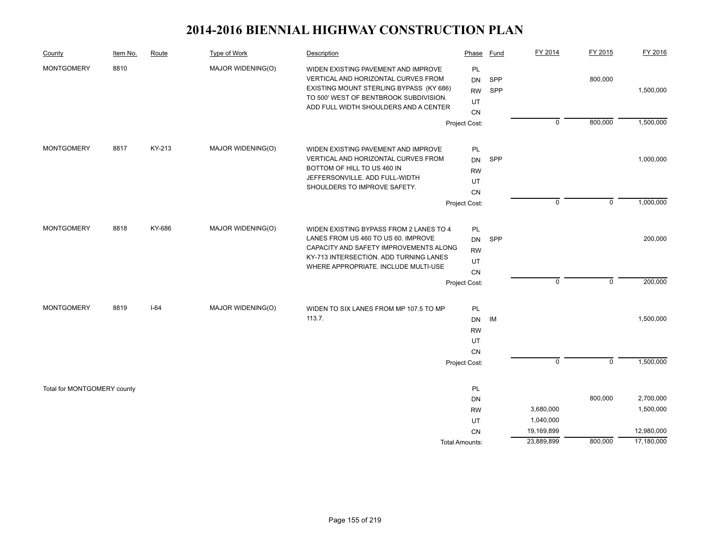| County                      | Item No. | Route  | Type of Work      | Description                                                                                                                                                                                                | Phase                                              | Fund              | FY 2014                  | FY 2015     | FY 2016                  |
|-----------------------------|----------|--------|-------------------|------------------------------------------------------------------------------------------------------------------------------------------------------------------------------------------------------------|----------------------------------------------------|-------------------|--------------------------|-------------|--------------------------|
| <b>MONTGOMERY</b>           | 8810     |        | MAJOR WIDENING(O) | WIDEN EXISTING PAVEMENT AND IMPROVE<br>VERTICAL AND HORIZONTAL CURVES FROM<br>EXISTING MOUNT STERLING BYPASS (KY 686)<br>TO 500' WEST OF BENTBROOK SUBDIVISION.<br>ADD FULL WIDTH SHOULDERS AND A CENTER   | PL<br><b>DN</b><br><b>RW</b><br>UT<br><b>CN</b>    | SPP<br><b>SPP</b> |                          | 800,000     | 1,500,000                |
|                             |          |        |                   |                                                                                                                                                                                                            | Project Cost:                                      |                   | $\mathbf 0$              | 800,000     | 1,500,000                |
| <b>MONTGOMERY</b>           | 8817     | KY-213 | MAJOR WIDENING(O) | WIDEN EXISTING PAVEMENT AND IMPROVE<br>VERTICAL AND HORIZONTAL CURVES FROM<br>BOTTOM OF HILL TO US 460 IN<br>JEFFERSONVILLE. ADD FULL-WIDTH                                                                | PL<br><b>DN</b><br><b>RW</b><br>UT                 | SPP               |                          |             | 1,000,000                |
|                             |          |        |                   | SHOULDERS TO IMPROVE SAFETY.                                                                                                                                                                               | CN                                                 |                   |                          |             |                          |
|                             |          |        |                   |                                                                                                                                                                                                            | Project Cost:                                      |                   | $\mathbf 0$              | $\mathsf 0$ | 1,000,000                |
| <b>MONTGOMERY</b>           | 8818     | KY-686 | MAJOR WIDENING(O) | WIDEN EXISTING BYPASS FROM 2 LANES TO 4<br>LANES FROM US 460 TO US 60. IMPROVE<br>CAPACITY AND SAFETY IMPROVEMENTS ALONG<br>KY-713 INTERSECTION. ADD TURNING LANES<br>WHERE APPROPRIATE. INCLUDE MULTI-USE | PL<br>DN<br><b>RW</b><br>UT<br>CN<br>Project Cost: | SPP               | $\mathbf 0$              | $\mathbf 0$ | 200,000<br>200,000       |
|                             |          |        |                   |                                                                                                                                                                                                            |                                                    |                   |                          |             |                          |
| <b>MONTGOMERY</b>           | 8819     | $I-64$ | MAJOR WIDENING(O) | WIDEN TO SIX LANES FROM MP 107.5 TO MP<br>113.7.                                                                                                                                                           | PL<br><b>DN</b><br><b>RW</b><br>UT<br><b>CN</b>    | IM                |                          |             | 1,500,000                |
|                             |          |        |                   |                                                                                                                                                                                                            | Project Cost:                                      |                   | $\mathbf 0$              | $\mathbf 0$ | 1,500,000                |
| Total for MONTGOMERY county |          |        |                   |                                                                                                                                                                                                            | PL<br>DN<br><b>RW</b><br>UT                        |                   | 3,680,000<br>1,040,000   | 800,000     | 2,700,000<br>1,500,000   |
|                             |          |        |                   |                                                                                                                                                                                                            | <b>CN</b><br>Total Amounts:                        |                   | 19,169,899<br>23,889,899 | 800,000     | 12,980,000<br>17,180,000 |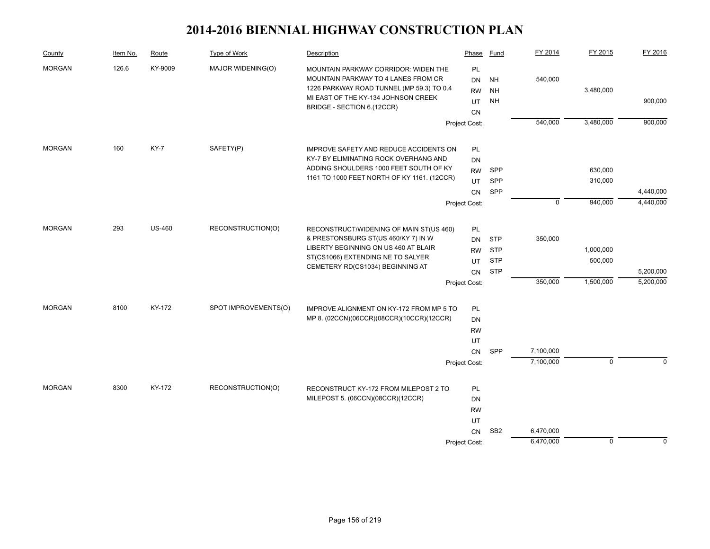| County        | Item No. | Route         | Type of Work         | Description                                                                           | Phase           | Fund            | FY 2014     | FY 2015     | FY 2016   |
|---------------|----------|---------------|----------------------|---------------------------------------------------------------------------------------|-----------------|-----------------|-------------|-------------|-----------|
| <b>MORGAN</b> | 126.6    | KY-9009       | MAJOR WIDENING(O)    | MOUNTAIN PARKWAY CORRIDOR: WIDEN THE                                                  | PL              |                 |             |             |           |
|               |          |               |                      | MOUNTAIN PARKWAY TO 4 LANES FROM CR                                                   | <b>DN</b>       | <b>NH</b>       | 540,000     |             |           |
|               |          |               |                      | 1226 PARKWAY ROAD TUNNEL (MP 59.3) TO 0.4<br>MI EAST OF THE KY-134 JOHNSON CREEK      | <b>RW</b>       | <b>NH</b>       |             | 3,480,000   |           |
|               |          |               |                      | BRIDGE - SECTION 6.(12CCR)                                                            | UT              | <b>NH</b>       |             |             | 900,000   |
|               |          |               |                      |                                                                                       | <b>CN</b>       |                 |             |             |           |
|               |          |               |                      |                                                                                       | Project Cost:   |                 | 540,000     | 3,480,000   | 900,000   |
| <b>MORGAN</b> | 160      | <b>KY-7</b>   | SAFETY(P)            | IMPROVE SAFETY AND REDUCE ACCIDENTS ON                                                | PL              |                 |             |             |           |
|               |          |               |                      | KY-7 BY ELIMINATING ROCK OVERHANG AND                                                 | DN              |                 |             |             |           |
|               |          |               |                      | ADDING SHOULDERS 1000 FEET SOUTH OF KY                                                | <b>RW</b>       | <b>SPP</b>      |             | 630,000     |           |
|               |          |               |                      | 1161 TO 1000 FEET NORTH OF KY 1161. (12CCR)                                           | UT              | <b>SPP</b>      |             | 310,000     |           |
|               |          |               |                      |                                                                                       | CN              | SPP             |             |             | 4,440,000 |
|               |          |               |                      |                                                                                       | Project Cost:   |                 | $\mathbf 0$ | 940,000     | 4,440,000 |
| <b>MORGAN</b> | 293      | <b>US-460</b> | RECONSTRUCTION(O)    | RECONSTRUCT/WIDENING OF MAIN ST(US 460)                                               | <b>PL</b>       |                 |             |             |           |
|               |          |               |                      | & PRESTONSBURG ST(US 460/KY 7) IN W                                                   | <b>DN</b>       | STP             | 350,000     |             |           |
|               |          |               |                      | LIBERTY BEGINNING ON US 460 AT BLAIR<br>ST(CS1066) EXTENDING NE TO SALYER             | <b>RW</b>       | <b>STP</b>      |             | 1,000,000   |           |
|               |          |               |                      |                                                                                       | UT              | <b>STP</b>      |             | 500,000     |           |
|               |          |               |                      | CEMETERY RD(CS1034) BEGINNING AT                                                      | <b>CN</b>       | <b>STP</b>      |             |             | 5,200,000 |
|               |          |               |                      |                                                                                       | Project Cost:   |                 | 350,000     | 1,500,000   | 5,200,000 |
| <b>MORGAN</b> | 8100     | KY-172        | SPOT IMPROVEMENTS(O) |                                                                                       |                 |                 |             |             |           |
|               |          |               |                      | IMPROVE ALIGNMENT ON KY-172 FROM MP 5 TO<br>MP 8. (02CCN)(06CCR)(08CCR)(10CCR)(12CCR) | PL<br><b>DN</b> |                 |             |             |           |
|               |          |               |                      |                                                                                       | <b>RW</b>       |                 |             |             |           |
|               |          |               |                      |                                                                                       | UT              |                 |             |             |           |
|               |          |               |                      |                                                                                       | CN              | SPP             | 7,100,000   |             |           |
|               |          |               |                      |                                                                                       | Project Cost:   |                 | 7,100,000   | $\mathbf 0$ | $\Omega$  |
|               |          |               |                      |                                                                                       |                 |                 |             |             |           |
| <b>MORGAN</b> | 8300     | KY-172        | RECONSTRUCTION(O)    | RECONSTRUCT KY-172 FROM MILEPOST 2 TO                                                 | PL              |                 |             |             |           |
|               |          |               |                      | MILEPOST 5. (06CCN)(08CCR)(12CCR)                                                     | DN              |                 |             |             |           |
|               |          |               |                      |                                                                                       | <b>RW</b>       |                 |             |             |           |
|               |          |               |                      |                                                                                       | UT              |                 |             |             |           |
|               |          |               |                      |                                                                                       | CN              | SB <sub>2</sub> | 6,470,000   |             |           |
|               |          |               |                      |                                                                                       | Project Cost:   |                 | 6,470,000   | $\mathbf 0$ | $\Omega$  |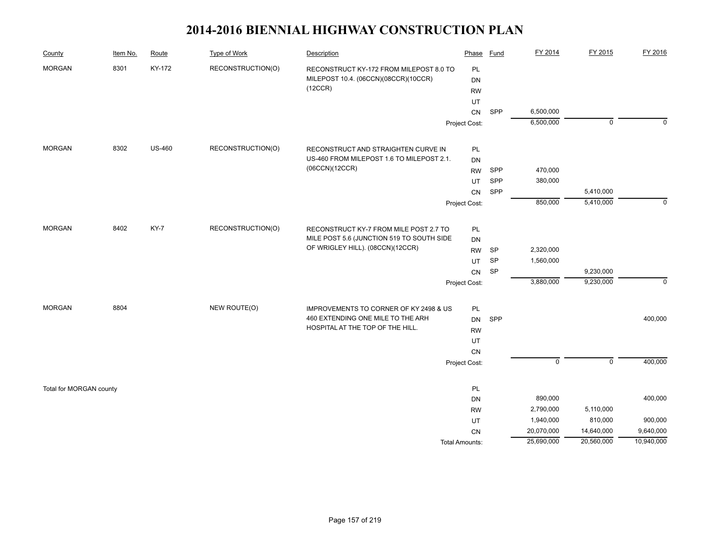| County                  | Item No. | Route         | <b>Type of Work</b> | Description                               | Phase                 | Fund      | FY 2014                  | FY 2015                  | FY 2016     |
|-------------------------|----------|---------------|---------------------|-------------------------------------------|-----------------------|-----------|--------------------------|--------------------------|-------------|
| <b>MORGAN</b>           | 8301     | KY-172        | RECONSTRUCTION(O)   | RECONSTRUCT KY-172 FROM MILEPOST 8.0 TO   | PL                    |           |                          |                          |             |
|                         |          |               |                     | MILEPOST 10.4. (06CCN)(08CCR)(10CCR)      | DN                    |           |                          |                          |             |
|                         |          |               |                     | (12CCR)                                   | <b>RW</b>             |           |                          |                          |             |
|                         |          |               |                     |                                           | UT                    |           |                          |                          |             |
|                         |          |               |                     |                                           | CN                    | SPP       | 6,500,000                |                          |             |
|                         |          |               |                     |                                           | Project Cost:         |           | 6,500,000                | $\mathbf 0$              | $\Omega$    |
| <b>MORGAN</b>           | 8302     | <b>US-460</b> | RECONSTRUCTION(O)   | RECONSTRUCT AND STRAIGHTEN CURVE IN       |                       |           |                          |                          |             |
|                         |          |               |                     | US-460 FROM MILEPOST 1.6 TO MILEPOST 2.1. | PL<br>DN              |           |                          |                          |             |
|                         |          |               |                     | (06CCN)(12CCR)                            | <b>RW</b>             | SPP       | 470,000                  |                          |             |
|                         |          |               |                     |                                           |                       | SPP       | 380,000                  |                          |             |
|                         |          |               |                     |                                           | UT<br>CN              | SPP       |                          | 5,410,000                |             |
|                         |          |               |                     |                                           |                       |           | 850,000                  | 5,410,000                | $\mathbf 0$ |
|                         |          |               |                     |                                           | Project Cost:         |           |                          |                          |             |
| <b>MORGAN</b>           | 8402     | KY-7          | RECONSTRUCTION(O)   | RECONSTRUCT KY-7 FROM MILE POST 2.7 TO    | PL                    |           |                          |                          |             |
|                         |          |               |                     | MILE POST 5.6 (JUNCTION 519 TO SOUTH SIDE | DN                    |           |                          |                          |             |
|                         |          |               |                     | OF WRIGLEY HILL). (08CCN)(12CCR)          | <b>RW</b>             | <b>SP</b> | 2,320,000                |                          |             |
|                         |          |               |                     |                                           | UT                    | SP        | 1,560,000                |                          |             |
|                         |          |               |                     |                                           | CN                    | SP        |                          | 9,230,000                |             |
|                         |          |               |                     |                                           | Project Cost:         |           | 3,880,000                | 9,230,000                | $\mathbf 0$ |
| <b>MORGAN</b>           | 8804     |               | NEW ROUTE(O)        | IMPROVEMENTS TO CORNER OF KY 2498 & US    | PL                    |           |                          |                          |             |
|                         |          |               |                     | 460 EXTENDING ONE MILE TO THE ARH         | DN                    | SPP       |                          |                          | 400,000     |
|                         |          |               |                     | HOSPITAL AT THE TOP OF THE HILL.          | <b>RW</b>             |           |                          |                          |             |
|                         |          |               |                     |                                           | UT                    |           |                          |                          |             |
|                         |          |               |                     |                                           | <b>CN</b>             |           |                          |                          |             |
|                         |          |               |                     |                                           | Project Cost:         |           | $\overline{0}$           | $\mathbf 0$              | 400,000     |
|                         |          |               |                     |                                           |                       |           |                          |                          |             |
| Total for MORGAN county |          |               |                     |                                           | PL                    |           |                          |                          |             |
|                         |          |               |                     |                                           | DN                    |           | 890,000                  |                          | 400,000     |
|                         |          |               |                     |                                           | <b>RW</b>             |           | 2,790,000                | 5,110,000                |             |
|                         |          |               |                     |                                           | UT                    |           | 1,940,000                | 810,000                  | 900,000     |
|                         |          |               |                     |                                           | <b>CN</b>             |           | 20,070,000<br>25,690,000 | 14,640,000<br>20,560,000 | 9,640,000   |
|                         |          |               |                     |                                           | <b>Total Amounts:</b> |           |                          |                          | 10,940,000  |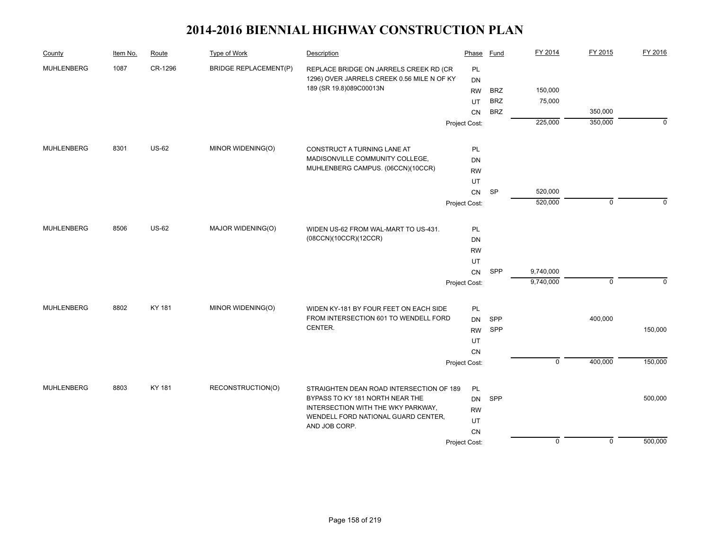| County            | Item No. | Route        | Type of Work                 | Description                                                   | Phase         | <b>Fund</b> | FY 2014     | FY 2015     | FY 2016     |
|-------------------|----------|--------------|------------------------------|---------------------------------------------------------------|---------------|-------------|-------------|-------------|-------------|
| <b>MUHLENBERG</b> | 1087     | CR-1296      | <b>BRIDGE REPLACEMENT(P)</b> | REPLACE BRIDGE ON JARRELS CREEK RD (CR                        | PL            |             |             |             |             |
|                   |          |              |                              | 1296) OVER JARRELS CREEK 0.56 MILE N OF KY                    | DN            |             |             |             |             |
|                   |          |              |                              | 189 (SR 19.8)089C00013N                                       | <b>RW</b>     | <b>BRZ</b>  | 150,000     |             |             |
|                   |          |              |                              |                                                               | UT            | <b>BRZ</b>  | 75,000      |             |             |
|                   |          |              |                              |                                                               | <b>CN</b>     | <b>BRZ</b>  |             | 350,000     |             |
|                   |          |              |                              |                                                               | Project Cost: |             | 225,000     | 350,000     | $\mathbf 0$ |
| <b>MUHLENBERG</b> | 8301     | <b>US-62</b> | MINOR WIDENING(O)            | CONSTRUCT A TURNING LANE AT                                   | PL            |             |             |             |             |
|                   |          |              |                              | MADISONVILLE COMMUNITY COLLEGE,                               | <b>DN</b>     |             |             |             |             |
|                   |          |              |                              | MUHLENBERG CAMPUS. (06CCN)(10CCR)                             | <b>RW</b>     |             |             |             |             |
|                   |          |              |                              |                                                               | UT            |             |             |             |             |
|                   |          |              |                              |                                                               | CN            | <b>SP</b>   | 520,000     |             |             |
|                   |          |              |                              |                                                               | Project Cost: |             | 520,000     | $\mathbf 0$ | 0           |
| <b>MUHLENBERG</b> |          |              |                              |                                                               |               |             |             |             |             |
|                   | 8506     | <b>US-62</b> | MAJOR WIDENING(O)            | WIDEN US-62 FROM WAL-MART TO US-431.<br>(08CCN)(10CCR)(12CCR) | PL            |             |             |             |             |
|                   |          |              |                              |                                                               | DN            |             |             |             |             |
|                   |          |              |                              |                                                               | <b>RW</b>     |             |             |             |             |
|                   |          |              |                              |                                                               | UT            |             | 9,740,000   |             |             |
|                   |          |              |                              |                                                               | CN            | SPP         | 9,740,000   | $\pmb{0}$   | $\mathbf 0$ |
|                   |          |              |                              |                                                               | Project Cost: |             |             |             |             |
| <b>MUHLENBERG</b> | 8802     | KY 181       | MINOR WIDENING(O)            | WIDEN KY-181 BY FOUR FEET ON EACH SIDE                        | <b>PL</b>     |             |             |             |             |
|                   |          |              |                              | FROM INTERSECTION 601 TO WENDELL FORD                         | <b>DN</b>     | SPP         |             | 400,000     |             |
|                   |          |              |                              | CENTER.                                                       | <b>RW</b>     | SPP         |             |             | 150,000     |
|                   |          |              |                              |                                                               | UT            |             |             |             |             |
|                   |          |              |                              |                                                               | <b>CN</b>     |             |             |             |             |
|                   |          |              |                              |                                                               | Project Cost: |             | $\mathbf 0$ | 400,000     | 150,000     |
| <b>MUHLENBERG</b> | 8803     | KY 181       | RECONSTRUCTION(O)            | STRAIGHTEN DEAN ROAD INTERSECTION OF 189                      | PL            |             |             |             |             |
|                   |          |              |                              | BYPASS TO KY 181 NORTH NEAR THE                               | <b>DN</b>     | SPP         |             |             | 500,000     |
|                   |          |              |                              | INTERSECTION WITH THE WKY PARKWAY,                            | <b>RW</b>     |             |             |             |             |
|                   |          |              |                              | WENDELL FORD NATIONAL GUARD CENTER,                           | UT            |             |             |             |             |
|                   |          |              |                              | AND JOB CORP.                                                 | CN            |             |             |             |             |
|                   |          |              |                              |                                                               | Project Cost: |             | $\mathbf 0$ | $\pmb{0}$   | 500,000     |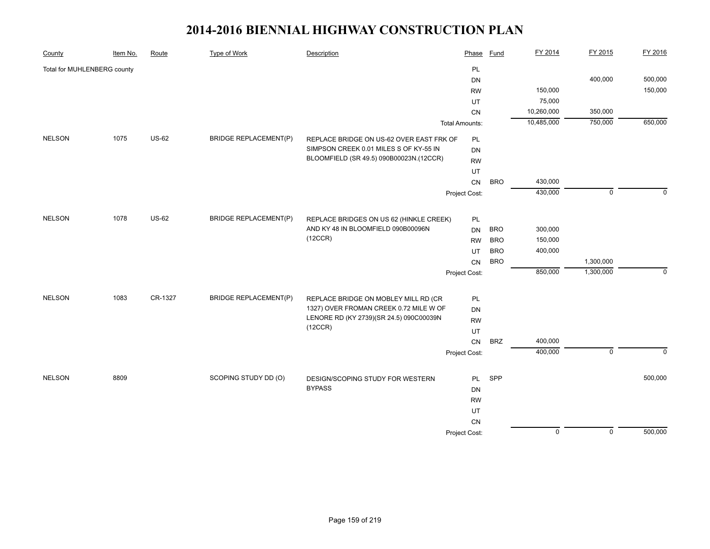| County                      | Item No. | Route        | <b>Type of Work</b>          | Description                              | Phase                 | <b>Fund</b> | FY 2014        | FY 2015     | FY 2016     |
|-----------------------------|----------|--------------|------------------------------|------------------------------------------|-----------------------|-------------|----------------|-------------|-------------|
| Total for MUHLENBERG county |          |              |                              |                                          | PL                    |             |                |             |             |
|                             |          |              |                              |                                          | DN                    |             |                | 400,000     | 500,000     |
|                             |          |              |                              |                                          | <b>RW</b>             |             | 150,000        |             | 150,000     |
|                             |          |              |                              |                                          | UT                    |             | 75,000         |             |             |
|                             |          |              |                              |                                          | CN                    |             | 10,260,000     | 350,000     |             |
|                             |          |              |                              |                                          | <b>Total Amounts:</b> |             | 10,485,000     | 750,000     | 650,000     |
| <b>NELSON</b>               | 1075     | <b>US-62</b> | <b>BRIDGE REPLACEMENT(P)</b> | REPLACE BRIDGE ON US-62 OVER EAST FRK OF | PL                    |             |                |             |             |
|                             |          |              |                              | SIMPSON CREEK 0.01 MILES S OF KY-55 IN   | DN                    |             |                |             |             |
|                             |          |              |                              | BLOOMFIELD (SR 49.5) 090B00023N.(12CCR)  | <b>RW</b>             |             |                |             |             |
|                             |          |              |                              |                                          | UT                    |             |                |             |             |
|                             |          |              |                              |                                          | CN                    | <b>BRO</b>  | 430,000        |             |             |
|                             |          |              |                              |                                          | Project Cost:         |             | 430,000        | $\mathbf 0$ | $\Omega$    |
|                             |          |              |                              |                                          |                       |             |                |             |             |
| <b>NELSON</b>               | 1078     | <b>US-62</b> | <b>BRIDGE REPLACEMENT(P)</b> | REPLACE BRIDGES ON US 62 (HINKLE CREEK)  | PL                    |             |                |             |             |
|                             |          |              |                              | AND KY 48 IN BLOOMFIELD 090B00096N       | <b>DN</b>             | <b>BRO</b>  | 300,000        |             |             |
|                             |          |              |                              | (12CCR)                                  | <b>RW</b>             | <b>BRO</b>  | 150,000        |             |             |
|                             |          |              |                              |                                          | UT                    | <b>BRO</b>  | 400,000        |             |             |
|                             |          |              |                              |                                          | CN                    | <b>BRO</b>  |                | 1,300,000   |             |
|                             |          |              |                              |                                          | Project Cost:         |             | 850,000        | 1,300,000   | $\mathbf 0$ |
| <b>NELSON</b>               | 1083     | CR-1327      | <b>BRIDGE REPLACEMENT(P)</b> | REPLACE BRIDGE ON MOBLEY MILL RD (CR     | PL                    |             |                |             |             |
|                             |          |              |                              | 1327) OVER FROMAN CREEK 0.72 MILE W OF   | DN                    |             |                |             |             |
|                             |          |              |                              | LENORE RD (KY 2739)(SR 24.5) 090C00039N  | <b>RW</b>             |             |                |             |             |
|                             |          |              |                              | (12CCR)                                  | UT                    |             |                |             |             |
|                             |          |              |                              |                                          | CN                    | <b>BRZ</b>  | 400,000        |             |             |
|                             |          |              |                              |                                          | Project Cost:         |             | 400,000        | $\mathbf 0$ | $\mathbf 0$ |
|                             |          |              |                              |                                          |                       |             |                |             |             |
| <b>NELSON</b>               | 8809     |              | SCOPING STUDY DD (O)         | DESIGN/SCOPING STUDY FOR WESTERN         | <b>PL</b>             | SPP         |                |             | 500,000     |
|                             |          |              |                              | <b>BYPASS</b>                            | <b>DN</b>             |             |                |             |             |
|                             |          |              |                              |                                          | <b>RW</b>             |             |                |             |             |
|                             |          |              |                              |                                          | UT                    |             |                |             |             |
|                             |          |              |                              |                                          | CN                    |             |                |             |             |
|                             |          |              |                              |                                          | Project Cost:         |             | $\overline{0}$ | $\mathbf 0$ | 500,000     |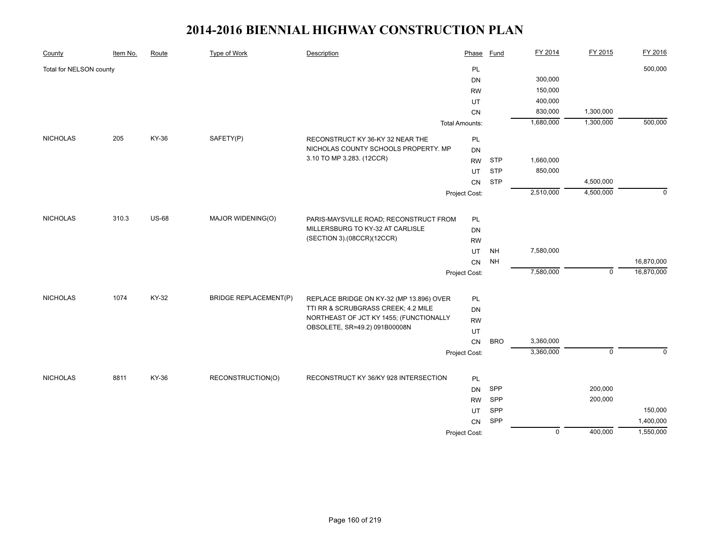| County                  | Item No. | Route        | Type of Work                 | Description                                                    | Phase                 | <b>Fund</b> | FY 2014        | FY 2015     | FY 2016     |
|-------------------------|----------|--------------|------------------------------|----------------------------------------------------------------|-----------------------|-------------|----------------|-------------|-------------|
| Total for NELSON county |          |              |                              |                                                                | PL                    |             |                |             | 500,000     |
|                         |          |              |                              |                                                                | DN                    |             | 300,000        |             |             |
|                         |          |              |                              |                                                                | <b>RW</b>             |             | 150,000        |             |             |
|                         |          |              |                              |                                                                | UT                    |             | 400,000        |             |             |
|                         |          |              |                              |                                                                | CN                    |             | 830,000        | 1,300,000   |             |
|                         |          |              |                              |                                                                | <b>Total Amounts:</b> |             | 1,680,000      | 1,300,000   | 500,000     |
| <b>NICHOLAS</b>         | 205      | KY-36        | SAFETY(P)                    | RECONSTRUCT KY 36-KY 32 NEAR THE                               | PL                    |             |                |             |             |
|                         |          |              |                              | NICHOLAS COUNTY SCHOOLS PROPERTY. MP                           | DN                    |             |                |             |             |
|                         |          |              |                              | 3.10 TO MP 3.283. (12CCR)                                      | <b>RW</b>             | <b>STP</b>  | 1,660,000      |             |             |
|                         |          |              |                              |                                                                | UT                    | <b>STP</b>  | 850,000        |             |             |
|                         |          |              |                              |                                                                | CN                    | <b>STP</b>  |                | 4,500,000   |             |
|                         |          |              |                              |                                                                | Project Cost:         |             | 2,510,000      | 4,500,000   | $\mathbf 0$ |
|                         |          |              |                              |                                                                |                       |             |                |             |             |
| <b>NICHOLAS</b>         | 310.3    | <b>US-68</b> | MAJOR WIDENING(O)            | PARIS-MAYSVILLE ROAD; RECONSTRUCT FROM                         | PL                    |             |                |             |             |
|                         |          |              |                              | MILLERSBURG TO KY-32 AT CARLISLE<br>(SECTION 3).(08CCR)(12CCR) | <b>DN</b>             |             |                |             |             |
|                         |          |              |                              |                                                                | <b>RW</b>             |             |                |             |             |
|                         |          |              |                              |                                                                | UT                    | <b>NH</b>   | 7,580,000      |             |             |
|                         |          |              |                              |                                                                | CN                    | <b>NH</b>   |                |             | 16,870,000  |
|                         |          |              |                              |                                                                | Project Cost:         |             | 7,580,000      | $\mathbf 0$ | 16,870,000  |
| <b>NICHOLAS</b>         | 1074     | KY-32        | <b>BRIDGE REPLACEMENT(P)</b> | REPLACE BRIDGE ON KY-32 (MP 13.896) OVER                       | PL                    |             |                |             |             |
|                         |          |              |                              | TTI RR & SCRUBGRASS CREEK; 4.2 MILE                            | DN                    |             |                |             |             |
|                         |          |              |                              | NORTHEAST OF JCT KY 1455; (FUNCTIONALLY                        | <b>RW</b>             |             |                |             |             |
|                         |          |              |                              | OBSOLETE, SR=49.2) 091B00008N                                  | UT                    |             |                |             |             |
|                         |          |              |                              |                                                                | CN                    | <b>BRO</b>  | 3,360,000      |             |             |
|                         |          |              |                              |                                                                | Project Cost:         |             | 3,360,000      | $\mathbf 0$ | $\Omega$    |
|                         |          |              |                              |                                                                |                       |             |                |             |             |
| <b>NICHOLAS</b>         | 8811     | <b>KY-36</b> | RECONSTRUCTION(O)            | RECONSTRUCT KY 36/KY 928 INTERSECTION                          | PL                    |             |                |             |             |
|                         |          |              |                              |                                                                | <b>DN</b>             | SPP         |                | 200,000     |             |
|                         |          |              |                              |                                                                | <b>RW</b>             | SPP         |                | 200,000     |             |
|                         |          |              |                              |                                                                | UT                    | SPP         |                |             | 150,000     |
|                         |          |              |                              |                                                                | CN                    | SPP         |                |             | 1,400,000   |
|                         |          |              |                              |                                                                | Project Cost:         |             | $\overline{0}$ | 400,000     | 1,550,000   |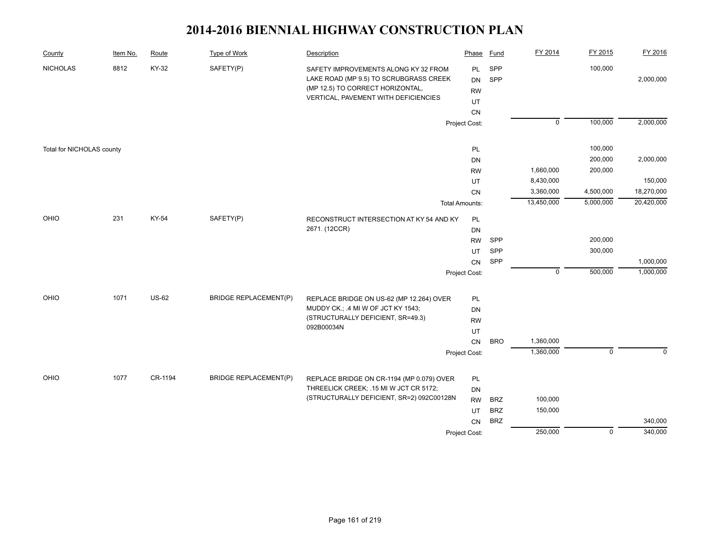| County                    | Item No. | Route        | Type of Work                 | Description                                                                                                                                                | Phase                              | Fund       | FY 2014        | FY 2015        | FY 2016    |
|---------------------------|----------|--------------|------------------------------|------------------------------------------------------------------------------------------------------------------------------------------------------------|------------------------------------|------------|----------------|----------------|------------|
| <b>NICHOLAS</b>           | 8812     | KY-32        | SAFETY(P)                    | SAFETY IMPROVEMENTS ALONG KY 32 FROM<br>LAKE ROAD (MP 9.5) TO SCRUBGRASS CREEK<br>(MP 12.5) TO CORRECT HORIZONTAL,<br>VERTICAL, PAVEMENT WITH DEFICIENCIES | PL<br><b>DN</b><br><b>RW</b><br>UT | SPP<br>SPP |                | 100,000        | 2,000,000  |
|                           |          |              |                              |                                                                                                                                                            | CN                                 |            |                |                |            |
|                           |          |              |                              |                                                                                                                                                            | Project Cost:                      |            | $\overline{0}$ | 100,000        | 2,000,000  |
| Total for NICHOLAS county |          |              |                              |                                                                                                                                                            | PL                                 |            |                | 100,000        |            |
|                           |          |              |                              |                                                                                                                                                            | DN                                 |            |                | 200,000        | 2,000,000  |
|                           |          |              |                              |                                                                                                                                                            | <b>RW</b>                          |            | 1,660,000      | 200,000        |            |
|                           |          |              |                              |                                                                                                                                                            | UT                                 |            | 8,430,000      |                | 150,000    |
|                           |          |              |                              |                                                                                                                                                            | CN                                 |            | 3,360,000      | 4,500,000      | 18,270,000 |
|                           |          |              |                              |                                                                                                                                                            | <b>Total Amounts:</b>              |            | 13,450,000     | 5,000,000      | 20,420,000 |
| OHIO                      | 231      | KY-54        | SAFETY(P)                    | RECONSTRUCT INTERSECTION AT KY 54 AND KY                                                                                                                   | PL<br>DN                           |            |                |                |            |
|                           |          |              |                              | 2671. (12CCR)                                                                                                                                              |                                    |            |                |                |            |
|                           |          |              |                              |                                                                                                                                                            | <b>RW</b>                          | SPP        |                | 200,000        |            |
|                           |          |              |                              |                                                                                                                                                            | UT                                 | SPP        |                | 300,000        |            |
|                           |          |              |                              |                                                                                                                                                            | CN                                 | SPP        |                |                | 1,000,000  |
|                           |          |              |                              |                                                                                                                                                            | Project Cost:                      |            | $\mathsf 0$    | 500,000        | 1,000,000  |
| OHIO                      | 1071     | <b>US-62</b> | <b>BRIDGE REPLACEMENT(P)</b> | REPLACE BRIDGE ON US-62 (MP 12.264) OVER                                                                                                                   | PL                                 |            |                |                |            |
|                           |          |              |                              | MUDDY CK.; .4 MI W OF JCT KY 1543;                                                                                                                         | DN                                 |            |                |                |            |
|                           |          |              |                              | (STRUCTURALLY DEFICIENT, SR=49.3)                                                                                                                          | <b>RW</b>                          |            |                |                |            |
|                           |          |              |                              | 092B00034N                                                                                                                                                 | UT                                 |            |                |                |            |
|                           |          |              |                              |                                                                                                                                                            | CN                                 | <b>BRO</b> | 1,360,000      |                |            |
|                           |          |              |                              |                                                                                                                                                            | Project Cost:                      |            | 1,360,000      | $\mathbf 0$    | $\Omega$   |
|                           |          |              |                              |                                                                                                                                                            |                                    |            |                |                |            |
| OHIO                      | 1077     | CR-1194      | <b>BRIDGE REPLACEMENT(P)</b> | REPLACE BRIDGE ON CR-1194 (MP 0.079) OVER                                                                                                                  | <b>PL</b>                          |            |                |                |            |
|                           |          |              |                              | THREELICK CREEK; .15 MI W JCT CR 5172;<br>(STRUCTURALLY DEFICIENT, SR=2) 092C00128N                                                                        | <b>DN</b>                          |            |                |                |            |
|                           |          |              |                              |                                                                                                                                                            | <b>RW</b>                          | <b>BRZ</b> | 100,000        |                |            |
|                           |          |              |                              |                                                                                                                                                            | UT                                 | <b>BRZ</b> | 150,000        |                |            |
|                           |          |              |                              |                                                                                                                                                            | CN                                 | <b>BRZ</b> |                |                | 340,000    |
|                           |          |              |                              |                                                                                                                                                            | Project Cost:                      |            | 250,000        | $\overline{0}$ | 340,000    |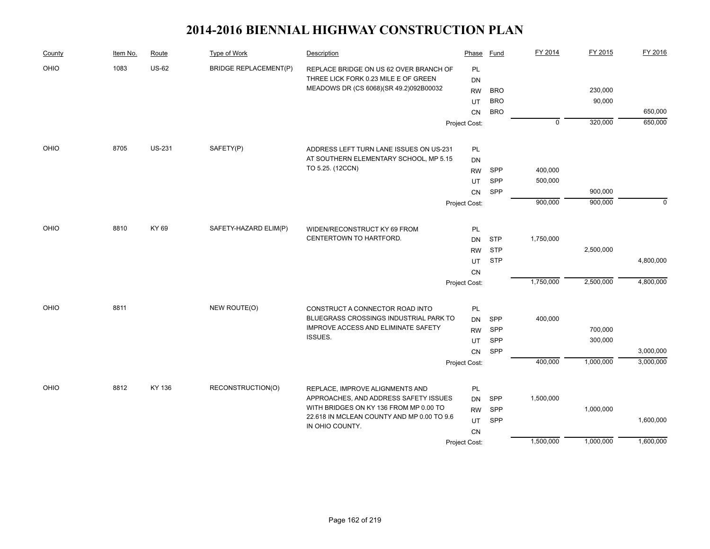| County | Item No. | Route         | Type of Work                 | Description                                                                          | Phase           | Fund       | FY 2014        | FY 2015   | FY 2016   |
|--------|----------|---------------|------------------------------|--------------------------------------------------------------------------------------|-----------------|------------|----------------|-----------|-----------|
| OHIO   | 1083     | <b>US-62</b>  | <b>BRIDGE REPLACEMENT(P)</b> | REPLACE BRIDGE ON US 62 OVER BRANCH OF                                               | PL              |            |                |           |           |
|        |          |               |                              | THREE LICK FORK 0.23 MILE E OF GREEN                                                 | DN              |            |                |           |           |
|        |          |               |                              | MEADOWS DR (CS 6068)(SR 49.2)092B00032                                               | <b>RW</b>       | <b>BRO</b> |                | 230,000   |           |
|        |          |               |                              |                                                                                      | UT              | <b>BRO</b> |                | 90,000    |           |
|        |          |               |                              |                                                                                      | <b>CN</b>       | <b>BRO</b> |                |           | 650,000   |
|        |          |               |                              |                                                                                      | Project Cost:   |            | $\overline{0}$ | 320,000   | 650,000   |
| OHIO   | 8705     | <b>US-231</b> | SAFETY(P)                    | ADDRESS LEFT TURN LANE ISSUES ON US-231                                              | <b>PL</b>       |            |                |           |           |
|        |          |               |                              | AT SOUTHERN ELEMENTARY SCHOOL, MP 5.15                                               | <b>DN</b>       |            |                |           |           |
|        |          |               |                              | TO 5.25. (12CCN)                                                                     | <b>RW</b>       | SPP        | 400,000        |           |           |
|        |          |               |                              |                                                                                      | UT              | SPP        | 500,000        |           |           |
|        |          |               |                              |                                                                                      | CN              | SPP        |                | 900,000   |           |
|        |          |               |                              |                                                                                      | Project Cost:   |            | 900,000        | 900,000   | $\Omega$  |
| OHIO   | 8810     | KY 69         | SAFETY-HAZARD ELIM(P)        | WIDEN/RECONSTRUCT KY 69 FROM                                                         | PL              |            |                |           |           |
|        |          |               |                              | CENTERTOWN TO HARTFORD.                                                              | <b>DN</b>       | <b>STP</b> | 1,750,000      |           |           |
|        |          |               |                              |                                                                                      | <b>RW</b>       | <b>STP</b> |                | 2,500,000 |           |
|        |          |               |                              |                                                                                      | UT              | <b>STP</b> |                |           | 4,800,000 |
|        |          |               |                              |                                                                                      | CN              |            |                |           |           |
|        |          |               |                              |                                                                                      | Project Cost:   |            | 1,750,000      | 2,500,000 | 4,800,000 |
| OHIO   | 8811     |               | NEW ROUTE(O)                 |                                                                                      |                 |            |                |           |           |
|        |          |               |                              | CONSTRUCT A CONNECTOR ROAD INTO<br>BLUEGRASS CROSSINGS INDUSTRIAL PARK TO            | PL              |            | 400,000        |           |           |
|        |          |               |                              | IMPROVE ACCESS AND ELIMINATE SAFETY                                                  | <b>DN</b>       | SPP<br>SPP |                | 700,000   |           |
|        |          |               |                              | ISSUES.                                                                              | <b>RW</b>       | SPP        |                | 300,000   |           |
|        |          |               |                              |                                                                                      | UT<br><b>CN</b> | SPP        |                |           | 3,000,000 |
|        |          |               |                              |                                                                                      | Project Cost:   |            | 400,000        | 1,000,000 | 3,000,000 |
|        |          |               |                              |                                                                                      |                 |            |                |           |           |
| OHIO   | 8812     | KY 136        | RECONSTRUCTION(O)            | REPLACE, IMPROVE ALIGNMENTS AND                                                      | PL              |            |                |           |           |
|        |          |               |                              | APPROACHES, AND ADDRESS SAFETY ISSUES                                                | <b>DN</b>       | SPP        | 1,500,000      |           |           |
|        |          |               |                              | WITH BRIDGES ON KY 136 FROM MP 0.00 TO<br>22.618 IN MCLEAN COUNTY AND MP 0.00 TO 9.6 | <b>RW</b>       | SPP        |                | 1,000,000 |           |
|        |          |               |                              | IN OHIO COUNTY.                                                                      | UT              | SPP        |                |           | 1,600,000 |
|        |          |               |                              |                                                                                      | CN              |            |                |           |           |
|        |          |               |                              |                                                                                      | Project Cost:   |            | 1,500,000      | 1,000,000 | 1,600,000 |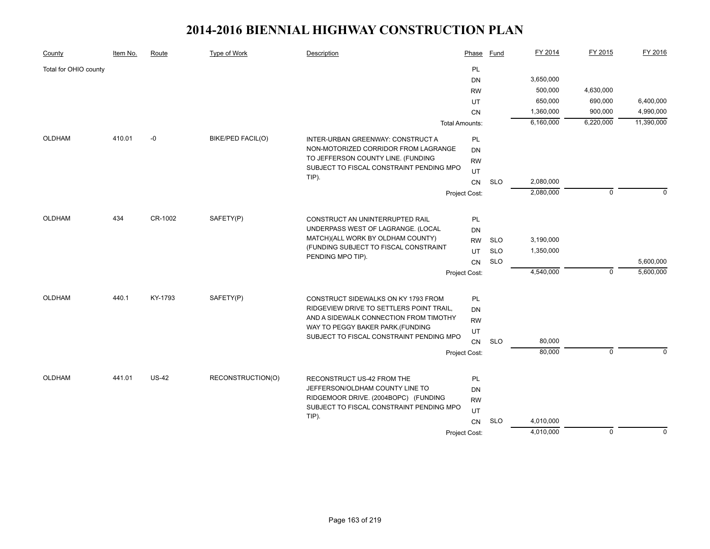| County                | Item No. | Route        | Type of Work      | Description                                                           | Phase                 | Fund       | FY 2014   | FY 2015        | FY 2016    |
|-----------------------|----------|--------------|-------------------|-----------------------------------------------------------------------|-----------------------|------------|-----------|----------------|------------|
| Total for OHIO county |          |              |                   |                                                                       | PL                    |            |           |                |            |
|                       |          |              |                   |                                                                       | DN                    |            | 3,650,000 |                |            |
|                       |          |              |                   |                                                                       | <b>RW</b>             |            | 500,000   | 4,630,000      |            |
|                       |          |              |                   |                                                                       | UT                    |            | 650,000   | 690,000        | 6,400,000  |
|                       |          |              |                   |                                                                       | <b>CN</b>             |            | 1,360,000 | 900,000        | 4,990,000  |
|                       |          |              |                   |                                                                       | <b>Total Amounts:</b> |            | 6,160,000 | 6,220,000      | 11,390,000 |
| <b>OLDHAM</b>         | 410.01   | $-0$         | BIKE/PED FACIL(O) | INTER-URBAN GREENWAY: CONSTRUCT A                                     | PL                    |            |           |                |            |
|                       |          |              |                   | NON-MOTORIZED CORRIDOR FROM LAGRANGE                                  | DN                    |            |           |                |            |
|                       |          |              |                   | TO JEFFERSON COUNTY LINE. (FUNDING                                    | <b>RW</b>             |            |           |                |            |
|                       |          |              |                   | SUBJECT TO FISCAL CONSTRAINT PENDING MPO<br>TIP).                     | UT                    |            |           |                |            |
|                       |          |              |                   |                                                                       | CN                    | <b>SLO</b> | 2,080,000 |                |            |
|                       |          |              |                   |                                                                       | Project Cost:         |            | 2,080,000 | $\mathbf 0$    | $\Omega$   |
| <b>OLDHAM</b>         | 434      | CR-1002      | SAFETY(P)         |                                                                       |                       |            |           |                |            |
|                       |          |              |                   | CONSTRUCT AN UNINTERRUPTED RAIL<br>UNDERPASS WEST OF LAGRANGE. (LOCAL | PL                    |            |           |                |            |
|                       |          |              |                   | MATCH)(ALL WORK BY OLDHAM COUNTY)                                     | DN                    |            |           |                |            |
|                       |          |              |                   | (FUNDING SUBJECT TO FISCAL CONSTRAINT                                 | <b>RW</b>             | <b>SLO</b> | 3,190,000 |                |            |
|                       |          |              |                   | PENDING MPO TIP).                                                     | UT                    | <b>SLO</b> | 1,350,000 |                |            |
|                       |          |              |                   |                                                                       | CN                    | <b>SLO</b> |           |                | 5,600,000  |
|                       |          |              |                   |                                                                       | Project Cost:         |            | 4,540,000 | $\mathbf 0$    | 5,600,000  |
| <b>OLDHAM</b>         | 440.1    | KY-1793      | SAFETY(P)         | CONSTRUCT SIDEWALKS ON KY 1793 FROM                                   | PL                    |            |           |                |            |
|                       |          |              |                   | RIDGEVIEW DRIVE TO SETTLERS POINT TRAIL,                              | <b>DN</b>             |            |           |                |            |
|                       |          |              |                   | AND A SIDEWALK CONNECTION FROM TIMOTHY                                | <b>RW</b>             |            |           |                |            |
|                       |          |              |                   | WAY TO PEGGY BAKER PARK.(FUNDING                                      | UT                    |            |           |                |            |
|                       |          |              |                   | SUBJECT TO FISCAL CONSTRAINT PENDING MPO                              | CN                    | <b>SLO</b> | 80,000    |                |            |
|                       |          |              |                   |                                                                       | Project Cost:         |            | 80,000    | $\mathbf 0$    | $\Omega$   |
|                       |          |              |                   |                                                                       |                       |            |           |                |            |
| <b>OLDHAM</b>         | 441.01   | <b>US-42</b> | RECONSTRUCTION(O) | RECONSTRUCT US-42 FROM THE                                            | PL                    |            |           |                |            |
|                       |          |              |                   | JEFFERSON/OLDHAM COUNTY LINE TO                                       | DN                    |            |           |                |            |
|                       |          |              |                   | RIDGEMOOR DRIVE. (2004BOPC) (FUNDING                                  | <b>RW</b>             |            |           |                |            |
|                       |          |              |                   | SUBJECT TO FISCAL CONSTRAINT PENDING MPO                              | UT                    |            |           |                |            |
|                       |          |              |                   | TIP).                                                                 | CN                    | <b>SLO</b> | 4,010,000 |                |            |
|                       |          |              |                   |                                                                       | Project Cost:         |            | 4,010,000 | $\overline{0}$ | $\Omega$   |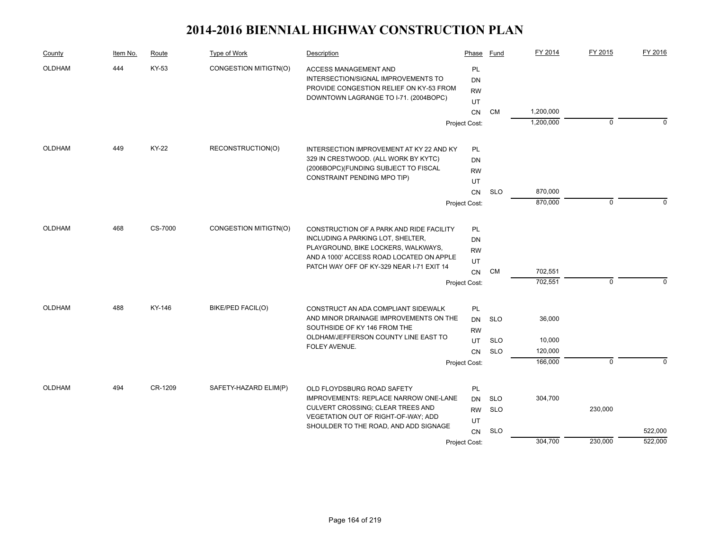| County        | Item No. | Route   | Type of Work             | Description                                                                                                    | Phase                 | Fund       | FY 2014   | FY 2015     | FY 2016  |
|---------------|----------|---------|--------------------------|----------------------------------------------------------------------------------------------------------------|-----------------------|------------|-----------|-------------|----------|
| <b>OLDHAM</b> | 444      | KY-53   | CONGESTION MITIGTN(O)    | <b>ACCESS MANAGEMENT AND</b><br>INTERSECTION/SIGNAL IMPROVEMENTS TO<br>PROVIDE CONGESTION RELIEF ON KY-53 FROM | PL<br>DN<br><b>RW</b> |            |           |             |          |
|               |          |         |                          | DOWNTOWN LAGRANGE TO I-71. (2004BOPC)                                                                          | UT                    |            |           |             |          |
|               |          |         |                          |                                                                                                                | CN                    | CM         | 1,200,000 |             |          |
|               |          |         |                          |                                                                                                                | Project Cost:         |            | 1,200,000 | 0           | $\Omega$ |
| OLDHAM        | 449      | KY-22   | RECONSTRUCTION(O)        | INTERSECTION IMPROVEMENT AT KY 22 AND KY                                                                       | PL                    |            |           |             |          |
|               |          |         |                          | 329 IN CRESTWOOD. (ALL WORK BY KYTC)                                                                           | DN                    |            |           |             |          |
|               |          |         |                          | (2006BOPC)(FUNDING SUBJECT TO FISCAL                                                                           | <b>RW</b>             |            |           |             |          |
|               |          |         |                          | CONSTRAINT PENDING MPO TIP)                                                                                    | UT                    |            |           |             |          |
|               |          |         |                          |                                                                                                                | CN                    | <b>SLO</b> | 870,000   |             |          |
|               |          |         |                          |                                                                                                                | Project Cost:         |            | 870,000   | $\Omega$    |          |
| <b>OLDHAM</b> | 468      | CS-7000 | CONGESTION MITIGTN(O)    | CONSTRUCTION OF A PARK AND RIDE FACILITY                                                                       | PL                    |            |           |             |          |
|               |          |         |                          | INCLUDING A PARKING LOT, SHELTER,                                                                              | DN                    |            |           |             |          |
|               |          |         |                          | PLAYGROUND, BIKE LOCKERS, WALKWAYS,                                                                            | <b>RW</b>             |            |           |             |          |
|               |          |         |                          | AND A 1000' ACCESS ROAD LOCATED ON APPLE                                                                       | UT                    |            |           |             |          |
|               |          |         |                          | PATCH WAY OFF OF KY-329 NEAR I-71 EXIT 14                                                                      | <b>CN</b>             | <b>CM</b>  | 702,551   |             |          |
|               |          |         |                          |                                                                                                                | Project Cost:         |            | 702,551   | $\mathbf 0$ | $\Omega$ |
| <b>OLDHAM</b> | 488      | KY-146  | <b>BIKE/PED FACIL(O)</b> | CONSTRUCT AN ADA COMPLIANT SIDEWALK                                                                            | PL                    |            |           |             |          |
|               |          |         |                          | AND MINOR DRAINAGE IMPROVEMENTS ON THE                                                                         | DN                    | <b>SLO</b> | 36,000    |             |          |
|               |          |         |                          | SOUTHSIDE OF KY 146 FROM THE                                                                                   | <b>RW</b>             |            |           |             |          |
|               |          |         |                          | OLDHAM/JEFFERSON COUNTY LINE EAST TO<br>FOLEY AVENUE.                                                          | UT                    | <b>SLO</b> | 10,000    |             |          |
|               |          |         |                          |                                                                                                                | <b>CN</b>             | <b>SLO</b> | 120,000   |             |          |
|               |          |         |                          |                                                                                                                | Project Cost:         |            | 166,000   | $\mathbf 0$ | $\Omega$ |
| OLDHAM        | 494      | CR-1209 | SAFETY-HAZARD ELIM(P)    | OLD FLOYDSBURG ROAD SAFETY                                                                                     | PL                    |            |           |             |          |
|               |          |         |                          | <b>IMPROVEMENTS: REPLACE NARROW ONE-LANE</b>                                                                   | <b>DN</b>             | SLO        | 304,700   |             |          |
|               |          |         |                          | CULVERT CROSSING; CLEAR TREES AND                                                                              | <b>RW</b>             | <b>SLO</b> |           | 230,000     |          |
|               |          |         |                          | VEGETATION OUT OF RIGHT-OF-WAY; ADD<br>SHOULDER TO THE ROAD, AND ADD SIGNAGE                                   | UT                    |            |           |             |          |
|               |          |         |                          |                                                                                                                | <b>CN</b>             | <b>SLO</b> |           |             | 522,000  |
|               |          |         |                          |                                                                                                                | Project Cost:         |            | 304,700   | 230,000     | 522,000  |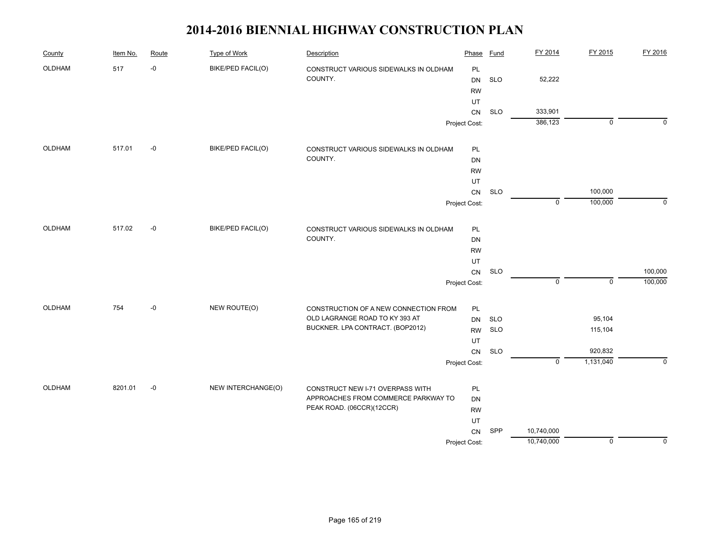| OLDHAM<br>517<br>-0<br>BIKE/PED FACIL(O)<br>CONSTRUCT VARIOUS SIDEWALKS IN OLDHAM<br>PL<br>COUNTY.<br><b>SLO</b><br>52,222<br><b>DN</b><br><b>RW</b><br>UT<br>333,901<br><b>SLO</b><br>CN<br>386,123<br>$\mathbf 0$<br>$\Omega$<br>Project Cost:<br>OLDHAM<br>517.01<br>-0<br>BIKE/PED FACIL(O)<br>PL<br>CONSTRUCT VARIOUS SIDEWALKS IN OLDHAM<br>COUNTY.<br>DN<br><b>RW</b><br>UT<br><b>SLO</b><br>100,000<br>CN<br>$\overline{\mathfrak{o}}$<br>100,000<br>Project Cost:<br>517.02<br>$-0$<br>BIKE/PED FACIL(O)<br><b>OLDHAM</b><br>CONSTRUCT VARIOUS SIDEWALKS IN OLDHAM<br>PL<br>COUNTY.<br><b>DN</b><br><b>RW</b><br>UT<br>CN<br><b>SLO</b><br>$\pmb{0}$<br>$\mathsf 0$<br>Project Cost:<br>OLDHAM<br>754<br>NEW ROUTE(O)<br>-0<br>PL<br>CONSTRUCTION OF A NEW CONNECTION FROM<br>OLD LAGRANGE ROAD TO KY 393 AT<br>95,104<br><b>SLO</b><br><b>DN</b><br>BUCKNER. LPA CONTRACT. (BOP2012)<br><b>SLO</b><br>115,104<br>RW<br>UT<br><b>SLO</b><br>920,832<br>${\sf CN}$<br>$\overline{0}$<br>1,131,040<br>$\Omega$<br>Project Cost:<br>8201.01<br>NEW INTERCHANGE(O)<br>OLDHAM<br>-0<br>PL<br>CONSTRUCT NEW I-71 OVERPASS WITH<br>APPROACHES FROM COMMERCE PARKWAY TO<br>DN<br>PEAK ROAD. (06CCR)(12CCR)<br><b>RW</b><br>UT<br>SPP<br>10,740,000<br>CN | County | Item No. | Route | Type of Work | Description | Phase | <b>Fund</b> | FY 2014 | FY 2015 | FY 2016     |
|-----------------------------------------------------------------------------------------------------------------------------------------------------------------------------------------------------------------------------------------------------------------------------------------------------------------------------------------------------------------------------------------------------------------------------------------------------------------------------------------------------------------------------------------------------------------------------------------------------------------------------------------------------------------------------------------------------------------------------------------------------------------------------------------------------------------------------------------------------------------------------------------------------------------------------------------------------------------------------------------------------------------------------------------------------------------------------------------------------------------------------------------------------------------------------------------------------------------------------------------------------------|--------|----------|-------|--------------|-------------|-------|-------------|---------|---------|-------------|
|                                                                                                                                                                                                                                                                                                                                                                                                                                                                                                                                                                                                                                                                                                                                                                                                                                                                                                                                                                                                                                                                                                                                                                                                                                                           |        |          |       |              |             |       |             |         |         |             |
|                                                                                                                                                                                                                                                                                                                                                                                                                                                                                                                                                                                                                                                                                                                                                                                                                                                                                                                                                                                                                                                                                                                                                                                                                                                           |        |          |       |              |             |       |             |         |         |             |
|                                                                                                                                                                                                                                                                                                                                                                                                                                                                                                                                                                                                                                                                                                                                                                                                                                                                                                                                                                                                                                                                                                                                                                                                                                                           |        |          |       |              |             |       |             |         |         |             |
|                                                                                                                                                                                                                                                                                                                                                                                                                                                                                                                                                                                                                                                                                                                                                                                                                                                                                                                                                                                                                                                                                                                                                                                                                                                           |        |          |       |              |             |       |             |         |         |             |
|                                                                                                                                                                                                                                                                                                                                                                                                                                                                                                                                                                                                                                                                                                                                                                                                                                                                                                                                                                                                                                                                                                                                                                                                                                                           |        |          |       |              |             |       |             |         |         |             |
|                                                                                                                                                                                                                                                                                                                                                                                                                                                                                                                                                                                                                                                                                                                                                                                                                                                                                                                                                                                                                                                                                                                                                                                                                                                           |        |          |       |              |             |       |             |         |         |             |
|                                                                                                                                                                                                                                                                                                                                                                                                                                                                                                                                                                                                                                                                                                                                                                                                                                                                                                                                                                                                                                                                                                                                                                                                                                                           |        |          |       |              |             |       |             |         |         |             |
|                                                                                                                                                                                                                                                                                                                                                                                                                                                                                                                                                                                                                                                                                                                                                                                                                                                                                                                                                                                                                                                                                                                                                                                                                                                           |        |          |       |              |             |       |             |         |         |             |
|                                                                                                                                                                                                                                                                                                                                                                                                                                                                                                                                                                                                                                                                                                                                                                                                                                                                                                                                                                                                                                                                                                                                                                                                                                                           |        |          |       |              |             |       |             |         |         |             |
|                                                                                                                                                                                                                                                                                                                                                                                                                                                                                                                                                                                                                                                                                                                                                                                                                                                                                                                                                                                                                                                                                                                                                                                                                                                           |        |          |       |              |             |       |             |         |         |             |
|                                                                                                                                                                                                                                                                                                                                                                                                                                                                                                                                                                                                                                                                                                                                                                                                                                                                                                                                                                                                                                                                                                                                                                                                                                                           |        |          |       |              |             |       |             |         |         |             |
|                                                                                                                                                                                                                                                                                                                                                                                                                                                                                                                                                                                                                                                                                                                                                                                                                                                                                                                                                                                                                                                                                                                                                                                                                                                           |        |          |       |              |             |       |             |         |         | $\mathbf 0$ |
|                                                                                                                                                                                                                                                                                                                                                                                                                                                                                                                                                                                                                                                                                                                                                                                                                                                                                                                                                                                                                                                                                                                                                                                                                                                           |        |          |       |              |             |       |             |         |         |             |
|                                                                                                                                                                                                                                                                                                                                                                                                                                                                                                                                                                                                                                                                                                                                                                                                                                                                                                                                                                                                                                                                                                                                                                                                                                                           |        |          |       |              |             |       |             |         |         |             |
|                                                                                                                                                                                                                                                                                                                                                                                                                                                                                                                                                                                                                                                                                                                                                                                                                                                                                                                                                                                                                                                                                                                                                                                                                                                           |        |          |       |              |             |       |             |         |         |             |
|                                                                                                                                                                                                                                                                                                                                                                                                                                                                                                                                                                                                                                                                                                                                                                                                                                                                                                                                                                                                                                                                                                                                                                                                                                                           |        |          |       |              |             |       |             |         |         |             |
|                                                                                                                                                                                                                                                                                                                                                                                                                                                                                                                                                                                                                                                                                                                                                                                                                                                                                                                                                                                                                                                                                                                                                                                                                                                           |        |          |       |              |             |       |             |         |         | 100,000     |
|                                                                                                                                                                                                                                                                                                                                                                                                                                                                                                                                                                                                                                                                                                                                                                                                                                                                                                                                                                                                                                                                                                                                                                                                                                                           |        |          |       |              |             |       |             |         |         | 100,000     |
|                                                                                                                                                                                                                                                                                                                                                                                                                                                                                                                                                                                                                                                                                                                                                                                                                                                                                                                                                                                                                                                                                                                                                                                                                                                           |        |          |       |              |             |       |             |         |         |             |
|                                                                                                                                                                                                                                                                                                                                                                                                                                                                                                                                                                                                                                                                                                                                                                                                                                                                                                                                                                                                                                                                                                                                                                                                                                                           |        |          |       |              |             |       |             |         |         |             |
|                                                                                                                                                                                                                                                                                                                                                                                                                                                                                                                                                                                                                                                                                                                                                                                                                                                                                                                                                                                                                                                                                                                                                                                                                                                           |        |          |       |              |             |       |             |         |         |             |
|                                                                                                                                                                                                                                                                                                                                                                                                                                                                                                                                                                                                                                                                                                                                                                                                                                                                                                                                                                                                                                                                                                                                                                                                                                                           |        |          |       |              |             |       |             |         |         |             |
|                                                                                                                                                                                                                                                                                                                                                                                                                                                                                                                                                                                                                                                                                                                                                                                                                                                                                                                                                                                                                                                                                                                                                                                                                                                           |        |          |       |              |             |       |             |         |         |             |
|                                                                                                                                                                                                                                                                                                                                                                                                                                                                                                                                                                                                                                                                                                                                                                                                                                                                                                                                                                                                                                                                                                                                                                                                                                                           |        |          |       |              |             |       |             |         |         |             |
|                                                                                                                                                                                                                                                                                                                                                                                                                                                                                                                                                                                                                                                                                                                                                                                                                                                                                                                                                                                                                                                                                                                                                                                                                                                           |        |          |       |              |             |       |             |         |         |             |
|                                                                                                                                                                                                                                                                                                                                                                                                                                                                                                                                                                                                                                                                                                                                                                                                                                                                                                                                                                                                                                                                                                                                                                                                                                                           |        |          |       |              |             |       |             |         |         |             |
|                                                                                                                                                                                                                                                                                                                                                                                                                                                                                                                                                                                                                                                                                                                                                                                                                                                                                                                                                                                                                                                                                                                                                                                                                                                           |        |          |       |              |             |       |             |         |         |             |
|                                                                                                                                                                                                                                                                                                                                                                                                                                                                                                                                                                                                                                                                                                                                                                                                                                                                                                                                                                                                                                                                                                                                                                                                                                                           |        |          |       |              |             |       |             |         |         |             |
|                                                                                                                                                                                                                                                                                                                                                                                                                                                                                                                                                                                                                                                                                                                                                                                                                                                                                                                                                                                                                                                                                                                                                                                                                                                           |        |          |       |              |             |       |             |         |         |             |
| 10,740,000<br>$\mathbf 0$<br>Project Cost:                                                                                                                                                                                                                                                                                                                                                                                                                                                                                                                                                                                                                                                                                                                                                                                                                                                                                                                                                                                                                                                                                                                                                                                                                |        |          |       |              |             |       |             |         |         | $\mathbf 0$ |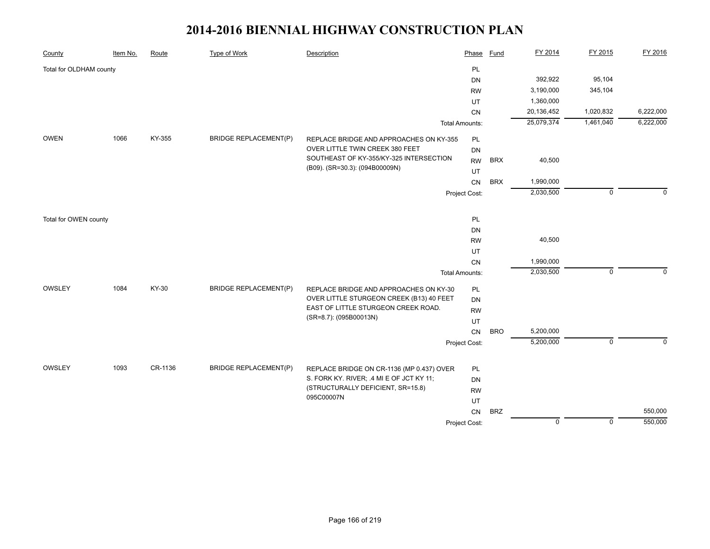| County                  | Item No. | Route   | <b>Type of Work</b>          | Description                                                                           | Phase                 | <b>Fund</b> | FY 2014     | FY 2015     | FY 2016   |
|-------------------------|----------|---------|------------------------------|---------------------------------------------------------------------------------------|-----------------------|-------------|-------------|-------------|-----------|
| Total for OLDHAM county |          |         |                              |                                                                                       | PL                    |             |             |             |           |
|                         |          |         |                              |                                                                                       | DN                    |             | 392,922     | 95,104      |           |
|                         |          |         |                              |                                                                                       | <b>RW</b>             |             | 3,190,000   | 345,104     |           |
|                         |          |         |                              |                                                                                       | UT                    |             | 1,360,000   |             |           |
|                         |          |         |                              |                                                                                       | CN                    |             | 20,136,452  | 1,020,832   | 6,222,000 |
|                         |          |         |                              |                                                                                       | <b>Total Amounts:</b> |             | 25,079,374  | 1,461,040   | 6,222,000 |
| <b>OWEN</b>             | 1066     | KY-355  | <b>BRIDGE REPLACEMENT(P)</b> | REPLACE BRIDGE AND APPROACHES ON KY-355                                               | <b>PL</b>             |             |             |             |           |
|                         |          |         |                              | OVER LITTLE TWIN CREEK 380 FEET                                                       | DN                    |             |             |             |           |
|                         |          |         |                              | SOUTHEAST OF KY-355/KY-325 INTERSECTION                                               | <b>RW</b>             | <b>BRX</b>  | 40,500      |             |           |
|                         |          |         |                              | (B09). (SR=30.3): (094B00009N)                                                        | UT                    |             |             |             |           |
|                         |          |         |                              |                                                                                       | CN                    | <b>BRX</b>  | 1,990,000   |             |           |
|                         |          |         |                              |                                                                                       | Project Cost:         |             | 2,030,500   | $\mathbf 0$ | $\Omega$  |
|                         |          |         |                              |                                                                                       |                       |             |             |             |           |
| Total for OWEN county   |          |         |                              |                                                                                       | <b>PL</b><br>DN       |             |             |             |           |
|                         |          |         |                              |                                                                                       | <b>RW</b>             |             | 40,500      |             |           |
|                         |          |         |                              |                                                                                       | UT                    |             |             |             |           |
|                         |          |         |                              |                                                                                       | CN                    |             | 1,990,000   |             |           |
|                         |          |         |                              |                                                                                       | <b>Total Amounts:</b> |             | 2,030,500   | $\mathbf 0$ | 0         |
| OWSLEY                  | 1084     | KY-30   | <b>BRIDGE REPLACEMENT(P)</b> | REPLACE BRIDGE AND APPROACHES ON KY-30                                                | <b>PL</b>             |             |             |             |           |
|                         |          |         |                              | OVER LITTLE STURGEON CREEK (B13) 40 FEET                                              | <b>DN</b>             |             |             |             |           |
|                         |          |         |                              | EAST OF LITTLE STURGEON CREEK ROAD.                                                   | <b>RW</b>             |             |             |             |           |
|                         |          |         |                              | (SR=8.7): (095B00013N)                                                                | UT                    |             |             |             |           |
|                         |          |         |                              |                                                                                       | CN                    | <b>BRO</b>  | 5,200,000   |             |           |
|                         |          |         |                              |                                                                                       | Project Cost:         |             | 5,200,000   | $\mathbf 0$ | $\Omega$  |
| OWSLEY                  | 1093     | CR-1136 | <b>BRIDGE REPLACEMENT(P)</b> |                                                                                       |                       |             |             |             |           |
|                         |          |         |                              | REPLACE BRIDGE ON CR-1136 (MP 0.437) OVER<br>S. FORK KY. RIVER; .4 MI E OF JCT KY 11; | <b>PL</b><br>DN       |             |             |             |           |
|                         |          |         |                              | (STRUCTURALLY DEFICIENT, SR=15.8)                                                     | <b>RW</b>             |             |             |             |           |
|                         |          |         |                              | 095C00007N                                                                            | UT                    |             |             |             |           |
|                         |          |         |                              |                                                                                       | CN                    | <b>BRZ</b>  |             |             | 550,000   |
|                         |          |         |                              |                                                                                       | Project Cost:         |             | $\mathbf 0$ | $\mathbf 0$ | 550,000   |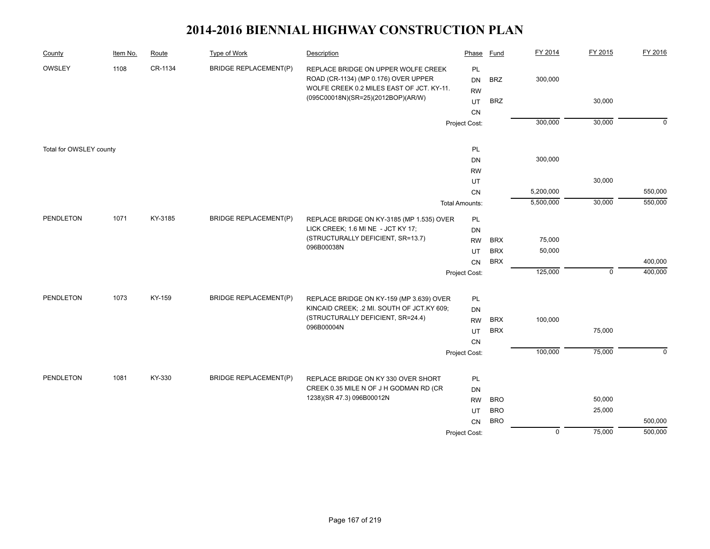| County                  | Item No. | Route   | Type of Work                 | Description                                                                                                              | Phase                  | <b>Fund</b> | FY 2014        | FY 2015     | FY 2016     |
|-------------------------|----------|---------|------------------------------|--------------------------------------------------------------------------------------------------------------------------|------------------------|-------------|----------------|-------------|-------------|
| OWSLEY                  | 1108     | CR-1134 | <b>BRIDGE REPLACEMENT(P)</b> | REPLACE BRIDGE ON UPPER WOLFE CREEK<br>ROAD (CR-1134) (MP 0.176) OVER UPPER<br>WOLFE CREEK 0.2 MILES EAST OF JCT. KY-11. | PL<br>DN<br><b>RW</b>  | <b>BRZ</b>  | 300,000        |             |             |
|                         |          |         |                              | (095C00018N)(SR=25)(2012BOP)(AR/W)                                                                                       | UT                     | <b>BRZ</b>  |                | 30,000      |             |
|                         |          |         |                              |                                                                                                                          | CN                     |             |                |             |             |
|                         |          |         |                              |                                                                                                                          | Project Cost:          |             | 300,000        | 30,000      | $\mathbf 0$ |
|                         |          |         |                              |                                                                                                                          |                        |             |                |             |             |
| Total for OWSLEY county |          |         |                              |                                                                                                                          | PL                     |             |                |             |             |
|                         |          |         |                              |                                                                                                                          | <b>DN</b>              |             | 300,000        |             |             |
|                         |          |         |                              |                                                                                                                          | <b>RW</b>              |             |                |             |             |
|                         |          |         |                              |                                                                                                                          | UT                     |             |                | 30,000      |             |
|                         |          |         |                              |                                                                                                                          | ${\sf CN}$             |             | 5,200,000      |             | 550,000     |
|                         |          |         |                              |                                                                                                                          | Total Amounts:         |             | 5,500,000      | 30,000      | 550,000     |
| PENDLETON               | 1071     | KY-3185 | <b>BRIDGE REPLACEMENT(P)</b> | REPLACE BRIDGE ON KY-3185 (MP 1.535) OVER                                                                                | PL                     |             |                |             |             |
|                         |          |         |                              | LICK CREEK; 1.6 MI NE - JCT KY 17;                                                                                       | DN                     |             |                |             |             |
|                         |          |         |                              | (STRUCTURALLY DEFICIENT, SR=13.7)                                                                                        | <b>RW</b>              | <b>BRX</b>  | 75,000         |             |             |
|                         |          |         |                              | 096B00038N                                                                                                               | UT                     | <b>BRX</b>  | 50,000         |             |             |
|                         |          |         |                              |                                                                                                                          | <b>CN</b>              | <b>BRX</b>  |                |             | 400,000     |
|                         |          |         |                              |                                                                                                                          | Project Cost:          |             | 125,000        | $\mathbf 0$ | 400,000     |
|                         |          |         |                              |                                                                                                                          |                        |             |                |             |             |
| <b>PENDLETON</b>        | 1073     | KY-159  | <b>BRIDGE REPLACEMENT(P)</b> | REPLACE BRIDGE ON KY-159 (MP 3.639) OVER<br>KINCAID CREEK; .2 MI. SOUTH OF JCT.KY 609;                                   | PL                     |             |                |             |             |
|                         |          |         |                              | (STRUCTURALLY DEFICIENT, SR=24.4)                                                                                        | <b>DN</b><br><b>RW</b> | <b>BRX</b>  | 100,000        |             |             |
|                         |          |         |                              | 096B00004N                                                                                                               | UT                     | <b>BRX</b>  |                | 75,000      |             |
|                         |          |         |                              |                                                                                                                          | CN                     |             |                |             |             |
|                         |          |         |                              |                                                                                                                          | Project Cost:          |             | 100,000        | 75,000      | $\mathbf 0$ |
|                         |          |         |                              |                                                                                                                          |                        |             |                |             |             |
| <b>PENDLETON</b>        | 1081     | KY-330  | <b>BRIDGE REPLACEMENT(P)</b> | REPLACE BRIDGE ON KY 330 OVER SHORT                                                                                      | PL                     |             |                |             |             |
|                         |          |         |                              | CREEK 0.35 MILE N OF J H GODMAN RD (CR                                                                                   | <b>DN</b>              |             |                |             |             |
|                         |          |         |                              | 1238)(SR 47.3) 096B00012N                                                                                                | <b>RW</b>              | <b>BRO</b>  |                | 50,000      |             |
|                         |          |         |                              |                                                                                                                          | UT                     | <b>BRO</b>  |                | 25,000      |             |
|                         |          |         |                              |                                                                                                                          | <b>CN</b>              | <b>BRO</b>  |                |             | 500,000     |
|                         |          |         |                              |                                                                                                                          | Project Cost:          |             | $\overline{0}$ | 75,000      | 500,000     |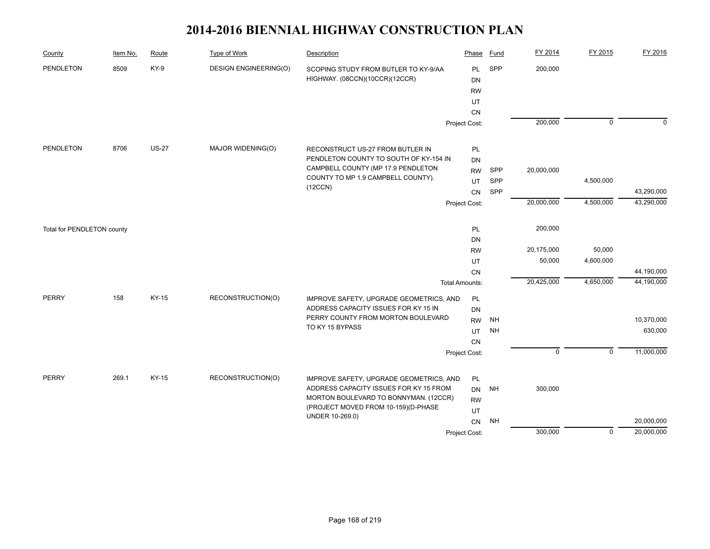| County                     | Item No. | Route        | Type of Work                 | Description                                                            | Phase                  | Fund      | FY 2014     | FY 2015        | FY 2016     |
|----------------------------|----------|--------------|------------------------------|------------------------------------------------------------------------|------------------------|-----------|-------------|----------------|-------------|
| <b>PENDLETON</b>           | 8509     | KY-9         | <b>DESIGN ENGINEERING(O)</b> | SCOPING STUDY FROM BUTLER TO KY-9/AA<br>HIGHWAY. (08CCN)(10CCR)(12CCR) | <b>PL</b><br><b>DN</b> | SPP       | 200,000     |                |             |
|                            |          |              |                              |                                                                        | <b>RW</b>              |           |             |                |             |
|                            |          |              |                              |                                                                        | UT                     |           |             |                |             |
|                            |          |              |                              |                                                                        | CN                     |           |             |                |             |
|                            |          |              |                              |                                                                        | Project Cost:          |           | 200,000     | $\overline{0}$ | $\mathbf 0$ |
| PENDLETON                  | 8706     | <b>US-27</b> | MAJOR WIDENING(O)            | RECONSTRUCT US-27 FROM BUTLER IN                                       | PL                     |           |             |                |             |
|                            |          |              |                              | PENDLETON COUNTY TO SOUTH OF KY-154 IN                                 | <b>DN</b>              |           |             |                |             |
|                            |          |              |                              | CAMPBELL COUNTY (MP 17.9 PENDLETON                                     | <b>RW</b>              | SPP       | 20,000,000  |                |             |
|                            |          |              |                              | COUNTY TO MP 1.9 CAMPBELL COUNTY).                                     | UT                     | SPP       |             | 4,500,000      |             |
|                            |          |              |                              | (12CCN)                                                                | CN                     | SPP       |             |                | 43,290,000  |
|                            |          |              |                              |                                                                        | Project Cost:          |           | 20,000,000  | 4,500,000      | 43,290,000  |
|                            |          |              |                              |                                                                        |                        |           | 200,000     |                |             |
| Total for PENDLETON county |          |              |                              |                                                                        | PL<br><b>DN</b>        |           |             |                |             |
|                            |          |              |                              |                                                                        | <b>RW</b>              |           | 20,175,000  | 50,000         |             |
|                            |          |              |                              |                                                                        | UT                     |           | 50,000      | 4,600,000      |             |
|                            |          |              |                              |                                                                        | <b>CN</b>              |           |             |                | 44,190,000  |
|                            |          |              |                              |                                                                        | <b>Total Amounts:</b>  |           | 20,425,000  | 4,650,000      | 44,190,000  |
| <b>PERRY</b>               | 158      | KY-15        | RECONSTRUCTION(O)            | IMPROVE SAFETY, UPGRADE GEOMETRICS, AND                                | PL                     |           |             |                |             |
|                            |          |              |                              | ADDRESS CAPACITY ISSUES FOR KY 15 IN                                   | <b>DN</b>              |           |             |                |             |
|                            |          |              |                              | PERRY COUNTY FROM MORTON BOULEVARD<br>TO KY 15 BYPASS                  | <b>RW</b>              | <b>NH</b> |             |                | 10,370,000  |
|                            |          |              |                              |                                                                        | UT                     | <b>NH</b> |             |                | 630,000     |
|                            |          |              |                              |                                                                        | CN                     |           | $\mathbf 0$ | $\mathbf 0$    | 11,000,000  |
|                            |          |              |                              |                                                                        | Project Cost:          |           |             |                |             |
| <b>PERRY</b>               | 269.1    | KY-15        | RECONSTRUCTION(O)            | IMPROVE SAFETY, UPGRADE GEOMETRICS, AND                                | PL                     |           |             |                |             |
|                            |          |              |                              | ADDRESS CAPACITY ISSUES FOR KY 15 FROM                                 | <b>DN</b>              | NH        | 300,000     |                |             |
|                            |          |              |                              | MORTON BOULEVARD TO BONNYMAN. (12CCR)                                  | <b>RW</b>              |           |             |                |             |
|                            |          |              |                              | (PROJECT MOVED FROM 10-159)(D-PHASE<br>UNDER 10-269.0)                 | UT                     |           |             |                |             |
|                            |          |              |                              |                                                                        | CN                     | <b>NH</b> |             |                | 20,000,000  |
|                            |          |              |                              |                                                                        | Project Cost:          |           | 300,000     | $\overline{0}$ | 20,000,000  |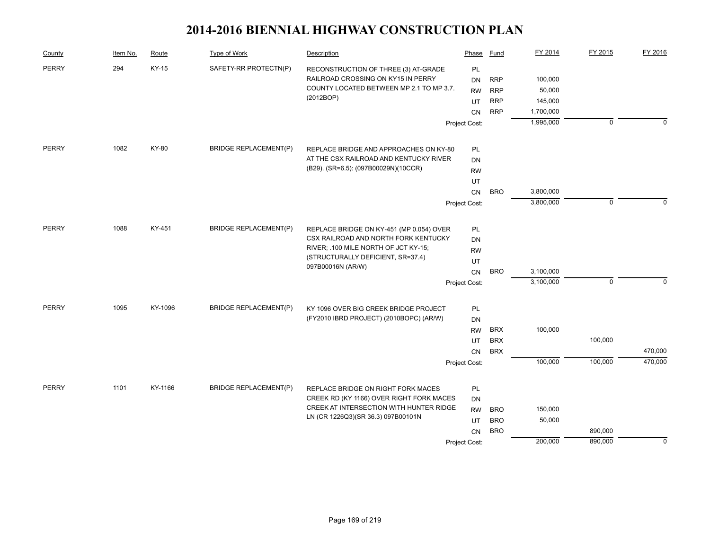| County       | Item No. | Route   | Type of Work                 | Description                                                                      | Phase           | Fund       | FY 2014   | FY 2015        | FY 2016     |
|--------------|----------|---------|------------------------------|----------------------------------------------------------------------------------|-----------------|------------|-----------|----------------|-------------|
| <b>PERRY</b> | 294      | KY-15   | SAFETY-RR PROTECTN(P)        | RECONSTRUCTION OF THREE (3) AT-GRADE                                             | PL              |            |           |                |             |
|              |          |         |                              | RAILROAD CROSSING ON KY15 IN PERRY                                               | <b>DN</b>       | <b>RRP</b> | 100,000   |                |             |
|              |          |         |                              | COUNTY LOCATED BETWEEN MP 2.1 TO MP 3.7.<br>(2012BOP)                            | <b>RW</b>       | <b>RRP</b> | 50,000    |                |             |
|              |          |         |                              |                                                                                  | UT              | <b>RRP</b> | 145,000   |                |             |
|              |          |         |                              |                                                                                  | <b>CN</b>       | <b>RRP</b> | 1,700,000 |                |             |
|              |          |         |                              |                                                                                  | Project Cost:   |            | 1,995,000 | $\overline{0}$ | $\Omega$    |
| PERRY        | 1082     | KY-80   | <b>BRIDGE REPLACEMENT(P)</b> | REPLACE BRIDGE AND APPROACHES ON KY-80                                           | PL              |            |           |                |             |
|              |          |         |                              | AT THE CSX RAILROAD AND KENTUCKY RIVER                                           | DN              |            |           |                |             |
|              |          |         |                              | (B29). (SR=6.5): (097B00029N)(10CCR)                                             | <b>RW</b>       |            |           |                |             |
|              |          |         |                              |                                                                                  | UT              |            |           |                |             |
|              |          |         |                              |                                                                                  | CN              | <b>BRO</b> | 3,800,000 |                |             |
|              |          |         |                              |                                                                                  | Project Cost:   |            | 3,800,000 | $\mathbf 0$    | $\Omega$    |
| <b>PERRY</b> | 1088     | KY-451  | <b>BRIDGE REPLACEMENT(P)</b> | REPLACE BRIDGE ON KY-451 (MP 0.054) OVER                                         | PL              |            |           |                |             |
|              |          |         |                              | CSX RAILROAD AND NORTH FORK KENTUCKY                                             | DN              |            |           |                |             |
|              |          |         |                              | RIVER; .100 MILE NORTH OF JCT KY-15;                                             | <b>RW</b>       |            |           |                |             |
|              |          |         |                              | (STRUCTURALLY DEFICIENT, SR=37.4)<br>097B00016N (AR/W)                           | UT              |            |           |                |             |
|              |          |         |                              |                                                                                  | <b>CN</b>       | <b>BRO</b> | 3,100,000 |                |             |
|              |          |         |                              |                                                                                  | Project Cost:   |            | 3,100,000 | $\mathsf 0$    | $\Omega$    |
| <b>PERRY</b> | 1095     | KY-1096 | <b>BRIDGE REPLACEMENT(P)</b> |                                                                                  |                 |            |           |                |             |
|              |          |         |                              | KY 1096 OVER BIG CREEK BRIDGE PROJECT<br>(FY2010 IBRD PROJECT) (2010BOPC) (AR/W) | PL<br><b>DN</b> |            |           |                |             |
|              |          |         |                              |                                                                                  | <b>RW</b>       | <b>BRX</b> | 100,000   |                |             |
|              |          |         |                              |                                                                                  | UT              | <b>BRX</b> |           | 100,000        |             |
|              |          |         |                              |                                                                                  | <b>CN</b>       | <b>BRX</b> |           |                | 470,000     |
|              |          |         |                              |                                                                                  | Project Cost:   |            | 100,000   | 100,000        | 470,000     |
|              |          |         |                              |                                                                                  |                 |            |           |                |             |
| <b>PERRY</b> | 1101     | KY-1166 | <b>BRIDGE REPLACEMENT(P)</b> | REPLACE BRIDGE ON RIGHT FORK MACES                                               | PL              |            |           |                |             |
|              |          |         |                              | CREEK RD (KY 1166) OVER RIGHT FORK MACES                                         | <b>DN</b>       |            |           |                |             |
|              |          |         |                              | CREEK AT INTERSECTION WITH HUNTER RIDGE<br>LN (CR 1226Q3)(SR 36.3) 097B00101N    | <b>RW</b>       | <b>BRO</b> | 150,000   |                |             |
|              |          |         |                              |                                                                                  | UT              | <b>BRO</b> | 50,000    |                |             |
|              |          |         |                              |                                                                                  | <b>CN</b>       | <b>BRO</b> |           | 890,000        |             |
|              |          |         |                              |                                                                                  | Project Cost:   |            | 200,000   | 890,000        | $\mathbf 0$ |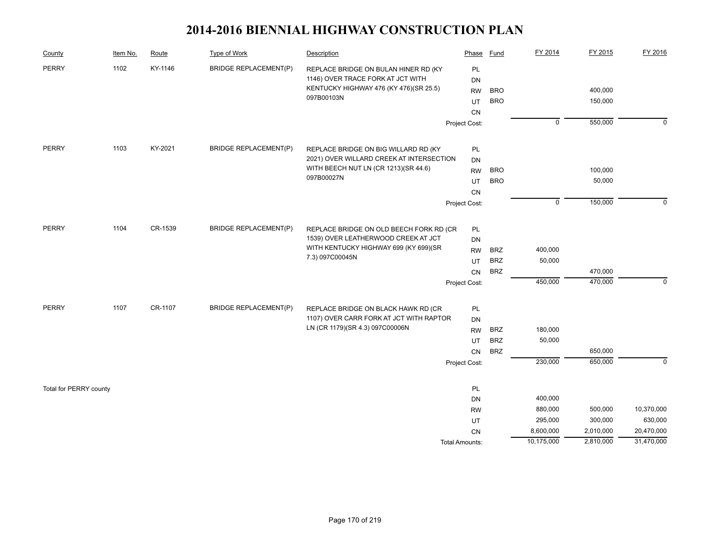| County                 | Item No. | Route   | <b>Type of Work</b>          | Description                                                                    | Phase                 | Fund       | FY 2014        | FY 2015   | FY 2016     |
|------------------------|----------|---------|------------------------------|--------------------------------------------------------------------------------|-----------------------|------------|----------------|-----------|-------------|
| <b>PERRY</b>           | 1102     | KY-1146 | <b>BRIDGE REPLACEMENT(P)</b> | REPLACE BRIDGE ON BULAN HINER RD (KY                                           | PL                    |            |                |           |             |
|                        |          |         |                              | 1146) OVER TRACE FORK AT JCT WITH                                              | DN                    |            |                |           |             |
|                        |          |         |                              | KENTUCKY HIGHWAY 476 (KY 476)(SR 25.5)<br>097B00103N                           | <b>RW</b>             | <b>BRO</b> |                | 400,000   |             |
|                        |          |         |                              |                                                                                | UT                    | <b>BRO</b> |                | 150,000   |             |
|                        |          |         |                              |                                                                                | CN                    |            |                |           |             |
|                        |          |         |                              |                                                                                | Project Cost:         |            | $\overline{0}$ | 550,000   | $\mathbf 0$ |
| PERRY                  | 1103     | KY-2021 | <b>BRIDGE REPLACEMENT(P)</b> | REPLACE BRIDGE ON BIG WILLARD RD (KY                                           | PL                    |            |                |           |             |
|                        |          |         |                              | 2021) OVER WILLARD CREEK AT INTERSECTION                                       | DN                    |            |                |           |             |
|                        |          |         |                              | WITH BEECH NUT LN (CR 1213)(SR 44.6)                                           | <b>RW</b>             | <b>BRO</b> |                | 100,000   |             |
|                        |          |         |                              | 097B00027N                                                                     | UT                    | <b>BRO</b> |                | 50,000    |             |
|                        |          |         |                              |                                                                                | <b>CN</b>             |            |                |           |             |
|                        |          |         |                              |                                                                                | Project Cost:         |            | $\mathbf 0$    | 150,000   | $\mathbf 0$ |
| <b>PERRY</b>           | 1104     | CR-1539 | <b>BRIDGE REPLACEMENT(P)</b> | REPLACE BRIDGE ON OLD BEECH FORK RD (CR                                        | PL                    |            |                |           |             |
|                        |          |         |                              | 1539) OVER LEATHERWOOD CREEK AT JCT                                            | DN                    |            |                |           |             |
|                        |          |         |                              | WITH KENTUCKY HIGHWAY 699 (KY 699)(SR                                          | <b>RW</b>             | <b>BRZ</b> | 400,000        |           |             |
|                        |          |         |                              | 7.3) 097C00045N                                                                | UT                    | <b>BRZ</b> | 50,000         |           |             |
|                        |          |         |                              |                                                                                | CN                    | <b>BRZ</b> |                | 470,000   |             |
|                        |          |         |                              |                                                                                | Project Cost:         |            | 450,000        | 470,000   | $\mathbf 0$ |
|                        | 1107     |         |                              |                                                                                |                       |            |                |           |             |
| <b>PERRY</b>           |          | CR-1107 | <b>BRIDGE REPLACEMENT(P)</b> | REPLACE BRIDGE ON BLACK HAWK RD (CR<br>1107) OVER CARR FORK AT JCT WITH RAPTOR | PL                    |            |                |           |             |
|                        |          |         |                              | LN (CR 1179)(SR 4.3) 097C00006N                                                | DN                    | <b>BRZ</b> | 180,000        |           |             |
|                        |          |         |                              |                                                                                | <b>RW</b>             | <b>BRZ</b> | 50,000         |           |             |
|                        |          |         |                              |                                                                                | UT<br><b>CN</b>       | <b>BRZ</b> |                | 650,000   |             |
|                        |          |         |                              |                                                                                | Project Cost:         |            | 230,000        | 650,000   | $\Omega$    |
|                        |          |         |                              |                                                                                |                       |            |                |           |             |
| Total for PERRY county |          |         |                              |                                                                                | PL                    |            |                |           |             |
|                        |          |         |                              |                                                                                | DN                    |            | 400,000        |           |             |
|                        |          |         |                              |                                                                                | <b>RW</b>             |            | 880,000        | 500,000   | 10,370,000  |
|                        |          |         |                              |                                                                                | UT                    |            | 295,000        | 300,000   | 630,000     |
|                        |          |         |                              |                                                                                | <b>CN</b>             |            | 8,600,000      | 2,010,000 | 20,470,000  |
|                        |          |         |                              |                                                                                | <b>Total Amounts:</b> |            | 10,175,000     | 2,810,000 | 31,470,000  |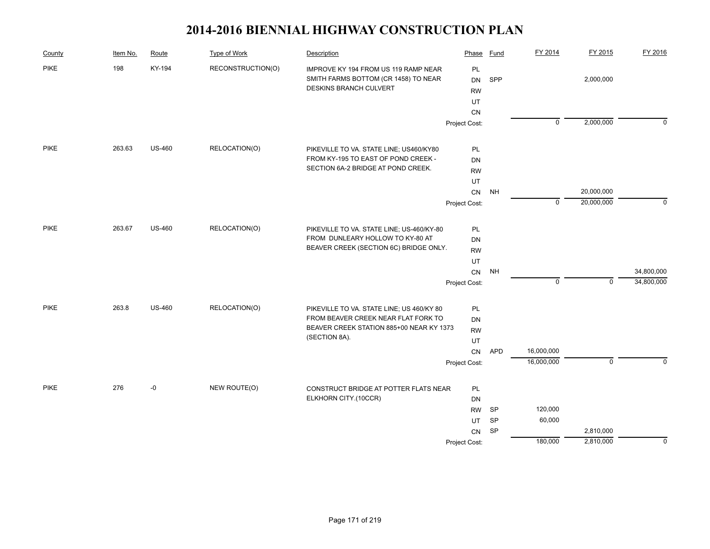| County      | Item No. | Route         | <b>Type of Work</b> | Description                                                                                            | Phase                              | Fund       | FY 2014        | FY 2015     | FY 2016     |
|-------------|----------|---------------|---------------------|--------------------------------------------------------------------------------------------------------|------------------------------------|------------|----------------|-------------|-------------|
| <b>PIKE</b> | 198      | KY-194        | RECONSTRUCTION(O)   | IMPROVE KY 194 FROM US 119 RAMP NEAR<br>SMITH FARMS BOTTOM (CR 1458) TO NEAR<br>DESKINS BRANCH CULVERT | PL<br><b>DN</b><br><b>RW</b><br>UT | SPP        |                | 2,000,000   |             |
|             |          |               |                     |                                                                                                        | <b>CN</b>                          |            |                |             |             |
|             |          |               |                     |                                                                                                        | Project Cost:                      |            | $\overline{0}$ | 2,000,000   | $\Omega$    |
| <b>PIKE</b> | 263.63   | <b>US-460</b> | RELOCATION(O)       | PIKEVILLE TO VA. STATE LINE; US460/KY80                                                                | PL                                 |            |                |             |             |
|             |          |               |                     | FROM KY-195 TO EAST OF POND CREEK -                                                                    | <b>DN</b>                          |            |                |             |             |
|             |          |               |                     | SECTION 6A-2 BRIDGE AT POND CREEK.                                                                     | <b>RW</b>                          |            |                |             |             |
|             |          |               |                     |                                                                                                        | UT                                 |            |                |             |             |
|             |          |               |                     |                                                                                                        | ${\sf CN}$                         | <b>NH</b>  |                | 20,000,000  |             |
|             |          |               |                     |                                                                                                        | Project Cost:                      |            | $\mathbf 0$    | 20,000,000  | $\mathbf 0$ |
| <b>PIKE</b> | 263.67   | <b>US-460</b> | RELOCATION(O)       | PIKEVILLE TO VA. STATE LINE; US-460/KY-80                                                              | PL                                 |            |                |             |             |
|             |          |               |                     | FROM DUNLEARY HOLLOW TO KY-80 AT                                                                       | DN                                 |            |                |             |             |
|             |          |               |                     | BEAVER CREEK (SECTION 6C) BRIDGE ONLY.                                                                 | <b>RW</b>                          |            |                |             |             |
|             |          |               |                     |                                                                                                        | UT                                 |            |                |             |             |
|             |          |               |                     |                                                                                                        | ${\sf CN}$                         | <b>NH</b>  |                |             | 34,800,000  |
|             |          |               |                     |                                                                                                        | Project Cost:                      |            | $\overline{0}$ | $\mathbf 0$ | 34,800,000  |
| <b>PIKE</b> | 263.8    | <b>US-460</b> | RELOCATION(O)       | PIKEVILLE TO VA. STATE LINE; US 460/KY 80                                                              | PL                                 |            |                |             |             |
|             |          |               |                     | FROM BEAVER CREEK NEAR FLAT FORK TO                                                                    | <b>DN</b>                          |            |                |             |             |
|             |          |               |                     | BEAVER CREEK STATION 885+00 NEAR KY 1373                                                               | <b>RW</b>                          |            |                |             |             |
|             |          |               |                     | (SECTION 8A).                                                                                          | UT                                 |            |                |             |             |
|             |          |               |                     |                                                                                                        | CN                                 | <b>APD</b> | 16,000,000     |             |             |
|             |          |               |                     |                                                                                                        | Project Cost:                      |            | 16,000,000     | $\mathbf 0$ | $\Omega$    |
| <b>PIKE</b> | 276      | $-0$          | NEW ROUTE(O)        | CONSTRUCT BRIDGE AT POTTER FLATS NEAR                                                                  | PL                                 |            |                |             |             |
|             |          |               |                     | ELKHORN CITY.(10CCR)                                                                                   | DN                                 |            |                |             |             |
|             |          |               |                     |                                                                                                        |                                    | SP         | 120,000        |             |             |
|             |          |               |                     |                                                                                                        | UT                                 | SP         | 60,000         |             |             |
|             |          |               |                     |                                                                                                        | CN                                 | <b>SP</b>  |                | 2,810,000   |             |
|             |          |               |                     |                                                                                                        | Project Cost:                      |            | 180,000        | 2,810,000   | $\Omega$    |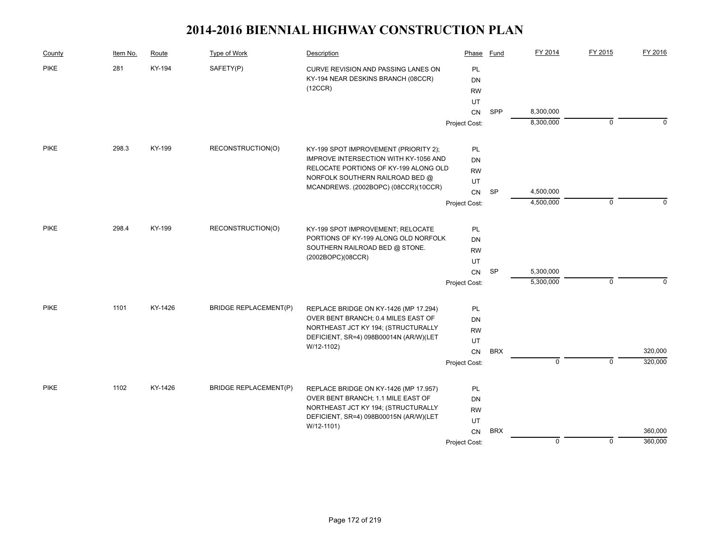| County      | Item No. | Route   | Type of Work                 | Description                                                                | Phase         | Fund       | FY 2014        | FY 2015        | FY 2016     |
|-------------|----------|---------|------------------------------|----------------------------------------------------------------------------|---------------|------------|----------------|----------------|-------------|
| <b>PIKE</b> | 281      | KY-194  | SAFETY(P)                    | CURVE REVISION AND PASSING LANES ON                                        | PL            |            |                |                |             |
|             |          |         |                              | KY-194 NEAR DESKINS BRANCH (08CCR)                                         | <b>DN</b>     |            |                |                |             |
|             |          |         |                              | (12CCR)                                                                    | <b>RW</b>     |            |                |                |             |
|             |          |         |                              |                                                                            | UT            |            |                |                |             |
|             |          |         |                              |                                                                            | <b>CN</b>     | SPP        | 8,300,000      |                |             |
|             |          |         |                              |                                                                            | Project Cost: |            | 8,300,000      | $\mathbf 0$    | $\Omega$    |
| <b>PIKE</b> | 298.3    | KY-199  | RECONSTRUCTION(O)            | KY-199 SPOT IMPROVEMENT (PRIORITY 2);                                      | PL            |            |                |                |             |
|             |          |         |                              | IMPROVE INTERSECTION WITH KY-1056 AND                                      | DN            |            |                |                |             |
|             |          |         |                              | RELOCATE PORTIONS OF KY-199 ALONG OLD                                      | <b>RW</b>     |            |                |                |             |
|             |          |         |                              | NORFOLK SOUTHERN RAILROAD BED @                                            | UT            |            |                |                |             |
|             |          |         |                              | MCANDREWS. (2002BOPC) (08CCR)(10CCR)                                       | CN            | SP         | 4,500,000      |                |             |
|             |          |         |                              |                                                                            | Project Cost: |            | 4,500,000      | $\mathbf{0}$   | $\Omega$    |
| <b>PIKE</b> | 298.4    | KY-199  | RECONSTRUCTION(O)            | KY-199 SPOT IMPROVEMENT; RELOCATE                                          | <b>PL</b>     |            |                |                |             |
|             |          |         |                              | PORTIONS OF KY-199 ALONG OLD NORFOLK                                       | DN            |            |                |                |             |
|             |          |         |                              | SOUTHERN RAILROAD BED @ STONE.                                             | <b>RW</b>     |            |                |                |             |
|             |          |         |                              | (2002BOPC)(08CCR)                                                          | UT            |            |                |                |             |
|             |          |         |                              |                                                                            | CN            | <b>SP</b>  | 5,300,000      |                |             |
|             |          |         |                              |                                                                            | Project Cost: |            | 5,300,000      | $\mathbf 0$    | $\mathbf 0$ |
|             |          |         |                              |                                                                            |               |            |                |                |             |
| <b>PIKE</b> | 1101     | KY-1426 | <b>BRIDGE REPLACEMENT(P)</b> | REPLACE BRIDGE ON KY-1426 (MP 17.294)                                      | PL            |            |                |                |             |
|             |          |         |                              | OVER BENT BRANCH; 0.4 MILES EAST OF<br>NORTHEAST JCT KY 194; (STRUCTURALLY | DN            |            |                |                |             |
|             |          |         |                              | DEFICIENT, SR=4) 098B00014N (AR/W)(LET                                     | <b>RW</b>     |            |                |                |             |
|             |          |         |                              | W/12-1102)                                                                 | UT            |            |                |                |             |
|             |          |         |                              |                                                                            | CN            | <b>BRX</b> |                |                | 320,000     |
|             |          |         |                              |                                                                            | Project Cost: |            | $\overline{0}$ | $\overline{0}$ | 320,000     |
| <b>PIKE</b> | 1102     | KY-1426 | <b>BRIDGE REPLACEMENT(P)</b> | REPLACE BRIDGE ON KY-1426 (MP 17.957)                                      | PL            |            |                |                |             |
|             |          |         |                              | OVER BENT BRANCH; 1.1 MILE EAST OF                                         | <b>DN</b>     |            |                |                |             |
|             |          |         |                              | NORTHEAST JCT KY 194; (STRUCTURALLY                                        | <b>RW</b>     |            |                |                |             |
|             |          |         |                              | DEFICIENT, SR=4) 098B00015N (AR/W)(LET<br>W/12-1101)                       | UT            |            |                |                |             |
|             |          |         |                              |                                                                            | CN            | <b>BRX</b> |                |                | 360,000     |
|             |          |         |                              |                                                                            | Project Cost: |            | $\mathbf 0$    | $\mathbf 0$    | 360,000     |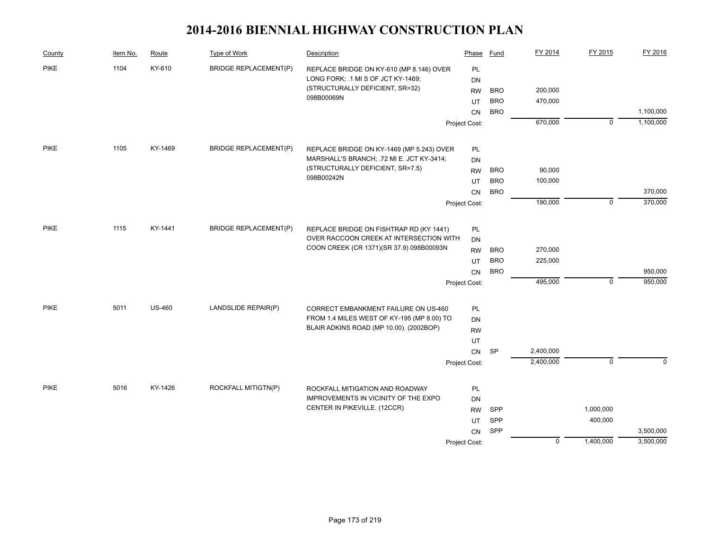| County      | Item No. | Route         | Type of Work                 | Description                                | Phase         | Fund       | FY 2014     | FY 2015     | FY 2016   |
|-------------|----------|---------------|------------------------------|--------------------------------------------|---------------|------------|-------------|-------------|-----------|
| <b>PIKE</b> | 1104     | KY-610        | <b>BRIDGE REPLACEMENT(P)</b> | REPLACE BRIDGE ON KY-610 (MP 8.146) OVER   | PL            |            |             |             |           |
|             |          |               |                              | LONG FORK; .1 MI S OF JCT KY-1469;         | DN            |            |             |             |           |
|             |          |               |                              | (STRUCTURALLY DEFICIENT, SR=32)            | <b>RW</b>     | <b>BRO</b> | 200,000     |             |           |
|             |          |               |                              | 098B00069N                                 | UT            | <b>BRO</b> | 470,000     |             |           |
|             |          |               |                              |                                            | <b>CN</b>     | <b>BRO</b> |             |             | 1,100,000 |
|             |          |               |                              |                                            | Project Cost: |            | 670,000     | $\mathbf 0$ | 1,100,000 |
| <b>PIKE</b> | 1105     | KY-1469       | <b>BRIDGE REPLACEMENT(P)</b> | REPLACE BRIDGE ON KY-1469 (MP 5.243) OVER  | PL            |            |             |             |           |
|             |          |               |                              | MARSHALL'S BRANCH; .72 MI E. JCT KY-3414;  | <b>DN</b>     |            |             |             |           |
|             |          |               |                              | (STRUCTURALLY DEFICIENT, SR=7.5)           | <b>RW</b>     | <b>BRO</b> | 90,000      |             |           |
|             |          |               |                              | 098B00242N                                 | UT            | <b>BRO</b> | 100,000     |             |           |
|             |          |               |                              |                                            | CN            | <b>BRO</b> |             |             | 370,000   |
|             |          |               |                              |                                            | Project Cost: |            | 190,000     | $\mathbf 0$ | 370,000   |
|             |          |               |                              |                                            |               |            |             |             |           |
| <b>PIKE</b> | 1115     | KY-1441       | <b>BRIDGE REPLACEMENT(P)</b> | REPLACE BRIDGE ON FISHTRAP RD (KY 1441)    | <b>PL</b>     |            |             |             |           |
|             |          |               |                              | OVER RACCOON CREEK AT INTERSECTION WITH    | <b>DN</b>     |            |             |             |           |
|             |          |               |                              | COON CREEK (CR 1371)(SR 37.9) 098B00093N   | <b>RW</b>     | <b>BRO</b> | 270,000     |             |           |
|             |          |               |                              |                                            | UT            | <b>BRO</b> | 225,000     |             |           |
|             |          |               |                              |                                            | CN            | <b>BRO</b> |             |             | 950,000   |
|             |          |               |                              |                                            | Project Cost: |            | 495,000     | $\mathbf 0$ | 950,000   |
| <b>PIKE</b> | 5011     | <b>US-460</b> | LANDSLIDE REPAIR(P)          | CORRECT EMBANKMENT FAILURE ON US-460       | <b>PL</b>     |            |             |             |           |
|             |          |               |                              | FROM 1.4 MILES WEST OF KY-195 (MP 8.00) TO | DN            |            |             |             |           |
|             |          |               |                              | BLAIR ADKINS ROAD (MP 10.00). (2002BOP)    | <b>RW</b>     |            |             |             |           |
|             |          |               |                              |                                            | UT            |            |             |             |           |
|             |          |               |                              |                                            | CN            | <b>SP</b>  | 2,400,000   |             |           |
|             |          |               |                              |                                            | Project Cost: |            | 2,400,000   | $\mathbf 0$ | $\Omega$  |
| <b>PIKE</b> | 5016     | KY-1426       | ROCKFALL MITIGTN(P)          | ROCKFALL MITIGATION AND ROADWAY            | PL            |            |             |             |           |
|             |          |               |                              | IMPROVEMENTS IN VICINITY OF THE EXPO       | <b>DN</b>     |            |             |             |           |
|             |          |               |                              | CENTER IN PIKEVILLE. (12CCR)               | <b>RW</b>     | SPP        |             | 1,000,000   |           |
|             |          |               |                              |                                            | UT.           | SPP        |             | 400,000     |           |
|             |          |               |                              |                                            |               | SPP        |             |             | 3,500,000 |
|             |          |               |                              |                                            | CN            |            | $\mathbf 0$ | 1,400,000   | 3,500,000 |
|             |          |               |                              |                                            | Project Cost: |            |             |             |           |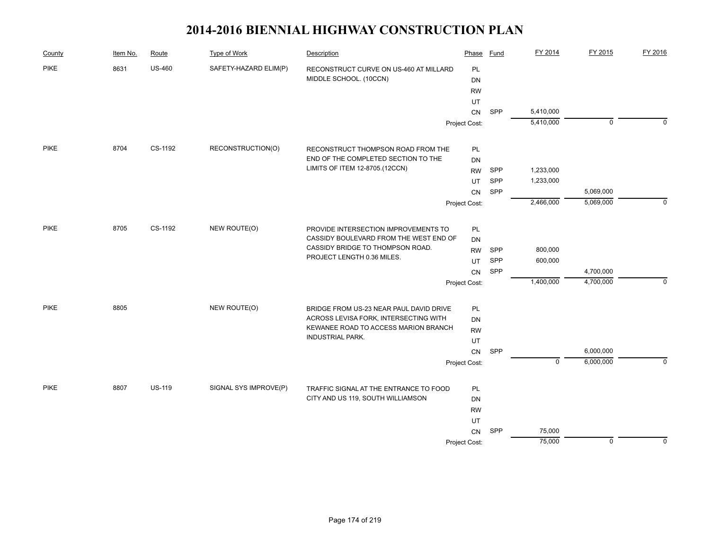| County      | Item No. | Route         | <b>Type of Work</b>   | Description                             | Phase         | Fund       | FY 2014        | FY 2015     | FY 2016     |
|-------------|----------|---------------|-----------------------|-----------------------------------------|---------------|------------|----------------|-------------|-------------|
| <b>PIKE</b> | 8631     | <b>US-460</b> | SAFETY-HAZARD ELIM(P) | RECONSTRUCT CURVE ON US-460 AT MILLARD  | PL            |            |                |             |             |
|             |          |               |                       | MIDDLE SCHOOL. (10CCN)                  | DN            |            |                |             |             |
|             |          |               |                       |                                         | <b>RW</b>     |            |                |             |             |
|             |          |               |                       |                                         | UT            |            |                |             |             |
|             |          |               |                       |                                         | CN            | SPP        | 5,410,000      |             |             |
|             |          |               |                       |                                         | Project Cost: |            | 5,410,000      | $\mathbf 0$ | $\Omega$    |
| <b>PIKE</b> | 8704     | CS-1192       | RECONSTRUCTION(O)     | RECONSTRUCT THOMPSON ROAD FROM THE      | PL            |            |                |             |             |
|             |          |               |                       | END OF THE COMPLETED SECTION TO THE     | DN            |            |                |             |             |
|             |          |               |                       | LIMITS OF ITEM 12-8705.(12CCN)          | <b>RW</b>     | SPP        | 1,233,000      |             |             |
|             |          |               |                       |                                         | UT            | SPP        | 1,233,000      |             |             |
|             |          |               |                       |                                         | CN            | SPP        |                | 5,069,000   |             |
|             |          |               |                       |                                         | Project Cost: |            | 2,466,000      | 5,069,000   | $\mathbf 0$ |
| <b>PIKE</b> | 8705     | CS-1192       | NEW ROUTE(O)          | PROVIDE INTERSECTION IMPROVEMENTS TO    | PL            |            |                |             |             |
|             |          |               |                       | CASSIDY BOULEVARD FROM THE WEST END OF  | DN            |            |                |             |             |
|             |          |               |                       | CASSIDY BRIDGE TO THOMPSON ROAD.        | <b>RW</b>     | <b>SPP</b> | 800,000        |             |             |
|             |          |               |                       | PROJECT LENGTH 0.36 MILES.              | UT            | SPP        | 600,000        |             |             |
|             |          |               |                       |                                         | <b>CN</b>     | SPP        |                | 4,700,000   |             |
|             |          |               |                       |                                         | Project Cost: |            | 1,400,000      | 4,700,000   | $\mathbf 0$ |
| <b>PIKE</b> | 8805     |               | NEW ROUTE(O)          | BRIDGE FROM US-23 NEAR PAUL DAVID DRIVE | PL            |            |                |             |             |
|             |          |               |                       | ACROSS LEVISA FORK, INTERSECTING WITH   | DN            |            |                |             |             |
|             |          |               |                       | KEWANEE ROAD TO ACCESS MARION BRANCH    | <b>RW</b>     |            |                |             |             |
|             |          |               |                       | <b>INDUSTRIAL PARK.</b>                 | UT            |            |                |             |             |
|             |          |               |                       |                                         | ${\sf CN}$    | SPP        |                | 6,000,000   |             |
|             |          |               |                       |                                         | Project Cost: |            | $\overline{0}$ | 6,000,000   | $\Omega$    |
| <b>PIKE</b> | 8807     | <b>US-119</b> | SIGNAL SYS IMPROVE(P) | TRAFFIC SIGNAL AT THE ENTRANCE TO FOOD  | PL            |            |                |             |             |
|             |          |               |                       | CITY AND US 119, SOUTH WILLIAMSON       | DN            |            |                |             |             |
|             |          |               |                       |                                         | <b>RW</b>     |            |                |             |             |
|             |          |               |                       |                                         |               |            |                |             |             |
|             |          |               |                       |                                         | CN            | SPP        | 75,000         |             |             |
|             |          |               |                       |                                         | Project Cost: |            | 75,000         | $\mathbf 0$ | $\mathbf 0$ |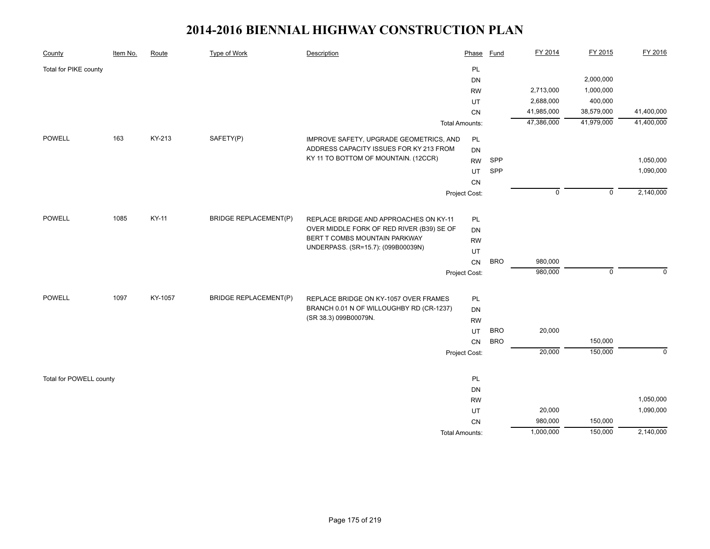| County                  | Item No. | Route   | Type of Work                 | Description                                                                | Phase                 | Fund       | FY 2014        | FY 2015        | FY 2016     |
|-------------------------|----------|---------|------------------------------|----------------------------------------------------------------------------|-----------------------|------------|----------------|----------------|-------------|
| Total for PIKE county   |          |         |                              |                                                                            | PL                    |            |                |                |             |
|                         |          |         |                              |                                                                            | DN                    |            |                | 2,000,000      |             |
|                         |          |         |                              |                                                                            | <b>RW</b>             |            | 2,713,000      | 1,000,000      |             |
|                         |          |         |                              |                                                                            | UT                    |            | 2,688,000      | 400,000        |             |
|                         |          |         |                              |                                                                            | CN                    |            | 41,985,000     | 38,579,000     | 41,400,000  |
|                         |          |         |                              |                                                                            | <b>Total Amounts:</b> |            | 47,386,000     | 41,979,000     | 41,400,000  |
| <b>POWELL</b>           | 163      | KY-213  | SAFETY(P)                    | IMPROVE SAFETY, UPGRADE GEOMETRICS, AND                                    | $\mathsf{PL}$         |            |                |                |             |
|                         |          |         |                              | ADDRESS CAPACITY ISSUES FOR KY 213 FROM                                    | <b>DN</b>             |            |                |                |             |
|                         |          |         |                              | KY 11 TO BOTTOM OF MOUNTAIN. (12CCR)                                       | <b>RW</b>             | SPP        |                |                | 1,050,000   |
|                         |          |         |                              |                                                                            |                       | SPP        |                |                | 1,090,000   |
|                         |          |         |                              |                                                                            |                       |            |                |                |             |
|                         |          |         |                              |                                                                            | Project Cost:         |            | $\overline{0}$ | $\overline{0}$ | 2,140,000   |
|                         |          |         |                              |                                                                            |                       |            |                |                |             |
| POWELL                  | 1085     | KY-11   | <b>BRIDGE REPLACEMENT(P)</b> | REPLACE BRIDGE AND APPROACHES ON KY-11                                     | PL                    |            |                |                |             |
|                         |          |         |                              | OVER MIDDLE FORK OF RED RIVER (B39) SE OF<br>BERT T COMBS MOUNTAIN PARKWAY | <b>DN</b>             |            |                |                |             |
|                         |          |         |                              | UNDERPASS. (SR=15.7): (099B00039N)                                         | <b>RW</b>             |            |                |                |             |
|                         |          |         |                              |                                                                            | UT                    |            |                |                |             |
|                         |          |         |                              |                                                                            | CN                    | <b>BRO</b> | 980,000        |                |             |
|                         |          |         |                              |                                                                            | Project Cost:         |            | 980,000        | $\mathbf 0$    | $\Omega$    |
| <b>POWELL</b>           | 1097     | KY-1057 | <b>BRIDGE REPLACEMENT(P)</b> | REPLACE BRIDGE ON KY-1057 OVER FRAMES                                      | PL                    |            |                |                |             |
|                         |          |         |                              | BRANCH 0.01 N OF WILLOUGHBY RD (CR-1237)                                   | DN                    |            |                |                |             |
|                         |          |         |                              | (SR 38.3) 099B00079N.                                                      | <b>RW</b>             |            |                |                |             |
|                         |          |         |                              |                                                                            | UT                    | <b>BRO</b> | 20,000         |                |             |
|                         |          |         |                              |                                                                            | CN                    | <b>BRO</b> |                | 150,000        |             |
|                         |          |         |                              |                                                                            | Project Cost:         |            | 20,000         | 150,000        | $\mathbf 0$ |
|                         |          |         |                              |                                                                            |                       |            |                |                |             |
| Total for POWELL county |          |         |                              |                                                                            | PL                    |            |                |                |             |
|                         |          |         |                              |                                                                            | <b>DN</b>             |            |                |                |             |
|                         |          |         |                              |                                                                            | <b>RW</b>             |            |                |                | 1,050,000   |
|                         |          |         |                              |                                                                            | UT                    |            | 20,000         |                | 1,090,000   |
|                         |          |         |                              |                                                                            | CN                    |            | 980,000        | 150,000        |             |
|                         |          |         |                              |                                                                            | <b>Total Amounts:</b> |            | 1,000,000      | 150,000        | 2,140,000   |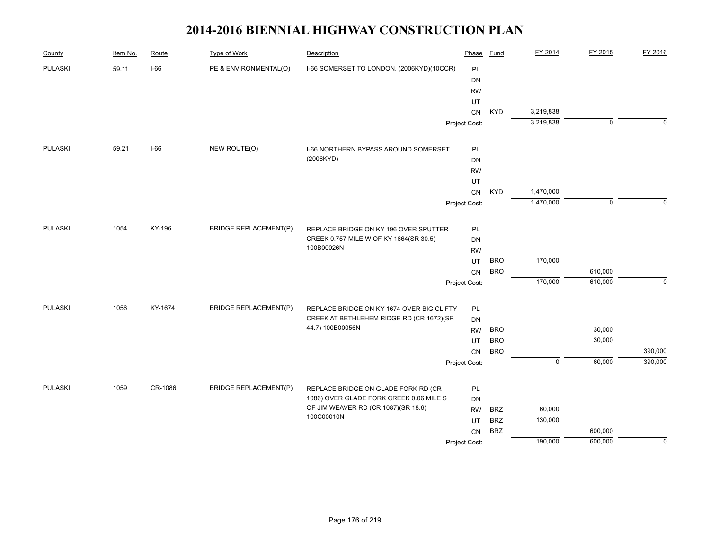| County         | Item No. | Route   | Type of Work                 | Description                               | Phase         | Fund       | FY 2014        | FY 2015     | FY 2016     |
|----------------|----------|---------|------------------------------|-------------------------------------------|---------------|------------|----------------|-------------|-------------|
| <b>PULASKI</b> | 59.11    | $I-66$  | PE & ENVIRONMENTAL(O)        | I-66 SOMERSET TO LONDON. (2006KYD)(10CCR) | PL            |            |                |             |             |
|                |          |         |                              |                                           | <b>DN</b>     |            |                |             |             |
|                |          |         |                              |                                           | <b>RW</b>     |            |                |             |             |
|                |          |         |                              |                                           | UT            |            |                |             |             |
|                |          |         |                              |                                           | CN            | <b>KYD</b> | 3,219,838      |             |             |
|                |          |         |                              |                                           | Project Cost: |            | 3,219,838      | 0           | $\Omega$    |
| <b>PULASKI</b> | 59.21    | $I-66$  | NEW ROUTE(O)                 | I-66 NORTHERN BYPASS AROUND SOMERSET.     | PL            |            |                |             |             |
|                |          |         |                              | (2006KYD)                                 | <b>DN</b>     |            |                |             |             |
|                |          |         |                              |                                           | <b>RW</b>     |            |                |             |             |
|                |          |         |                              |                                           | UT            |            |                |             |             |
|                |          |         |                              |                                           | CN            | <b>KYD</b> | 1,470,000      |             |             |
|                |          |         |                              |                                           | Project Cost: |            | 1,470,000      | $\mathbf 0$ | $\Omega$    |
| <b>PULASKI</b> | 1054     | KY-196  | <b>BRIDGE REPLACEMENT(P)</b> | REPLACE BRIDGE ON KY 196 OVER SPUTTER     | PL            |            |                |             |             |
|                |          |         |                              | CREEK 0.757 MILE W OF KY 1664(SR 30.5)    | <b>DN</b>     |            |                |             |             |
|                |          |         |                              | 100B00026N                                | <b>RW</b>     |            |                |             |             |
|                |          |         |                              |                                           | UT            | <b>BRO</b> | 170,000        |             |             |
|                |          |         |                              |                                           | CN            | <b>BRO</b> |                | 610,000     |             |
|                |          |         |                              |                                           | Project Cost: |            | 170,000        | 610,000     | $\mathbf 0$ |
| <b>PULASKI</b> | 1056     | KY-1674 | <b>BRIDGE REPLACEMENT(P)</b> | REPLACE BRIDGE ON KY 1674 OVER BIG CLIFTY | PL            |            |                |             |             |
|                |          |         |                              | CREEK AT BETHLEHEM RIDGE RD (CR 1672)(SR  | <b>DN</b>     |            |                |             |             |
|                |          |         |                              | 44.7) 100B00056N                          | <b>RW</b>     | <b>BRO</b> |                | 30,000      |             |
|                |          |         |                              |                                           | UT            | <b>BRO</b> |                | 30,000      |             |
|                |          |         |                              |                                           | CN            | <b>BRO</b> |                |             | 390,000     |
|                |          |         |                              |                                           | Project Cost: |            | $\overline{0}$ | 60,000      | 390,000     |
| <b>PULASKI</b> | 1059     | CR-1086 | <b>BRIDGE REPLACEMENT(P)</b> | REPLACE BRIDGE ON GLADE FORK RD (CR       | PL            |            |                |             |             |
|                |          |         |                              | 1086) OVER GLADE FORK CREEK 0.06 MILE S   | <b>DN</b>     |            |                |             |             |
|                |          |         |                              | OF JIM WEAVER RD (CR 1087)(SR 18.6)       | <b>RW</b>     | <b>BRZ</b> | 60,000         |             |             |
|                |          |         |                              | 100C00010N                                | UT            | <b>BRZ</b> | 130,000        |             |             |
|                |          |         |                              |                                           | <b>CN</b>     | <b>BRZ</b> |                | 600,000     |             |
|                |          |         |                              |                                           | Project Cost: |            | 190,000        | 600,000     | $\mathbf 0$ |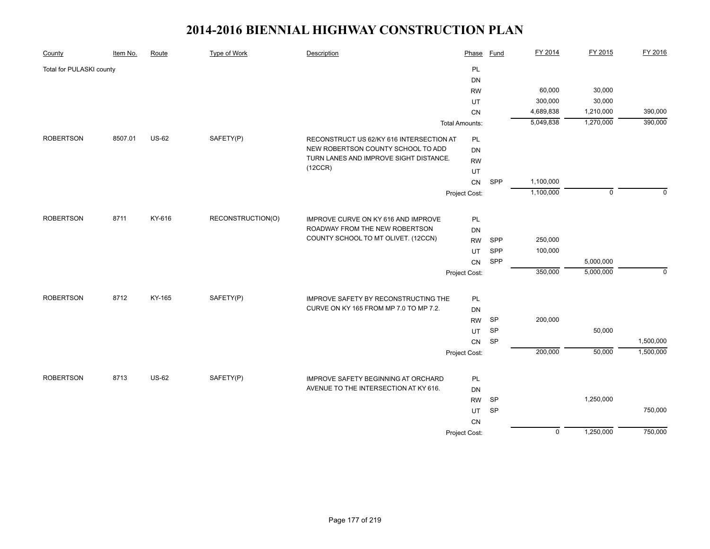| County                   | Item No. | Route        | <b>Type of Work</b> | Description                              | Phase                 | Fund       | FY 2014        | FY 2015     | FY 2016   |
|--------------------------|----------|--------------|---------------------|------------------------------------------|-----------------------|------------|----------------|-------------|-----------|
| Total for PULASKI county |          |              |                     |                                          | PL                    |            |                |             |           |
|                          |          |              |                     |                                          | DN                    |            |                |             |           |
|                          |          |              |                     |                                          | <b>RW</b>             |            | 60,000         | 30,000      |           |
|                          |          |              |                     |                                          | UT                    |            | 300,000        | 30,000      |           |
|                          |          |              |                     |                                          | CN                    |            | 4,689,838      | 1,210,000   | 390,000   |
|                          |          |              |                     |                                          | <b>Total Amounts:</b> |            | 5,049,838      | 1,270,000   | 390,000   |
| <b>ROBERTSON</b>         | 8507.01  | <b>US-62</b> | SAFETY(P)           | RECONSTRUCT US 62/KY 616 INTERSECTION AT | PL                    |            |                |             |           |
|                          |          |              |                     | NEW ROBERTSON COUNTY SCHOOL TO ADD       | DN                    |            |                |             |           |
|                          |          |              |                     | TURN LANES AND IMPROVE SIGHT DISTANCE.   | <b>RW</b>             |            |                |             |           |
|                          |          |              |                     | (12CCR)                                  | UT                    |            |                |             |           |
|                          |          |              |                     |                                          | CN                    | SPP        | 1,100,000      |             |           |
|                          |          |              |                     |                                          | Project Cost:         |            | 1,100,000      | $\mathbf 0$ | $\Omega$  |
| <b>ROBERTSON</b>         | 8711     | KY-616       | RECONSTRUCTION(O)   | IMPROVE CURVE ON KY 616 AND IMPROVE      | PL                    |            |                |             |           |
|                          |          |              |                     | ROADWAY FROM THE NEW ROBERTSON           | <b>DN</b>             |            |                |             |           |
|                          |          |              |                     | COUNTY SCHOOL TO MT OLIVET. (12CCN)      | <b>RW</b>             | SPP        | 250,000        |             |           |
|                          |          |              |                     |                                          | UT                    | <b>SPP</b> | 100,000        |             |           |
|                          |          |              |                     |                                          | CN                    | SPP        |                | 5,000,000   |           |
|                          |          |              |                     |                                          | Project Cost:         |            | 350,000        | 5,000,000   | $\Omega$  |
|                          |          |              |                     |                                          |                       |            |                |             |           |
| <b>ROBERTSON</b>         | 8712     | KY-165       | SAFETY(P)           | IMPROVE SAFETY BY RECONSTRUCTING THE     | PL                    |            |                |             |           |
|                          |          |              |                     | CURVE ON KY 165 FROM MP 7.0 TO MP 7.2.   | DN                    |            |                |             |           |
|                          |          |              |                     |                                          | <b>RW</b>             | SP         | 200,000        |             |           |
|                          |          |              |                     |                                          | UT                    | SP         |                | 50,000      |           |
|                          |          |              |                     |                                          | ${\sf CN}$            | SP         |                |             | 1,500,000 |
|                          |          |              |                     |                                          | Project Cost:         |            | 200,000        | 50,000      | 1,500,000 |
| <b>ROBERTSON</b>         | 8713     | <b>US-62</b> | SAFETY(P)           | IMPROVE SAFETY BEGINNING AT ORCHARD      | PL                    |            |                |             |           |
|                          |          |              |                     | AVENUE TO THE INTERSECTION AT KY 616.    | DN                    |            |                |             |           |
|                          |          |              |                     |                                          | <b>RW</b>             | SP         |                | 1,250,000   |           |
|                          |          |              |                     |                                          |                       | SP         |                |             | 750,000   |
|                          |          |              |                     |                                          | UT<br><b>CN</b>       |            |                |             |           |
|                          |          |              |                     |                                          | Project Cost:         |            | $\overline{0}$ | 1,250,000   | 750,000   |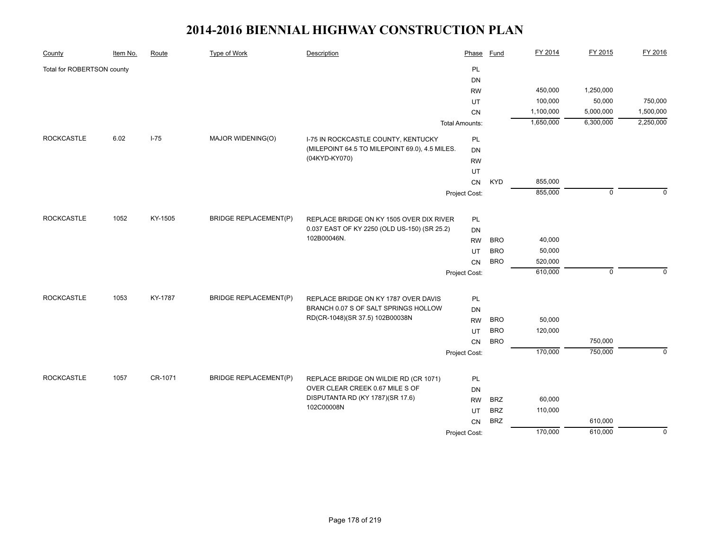| <b>PL</b><br>Total for ROBERTSON county<br><b>DN</b><br>450,000<br>1,250,000<br><b>RW</b><br>100,000<br>50,000<br>UT<br>1,100,000<br>5,000,000<br>CN<br>1,650,000<br>6,300,000<br><b>Total Amounts:</b> | 750,000<br>1,500,000<br>2,250,000 |
|---------------------------------------------------------------------------------------------------------------------------------------------------------------------------------------------------------|-----------------------------------|
|                                                                                                                                                                                                         |                                   |
|                                                                                                                                                                                                         |                                   |
|                                                                                                                                                                                                         |                                   |
|                                                                                                                                                                                                         |                                   |
|                                                                                                                                                                                                         |                                   |
|                                                                                                                                                                                                         |                                   |
| <b>ROCKCASTLE</b><br>$I-75$<br>MAJOR WIDENING(O)<br>6.02<br>PL<br>I-75 IN ROCKCASTLE COUNTY, KENTUCKY                                                                                                   |                                   |
| (MILEPOINT 64.5 TO MILEPOINT 69.0), 4.5 MILES.<br><b>DN</b>                                                                                                                                             |                                   |
| (04KYD-KY070)<br><b>RW</b>                                                                                                                                                                              |                                   |
| UT                                                                                                                                                                                                      |                                   |
| 855,000<br><b>KYD</b><br>CN                                                                                                                                                                             |                                   |
| 855,000<br>$\mathbf 0$<br>Project Cost:                                                                                                                                                                 | $\Omega$                          |
|                                                                                                                                                                                                         |                                   |
| <b>ROCKCASTLE</b><br>1052<br>KY-1505<br><b>BRIDGE REPLACEMENT(P)</b><br>REPLACE BRIDGE ON KY 1505 OVER DIX RIVER<br>PL                                                                                  |                                   |
| 0.037 EAST OF KY 2250 (OLD US-150) (SR 25.2)<br><b>DN</b><br>102B00046N.                                                                                                                                |                                   |
| <b>BRO</b><br>40,000<br><b>RW</b>                                                                                                                                                                       |                                   |
| <b>BRO</b><br>50,000<br>UT                                                                                                                                                                              |                                   |
| <b>BRO</b><br>520,000<br><b>CN</b>                                                                                                                                                                      |                                   |
| 610,000<br>$\mathbf 0$<br>Project Cost:                                                                                                                                                                 | $\Omega$                          |
| <b>ROCKCASTLE</b><br>1053<br>KY-1787<br><b>BRIDGE REPLACEMENT(P)</b><br>PL<br>REPLACE BRIDGE ON KY 1787 OVER DAVIS                                                                                      |                                   |
| BRANCH 0.07 S OF SALT SPRINGS HOLLOW<br><b>DN</b>                                                                                                                                                       |                                   |
| RD(CR-1048)(SR 37.5) 102B00038N<br>50,000<br><b>BRO</b><br><b>RW</b>                                                                                                                                    |                                   |
| <b>BRO</b><br>120,000<br>UT                                                                                                                                                                             |                                   |
| 750,000<br><b>BRO</b><br>CN                                                                                                                                                                             |                                   |
| 750,000<br>170,000                                                                                                                                                                                      | $\mathbf 0$                       |
| Project Cost:                                                                                                                                                                                           |                                   |
| <b>ROCKCASTLE</b><br>1057<br>CR-1071<br><b>BRIDGE REPLACEMENT(P)</b><br>REPLACE BRIDGE ON WILDIE RD (CR 1071)<br>PL                                                                                     |                                   |
| OVER CLEAR CREEK 0.67 MILE S OF<br><b>DN</b>                                                                                                                                                            |                                   |
| DISPUTANTA RD (KY 1787)(SR 17.6)<br><b>BRZ</b><br>60,000<br><b>RW</b>                                                                                                                                   |                                   |
| 102C00008N<br><b>BRZ</b><br>110,000<br>UT                                                                                                                                                               |                                   |
| <b>BRZ</b><br>610,000<br>CN                                                                                                                                                                             |                                   |
| 610,000<br>170,000<br>Project Cost:                                                                                                                                                                     |                                   |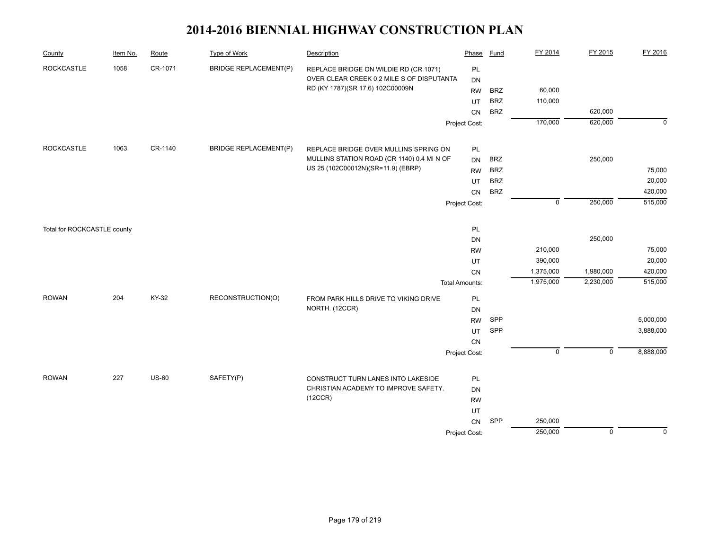| County                      | Item No. | Route        | <b>Type of Work</b>          | Description                                | Phase                 | <b>Fund</b> | FY 2014     | FY 2015        | FY 2016     |
|-----------------------------|----------|--------------|------------------------------|--------------------------------------------|-----------------------|-------------|-------------|----------------|-------------|
| <b>ROCKCASTLE</b>           | 1058     | CR-1071      | <b>BRIDGE REPLACEMENT(P)</b> | REPLACE BRIDGE ON WILDIE RD (CR 1071)      | PL                    |             |             |                |             |
|                             |          |              |                              | OVER CLEAR CREEK 0.2 MILE S OF DISPUTANTA  | <b>DN</b>             |             |             |                |             |
|                             |          |              |                              | RD (KY 1787)(SR 17.6) 102C00009N           | <b>RW</b>             | <b>BRZ</b>  | 60,000      |                |             |
|                             |          |              |                              |                                            | UT                    | <b>BRZ</b>  | 110,000     |                |             |
|                             |          |              |                              |                                            | CN                    | <b>BRZ</b>  |             | 620,000        |             |
|                             |          |              |                              |                                            | Project Cost:         |             | 170,000     | 620,000        | $\mathbf 0$ |
| <b>ROCKCASTLE</b>           | 1063     | CR-1140      | <b>BRIDGE REPLACEMENT(P)</b> | REPLACE BRIDGE OVER MULLINS SPRING ON      | PL                    |             |             |                |             |
|                             |          |              |                              | MULLINS STATION ROAD (CR 1140) 0.4 MI N OF | DN                    | <b>BRZ</b>  |             | 250,000        |             |
|                             |          |              |                              | US 25 (102C00012N)(SR=11.9) (EBRP)         | <b>RW</b>             | <b>BRZ</b>  |             |                | 75,000      |
|                             |          |              |                              |                                            | UT                    | <b>BRZ</b>  |             |                | 20,000      |
|                             |          |              |                              |                                            | <b>CN</b>             | <b>BRZ</b>  |             |                | 420,000     |
|                             |          |              |                              |                                            | Project Cost:         |             | $\mathbf 0$ | 250,000        | 515,000     |
|                             |          |              |                              |                                            |                       |             |             |                |             |
| Total for ROCKCASTLE county |          |              |                              |                                            | PL                    |             |             |                |             |
|                             |          |              |                              |                                            | DN                    |             |             | 250,000        |             |
|                             |          |              |                              |                                            | <b>RW</b>             |             | 210,000     |                | 75,000      |
|                             |          |              |                              |                                            | <b>UT</b>             |             | 390,000     |                | 20,000      |
|                             |          |              |                              |                                            | CN                    |             | 1,375,000   | 1,980,000      | 420,000     |
|                             |          |              |                              |                                            | <b>Total Amounts:</b> |             | 1,975,000   | 2,230,000      | 515,000     |
| <b>ROWAN</b>                | 204      | KY-32        | RECONSTRUCTION(O)            | FROM PARK HILLS DRIVE TO VIKING DRIVE      | PL                    |             |             |                |             |
|                             |          |              |                              | NORTH. (12CCR)                             | DN                    |             |             |                |             |
|                             |          |              |                              |                                            | <b>RW</b>             | SPP         |             |                | 5,000,000   |
|                             |          |              |                              |                                            | <b>UT</b>             | SPP         |             |                | 3,888,000   |
|                             |          |              |                              |                                            | CN                    |             |             |                |             |
|                             |          |              |                              |                                            | Project Cost:         |             | $\mathsf 0$ | $\mathsf 0$    | 8,888,000   |
| <b>ROWAN</b>                | 227      | <b>US-60</b> | SAFETY(P)                    | CONSTRUCT TURN LANES INTO LAKESIDE         | PL                    |             |             |                |             |
|                             |          |              |                              | CHRISTIAN ACADEMY TO IMPROVE SAFETY.       | DN                    |             |             |                |             |
|                             |          |              |                              | (12CCR)                                    | <b>RW</b>             |             |             |                |             |
|                             |          |              |                              |                                            | UT                    |             |             |                |             |
|                             |          |              |                              |                                            | ${\sf CN}$            | SPP         | 250,000     |                |             |
|                             |          |              |                              |                                            | Project Cost:         |             | 250,000     | $\overline{0}$ | $\Omega$    |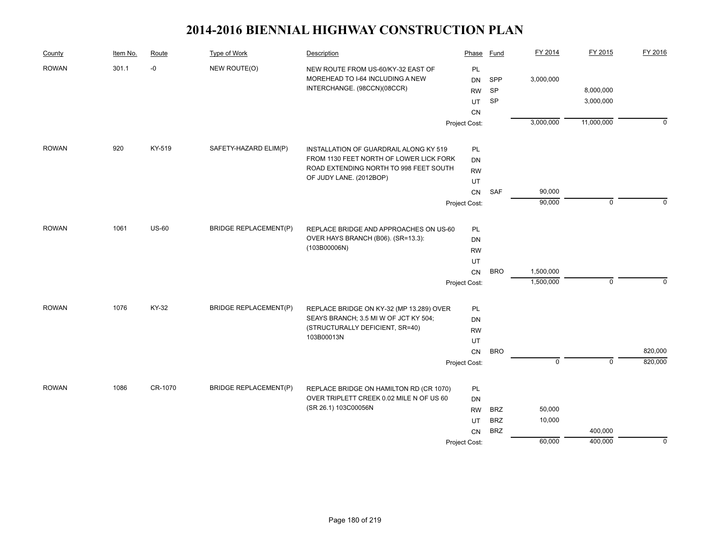| County       | Item No. | Route        | Type of Work                 | Description                              | Phase         | <b>Fund</b> | FY 2014        | FY 2015        | FY 2016  |
|--------------|----------|--------------|------------------------------|------------------------------------------|---------------|-------------|----------------|----------------|----------|
| <b>ROWAN</b> | 301.1    | -0           | NEW ROUTE(O)                 | NEW ROUTE FROM US-60/KY-32 EAST OF       | PL            |             |                |                |          |
|              |          |              |                              | MOREHEAD TO I-64 INCLUDING A NEW         | <b>DN</b>     | SPP         | 3,000,000      |                |          |
|              |          |              |                              | INTERCHANGE. (98CCN)(08CCR)              | <b>RW</b>     | SP          |                | 8,000,000      |          |
|              |          |              |                              |                                          | UT            | SP          |                | 3,000,000      |          |
|              |          |              |                              |                                          | CN            |             |                |                |          |
|              |          |              |                              |                                          | Project Cost: |             | 3,000,000      | 11,000,000     | $\Omega$ |
| <b>ROWAN</b> | 920      | KY-519       | SAFETY-HAZARD ELIM(P)        | INSTALLATION OF GUARDRAIL ALONG KY 519   | PL            |             |                |                |          |
|              |          |              |                              | FROM 1130 FEET NORTH OF LOWER LICK FORK  | DN            |             |                |                |          |
|              |          |              |                              | ROAD EXTENDING NORTH TO 998 FEET SOUTH   | RW            |             |                |                |          |
|              |          |              |                              | OF JUDY LANE. (2012BOP)                  | UT            |             |                |                |          |
|              |          |              |                              |                                          | CN            | <b>SAF</b>  | 90,000         |                |          |
|              |          |              |                              |                                          | Project Cost: |             | 90,000         | $\mathbf 0$    | $\Omega$ |
| <b>ROWAN</b> | 1061     | <b>US-60</b> | <b>BRIDGE REPLACEMENT(P)</b> | REPLACE BRIDGE AND APPROACHES ON US-60   | PL            |             |                |                |          |
|              |          |              |                              | OVER HAYS BRANCH (B06). (SR=13.3):       | DN            |             |                |                |          |
|              |          |              |                              | (103B00006N)                             | <b>RW</b>     |             |                |                |          |
|              |          |              |                              |                                          | UT            |             |                |                |          |
|              |          |              |                              |                                          | <b>CN</b>     | <b>BRO</b>  | 1,500,000      |                |          |
|              |          |              |                              |                                          | Project Cost: |             | 1,500,000      | $\mathbf 0$    | $\Omega$ |
| <b>ROWAN</b> | 1076     | KY-32        | <b>BRIDGE REPLACEMENT(P)</b> | REPLACE BRIDGE ON KY-32 (MP 13.289) OVER | PL            |             |                |                |          |
|              |          |              |                              | SEAYS BRANCH; 3.5 MI W OF JCT KY 504;    | DN            |             |                |                |          |
|              |          |              |                              | (STRUCTURALLY DEFICIENT, SR=40)          | <b>RW</b>     |             |                |                |          |
|              |          |              |                              | 103B00013N                               | UT            |             |                |                |          |
|              |          |              |                              |                                          | <b>CN</b>     | <b>BRO</b>  |                |                | 820,000  |
|              |          |              |                              |                                          | Project Cost: |             | $\overline{0}$ | $\overline{0}$ | 820,000  |
| <b>ROWAN</b> | 1086     | CR-1070      | <b>BRIDGE REPLACEMENT(P)</b> | REPLACE BRIDGE ON HAMILTON RD (CR 1070)  | PL            |             |                |                |          |
|              |          |              |                              | OVER TRIPLETT CREEK 0.02 MILE N OF US 60 | DN            |             |                |                |          |
|              |          |              |                              | (SR 26.1) 103C00056N                     | <b>RW</b>     | <b>BRZ</b>  | 50,000         |                |          |
|              |          |              |                              |                                          | UT            | <b>BRZ</b>  | 10,000         |                |          |
|              |          |              |                              |                                          | <b>CN</b>     | <b>BRZ</b>  |                | 400,000        |          |
|              |          |              |                              |                                          | Project Cost: |             | 60,000         | 400,000        | 0        |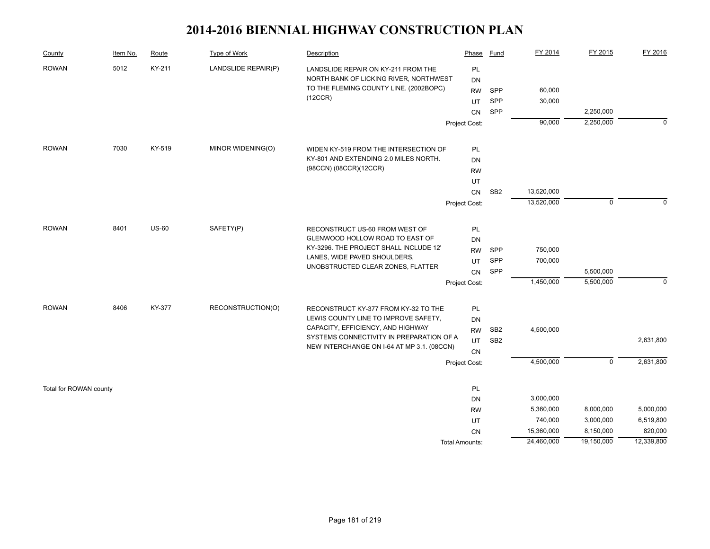| County                 | Item No. | Route        | Type of Work        | Description                                                                  | Phase                      | Fund            | FY 2014    | FY 2015     | FY 2016     |
|------------------------|----------|--------------|---------------------|------------------------------------------------------------------------------|----------------------------|-----------------|------------|-------------|-------------|
| <b>ROWAN</b>           | 5012     | KY-211       | LANDSLIDE REPAIR(P) | LANDSLIDE REPAIR ON KY-211 FROM THE                                          | PL                         |                 |            |             |             |
|                        |          |              |                     | NORTH BANK OF LICKING RIVER, NORTHWEST                                       | <b>DN</b>                  |                 |            |             |             |
|                        |          |              |                     | TO THE FLEMING COUNTY LINE. (2002BOPC)                                       | <b>RW</b>                  | SPP             | 60,000     |             |             |
|                        |          |              |                     | (12CCR)                                                                      | UT                         | SPP             | 30,000     |             |             |
|                        |          |              |                     |                                                                              | CN                         | SPP             |            | 2,250,000   |             |
|                        |          |              |                     |                                                                              | Project Cost:              |                 | 90,000     | 2,250,000   | $\mathbf 0$ |
| <b>ROWAN</b>           | 7030     | KY-519       | MINOR WIDENING(O)   | WIDEN KY-519 FROM THE INTERSECTION OF                                        | PL                         |                 |            |             |             |
|                        |          |              |                     | KY-801 AND EXTENDING 2.0 MILES NORTH.                                        | <b>DN</b>                  |                 |            |             |             |
|                        |          |              |                     | (98CCN) (08CCR)(12CCR)                                                       | <b>RW</b>                  |                 |            |             |             |
|                        |          |              |                     |                                                                              | UT                         |                 |            |             |             |
|                        |          |              |                     |                                                                              | CN                         | SB <sub>2</sub> | 13,520,000 |             |             |
|                        |          |              |                     |                                                                              | Project Cost:              |                 | 13,520,000 | $\mathbf 0$ | $\Omega$    |
|                        |          |              |                     |                                                                              |                            |                 |            |             |             |
| <b>ROWAN</b>           | 8401     | <b>US-60</b> | SAFETY(P)           | RECONSTRUCT US-60 FROM WEST OF                                               | PL                         |                 |            |             |             |
|                        |          |              |                     | GLENWOOD HOLLOW ROAD TO EAST OF                                              | <b>DN</b>                  |                 |            |             |             |
|                        |          |              |                     | KY-3296. THE PROJECT SHALL INCLUDE 12'                                       | <b>RW</b>                  | <b>SPP</b>      | 750,000    |             |             |
|                        |          |              |                     | LANES, WIDE PAVED SHOULDERS,                                                 | UT                         | SPP             | 700,000    |             |             |
|                        |          |              |                     | UNOBSTRUCTED CLEAR ZONES, FLATTER                                            | CN                         | SPP             |            | 5,500,000   |             |
|                        |          |              |                     |                                                                              | Project Cost:              |                 | 1,450,000  | 5,500,000   | $\mathbf 0$ |
| <b>ROWAN</b>           | 8406     | KY-377       | RECONSTRUCTION(O)   |                                                                              |                            |                 |            |             |             |
|                        |          |              |                     | RECONSTRUCT KY-377 FROM KY-32 TO THE<br>LEWIS COUNTY LINE TO IMPROVE SAFETY, | PL<br><b>DN</b>            |                 |            |             |             |
|                        |          |              |                     | CAPACITY, EFFICIENCY, AND HIGHWAY                                            | <b>RW</b>                  | SB <sub>2</sub> | 4,500,000  |             |             |
|                        |          |              |                     | SYSTEMS CONNECTIVITY IN PREPARATION OF A                                     | UT                         | SB <sub>2</sub> |            |             | 2,631,800   |
|                        |          |              |                     | NEW INTERCHANGE ON I-64 AT MP 3.1. (08CCN)                                   |                            |                 |            |             |             |
|                        |          |              |                     |                                                                              | <b>CN</b><br>Project Cost: |                 | 4,500,000  | $\mathbf 0$ | 2,631,800   |
|                        |          |              |                     |                                                                              |                            |                 |            |             |             |
| Total for ROWAN county |          |              |                     |                                                                              | PL                         |                 |            |             |             |
|                        |          |              |                     |                                                                              | <b>DN</b>                  |                 | 3,000,000  |             |             |
|                        |          |              |                     |                                                                              | <b>RW</b>                  |                 | 5,360,000  | 8,000,000   | 5,000,000   |
|                        |          |              |                     |                                                                              | UT                         |                 | 740,000    | 3,000,000   | 6,519,800   |
|                        |          |              |                     |                                                                              | <b>CN</b>                  |                 | 15,360,000 | 8,150,000   | 820,000     |
|                        |          |              |                     |                                                                              | Total Amounts:             |                 | 24,460,000 | 19,150,000  | 12,339,800  |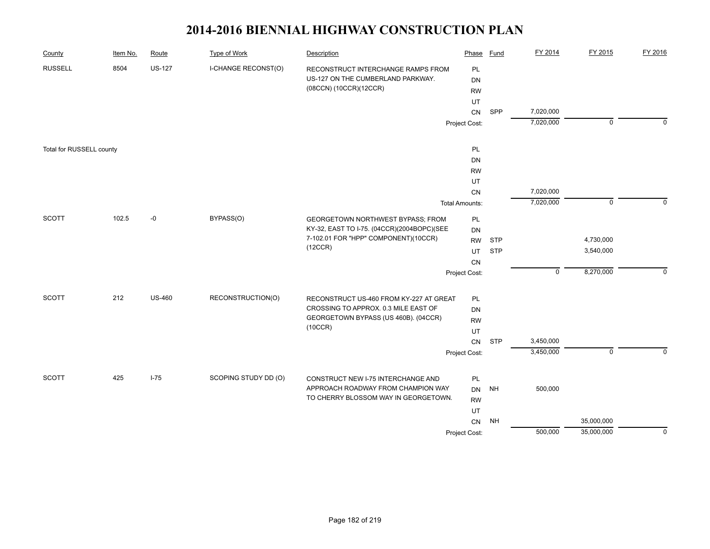| County                   | Item No. | Route         | <b>Type of Work</b>        | Description                                                              | Phase                 | <b>Fund</b> | FY 2014     | FY 2015        | FY 2016     |
|--------------------------|----------|---------------|----------------------------|--------------------------------------------------------------------------|-----------------------|-------------|-------------|----------------|-------------|
| <b>RUSSELL</b>           | 8504     | <b>US-127</b> | <b>I-CHANGE RECONST(O)</b> | RECONSTRUCT INTERCHANGE RAMPS FROM                                       | PL                    |             |             |                |             |
|                          |          |               |                            | US-127 ON THE CUMBERLAND PARKWAY.                                        | <b>DN</b>             |             |             |                |             |
|                          |          |               |                            | (08CCN) (10CCR)(12CCR)                                                   | <b>RW</b>             |             |             |                |             |
|                          |          |               |                            |                                                                          | UT                    |             |             |                |             |
|                          |          |               |                            |                                                                          | <b>CN</b>             | SPP         | 7,020,000   |                |             |
|                          |          |               |                            |                                                                          | Project Cost:         |             | 7,020,000   | $\overline{0}$ | $\Omega$    |
| Total for RUSSELL county |          |               |                            |                                                                          | PL                    |             |             |                |             |
|                          |          |               |                            |                                                                          | DN                    |             |             |                |             |
|                          |          |               |                            |                                                                          | <b>RW</b>             |             |             |                |             |
|                          |          |               |                            |                                                                          | UT                    |             |             |                |             |
|                          |          |               |                            |                                                                          | CN                    |             | 7,020,000   |                |             |
|                          |          |               |                            |                                                                          | <b>Total Amounts:</b> |             | 7,020,000   | $\mathbf 0$    | $\Omega$    |
| <b>SCOTT</b>             | 102.5    | $-0$          | BYPASS(O)                  | GEORGETOWN NORTHWEST BYPASS; FROM                                        | PL                    |             |             |                |             |
|                          |          |               |                            | KY-32, EAST TO I-75. (04CCR)(2004BOPC)(SEE                               | DN                    |             |             |                |             |
|                          |          |               |                            | 7-102.01 FOR "HPP" COMPONENT)(10CCR)                                     | <b>RW</b>             | <b>STP</b>  |             | 4,730,000      |             |
|                          |          |               |                            | (12CCR)                                                                  | UT                    | <b>STP</b>  |             | 3,540,000      |             |
|                          |          |               |                            |                                                                          | CN                    |             |             |                |             |
|                          |          |               |                            |                                                                          | Project Cost:         |             | $\mathsf 0$ | 8,270,000      | $\Omega$    |
| <b>SCOTT</b>             | 212      | <b>US-460</b> | RECONSTRUCTION(O)          | RECONSTRUCT US-460 FROM KY-227 AT GREAT                                  | PL                    |             |             |                |             |
|                          |          |               |                            | CROSSING TO APPROX. 0.3 MILE EAST OF                                     | <b>DN</b>             |             |             |                |             |
|                          |          |               |                            | GEORGETOWN BYPASS (US 460B). (04CCR)                                     | <b>RW</b>             |             |             |                |             |
|                          |          |               |                            | (10CCR)                                                                  | UT                    |             |             |                |             |
|                          |          |               |                            |                                                                          | CN                    | <b>STP</b>  | 3,450,000   |                |             |
|                          |          |               |                            |                                                                          | Project Cost:         |             | 3,450,000   | $\mathbf 0$    | $\mathbf 0$ |
| <b>SCOTT</b>             | 425      | $I-75$        | SCOPING STUDY DD (O)       |                                                                          |                       |             |             |                |             |
|                          |          |               |                            | CONSTRUCT NEW I-75 INTERCHANGE AND<br>APPROACH ROADWAY FROM CHAMPION WAY | PL                    |             | 500,000     |                |             |
|                          |          |               |                            | TO CHERRY BLOSSOM WAY IN GEORGETOWN.                                     | DN                    | <b>NH</b>   |             |                |             |
|                          |          |               |                            |                                                                          | <b>RW</b><br>UT       |             |             |                |             |
|                          |          |               |                            |                                                                          | CN                    | <b>NH</b>   |             | 35,000,000     |             |
|                          |          |               |                            |                                                                          | Project Cost:         |             | 500,000     | 35,000,000     | $\Omega$    |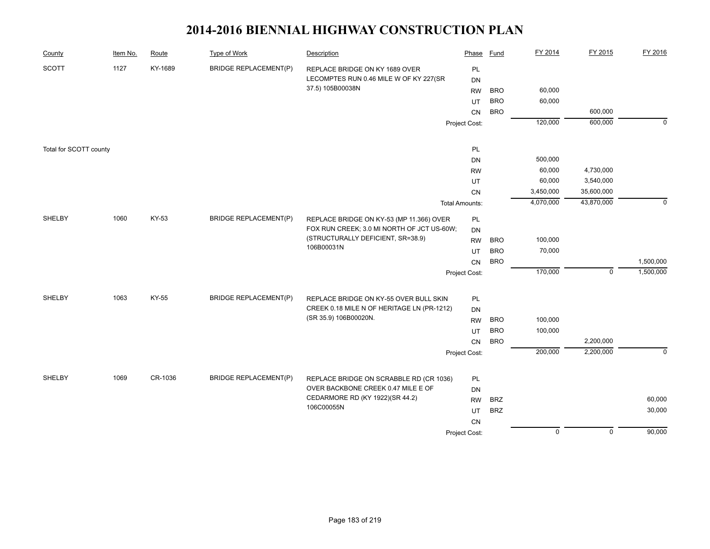| County                 | Item No. | Route        | <b>Type of Work</b>          | Description                                     | Phase                 | <b>Fund</b> | FY 2014        | FY 2015        | FY 2016     |
|------------------------|----------|--------------|------------------------------|-------------------------------------------------|-----------------------|-------------|----------------|----------------|-------------|
| <b>SCOTT</b>           | 1127     | KY-1689      | <b>BRIDGE REPLACEMENT(P)</b> | REPLACE BRIDGE ON KY 1689 OVER                  | <b>PL</b>             |             |                |                |             |
|                        |          |              |                              | LECOMPTES RUN 0.46 MILE W OF KY 227(SR          | <b>DN</b>             |             |                |                |             |
|                        |          |              |                              | 37.5) 105B00038N                                | <b>RW</b>             | <b>BRO</b>  | 60,000         |                |             |
|                        |          |              |                              |                                                 | UT                    | <b>BRO</b>  | 60,000         |                |             |
|                        |          |              |                              |                                                 | CN                    | <b>BRO</b>  |                | 600,000        |             |
|                        |          |              |                              |                                                 | Project Cost:         |             | 120,000        | 600,000        | $\mathbf 0$ |
| Total for SCOTT county |          |              |                              |                                                 | PL                    |             |                |                |             |
|                        |          |              |                              |                                                 | <b>DN</b>             |             | 500,000        |                |             |
|                        |          |              |                              |                                                 | <b>RW</b>             |             | 60,000         | 4,730,000      |             |
|                        |          |              |                              |                                                 | UT                    |             | 60,000         | 3,540,000      |             |
|                        |          |              |                              |                                                 | CN                    |             | 3,450,000      | 35,600,000     |             |
|                        |          |              |                              |                                                 | <b>Total Amounts:</b> |             | 4,070,000      | 43,870,000     | $\mathbf 0$ |
|                        |          |              |                              |                                                 |                       |             |                |                |             |
| SHELBY                 | 1060     | KY-53        | <b>BRIDGE REPLACEMENT(P)</b> | REPLACE BRIDGE ON KY-53 (MP 11.366) OVER        | <b>PL</b>             |             |                |                |             |
|                        |          |              |                              | FOX RUN CREEK; 3.0 MI NORTH OF JCT US-60W;      | <b>DN</b>             |             |                |                |             |
|                        |          |              |                              | (STRUCTURALLY DEFICIENT, SR=38.9)<br>106B00031N | <b>RW</b>             | <b>BRO</b>  | 100,000        |                |             |
|                        |          |              |                              |                                                 | UT                    | <b>BRO</b>  | 70,000         |                |             |
|                        |          |              |                              |                                                 | CN                    | <b>BRO</b>  |                |                | 1,500,000   |
|                        |          |              |                              |                                                 | Project Cost:         |             | 170,000        | $\mathbf 0$    | 1,500,000   |
| <b>SHELBY</b>          | 1063     | <b>KY-55</b> | <b>BRIDGE REPLACEMENT(P)</b> | REPLACE BRIDGE ON KY-55 OVER BULL SKIN          | <b>PL</b>             |             |                |                |             |
|                        |          |              |                              | CREEK 0.18 MILE N OF HERITAGE LN (PR-1212)      | DN                    |             |                |                |             |
|                        |          |              |                              | (SR 35.9) 106B00020N.                           | <b>RW</b>             | <b>BRO</b>  | 100,000        |                |             |
|                        |          |              |                              |                                                 | UT                    | <b>BRO</b>  | 100,000        |                |             |
|                        |          |              |                              |                                                 | CN                    | <b>BRO</b>  |                | 2,200,000      |             |
|                        |          |              |                              |                                                 | Project Cost:         |             | 200,000        | 2,200,000      | $\mathbf 0$ |
|                        |          |              |                              |                                                 |                       |             |                |                |             |
| SHELBY                 | 1069     | CR-1036      | <b>BRIDGE REPLACEMENT(P)</b> | REPLACE BRIDGE ON SCRABBLE RD (CR 1036)         | PL                    |             |                |                |             |
|                        |          |              |                              | OVER BACKBONE CREEK 0.47 MILE E OF              | <b>DN</b>             |             |                |                |             |
|                        |          |              |                              | CEDARMORE RD (KY 1922)(SR 44.2)                 | <b>RW</b>             | <b>BRZ</b>  |                |                | 60,000      |
|                        |          |              |                              | 106C00055N                                      | UT                    | <b>BRZ</b>  |                |                | 30,000      |
|                        |          |              |                              |                                                 | CN                    |             |                |                |             |
|                        |          |              |                              |                                                 |                       |             | $\overline{0}$ | $\overline{0}$ | 90,000      |
|                        |          |              |                              |                                                 | Project Cost:         |             |                |                |             |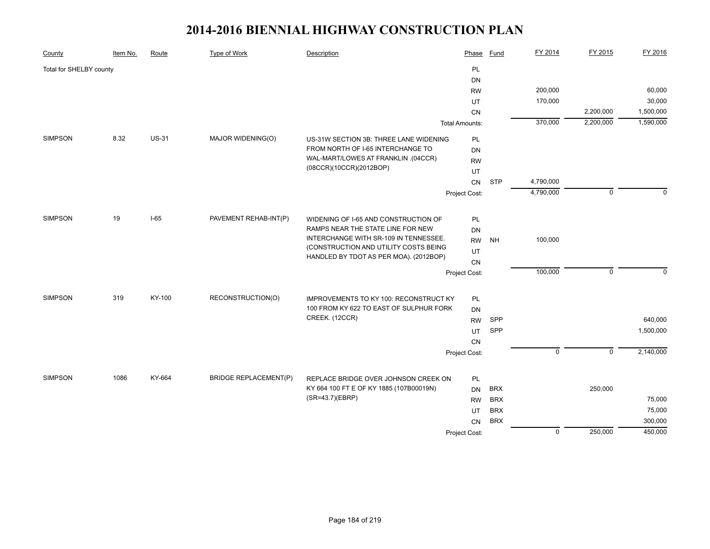| County                  | Item No. | Route        | <b>Type of Work</b>          | Description                                                               | Phase                 | Fund       | FY 2014     | FY 2015     | FY 2016   |
|-------------------------|----------|--------------|------------------------------|---------------------------------------------------------------------------|-----------------------|------------|-------------|-------------|-----------|
| Total for SHELBY county |          |              |                              |                                                                           | PL                    |            |             |             |           |
|                         |          |              |                              |                                                                           | <b>DN</b>             |            |             |             |           |
|                         |          |              |                              |                                                                           | <b>RW</b>             |            | 200,000     |             | 60,000    |
|                         |          |              |                              |                                                                           | <b>UT</b>             |            | 170,000     |             | 30,000    |
|                         |          |              |                              |                                                                           | CN                    |            |             | 2,200,000   | 1,500,000 |
|                         |          |              |                              |                                                                           | <b>Total Amounts:</b> |            | 370,000     | 2,200,000   | 1,590,000 |
| <b>SIMPSON</b>          | 8.32     | <b>US-31</b> | MAJOR WIDENING(O)            | US-31W SECTION 3B: THREE LANE WIDENING                                    | PL                    |            |             |             |           |
|                         |          |              |                              | FROM NORTH OF I-65 INTERCHANGE TO                                         | <b>DN</b>             |            |             |             |           |
|                         |          |              |                              | WAL-MART/LOWES AT FRANKLIN .(04CCR)                                       | <b>RW</b>             |            |             |             |           |
|                         |          |              |                              | (08CCR)(10CCR)(2012BOP)                                                   | UT                    |            |             |             |           |
|                         |          |              |                              |                                                                           | CN                    | <b>STP</b> | 4,790,000   |             |           |
|                         |          |              |                              |                                                                           | Project Cost:         |            | 4,790,000   | $\mathbf 0$ | $\Omega$  |
|                         |          |              |                              |                                                                           |                       |            |             |             |           |
| <b>SIMPSON</b>          | 19       | $I-65$       | PAVEMENT REHAB-INT(P)        | WIDENING OF I-65 AND CONSTRUCTION OF<br>RAMPS NEAR THE STATE LINE FOR NEW | PL                    |            |             |             |           |
|                         |          |              |                              | INTERCHANGE WITH SR-109 IN TENNESSEE.                                     | <b>DN</b>             | <b>NH</b>  |             |             |           |
|                         |          |              |                              | (CONSTRUCTION AND UTILITY COSTS BEING                                     | <b>RW</b>             |            | 100,000     |             |           |
|                         |          |              |                              | HANDLED BY TDOT AS PER MOA). (2012BOP)                                    | UT                    |            |             |             |           |
|                         |          |              |                              |                                                                           | CΝ                    |            |             |             |           |
|                         |          |              |                              |                                                                           | Project Cost:         |            | 100,000     | $\mathbf 0$ | $\Omega$  |
| <b>SIMPSON</b>          | 319      | KY-100       | RECONSTRUCTION(O)            | IMPROVEMENTS TO KY 100: RECONSTRUCT KY                                    | PL                    |            |             |             |           |
|                         |          |              |                              | 100 FROM KY 622 TO EAST OF SULPHUR FORK                                   | <b>DN</b>             |            |             |             |           |
|                         |          |              |                              | CREEK. (12CCR)                                                            | <b>RW</b>             | SPP        |             |             | 640,000   |
|                         |          |              |                              |                                                                           | UT                    | SPP        |             |             | 1,500,000 |
|                         |          |              |                              |                                                                           | CN                    |            |             |             |           |
|                         |          |              |                              |                                                                           | Project Cost:         |            | $\mathbf 0$ | $\mathbf 0$ | 2,140,000 |
|                         |          |              |                              |                                                                           |                       |            |             |             |           |
| <b>SIMPSON</b>          | 1086     | KY-664       | <b>BRIDGE REPLACEMENT(P)</b> | REPLACE BRIDGE OVER JOHNSON CREEK ON                                      | PL                    |            |             |             |           |
|                         |          |              |                              | KY 664 100 FT E OF KY 1885 (107B00019N)                                   | <b>DN</b>             | <b>BRX</b> |             | 250,000     |           |
|                         |          |              |                              | (SR=43.7)(EBRP)                                                           | <b>RW</b>             | <b>BRX</b> |             |             | 75,000    |
|                         |          |              |                              |                                                                           | UT                    | <b>BRX</b> |             |             | 75,000    |
|                         |          |              |                              |                                                                           | CN                    | <b>BRX</b> |             |             | 300,000   |
|                         |          |              |                              |                                                                           | Project Cost:         |            | $\mathbf 0$ | 250,000     | 450,000   |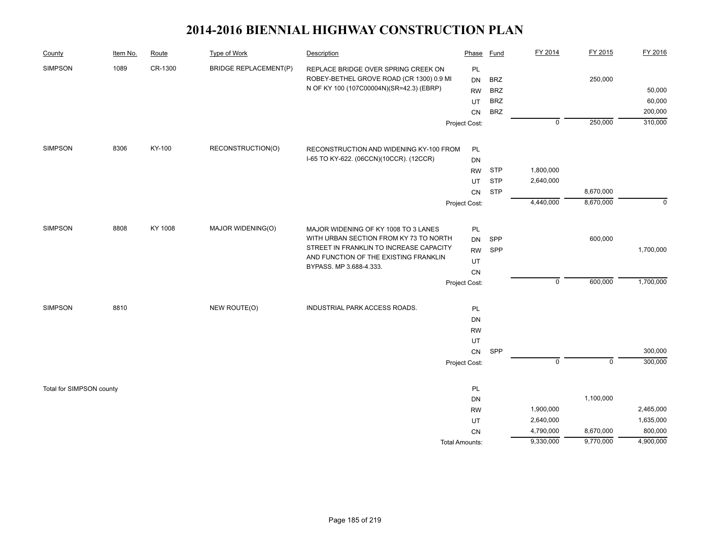| County                   | Item No. | Route   | Type of Work                 | Description                                                                      | Phase                 | <b>Fund</b> | FY 2014     | FY 2015     | FY 2016   |
|--------------------------|----------|---------|------------------------------|----------------------------------------------------------------------------------|-----------------------|-------------|-------------|-------------|-----------|
| <b>SIMPSON</b>           | 1089     | CR-1300 | <b>BRIDGE REPLACEMENT(P)</b> | REPLACE BRIDGE OVER SPRING CREEK ON                                              | PL                    |             |             |             |           |
|                          |          |         |                              | ROBEY-BETHEL GROVE ROAD (CR 1300) 0.9 MI                                         | <b>DN</b>             | <b>BRZ</b>  |             | 250,000     |           |
|                          |          |         |                              | N OF KY 100 (107C00004N)(SR=42.3) (EBRP)                                         | <b>RW</b>             | <b>BRZ</b>  |             |             | 50,000    |
|                          |          |         |                              |                                                                                  | UT                    | <b>BRZ</b>  |             |             | 60,000    |
|                          |          |         |                              |                                                                                  | <b>CN</b>             | <b>BRZ</b>  |             |             | 200,000   |
|                          |          |         |                              |                                                                                  | Project Cost:         |             | $\mathbf 0$ | 250,000     | 310,000   |
| <b>SIMPSON</b>           | 8306     | KY-100  | RECONSTRUCTION(O)            | RECONSTRUCTION AND WIDENING KY-100 FROM                                          | PL                    |             |             |             |           |
|                          |          |         |                              | I-65 TO KY-622. (06CCN)(10CCR). (12CCR)                                          | DN                    |             |             |             |           |
|                          |          |         |                              |                                                                                  | <b>RW</b>             | <b>STP</b>  | 1,800,000   |             |           |
|                          |          |         |                              |                                                                                  | UT                    | <b>STP</b>  | 2,640,000   |             |           |
|                          |          |         |                              |                                                                                  | CN                    | <b>STP</b>  |             | 8,670,000   |           |
|                          |          |         |                              |                                                                                  | Project Cost:         |             | 4,440,000   | 8,670,000   | $\Omega$  |
|                          |          |         |                              |                                                                                  |                       |             |             |             |           |
| <b>SIMPSON</b>           | 8808     | KY 1008 | MAJOR WIDENING(O)            | MAJOR WIDENING OF KY 1008 TO 3 LANES                                             | PL                    |             |             |             |           |
|                          |          |         |                              | WITH URBAN SECTION FROM KY 73 TO NORTH                                           | DN                    | SPP         |             | 600,000     |           |
|                          |          |         |                              | STREET IN FRANKLIN TO INCREASE CAPACITY<br>AND FUNCTION OF THE EXISTING FRANKLIN | <b>RW</b>             | SPP         |             |             | 1,700,000 |
|                          |          |         |                              | BYPASS. MP 3.688-4.333.                                                          | UT                    |             |             |             |           |
|                          |          |         |                              |                                                                                  | CN                    |             |             |             |           |
|                          |          |         |                              |                                                                                  | Project Cost:         |             | $\mathsf 0$ | 600,000     | 1,700,000 |
| <b>SIMPSON</b>           | 8810     |         | NEW ROUTE(O)                 | INDUSTRIAL PARK ACCESS ROADS.                                                    | PL                    |             |             |             |           |
|                          |          |         |                              |                                                                                  | DN                    |             |             |             |           |
|                          |          |         |                              |                                                                                  | <b>RW</b>             |             |             |             |           |
|                          |          |         |                              |                                                                                  | UT                    |             |             |             |           |
|                          |          |         |                              |                                                                                  | CN                    | SPP         |             |             | 300,000   |
|                          |          |         |                              |                                                                                  | Project Cost:         |             | $\mathbf 0$ | $\mathbf 0$ | 300,000   |
| Total for SIMPSON county |          |         |                              |                                                                                  | PL                    |             |             |             |           |
|                          |          |         |                              |                                                                                  | DN                    |             |             | 1,100,000   |           |
|                          |          |         |                              |                                                                                  | <b>RW</b>             |             | 1,900,000   |             | 2,465,000 |
|                          |          |         |                              |                                                                                  | UT                    |             | 2,640,000   |             | 1,635,000 |
|                          |          |         |                              |                                                                                  | <b>CN</b>             |             | 4,790,000   | 8,670,000   | 800,000   |
|                          |          |         |                              |                                                                                  | <b>Total Amounts:</b> |             | 9,330,000   | 9,770,000   | 4,900,000 |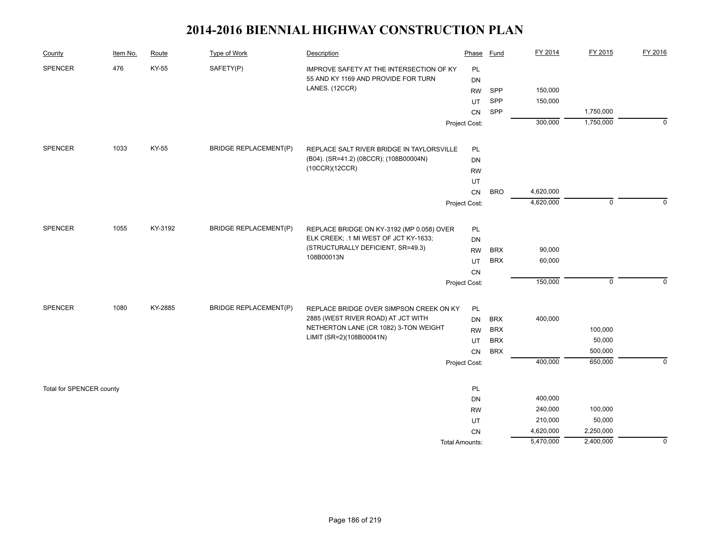| County                   | Item No. | Route   | Type of Work                 | Description                                     | Phase          | Fund       | FY 2014   | FY 2015     | FY 2016     |
|--------------------------|----------|---------|------------------------------|-------------------------------------------------|----------------|------------|-----------|-------------|-------------|
| <b>SPENCER</b>           | 476      | KY-55   | SAFETY(P)                    | IMPROVE SAFETY AT THE INTERSECTION OF KY        | PL             |            |           |             |             |
|                          |          |         |                              | 55 AND KY 1169 AND PROVIDE FOR TURN             | DN             |            |           |             |             |
|                          |          |         |                              | LANES. (12CCR)                                  | <b>RW</b>      | <b>SPP</b> | 150,000   |             |             |
|                          |          |         |                              |                                                 | UT             | SPP        | 150,000   |             |             |
|                          |          |         |                              |                                                 | CN             | SPP        |           | 1,750,000   |             |
|                          |          |         |                              |                                                 | Project Cost:  |            | 300,000   | 1,750,000   | $\mathbf 0$ |
| <b>SPENCER</b>           | 1033     | KY-55   | <b>BRIDGE REPLACEMENT(P)</b> | REPLACE SALT RIVER BRIDGE IN TAYLORSVILLE       | PL             |            |           |             |             |
|                          |          |         |                              | (B04). (SR=41.2) (08CCR): (108B00004N)          | DN             |            |           |             |             |
|                          |          |         |                              | (10CCR)(12CCR)                                  | <b>RW</b>      |            |           |             |             |
|                          |          |         |                              |                                                 | UT             |            |           |             |             |
|                          |          |         |                              |                                                 | CN             | <b>BRO</b> | 4,620,000 |             |             |
|                          |          |         |                              |                                                 | Project Cost:  |            | 4,620,000 | $\mathbf 0$ | $\Omega$    |
|                          |          |         |                              |                                                 |                |            |           |             |             |
| <b>SPENCER</b>           | 1055     | KY-3192 | <b>BRIDGE REPLACEMENT(P)</b> | REPLACE BRIDGE ON KY-3192 (MP 0.058) OVER       | PL             |            |           |             |             |
|                          |          |         |                              | ELK CREEK; .1 MI WEST OF JCT KY-1633;           | DN             |            |           |             |             |
|                          |          |         |                              | (STRUCTURALLY DEFICIENT, SR=49.3)<br>108B00013N | <b>RW</b>      | <b>BRX</b> | 90,000    |             |             |
|                          |          |         |                              |                                                 | UT             | <b>BRX</b> | 60,000    |             |             |
|                          |          |         |                              |                                                 | CN             |            |           |             |             |
|                          |          |         |                              |                                                 | Project Cost:  |            | 150,000   | $\mathsf 0$ | $\mathbf 0$ |
| <b>SPENCER</b>           | 1080     | KY-2885 | <b>BRIDGE REPLACEMENT(P)</b> | REPLACE BRIDGE OVER SIMPSON CREEK ON KY         | PL             |            |           |             |             |
|                          |          |         |                              | 2885 (WEST RIVER ROAD) AT JCT WITH              | DN             | <b>BRX</b> | 400,000   |             |             |
|                          |          |         |                              | NETHERTON LANE (CR 1082) 3-TON WEIGHT           | <b>RW</b>      | <b>BRX</b> |           | 100,000     |             |
|                          |          |         |                              | LIMIT (SR=2)(108B00041N)                        | UT             | <b>BRX</b> |           | 50,000      |             |
|                          |          |         |                              |                                                 | <b>CN</b>      | <b>BRX</b> |           | 500,000     |             |
|                          |          |         |                              |                                                 | Project Cost:  |            | 400,000   | 650,000     | $\mathbf 0$ |
| Total for SPENCER county |          |         |                              |                                                 | PL             |            |           |             |             |
|                          |          |         |                              |                                                 | DN             |            | 400,000   |             |             |
|                          |          |         |                              |                                                 | <b>RW</b>      |            | 240,000   | 100,000     |             |
|                          |          |         |                              |                                                 | UT             |            | 210,000   | 50,000      |             |
|                          |          |         |                              |                                                 | CN             |            | 4,620,000 | 2,250,000   |             |
|                          |          |         |                              |                                                 | Total Amounts: |            | 5,470,000 | 2,400,000   | $\mathbf 0$ |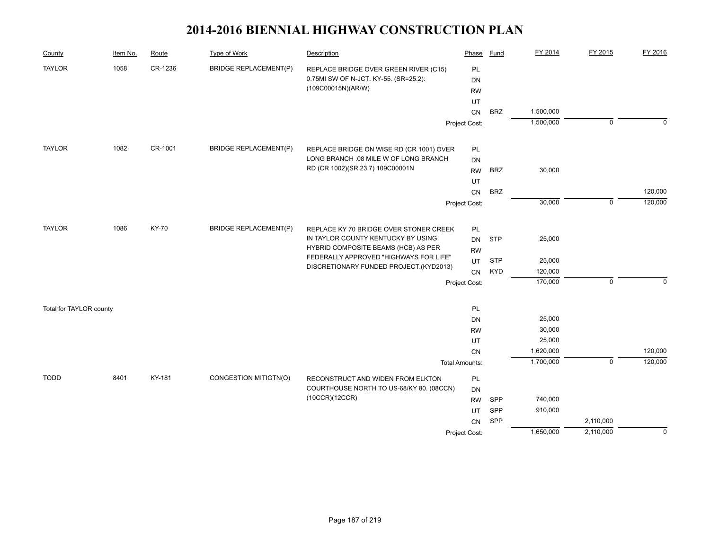| County                  | Item No. | Route        | <b>Type of Work</b>          | Description                                                                      | Phase                      | <b>Fund</b> | FY 2014   | FY 2015     | FY 2016     |
|-------------------------|----------|--------------|------------------------------|----------------------------------------------------------------------------------|----------------------------|-------------|-----------|-------------|-------------|
| <b>TAYLOR</b>           | 1058     | CR-1236      | <b>BRIDGE REPLACEMENT(P)</b> | REPLACE BRIDGE OVER GREEN RIVER (C15)                                            | PL                         |             |           |             |             |
|                         |          |              |                              | 0.75MI SW OF N-JCT. KY-55. (SR=25.2):                                            | DN                         |             |           |             |             |
|                         |          |              |                              | (109C00015N)(AR/W)                                                               | <b>RW</b>                  |             |           |             |             |
|                         |          |              |                              |                                                                                  | UT                         |             |           |             |             |
|                         |          |              |                              |                                                                                  | CN                         | <b>BRZ</b>  | 1,500,000 |             |             |
|                         |          |              |                              |                                                                                  | Project Cost:              |             | 1,500,000 | $\mathbf 0$ | $\mathbf 0$ |
| <b>TAYLOR</b>           | 1082     | CR-1001      | <b>BRIDGE REPLACEMENT(P)</b> | REPLACE BRIDGE ON WISE RD (CR 1001) OVER                                         | PL                         |             |           |             |             |
|                         |          |              |                              | LONG BRANCH .08 MILE W OF LONG BRANCH                                            | <b>DN</b>                  |             |           |             |             |
|                         |          |              |                              | RD (CR 1002)(SR 23.7) 109C00001N                                                 | <b>RW</b>                  | <b>BRZ</b>  | 30,000    |             |             |
|                         |          |              |                              |                                                                                  | UT                         |             |           |             |             |
|                         |          |              |                              |                                                                                  | <b>CN</b>                  | <b>BRZ</b>  |           |             | 120,000     |
|                         |          |              |                              |                                                                                  | Project Cost:              |             | 30,000    | $\mathbf 0$ | 120,000     |
| <b>TAYLOR</b>           | 1086     | <b>KY-70</b> | <b>BRIDGE REPLACEMENT(P)</b> |                                                                                  |                            |             |           |             |             |
|                         |          |              |                              | REPLACE KY 70 BRIDGE OVER STONER CREEK<br>IN TAYLOR COUNTY KENTUCKY BY USING     | PL                         |             |           |             |             |
|                         |          |              |                              | HYBRID COMPOSITE BEAMS (HCB) AS PER                                              | DN                         | <b>STP</b>  | 25,000    |             |             |
|                         |          |              |                              | FEDERALLY APPROVED "HIGHWAYS FOR LIFE"<br>DISCRETIONARY FUNDED PROJECT.(KYD2013) | <b>RW</b><br>UT            | <b>STP</b>  | 25,000    |             |             |
|                         |          |              |                              |                                                                                  |                            | <b>KYD</b>  | 120,000   |             |             |
|                         |          |              |                              |                                                                                  | <b>CN</b><br>Project Cost: |             | 170,000   | $\Omega$    | $\Omega$    |
|                         |          |              |                              |                                                                                  |                            |             |           |             |             |
| Total for TAYLOR county |          |              |                              |                                                                                  | PL                         |             |           |             |             |
|                         |          |              |                              |                                                                                  | <b>DN</b>                  |             | 25,000    |             |             |
|                         |          |              |                              |                                                                                  | <b>RW</b>                  |             | 30,000    |             |             |
|                         |          |              |                              |                                                                                  | UT                         |             | 25,000    |             |             |
|                         |          |              |                              |                                                                                  | CN                         |             | 1,620,000 |             | 120,000     |
|                         |          |              |                              |                                                                                  | <b>Total Amounts:</b>      |             | 1,700,000 | $\mathbf 0$ | 120,000     |
| <b>TODD</b>             | 8401     | KY-181       | CONGESTION MITIGTN(O)        | RECONSTRUCT AND WIDEN FROM ELKTON                                                | PL                         |             |           |             |             |
|                         |          |              |                              | COURTHOUSE NORTH TO US-68/KY 80. (08CCN)                                         | DN                         |             |           |             |             |
|                         |          |              |                              | (10CCR)(12CCR)                                                                   | <b>RW</b>                  | SPP         | 740,000   |             |             |
|                         |          |              |                              |                                                                                  | UT                         | SPP         | 910,000   |             |             |
|                         |          |              |                              |                                                                                  | <b>CN</b>                  | SPP         |           | 2,110,000   |             |
|                         |          |              |                              |                                                                                  | Project Cost:              |             | 1,650,000 | 2,110,000   | $\mathbf 0$ |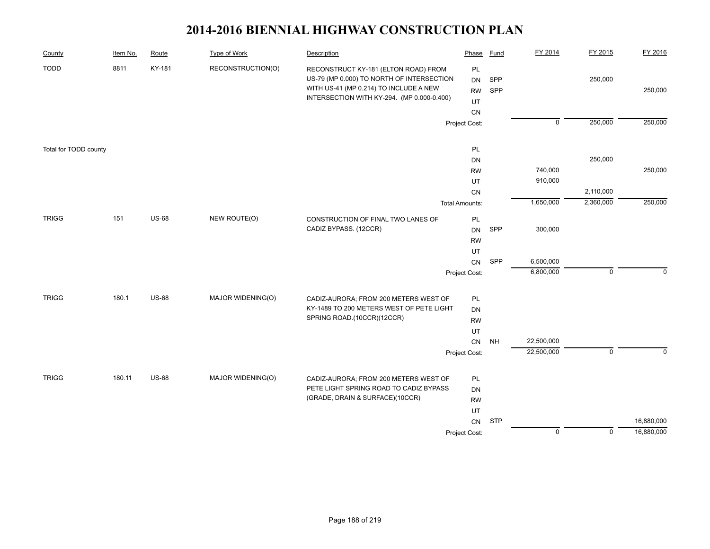| County                | Item No. | Route        | <b>Type of Work</b> | Description                                                                                                                                                               | Phase                              | <b>Fund</b> | FY 2014            | FY 2015        | FY 2016     |
|-----------------------|----------|--------------|---------------------|---------------------------------------------------------------------------------------------------------------------------------------------------------------------------|------------------------------------|-------------|--------------------|----------------|-------------|
| <b>TODD</b>           | 8811     | KY-181       | RECONSTRUCTION(O)   | RECONSTRUCT KY-181 (ELTON ROAD) FROM<br>US-79 (MP 0.000) TO NORTH OF INTERSECTION<br>WITH US-41 (MP 0.214) TO INCLUDE A NEW<br>INTERSECTION WITH KY-294. (MP 0.000-0.400) | PL<br><b>DN</b><br><b>RW</b><br>UT | SPP<br>SPP  |                    | 250,000        | 250,000     |
|                       |          |              |                     |                                                                                                                                                                           | ${\sf CN}$<br>Project Cost:        |             | $\overline{0}$     | 250,000        | 250,000     |
|                       |          |              |                     |                                                                                                                                                                           |                                    |             |                    |                |             |
| Total for TODD county |          |              |                     |                                                                                                                                                                           | PL                                 |             |                    |                |             |
|                       |          |              |                     |                                                                                                                                                                           | DN                                 |             |                    | 250,000        |             |
|                       |          |              |                     |                                                                                                                                                                           | <b>RW</b><br>UT                    |             | 740,000<br>910,000 |                | 250,000     |
|                       |          |              |                     |                                                                                                                                                                           | ${\sf CN}$                         |             |                    | 2,110,000      |             |
|                       |          |              |                     |                                                                                                                                                                           | <b>Total Amounts:</b>              |             | 1,650,000          | 2,360,000      | 250,000     |
|                       |          |              |                     |                                                                                                                                                                           |                                    |             |                    |                |             |
| <b>TRIGG</b>          | 151      | <b>US-68</b> | NEW ROUTE(O)        | CONSTRUCTION OF FINAL TWO LANES OF<br>CADIZ BYPASS. (12CCR)                                                                                                               | $\mathsf{PL}$<br><b>DN</b>         | SPP         | 300,000            |                |             |
|                       |          |              |                     |                                                                                                                                                                           | <b>RW</b>                          |             |                    |                |             |
|                       |          |              |                     |                                                                                                                                                                           | UT                                 |             |                    |                |             |
|                       |          |              |                     |                                                                                                                                                                           | CN                                 | SPP         | 6,500,000          |                |             |
|                       |          |              |                     |                                                                                                                                                                           | Project Cost:                      |             | 6,800,000          | $\mathbf 0$    | $\Omega$    |
| <b>TRIGG</b>          | 180.1    | <b>US-68</b> | MAJOR WIDENING(O)   |                                                                                                                                                                           |                                    |             |                    |                |             |
|                       |          |              |                     | CADIZ-AURORA; FROM 200 METERS WEST OF<br>KY-1489 TO 200 METERS WEST OF PETE LIGHT                                                                                         | PL<br>DN                           |             |                    |                |             |
|                       |          |              |                     | SPRING ROAD.(10CCR)(12CCR)                                                                                                                                                | <b>RW</b>                          |             |                    |                |             |
|                       |          |              |                     |                                                                                                                                                                           | UT                                 |             |                    |                |             |
|                       |          |              |                     |                                                                                                                                                                           | CN                                 | <b>NH</b>   | 22,500,000         |                |             |
|                       |          |              |                     |                                                                                                                                                                           | Project Cost:                      |             | 22,500,000         | $\mathsf 0$    | $\mathsf 0$ |
| <b>TRIGG</b>          | 180.11   | <b>US-68</b> | MAJOR WIDENING(O)   | CADIZ-AURORA; FROM 200 METERS WEST OF                                                                                                                                     | PL                                 |             |                    |                |             |
|                       |          |              |                     | PETE LIGHT SPRING ROAD TO CADIZ BYPASS                                                                                                                                    | DN                                 |             |                    |                |             |
|                       |          |              |                     | (GRADE, DRAIN & SURFACE)(10CCR)                                                                                                                                           | <b>RW</b>                          |             |                    |                |             |
|                       |          |              |                     |                                                                                                                                                                           | UT                                 |             |                    |                |             |
|                       |          |              |                     |                                                                                                                                                                           | ${\sf CN}$                         | <b>STP</b>  |                    |                | 16,880,000  |
|                       |          |              |                     |                                                                                                                                                                           | Project Cost:                      |             | $\overline{0}$     | $\overline{0}$ | 16,880,000  |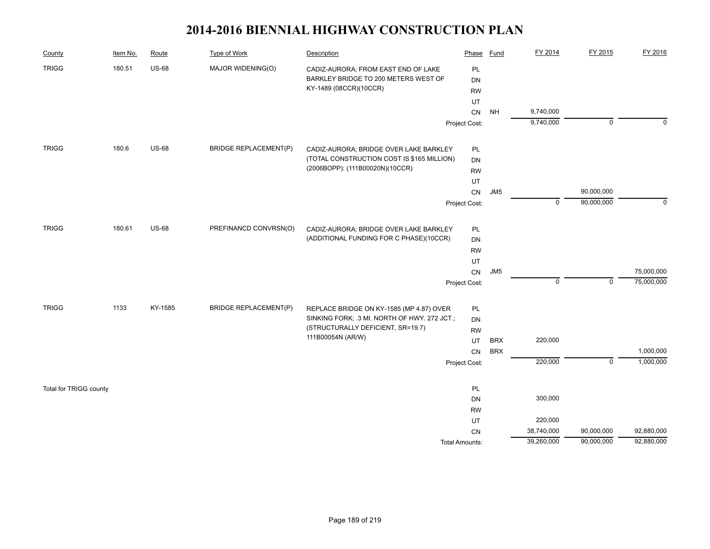| County                 | Item No. | Route        | <b>Type of Work</b>          | Description                                  | Phase                 | <b>Fund</b>     | FY 2014     | FY 2015     | FY 2016     |
|------------------------|----------|--------------|------------------------------|----------------------------------------------|-----------------------|-----------------|-------------|-------------|-------------|
| <b>TRIGG</b>           | 180.51   | <b>US-68</b> | MAJOR WIDENING(O)            | CADIZ-AURORA; FROM EAST END OF LAKE          | PL                    |                 |             |             |             |
|                        |          |              |                              | BARKLEY BRIDGE TO 200 METERS WEST OF         | DN                    |                 |             |             |             |
|                        |          |              |                              | KY-1489 (08CCR)(10CCR)                       | <b>RW</b>             |                 |             |             |             |
|                        |          |              |                              |                                              | UT                    |                 |             |             |             |
|                        |          |              |                              |                                              | CN                    | <b>NH</b>       | 9,740,000   |             |             |
|                        |          |              |                              |                                              | Project Cost:         |                 | 9,740,000   | 0           | $\Omega$    |
| <b>TRIGG</b>           | 180.6    | <b>US-68</b> | <b>BRIDGE REPLACEMENT(P)</b> | CADIZ-AURORA; BRIDGE OVER LAKE BARKLEY       | PL                    |                 |             |             |             |
|                        |          |              |                              | (TOTAL CONSTRUCTION COST IS \$165 MILLION)   | DN                    |                 |             |             |             |
|                        |          |              |                              | (2006BOPP): (111B00020N)(10CCR)              | <b>RW</b>             |                 |             |             |             |
|                        |          |              |                              |                                              | UT                    |                 |             |             |             |
|                        |          |              |                              |                                              | CN                    | JM <sub>5</sub> |             | 90,000,000  |             |
|                        |          |              |                              |                                              | Project Cost:         |                 | $\mathbf 0$ | 90,000,000  | $\mathbf 0$ |
| <b>TRIGG</b>           | 180.61   | <b>US-68</b> | PREFINANCD CONVRSN(O)        | CADIZ-AURORA; BRIDGE OVER LAKE BARKLEY       | PL                    |                 |             |             |             |
|                        |          |              |                              | (ADDITIONAL FUNDING FOR C PHASE)(10CCR)      | DN                    |                 |             |             |             |
|                        |          |              |                              |                                              | <b>RW</b>             |                 |             |             |             |
|                        |          |              |                              |                                              | UT                    |                 |             |             |             |
|                        |          |              |                              |                                              | CN                    | JM <sub>5</sub> |             |             | 75,000,000  |
|                        |          |              |                              |                                              | Project Cost:         |                 | $\mathbf 0$ | 0           | 75,000,000  |
| <b>TRIGG</b>           | 1133     | KY-1585      | <b>BRIDGE REPLACEMENT(P)</b> | REPLACE BRIDGE ON KY-1585 (MP 4.87) OVER     | PL                    |                 |             |             |             |
|                        |          |              |                              | SINKING FORK; .3 MI. NORTH OF HWY. 272 JCT.; | DN                    |                 |             |             |             |
|                        |          |              |                              | (STRUCTURALLY DEFICIENT, SR=19.7)            | <b>RW</b>             |                 |             |             |             |
|                        |          |              |                              | 111B00054N (AR/W)                            | UT                    | <b>BRX</b>      | 220,000     |             |             |
|                        |          |              |                              |                                              | <b>CN</b>             | <b>BRX</b>      |             |             | 1,000,000   |
|                        |          |              |                              |                                              | Project Cost:         |                 | 220,000     | $\mathbf 0$ | 1,000,000   |
| Total for TRIGG county |          |              |                              |                                              | PL                    |                 |             |             |             |
|                        |          |              |                              |                                              | DN                    |                 | 300,000     |             |             |
|                        |          |              |                              |                                              | <b>RW</b>             |                 |             |             |             |
|                        |          |              |                              |                                              | UT                    |                 | 220,000     |             |             |
|                        |          |              |                              |                                              | <b>CN</b>             |                 | 38,740,000  | 90,000,000  | 92,880,000  |
|                        |          |              |                              |                                              | <b>Total Amounts:</b> |                 | 39,260,000  | 90,000,000  | 92,880,000  |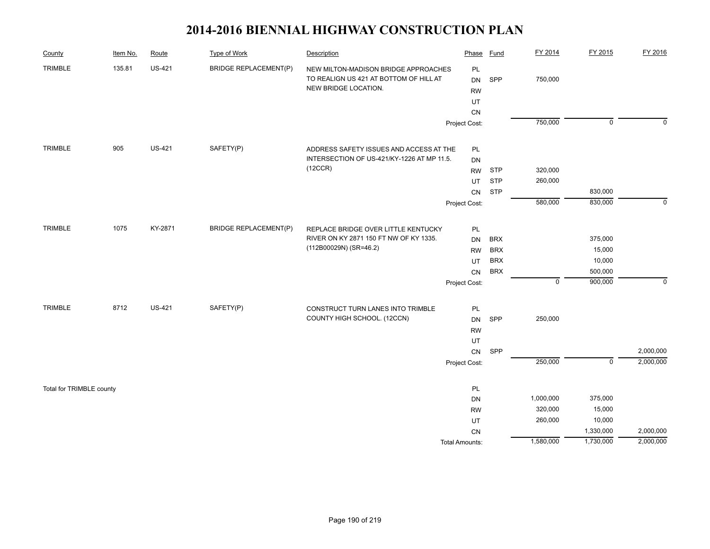| County                   | Item No. | Route         | <b>Type of Work</b>          | Description                                                                                            | Phase                        | <b>Fund</b> | FY 2014     | FY 2015                   | FY 2016     |
|--------------------------|----------|---------------|------------------------------|--------------------------------------------------------------------------------------------------------|------------------------------|-------------|-------------|---------------------------|-------------|
| <b>TRIMBLE</b>           | 135.81   | <b>US-421</b> | <b>BRIDGE REPLACEMENT(P)</b> | NEW MILTON-MADISON BRIDGE APPROACHES<br>TO REALIGN US 421 AT BOTTOM OF HILL AT<br>NEW BRIDGE LOCATION. | PL<br><b>DN</b><br><b>RW</b> | SPP         | 750,000     |                           |             |
|                          |          |               |                              |                                                                                                        | UT                           |             |             |                           |             |
|                          |          |               |                              |                                                                                                        | CN                           |             |             |                           |             |
|                          |          |               |                              |                                                                                                        | Project Cost:                |             | 750,000     | $\overline{0}$            | $\Omega$    |
| <b>TRIMBLE</b>           | 905      | <b>US-421</b> | SAFETY(P)                    | ADDRESS SAFETY ISSUES AND ACCESS AT THE                                                                | PL                           |             |             |                           |             |
|                          |          |               |                              | INTERSECTION OF US-421/KY-1226 AT MP 11.5.                                                             | DN                           |             |             |                           |             |
|                          |          |               |                              | (12CCR)                                                                                                | <b>RW</b>                    | <b>STP</b>  | 320,000     |                           |             |
|                          |          |               |                              |                                                                                                        | <b>UT</b>                    | <b>STP</b>  | 260,000     |                           |             |
|                          |          |               |                              |                                                                                                        | CN                           | <b>STP</b>  |             | 830,000                   |             |
|                          |          |               |                              |                                                                                                        | Project Cost:                |             | 580,000     | 830,000                   | $\mathbf 0$ |
| <b>TRIMBLE</b>           | 1075     | KY-2871       | <b>BRIDGE REPLACEMENT(P)</b> | REPLACE BRIDGE OVER LITTLE KENTUCKY                                                                    | PL                           |             |             |                           |             |
|                          |          |               |                              | RIVER ON KY 2871 150 FT NW OF KY 1335.                                                                 | <b>DN</b>                    | <b>BRX</b>  |             | 375,000                   |             |
|                          |          |               |                              | (112B00029N) (SR=46.2)                                                                                 | <b>RW</b>                    | <b>BRX</b>  |             | 15,000                    |             |
|                          |          |               |                              |                                                                                                        | UT                           | <b>BRX</b>  |             | 10,000                    |             |
|                          |          |               |                              |                                                                                                        | CN                           | <b>BRX</b>  |             | 500,000                   |             |
|                          |          |               |                              |                                                                                                        | Project Cost:                |             | $\mathbf 0$ | 900,000                   | $\mathbf 0$ |
| TRIMBLE                  | 8712     | <b>US-421</b> | SAFETY(P)                    | CONSTRUCT TURN LANES INTO TRIMBLE                                                                      | PL                           |             |             |                           |             |
|                          |          |               |                              | COUNTY HIGH SCHOOL. (12CCN)                                                                            | <b>DN</b>                    | SPP         | 250,000     |                           |             |
|                          |          |               |                              |                                                                                                        | <b>RW</b>                    |             |             |                           |             |
|                          |          |               |                              |                                                                                                        | UT                           |             |             |                           |             |
|                          |          |               |                              |                                                                                                        | ${\sf CN}$                   | SPP         |             |                           | 2,000,000   |
|                          |          |               |                              |                                                                                                        | Project Cost:                |             | 250,000     | $\overline{\mathfrak{o}}$ | 2,000,000   |
| Total for TRIMBLE county |          |               |                              |                                                                                                        | PL                           |             |             |                           |             |
|                          |          |               |                              |                                                                                                        | DN                           |             | 1,000,000   | 375,000                   |             |
|                          |          |               |                              |                                                                                                        | <b>RW</b>                    |             | 320,000     | 15,000                    |             |
|                          |          |               |                              |                                                                                                        | UT                           |             | 260,000     | 10,000                    |             |
|                          |          |               |                              |                                                                                                        | CN                           |             |             | 1,330,000                 | 2,000,000   |
|                          |          |               |                              |                                                                                                        | <b>Total Amounts:</b>        |             | 1,580,000   | 1,730,000                 | 2,000,000   |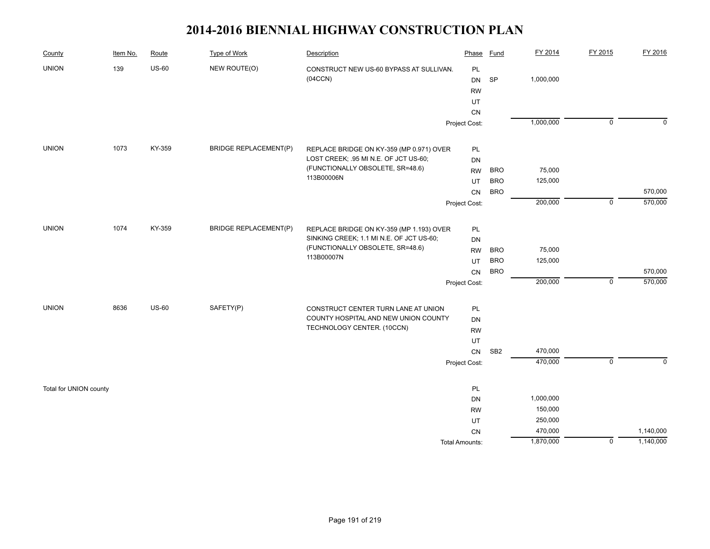| County                 | Item No. | Route        | Type of Work                 | Description                                                                  | Phase                 | <b>Fund</b>     | FY 2014   | FY 2015        | FY 2016     |
|------------------------|----------|--------------|------------------------------|------------------------------------------------------------------------------|-----------------------|-----------------|-----------|----------------|-------------|
| <b>UNION</b>           | 139      | $US-60$      | NEW ROUTE(O)                 | CONSTRUCT NEW US-60 BYPASS AT SULLIVAN.                                      | PL                    |                 |           |                |             |
|                        |          |              |                              | (04CCN)                                                                      | DN                    | <b>SP</b>       | 1,000,000 |                |             |
|                        |          |              |                              |                                                                              | <b>RW</b>             |                 |           |                |             |
|                        |          |              |                              |                                                                              | UT                    |                 |           |                |             |
|                        |          |              |                              |                                                                              | CN                    |                 |           |                |             |
|                        |          |              |                              |                                                                              | Project Cost:         |                 | 1,000,000 | $\mathbf 0$    | $\mathbf 0$ |
| <b>UNION</b>           | 1073     | KY-359       | <b>BRIDGE REPLACEMENT(P)</b> | REPLACE BRIDGE ON KY-359 (MP 0.971) OVER                                     | PL                    |                 |           |                |             |
|                        |          |              |                              | LOST CREEK; .95 MI N.E. OF JCT US-60;                                        | DN                    |                 |           |                |             |
|                        |          |              |                              | (FUNCTIONALLY OBSOLETE, SR=48.6)                                             | <b>RW</b>             | <b>BRO</b>      | 75,000    |                |             |
|                        |          |              |                              | 113B00006N                                                                   | UT                    | <b>BRO</b>      | 125,000   |                |             |
|                        |          |              |                              |                                                                              | CN                    | <b>BRO</b>      |           |                | 570,000     |
|                        |          |              |                              |                                                                              | Project Cost:         |                 | 200,000   | $\mathsf 0$    | 570,000     |
|                        |          |              |                              |                                                                              |                       |                 |           |                |             |
| <b>UNION</b>           | 1074     | KY-359       | <b>BRIDGE REPLACEMENT(P)</b> | REPLACE BRIDGE ON KY-359 (MP 1.193) OVER                                     | PL                    |                 |           |                |             |
|                        |          |              |                              | SINKING CREEK; 1.1 MI N.E. OF JCT US-60;<br>(FUNCTIONALLY OBSOLETE, SR=48.6) | DN                    |                 |           |                |             |
|                        |          |              |                              | 113B00007N                                                                   | <b>RW</b>             | <b>BRO</b>      | 75,000    |                |             |
|                        |          |              |                              |                                                                              | UT                    | <b>BRO</b>      | 125,000   |                |             |
|                        |          |              |                              |                                                                              | ${\sf CN}$            | <b>BRO</b>      |           |                | 570,000     |
|                        |          |              |                              |                                                                              | Project Cost:         |                 | 200,000   | $\mathbf 0$    | 570,000     |
| <b>UNION</b>           | 8636     | <b>US-60</b> | SAFETY(P)                    | CONSTRUCT CENTER TURN LANE AT UNION                                          | PL                    |                 |           |                |             |
|                        |          |              |                              | COUNTY HOSPITAL AND NEW UNION COUNTY                                         | DN                    |                 |           |                |             |
|                        |          |              |                              | TECHNOLOGY CENTER. (10CCN)                                                   | <b>RW</b>             |                 |           |                |             |
|                        |          |              |                              |                                                                              | UT                    |                 |           |                |             |
|                        |          |              |                              |                                                                              | ${\sf CN}$            | SB <sub>2</sub> | 470,000   |                |             |
|                        |          |              |                              |                                                                              | Project Cost:         |                 | 470,000   | $\overline{0}$ | $\mathbf 0$ |
| Total for UNION county |          |              |                              |                                                                              | PL                    |                 |           |                |             |
|                        |          |              |                              |                                                                              | DN                    |                 | 1,000,000 |                |             |
|                        |          |              |                              |                                                                              | <b>RW</b>             |                 | 150,000   |                |             |
|                        |          |              |                              |                                                                              | UT                    |                 | 250,000   |                |             |
|                        |          |              |                              |                                                                              | CN                    |                 | 470,000   |                | 1,140,000   |
|                        |          |              |                              |                                                                              | <b>Total Amounts:</b> |                 | 1,870,000 | $\mathsf 0$    | 1,140,000   |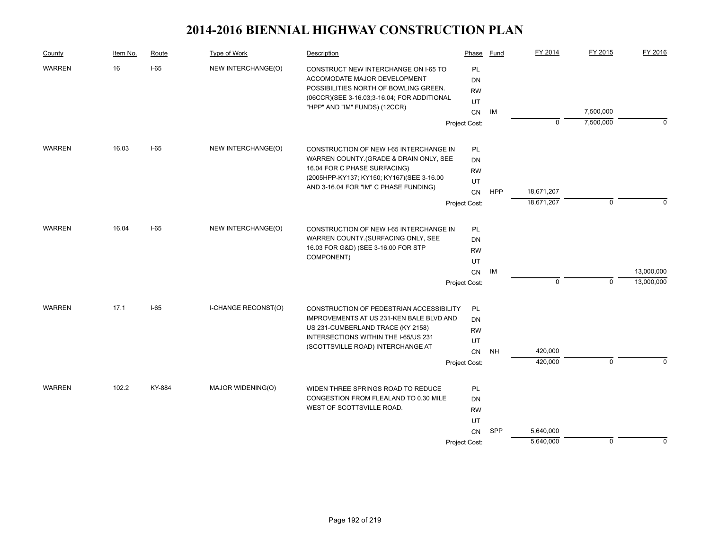| County        | Item No. | Route  | Type of Work               | Description                                                                                                                                                  | Phase                              | Fund       | FY 2014            | FY 2015     | FY 2016     |
|---------------|----------|--------|----------------------------|--------------------------------------------------------------------------------------------------------------------------------------------------------------|------------------------------------|------------|--------------------|-------------|-------------|
| <b>WARREN</b> | 16       | $I-65$ | NEW INTERCHANGE(O)         | CONSTRUCT NEW INTERCHANGE ON I-65 TO<br>ACCOMODATE MAJOR DEVELOPMENT<br>POSSIBILITIES NORTH OF BOWLING GREEN.<br>(06CCR)(SEE 3-16.03;3-16.04; FOR ADDITIONAL | PL<br><b>DN</b><br><b>RW</b><br>UT |            |                    |             |             |
|               |          |        |                            | "HPP" AND "IM" FUNDS) (12CCR)                                                                                                                                | CN                                 | IМ         |                    | 7,500,000   |             |
|               |          |        |                            |                                                                                                                                                              | Project Cost:                      |            | 0                  | 7,500,000   | $\mathbf 0$ |
| <b>WARREN</b> | 16.03    | $I-65$ | NEW INTERCHANGE(O)         | CONSTRUCTION OF NEW I-65 INTERCHANGE IN                                                                                                                      | PL                                 |            |                    |             |             |
|               |          |        |                            | WARREN COUNTY (GRADE & DRAIN ONLY, SEE                                                                                                                       | <b>DN</b>                          |            |                    |             |             |
|               |          |        |                            | 16.04 FOR C PHASE SURFACING)                                                                                                                                 | <b>RW</b>                          |            |                    |             |             |
|               |          |        |                            | (2005HPP-KY137; KY150; KY167)(SEE 3-16.00<br>AND 3-16.04 FOR "IM" C PHASE FUNDING)                                                                           | UT                                 |            |                    |             |             |
|               |          |        |                            |                                                                                                                                                              | <b>CN</b>                          | <b>HPP</b> | 18,671,207         |             |             |
|               |          |        |                            |                                                                                                                                                              | Project Cost:                      |            | 18,671,207         | $\mathbf 0$ | 0           |
| <b>WARREN</b> | 16.04    | $I-65$ | NEW INTERCHANGE(O)         | CONSTRUCTION OF NEW I-65 INTERCHANGE IN                                                                                                                      | PL                                 |            |                    |             |             |
|               |          |        |                            | WARREN COUNTY.(SURFACING ONLY, SEE                                                                                                                           | <b>DN</b>                          |            |                    |             |             |
|               |          |        |                            | 16.03 FOR G&D) (SEE 3-16.00 FOR STP                                                                                                                          | <b>RW</b>                          |            |                    |             |             |
|               |          |        |                            | COMPONENT)                                                                                                                                                   | UT                                 |            |                    |             |             |
|               |          |        |                            |                                                                                                                                                              | CN                                 | IM         |                    |             | 13,000,000  |
|               |          |        |                            |                                                                                                                                                              | Project Cost:                      |            | 0                  | 0           | 13,000,000  |
| <b>WARREN</b> | 17.1     | $I-65$ | <b>I-CHANGE RECONST(O)</b> | CONSTRUCTION OF PEDESTRIAN ACCESSIBILITY                                                                                                                     | PL                                 |            |                    |             |             |
|               |          |        |                            | IMPROVEMENTS AT US 231-KEN BALE BLVD AND                                                                                                                     | DN                                 |            |                    |             |             |
|               |          |        |                            | US 231-CUMBERLAND TRACE (KY 2158)<br>INTERSECTIONS WITHIN THE I-65/US 231                                                                                    | <b>RW</b>                          |            |                    |             |             |
|               |          |        |                            | (SCOTTSVILLE ROAD) INTERCHANGE AT                                                                                                                            | UT                                 |            |                    |             |             |
|               |          |        |                            |                                                                                                                                                              | CN                                 | <b>NH</b>  | 420,000<br>420,000 | $\mathbf 0$ | $\Omega$    |
|               |          |        |                            |                                                                                                                                                              | Project Cost:                      |            |                    |             |             |
| <b>WARREN</b> | 102.2    | KY-884 | MAJOR WIDENING(O)          | WIDEN THREE SPRINGS ROAD TO REDUCE                                                                                                                           | PL                                 |            |                    |             |             |
|               |          |        |                            | CONGESTION FROM FLEALAND TO 0.30 MILE                                                                                                                        | <b>DN</b>                          |            |                    |             |             |
|               |          |        |                            | WEST OF SCOTTSVILLE ROAD.                                                                                                                                    | <b>RW</b>                          |            |                    |             |             |
|               |          |        |                            |                                                                                                                                                              | UT                                 |            |                    |             |             |
|               |          |        |                            |                                                                                                                                                              | CN                                 | SPP        | 5,640,000          |             |             |
|               |          |        |                            |                                                                                                                                                              | Project Cost:                      |            | 5,640,000          | $\mathbf 0$ | $\mathbf 0$ |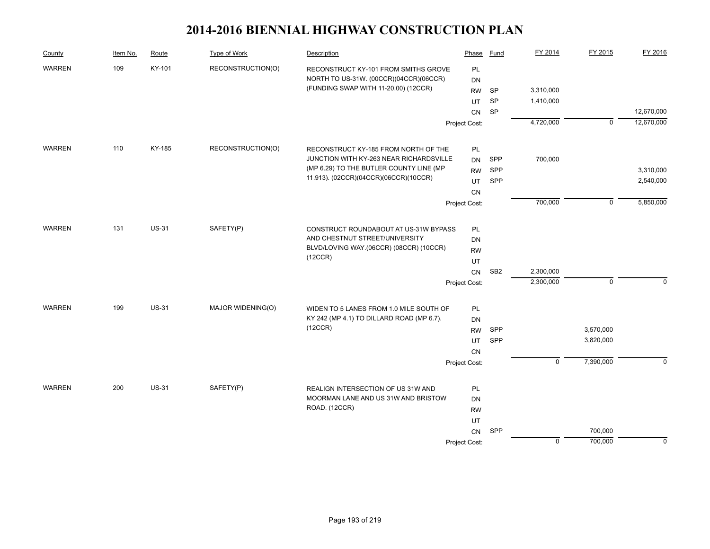| County        | Item No. | Route        | Type of Work      | Description                                                                          | Phase           | Fund            | FY 2014     | FY 2015        | FY 2016     |
|---------------|----------|--------------|-------------------|--------------------------------------------------------------------------------------|-----------------|-----------------|-------------|----------------|-------------|
| <b>WARREN</b> | 109      | KY-101       | RECONSTRUCTION(O) | RECONSTRUCT KY-101 FROM SMITHS GROVE                                                 | PL              |                 |             |                |             |
|               |          |              |                   | NORTH TO US-31W. (00CCR)(04CCR)(06CCR)                                               | <b>DN</b>       |                 |             |                |             |
|               |          |              |                   | (FUNDING SWAP WITH 11-20.00) (12CCR)                                                 | <b>RW</b>       | <b>SP</b>       | 3,310,000   |                |             |
|               |          |              |                   |                                                                                      | UT              | SP              | 1,410,000   |                |             |
|               |          |              |                   |                                                                                      | <b>CN</b>       | SP              |             |                | 12,670,000  |
|               |          |              |                   |                                                                                      | Project Cost:   |                 | 4,720,000   | $\mathbf 0$    | 12,670,000  |
| <b>WARREN</b> | 110      | KY-185       | RECONSTRUCTION(O) | RECONSTRUCT KY-185 FROM NORTH OF THE                                                 | PL              |                 |             |                |             |
|               |          |              |                   | JUNCTION WITH KY-263 NEAR RICHARDSVILLE                                              | <b>DN</b>       | SPP             | 700,000     |                |             |
|               |          |              |                   | (MP 6.29) TO THE BUTLER COUNTY LINE (MP                                              | <b>RW</b>       | SPP             |             |                | 3,310,000   |
|               |          |              |                   | 11.913). (02CCR)(04CCR)(06CCR)(10CCR)                                                | UT              | SPP             |             |                | 2,540,000   |
|               |          |              |                   |                                                                                      |                 |                 |             |                |             |
|               |          |              |                   |                                                                                      | Project Cost:   |                 | 700,000     | $\overline{0}$ | 5,850,000   |
| <b>WARREN</b> | 131      | <b>US-31</b> | SAFETY(P)         | CONSTRUCT ROUNDABOUT AT US-31W BYPASS                                                | PL              |                 |             |                |             |
|               |          |              |                   | AND CHESTNUT STREET/UNIVERSITY                                                       | <b>DN</b>       |                 |             |                |             |
|               |          |              |                   | BLVD/LOVING WAY.(06CCR) (08CCR) (10CCR)                                              | <b>RW</b>       |                 |             |                |             |
|               |          |              | (12CCR)           | UT                                                                                   |                 |                 |             |                |             |
|               |          |              |                   |                                                                                      | CN              | SB <sub>2</sub> | 2,300,000   |                |             |
|               |          |              |                   |                                                                                      | Project Cost:   |                 | 2,300,000   | $\pmb{0}$      | $\mathbf 0$ |
|               | 199      | <b>US-31</b> |                   |                                                                                      |                 |                 |             |                |             |
| <b>WARREN</b> |          |              | MAJOR WIDENING(O) | WIDEN TO 5 LANES FROM 1.0 MILE SOUTH OF<br>KY 242 (MP 4.1) TO DILLARD ROAD (MP 6.7). | PL              |                 |             |                |             |
|               |          |              |                   | (12CCR)                                                                              | DN              |                 |             | 3,570,000      |             |
|               |          |              |                   |                                                                                      | <b>RW</b><br>UT | SPP<br>SPP      |             | 3,820,000      |             |
|               |          |              |                   |                                                                                      |                 |                 |             |                |             |
|               |          |              |                   |                                                                                      | CN              |                 | $\mathbf 0$ | 7,390,000      | $\mathbf 0$ |
|               |          |              |                   |                                                                                      | Project Cost:   |                 |             |                |             |
| <b>WARREN</b> | 200      | <b>US-31</b> | SAFETY(P)         | REALIGN INTERSECTION OF US 31W AND                                                   | PL              |                 |             |                |             |
|               |          |              |                   | MOORMAN LANE AND US 31W AND BRISTOW                                                  | <b>DN</b>       |                 |             |                |             |
|               |          |              |                   | ROAD. (12CCR)                                                                        | <b>RW</b>       |                 |             |                |             |
|               |          |              |                   |                                                                                      | UT              |                 |             |                |             |
|               |          |              |                   |                                                                                      | CN              | SPP             |             | 700,000        |             |
|               |          |              |                   |                                                                                      | Project Cost:   |                 | $\mathsf 0$ | 700,000        | 0           |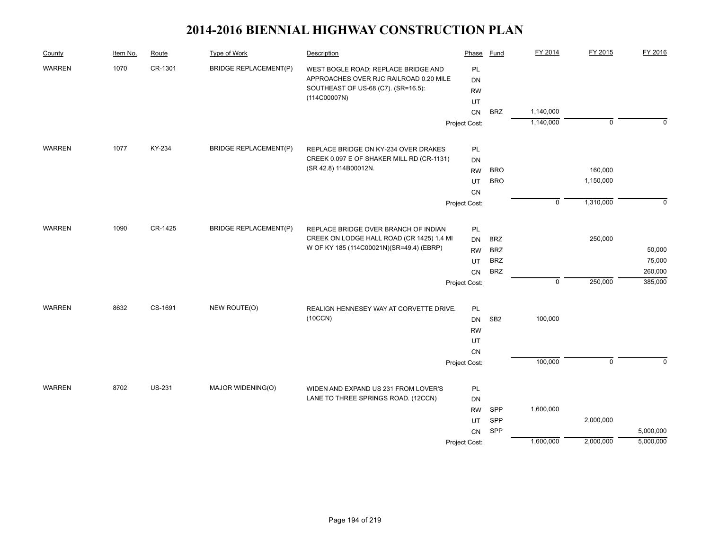| FY 2014<br>Route<br>Type of Work<br>Phase<br>Fund<br>County<br>Item No.<br>Description                         | FY 2015                   | FY 2016     |
|----------------------------------------------------------------------------------------------------------------|---------------------------|-------------|
| <b>WARREN</b><br>1070<br>CR-1301<br><b>BRIDGE REPLACEMENT(P)</b><br>PL<br>WEST BOGLE ROAD; REPLACE BRIDGE AND  |                           |             |
| APPROACHES OVER RJC RAILROAD 0.20 MILE<br><b>DN</b>                                                            |                           |             |
| SOUTHEAST OF US-68 (C7). (SR=16.5):<br><b>RW</b>                                                               |                           |             |
| (114C00007N)<br>UT                                                                                             |                           |             |
| 1,140,000<br><b>BRZ</b><br>CN                                                                                  |                           |             |
| 1,140,000<br>Project Cost:                                                                                     | $\mathbf 0$               | $\Omega$    |
| <b>WARREN</b><br>1077<br>KY-234<br><b>BRIDGE REPLACEMENT(P)</b><br>PL<br>REPLACE BRIDGE ON KY-234 OVER DRAKES  |                           |             |
| CREEK 0.097 E OF SHAKER MILL RD (CR-1131)<br><b>DN</b>                                                         |                           |             |
| (SR 42.8) 114B00012N.<br><b>BRO</b><br><b>RW</b>                                                               | 160,000                   |             |
| <b>BRO</b><br>UT                                                                                               | 1,150,000                 |             |
| CN                                                                                                             |                           |             |
| Project Cost:                                                                                                  | $\mathsf 0$<br>1,310,000  | $\mathbf 0$ |
| <b>WARREN</b><br>1090<br>CR-1425<br><b>BRIDGE REPLACEMENT(P)</b><br>PL<br>REPLACE BRIDGE OVER BRANCH OF INDIAN |                           |             |
| CREEK ON LODGE HALL ROAD (CR 1425) 1.4 MI<br><b>BRZ</b><br>DN                                                  | 250,000                   |             |
| W OF KY 185 (114C00021N)(SR=49.4) (EBRP)<br><b>BRZ</b><br><b>RW</b>                                            |                           | 50,000      |
| <b>BRZ</b><br>UT                                                                                               |                           | 75,000      |
| <b>BRZ</b><br><b>CN</b>                                                                                        |                           | 260,000     |
| Project Cost:                                                                                                  | $\overline{0}$<br>250,000 | 385,000     |
| <b>WARREN</b><br>8632<br>CS-1691<br>NEW ROUTE(O)<br>PL<br>REALIGN HENNESEY WAY AT CORVETTE DRIVE.              |                           |             |
| (10CCN)<br>SB <sub>2</sub><br>100,000<br>DN                                                                    |                           |             |
| <b>RW</b>                                                                                                      |                           |             |
| UT                                                                                                             |                           |             |
| CN                                                                                                             |                           |             |
| 100,000<br>Project Cost:                                                                                       | $\mathbf 0$               | $\Omega$    |
| <b>WARREN</b><br>8702<br><b>US-231</b><br>MAJOR WIDENING(O)                                                    |                           |             |
| PL<br>WIDEN AND EXPAND US 231 FROM LOVER'S<br>LANE TO THREE SPRINGS ROAD. (12CCN)<br><b>DN</b>                 |                           |             |
| SPP<br>1,600,000<br><b>RW</b>                                                                                  |                           |             |
| SPP<br>UT                                                                                                      | 2,000,000                 |             |
| SPP<br>CN                                                                                                      |                           | 5,000,000   |
| 1,600,000<br>Project Cost:                                                                                     | 2,000,000                 | 5,000,000   |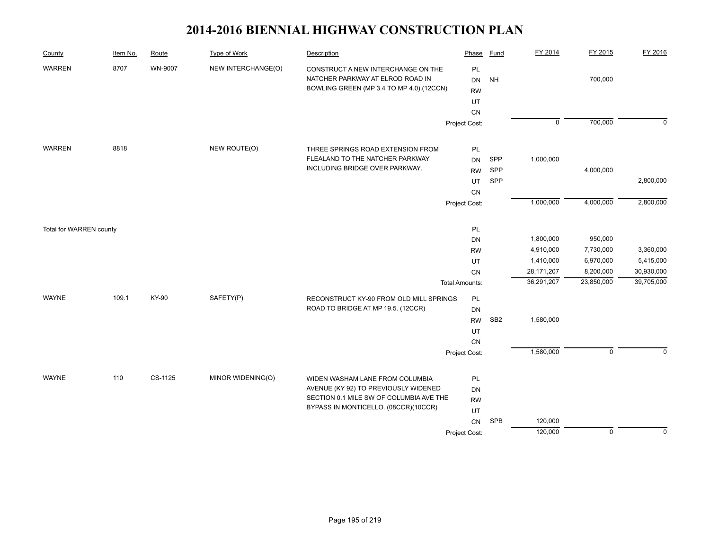| County                  | Item No. | Route   | <b>Type of Work</b> | Description                                                                                                                                                | Phase                                                      | <b>Fund</b>       | FY 2014                                                         | FY 2015                                                      | FY 2016                                            |
|-------------------------|----------|---------|---------------------|------------------------------------------------------------------------------------------------------------------------------------------------------------|------------------------------------------------------------|-------------------|-----------------------------------------------------------------|--------------------------------------------------------------|----------------------------------------------------|
| <b>WARREN</b>           | 8707     | WN-9007 | NEW INTERCHANGE(O)  | CONSTRUCT A NEW INTERCHANGE ON THE<br>NATCHER PARKWAY AT ELROD ROAD IN<br>BOWLING GREEN (MP 3.4 TO MP 4.0).(12CCN)                                         | PL<br><b>DN</b><br><b>RW</b><br>UT<br>CN                   | <b>NH</b>         |                                                                 | 700,000                                                      |                                                    |
|                         |          |         |                     |                                                                                                                                                            | Project Cost:                                              |                   | $\overline{0}$                                                  | 700,000                                                      | $\mathbf 0$                                        |
| <b>WARREN</b>           | 8818     |         | NEW ROUTE(O)        | THREE SPRINGS ROAD EXTENSION FROM<br>FLEALAND TO THE NATCHER PARKWAY<br>INCLUDING BRIDGE OVER PARKWAY.                                                     | PL<br>DN<br><b>RW</b><br><b>UT</b><br>CN                   | SPP<br>SPP<br>SPP | 1,000,000                                                       | 4,000,000                                                    | 2,800,000                                          |
|                         |          |         |                     | Project Cost:                                                                                                                                              |                                                            |                   | 1,000,000                                                       | 4,000,000                                                    | 2,800,000                                          |
| Total for WARREN county |          |         |                     |                                                                                                                                                            | PL<br>DN<br><b>RW</b><br>UT<br>CN<br><b>Total Amounts:</b> |                   | 1,800,000<br>4,910,000<br>1,410,000<br>28,171,207<br>36,291,207 | 950,000<br>7,730,000<br>6,970,000<br>8,200,000<br>23,850,000 | 3,360,000<br>5,415,000<br>30,930,000<br>39,705,000 |
| <b>WAYNE</b>            | 109.1    | KY-90   | SAFETY(P)           | RECONSTRUCT KY-90 FROM OLD MILL SPRINGS<br>ROAD TO BRIDGE AT MP 19.5. (12CCR)                                                                              | PL<br>DN<br><b>RW</b><br>UT<br>CN<br>Project Cost:         | SB <sub>2</sub>   | 1,580,000<br>1,580,000                                          | $\mathbf 0$                                                  | $\Omega$                                           |
| WAYNE                   | 110      | CS-1125 | MINOR WIDENING(O)   | WIDEN WASHAM LANE FROM COLUMBIA<br>AVENUE (KY 92) TO PREVIOUSLY WIDENED<br>SECTION 0.1 MILE SW OF COLUMBIA AVE THE<br>BYPASS IN MONTICELLO. (08CCR)(10CCR) | PL<br>DN<br><b>RW</b><br>UT<br>CN                          | SPB               | 120,000<br>120,000                                              | $\overline{0}$                                               | $\Omega$                                           |
|                         |          |         |                     |                                                                                                                                                            | Project Cost:                                              |                   |                                                                 |                                                              |                                                    |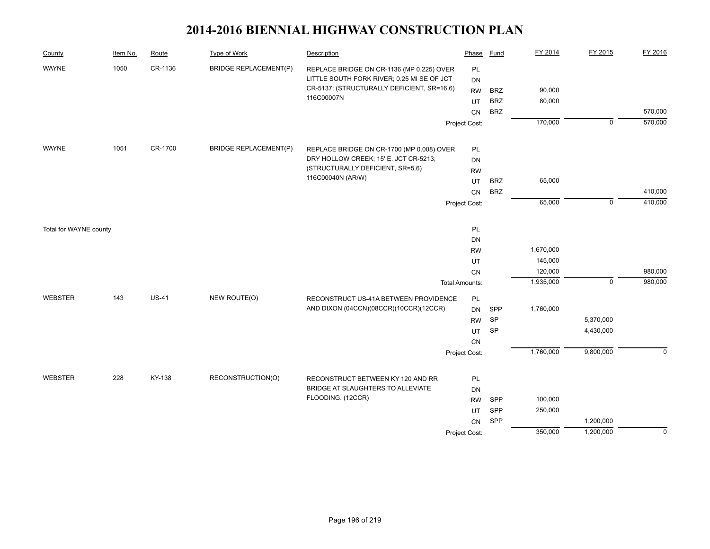| County         | Item No.               | Route   | <b>Type of Work</b>          | Description                                | Phase                 | Fund       | FY 2014   | FY 2015        | FY 2016                                                                    |
|----------------|------------------------|---------|------------------------------|--------------------------------------------|-----------------------|------------|-----------|----------------|----------------------------------------------------------------------------|
| <b>WAYNE</b>   | 1050                   | CR-1136 | <b>BRIDGE REPLACEMENT(P)</b> | REPLACE BRIDGE ON CR-1136 (MP 0.225) OVER  | PL                    |            |           |                |                                                                            |
|                |                        |         |                              | LITTLE SOUTH FORK RIVER; 0.25 MI SE OF JCT | <b>DN</b>             |            |           |                | 570,000<br>570,000<br>410,000<br>410,000<br>980,000<br>980,000<br>$\Omega$ |
|                |                        |         |                              | CR-5137; (STRUCTURALLY DEFICIENT, SR=16.6) | <b>RW</b>             | <b>BRZ</b> | 90,000    |                |                                                                            |
|                |                        |         |                              | 116C00007N                                 | UT                    | <b>BRZ</b> | 80,000    |                |                                                                            |
|                |                        |         |                              |                                            | CN                    | <b>BRZ</b> |           |                |                                                                            |
|                |                        |         |                              |                                            | Project Cost:         |            | 170,000   | $\overline{0}$ |                                                                            |
| <b>WAYNE</b>   | 1051                   | CR-1700 | <b>BRIDGE REPLACEMENT(P)</b> | REPLACE BRIDGE ON CR-1700 (MP 0.008) OVER  | PL                    |            |           |                |                                                                            |
|                |                        |         |                              | DRY HOLLOW CREEK; 15' E. JCT CR-5213;      | <b>DN</b>             |            |           |                |                                                                            |
|                |                        |         |                              | (STRUCTURALLY DEFICIENT, SR=5.6)           | <b>RW</b>             |            |           |                |                                                                            |
|                |                        |         |                              | 116C00040N (AR/W)                          | UT                    | <b>BRZ</b> | 65,000    |                |                                                                            |
|                |                        |         |                              |                                            |                       | <b>BRZ</b> |           |                |                                                                            |
|                |                        |         |                              |                                            | Project Cost:         |            | 65,000    | $\mathbf 0$    |                                                                            |
|                |                        |         |                              |                                            |                       |            |           |                |                                                                            |
|                | Total for WAYNE county |         |                              |                                            | PL                    |            |           |                |                                                                            |
|                |                        |         |                              |                                            | <b>DN</b>             |            |           |                |                                                                            |
|                |                        |         |                              |                                            | <b>RW</b>             |            | 1,670,000 |                |                                                                            |
|                |                        |         |                              |                                            | UT                    |            | 145,000   |                |                                                                            |
|                |                        |         |                              |                                            | CN                    |            | 120,000   |                |                                                                            |
|                |                        |         |                              |                                            | <b>Total Amounts:</b> |            | 1,935,000 | $\mathbf 0$    |                                                                            |
| <b>WEBSTER</b> | 143                    | $US-41$ | NEW ROUTE(O)                 | RECONSTRUCT US-41A BETWEEN PROVIDENCE      | PL                    |            |           |                |                                                                            |
|                |                        |         |                              | AND DIXON (04CCN)(08CCR)(10CCR)(12CCR)     | <b>DN</b>             | SPP        | 1,760,000 |                |                                                                            |
|                |                        |         |                              |                                            | <b>RW</b>             | SP         |           | 5,370,000      |                                                                            |
|                |                        |         |                              |                                            | UT                    | SP         |           | 4,430,000      |                                                                            |
|                |                        |         |                              |                                            | CN                    |            |           |                |                                                                            |
|                |                        |         |                              |                                            | Project Cost:         |            | 1,760,000 | 9,800,000      |                                                                            |
| <b>WEBSTER</b> | 228                    | KY-138  | RECONSTRUCTION(O)            | RECONSTRUCT BETWEEN KY 120 AND RR          |                       |            |           |                |                                                                            |
|                |                        |         |                              | BRIDGE AT SLAUGHTERS TO ALLEVIATE          | PL<br><b>DN</b>       |            |           |                |                                                                            |
|                |                        |         |                              | FLOODING. (12CCR)                          | <b>RW</b>             | SPP        | 100,000   |                |                                                                            |
|                |                        |         |                              |                                            | UT                    | SPP        | 250,000   |                |                                                                            |
|                |                        |         |                              |                                            |                       | SPP        |           | 1,200,000      |                                                                            |
|                |                        |         |                              |                                            | CN<br>Project Cost:   |            | 350,000   | 1,200,000      | $\overline{0}$                                                             |
|                |                        |         |                              |                                            |                       |            |           |                |                                                                            |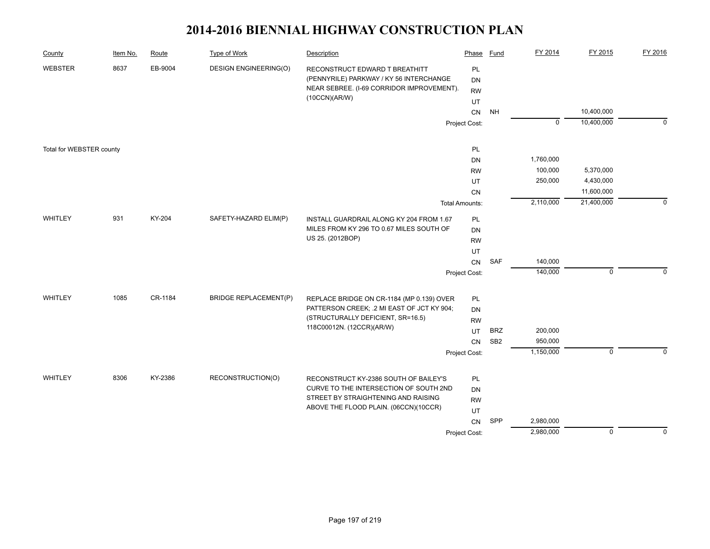| County<br>Route<br><b>Type of Work</b><br>Description<br>Item No.                                                                                                                                            | Phase                               | <b>Fund</b>     | FY 2014     | FY 2015     | FY 2016     |
|--------------------------------------------------------------------------------------------------------------------------------------------------------------------------------------------------------------|-------------------------------------|-----------------|-------------|-------------|-------------|
| <b>WEBSTER</b><br>8637<br>EB-9004<br><b>DESIGN ENGINEERING(O)</b><br>RECONSTRUCT EDWARD T BREATHITT<br>(PENNYRILE) PARKWAY / KY 56 INTERCHANGE<br>NEAR SEBREE. (I-69 CORRIDOR IMPROVEMENT).<br>(10CCN)(AR/W) | <b>PL</b><br><b>DN</b><br><b>RW</b> |                 |             |             |             |
|                                                                                                                                                                                                              | UT                                  |                 |             | 10,400,000  |             |
|                                                                                                                                                                                                              | CN<br>Project Cost:                 | <b>NH</b>       | $\mathbf 0$ | 10,400,000  | $\mathbf 0$ |
|                                                                                                                                                                                                              |                                     |                 |             |             |             |
| Total for WEBSTER county                                                                                                                                                                                     | PL                                  |                 |             |             |             |
|                                                                                                                                                                                                              | DN                                  |                 | 1,760,000   |             |             |
|                                                                                                                                                                                                              | <b>RW</b>                           |                 | 100,000     | 5,370,000   |             |
|                                                                                                                                                                                                              | UT                                  |                 | 250,000     | 4,430,000   |             |
|                                                                                                                                                                                                              | CN                                  |                 |             | 11,600,000  |             |
|                                                                                                                                                                                                              | <b>Total Amounts:</b>               |                 | 2,110,000   | 21,400,000  | $\mathbf 0$ |
| 931<br>KY-204<br>SAFETY-HAZARD ELIM(P)<br>WHITLEY<br>INSTALL GUARDRAIL ALONG KY 204 FROM 1.67                                                                                                                | PL                                  |                 |             |             |             |
| MILES FROM KY 296 TO 0.67 MILES SOUTH OF                                                                                                                                                                     | DN                                  |                 |             |             |             |
| US 25. (2012BOP)                                                                                                                                                                                             | <b>RW</b>                           |                 |             |             |             |
|                                                                                                                                                                                                              | UT                                  |                 |             |             |             |
|                                                                                                                                                                                                              | CN                                  | SAF             | 140,000     |             |             |
|                                                                                                                                                                                                              | Project Cost:                       |                 | 140,000     | $\mathbf 0$ | $\Omega$    |
| 1085<br>CR-1184<br><b>BRIDGE REPLACEMENT(P)</b><br>WHITLEY<br>REPLACE BRIDGE ON CR-1184 (MP 0.139) OVER                                                                                                      | <b>PL</b>                           |                 |             |             |             |
| PATTERSON CREEK; .2 MI EAST OF JCT KY 904;                                                                                                                                                                   | DN                                  |                 |             |             |             |
| (STRUCTURALLY DEFICIENT, SR=16.5)                                                                                                                                                                            | <b>RW</b>                           |                 |             |             |             |
| 118C00012N. (12CCR)(AR/W)                                                                                                                                                                                    | UT                                  | <b>BRZ</b>      | 200,000     |             |             |
|                                                                                                                                                                                                              | <b>CN</b>                           | SB <sub>2</sub> | 950,000     |             |             |
|                                                                                                                                                                                                              | Project Cost:                       |                 | 1,150,000   | $\mathbf 0$ | $\Omega$    |
|                                                                                                                                                                                                              |                                     |                 |             |             |             |
| WHITLEY<br>8306<br>KY-2386<br>RECONSTRUCTION(O)<br>RECONSTRUCT KY-2386 SOUTH OF BAILEY'S                                                                                                                     | PL                                  |                 |             |             |             |
| CURVE TO THE INTERSECTION OF SOUTH 2ND<br>STREET BY STRAIGHTENING AND RAISING                                                                                                                                | DN                                  |                 |             |             |             |
| ABOVE THE FLOOD PLAIN. (06CCN)(10CCR)                                                                                                                                                                        | <b>RW</b>                           |                 |             |             |             |
|                                                                                                                                                                                                              | UT<br>CN                            | SPP             | 2,980,000   |             |             |
|                                                                                                                                                                                                              | Project Cost:                       |                 | 2,980,000   | $\mathbf 0$ | $\mathbf 0$ |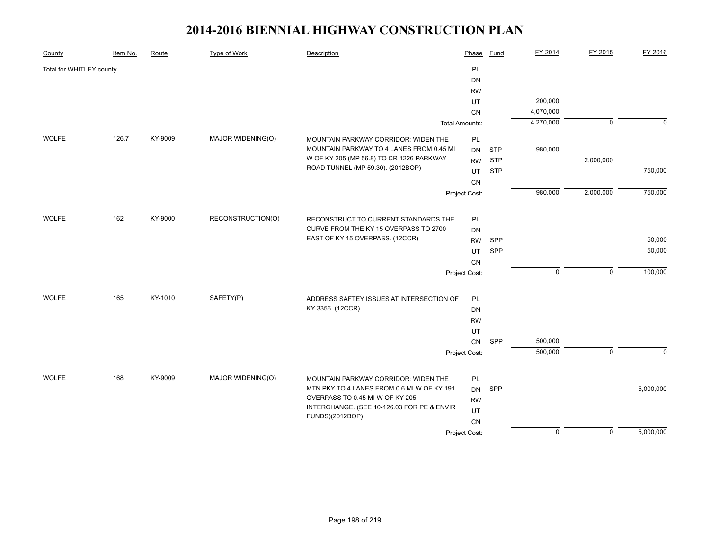| County                   | Item No. | Route   | <b>Type of Work</b> | Description                                                                        | Phase                 | Fund       | FY 2014        | FY 2015        | FY 2016     |
|--------------------------|----------|---------|---------------------|------------------------------------------------------------------------------------|-----------------------|------------|----------------|----------------|-------------|
| Total for WHITLEY county |          |         |                     |                                                                                    | <b>PL</b>             |            |                |                |             |
|                          |          |         |                     |                                                                                    | <b>DN</b>             |            |                |                |             |
|                          |          |         |                     |                                                                                    | <b>RW</b>             |            |                |                |             |
|                          |          |         |                     |                                                                                    | UT                    |            | 200,000        |                |             |
|                          |          |         |                     |                                                                                    | <b>CN</b>             |            | 4,070,000      |                |             |
|                          |          |         |                     |                                                                                    | <b>Total Amounts:</b> |            | 4,270,000      | $\mathbf 0$    | $\mathbf 0$ |
| <b>WOLFE</b>             | 126.7    | KY-9009 | MAJOR WIDENING(O)   | MOUNTAIN PARKWAY CORRIDOR: WIDEN THE                                               | PL                    |            |                |                |             |
|                          |          |         |                     | MOUNTAIN PARKWAY TO 4 LANES FROM 0.45 MI                                           | <b>DN</b>             | <b>STP</b> | 980,000        |                |             |
|                          |          |         |                     | W OF KY 205 (MP 56.8) TO CR 1226 PARKWAY                                           | <b>RW</b>             | <b>STP</b> |                | 2,000,000      |             |
|                          |          |         |                     | ROAD TUNNEL (MP 59.30). (2012BOP)                                                  | UT                    | <b>STP</b> |                |                | 750,000     |
|                          |          |         |                     |                                                                                    |                       |            |                |                |             |
|                          |          |         |                     |                                                                                    | Project Cost:         |            | 980,000        | 2,000,000      | 750,000     |
|                          |          |         |                     |                                                                                    |                       |            |                |                |             |
| <b>WOLFE</b>             | 162      | KY-9000 | RECONSTRUCTION(O)   | RECONSTRUCT TO CURRENT STANDARDS THE                                               | PL                    |            |                |                |             |
|                          |          |         |                     | CURVE FROM THE KY 15 OVERPASS TO 2700                                              | DN                    |            |                |                |             |
|                          |          |         |                     | EAST OF KY 15 OVERPASS. (12CCR)                                                    | <b>RW</b>             | <b>SPP</b> |                |                | 50,000      |
|                          |          |         |                     |                                                                                    | UT                    | SPP        |                |                | 50,000      |
|                          |          |         |                     |                                                                                    | CN                    |            |                |                |             |
|                          |          |         |                     |                                                                                    | Project Cost:         |            | $\mathbf 0$    | $\mathbf 0$    | 100,000     |
|                          |          |         |                     |                                                                                    |                       |            |                |                |             |
| <b>WOLFE</b>             | 165      | KY-1010 | SAFETY(P)           | ADDRESS SAFTEY ISSUES AT INTERSECTION OF                                           | <b>PL</b>             |            |                |                |             |
|                          |          |         |                     | KY 3356. (12CCR)                                                                   | DN                    |            |                |                |             |
|                          |          |         |                     |                                                                                    | <b>RW</b>             |            |                |                |             |
|                          |          |         |                     |                                                                                    | UT                    |            |                |                |             |
|                          |          |         |                     |                                                                                    | CN                    | SPP        | 500,000        |                |             |
|                          |          |         |                     |                                                                                    | Project Cost:         |            | 500,000        | $\mathbf 0$    | $\Omega$    |
| <b>WOLFE</b>             | 168      | KY-9009 | MAJOR WIDENING(O)   |                                                                                    |                       |            |                |                |             |
|                          |          |         |                     | MOUNTAIN PARKWAY CORRIDOR: WIDEN THE<br>MTN PKY TO 4 LANES FROM 0.6 MI W OF KY 191 | PL<br><b>DN</b>       | SPP        |                |                | 5,000,000   |
|                          |          |         |                     | OVERPASS TO 0.45 MI W OF KY 205                                                    |                       |            |                |                |             |
|                          |          |         |                     | INTERCHANGE. (SEE 10-126.03 FOR PE & ENVIR                                         | <b>RW</b><br>UT       |            |                |                |             |
|                          |          |         |                     | FUNDS)(2012BOP)                                                                    |                       |            |                |                |             |
|                          |          |         |                     |                                                                                    | CN                    |            | $\overline{0}$ | $\overline{0}$ | 5,000,000   |
|                          |          |         |                     |                                                                                    | Project Cost:         |            |                |                |             |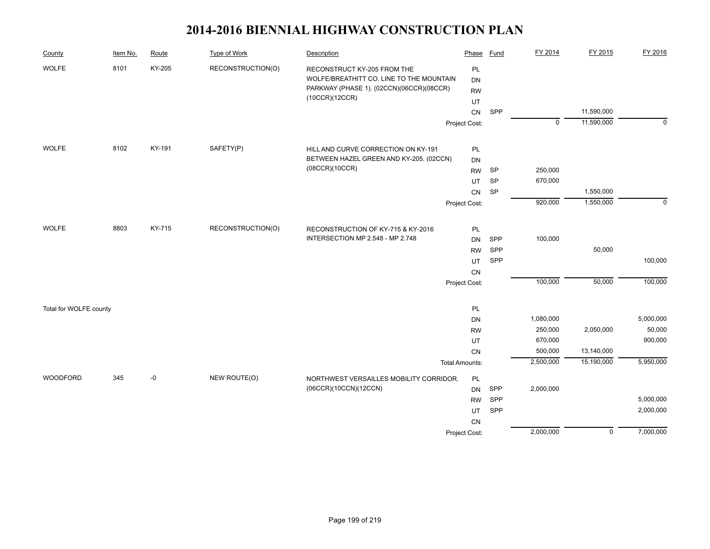| County                 | Item No. | Route  | <b>Type of Work</b> | Description                                                            | Phase                 | Fund      | FY 2014     | FY 2015        | FY 2016     |
|------------------------|----------|--------|---------------------|------------------------------------------------------------------------|-----------------------|-----------|-------------|----------------|-------------|
| <b>WOLFE</b>           | 8101     | KY-205 | RECONSTRUCTION(O)   | RECONSTRUCT KY-205 FROM THE                                            | PL                    |           |             |                |             |
|                        |          |        |                     | WOLFE/BREATHITT CO. LINE TO THE MOUNTAIN                               | <b>DN</b>             |           |             |                |             |
|                        |          |        |                     | PARKWAY (PHASE 1). (02CCN)(06CCR)(08CCR)<br>(10CCR)(12CCR)             | <b>RW</b>             |           |             |                |             |
|                        |          |        |                     |                                                                        | UT                    |           |             |                |             |
|                        |          |        |                     |                                                                        | CN                    | SPP       |             | 11,590,000     |             |
|                        |          |        |                     |                                                                        | Project Cost:         |           | $\mathbf 0$ | 11,590,000     | $\mathbf 0$ |
| <b>WOLFE</b>           | 8102     | KY-191 | SAFETY(P)           | HILL AND CURVE CORRECTION ON KY-191                                    | PL                    |           |             |                |             |
|                        |          |        |                     | BETWEEN HAZEL GREEN AND KY-205. (02CCN)                                | <b>DN</b>             |           |             |                |             |
|                        |          |        |                     | (08CCR)(10CCR)                                                         | <b>RW</b>             | <b>SP</b> | 250,000     |                |             |
|                        |          |        |                     |                                                                        | UT                    | <b>SP</b> | 670,000     |                |             |
|                        |          |        |                     |                                                                        | CN                    | SP        |             | 1,550,000      |             |
|                        |          |        |                     |                                                                        | Project Cost:         |           | 920,000     | 1,550,000      | $\mathbf 0$ |
| <b>WOLFE</b>           | 8803     | KY-715 |                     |                                                                        |                       |           |             |                |             |
|                        |          |        | RECONSTRUCTION(O)   | RECONSTRUCTION OF KY-715 & KY-2016<br>INTERSECTION MP 2.548 - MP 2.748 | PL                    |           | 100,000     |                |             |
|                        |          |        |                     |                                                                        | <b>DN</b>             | SPP       |             |                |             |
|                        |          |        |                     |                                                                        | <b>RW</b>             | SPP       |             | 50,000         | 100,000     |
|                        |          |        |                     |                                                                        | UT                    | SPP       |             |                |             |
|                        |          |        |                     |                                                                        | CN<br>Project Cost:   |           | 100,000     | 50,000         | 100,000     |
|                        |          |        |                     |                                                                        |                       |           |             |                |             |
| Total for WOLFE county |          |        |                     |                                                                        | PL                    |           |             |                |             |
|                        |          |        |                     |                                                                        | DN                    |           | 1,080,000   |                | 5,000,000   |
|                        |          |        |                     |                                                                        | <b>RW</b>             |           | 250,000     | 2,050,000      | 50,000      |
|                        |          |        |                     |                                                                        | UT                    |           | 670,000     |                | 900,000     |
|                        |          |        |                     |                                                                        | CN                    |           | 500,000     | 13,140,000     |             |
|                        |          |        |                     |                                                                        | <b>Total Amounts:</b> |           | 2,500,000   | 15,190,000     | 5,950,000   |
| WOODFORD               | 345      | -0     | NEW ROUTE(O)        | NORTHWEST VERSAILLES MOBILITY CORRIDOR.                                | PL                    |           |             |                |             |
|                        |          |        |                     | (06CCR)(10CCN)(12CCN)                                                  | <b>DN</b>             | SPP       | 2,000,000   |                |             |
|                        |          |        |                     |                                                                        | <b>RW</b>             | SPP       |             |                | 5,000,000   |
|                        |          |        |                     |                                                                        | UT                    | SPP       |             |                | 2,000,000   |
|                        |          |        |                     |                                                                        | CN                    |           |             |                |             |
|                        |          |        |                     |                                                                        | Project Cost:         |           | 2,000,000   | $\overline{0}$ | 7,000,000   |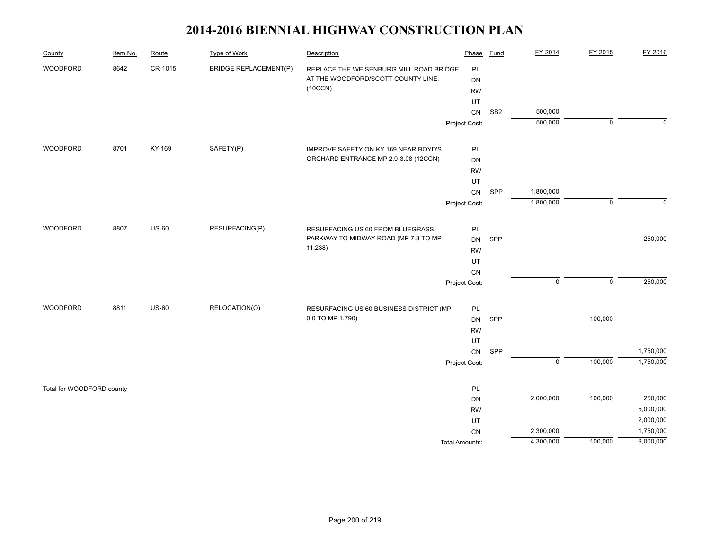| County                    | Item No. | Route   | <b>Type of Work</b>          | Description                                                                   | Phase                 | <b>Fund</b>     | FY 2014        | FY 2015     | FY 2016              |
|---------------------------|----------|---------|------------------------------|-------------------------------------------------------------------------------|-----------------------|-----------------|----------------|-------------|----------------------|
| WOODFORD                  | 8642     | CR-1015 | <b>BRIDGE REPLACEMENT(P)</b> | REPLACE THE WEISENBURG MILL ROAD BRIDGE<br>AT THE WOODFORD/SCOTT COUNTY LINE. | PL<br>DN              |                 |                |             |                      |
|                           |          |         |                              | (10CCN)                                                                       | <b>RW</b>             |                 |                |             |                      |
|                           |          |         |                              |                                                                               | UT                    |                 |                |             |                      |
|                           |          |         |                              |                                                                               | CN                    | SB <sub>2</sub> | 500,000        |             |                      |
|                           |          |         |                              |                                                                               | Project Cost:         |                 | 500,000        | $\mathbf 0$ | $\Omega$             |
|                           |          |         |                              |                                                                               |                       |                 |                |             |                      |
| WOODFORD                  | 8701     | KY-169  | SAFETY(P)                    | IMPROVE SAFETY ON KY 169 NEAR BOYD'S                                          | PL                    |                 |                |             |                      |
|                           |          |         |                              | ORCHARD ENTRANCE MP 2.9-3.08 (12CCN)                                          | DN                    |                 |                |             |                      |
|                           |          |         |                              |                                                                               | <b>RW</b><br>UT       |                 |                |             |                      |
|                           |          |         |                              |                                                                               | CN                    | SPP             | 1,800,000      |             |                      |
|                           |          |         |                              |                                                                               | Project Cost:         |                 | 1,800,000      | $\mathbf 0$ | $\Omega$             |
|                           |          |         |                              |                                                                               |                       |                 |                |             |                      |
| WOODFORD                  | 8807     | $US-60$ | RESURFACING(P)               | RESURFACING US 60 FROM BLUEGRASS                                              | PL                    |                 |                |             |                      |
|                           |          |         |                              | PARKWAY TO MIDWAY ROAD (MP 7.3 TO MP                                          | DN                    | SPP             |                |             | 250,000              |
|                           |          |         |                              | 11.238)                                                                       | <b>RW</b>             |                 |                |             |                      |
|                           |          |         |                              |                                                                               | UT                    |                 |                |             |                      |
|                           |          |         |                              |                                                                               | CN                    |                 |                |             |                      |
|                           |          |         |                              |                                                                               | Project Cost:         |                 | $\mathsf 0$    | $\mathsf 0$ | 250,000              |
| WOODFORD                  | 8811     | $US-60$ | RELOCATION(O)                | RESURFACING US 60 BUSINESS DISTRICT (MP                                       | PL                    |                 |                |             |                      |
|                           |          |         |                              | 0.0 TO MP 1.790)                                                              | DN                    | SPP             |                | 100,000     |                      |
|                           |          |         |                              |                                                                               | <b>RW</b>             |                 |                |             |                      |
|                           |          |         |                              |                                                                               | UT                    |                 |                |             |                      |
|                           |          |         |                              |                                                                               | ${\sf CN}$            | SPP             |                |             | 1,750,000            |
|                           |          |         |                              |                                                                               | Project Cost:         |                 | $\overline{0}$ | 100,000     | 1,750,000            |
|                           |          |         |                              |                                                                               |                       |                 |                |             |                      |
| Total for WOODFORD county |          |         |                              |                                                                               | PL                    |                 | 2,000,000      |             |                      |
|                           |          |         |                              |                                                                               | DN<br><b>RW</b>       |                 |                | 100,000     | 250,000<br>5,000,000 |
|                           |          |         |                              |                                                                               | UT                    |                 |                |             | 2,000,000            |
|                           |          |         |                              |                                                                               | CN                    |                 | 2,300,000      |             | 1,750,000            |
|                           |          |         |                              |                                                                               | <b>Total Amounts:</b> |                 | 4,300,000      | 100,000     | 9,000,000            |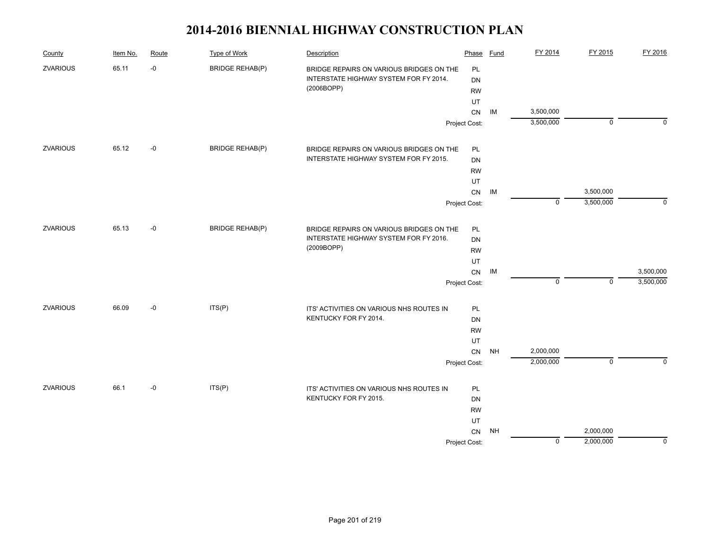| County          | Item No. | Route | <b>Type of Work</b>    | Description                              | Phase            | <b>Fund</b> | FY 2014     | FY 2015     | FY 2016     |
|-----------------|----------|-------|------------------------|------------------------------------------|------------------|-------------|-------------|-------------|-------------|
| <b>ZVARIOUS</b> | 65.11    | $-0$  | <b>BRIDGE REHAB(P)</b> | BRIDGE REPAIRS ON VARIOUS BRIDGES ON THE | PL               |             |             |             |             |
|                 |          |       |                        | INTERSTATE HIGHWAY SYSTEM FOR FY 2014.   | <b>DN</b>        |             |             |             |             |
|                 |          |       |                        | (2006BOPP)                               | <b>RW</b>        |             |             |             |             |
|                 |          |       |                        |                                          | UT               |             |             |             |             |
|                 |          |       |                        |                                          |                  | IM          | 3,500,000   |             |             |
|                 |          |       |                        |                                          | Project Cost:    |             | 3,500,000   | $\mathbf 0$ | $\Omega$    |
| <b>ZVARIOUS</b> | 65.12    | $-0$  | <b>BRIDGE REHAB(P)</b> | BRIDGE REPAIRS ON VARIOUS BRIDGES ON THE | PL               |             |             |             |             |
|                 |          |       |                        | INTERSTATE HIGHWAY SYSTEM FOR FY 2015.   | <b>DN</b>        |             |             |             |             |
|                 |          |       |                        |                                          | <b>RW</b>        |             |             |             |             |
|                 |          |       |                        |                                          | UT               |             |             |             |             |
|                 |          |       |                        |                                          | ${\sf CN}$       | IM          |             | 3,500,000   |             |
|                 |          |       |                        |                                          | Project Cost:    |             | $\mathbf 0$ | 3,500,000   | $\mathbf 0$ |
| <b>ZVARIOUS</b> | 65.13    | $-0$  | <b>BRIDGE REHAB(P)</b> | BRIDGE REPAIRS ON VARIOUS BRIDGES ON THE | PL               |             |             |             |             |
|                 |          |       |                        | INTERSTATE HIGHWAY SYSTEM FOR FY 2016.   | <b>DN</b>        |             |             |             |             |
|                 |          |       |                        | (2009BOPP)                               | <b>RW</b>        |             |             |             |             |
|                 |          |       |                        |                                          |                  |             |             |             |             |
|                 |          |       |                        |                                          | UT<br>${\sf CN}$ | IM          |             |             | 3,500,000   |
|                 |          |       |                        |                                          | Project Cost:    |             | $\mathbf 0$ | $\mathbf 0$ | 3,500,000   |
| <b>ZVARIOUS</b> | 66.09    | $-0$  | ITS(P)                 | ITS' ACTIVITIES ON VARIOUS NHS ROUTES IN | PL               |             |             |             |             |
|                 |          |       |                        | KENTUCKY FOR FY 2014.                    | DN               |             |             |             |             |
|                 |          |       |                        |                                          | <b>RW</b>        |             |             |             |             |
|                 |          |       |                        |                                          | UT               |             |             |             |             |
|                 |          |       |                        |                                          | CN               | <b>NH</b>   | 2,000,000   |             |             |
|                 |          |       |                        |                                          | Project Cost:    |             | 2,000,000   | $\mathbf 0$ | $\Omega$    |
| <b>ZVARIOUS</b> | 66.1     | $-0$  | ITS(P)                 | ITS' ACTIVITIES ON VARIOUS NHS ROUTES IN | PL               |             |             |             |             |
|                 |          |       |                        | KENTUCKY FOR FY 2015.                    | DN               |             |             |             |             |
|                 |          |       |                        |                                          | <b>RW</b>        |             |             |             |             |
|                 |          |       |                        |                                          | UT               |             |             |             |             |
|                 |          |       |                        |                                          | CN               | <b>NH</b>   |             | 2,000,000   |             |
|                 |          |       |                        |                                          | Project Cost:    |             | $\mathbf 0$ | 2,000,000   | 0           |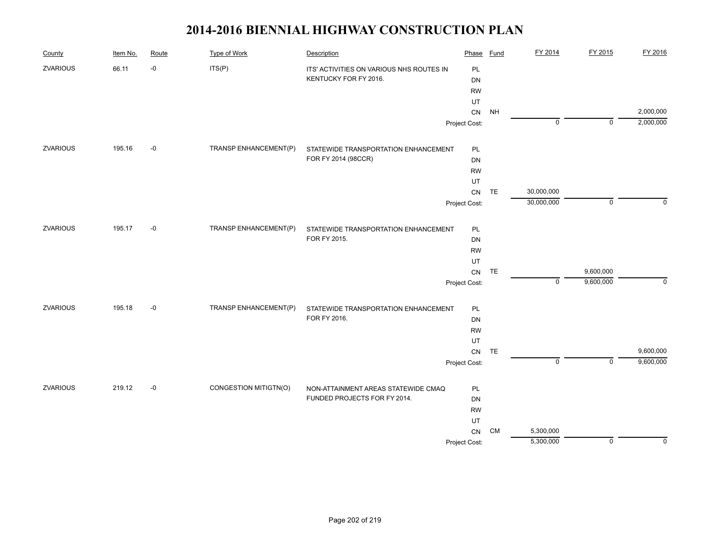| County          | Item No. | Route | <b>Type of Work</b>   | Description                              | Phase            | <b>Fund</b> | FY 2014     | FY 2015        | FY 2016   |
|-----------------|----------|-------|-----------------------|------------------------------------------|------------------|-------------|-------------|----------------|-----------|
| <b>ZVARIOUS</b> | 66.11    | $-0$  | ITS(P)                | ITS' ACTIVITIES ON VARIOUS NHS ROUTES IN | PL               |             |             |                |           |
|                 |          |       |                       | KENTUCKY FOR FY 2016.                    | DN               |             |             |                |           |
|                 |          |       |                       |                                          | <b>RW</b>        |             |             |                |           |
|                 |          |       |                       |                                          | UT               |             |             |                |           |
|                 |          |       |                       |                                          | ${\sf CN}$       | <b>NH</b>   |             |                | 2,000,000 |
|                 |          |       |                       |                                          | Project Cost:    |             | $\mathbf 0$ | $\mathbf 0$    | 2,000,000 |
| <b>ZVARIOUS</b> | 195.16   | $-0$  | TRANSP ENHANCEMENT(P) | STATEWIDE TRANSPORTATION ENHANCEMENT     | PL               |             |             |                |           |
|                 |          |       |                       | FOR FY 2014 (98CCR)                      | DN               |             |             |                |           |
|                 |          |       |                       |                                          | <b>RW</b>        |             |             |                |           |
|                 |          |       |                       |                                          | UT               |             |             |                |           |
|                 |          |       |                       |                                          | ${\sf CN}$       | TE          | 30,000,000  |                |           |
|                 |          |       |                       |                                          | Project Cost:    |             | 30,000,000  | $\mathbf 0$    | $\Omega$  |
| ZVARIOUS        | 195.17   | $-0$  | TRANSP ENHANCEMENT(P) | STATEWIDE TRANSPORTATION ENHANCEMENT     | PL               |             |             |                |           |
|                 |          |       |                       | FOR FY 2015.                             | <b>DN</b>        |             |             |                |           |
|                 |          |       |                       |                                          | <b>RW</b>        |             |             |                |           |
|                 |          |       |                       |                                          |                  |             |             |                |           |
|                 |          |       |                       |                                          | UT<br>${\sf CN}$ | TE          |             | 9,600,000      |           |
|                 |          |       |                       |                                          | Project Cost:    |             | $\mathbf 0$ | 9,600,000      | 0         |
| ZVARIOUS        | 195.18   | $-0$  | TRANSP ENHANCEMENT(P) | STATEWIDE TRANSPORTATION ENHANCEMENT     | PL               |             |             |                |           |
|                 |          |       |                       | FOR FY 2016.                             | DN               |             |             |                |           |
|                 |          |       |                       |                                          | <b>RW</b>        |             |             |                |           |
|                 |          |       |                       |                                          | UT               |             |             |                |           |
|                 |          |       |                       |                                          | ${\sf CN}$       | TE          |             |                | 9,600,000 |
|                 |          |       |                       |                                          | Project Cost:    |             | $\mathbf 0$ | $\overline{0}$ | 9,600,000 |
| ZVARIOUS        | 219.12   | $-0$  | CONGESTION MITIGTN(O) | NON-ATTAINMENT AREAS STATEWIDE CMAQ      | PL               |             |             |                |           |
|                 |          |       |                       | FUNDED PROJECTS FOR FY 2014.             | DN               |             |             |                |           |
|                 |          |       |                       |                                          | <b>RW</b>        |             |             |                |           |
|                 |          |       |                       |                                          | UT               |             |             |                |           |
|                 |          |       |                       |                                          | ${\sf CN}$       | <b>CM</b>   | 5,300,000   |                |           |
|                 |          |       |                       |                                          | Project Cost:    |             | 5,300,000   | 0              | 0         |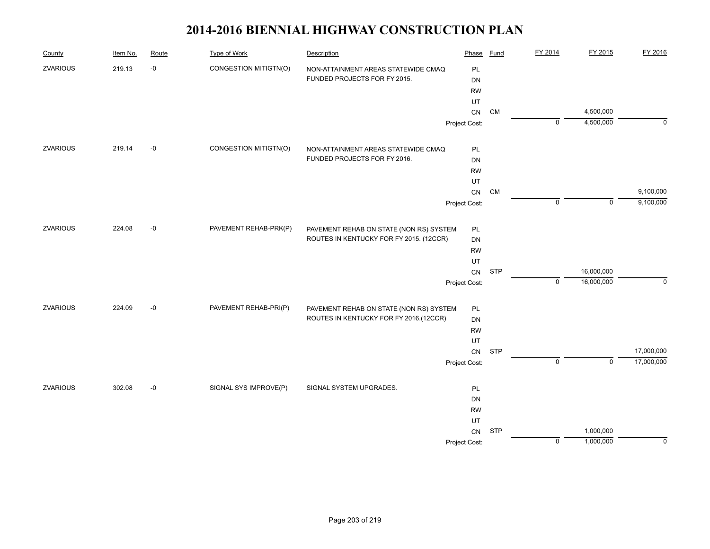| County          | Item No. | Route | <b>Type of Work</b>   | Description                             | Phase         | <b>Fund</b> | FY 2014        | FY 2015        | FY 2016     |
|-----------------|----------|-------|-----------------------|-----------------------------------------|---------------|-------------|----------------|----------------|-------------|
| ZVARIOUS        | 219.13   | $-0$  | CONGESTION MITIGTN(O) | NON-ATTAINMENT AREAS STATEWIDE CMAQ     | PL            |             |                |                |             |
|                 |          |       |                       | FUNDED PROJECTS FOR FY 2015.            | DN            |             |                |                |             |
|                 |          |       |                       |                                         | <b>RW</b>     |             |                |                |             |
|                 |          |       |                       |                                         | UT            |             |                |                |             |
|                 |          |       |                       |                                         | ${\sf CN}$    | <b>CM</b>   |                | 4,500,000      |             |
|                 |          |       |                       |                                         | Project Cost: |             | $\mathbf 0$    | 4,500,000      | 0           |
| ZVARIOUS        | 219.14   | $-0$  | CONGESTION MITIGTN(O) | NON-ATTAINMENT AREAS STATEWIDE CMAQ     | PL            |             |                |                |             |
|                 |          |       |                       | FUNDED PROJECTS FOR FY 2016.            | DN            |             |                |                |             |
|                 |          |       |                       |                                         | <b>RW</b>     |             |                |                |             |
|                 |          |       |                       |                                         | UT            |             |                |                |             |
|                 |          |       |                       |                                         | CN            | <b>CM</b>   |                |                | 9,100,000   |
|                 |          |       |                       |                                         | Project Cost: |             | $\mathbf 0$    | $\mathbf 0$    | 9,100,000   |
| ZVARIOUS        | 224.08   | $-0$  | PAVEMENT REHAB-PRK(P) | PAVEMENT REHAB ON STATE (NON RS) SYSTEM | PL            |             |                |                |             |
|                 |          |       |                       | ROUTES IN KENTUCKY FOR FY 2015. (12CCR) | DN            |             |                |                |             |
|                 |          |       |                       |                                         | <b>RW</b>     |             |                |                |             |
|                 |          |       |                       |                                         | UT            |             |                |                |             |
|                 |          |       |                       |                                         | CN            | <b>STP</b>  |                | 16,000,000     |             |
|                 |          |       |                       |                                         | Project Cost: |             | $\mathbf 0$    | 16,000,000     | $\mathbf 0$ |
| ZVARIOUS        | 224.09   | $-0$  | PAVEMENT REHAB-PRI(P) | PAVEMENT REHAB ON STATE (NON RS) SYSTEM | PL            |             |                |                |             |
|                 |          |       |                       | ROUTES IN KENTUCKY FOR FY 2016.(12CCR)  | DN            |             |                |                |             |
|                 |          |       |                       |                                         | <b>RW</b>     |             |                |                |             |
|                 |          |       |                       |                                         | UT            |             |                |                |             |
|                 |          |       |                       |                                         | ${\sf CN}$    | <b>STP</b>  |                |                | 17,000,000  |
|                 |          |       |                       |                                         | Project Cost: |             | $\overline{0}$ | $\overline{0}$ | 17,000,000  |
| <b>ZVARIOUS</b> | 302.08   | $-0$  | SIGNAL SYS IMPROVE(P) | SIGNAL SYSTEM UPGRADES.                 | PL            |             |                |                |             |
|                 |          |       |                       |                                         | DN            |             |                |                |             |
|                 |          |       |                       |                                         | <b>RW</b>     |             |                |                |             |
|                 |          |       |                       |                                         | UT            |             |                |                |             |
|                 |          |       |                       |                                         | <b>CN</b>     | <b>STP</b>  |                | 1,000,000      |             |
|                 |          |       |                       |                                         | Project Cost: |             | $\mathsf 0$    | 1,000,000      | $\mathbf 0$ |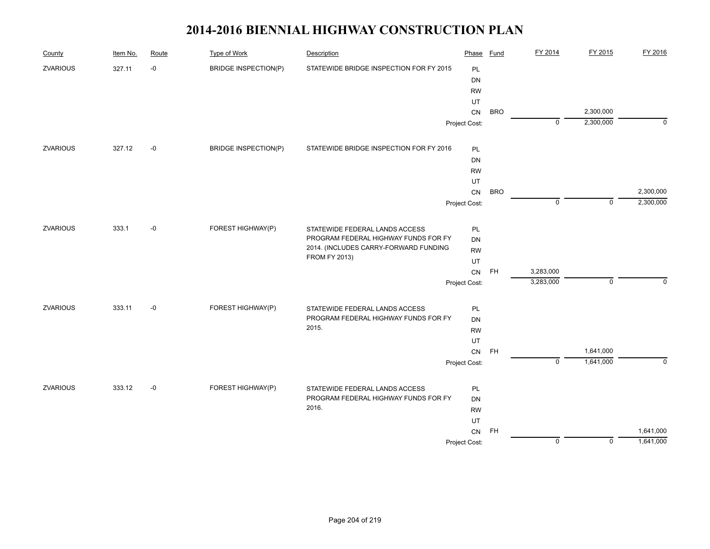| County          | Item No. | Route | <b>Type of Work</b>         | Description                             | Phase         | <b>Fund</b> | FY 2014        | FY 2015        | FY 2016   |
|-----------------|----------|-------|-----------------------------|-----------------------------------------|---------------|-------------|----------------|----------------|-----------|
| <b>ZVARIOUS</b> | 327.11   | $-0$  | <b>BRIDGE INSPECTION(P)</b> | STATEWIDE BRIDGE INSPECTION FOR FY 2015 | <b>PL</b>     |             |                |                |           |
|                 |          |       |                             |                                         | DN            |             |                |                |           |
|                 |          |       |                             |                                         | <b>RW</b>     |             |                |                |           |
|                 |          |       |                             |                                         | UT            |             |                |                |           |
|                 |          |       |                             |                                         | CN            | <b>BRO</b>  |                | 2,300,000      |           |
|                 |          |       |                             |                                         | Project Cost: |             | $\mathbf 0$    | 2,300,000      | $\Omega$  |
| <b>ZVARIOUS</b> | 327.12   | $-0$  | <b>BRIDGE INSPECTION(P)</b> | STATEWIDE BRIDGE INSPECTION FOR FY 2016 | PL            |             |                |                |           |
|                 |          |       |                             |                                         | DN            |             |                |                |           |
|                 |          |       |                             |                                         | <b>RW</b>     |             |                |                |           |
|                 |          |       |                             |                                         | UT            |             |                |                |           |
|                 |          |       |                             |                                         | CN            | <b>BRO</b>  |                |                | 2,300,000 |
|                 |          |       |                             |                                         | Project Cost: |             | $\mathbf 0$    | $\overline{0}$ | 2,300,000 |
| ZVARIOUS        | 333.1    | $-0$  | FOREST HIGHWAY(P)           | STATEWIDE FEDERAL LANDS ACCESS          | PL            |             |                |                |           |
|                 |          |       |                             | PROGRAM FEDERAL HIGHWAY FUNDS FOR FY    | DN            |             |                |                |           |
|                 |          |       |                             | 2014. (INCLUDES CARRY-FORWARD FUNDING   | <b>RW</b>     |             |                |                |           |
|                 |          |       |                             | <b>FROM FY 2013)</b>                    | UT            |             |                |                |           |
|                 |          |       |                             |                                         | ${\sf CN}$    | <b>FH</b>   | 3,283,000      |                |           |
|                 |          |       |                             |                                         | Project Cost: |             | 3,283,000      | $\mathbf 0$    | $\Omega$  |
| ZVARIOUS        | 333.11   | $-0$  | FOREST HIGHWAY(P)           | STATEWIDE FEDERAL LANDS ACCESS          | PL            |             |                |                |           |
|                 |          |       |                             | PROGRAM FEDERAL HIGHWAY FUNDS FOR FY    | DN            |             |                |                |           |
|                 |          |       |                             | 2015.                                   | <b>RW</b>     |             |                |                |           |
|                 |          |       |                             |                                         | UT            |             |                |                |           |
|                 |          |       |                             |                                         | ${\sf CN}$    | <b>FH</b>   |                | 1,641,000      |           |
|                 |          |       |                             |                                         | Project Cost: |             | $\overline{0}$ | 1,641,000      | $\Omega$  |
| <b>ZVARIOUS</b> | 333.12   | $-0$  | FOREST HIGHWAY(P)           | STATEWIDE FEDERAL LANDS ACCESS          | PL            |             |                |                |           |
|                 |          |       |                             | PROGRAM FEDERAL HIGHWAY FUNDS FOR FY    | DN            |             |                |                |           |
|                 |          |       |                             | 2016.                                   | <b>RW</b>     |             |                |                |           |
|                 |          |       |                             |                                         |               |             |                |                |           |
|                 |          |       |                             |                                         | CN            | <b>FH</b>   |                |                | 1,641,000 |
|                 |          |       |                             |                                         | Project Cost: |             | $\mathbf 0$    | $\mathbf 0$    | 1,641,000 |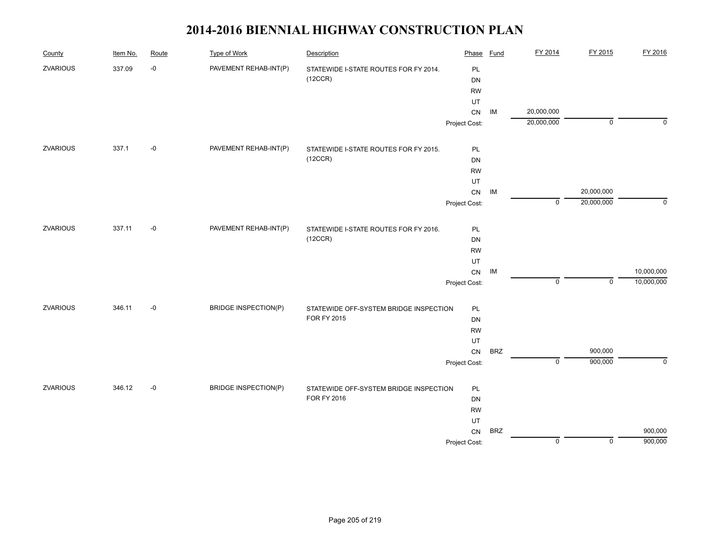| County          | Item No. | Route | <b>Type of Work</b>         | Description                                           | Phase           | <b>Fund</b> | FY 2014        | FY 2015            | FY 2016     |
|-----------------|----------|-------|-----------------------------|-------------------------------------------------------|-----------------|-------------|----------------|--------------------|-------------|
| <b>ZVARIOUS</b> | 337.09   | $-0$  | PAVEMENT REHAB-INT(P)       | STATEWIDE I-STATE ROUTES FOR FY 2014.                 | PL              |             |                |                    |             |
|                 |          |       |                             | (12CCR)                                               | DN              |             |                |                    |             |
|                 |          |       |                             |                                                       | <b>RW</b>       |             |                |                    |             |
|                 |          |       |                             |                                                       | UT              |             |                |                    |             |
|                 |          |       |                             |                                                       | ${\sf CN}$      | IM          | 20,000,000     |                    |             |
|                 |          |       |                             |                                                       | Project Cost:   |             | 20,000,000     | $\mathbf 0$        | $\mathbf 0$ |
| ZVARIOUS        | 337.1    | $-0$  | PAVEMENT REHAB-INT(P)       | STATEWIDE I-STATE ROUTES FOR FY 2015.                 | PL              |             |                |                    |             |
|                 |          |       |                             | (12CCR)                                               | <b>DN</b>       |             |                |                    |             |
|                 |          |       |                             |                                                       | <b>RW</b>       |             |                |                    |             |
|                 |          |       |                             |                                                       | UT              |             |                |                    |             |
|                 |          |       |                             |                                                       | ${\sf CN}$      | IM          |                | 20,000,000         |             |
|                 |          |       |                             |                                                       | Project Cost:   |             | $\mathbf 0$    | 20,000,000         | $\mathbf 0$ |
| ZVARIOUS        | 337.11   | $-0$  | PAVEMENT REHAB-INT(P)       |                                                       |                 |             |                |                    |             |
|                 |          |       |                             | STATEWIDE I-STATE ROUTES FOR FY 2016.<br>(12CCR)      | PL              |             |                |                    |             |
|                 |          |       |                             |                                                       | DN              |             |                |                    |             |
|                 |          |       |                             |                                                       | <b>RW</b><br>UT |             |                |                    |             |
|                 |          |       |                             |                                                       | ${\sf CN}$      | IM          |                |                    | 10,000,000  |
|                 |          |       |                             |                                                       | Project Cost:   |             | $\mathbf 0$    | $\mathbf 0$        | 10,000,000  |
|                 |          |       |                             |                                                       |                 |             |                |                    |             |
| <b>ZVARIOUS</b> | 346.11   | $-0$  | <b>BRIDGE INSPECTION(P)</b> | STATEWIDE OFF-SYSTEM BRIDGE INSPECTION<br>FOR FY 2015 | PL              |             |                |                    |             |
|                 |          |       |                             |                                                       | <b>DN</b>       |             |                |                    |             |
|                 |          |       |                             |                                                       | <b>RW</b>       |             |                |                    |             |
|                 |          |       |                             |                                                       | UT              |             |                |                    |             |
|                 |          |       |                             |                                                       | CN              | <b>BRZ</b>  | $\overline{0}$ | 900,000<br>900,000 | $\mathbf 0$ |
|                 |          |       |                             |                                                       | Project Cost:   |             |                |                    |             |
| ZVARIOUS        | 346.12   | $-0$  | <b>BRIDGE INSPECTION(P)</b> | STATEWIDE OFF-SYSTEM BRIDGE INSPECTION                | PL              |             |                |                    |             |
|                 |          |       |                             | FOR FY 2016                                           | <b>DN</b>       |             |                |                    |             |
|                 |          |       |                             |                                                       | <b>RW</b>       |             |                |                    |             |
|                 |          |       |                             |                                                       | UT              |             |                |                    |             |
|                 |          |       |                             |                                                       | CN              | <b>BRZ</b>  |                |                    | 900,000     |
|                 |          |       |                             |                                                       | Project Cost:   |             | $\mathbf 0$    | $\mathbf 0$        | 900,000     |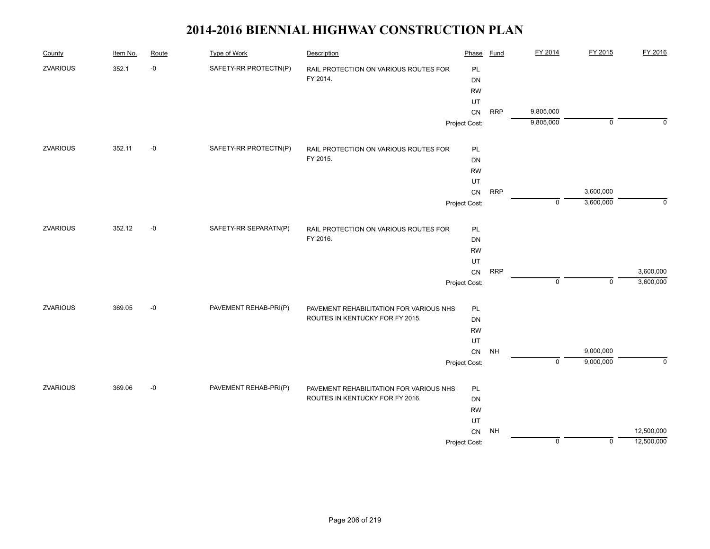| County          | Item No. | Route | <b>Type of Work</b>   | Description                             | Phase         | Fund       | FY 2014     | FY 2015     | FY 2016    |
|-----------------|----------|-------|-----------------------|-----------------------------------------|---------------|------------|-------------|-------------|------------|
| <b>ZVARIOUS</b> | 352.1    | $-0$  | SAFETY-RR PROTECTN(P) | RAIL PROTECTION ON VARIOUS ROUTES FOR   | PL            |            |             |             |            |
|                 |          |       |                       | FY 2014.                                | DN            |            |             |             |            |
|                 |          |       |                       |                                         | <b>RW</b>     |            |             |             |            |
|                 |          |       |                       |                                         | UT            |            |             |             |            |
|                 |          |       |                       |                                         | ${\sf CN}$    | <b>RRP</b> | 9,805,000   |             |            |
|                 |          |       |                       |                                         | Project Cost: |            | 9,805,000   | $\mathbf 0$ | $\Omega$   |
| ZVARIOUS        | 352.11   | $-0$  | SAFETY-RR PROTECTN(P) | RAIL PROTECTION ON VARIOUS ROUTES FOR   | PL            |            |             |             |            |
|                 |          |       |                       | FY 2015.                                | DN            |            |             |             |            |
|                 |          |       |                       |                                         | <b>RW</b>     |            |             |             |            |
|                 |          |       |                       |                                         | UT            |            |             |             |            |
|                 |          |       |                       |                                         | ${\sf CN}$    | <b>RRP</b> |             | 3,600,000   |            |
|                 |          |       |                       |                                         | Project Cost: |            | $\mathbf 0$ | 3,600,000   | 0          |
| <b>ZVARIOUS</b> | 352.12   | $-0$  | SAFETY-RR SEPARATN(P) | RAIL PROTECTION ON VARIOUS ROUTES FOR   | PL            |            |             |             |            |
|                 |          |       |                       | FY 2016.                                | DN            |            |             |             |            |
|                 |          |       |                       |                                         | <b>RW</b>     |            |             |             |            |
|                 |          |       |                       |                                         | UT            |            |             |             |            |
|                 |          |       |                       |                                         | CN            | <b>RRP</b> |             |             | 3,600,000  |
|                 |          |       |                       |                                         | Project Cost: |            | $\mathbf 0$ | $\mathbf 0$ | 3,600,000  |
| <b>ZVARIOUS</b> | 369.05   | $-0$  | PAVEMENT REHAB-PRI(P) | PAVEMENT REHABILITATION FOR VARIOUS NHS | PL            |            |             |             |            |
|                 |          |       |                       | ROUTES IN KENTUCKY FOR FY 2015.         | DN            |            |             |             |            |
|                 |          |       |                       |                                         | <b>RW</b>     |            |             |             |            |
|                 |          |       |                       |                                         | UT            |            |             |             |            |
|                 |          |       |                       |                                         | ${\sf CN}$    | <b>NH</b>  |             | 9,000,000   |            |
|                 |          |       |                       |                                         | Project Cost: |            | $\mathbf 0$ | 9,000,000   | $\Omega$   |
| ZVARIOUS        | 369.06   | $-0$  | PAVEMENT REHAB-PRI(P) | PAVEMENT REHABILITATION FOR VARIOUS NHS | PL            |            |             |             |            |
|                 |          |       |                       | ROUTES IN KENTUCKY FOR FY 2016.         | DN            |            |             |             |            |
|                 |          |       |                       |                                         | <b>RW</b>     |            |             |             |            |
|                 |          |       |                       |                                         | UT            |            |             |             |            |
|                 |          |       |                       |                                         | CN            | NH         |             |             | 12,500,000 |
|                 |          |       |                       |                                         | Project Cost: |            | $\mathbf 0$ | 0           | 12,500,000 |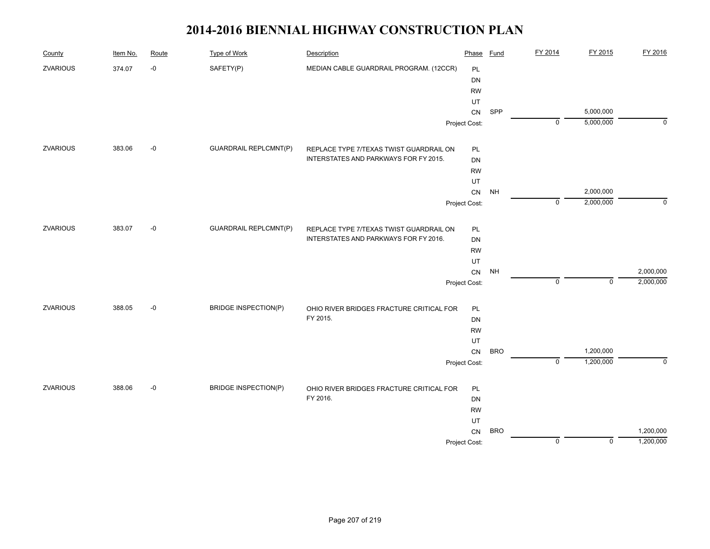| County          | Item No. | Route | <b>Type of Work</b>          | Description                              | Phase         | <b>Fund</b> | FY 2014        | FY 2015     | FY 2016     |
|-----------------|----------|-------|------------------------------|------------------------------------------|---------------|-------------|----------------|-------------|-------------|
| ZVARIOUS        | 374.07   | -0    | SAFETY(P)                    | MEDIAN CABLE GUARDRAIL PROGRAM. (12CCR)  | PL            |             |                |             |             |
|                 |          |       |                              |                                          | DN            |             |                |             |             |
|                 |          |       |                              |                                          | <b>RW</b>     |             |                |             |             |
|                 |          |       |                              |                                          | UT            |             |                |             |             |
|                 |          |       |                              |                                          | ${\sf CN}$    | SPP         |                | 5,000,000   |             |
|                 |          |       |                              |                                          | Project Cost: |             | $\mathbf 0$    | 5,000,000   | $\Omega$    |
| <b>ZVARIOUS</b> | 383.06   | $-0$  | <b>GUARDRAIL REPLCMNT(P)</b> | REPLACE TYPE 7/TEXAS TWIST GUARDRAIL ON  | PL            |             |                |             |             |
|                 |          |       |                              | INTERSTATES AND PARKWAYS FOR FY 2015.    | DN            |             |                |             |             |
|                 |          |       |                              |                                          | <b>RW</b>     |             |                |             |             |
|                 |          |       |                              |                                          | UT            |             |                |             |             |
|                 |          |       |                              |                                          | ${\sf CN}$    | <b>NH</b>   |                | 2,000,000   |             |
|                 |          |       |                              |                                          | Project Cost: |             | $\mathbf 0$    | 2,000,000   | $\mathbf 0$ |
| <b>ZVARIOUS</b> | 383.07   | $-0$  | <b>GUARDRAIL REPLCMNT(P)</b> | REPLACE TYPE 7/TEXAS TWIST GUARDRAIL ON  | PL            |             |                |             |             |
|                 |          |       |                              | INTERSTATES AND PARKWAYS FOR FY 2016.    | DN            |             |                |             |             |
|                 |          |       |                              |                                          | <b>RW</b>     |             |                |             |             |
|                 |          |       |                              |                                          | UT            |             |                |             |             |
|                 |          |       |                              |                                          | ${\sf CN}$    | <b>NH</b>   |                |             | 2,000,000   |
|                 |          |       |                              |                                          | Project Cost: |             | $\mathbf 0$    | $\mathbf 0$ | 2,000,000   |
| <b>ZVARIOUS</b> | 388.05   | $-0$  | <b>BRIDGE INSPECTION(P)</b>  | OHIO RIVER BRIDGES FRACTURE CRITICAL FOR | PL            |             |                |             |             |
|                 |          |       |                              | FY 2015.                                 | <b>DN</b>     |             |                |             |             |
|                 |          |       |                              |                                          | <b>RW</b>     |             |                |             |             |
|                 |          |       |                              |                                          | UT            |             |                |             |             |
|                 |          |       |                              |                                          | CN            | <b>BRO</b>  |                | 1,200,000   |             |
|                 |          |       |                              |                                          | Project Cost: |             | $\overline{0}$ | 1,200,000   | $\mathbf 0$ |
| <b>ZVARIOUS</b> | 388.06   | $-0$  | <b>BRIDGE INSPECTION(P)</b>  | OHIO RIVER BRIDGES FRACTURE CRITICAL FOR | PL            |             |                |             |             |
|                 |          |       |                              | FY 2016.                                 | <b>DN</b>     |             |                |             |             |
|                 |          |       |                              |                                          | <b>RW</b>     |             |                |             |             |
|                 |          |       |                              |                                          | UT            |             |                |             |             |
|                 |          |       |                              |                                          | CN            | <b>BRO</b>  |                |             | 1,200,000   |
|                 |          |       |                              |                                          | Project Cost: |             | $\mathsf 0$    | $\mathbf 0$ | 1,200,000   |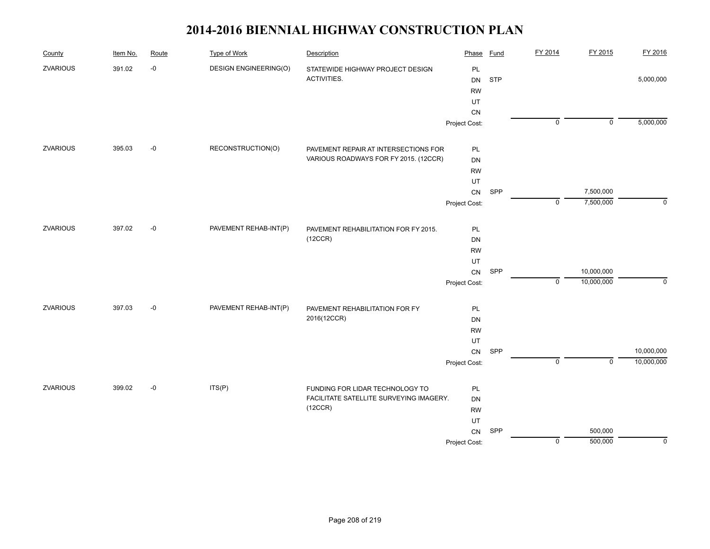| County          | Item No. | Route | <b>Type of Work</b>          | Description                             | Phase         | <b>Fund</b> | FY 2014        | FY 2015        | FY 2016     |
|-----------------|----------|-------|------------------------------|-----------------------------------------|---------------|-------------|----------------|----------------|-------------|
| ZVARIOUS        | 391.02   | $-0$  | <b>DESIGN ENGINEERING(O)</b> | STATEWIDE HIGHWAY PROJECT DESIGN        | PL            |             |                |                |             |
|                 |          |       |                              | ACTIVITIES.                             | <b>DN</b>     | <b>STP</b>  |                |                | 5,000,000   |
|                 |          |       |                              |                                         | <b>RW</b>     |             |                |                |             |
|                 |          |       |                              |                                         | UT            |             |                |                |             |
|                 |          |       |                              |                                         | <b>CN</b>     |             |                |                |             |
|                 |          |       |                              |                                         | Project Cost: |             | $\overline{0}$ | $\overline{0}$ | 5,000,000   |
| ZVARIOUS        | 395.03   | $-0$  | RECONSTRUCTION(O)            | PAVEMENT REPAIR AT INTERSECTIONS FOR    | PL            |             |                |                |             |
|                 |          |       |                              | VARIOUS ROADWAYS FOR FY 2015. (12CCR)   | DN            |             |                |                |             |
|                 |          |       |                              |                                         | <b>RW</b>     |             |                |                |             |
|                 |          |       |                              |                                         | UT            |             |                |                |             |
|                 |          |       |                              |                                         | ${\sf CN}$    | SPP         |                | 7,500,000      |             |
|                 |          |       |                              |                                         | Project Cost: |             | $\mathbf 0$    | 7,500,000      | $\mathbf 0$ |
| ZVARIOUS        | 397.02   | $-0$  | PAVEMENT REHAB-INT(P)        | PAVEMENT REHABILITATION FOR FY 2015.    | PL            |             |                |                |             |
|                 |          |       |                              | (12CCR)                                 | DN            |             |                |                |             |
|                 |          |       |                              |                                         | <b>RW</b>     |             |                |                |             |
|                 |          |       |                              |                                         | UT            |             |                |                |             |
|                 |          |       |                              |                                         | ${\sf CN}$    | SPP         |                | 10,000,000     |             |
|                 |          |       |                              |                                         | Project Cost: |             | $\mathbf 0$    | 10,000,000     | $\mathbf 0$ |
| ZVARIOUS        | 397.03   | $-0$  | PAVEMENT REHAB-INT(P)        | PAVEMENT REHABILITATION FOR FY          | PL            |             |                |                |             |
|                 |          |       |                              | 2016(12CCR)                             | DN            |             |                |                |             |
|                 |          |       |                              |                                         | <b>RW</b>     |             |                |                |             |
|                 |          |       |                              |                                         | UT            |             |                |                |             |
|                 |          |       |                              |                                         | CN            | SPP         |                |                | 10,000,000  |
|                 |          |       |                              |                                         | Project Cost: |             | $\mathbf 0$    | $\mathbf 0$    | 10,000,000  |
| <b>ZVARIOUS</b> | 399.02   | $-0$  | ITS(P)                       | FUNDING FOR LIDAR TECHNOLOGY TO         | PL            |             |                |                |             |
|                 |          |       |                              | FACILITATE SATELLITE SURVEYING IMAGERY. | DN            |             |                |                |             |
|                 |          |       |                              | (12CCR)                                 | <b>RW</b>     |             |                |                |             |
|                 |          |       |                              |                                         | UT            |             |                |                |             |
|                 |          |       |                              |                                         | CN            | SPP         |                | 500,000        |             |
|                 |          |       |                              |                                         | Project Cost: |             | $\mathbf 0$    | 500,000        | 0           |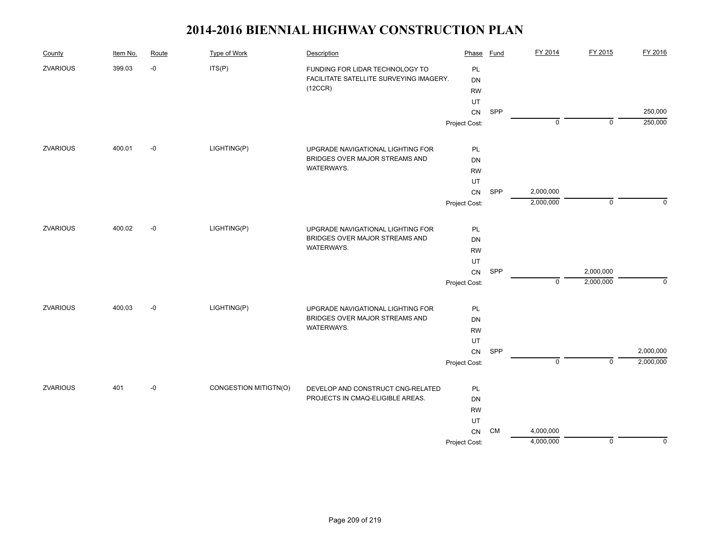| FY 2014<br><b>Type of Work</b><br>Route<br>Description<br>Phase<br><b>Fund</b><br>County<br>Item No.                                                          | FY 2015<br>FY 2016                |
|---------------------------------------------------------------------------------------------------------------------------------------------------------------|-----------------------------------|
| <b>ZVARIOUS</b><br>399.03<br>$-0$<br>ITS(P)<br>PL<br>FUNDING FOR LIDAR TECHNOLOGY TO<br>FACILITATE SATELLITE SURVEYING IMAGERY.<br>DN<br>(12CCR)<br><b>RW</b> |                                   |
| UT                                                                                                                                                            |                                   |
| SPP<br>CN<br>$\mathbf 0$                                                                                                                                      | 250,000<br>250,000<br>$\mathbf 0$ |
| Project Cost:                                                                                                                                                 |                                   |
| LIGHTING(P)<br><b>ZVARIOUS</b><br>400.01<br>$-0$<br>UPGRADE NAVIGATIONAL LIGHTING FOR<br>PL                                                                   |                                   |
| BRIDGES OVER MAJOR STREAMS AND<br>DN                                                                                                                          |                                   |
| WATERWAYS.<br><b>RW</b>                                                                                                                                       |                                   |
| UT                                                                                                                                                            |                                   |
| SPP<br>2,000,000<br>CN                                                                                                                                        |                                   |
| 2,000,000<br>Project Cost:                                                                                                                                    | $\mathbf 0$<br>$\Omega$           |
| 400.02<br>$-0$<br>LIGHTING(P)<br><b>ZVARIOUS</b><br>UPGRADE NAVIGATIONAL LIGHTING FOR<br>PL                                                                   |                                   |
| BRIDGES OVER MAJOR STREAMS AND<br>DN                                                                                                                          |                                   |
| WATERWAYS.<br><b>RW</b>                                                                                                                                       |                                   |
| UT                                                                                                                                                            |                                   |
| 2,000,000<br>SPP<br>CN                                                                                                                                        |                                   |
| 2,000,000<br>$\mathbf 0$<br>Project Cost:                                                                                                                     | $\mathbf 0$                       |
| <b>ZVARIOUS</b><br>LIGHTING(P)<br>400.03<br>$-0$<br>PL<br>UPGRADE NAVIGATIONAL LIGHTING FOR                                                                   |                                   |
| BRIDGES OVER MAJOR STREAMS AND<br>DN                                                                                                                          |                                   |
| WATERWAYS.<br><b>RW</b>                                                                                                                                       |                                   |
| UT                                                                                                                                                            |                                   |
| SPP<br>CN                                                                                                                                                     | 2,000,000                         |
| $\mathbf 0$<br>Project Cost:                                                                                                                                  | $\overline{0}$<br>2,000,000       |
|                                                                                                                                                               |                                   |
| <b>ZVARIOUS</b><br>401<br>$-0$<br>CONGESTION MITIGTN(O)<br>DEVELOP AND CONSTRUCT CNG-RELATED<br>PL<br>PROJECTS IN CMAQ-ELIGIBLE AREAS.                        |                                   |
| <b>DN</b>                                                                                                                                                     |                                   |
| <b>RW</b><br>UT                                                                                                                                               |                                   |
| <b>CM</b><br>CN<br>4,000,000                                                                                                                                  |                                   |
| 4,000,000<br>Project Cost:                                                                                                                                    | $\mathbf 0$<br>$\mathbf 0$        |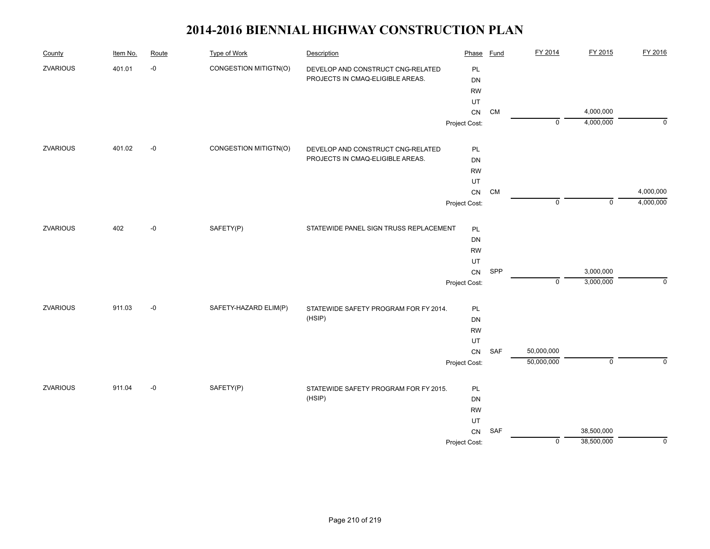| County          | Item No. | Route | <b>Type of Work</b>   | Description                            | Phase         | <b>Fund</b> | FY 2014     | FY 2015        | FY 2016     |
|-----------------|----------|-------|-----------------------|----------------------------------------|---------------|-------------|-------------|----------------|-------------|
| <b>ZVARIOUS</b> | 401.01   | $-0$  | CONGESTION MITIGTN(O) | DEVELOP AND CONSTRUCT CNG-RELATED      | PL            |             |             |                |             |
|                 |          |       |                       | PROJECTS IN CMAQ-ELIGIBLE AREAS.       | DN            |             |             |                |             |
|                 |          |       |                       |                                        | <b>RW</b>     |             |             |                |             |
|                 |          |       |                       |                                        | UT            |             |             |                |             |
|                 |          |       |                       |                                        | ${\sf CN}$    | <b>CM</b>   |             | 4,000,000      |             |
|                 |          |       |                       |                                        | Project Cost: |             | $\mathbf 0$ | 4,000,000      | $\mathbf 0$ |
| ZVARIOUS        | 401.02   | $-0$  | CONGESTION MITIGTN(O) | DEVELOP AND CONSTRUCT CNG-RELATED      | PL            |             |             |                |             |
|                 |          |       |                       | PROJECTS IN CMAQ-ELIGIBLE AREAS.       | DN            |             |             |                |             |
|                 |          |       |                       |                                        | <b>RW</b>     |             |             |                |             |
|                 |          |       |                       |                                        | UT            |             |             |                |             |
|                 |          |       |                       |                                        | CN            | CM          |             |                | 4,000,000   |
|                 |          |       |                       |                                        | Project Cost: |             | $\mathbf 0$ | $\overline{0}$ | 4,000,000   |
| ZVARIOUS        | 402      | $-0$  | SAFETY(P)             | STATEWIDE PANEL SIGN TRUSS REPLACEMENT | PL            |             |             |                |             |
|                 |          |       |                       |                                        | DN            |             |             |                |             |
|                 |          |       |                       |                                        | <b>RW</b>     |             |             |                |             |
|                 |          |       |                       |                                        | UT            |             |             |                |             |
|                 |          |       |                       |                                        | ${\sf CN}$    | SPP         |             | 3,000,000      |             |
|                 |          |       |                       |                                        | Project Cost: |             | $\pmb{0}$   | 3,000,000      | $\mathbf 0$ |
| ZVARIOUS        | 911.03   | $-0$  | SAFETY-HAZARD ELIM(P) | STATEWIDE SAFETY PROGRAM FOR FY 2014.  | PL            |             |             |                |             |
|                 |          |       |                       | (HSIP)                                 | DN            |             |             |                |             |
|                 |          |       |                       |                                        | <b>RW</b>     |             |             |                |             |
|                 |          |       |                       |                                        | UT            |             |             |                |             |
|                 |          |       |                       |                                        | ${\sf CN}$    | SAF         | 50,000,000  |                |             |
|                 |          |       |                       |                                        | Project Cost: |             | 50,000,000  | $\overline{0}$ | $\mathbf 0$ |
| ZVARIOUS        | 911.04   | $-0$  | SAFETY(P)             | STATEWIDE SAFETY PROGRAM FOR FY 2015.  | PL            |             |             |                |             |
|                 |          |       |                       | (HSIP)                                 | DN            |             |             |                |             |
|                 |          |       |                       |                                        | <b>RW</b>     |             |             |                |             |
|                 |          |       |                       |                                        | UT            |             |             |                |             |
|                 |          |       |                       |                                        | CN            | SAF         |             | 38,500,000     |             |
|                 |          |       |                       |                                        | Project Cost: |             | $\pmb{0}$   | 38,500,000     | $\mathbf 0$ |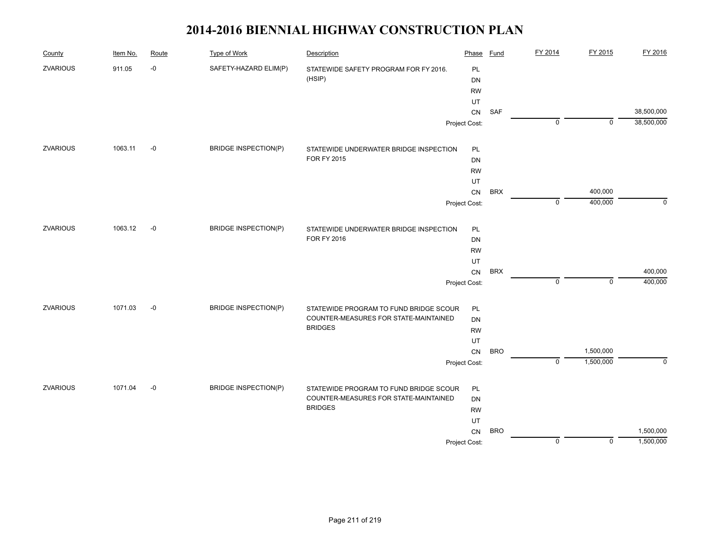| County          | Item No. | Route | <b>Type of Work</b>         | Description                            | Phase         | Fund       | FY 2014        | FY 2015     | FY 2016        |
|-----------------|----------|-------|-----------------------------|----------------------------------------|---------------|------------|----------------|-------------|----------------|
| <b>ZVARIOUS</b> | 911.05   | $-0$  | SAFETY-HAZARD ELIM(P)       | STATEWIDE SAFETY PROGRAM FOR FY 2016.  | PL            |            |                |             |                |
|                 |          |       |                             | (HSIP)                                 | DN            |            |                |             |                |
|                 |          |       |                             |                                        | <b>RW</b>     |            |                |             |                |
|                 |          |       |                             |                                        | UT            |            |                |             |                |
|                 |          |       |                             |                                        | ${\sf CN}$    | <b>SAF</b> |                |             | 38,500,000     |
|                 |          |       |                             |                                        | Project Cost: |            | $\mathbf 0$    | $\mathbf 0$ | 38,500,000     |
| <b>ZVARIOUS</b> | 1063.11  | -0    | <b>BRIDGE INSPECTION(P)</b> | STATEWIDE UNDERWATER BRIDGE INSPECTION | PL            |            |                |             |                |
|                 |          |       |                             | <b>FOR FY 2015</b>                     | DN            |            |                |             |                |
|                 |          |       |                             |                                        | <b>RW</b>     |            |                |             |                |
|                 |          |       |                             |                                        | UT            |            |                |             |                |
|                 |          |       |                             |                                        | ${\sf CN}$    | <b>BRX</b> |                | 400,000     |                |
|                 |          |       |                             |                                        | Project Cost: |            | $\mathbf 0$    | 400,000     | $\mathbf 0$    |
| ZVARIOUS        | 1063.12  | $-0$  | <b>BRIDGE INSPECTION(P)</b> | STATEWIDE UNDERWATER BRIDGE INSPECTION | PL            |            |                |             |                |
|                 |          |       |                             | FOR FY 2016                            | DN            |            |                |             |                |
|                 |          |       |                             |                                        | <b>RW</b>     |            |                |             |                |
|                 |          |       |                             |                                        | UT            |            |                |             |                |
|                 |          |       |                             |                                        | ${\sf CN}$    | <b>BRX</b> |                |             | 400,000        |
|                 |          |       |                             |                                        | Project Cost: |            | $\mathbf 0$    | $\mathbf 0$ | 400,000        |
| ZVARIOUS        | 1071.03  | $-0$  | <b>BRIDGE INSPECTION(P)</b> | STATEWIDE PROGRAM TO FUND BRIDGE SCOUR | PL            |            |                |             |                |
|                 |          |       |                             | COUNTER-MEASURES FOR STATE-MAINTAINED  | DN            |            |                |             |                |
|                 |          |       |                             | <b>BRIDGES</b>                         | <b>RW</b>     |            |                |             |                |
|                 |          |       |                             |                                        | UT            |            |                |             |                |
|                 |          |       |                             |                                        | ${\sf CN}$    | <b>BRO</b> |                | 1,500,000   |                |
|                 |          |       |                             |                                        | Project Cost: |            | $\overline{0}$ | 1,500,000   | $\overline{0}$ |
| <b>ZVARIOUS</b> | 1071.04  | $-0$  | <b>BRIDGE INSPECTION(P)</b> | STATEWIDE PROGRAM TO FUND BRIDGE SCOUR | PL            |            |                |             |                |
|                 |          |       |                             | COUNTER-MEASURES FOR STATE-MAINTAINED  | DN            |            |                |             |                |
|                 |          |       |                             | <b>BRIDGES</b>                         | <b>RW</b>     |            |                |             |                |
|                 |          |       |                             |                                        | UT            |            |                |             |                |
|                 |          |       |                             |                                        | CN            | <b>BRO</b> |                |             | 1,500,000      |
|                 |          |       |                             |                                        | Project Cost: |            | $\pmb{0}$      | $\mathsf 0$ | 1,500,000      |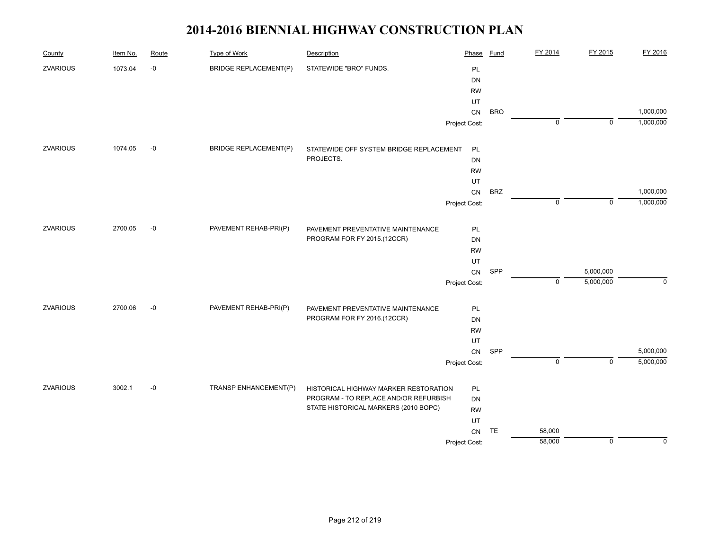| County          | Item No. | Route | <b>Type of Work</b>          | Description                             | Phase         | <b>Fund</b> | FY 2014     | FY 2015        | FY 2016     |
|-----------------|----------|-------|------------------------------|-----------------------------------------|---------------|-------------|-------------|----------------|-------------|
| <b>ZVARIOUS</b> | 1073.04  | $-0$  | <b>BRIDGE REPLACEMENT(P)</b> | STATEWIDE "BRO" FUNDS.                  | PL            |             |             |                |             |
|                 |          |       |                              |                                         | DN            |             |             |                |             |
|                 |          |       |                              |                                         | <b>RW</b>     |             |             |                |             |
|                 |          |       |                              |                                         | UT            |             |             |                |             |
|                 |          |       |                              |                                         | CN            | <b>BRO</b>  |             |                | 1,000,000   |
|                 |          |       |                              |                                         | Project Cost: |             | $\mathbf 0$ | $\mathbf 0$    | 1,000,000   |
| <b>ZVARIOUS</b> | 1074.05  | $-0$  | <b>BRIDGE REPLACEMENT(P)</b> | STATEWIDE OFF SYSTEM BRIDGE REPLACEMENT | PL            |             |             |                |             |
|                 |          |       |                              | PROJECTS.                               | <b>DN</b>     |             |             |                |             |
|                 |          |       |                              |                                         | <b>RW</b>     |             |             |                |             |
|                 |          |       |                              |                                         | UT            |             |             |                |             |
|                 |          |       |                              |                                         | CN            | <b>BRZ</b>  |             |                | 1,000,000   |
|                 |          |       |                              |                                         | Project Cost: |             | $\mathsf 0$ | $\mathsf 0$    | 1,000,000   |
| <b>ZVARIOUS</b> | 2700.05  | $-0$  | PAVEMENT REHAB-PRI(P)        | PAVEMENT PREVENTATIVE MAINTENANCE       | PL            |             |             |                |             |
|                 |          |       |                              | PROGRAM FOR FY 2015.(12CCR)             | <b>DN</b>     |             |             |                |             |
|                 |          |       |                              |                                         | <b>RW</b>     |             |             |                |             |
|                 |          |       |                              |                                         | UT            |             |             |                |             |
|                 |          |       |                              |                                         | CN            | SPP         |             | 5,000,000      |             |
|                 |          |       |                              |                                         | Project Cost: |             | $\mathbf 0$ | 5,000,000      | $\mathbf 0$ |
| <b>ZVARIOUS</b> | 2700.06  | $-0$  | PAVEMENT REHAB-PRI(P)        | PAVEMENT PREVENTATIVE MAINTENANCE       | PL            |             |             |                |             |
|                 |          |       |                              | PROGRAM FOR FY 2016.(12CCR)             | <b>DN</b>     |             |             |                |             |
|                 |          |       |                              |                                         | <b>RW</b>     |             |             |                |             |
|                 |          |       |                              |                                         | UT            |             |             |                |             |
|                 |          |       |                              |                                         | CN            | SPP         |             |                | 5,000,000   |
|                 |          |       |                              |                                         | Project Cost: |             | $\mathbf 0$ | $\overline{0}$ | 5,000,000   |
| <b>ZVARIOUS</b> | 3002.1   | $-0$  | TRANSP ENHANCEMENT(P)        | HISTORICAL HIGHWAY MARKER RESTORATION   | PL            |             |             |                |             |
|                 |          |       |                              | PROGRAM - TO REPLACE AND/OR REFURBISH   | <b>DN</b>     |             |             |                |             |
|                 |          |       |                              | STATE HISTORICAL MARKERS (2010 BOPC)    | <b>RW</b>     |             |             |                |             |
|                 |          |       |                              |                                         | UT            |             |             |                |             |
|                 |          |       |                              |                                         | CN            | TE          | 58,000      |                |             |
|                 |          |       |                              |                                         | Project Cost: |             | 58,000      | $\pmb{0}$      | $\Omega$    |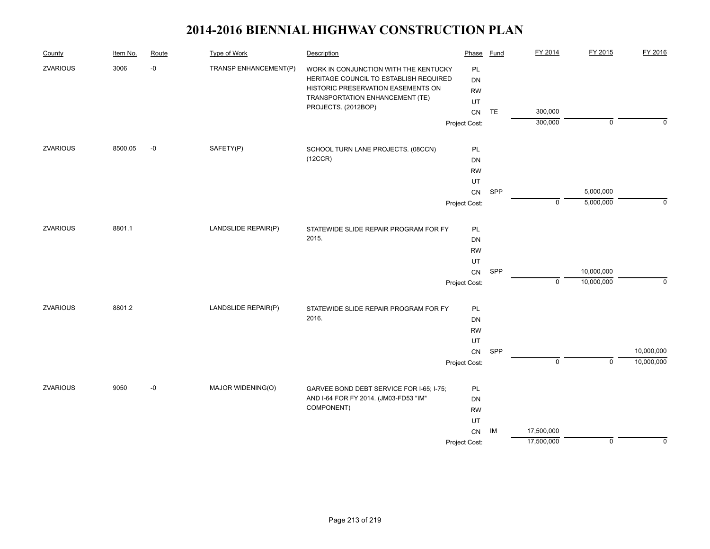| County          | Item No. | Route | <b>Type of Work</b>   | Description                              | Phase               | Fund | FY 2014        | FY 2015        | FY 2016     |
|-----------------|----------|-------|-----------------------|------------------------------------------|---------------------|------|----------------|----------------|-------------|
| <b>ZVARIOUS</b> | 3006     | $-0$  | TRANSP ENHANCEMENT(P) | WORK IN CONJUNCTION WITH THE KENTUCKY    | PL                  |      |                |                |             |
|                 |          |       |                       | HERITAGE COUNCIL TO ESTABLISH REQUIRED   | <b>DN</b>           |      |                |                |             |
|                 |          |       |                       | HISTORIC PRESERVATION EASEMENTS ON       | <b>RW</b>           |      |                |                |             |
|                 |          |       |                       | TRANSPORTATION ENHANCEMENT (TE)          | UT                  |      |                |                |             |
|                 |          |       |                       | PROJECTS. (2012BOP)                      | ${\sf CN}$          | TE   | 300,000        |                |             |
|                 |          |       |                       |                                          | Project Cost:       |      | 300,000        | $\mathbf 0$    | $\Omega$    |
| <b>ZVARIOUS</b> | 8500.05  | $-0$  | SAFETY(P)             | SCHOOL TURN LANE PROJECTS. (08CCN)       | <b>PL</b>           |      |                |                |             |
|                 |          |       |                       | (12CCR)                                  | DN                  |      |                |                |             |
|                 |          |       |                       |                                          | <b>RW</b>           |      |                |                |             |
|                 |          |       |                       |                                          | UT                  |      |                |                |             |
|                 |          |       |                       |                                          |                     | SPP  |                | 5,000,000      |             |
|                 |          |       |                       |                                          | CN<br>Project Cost: |      | $\mathbf 0$    | 5,000,000      | $\Omega$    |
|                 |          |       |                       |                                          |                     |      |                |                |             |
| <b>ZVARIOUS</b> | 8801.1   |       | LANDSLIDE REPAIR(P)   | STATEWIDE SLIDE REPAIR PROGRAM FOR FY    | PL                  |      |                |                |             |
|                 |          |       |                       | 2015.                                    | <b>DN</b>           |      |                |                |             |
|                 |          |       |                       |                                          | <b>RW</b>           |      |                |                |             |
|                 |          |       |                       |                                          | UT                  |      |                |                |             |
|                 |          |       |                       |                                          | ${\sf CN}$          | SPP  |                | 10,000,000     |             |
|                 |          |       |                       |                                          | Project Cost:       |      | $\mathbf 0$    | 10,000,000     | $\mathbf 0$ |
| <b>ZVARIOUS</b> | 8801.2   |       | LANDSLIDE REPAIR(P)   | STATEWIDE SLIDE REPAIR PROGRAM FOR FY    | PL                  |      |                |                |             |
|                 |          |       |                       | 2016.                                    | DN                  |      |                |                |             |
|                 |          |       |                       |                                          | <b>RW</b>           |      |                |                |             |
|                 |          |       |                       |                                          | UT                  |      |                |                |             |
|                 |          |       |                       |                                          | CN                  | SPP  |                |                | 10,000,000  |
|                 |          |       |                       |                                          | Project Cost:       |      | $\overline{0}$ | $\overline{0}$ | 10,000,000  |
|                 |          |       |                       |                                          |                     |      |                |                |             |
| <b>ZVARIOUS</b> | 9050     | $-0$  | MAJOR WIDENING(O)     | GARVEE BOND DEBT SERVICE FOR I-65; I-75; | PL                  |      |                |                |             |
|                 |          |       |                       | AND I-64 FOR FY 2014. (JM03-FD53 "IM"    | DN                  |      |                |                |             |
|                 |          |       |                       | COMPONENT)                               | <b>RW</b>           |      |                |                |             |
|                 |          |       |                       |                                          | UT                  |      |                |                |             |
|                 |          |       |                       |                                          | ${\sf CN}$          | IM   | 17,500,000     |                |             |
|                 |          |       |                       |                                          | Project Cost:       |      | 17,500,000     | $\mathbf 0$    | $\Omega$    |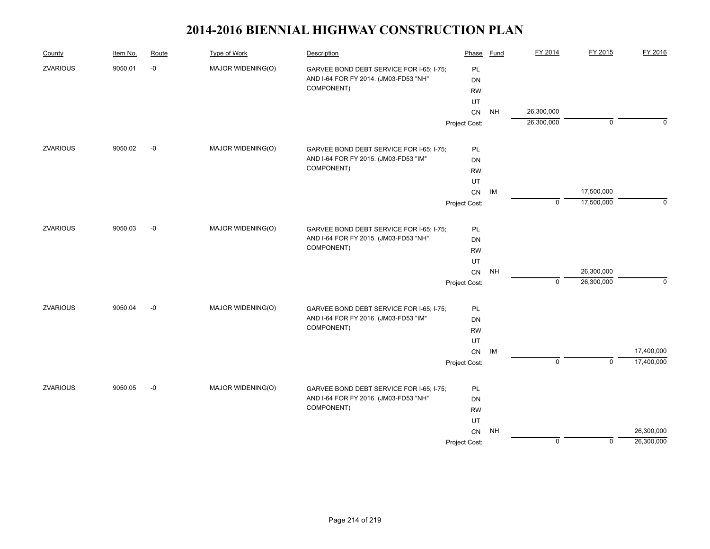| County          | Item No. | Route | Type of Work      | Description                                                                       | Phase         | <b>Fund</b> | FY 2014     | FY 2015     | FY 2016     |
|-----------------|----------|-------|-------------------|-----------------------------------------------------------------------------------|---------------|-------------|-------------|-------------|-------------|
| <b>ZVARIOUS</b> | 9050.01  | $-0$  | MAJOR WIDENING(O) | GARVEE BOND DEBT SERVICE FOR I-65; I-75;                                          | PL            |             |             |             |             |
|                 |          |       |                   | AND I-64 FOR FY 2014. (JM03-FD53 "NH"                                             | <b>DN</b>     |             |             |             |             |
|                 |          |       |                   | COMPONENT)                                                                        | <b>RW</b>     |             |             |             |             |
|                 |          |       |                   |                                                                                   | UT            |             |             |             |             |
|                 |          |       |                   |                                                                                   | CN            | <b>NH</b>   | 26,300,000  |             |             |
|                 |          |       |                   |                                                                                   | Project Cost: |             | 26,300,000  | $\mathbf 0$ | $\Omega$    |
| <b>ZVARIOUS</b> | 9050.02  | $-0$  | MAJOR WIDENING(O) | GARVEE BOND DEBT SERVICE FOR I-65; I-75;                                          | PL            |             |             |             |             |
|                 |          |       |                   | AND I-64 FOR FY 2015. (JM03-FD53 "IM"                                             | DN            |             |             |             |             |
|                 |          |       |                   | COMPONENT)                                                                        | <b>RW</b>     |             |             |             |             |
|                 |          |       |                   |                                                                                   | UT            |             |             |             |             |
|                 |          |       |                   |                                                                                   | ${\sf CN}$    | IM          |             | 17,500,000  |             |
|                 |          |       |                   |                                                                                   | Project Cost: |             | $\mathbf 0$ | 17,500,000  | $\mathbf 0$ |
|                 |          |       |                   |                                                                                   |               |             |             |             |             |
| <b>ZVARIOUS</b> | 9050.03  | $-0$  | MAJOR WIDENING(O) | GARVEE BOND DEBT SERVICE FOR I-65; I-75;                                          | PL            |             |             |             |             |
|                 |          |       |                   | AND I-64 FOR FY 2015. (JM03-FD53 "NH"                                             | <b>DN</b>     |             |             |             |             |
|                 |          |       |                   | COMPONENT)                                                                        | <b>RW</b>     |             |             |             |             |
|                 |          |       |                   |                                                                                   | UT            |             |             |             |             |
|                 |          |       |                   |                                                                                   | ${\sf CN}$    | NH          |             | 26,300,000  |             |
|                 |          |       |                   |                                                                                   | Project Cost: |             | $\mathbf 0$ | 26,300,000  | $\mathbf 0$ |
| <b>ZVARIOUS</b> | 9050.04  | $-0$  | MAJOR WIDENING(O) | GARVEE BOND DEBT SERVICE FOR I-65; I-75;                                          | PL            |             |             |             |             |
|                 |          |       |                   | AND I-64 FOR FY 2016. (JM03-FD53 "IM"                                             | DN            |             |             |             |             |
|                 |          |       |                   | COMPONENT)                                                                        | <b>RW</b>     |             |             |             |             |
|                 |          |       |                   |                                                                                   | UT            |             |             |             |             |
|                 |          |       |                   |                                                                                   | CN            | IM          |             |             | 17,400,000  |
|                 |          |       |                   |                                                                                   | Project Cost: |             | $\mathbf 0$ | $\mathbf 0$ | 17,400,000  |
| <b>ZVARIOUS</b> | 9050.05  | $-0$  |                   |                                                                                   |               |             |             |             |             |
|                 |          |       | MAJOR WIDENING(O) | GARVEE BOND DEBT SERVICE FOR I-65; I-75;<br>AND I-64 FOR FY 2016. (JM03-FD53 "NH" | PL<br>DN      |             |             |             |             |
|                 |          |       |                   | COMPONENT)                                                                        | <b>RW</b>     |             |             |             |             |
|                 |          |       |                   |                                                                                   | UT            |             |             |             |             |
|                 |          |       |                   |                                                                                   | CN            | <b>NH</b>   |             |             | 26,300,000  |
|                 |          |       |                   |                                                                                   | Project Cost: |             | $\mathbf 0$ | $\mathbf 0$ | 26,300,000  |
|                 |          |       |                   |                                                                                   |               |             |             |             |             |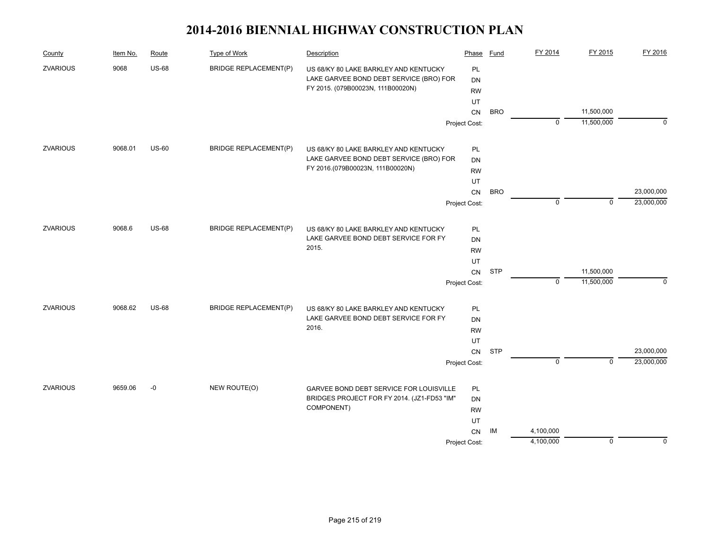| County          | Item No. | Route        | Type of Work                 | Description                                 | Phase         | Fund       | FY 2014     | FY 2015        | FY 2016    |
|-----------------|----------|--------------|------------------------------|---------------------------------------------|---------------|------------|-------------|----------------|------------|
| <b>ZVARIOUS</b> | 9068     | <b>US-68</b> | <b>BRIDGE REPLACEMENT(P)</b> | US 68/KY 80 LAKE BARKLEY AND KENTUCKY       | PL            |            |             |                |            |
|                 |          |              |                              | LAKE GARVEE BOND DEBT SERVICE (BRO) FOR     | <b>DN</b>     |            |             |                |            |
|                 |          |              |                              | FY 2015. (079B00023N, 111B00020N)           | <b>RW</b>     |            |             |                |            |
|                 |          |              |                              |                                             | UT            |            |             |                |            |
|                 |          |              |                              |                                             | CN            | <b>BRO</b> |             | 11,500,000     |            |
|                 |          |              |                              |                                             | Project Cost: |            | $\mathbf 0$ | 11,500,000     | $\Omega$   |
| <b>ZVARIOUS</b> | 9068.01  | <b>US-60</b> | <b>BRIDGE REPLACEMENT(P)</b> | US 68/KY 80 LAKE BARKLEY AND KENTUCKY       | PL            |            |             |                |            |
|                 |          |              |                              | LAKE GARVEE BOND DEBT SERVICE (BRO) FOR     | <b>DN</b>     |            |             |                |            |
|                 |          |              |                              | FY 2016.(079B00023N, 111B00020N)            | <b>RW</b>     |            |             |                |            |
|                 |          |              |                              |                                             | UT            |            |             |                |            |
|                 |          |              |                              |                                             | CN            | <b>BRO</b> |             |                | 23,000,000 |
|                 |          |              |                              |                                             | Project Cost: |            | $\mathbf 0$ | $\mathbf 0$    | 23,000,000 |
| ZVARIOUS        | 9068.6   | <b>US-68</b> | <b>BRIDGE REPLACEMENT(P)</b> | US 68/KY 80 LAKE BARKLEY AND KENTUCKY       | PL            |            |             |                |            |
|                 |          |              |                              | LAKE GARVEE BOND DEBT SERVICE FOR FY        | <b>DN</b>     |            |             |                |            |
|                 |          |              |                              | 2015.                                       | <b>RW</b>     |            |             |                |            |
|                 |          |              |                              |                                             | UT            |            |             |                |            |
|                 |          |              |                              |                                             | ${\sf CN}$    | <b>STP</b> |             | 11,500,000     |            |
|                 |          |              |                              |                                             | Project Cost: |            | $\mathbf 0$ | 11,500,000     | $\Omega$   |
| <b>ZVARIOUS</b> | 9068.62  | <b>US-68</b> | <b>BRIDGE REPLACEMENT(P)</b> | US 68/KY 80 LAKE BARKLEY AND KENTUCKY       | PL            |            |             |                |            |
|                 |          |              |                              | LAKE GARVEE BOND DEBT SERVICE FOR FY        | DN            |            |             |                |            |
|                 |          |              |                              | 2016.                                       | <b>RW</b>     |            |             |                |            |
|                 |          |              |                              |                                             | UT            |            |             |                |            |
|                 |          |              |                              |                                             | <b>CN</b>     | <b>STP</b> |             |                | 23,000,000 |
|                 |          |              |                              |                                             | Project Cost: |            | $\mathbf 0$ | $\overline{0}$ | 23,000,000 |
| <b>ZVARIOUS</b> | 9659.06  | $-0$         | NEW ROUTE(O)                 | GARVEE BOND DEBT SERVICE FOR LOUISVILLE     | PL            |            |             |                |            |
|                 |          |              |                              | BRIDGES PROJECT FOR FY 2014. (JZ1-FD53 "IM" | <b>DN</b>     |            |             |                |            |
|                 |          |              |                              | COMPONENT)                                  | <b>RW</b>     |            |             |                |            |
|                 |          |              |                              |                                             | UT            |            |             |                |            |
|                 |          |              |                              |                                             | CN            | IM         | 4,100,000   |                |            |
|                 |          |              |                              |                                             | Project Cost: |            | 4,100,000   | 0              | 0          |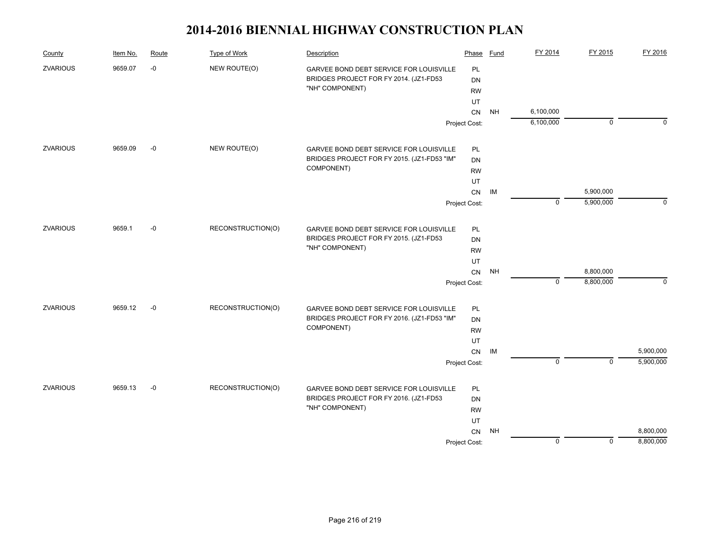| County          | Item No. | Route | Type of Work      | Description                                 | Phase         | Fund      | FY 2014     | FY 2015     | FY 2016     |
|-----------------|----------|-------|-------------------|---------------------------------------------|---------------|-----------|-------------|-------------|-------------|
| <b>ZVARIOUS</b> | 9659.07  | $-0$  | NEW ROUTE(O)      | GARVEE BOND DEBT SERVICE FOR LOUISVILLE     | PL            |           |             |             |             |
|                 |          |       |                   | BRIDGES PROJECT FOR FY 2014. (JZ1-FD53      | <b>DN</b>     |           |             |             |             |
|                 |          |       |                   | "NH" COMPONENT)                             | <b>RW</b>     |           |             |             |             |
|                 |          |       |                   |                                             | UT            |           |             |             |             |
|                 |          |       |                   |                                             | CN            | <b>NH</b> | 6,100,000   |             |             |
|                 |          |       |                   |                                             | Project Cost: |           | 6,100,000   | $\mathbf 0$ | $\Omega$    |
| <b>ZVARIOUS</b> | 9659.09  | $-0$  | NEW ROUTE(O)      | GARVEE BOND DEBT SERVICE FOR LOUISVILLE     | PL            |           |             |             |             |
|                 |          |       |                   | BRIDGES PROJECT FOR FY 2015. (JZ1-FD53 "IM" | DN            |           |             |             |             |
|                 |          |       |                   | COMPONENT)                                  | <b>RW</b>     |           |             |             |             |
|                 |          |       |                   |                                             | UT            |           |             |             |             |
|                 |          |       |                   |                                             | ${\sf CN}$    | IM        |             | 5,900,000   |             |
|                 |          |       |                   |                                             | Project Cost: |           | $\mathbf 0$ | 5,900,000   | $\mathbf 0$ |
|                 |          |       |                   |                                             |               |           |             |             |             |
| <b>ZVARIOUS</b> | 9659.1   | $-0$  | RECONSTRUCTION(O) | GARVEE BOND DEBT SERVICE FOR LOUISVILLE     | PL            |           |             |             |             |
|                 |          |       |                   | BRIDGES PROJECT FOR FY 2015. (JZ1-FD53      | <b>DN</b>     |           |             |             |             |
|                 |          |       |                   | "NH" COMPONENT)                             | <b>RW</b>     |           |             |             |             |
|                 |          |       |                   |                                             | UT            |           |             |             |             |
|                 |          |       |                   |                                             | CN            | NH        |             | 8,800,000   |             |
|                 |          |       |                   |                                             | Project Cost: |           | $\mathbf 0$ | 8,800,000   | $\mathbf 0$ |
| <b>ZVARIOUS</b> | 9659.12  | $-0$  | RECONSTRUCTION(O) | GARVEE BOND DEBT SERVICE FOR LOUISVILLE     | PL            |           |             |             |             |
|                 |          |       |                   | BRIDGES PROJECT FOR FY 2016. (JZ1-FD53 "IM" | DN            |           |             |             |             |
|                 |          |       |                   | COMPONENT)                                  | <b>RW</b>     |           |             |             |             |
|                 |          |       |                   |                                             | UT            |           |             |             |             |
|                 |          |       |                   |                                             | CN            | IM        |             |             | 5,900,000   |
|                 |          |       |                   |                                             | Project Cost: |           | $\mathbf 0$ | $\mathbf 0$ | 5,900,000   |
| <b>ZVARIOUS</b> | 9659.13  | $-0$  | RECONSTRUCTION(O) | GARVEE BOND DEBT SERVICE FOR LOUISVILLE     | PL            |           |             |             |             |
|                 |          |       |                   | BRIDGES PROJECT FOR FY 2016. (JZ1-FD53      | <b>DN</b>     |           |             |             |             |
|                 |          |       |                   | "NH" COMPONENT)                             | <b>RW</b>     |           |             |             |             |
|                 |          |       |                   |                                             | UT            |           |             |             |             |
|                 |          |       |                   |                                             | CN            | NH        |             |             | 8,800,000   |
|                 |          |       |                   |                                             | Project Cost: |           | $\mathbf 0$ | $\mathbf 0$ | 8,800,000   |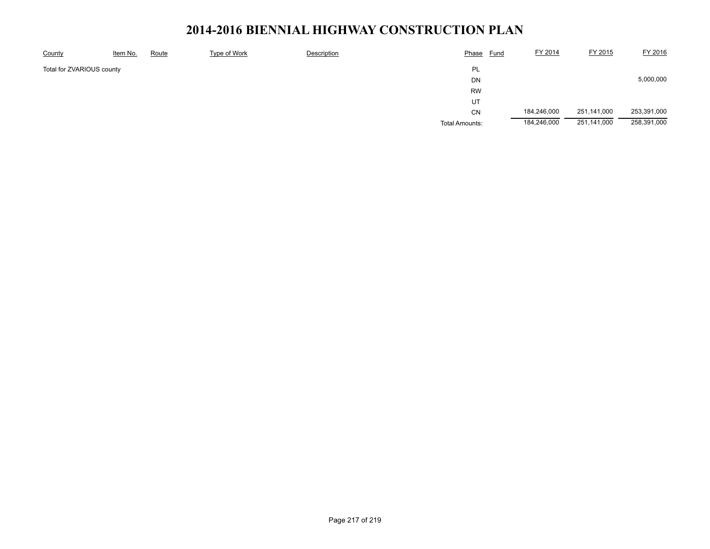### 2014-2016 BIENNIAL HIGHWAY CONSTRUCTION PLAN

| County                          | Item No. | Route | Type of Work | Description | Phase<br><u>Fund</u>  | FY 2014     | FY 2015     | FY 2016     |
|---------------------------------|----------|-------|--------------|-------------|-----------------------|-------------|-------------|-------------|
| PL<br>Total for ZVARIOUS county |          |       |              |             |                       |             |             |             |
|                                 |          |       |              |             | <b>DN</b>             |             |             | 5,000,000   |
|                                 |          |       |              |             | <b>RW</b>             |             |             |             |
|                                 |          |       |              |             | UT                    |             |             |             |
|                                 |          |       |              |             | <b>CN</b>             | 184,246,000 | 251,141,000 | 253,391,000 |
|                                 |          |       |              |             | <b>Total Amounts:</b> | 184,246,000 | 251,141,000 | 258,391,000 |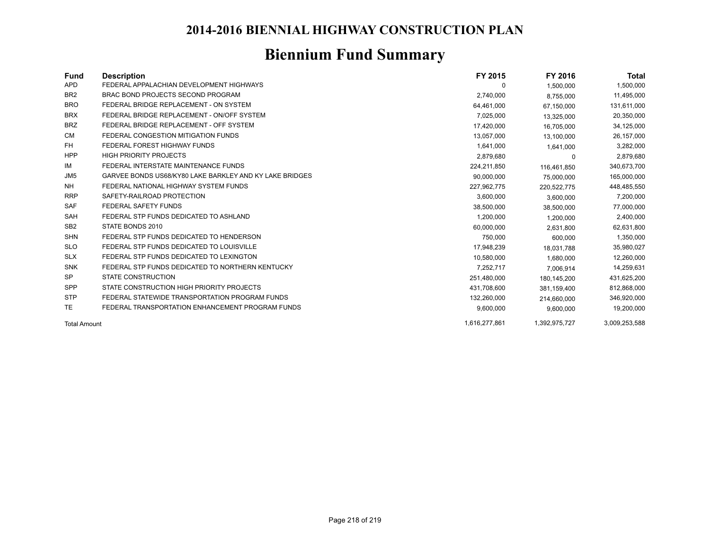### 2014-2016 BIENNIAL HIGHWAY CONSTRUCTION PLAN

# **Biennium Fund Summary**

| Fund                | <b>Description</b>                                      | FY 2015       | FY 2016       | Total         |
|---------------------|---------------------------------------------------------|---------------|---------------|---------------|
| <b>APD</b>          | FEDERAL APPALACHIAN DEVELOPMENT HIGHWAYS                | 0             | 1,500,000     | 1,500,000     |
| BR <sub>2</sub>     | BRAC BOND PROJECTS SECOND PROGRAM                       | 2,740,000     | 8,755,000     | 11,495,000    |
| <b>BRO</b>          | FEDERAL BRIDGE REPLACEMENT - ON SYSTEM                  | 64,461,000    | 67,150,000    | 131,611,000   |
| <b>BRX</b>          | FEDERAL BRIDGE REPLACEMENT - ON/OFF SYSTEM              | 7,025,000     | 13,325,000    | 20,350,000    |
| <b>BRZ</b>          | FEDERAL BRIDGE REPLACEMENT - OFF SYSTEM                 | 17,420,000    | 16,705,000    | 34,125,000    |
| CM                  | FEDERAL CONGESTION MITIGATION FUNDS                     | 13,057,000    | 13,100,000    | 26,157,000    |
| FH                  | FEDERAL FOREST HIGHWAY FUNDS                            | 1,641,000     | 1,641,000     | 3,282,000     |
| <b>HPP</b>          | <b>HIGH PRIORITY PROJECTS</b>                           | 2,879,680     | $\Omega$      | 2,879,680     |
| IM                  | FEDERAL INTERSTATE MAINTENANCE FUNDS                    | 224,211,850   | 116,461,850   | 340,673,700   |
| JM <sub>5</sub>     | GARVEE BONDS US68/KY80 LAKE BARKLEY AND KY LAKE BRIDGES | 90,000,000    | 75,000,000    | 165,000,000   |
| <b>NH</b>           | FEDERAL NATIONAL HIGHWAY SYSTEM FUNDS                   | 227,962,775   | 220,522,775   | 448,485,550   |
| <b>RRP</b>          | SAFETY-RAILROAD PROTECTION                              | 3,600,000     | 3,600,000     | 7,200,000     |
| <b>SAF</b>          | <b>FEDERAL SAFETY FUNDS</b>                             | 38,500,000    | 38,500,000    | 77,000,000    |
| <b>SAH</b>          | FEDERAL STP FUNDS DEDICATED TO ASHLAND                  | 1,200,000     | 1,200,000     | 2,400,000     |
| SB <sub>2</sub>     | STATE BONDS 2010                                        | 60,000,000    | 2,631,800     | 62,631,800    |
| <b>SHN</b>          | FEDERAL STP FUNDS DEDICATED TO HENDERSON                | 750,000       | 600,000       | 1,350,000     |
| <b>SLO</b>          | FEDERAL STP FUNDS DEDICATED TO LOUISVILLE               | 17,948,239    | 18.031.788    | 35,980,027    |
| <b>SLX</b>          | FEDERAL STP FUNDS DEDICATED TO LEXINGTON                | 10,580,000    | 1,680,000     | 12,260,000    |
| <b>SNK</b>          | FEDERAL STP FUNDS DEDICATED TO NORTHERN KENTUCKY        | 7,252,717     | 7.006.914     | 14,259,631    |
| <b>SP</b>           | <b>STATE CONSTRUCTION</b>                               | 251,480,000   | 180,145,200   | 431,625,200   |
| <b>SPP</b>          | STATE CONSTRUCTION HIGH PRIORITY PROJECTS               | 431,708,600   | 381,159,400   | 812,868,000   |
| <b>STP</b>          | FEDERAL STATEWIDE TRANSPORTATION PROGRAM FUNDS          | 132,260,000   | 214,660,000   | 346,920,000   |
| <b>TE</b>           | FEDERAL TRANSPORTATION ENHANCEMENT PROGRAM FUNDS        | 9,600,000     | 9,600,000     | 19,200,000    |
| <b>Total Amount</b> |                                                         | 1.616.277.861 | 1.392.975.727 | 3.009.253.588 |